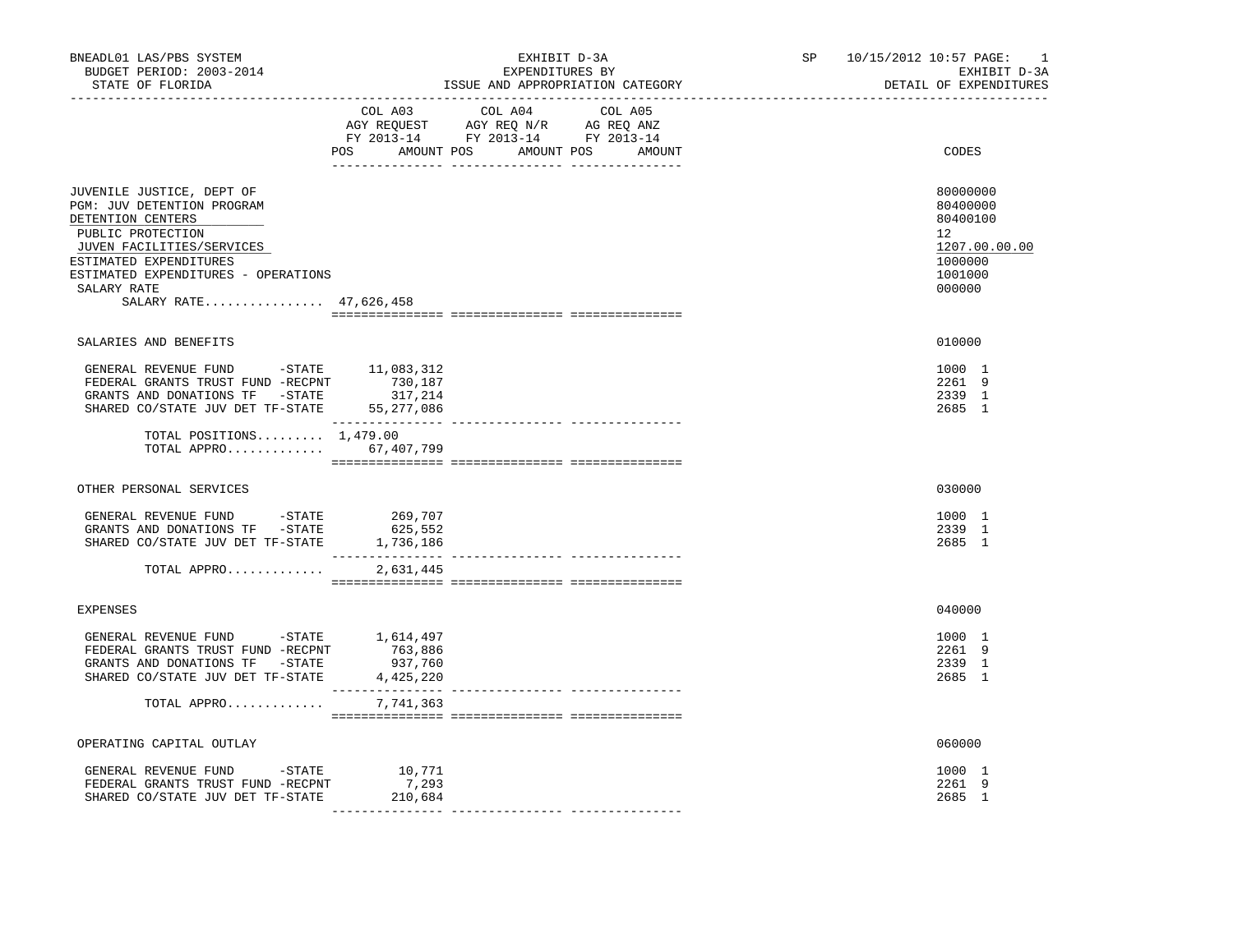| BNEADL01 LAS/PBS SYSTEM<br>BUDGET PERIOD: 2003-2014<br>STATE OF FLORIDA<br>-----------------                                                                                                                                             |                                                                                                                       | EXHIBIT D-3A<br>EXPENDITURES BY<br>ISSUE AND APPROPRIATION CATEGORY | SP and the set of the set of the set of the set of the set of the set of the set of the set of the set of the set of the set of the set of the set of the set of the set of the set of the set of the set of the set of the se<br>________________________________ | 10/15/2012 10:57 PAGE: | $\mathbf{1}$<br>EXHIBIT D-3A<br>DETAIL OF EXPENDITURES                                            |
|------------------------------------------------------------------------------------------------------------------------------------------------------------------------------------------------------------------------------------------|-----------------------------------------------------------------------------------------------------------------------|---------------------------------------------------------------------|--------------------------------------------------------------------------------------------------------------------------------------------------------------------------------------------------------------------------------------------------------------------|------------------------|---------------------------------------------------------------------------------------------------|
|                                                                                                                                                                                                                                          | COL A03<br>NGY REQUEST AGY REQ N/R AG REQ ANZ<br>FY 2013-14 FY 2013-14 FY 2013-14<br>POS AMOUNT POS AMOUNT POS AMOUNT | COL A04 COL A05                                                     |                                                                                                                                                                                                                                                                    |                        | CODES                                                                                             |
| JUVENILE JUSTICE, DEPT OF<br>PGM: JUV DETENTION PROGRAM<br>DETENTION CENTERS<br>PUBLIC PROTECTION<br>JUVEN FACILITIES/SERVICES<br>ESTIMATED EXPENDITURES<br>ESTIMATED EXPENDITURES - OPERATIONS<br>SALARY RATE<br>SALARY RATE 47,626,458 |                                                                                                                       |                                                                     |                                                                                                                                                                                                                                                                    |                        | 80000000<br>80400000<br>80400100<br>$12^{\circ}$<br>1207.00.00.00<br>1000000<br>1001000<br>000000 |
| SALARIES AND BENEFITS                                                                                                                                                                                                                    |                                                                                                                       |                                                                     |                                                                                                                                                                                                                                                                    |                        | 010000                                                                                            |
| GENERAL REVENUE FUND -STATE 11,083,312<br>FEDERAL GRANTS TRUST FUND -RECPNT<br>${\tt FEDERAL}$ GRANTS TRUST FUND –<br>RECPNT $$730,187$ GRANTS AND DONATIONS TF $$-STATE$317,214$<br>SHARED CO/STATE JUV DET TF-STATE 55,277,086         |                                                                                                                       |                                                                     |                                                                                                                                                                                                                                                                    |                        | 1000 1<br>2261 9<br>2339 1<br>2685 1                                                              |
| TOTAL POSITIONS $1,479.00$<br>TOTAL APPRO 67,407,799                                                                                                                                                                                     |                                                                                                                       |                                                                     |                                                                                                                                                                                                                                                                    |                        |                                                                                                   |
| OTHER PERSONAL SERVICES                                                                                                                                                                                                                  |                                                                                                                       |                                                                     |                                                                                                                                                                                                                                                                    |                        | 030000                                                                                            |
| GENERAL REVENUE FUND -STATE<br>GRANTS AND DONATIONS TF -STATE<br>SHARED CO/STATE JUV DET TF-STATE                                                                                                                                        | 269,707<br>625,552<br>1,736,186                                                                                       |                                                                     |                                                                                                                                                                                                                                                                    |                        | 1000 1<br>2339 1<br>2685 1                                                                        |
| TOTAL APPRO                                                                                                                                                                                                                              | 2,631,445                                                                                                             |                                                                     |                                                                                                                                                                                                                                                                    |                        |                                                                                                   |
| EXPENSES                                                                                                                                                                                                                                 |                                                                                                                       |                                                                     |                                                                                                                                                                                                                                                                    |                        | 040000                                                                                            |
| GENERAL REVENUE FUND -STATE 1,614,497<br>FEDERAL GRANTS TRUST FUND -RECPNT<br>GRANTS AND DONATIONS TF -STATE<br>SHARED CO/STATE JUV DET TF-STATE 4,425,220<br>TOTAL APPRO                                                                | 763,886<br>763,886<br>937,760<br>7,741,363                                                                            |                                                                     |                                                                                                                                                                                                                                                                    |                        | 1000 1<br>2261 9<br>2339 1<br>2685 1                                                              |
|                                                                                                                                                                                                                                          |                                                                                                                       |                                                                     |                                                                                                                                                                                                                                                                    |                        |                                                                                                   |
| OPERATING CAPITAL OUTLAY                                                                                                                                                                                                                 |                                                                                                                       |                                                                     |                                                                                                                                                                                                                                                                    |                        | 060000                                                                                            |
| GENERAL REVENUE FUND -STATE<br>FEDERAL GRANTS TRUST FUND -RECPNT<br>SHARED CO/STATE JUV DET TF-STATE                                                                                                                                     | 10,771<br>7,293<br>210,684                                                                                            |                                                                     |                                                                                                                                                                                                                                                                    |                        | 1000 1<br>2261 9<br>2685 1                                                                        |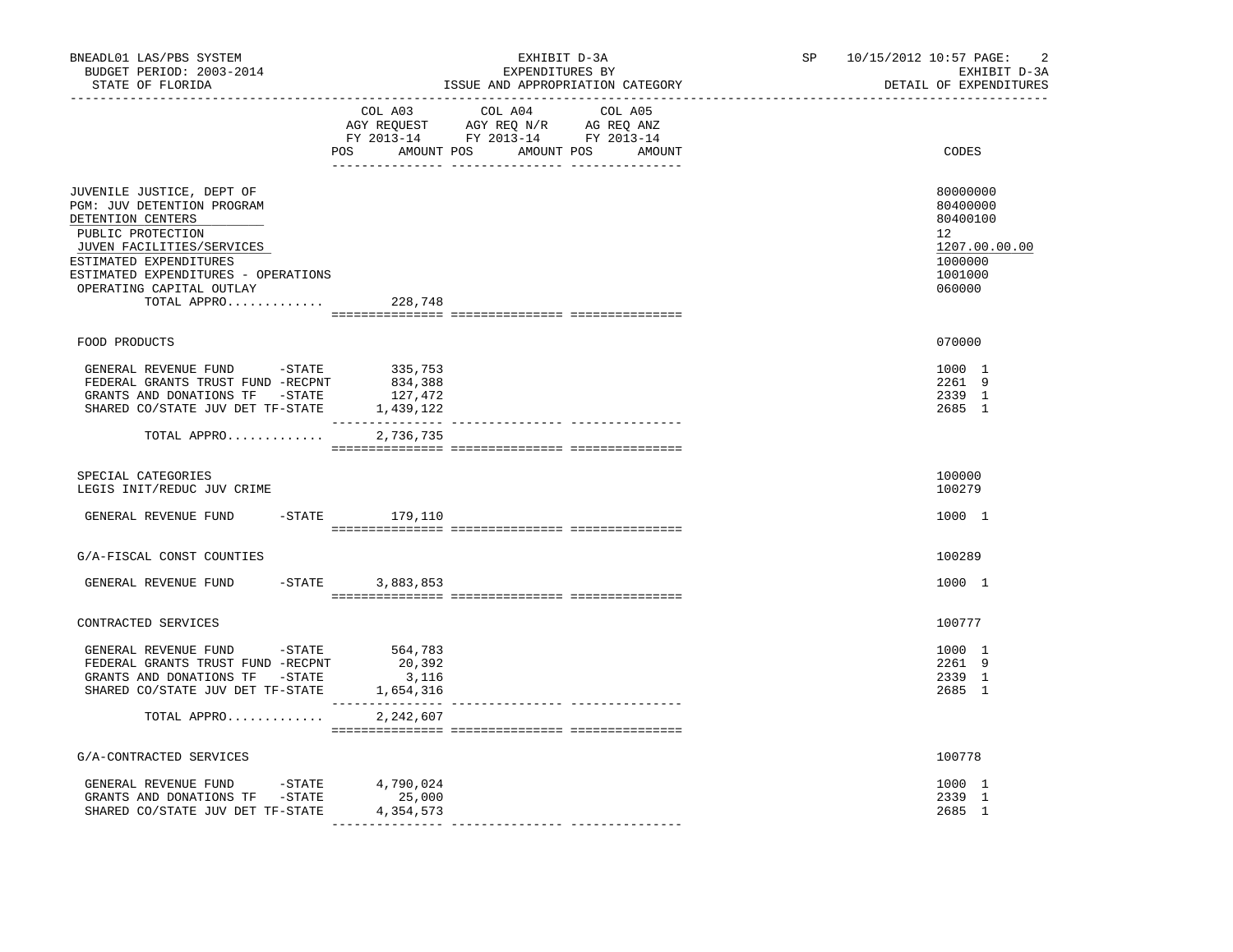| BNEADL01 LAS/PBS SYSTEM<br>BUDGET PERIOD: 2003-2014<br>STATE OF FLORIDA<br>----------------                                                                                                                                                        | EXHIBIT D-3A<br>EXPENDITURES BY<br>ISSUE AND APPROPRIATION CATEGORY                                                                   | SP 10/15/2012 10:57 PAGE:<br>2<br>EXHIBIT D-3A<br>DETAIL OF EXPENDITURES                             |
|----------------------------------------------------------------------------------------------------------------------------------------------------------------------------------------------------------------------------------------------------|---------------------------------------------------------------------------------------------------------------------------------------|------------------------------------------------------------------------------------------------------|
|                                                                                                                                                                                                                                                    | COL A03 COL A04 COL A05<br>AGY REQUEST AGY REQ N/R AG REQ ANZ<br>FY 2013-14 FY 2013-14 FY 2013-14<br>POS AMOUNT POS AMOUNT POS AMOUNT | CODES                                                                                                |
| JUVENILE JUSTICE, DEPT OF<br>PGM: JUV DETENTION PROGRAM<br>DETENTION CENTERS<br>PUBLIC PROTECTION<br>JUVEN FACILITIES/SERVICES<br>ESTIMATED EXPENDITURES<br>ESTIMATED EXPENDITURES - OPERATIONS<br>OPERATING CAPITAL OUTLAY<br>TOTAL APPRO 228,748 |                                                                                                                                       | 80000000<br>80400000<br>80400100<br>12 <sup>°</sup><br>1207.00.00.00<br>1000000<br>1001000<br>060000 |
| FOOD PRODUCTS                                                                                                                                                                                                                                      |                                                                                                                                       | 070000                                                                                               |
| GENERAL REVENUE FUND -STATE 335,753<br>FEDERAL GRANTS TRUST FUND -RECPNT<br>GRANTS AND DONATIONS TF -STATE<br>SHARED CO/STATE JUV DET TF-STATE 1,439,122                                                                                           | 834,388<br>127,472<br>_________________                                                                                               | 1000 1<br>2261 9<br>2339 1<br>2685 1                                                                 |
| TOTAL APPRO                                                                                                                                                                                                                                        | 2,736,735                                                                                                                             |                                                                                                      |
| SPECIAL CATEGORIES<br>LEGIS INIT/REDUC JUV CRIME                                                                                                                                                                                                   |                                                                                                                                       | 100000<br>100279                                                                                     |
| GENERAL REVENUE FUND                                                                                                                                                                                                                               | -STATE 179,110                                                                                                                        | 1000 1                                                                                               |
| G/A-FISCAL CONST COUNTIES                                                                                                                                                                                                                          |                                                                                                                                       | 100289                                                                                               |
| $-$ STATE<br>GENERAL REVENUE FUND                                                                                                                                                                                                                  | 3,883,853                                                                                                                             | 1000 1                                                                                               |
| CONTRACTED SERVICES                                                                                                                                                                                                                                |                                                                                                                                       | 100777                                                                                               |
| GENERAL REVENUE FUND -STATE<br>FEDERAL GRANTS TRUST FUND -RECPNT<br>GRANTS AND DONATIONS TF -STATE<br>SHARED CO/STATE JUV DET TF-STATE                                                                                                             | 564,783<br>20,392<br>3,116<br>1,654,316                                                                                               | 1000 1<br>2261 9<br>2339 1<br>2685 1                                                                 |
| TOTAL APPRO                                                                                                                                                                                                                                        | 2,242,607                                                                                                                             |                                                                                                      |
| G/A-CONTRACTED SERVICES                                                                                                                                                                                                                            |                                                                                                                                       | 100778                                                                                               |
| GENERAL REVENUE FUND -STATE 4,790,024<br>GRANTS AND DONATIONS TF -STATE<br>SHARED CO/STATE JUV DET TF-STATE                                                                                                                                        | 25,000<br>4,354,573                                                                                                                   | 1000 1<br>2339 1<br>2685 1                                                                           |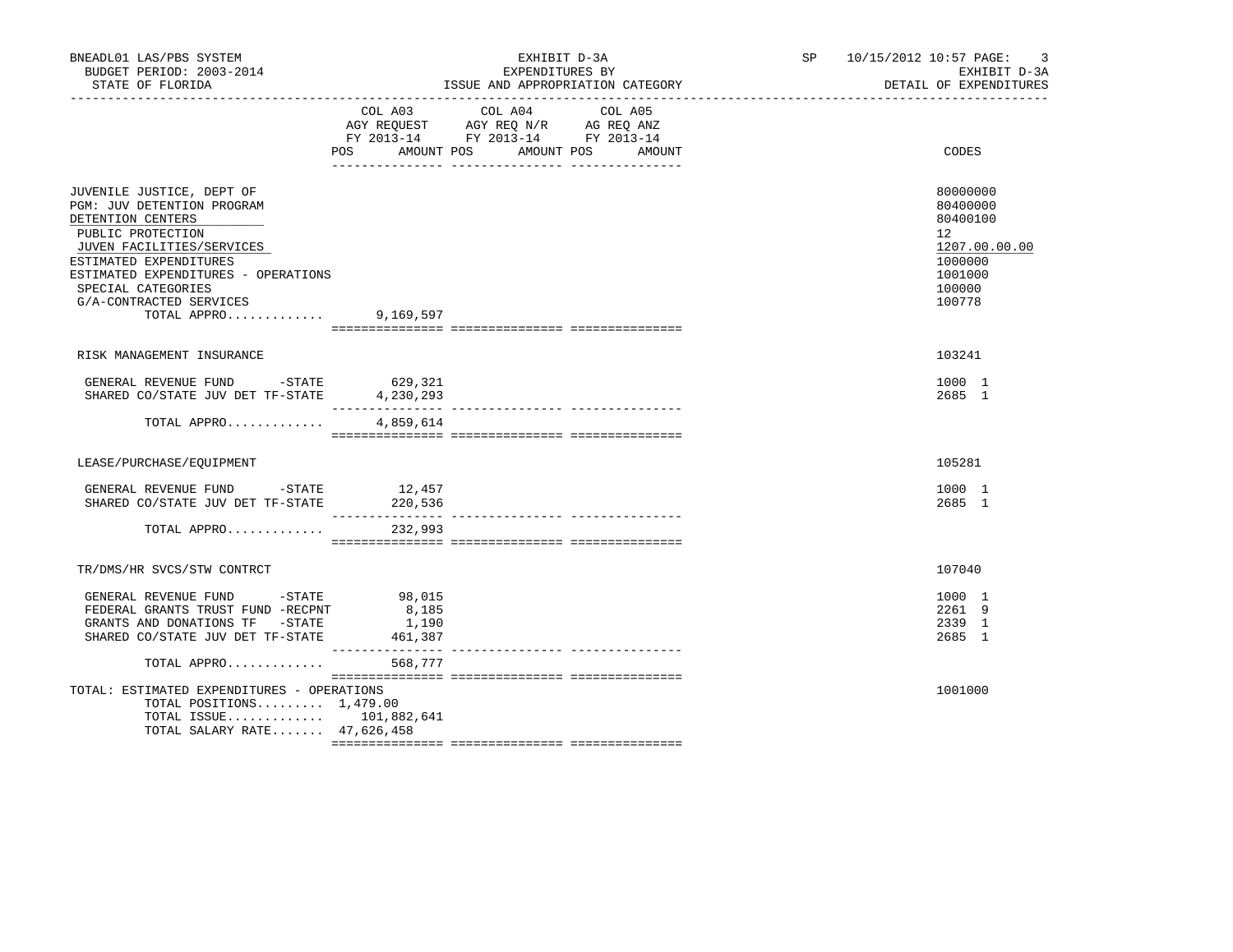| BNEADL01 LAS/PBS SYSTEM<br>BUDGET PERIOD: 2003-2014<br>STATE OF FLORIDA                                                                                                                                                                                         | EXHIBIT D-3A<br>EXPENDITURES BY<br>ISSUE AND APPROPRIATION CATEGORY<br>__________________________________ |                                                                                           |                   | SP 10/15/2012 10:57 PAGE:<br>$\overline{3}$<br>EXHIBIT D-3A<br>DETAIL OF EXPENDITURES                       |
|-----------------------------------------------------------------------------------------------------------------------------------------------------------------------------------------------------------------------------------------------------------------|-----------------------------------------------------------------------------------------------------------|-------------------------------------------------------------------------------------------|-------------------|-------------------------------------------------------------------------------------------------------------|
|                                                                                                                                                                                                                                                                 | POS AMOUNT POS AMOUNT POS                                                                                 | COL A03 COL A04<br>AGY REQUEST AGY REQ N/R AG REQ ANZ<br>FY 2013-14 FY 2013-14 FY 2013-14 | COL A05<br>AMOUNT | CODES                                                                                                       |
| JUVENILE JUSTICE, DEPT OF<br>PGM: JUV DETENTION PROGRAM<br>DETENTION CENTERS<br>PUBLIC PROTECTION<br>JUVEN FACILITIES/SERVICES<br>ESTIMATED EXPENDITURES<br>ESTIMATED EXPENDITURES - OPERATIONS<br>SPECIAL CATEGORIES<br>G/A-CONTRACTED SERVICES<br>TOTAL APPRO | 9,169,597                                                                                                 |                                                                                           |                   | 80000000<br>80400000<br>80400100<br>$12^{\circ}$<br>1207.00.00.00<br>1000000<br>1001000<br>100000<br>100778 |
| RISK MANAGEMENT INSURANCE                                                                                                                                                                                                                                       |                                                                                                           |                                                                                           |                   | 103241                                                                                                      |
| GENERAL REVENUE FUND -STATE<br>SHARED CO/STATE JUV DET TF-STATE                                                                                                                                                                                                 | 629,321<br>4,230,293                                                                                      |                                                                                           |                   | 1000 1<br>2685 1                                                                                            |
| TOTAL APPRO                                                                                                                                                                                                                                                     | 4,859,614                                                                                                 |                                                                                           |                   |                                                                                                             |
| LEASE/PURCHASE/EOUIPMENT                                                                                                                                                                                                                                        |                                                                                                           |                                                                                           |                   | 105281                                                                                                      |
| GENERAL REVENUE FUND $-$ STATE $12,457$<br>SHARED CO/STATE JUV DET TF-STATE                                                                                                                                                                                     | 220,536                                                                                                   |                                                                                           |                   | 1000 1<br>2685 1                                                                                            |
| TOTAL APPRO                                                                                                                                                                                                                                                     | 232,993                                                                                                   |                                                                                           |                   |                                                                                                             |
| TR/DMS/HR SVCS/STW CONTRCT                                                                                                                                                                                                                                      |                                                                                                           |                                                                                           |                   | 107040                                                                                                      |
| GENERAL REVENUE FUND - STATE<br>FEDERAL GRANTS TRUST FUND -RECPNT<br>GRANTS AND DONATIONS TF -STATE<br>SHARED CO/STATE JUV DET TF-STATE                                                                                                                         | 98,015<br>8,185<br>1,190<br>461,387                                                                       |                                                                                           |                   | 1000 1<br>2261 9<br>2339 1<br>2685 1                                                                        |
| TOTAL APPRO                                                                                                                                                                                                                                                     | 568,777                                                                                                   |                                                                                           |                   |                                                                                                             |
| TOTAL: ESTIMATED EXPENDITURES - OPERATIONS<br>TOTAL POSITIONS $1,479.00$<br>TOTAL ISSUE 101,882,641<br>TOTAL SALARY RATE 47,626,458                                                                                                                             |                                                                                                           |                                                                                           |                   | 1001000                                                                                                     |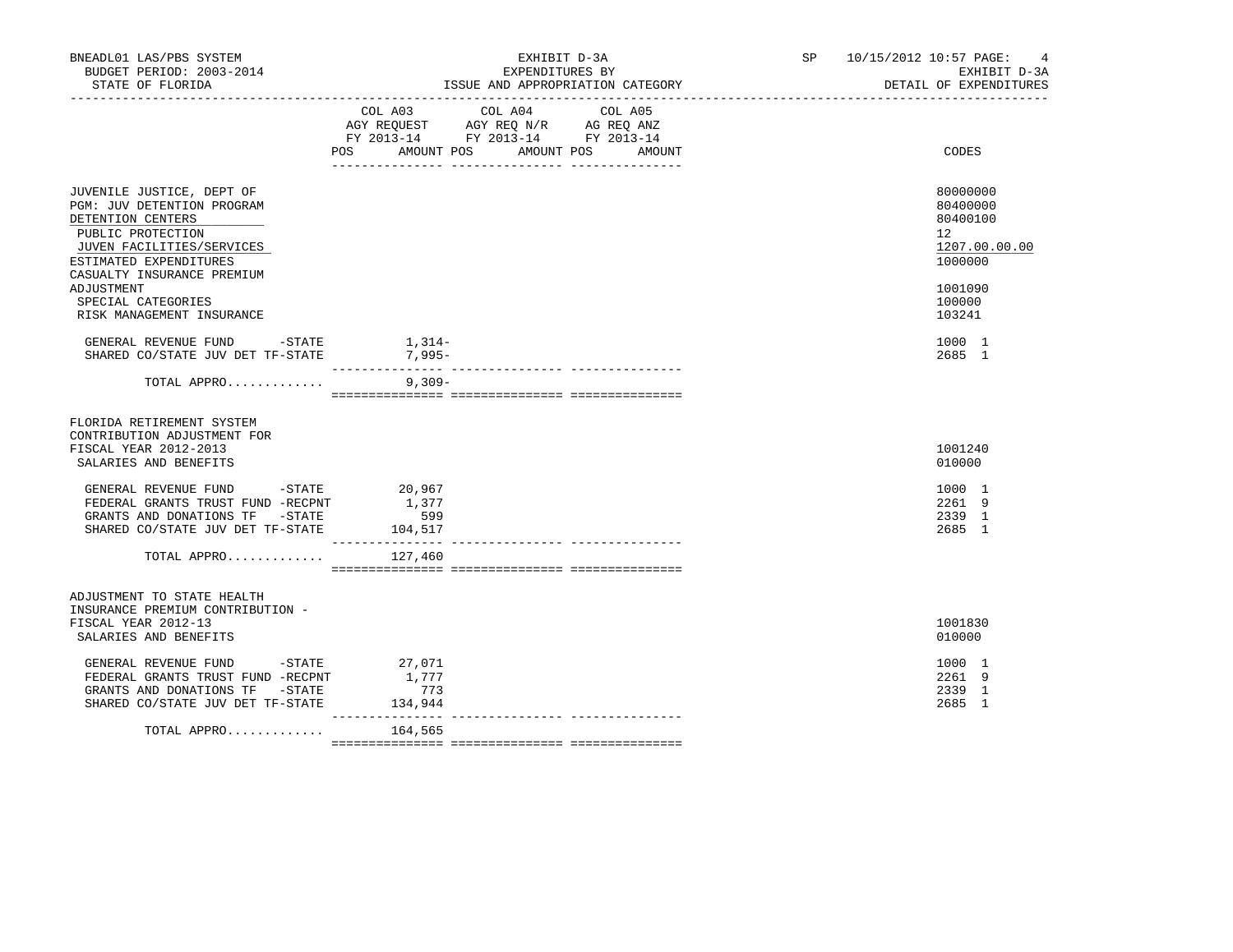| BNEADL01 LAS/PBS SYSTEM<br>BUDGET PERIOD: 2003-2014<br>STATE OF FLORIDA                                                                                                                | EXHIBIT D-3A<br>EXPENDITURES BY<br>ISSUE AND APPROPRIATION CATEGORY                                                                               | SP 10/15/2012 10:57 PAGE:<br>$\overline{4}$<br>EXHIBIT D-3A<br>DETAIL OF EXPENDITURES |
|----------------------------------------------------------------------------------------------------------------------------------------------------------------------------------------|---------------------------------------------------------------------------------------------------------------------------------------------------|---------------------------------------------------------------------------------------|
|                                                                                                                                                                                        | COL A04<br>COL A03<br>COL A05<br>AGY REQUEST AGY REQ N/R AG REQ ANZ<br>FY 2013-14 FY 2013-14 FY 2013-14<br>POS<br>AMOUNT POS AMOUNT POS<br>AMOUNT | CODES                                                                                 |
| JUVENILE JUSTICE, DEPT OF<br>PGM: JUV DETENTION PROGRAM<br>DETENTION CENTERS<br>PUBLIC PROTECTION<br>JUVEN FACILITIES/SERVICES<br>ESTIMATED EXPENDITURES<br>CASUALTY INSURANCE PREMIUM |                                                                                                                                                   | 80000000<br>80400000<br>80400100<br>12 <sup>1</sup><br>1207.00.00.00<br>1000000       |
| ADJUSTMENT<br>SPECIAL CATEGORIES<br>RISK MANAGEMENT INSURANCE                                                                                                                          |                                                                                                                                                   | 1001090<br>100000<br>103241                                                           |
| GENERAL REVENUE FUND -STATE<br>SHARED CO/STATE JUV DET TF-STATE                                                                                                                        | 1,314-<br>7,995-                                                                                                                                  | 1000 1<br>2685 1                                                                      |
| TOTAL APPRO                                                                                                                                                                            | $9,309-$                                                                                                                                          |                                                                                       |
| FLORIDA RETIREMENT SYSTEM<br>CONTRIBUTION ADJUSTMENT FOR<br>FISCAL YEAR 2012-2013<br>SALARIES AND BENEFITS                                                                             |                                                                                                                                                   | 1001240<br>010000                                                                     |
| GENERAL REVENUE FUND -STATE<br>FEDERAL GRANTS TRUST FUND -RECPNT<br>GRANTS AND DONATIONS TF -STATE<br>SHARED CO/STATE JUV DET TF-STATE                                                 | 20,967<br>1,377<br>599<br>104,517<br>---------------                                                                                              | 1000 1<br>2261 9<br>2339 1<br>2685 1                                                  |
| TOTAL APPRO                                                                                                                                                                            | 127,460                                                                                                                                           |                                                                                       |
| ADJUSTMENT TO STATE HEALTH<br>INSURANCE PREMIUM CONTRIBUTION -<br>FISCAL YEAR 2012-13<br>SALARIES AND BENEFITS                                                                         |                                                                                                                                                   | 1001830<br>010000                                                                     |
| GENERAL REVENUE FUND<br>$-$ STATE<br>FEDERAL GRANTS TRUST FUND -RECPNT<br>GRANTS AND DONATIONS TF -STATE<br>SHARED CO/STATE JUV DET TF-STATE                                           | 27,071<br>1,777<br>773<br>134,944                                                                                                                 | 1000 1<br>2261 9<br>2339 1<br>2685 1                                                  |
| TOTAL APPRO                                                                                                                                                                            | 164,565                                                                                                                                           |                                                                                       |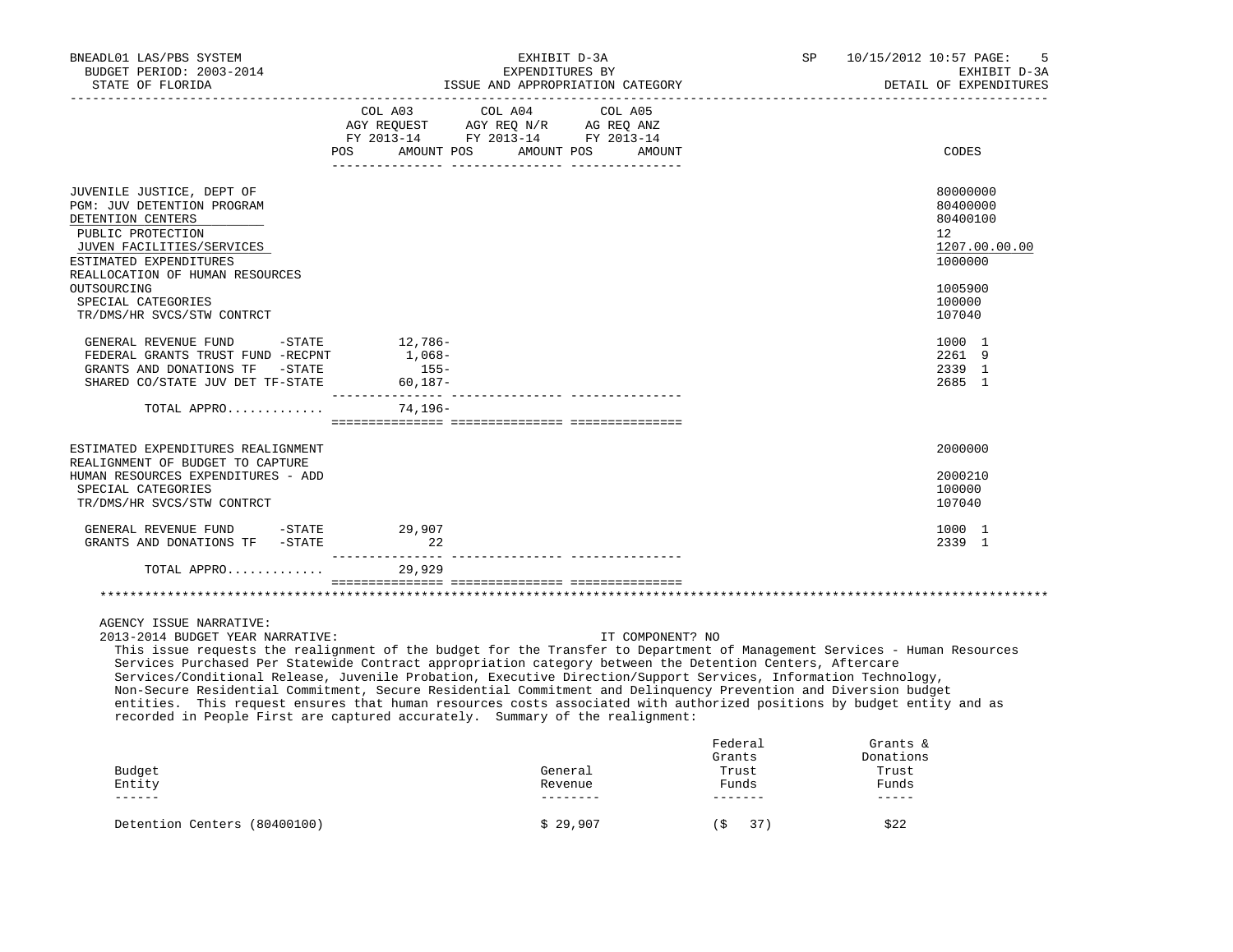| COL A03 COL A04 COL A05<br>AGY REQUEST AGY REQ N/R AG REQ ANZ<br>FY 2013-14 FY 2013-14 FY 2013-14<br>AMOUNT POS<br>AMOUNT POS<br>CODES<br>POS<br><b>AMOUNT</b><br>80000000<br>JUVENILE JUSTICE, DEPT OF<br>PGM: JUV DETENTION PROGRAM<br>80400000<br>DETENTION CENTERS<br>80400100<br>PUBLIC PROTECTION<br>$12^{\circ}$<br>JUVEN FACILITIES/SERVICES<br>1000000<br>ESTIMATED EXPENDITURES<br>REALLOCATION OF HUMAN RESOURCES<br>OUTSOURCING<br>1005900<br>SPECIAL CATEGORIES<br>100000<br>TR/DMS/HR SVCS/STW CONTRCT<br>107040<br>12,786-<br>GENERAL REVENUE FUND<br>$-$ STATE<br>1000 1<br>FEDERAL GRANTS TRUST FUND -RECPNT<br>$1,068-$<br>2261 9<br>$155-$<br>2339 1<br>GRANTS AND DONATIONS TF -STATE<br>$60, 187 -$<br>SHARED CO/STATE JUV DET TF-STATE<br>2685 1<br>TOTAL APPRO<br>74,196-<br>2000000<br>ESTIMATED EXPENDITURES REALIGNMENT<br>REALIGNMENT OF BUDGET TO CAPTURE<br>HUMAN RESOURCES EXPENDITURES - ADD<br>2000210<br>SPECIAL CATEGORIES<br>100000<br>TR/DMS/HR SVCS/STW CONTRCT<br>107040<br>GENERAL REVENUE FUND<br>$-STATE$ 29,907<br>1000 1<br>GRANTS AND DONATIONS TF -STATE<br>2339 1<br>22<br>TOTAL APPRO<br>29,929<br>AGENCY ISSUE NARRATIVE:<br>2013-2014 BUDGET YEAR NARRATIVE:<br>IT COMPONENT? NO<br>This issue requests the realignment of the budget for the Transfer to Department of Management Services - Human Resources<br>Services Purchased Per Statewide Contract appropriation category between the Detention Centers, Aftercare | BNEADL01 LAS/PBS SYSTEM<br>BUDGET PERIOD: 2003-2014<br>STATE OF FLORIDA<br>____________________ | EXHIBIT D-3A<br>EXPENDITURES BY<br>ISSUE AND APPROPRIATION CATEGORY | SP<br>10/15/2012 10:57 PAGE:<br>5<br>EXHIBIT D-3A<br>DETAIL OF EXPENDITURES |
|-----------------------------------------------------------------------------------------------------------------------------------------------------------------------------------------------------------------------------------------------------------------------------------------------------------------------------------------------------------------------------------------------------------------------------------------------------------------------------------------------------------------------------------------------------------------------------------------------------------------------------------------------------------------------------------------------------------------------------------------------------------------------------------------------------------------------------------------------------------------------------------------------------------------------------------------------------------------------------------------------------------------------------------------------------------------------------------------------------------------------------------------------------------------------------------------------------------------------------------------------------------------------------------------------------------------------------------------------------------------------------------------------------------------------------------------------------------------------------|-------------------------------------------------------------------------------------------------|---------------------------------------------------------------------|-----------------------------------------------------------------------------|
|                                                                                                                                                                                                                                                                                                                                                                                                                                                                                                                                                                                                                                                                                                                                                                                                                                                                                                                                                                                                                                                                                                                                                                                                                                                                                                                                                                                                                                                                             |                                                                                                 |                                                                     |                                                                             |
|                                                                                                                                                                                                                                                                                                                                                                                                                                                                                                                                                                                                                                                                                                                                                                                                                                                                                                                                                                                                                                                                                                                                                                                                                                                                                                                                                                                                                                                                             |                                                                                                 |                                                                     | 1207.00.00.00                                                               |
|                                                                                                                                                                                                                                                                                                                                                                                                                                                                                                                                                                                                                                                                                                                                                                                                                                                                                                                                                                                                                                                                                                                                                                                                                                                                                                                                                                                                                                                                             |                                                                                                 |                                                                     |                                                                             |
|                                                                                                                                                                                                                                                                                                                                                                                                                                                                                                                                                                                                                                                                                                                                                                                                                                                                                                                                                                                                                                                                                                                                                                                                                                                                                                                                                                                                                                                                             |                                                                                                 |                                                                     |                                                                             |
|                                                                                                                                                                                                                                                                                                                                                                                                                                                                                                                                                                                                                                                                                                                                                                                                                                                                                                                                                                                                                                                                                                                                                                                                                                                                                                                                                                                                                                                                             |                                                                                                 |                                                                     |                                                                             |
|                                                                                                                                                                                                                                                                                                                                                                                                                                                                                                                                                                                                                                                                                                                                                                                                                                                                                                                                                                                                                                                                                                                                                                                                                                                                                                                                                                                                                                                                             |                                                                                                 |                                                                     |                                                                             |
|                                                                                                                                                                                                                                                                                                                                                                                                                                                                                                                                                                                                                                                                                                                                                                                                                                                                                                                                                                                                                                                                                                                                                                                                                                                                                                                                                                                                                                                                             |                                                                                                 |                                                                     |                                                                             |
|                                                                                                                                                                                                                                                                                                                                                                                                                                                                                                                                                                                                                                                                                                                                                                                                                                                                                                                                                                                                                                                                                                                                                                                                                                                                                                                                                                                                                                                                             |                                                                                                 |                                                                     |                                                                             |
| Services/Conditional Release, Juvenile Probation, Executive Direction/Support Services, Information Technology,<br>Non-Secure Residential Commitment, Secure Residential Commitment and Delinquency Prevention and Diversion budget<br>entities. This request ensures that human resources costs associated with authorized positions by budget entity and as<br>recorded in People First are captured accurately. Summary of the realignment:                                                                                                                                                                                                                                                                                                                                                                                                                                                                                                                                                                                                                                                                                                                                                                                                                                                                                                                                                                                                                              |                                                                                                 |                                                                     |                                                                             |
| Federal<br>Grants $\&$<br>Grants<br>Donations<br>Trust<br>Budget<br>Trust<br>General<br>Funds<br>Funds<br>Entity<br>Revenue                                                                                                                                                                                                                                                                                                                                                                                                                                                                                                                                                                                                                                                                                                                                                                                                                                                                                                                                                                                                                                                                                                                                                                                                                                                                                                                                                 |                                                                                                 |                                                                     |                                                                             |

Detention Centers (80400100)  $$ 29,907$  (\$ 37) \$22

------ -------- ------- -----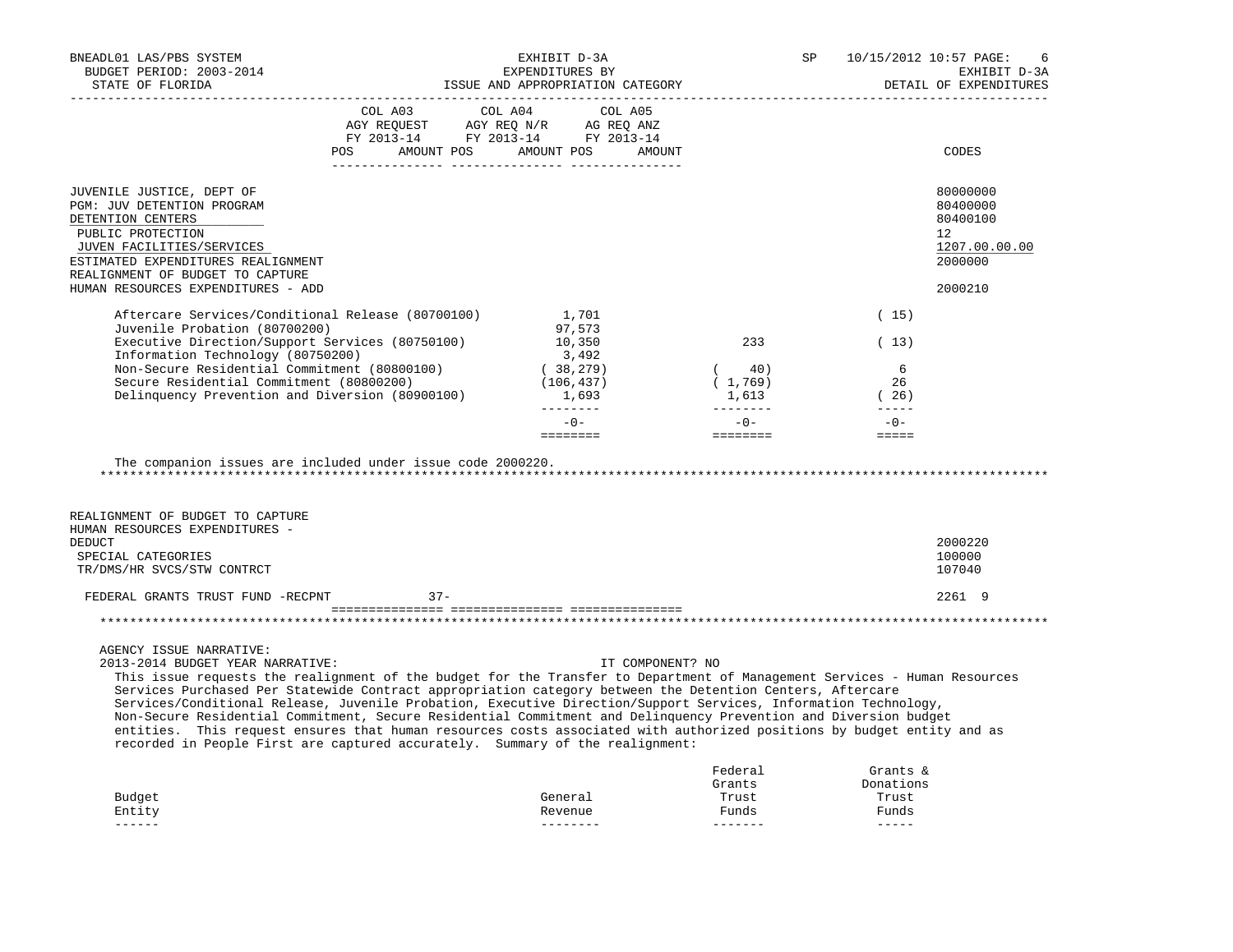| BNEADL01 LAS/PBS SYSTEM<br>BUDGET PERIOD: 2003-2014<br>STATE OF FLORIDA                                                                                                                                                                                                                                                                                                                                                                                                                                                                                                                                                                                                                                                                                 |                                                                                                                                                                                                                                                                                   | EXHIBIT D-3A<br>EXPENDITURES BY<br>ISSUE AND APPROPRIATION CATEGORY |                                                | SP                                                       | 10/15/2012 10:57 PAGE:<br>6<br>EXHIBIT D-3A<br>DETAIL OF EXPENDITURES |
|---------------------------------------------------------------------------------------------------------------------------------------------------------------------------------------------------------------------------------------------------------------------------------------------------------------------------------------------------------------------------------------------------------------------------------------------------------------------------------------------------------------------------------------------------------------------------------------------------------------------------------------------------------------------------------------------------------------------------------------------------------|-----------------------------------------------------------------------------------------------------------------------------------------------------------------------------------------------------------------------------------------------------------------------------------|---------------------------------------------------------------------|------------------------------------------------|----------------------------------------------------------|-----------------------------------------------------------------------|
|                                                                                                                                                                                                                                                                                                                                                                                                                                                                                                                                                                                                                                                                                                                                                         | COL A03<br>$\begin{tabular}{lllllllll} \bf AGY \;\; RegUEST\hspace{1cm} \bf AGY \;\; REG\;\; N/R\hspace{1cm} \bf AG \;\; REG \;\; ANZ \\ \hline \bf FY \;\; 2013-14\hspace{1cm} &\tt FY \;\; 2013-14\hspace{1cm} &\tt FY \;\; 2013-14 \end{tabular}$<br>POS AMOUNT POS AMOUNT POS | COL A04<br>COL A05<br>AMOUNT                                        |                                                |                                                          | CODES                                                                 |
| JUVENILE JUSTICE, DEPT OF<br>PGM: JUV DETENTION PROGRAM<br>DETENTION CENTERS<br>PUBLIC PROTECTION<br>JUVEN FACILITIES/SERVICES<br>ESTIMATED EXPENDITURES REALIGNMENT<br>REALIGNMENT OF BUDGET TO CAPTURE                                                                                                                                                                                                                                                                                                                                                                                                                                                                                                                                                |                                                                                                                                                                                                                                                                                   |                                                                     |                                                |                                                          | 80000000<br>80400000<br>80400100<br>12<br>1207.00.00.00<br>2000000    |
| HUMAN RESOURCES EXPENDITURES - ADD                                                                                                                                                                                                                                                                                                                                                                                                                                                                                                                                                                                                                                                                                                                      |                                                                                                                                                                                                                                                                                   |                                                                     |                                                |                                                          | 2000210                                                               |
| Aftercare Services/Conditional Release (80700100)                                                                                                                                                                                                                                                                                                                                                                                                                                                                                                                                                                                                                                                                                                       |                                                                                                                                                                                                                                                                                   | 1,701                                                               |                                                | (15)                                                     |                                                                       |
| Juvenile Probation (80700200)<br>Executive Direction/Support Services (80750100)<br>Information Technology (80750200)                                                                                                                                                                                                                                                                                                                                                                                                                                                                                                                                                                                                                                   |                                                                                                                                                                                                                                                                                   | 97,573<br>10,350<br>3,492                                           | 233                                            | (13)                                                     |                                                                       |
| Non-Secure Residential Commitment (80800100)<br>Secure Residential Commitment (80800200)<br>Delinquency Prevention and Diversion (80900100)                                                                                                                                                                                                                                                                                                                                                                                                                                                                                                                                                                                                             |                                                                                                                                                                                                                                                                                   | (38, 279)<br>(106, 437)<br>1,693                                    | (40)<br>(1, 769)<br>1,613                      | 6<br>26<br>(26)<br>$\frac{1}{2}$                         |                                                                       |
|                                                                                                                                                                                                                                                                                                                                                                                                                                                                                                                                                                                                                                                                                                                                                         |                                                                                                                                                                                                                                                                                   | --------<br>$-0-$                                                   | $-0-$                                          | $-0-$                                                    |                                                                       |
| The companion issues are included under issue code 2000220.<br>REALIGNMENT OF BUDGET TO CAPTURE                                                                                                                                                                                                                                                                                                                                                                                                                                                                                                                                                                                                                                                         |                                                                                                                                                                                                                                                                                   |                                                                     |                                                |                                                          |                                                                       |
| HUMAN RESOURCES EXPENDITURES -<br>DEDUCT                                                                                                                                                                                                                                                                                                                                                                                                                                                                                                                                                                                                                                                                                                                |                                                                                                                                                                                                                                                                                   |                                                                     |                                                |                                                          | 2000220                                                               |
| SPECIAL CATEGORIES<br>TR/DMS/HR SVCS/STW CONTRCT                                                                                                                                                                                                                                                                                                                                                                                                                                                                                                                                                                                                                                                                                                        |                                                                                                                                                                                                                                                                                   |                                                                     |                                                |                                                          | 100000<br>107040                                                      |
| FEDERAL GRANTS TRUST FUND -RECPNT                                                                                                                                                                                                                                                                                                                                                                                                                                                                                                                                                                                                                                                                                                                       | $37 -$                                                                                                                                                                                                                                                                            |                                                                     |                                                |                                                          | 2261 9                                                                |
|                                                                                                                                                                                                                                                                                                                                                                                                                                                                                                                                                                                                                                                                                                                                                         |                                                                                                                                                                                                                                                                                   |                                                                     |                                                |                                                          |                                                                       |
| AGENCY ISSUE NARRATIVE:<br>2013-2014 BUDGET YEAR NARRATIVE:<br>This issue requests the realignment of the budget for the Transfer to Department of Management Services - Human Resources<br>Services Purchased Per Statewide Contract appropriation category between the Detention Centers, Aftercare<br>Services/Conditional Release, Juvenile Probation, Executive Direction/Support Services, Information Technology,<br>Non-Secure Residential Commitment, Secure Residential Commitment and Delinquency Prevention and Diversion budget<br>entities. This request ensures that human resources costs associated with authorized positions by budget entity and as<br>recorded in People First are captured accurately. Summary of the realignment: |                                                                                                                                                                                                                                                                                   | IT COMPONENT? NO                                                    |                                                |                                                          |                                                                       |
| Budget<br>Entity<br>$- - - - - -$                                                                                                                                                                                                                                                                                                                                                                                                                                                                                                                                                                                                                                                                                                                       |                                                                                                                                                                                                                                                                                   | General<br>Revenue<br>--------                                      | Federal<br>Grants<br>Trust<br>Funds<br>------- | Grants &<br>Donations<br>Trust<br>Funds<br>$- - - - - -$ |                                                                       |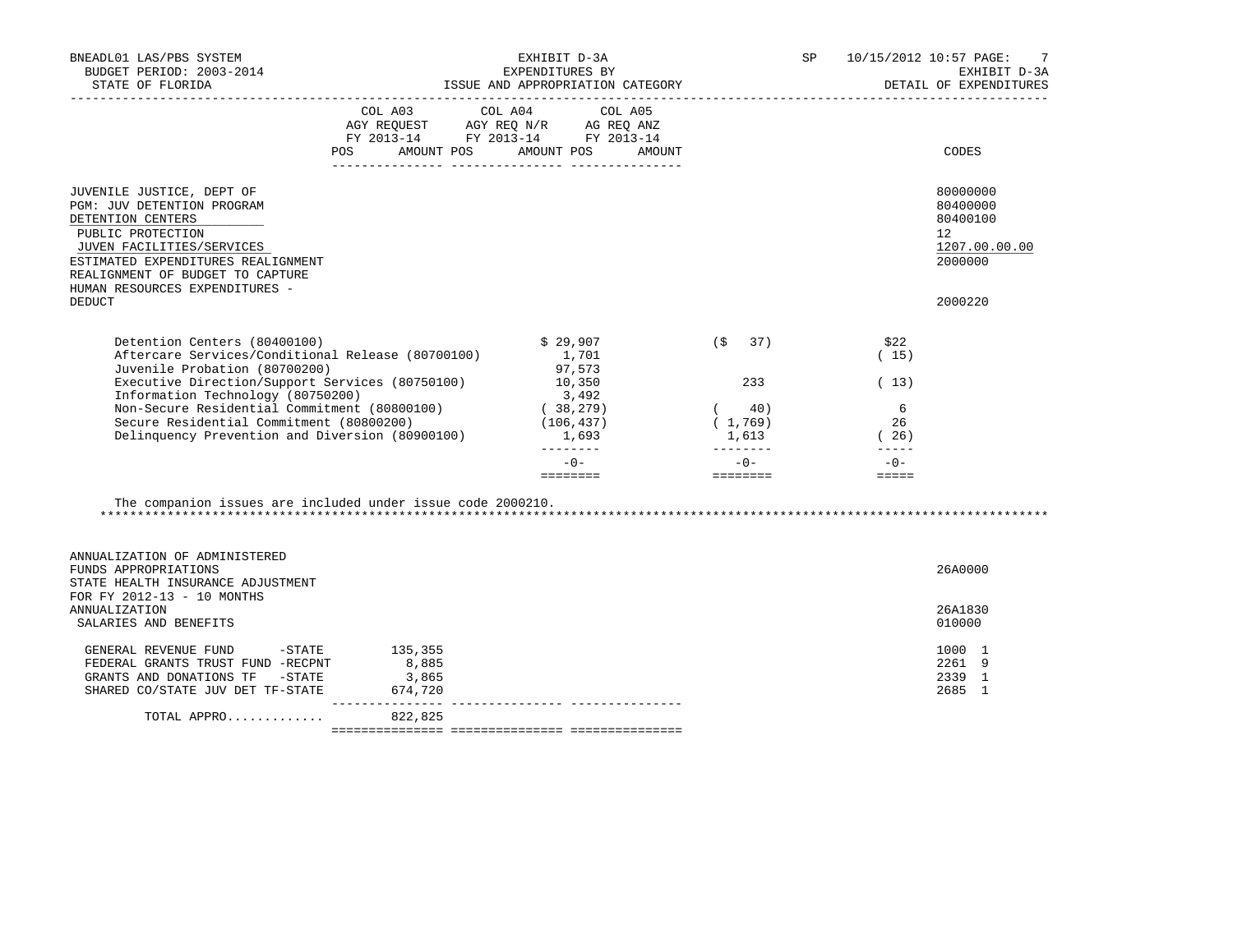| BNEADL01 LAS/PBS SYSTEM<br>BUDGET PERIOD: 2003-2014<br>STATE OF FLORIDA                                                                                                                                                                    |                                                                                                                        | EXHIBIT D-3A<br>EXPENDITURES BY<br>ISSUE AND APPROPRIATION CATEGORY             | SP and the set of the set of the set of the set of the set of the set of the set of the set of the set of the s        |                                                                                                                                                                                                                                                                                                                                                                                                                         | 10/15/2012 10:57 PAGE:<br>7<br>EXHIBIT D-3A<br>DETAIL OF EXPENDITURES        |
|--------------------------------------------------------------------------------------------------------------------------------------------------------------------------------------------------------------------------------------------|------------------------------------------------------------------------------------------------------------------------|---------------------------------------------------------------------------------|------------------------------------------------------------------------------------------------------------------------|-------------------------------------------------------------------------------------------------------------------------------------------------------------------------------------------------------------------------------------------------------------------------------------------------------------------------------------------------------------------------------------------------------------------------|------------------------------------------------------------------------------|
|                                                                                                                                                                                                                                            | COL A03 COL A04 COL A05<br>AGY REQUEST AGY REQ N/R AG REQ ANZ<br>FY 2013-14 FY 2013-14 FY 2013-14<br>POS<br>AMOUNT POS | AMOUNT POS<br>AMOUNT                                                            |                                                                                                                        |                                                                                                                                                                                                                                                                                                                                                                                                                         | CODES                                                                        |
| JUVENILE JUSTICE, DEPT OF<br>PGM: JUV DETENTION PROGRAM<br>DETENTION CENTERS<br>PUBLIC PROTECTION<br>JUVEN FACILITIES/SERVICES<br>ESTIMATED EXPENDITURES REALIGNMENT<br>REALIGNMENT OF BUDGET TO CAPTURE<br>HUMAN RESOURCES EXPENDITURES - |                                                                                                                        |                                                                                 |                                                                                                                        |                                                                                                                                                                                                                                                                                                                                                                                                                         | 80000000<br>80400000<br>80400100<br>$12^{\circ}$<br>1207.00.00.00<br>2000000 |
| <b>DEDUCT</b>                                                                                                                                                                                                                              |                                                                                                                        |                                                                                 |                                                                                                                        |                                                                                                                                                                                                                                                                                                                                                                                                                         | 2000220                                                                      |
| Detention Centers (80400100)<br>Aftercare Services/Conditional Release (80700100)<br>Juvenile Probation (80700200)                                                                                                                         |                                                                                                                        | \$29,907<br>1,701<br>97,573                                                     | (S<br>37)                                                                                                              | \$22<br>(15)                                                                                                                                                                                                                                                                                                                                                                                                            |                                                                              |
| Executive Direction/Support Services (80750100)<br>Information Technology (80750200)<br>Non-Secure Residential Commitment (80800100)<br>Secure Residential Commitment (80800200)<br>Delinquency Prevention and Diversion (80900100)        |                                                                                                                        | 10,350<br>3,492<br>$(38, 279)$<br>(106.437)<br>(106, 437)<br>1,693<br>_________ | 233<br>$(40)$<br>$(1,769)$<br>1,613<br>---------                                                                       | (13)<br>6<br>26<br>(26)<br>$\frac{1}{2} \frac{1}{2} \frac{1}{2} \frac{1}{2} \frac{1}{2} \frac{1}{2} \frac{1}{2} \frac{1}{2} \frac{1}{2} \frac{1}{2} \frac{1}{2} \frac{1}{2} \frac{1}{2} \frac{1}{2} \frac{1}{2} \frac{1}{2} \frac{1}{2} \frac{1}{2} \frac{1}{2} \frac{1}{2} \frac{1}{2} \frac{1}{2} \frac{1}{2} \frac{1}{2} \frac{1}{2} \frac{1}{2} \frac{1}{2} \frac{1}{2} \frac{1}{2} \frac{1}{2} \frac{1}{2} \frac{$ |                                                                              |
|                                                                                                                                                                                                                                            |                                                                                                                        | $-0-$<br>========                                                               | $-0-$<br>a se provincia de la construcción de la construcción de la construcción de la construcción de la construcción | $-0-$<br>$= = = = = =$                                                                                                                                                                                                                                                                                                                                                                                                  |                                                                              |
| The companion issues are included under issue code 2000210.<br>ANNUALIZATION OF ADMINISTERED<br>FUNDS APPROPRIATIONS<br>STATE HEALTH INSURANCE ADJUSTMENT<br>FOR FY 2012-13 - 10 MONTHS<br><b>ANNUALIZATION</b><br>SALARIES AND BENEFITS   |                                                                                                                        |                                                                                 |                                                                                                                        |                                                                                                                                                                                                                                                                                                                                                                                                                         | 26A0000<br>26A1830<br>010000                                                 |
| GENERAL REVENUE FUND -STATE 135,355<br>FEDERAL GRANTS TRUST FUND -RECPNT                                                                                                                                                                   | 8,885                                                                                                                  |                                                                                 |                                                                                                                        |                                                                                                                                                                                                                                                                                                                                                                                                                         | 1000 1<br>2261 9                                                             |
| GRANTS AND DONATIONS TF -STATE<br>SHARED CO/STATE JUV DET TF-STATE 674,720                                                                                                                                                                 | 3,865<br>________________                                                                                              |                                                                                 |                                                                                                                        |                                                                                                                                                                                                                                                                                                                                                                                                                         | 2339 1<br>2685 1                                                             |
| TOTAL APPRO                                                                                                                                                                                                                                | 822,825                                                                                                                |                                                                                 |                                                                                                                        |                                                                                                                                                                                                                                                                                                                                                                                                                         |                                                                              |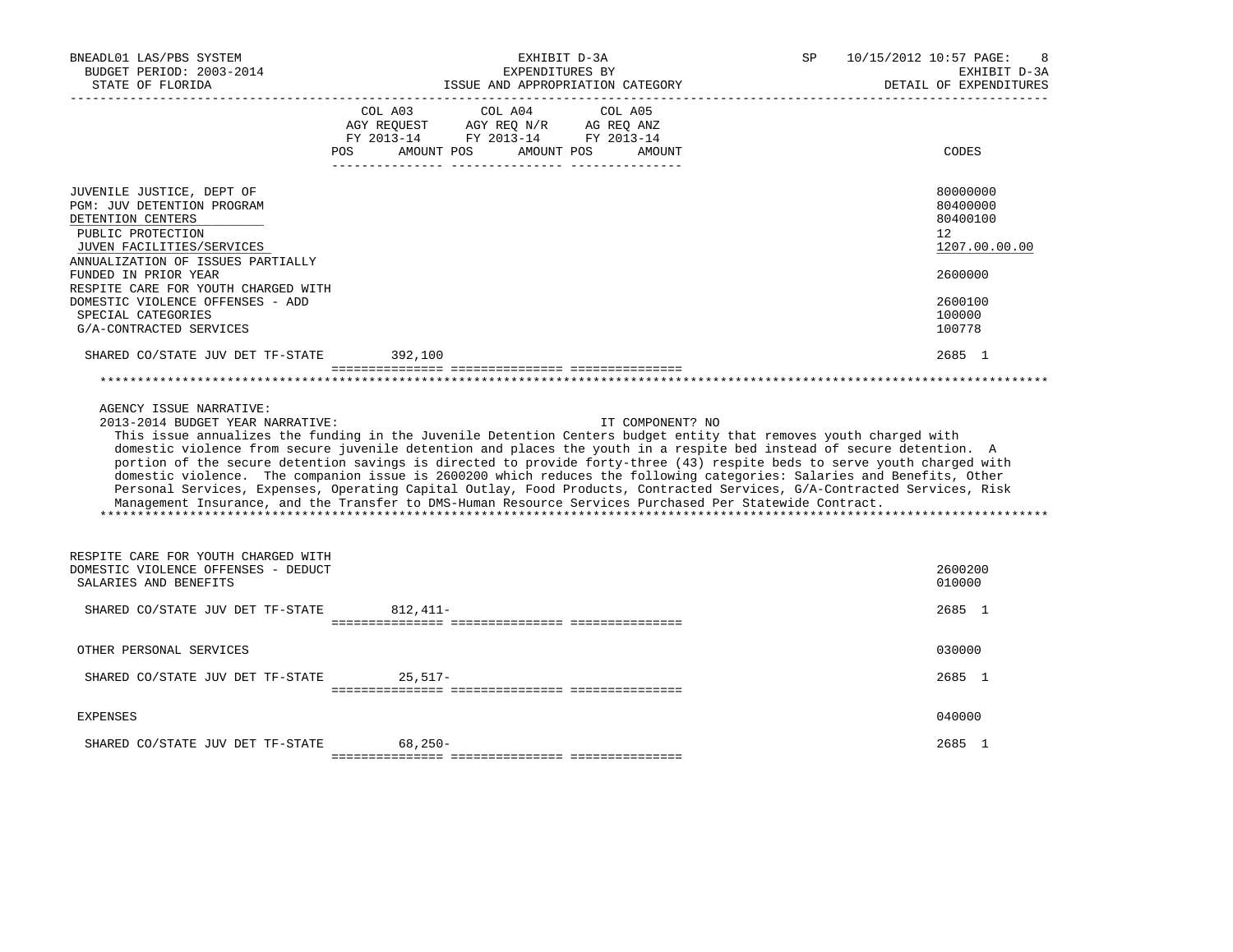| BNEADL01 LAS/PBS SYSTEM<br>BUDGET PERIOD: 2003-2014<br>STATE OF FLORIDA                                                                                             | EXHIBIT D-3A<br>EXPENDITURES BY<br>ISSUE AND APPROPRIATION CATEGORY                                                                                                                                                                                                                                                                                                                                                                                                                                                                                                                                                                                                                                                                                         | 10/15/2012 10:57 PAGE:<br>SP<br>EXHIBIT D-3A<br>DETAIL OF EXPENDITURES |
|---------------------------------------------------------------------------------------------------------------------------------------------------------------------|-------------------------------------------------------------------------------------------------------------------------------------------------------------------------------------------------------------------------------------------------------------------------------------------------------------------------------------------------------------------------------------------------------------------------------------------------------------------------------------------------------------------------------------------------------------------------------------------------------------------------------------------------------------------------------------------------------------------------------------------------------------|------------------------------------------------------------------------|
|                                                                                                                                                                     | COL A03<br>COL A04<br>COL A05<br>AGY REQUEST AGY REQ N/R AG REQ ANZ<br>FY 2013-14 FY 2013-14 FY 2013-14<br>AMOUNT POS<br>AMOUNT POS<br><b>POS</b><br>AMOUNT                                                                                                                                                                                                                                                                                                                                                                                                                                                                                                                                                                                                 | CODES                                                                  |
| JUVENILE JUSTICE, DEPT OF<br>PGM: JUV DETENTION PROGRAM<br>DETENTION CENTERS<br>PUBLIC PROTECTION<br>JUVEN FACILITIES/SERVICES<br>ANNUALIZATION OF ISSUES PARTIALLY |                                                                                                                                                                                                                                                                                                                                                                                                                                                                                                                                                                                                                                                                                                                                                             | 80000000<br>80400000<br>80400100<br>12<br>1207.00.00.00                |
| FUNDED IN PRIOR YEAR<br>RESPITE CARE FOR YOUTH CHARGED WITH                                                                                                         |                                                                                                                                                                                                                                                                                                                                                                                                                                                                                                                                                                                                                                                                                                                                                             | 2600000                                                                |
| DOMESTIC VIOLENCE OFFENSES - ADD<br>SPECIAL CATEGORIES<br>G/A-CONTRACTED SERVICES                                                                                   |                                                                                                                                                                                                                                                                                                                                                                                                                                                                                                                                                                                                                                                                                                                                                             | 2600100<br>100000<br>100778                                            |
| SHARED CO/STATE JUV DET TF-STATE                                                                                                                                    | 392,100                                                                                                                                                                                                                                                                                                                                                                                                                                                                                                                                                                                                                                                                                                                                                     | 2685 1                                                                 |
|                                                                                                                                                                     |                                                                                                                                                                                                                                                                                                                                                                                                                                                                                                                                                                                                                                                                                                                                                             |                                                                        |
| AGENCY ISSUE NARRATIVE:<br>2013-2014 BUDGET YEAR NARRATIVE:                                                                                                         | IT COMPONENT? NO<br>This issue annualizes the funding in the Juvenile Detention Centers budget entity that removes youth charged with<br>domestic violence from secure juvenile detention and places the youth in a respite bed instead of secure detention. A<br>portion of the secure detention savings is directed to provide forty-three (43) respite beds to serve youth charged with<br>domestic violence. The companion issue is 2600200 which reduces the following categories: Salaries and Benefits, Other<br>Personal Services, Expenses, Operating Capital Outlay, Food Products, Contracted Services, G/A-Contracted Services, Risk<br>Management Insurance, and the Transfer to DMS-Human Resource Services Purchased Per Statewide Contract. |                                                                        |
| RESPITE CARE FOR YOUTH CHARGED WITH<br>DOMESTIC VIOLENCE OFFENSES - DEDUCT<br>SALARIES AND BENEFITS                                                                 |                                                                                                                                                                                                                                                                                                                                                                                                                                                                                                                                                                                                                                                                                                                                                             | 2600200<br>010000                                                      |
| SHARED CO/STATE JUV DET TF-STATE                                                                                                                                    | $812,411-$                                                                                                                                                                                                                                                                                                                                                                                                                                                                                                                                                                                                                                                                                                                                                  | 2685 1                                                                 |
| OTHER PERSONAL SERVICES                                                                                                                                             |                                                                                                                                                                                                                                                                                                                                                                                                                                                                                                                                                                                                                                                                                                                                                             | 030000                                                                 |
| SHARED CO/STATE JUV DET TF-STATE                                                                                                                                    | $25,517-$                                                                                                                                                                                                                                                                                                                                                                                                                                                                                                                                                                                                                                                                                                                                                   | 2685 1                                                                 |
| <b>EXPENSES</b>                                                                                                                                                     |                                                                                                                                                                                                                                                                                                                                                                                                                                                                                                                                                                                                                                                                                                                                                             | 040000                                                                 |
| SHARED CO/STATE JUV DET TF-STATE                                                                                                                                    | $68,250-$                                                                                                                                                                                                                                                                                                                                                                                                                                                                                                                                                                                                                                                                                                                                                   | 2685 1                                                                 |
|                                                                                                                                                                     |                                                                                                                                                                                                                                                                                                                                                                                                                                                                                                                                                                                                                                                                                                                                                             |                                                                        |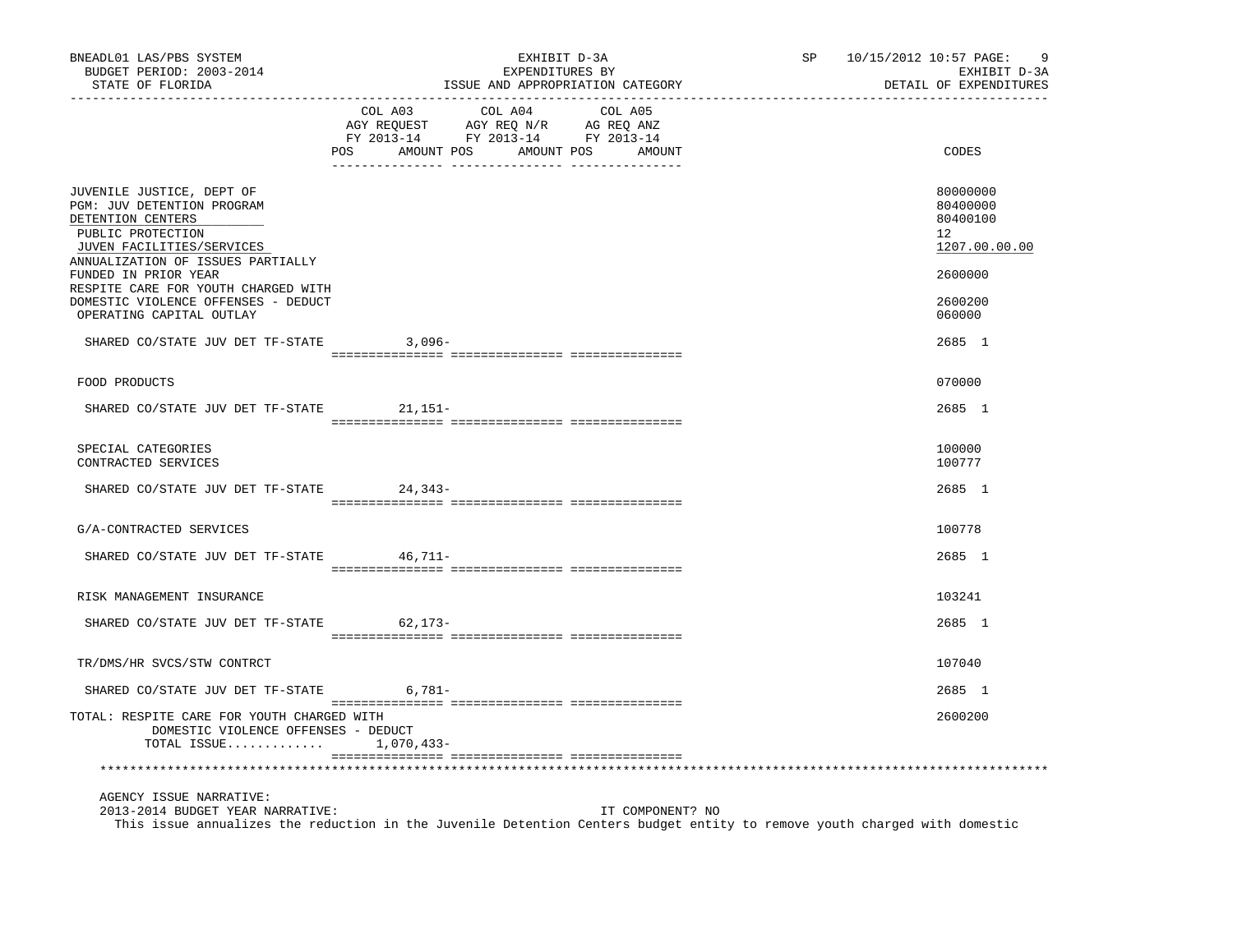| BNEADL01 LAS/PBS SYSTEM<br>BUDGET PERIOD: 2003-2014<br>STATE OF FLORIDA                                                                                                                                                                                                                               | EXHIBIT D-3A<br>EXPENDITURES BY<br>ISSUE AND APPROPRIATION CATEGORY                         |                                  |         |                  | SP | 10/15/2012 10:57 PAGE: | -9<br>EXHIBIT D-3A<br>DETAIL OF EXPENDITURES                                            |
|-------------------------------------------------------------------------------------------------------------------------------------------------------------------------------------------------------------------------------------------------------------------------------------------------------|---------------------------------------------------------------------------------------------|----------------------------------|---------|------------------|----|------------------------|-----------------------------------------------------------------------------------------|
|                                                                                                                                                                                                                                                                                                       | COL A03<br>CO AGY REQUEST AGY REQ N/R AG REQ ANZ<br>FY 2013-14 FY 2013-14 FY 2013-14<br>POS | COL A04<br>AMOUNT POS AMOUNT POS | COL A05 | AMOUNT           |    |                        | CODES                                                                                   |
| JUVENILE JUSTICE, DEPT OF<br>PGM: JUV DETENTION PROGRAM<br>DETENTION CENTERS<br>PUBLIC PROTECTION<br>JUVEN FACILITIES/SERVICES<br>ANNUALIZATION OF ISSUES PARTIALLY<br>FUNDED IN PRIOR YEAR<br>RESPITE CARE FOR YOUTH CHARGED WITH<br>DOMESTIC VIOLENCE OFFENSES - DEDUCT<br>OPERATING CAPITAL OUTLAY |                                                                                             |                                  |         |                  |    |                        | 80000000<br>80400000<br>80400100<br>12<br>1207.00.00.00<br>2600000<br>2600200<br>060000 |
| SHARED CO/STATE JUV DET TF-STATE                                                                                                                                                                                                                                                                      | 3,096-                                                                                      |                                  |         |                  |    |                        | 2685 1                                                                                  |
| FOOD PRODUCTS                                                                                                                                                                                                                                                                                         |                                                                                             |                                  |         |                  |    |                        | 070000                                                                                  |
| SHARED CO/STATE JUV DET TF-STATE 21,151-                                                                                                                                                                                                                                                              |                                                                                             |                                  |         |                  |    |                        | 2685 1                                                                                  |
| SPECIAL CATEGORIES<br>CONTRACTED SERVICES                                                                                                                                                                                                                                                             |                                                                                             |                                  |         |                  |    |                        | 100000<br>100777                                                                        |
| SHARED CO/STATE JUV DET TF-STATE 24,343-                                                                                                                                                                                                                                                              |                                                                                             |                                  |         |                  |    |                        | 2685 1                                                                                  |
| G/A-CONTRACTED SERVICES                                                                                                                                                                                                                                                                               |                                                                                             |                                  |         |                  |    |                        | 100778                                                                                  |
| SHARED CO/STATE JUV DET TF-STATE 46,711-                                                                                                                                                                                                                                                              |                                                                                             |                                  |         |                  |    |                        | 2685 1                                                                                  |
| RISK MANAGEMENT INSURANCE                                                                                                                                                                                                                                                                             |                                                                                             |                                  |         |                  |    |                        | 103241                                                                                  |
| SHARED CO/STATE JUV DET TF-STATE                                                                                                                                                                                                                                                                      | 62,173-                                                                                     |                                  |         |                  |    |                        | 2685 1                                                                                  |
| TR/DMS/HR SVCS/STW CONTRCT                                                                                                                                                                                                                                                                            |                                                                                             |                                  |         |                  |    |                        | 107040                                                                                  |
| SHARED CO/STATE JUV DET TF-STATE                                                                                                                                                                                                                                                                      | $6,781-$                                                                                    |                                  |         |                  |    |                        | 2685 1                                                                                  |
| TOTAL: RESPITE CARE FOR YOUTH CHARGED WITH<br>DOMESTIC VIOLENCE OFFENSES - DEDUCT<br>TOTAL ISSUE $1,070,433-$                                                                                                                                                                                         |                                                                                             |                                  |         |                  |    |                        | 2600200                                                                                 |
|                                                                                                                                                                                                                                                                                                       |                                                                                             |                                  |         |                  |    |                        |                                                                                         |
| AGENCY ISSUE NARRATIVE:<br>2013-2014 BUDGET YEAR NARRATIVE:<br>This issue annualizes the reduction in the Juvenile Detention Centers budget entity to remove youth charged with domestic                                                                                                              |                                                                                             |                                  |         | IT COMPONENT? NO |    |                        |                                                                                         |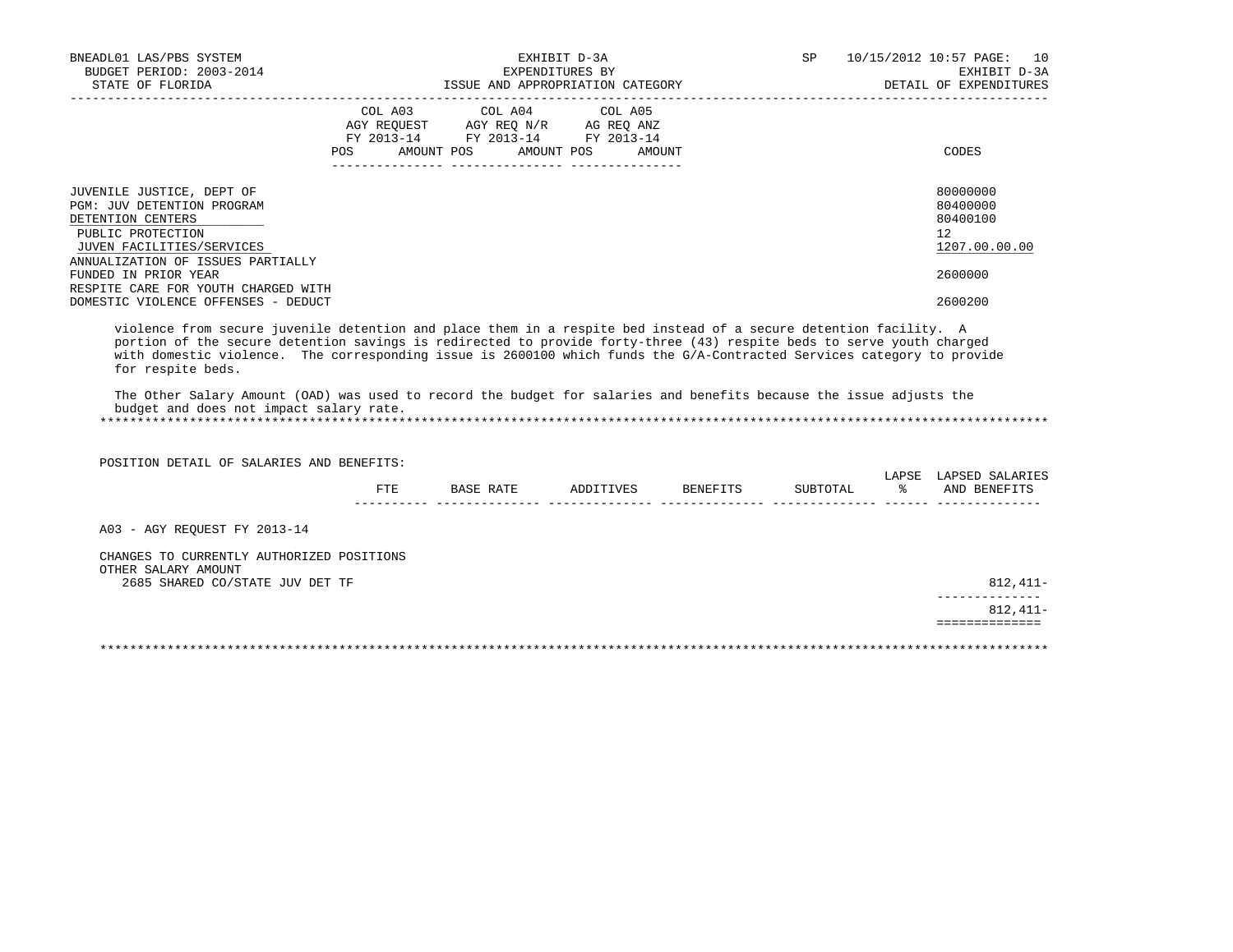| BNEADL01 LAS/PBS SYSTEM<br>BUDGET PERIOD: 2003-2014                                                                                                                                                                                                                                                                                                                                                                                                                                                                                                         |                |                                                                                                 | EXHIBIT D-3A<br>EXPENDITURES BY |        | SP       | 10/15/2012 10:57 PAGE: 10<br>EXHIBIT D-3A               |
|-------------------------------------------------------------------------------------------------------------------------------------------------------------------------------------------------------------------------------------------------------------------------------------------------------------------------------------------------------------------------------------------------------------------------------------------------------------------------------------------------------------------------------------------------------------|----------------|-------------------------------------------------------------------------------------------------|---------------------------------|--------|----------|---------------------------------------------------------|
|                                                                                                                                                                                                                                                                                                                                                                                                                                                                                                                                                             |                |                                                                                                 |                                 |        |          | DETAIL OF EXPENDITURES                                  |
|                                                                                                                                                                                                                                                                                                                                                                                                                                                                                                                                                             | COL A03<br>POS | COL A04<br>AGY REQUEST AGY REQ N/R AG REQ ANZ<br>FY 2013-14 FY 2013-14 FY 2013-14<br>AMOUNT POS | COL A05<br>AMOUNT POS           | AMOUNT |          | CODES                                                   |
| JUVENILE JUSTICE, DEPT OF<br>PGM: JUV DETENTION PROGRAM<br>DETENTION CENTERS<br>PUBLIC PROTECTION<br>JUVEN FACILITIES/SERVICES<br>ANNUALIZATION OF ISSUES PARTIALLY                                                                                                                                                                                                                                                                                                                                                                                         |                |                                                                                                 |                                 |        |          | 80000000<br>80400000<br>80400100<br>12<br>1207.00.00.00 |
| FUNDED IN PRIOR YEAR<br>RESPITE CARE FOR YOUTH CHARGED WITH<br>DOMESTIC VIOLENCE OFFENSES - DEDUCT                                                                                                                                                                                                                                                                                                                                                                                                                                                          |                |                                                                                                 |                                 |        |          | 2600000<br>2600200                                      |
| violence from secure juvenile detention and place them in a respite bed instead of a secure detention facility. A<br>portion of the secure detention savings is redirected to provide forty-three (43) respite beds to serve youth charged<br>with domestic violence. The corresponding issue is 2600100 which funds the G/A-Contracted Services category to provide<br>for respite beds.<br>The Other Salary Amount (OAD) was used to record the budget for salaries and benefits because the issue adjusts the<br>budget and does not impact salary rate. |                |                                                                                                 |                                 |        |          |                                                         |
| POSITION DETAIL OF SALARIES AND BENEFITS:                                                                                                                                                                                                                                                                                                                                                                                                                                                                                                                   |                |                                                                                                 |                                 |        |          |                                                         |
|                                                                                                                                                                                                                                                                                                                                                                                                                                                                                                                                                             | $_{\rm FTE}$   | BASE RATE                                                                                       | ADDITIVES BENEFITS              |        | SUBTOTAL | LAPSE LAPSED SALARIES<br>% AND BENEFITS                 |
| A03 - AGY REOUEST FY 2013-14                                                                                                                                                                                                                                                                                                                                                                                                                                                                                                                                |                |                                                                                                 |                                 |        |          |                                                         |
| CHANGES TO CURRENTLY AUTHORIZED POSITIONS<br>OTHER SALARY AMOUNT<br>2685 SHARED CO/STATE JUV DET TF                                                                                                                                                                                                                                                                                                                                                                                                                                                         |                |                                                                                                 |                                 |        |          | 812,411-                                                |
|                                                                                                                                                                                                                                                                                                                                                                                                                                                                                                                                                             |                |                                                                                                 |                                 |        |          | ------------<br>$812.411-$                              |
|                                                                                                                                                                                                                                                                                                                                                                                                                                                                                                                                                             |                |                                                                                                 |                                 |        |          | ==============                                          |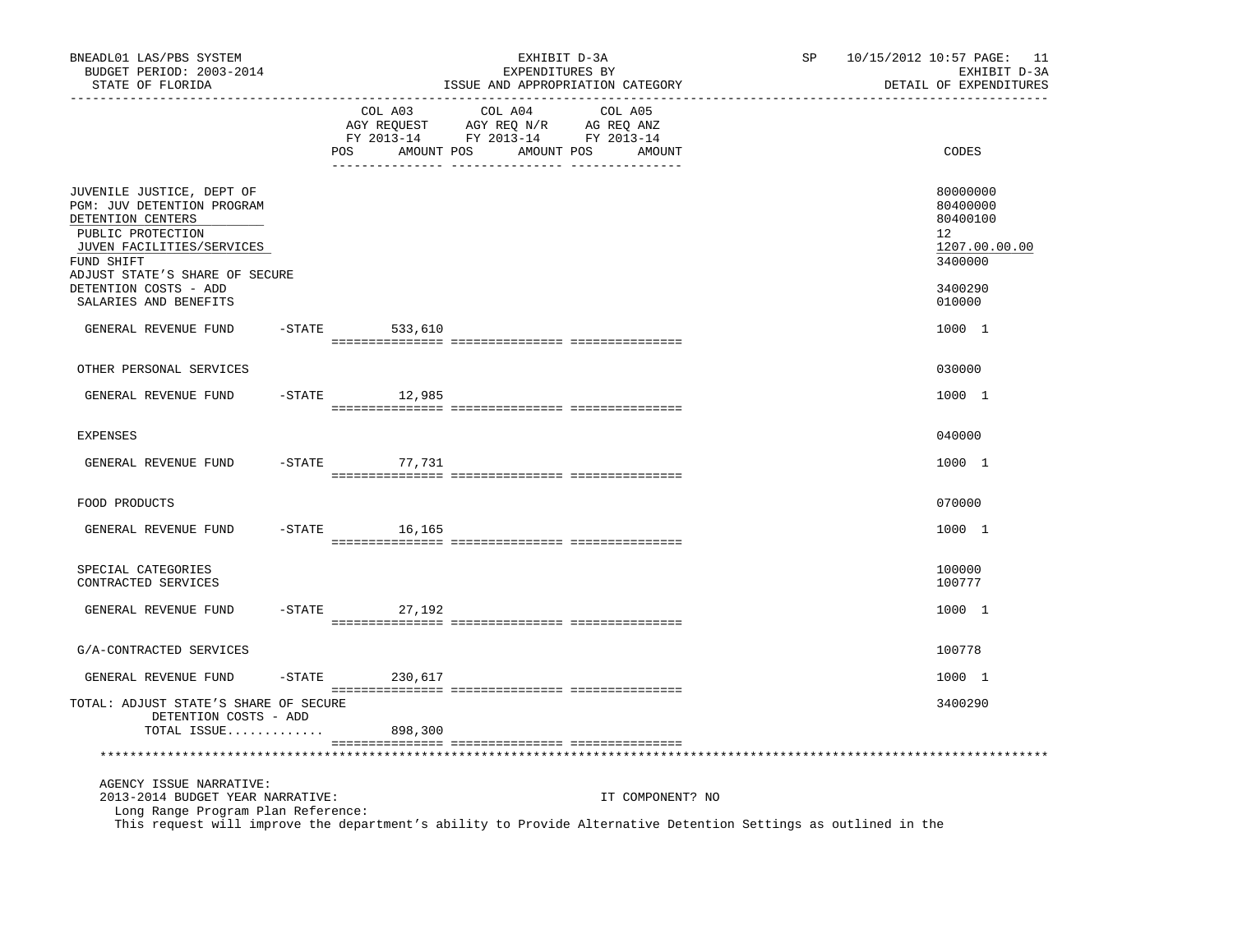| BNEADL01 LAS/PBS SYSTEM<br>BUDGET PERIOD: 2003-2014<br>STATE OF FLORIDA                                                                                                                                              |           |                              | EXHIBIT D-3A<br>EXPENDITURES BY<br>ISSUE AND APPROPRIATION CATEGORY                                                                                                                                                                           |         |                  | SP | 10/15/2012 10:57 PAGE: 11<br>EXHIBIT D-3A<br>DETAIL OF EXPENDITURES |
|----------------------------------------------------------------------------------------------------------------------------------------------------------------------------------------------------------------------|-----------|------------------------------|-----------------------------------------------------------------------------------------------------------------------------------------------------------------------------------------------------------------------------------------------|---------|------------------|----|---------------------------------------------------------------------|
|                                                                                                                                                                                                                      |           | COL A03<br>AMOUNT POS<br>POS | COL A04<br>$\begin{tabular}{lllllllllll} \bf{AGY} & \bf{REQUEST} & \bf{AGY} & \bf{REQ} & \bf{N/R} & \bf{AG} & \bf{REQ} & \bf{ANZ} \\ \bf{FY} & \bf{2013-14} & \bf{FY} & \bf{2013-14} & \bf{FY} & \bf{2013-14} \\ \end{tabular}$<br>AMOUNT POS | COL A05 | AMOUNT           |    | CODES                                                               |
| JUVENILE JUSTICE, DEPT OF<br>PGM: JUV DETENTION PROGRAM<br>DETENTION CENTERS<br>PUBLIC PROTECTION<br>JUVEN FACILITIES/SERVICES<br>FUND SHIFT<br>ADJUST STATE'S SHARE OF SECURE                                       |           |                              |                                                                                                                                                                                                                                               |         |                  |    | 80000000<br>80400000<br>80400100<br>12<br>1207.00.00.00<br>3400000  |
| DETENTION COSTS - ADD<br>SALARIES AND BENEFITS                                                                                                                                                                       |           |                              |                                                                                                                                                                                                                                               |         |                  |    | 3400290<br>010000                                                   |
| GENERAL REVENUE FUND                                                                                                                                                                                                 |           | $-$ STATE<br>533,610         |                                                                                                                                                                                                                                               |         |                  |    | 1000 1                                                              |
| OTHER PERSONAL SERVICES                                                                                                                                                                                              |           |                              |                                                                                                                                                                                                                                               |         |                  |    | 030000                                                              |
| GENERAL REVENUE FUND                                                                                                                                                                                                 | $-$ STATE | 12,985                       |                                                                                                                                                                                                                                               |         |                  |    | 1000 1                                                              |
| <b>EXPENSES</b>                                                                                                                                                                                                      |           |                              |                                                                                                                                                                                                                                               |         |                  |    | 040000                                                              |
| GENERAL REVENUE FUND                                                                                                                                                                                                 | $-$ STATE | 77,731                       |                                                                                                                                                                                                                                               |         |                  |    | 1000 1                                                              |
| FOOD PRODUCTS                                                                                                                                                                                                        |           |                              |                                                                                                                                                                                                                                               |         |                  |    | 070000                                                              |
| GENERAL REVENUE FUND                                                                                                                                                                                                 | $-$ STATE | 16,165                       |                                                                                                                                                                                                                                               |         |                  |    | 1000 1                                                              |
| SPECIAL CATEGORIES<br>CONTRACTED SERVICES                                                                                                                                                                            |           |                              |                                                                                                                                                                                                                                               |         |                  |    | 100000<br>100777                                                    |
| GENERAL REVENUE FUND                                                                                                                                                                                                 | $-STATE$  | 27,192                       |                                                                                                                                                                                                                                               |         |                  |    | 1000 1                                                              |
| G/A-CONTRACTED SERVICES                                                                                                                                                                                              |           |                              |                                                                                                                                                                                                                                               |         |                  |    | 100778                                                              |
| GENERAL REVENUE FUND                                                                                                                                                                                                 | $-$ STATE | 230,617                      |                                                                                                                                                                                                                                               |         |                  |    | 1000 1                                                              |
| TOTAL: ADJUST STATE'S SHARE OF SECURE<br>DETENTION COSTS - ADD                                                                                                                                                       |           |                              |                                                                                                                                                                                                                                               |         |                  |    | 3400290                                                             |
| TOTAL ISSUE                                                                                                                                                                                                          |           | 898,300                      |                                                                                                                                                                                                                                               |         |                  |    |                                                                     |
| AGENCY ISSUE NARRATIVE:<br>2013-2014 BUDGET YEAR NARRATIVE:<br>Long Range Program Plan Reference:<br>This request will improve the department's ability to Provide Alternative Detention Settings as outlined in the |           |                              |                                                                                                                                                                                                                                               |         | IT COMPONENT? NO |    |                                                                     |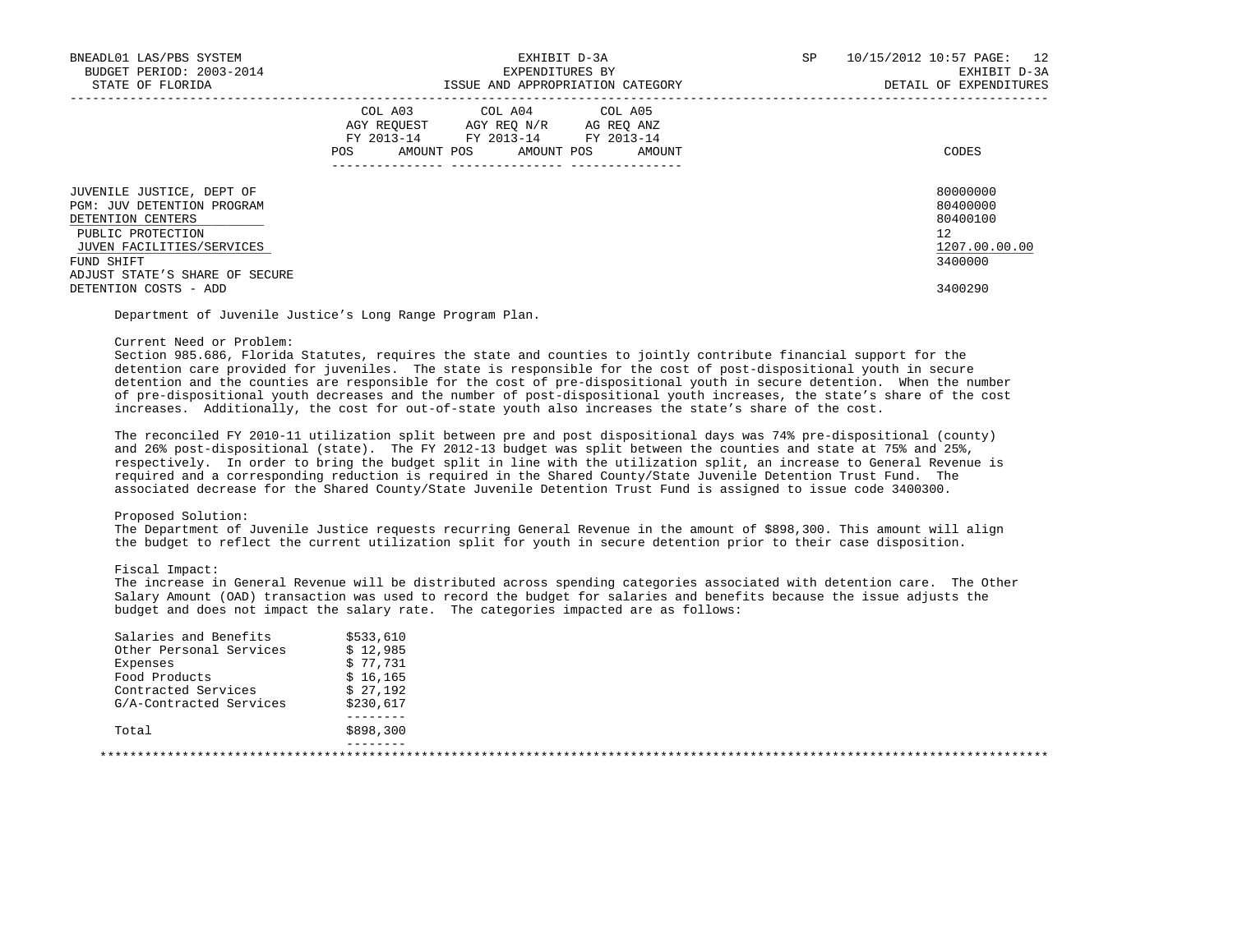| BNEADL01 LAS/PBS SYSTEM<br>BUDGET PERIOD: 2003-2014<br>STATE OF FLORIDA                                                                                                               | EXHIBIT D-3A<br>EXPENDITURES BY<br>ISSUE AND APPROPRIATION CATEGORY                                                                          | SP<br>10/15/2012 10:57 PAGE: 12<br>EXHIBIT D-3A<br>DETAIL OF EXPENDITURES |
|---------------------------------------------------------------------------------------------------------------------------------------------------------------------------------------|----------------------------------------------------------------------------------------------------------------------------------------------|---------------------------------------------------------------------------|
|                                                                                                                                                                                       | COL A03 COL A04 COL A05<br>AGY REOUEST AGY REO N/R AG REO ANZ<br>FY 2013-14 FY 2013-14 FY 2013-14<br>AMOUNT POS AMOUNT POS AMOUNT<br>POS FOR | CODES                                                                     |
| JUVENILE JUSTICE, DEPT OF<br><b>PGM: JUV DETENTION PROGRAM</b><br>DETENTION CENTERS<br>PUBLIC PROTECTION<br>JUVEN FACILITIES/SERVICES<br>FUND SHIFT<br>ADJUST STATE'S SHARE OF SECURE |                                                                                                                                              | 80000000<br>80400000<br>80400100<br>12<br>1207.00.00.00<br>3400000        |
| DETENTION COSTS - ADD                                                                                                                                                                 |                                                                                                                                              | 3400290                                                                   |

Department of Juvenile Justice's Long Range Program Plan.

## Current Need or Problem:

 Section 985.686, Florida Statutes, requires the state and counties to jointly contribute financial support for the detention care provided for juveniles. The state is responsible for the cost of post-dispositional youth in secure detention and the counties are responsible for the cost of pre-dispositional youth in secure detention. When the number of pre-dispositional youth decreases and the number of post-dispositional youth increases, the state's share of the cost increases. Additionally, the cost for out-of-state youth also increases the state's share of the cost.

 The reconciled FY 2010-11 utilization split between pre and post dispositional days was 74% pre-dispositional (county) and 26% post-dispositional (state). The FY 2012-13 budget was split between the counties and state at 75% and 25%, respectively. In order to bring the budget split in line with the utilization split, an increase to General Revenue is required and a corresponding reduction is required in the Shared County/State Juvenile Detention Trust Fund. The associated decrease for the Shared County/State Juvenile Detention Trust Fund is assigned to issue code 3400300.

## Proposed Solution:

 The Department of Juvenile Justice requests recurring General Revenue in the amount of \$898,300. This amount will align the budget to reflect the current utilization split for youth in secure detention prior to their case disposition.

## Fiscal Impact:

 The increase in General Revenue will be distributed across spending categories associated with detention care. The Other Salary Amount (OAD) transaction was used to record the budget for salaries and benefits because the issue adjusts the budget and does not impact the salary rate. The categories impacted are as follows:

| Salaries and Benefits   | \$533,610 |
|-------------------------|-----------|
| Other Personal Services | \$12.985  |
| Expenses                | \$77,731  |
| Food Products           | \$16,165  |
| Contracted Services     | \$27,192  |
| G/A-Contracted Services | \$230,617 |
|                         |           |
| Total                   | \$898,300 |
|                         |           |
|                         |           |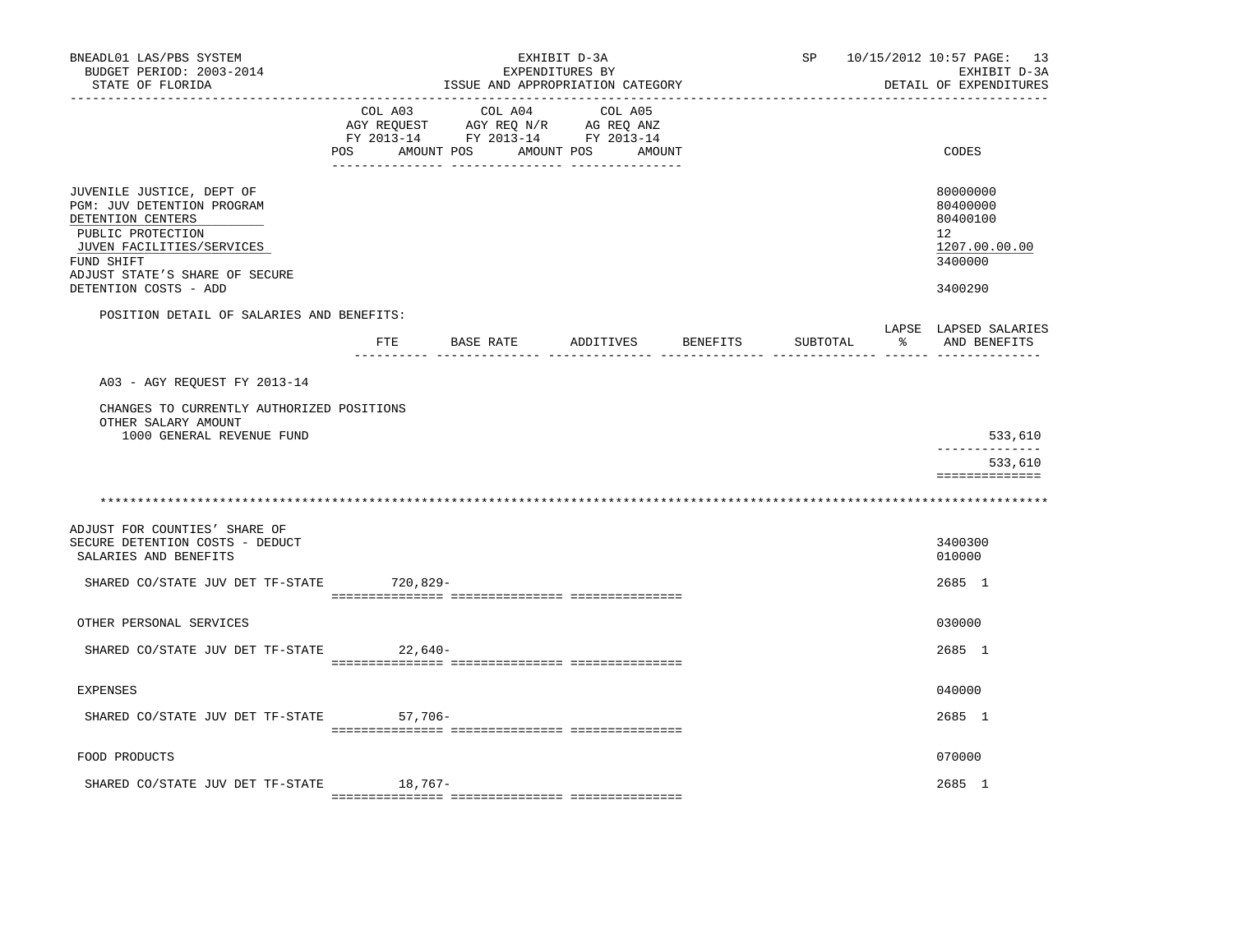| BNEADL01 LAS/PBS SYSTEM<br>BUDGET PERIOD: 2003-2014<br>STATE OF FLORIDA                                                                                                                                 |                                  |         | ISSUE AND APPROPRIATION CATEGORY                                                          | EXHIBIT D-3A<br>EXPENDITURES BY |         |                    |          | SP 10/15/2012 10:57 PAGE: 13<br>EXHIBIT D-3A<br>DETAIL OF EXPENDITURES        |
|---------------------------------------------------------------------------------------------------------------------------------------------------------------------------------------------------------|----------------------------------|---------|-------------------------------------------------------------------------------------------|---------------------------------|---------|--------------------|----------|-------------------------------------------------------------------------------|
|                                                                                                                                                                                                         | POS AMOUNT POS AMOUNT POS AMOUNT |         | COL A03 COL A04<br>AGY REQUEST AGY REQ N/R AG REQ ANZ<br>FY 2013-14 FY 2013-14 FY 2013-14 |                                 | COL A05 |                    |          | CODES                                                                         |
| JUVENILE JUSTICE, DEPT OF<br>PGM: JUV DETENTION PROGRAM<br>DETENTION CENTERS<br>PUBLIC PROTECTION<br>JUVEN FACILITIES/SERVICES<br>FUND SHIFT<br>ADJUST STATE'S SHARE OF SECURE<br>DETENTION COSTS - ADD |                                  |         |                                                                                           |                                 |         |                    |          | 80000000<br>80400000<br>80400100<br>12<br>1207.00.00.00<br>3400000<br>3400290 |
| POSITION DETAIL OF SALARIES AND BENEFITS:                                                                                                                                                               |                                  |         |                                                                                           |                                 |         |                    |          | LAPSE LAPSED SALARIES                                                         |
|                                                                                                                                                                                                         | FTE                              |         | BASE RATE                                                                                 |                                 |         | ADDITIVES BENEFITS | SUBTOTAL | % AND BENEFITS                                                                |
| A03 - AGY REQUEST FY 2013-14                                                                                                                                                                            |                                  |         |                                                                                           |                                 |         |                    |          |                                                                               |
| CHANGES TO CURRENTLY AUTHORIZED POSITIONS<br>OTHER SALARY AMOUNT                                                                                                                                        |                                  |         |                                                                                           |                                 |         |                    |          |                                                                               |
| 1000 GENERAL REVENUE FUND                                                                                                                                                                               |                                  |         |                                                                                           |                                 |         |                    |          | 533,610<br>533,610<br>==============                                          |
|                                                                                                                                                                                                         |                                  |         |                                                                                           |                                 |         |                    |          |                                                                               |
| ADJUST FOR COUNTIES' SHARE OF<br>SECURE DETENTION COSTS - DEDUCT<br>SALARIES AND BENEFITS                                                                                                               |                                  |         |                                                                                           |                                 |         |                    |          | 3400300<br>010000                                                             |
| SHARED CO/STATE JUV DET TF-STATE 720,829-                                                                                                                                                               |                                  |         |                                                                                           |                                 |         |                    |          | 2685 1                                                                        |
| OTHER PERSONAL SERVICES                                                                                                                                                                                 |                                  |         |                                                                                           |                                 |         |                    |          | 030000                                                                        |
| SHARED CO/STATE JUV DET TF-STATE                                                                                                                                                                        |                                  | 22,640- |                                                                                           |                                 |         |                    |          | 2685 1                                                                        |
|                                                                                                                                                                                                         |                                  |         |                                                                                           |                                 |         |                    |          |                                                                               |
| <b>EXPENSES</b>                                                                                                                                                                                         |                                  |         |                                                                                           |                                 |         |                    |          | 040000                                                                        |
| SHARED CO/STATE JUV DET TF-STATE 57,706-                                                                                                                                                                |                                  |         |                                                                                           |                                 |         |                    |          | 2685 1                                                                        |
| FOOD PRODUCTS                                                                                                                                                                                           |                                  |         |                                                                                           |                                 |         |                    |          | 070000                                                                        |
| SHARED CO/STATE JUV DET TF-STATE                                                                                                                                                                        |                                  | 18,767- |                                                                                           |                                 |         |                    |          | 2685 1                                                                        |
|                                                                                                                                                                                                         |                                  |         |                                                                                           |                                 |         |                    |          |                                                                               |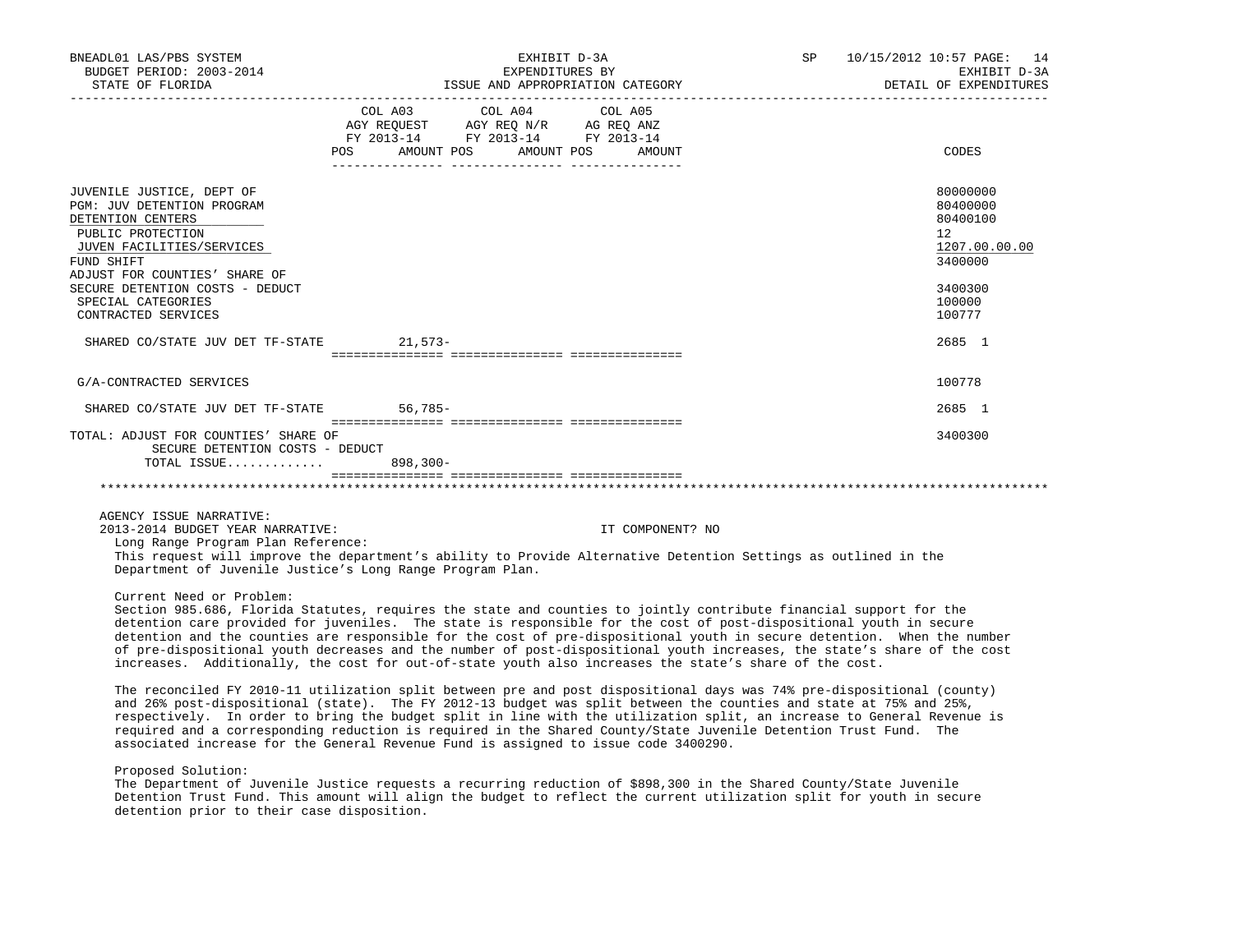| BNEADL01 LAS/PBS SYSTEM<br>BUDGET PERIOD: 2003-2014<br>STATE OF FLORIDA                                                                                                                                                                                       | ISSUE AND APPROPRIATION CATEGORY                                                                           | SP 10/15/2012 10:57 PAGE: 14<br>EXHIBIT D-3A<br>DETAIL OF EXPENDITURES |                  |  |                                                                                                   |
|---------------------------------------------------------------------------------------------------------------------------------------------------------------------------------------------------------------------------------------------------------------|------------------------------------------------------------------------------------------------------------|------------------------------------------------------------------------|------------------|--|---------------------------------------------------------------------------------------------------|
|                                                                                                                                                                                                                                                               | AGY REQUEST AGY REQ N/R AG REQ ANZ<br>FY 2013-14 FY 2013-14 FY 2013-14<br>POS AMOUNT POS AMOUNT POS AMOUNT | COL A03 COL A04 COL A05                                                |                  |  | CODES                                                                                             |
| JUVENILE JUSTICE, DEPT OF<br>PGM: JUV DETENTION PROGRAM<br>DETENTION CENTERS<br>PUBLIC PROTECTION<br>JUVEN FACILITIES/SERVICES<br>FUND SHIFT<br>ADJUST FOR COUNTIES' SHARE OF<br>SECURE DETENTION COSTS - DEDUCT<br>SPECIAL CATEGORIES<br>CONTRACTED SERVICES |                                                                                                            |                                                                        |                  |  | 80000000<br>80400000<br>80400100<br>12<br>1207.00.00.00<br>3400000<br>3400300<br>100000<br>100777 |
| SHARED CO/STATE JUV DET TF-STATE 21,573-                                                                                                                                                                                                                      |                                                                                                            |                                                                        |                  |  | 2685 1                                                                                            |
| G/A-CONTRACTED SERVICES                                                                                                                                                                                                                                       |                                                                                                            |                                                                        |                  |  | 100778                                                                                            |
| SHARED CO/STATE JUV DET TF-STATE 56,785-                                                                                                                                                                                                                      |                                                                                                            |                                                                        |                  |  | 2685 1                                                                                            |
| TOTAL: ADJUST FOR COUNTIES' SHARE OF<br>SECURE DETENTION COSTS - DEDUCT<br>TOTAL ISSUE                                                                                                                                                                        | 898,300-                                                                                                   |                                                                        |                  |  | 3400300                                                                                           |
|                                                                                                                                                                                                                                                               |                                                                                                            |                                                                        |                  |  |                                                                                                   |
| AGENCY ISSUE NARRATIVE:<br>2013-2014 BUDGET YEAR NARRATIVE:<br>Long Range Program Plan Reference:<br>This request will improve the department's ability to Provide Alternative Detention Settings as outlined in the                                          |                                                                                                            |                                                                        | IT COMPONENT? NO |  |                                                                                                   |

Department of Juvenile Justice's Long Range Program Plan.

Current Need or Problem:

 Section 985.686, Florida Statutes, requires the state and counties to jointly contribute financial support for the detention care provided for juveniles. The state is responsible for the cost of post-dispositional youth in secure detention and the counties are responsible for the cost of pre-dispositional youth in secure detention. When the number of pre-dispositional youth decreases and the number of post-dispositional youth increases, the state's share of the cost increases. Additionally, the cost for out-of-state youth also increases the state's share of the cost.

 The reconciled FY 2010-11 utilization split between pre and post dispositional days was 74% pre-dispositional (county) and 26% post-dispositional (state). The FY 2012-13 budget was split between the counties and state at 75% and 25%, respectively. In order to bring the budget split in line with the utilization split, an increase to General Revenue is required and a corresponding reduction is required in the Shared County/State Juvenile Detention Trust Fund. The associated increase for the General Revenue Fund is assigned to issue code 3400290.

## Proposed Solution:

 The Department of Juvenile Justice requests a recurring reduction of \$898,300 in the Shared County/State Juvenile Detention Trust Fund. This amount will align the budget to reflect the current utilization split for youth in secure detention prior to their case disposition.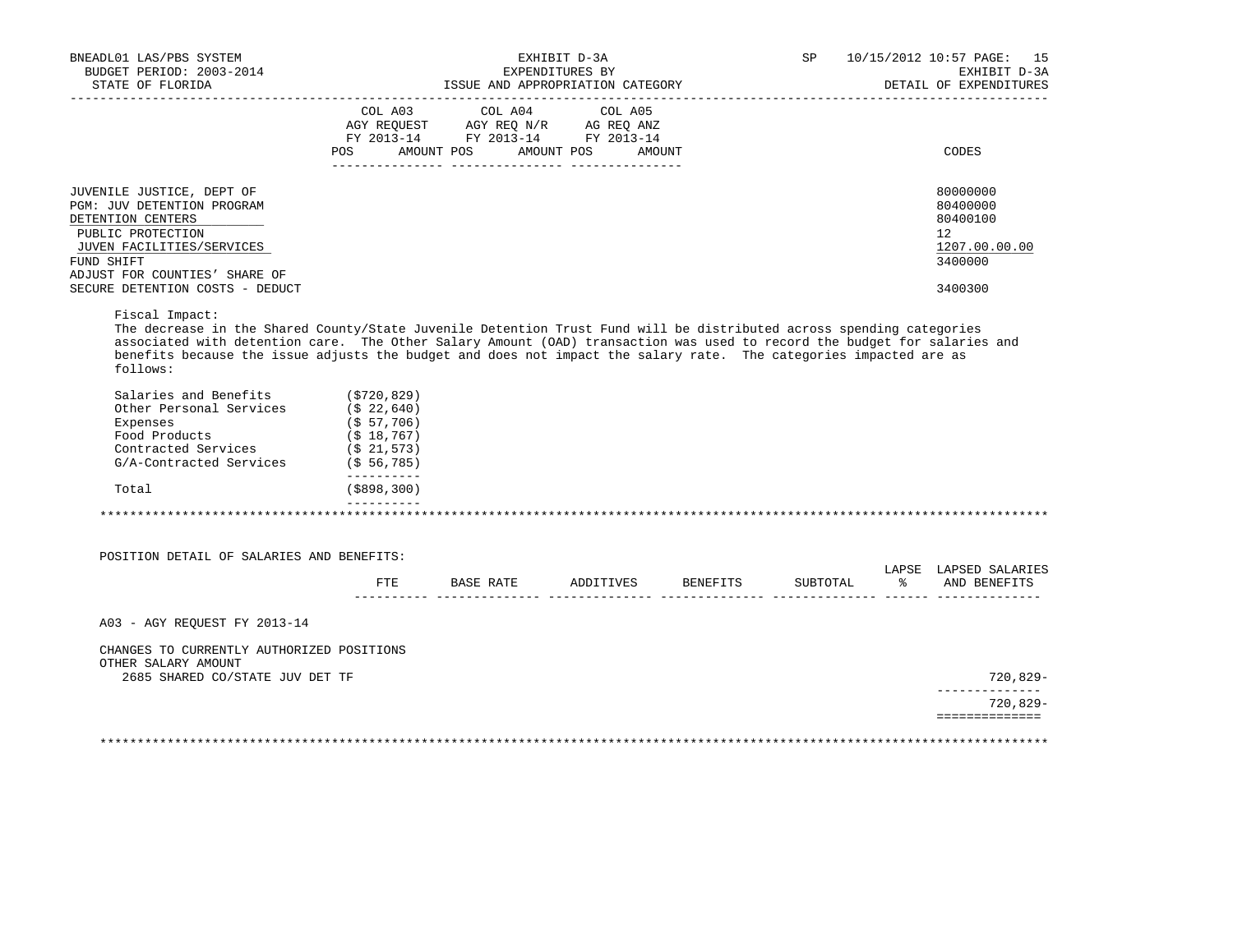| BNEADL01 LAS/PBS SYSTEM<br>BUDGET PERIOD: 2003-2014<br>STATE OF FLORIDA                                                       |                                                                                 | EXHIBIT D-3A<br>EXPENDITURES BY<br>ISSUE AND APPROPRIATION CATEGORY                                     |                                 |          | SP       |    | 10/15/2012 10:57 PAGE: 15<br>EXHIBIT D-3A<br>DETAIL OF EXPENDITURES |
|-------------------------------------------------------------------------------------------------------------------------------|---------------------------------------------------------------------------------|---------------------------------------------------------------------------------------------------------|---------------------------------|----------|----------|----|---------------------------------------------------------------------|
|                                                                                                                               |                                                                                 |                                                                                                         |                                 |          |          |    |                                                                     |
|                                                                                                                               | POS                                                                             | COL A03 COL A04<br>AGY REQUEST AGY REQ N/R AG REQ ANZ<br>FY 2013-14 FY 2013-14 FY 2013-14<br>AMOUNT POS | COL A05<br>AMOUNT POS<br>AMOUNT |          |          |    | CODES                                                               |
|                                                                                                                               |                                                                                 |                                                                                                         |                                 |          |          |    |                                                                     |
| JUVENILE JUSTICE, DEPT OF<br>PGM: JUV DETENTION PROGRAM<br>DETENTION CENTERS                                                  |                                                                                 |                                                                                                         |                                 |          |          |    | 80000000<br>80400000<br>80400100                                    |
| PUBLIC PROTECTION<br>JUVEN FACILITIES/SERVICES<br>FUND SHIFT                                                                  |                                                                                 |                                                                                                         |                                 |          |          |    | 12<br>1207.00.00.00<br>3400000                                      |
| ADJUST FOR COUNTIES' SHARE OF<br>SECURE DETENTION COSTS - DEDUCT                                                              |                                                                                 |                                                                                                         |                                 |          |          |    | 3400300                                                             |
| benefits because the issue adjusts the budget and does not impact the salary rate. The categories impacted are as<br>follows: |                                                                                 |                                                                                                         |                                 |          |          |    |                                                                     |
| Salaries and Benefits<br>Other Personal Services<br>Expenses<br>Food Products<br>Contracted Services                          | ( \$720, 829)<br>$($ \$22,640)<br>(S 57, 706)<br>$($ \$18,767)<br>$($ \$21,573) |                                                                                                         |                                 |          |          |    |                                                                     |
| G/A-Contracted Services                                                                                                       | (S, 56, 785)<br>__________                                                      |                                                                                                         |                                 |          |          |    |                                                                     |
| Total                                                                                                                         | $($ \$898,300)                                                                  |                                                                                                         |                                 |          |          |    |                                                                     |
| POSITION DETAIL OF SALARIES AND BENEFITS:                                                                                     | $_{\rm FTE}$                                                                    | BASE RATE ADDITIVES                                                                                     |                                 | BENEFITS | SUBTOTAL | န္ | AND BENEFITS                                                        |
|                                                                                                                               |                                                                                 |                                                                                                         |                                 |          |          |    |                                                                     |
| A03 - AGY REQUEST FY 2013-14                                                                                                  |                                                                                 |                                                                                                         |                                 |          |          |    |                                                                     |
| CHANGES TO CURRENTLY AUTHORIZED POSITIONS<br>OTHER SALARY AMOUNT                                                              |                                                                                 |                                                                                                         |                                 |          |          |    |                                                                     |
| 2685 SHARED CO/STATE JUV DET TF                                                                                               |                                                                                 |                                                                                                         |                                 |          |          |    | LAPSE LAPSED SALARIES<br>720,829-<br>______________<br>$720,829-$   |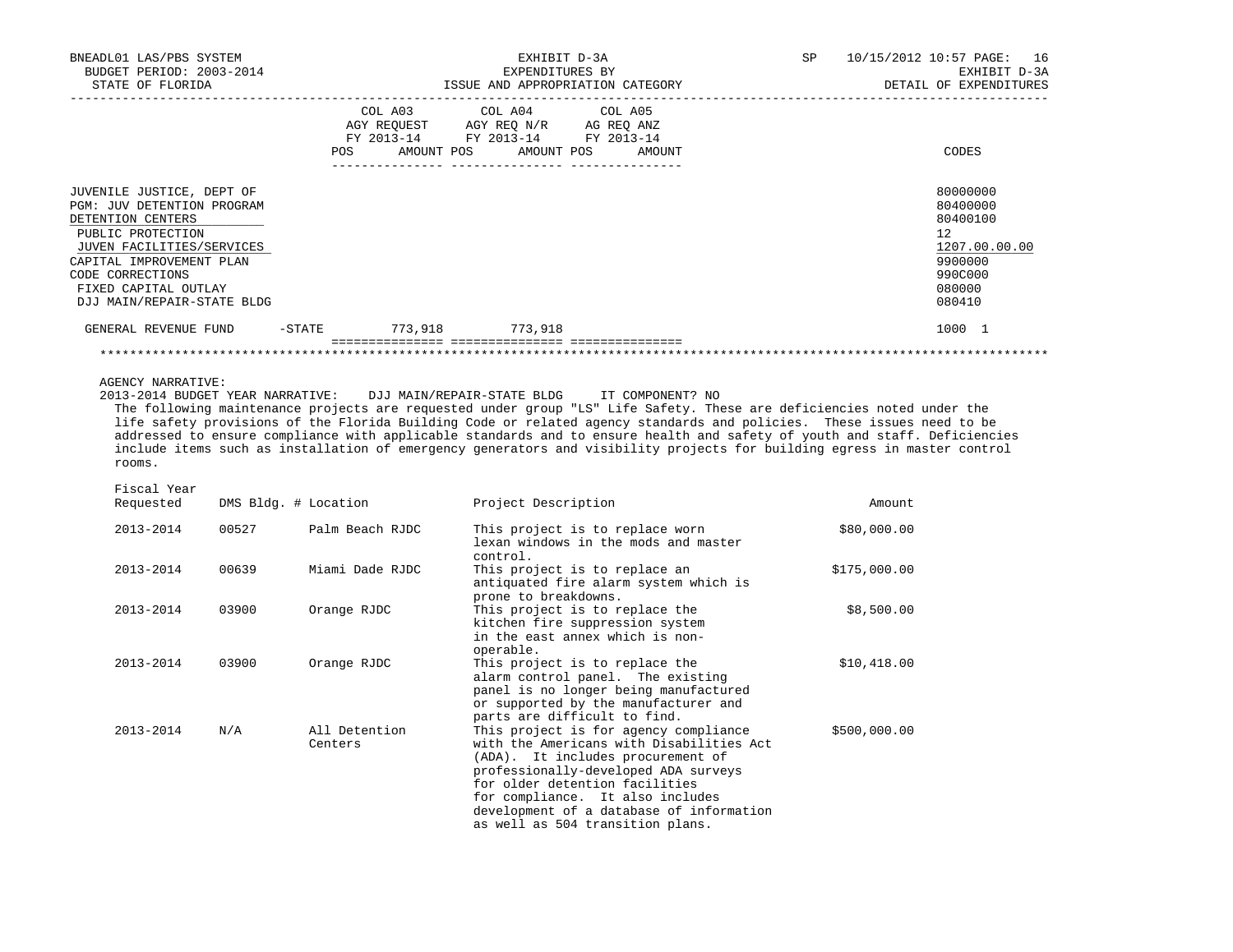| BNEADL01 LAS/PBS SYSTEM<br>BUDGET PERIOD: 2003-2014<br>STATE OF FLORIDA                                                                                                                                                                     |           |         | EXHIBIT D-3A<br>EXPENDITURES BY                                                                                            | ISSUE AND APPROPRIATION CATEGORY | SP | 10/15/2012 10:57 PAGE: 16<br>EXHIBIT D-3A<br>DETAIL OF EXPENDITURES                               |
|---------------------------------------------------------------------------------------------------------------------------------------------------------------------------------------------------------------------------------------------|-----------|---------|----------------------------------------------------------------------------------------------------------------------------|----------------------------------|----|---------------------------------------------------------------------------------------------------|
|                                                                                                                                                                                                                                             |           | POS     | COL A03 COL A04 COL A05<br>AGY REOUEST AGY REO N/R AG REO ANZ<br>FY 2013-14 FY 2013-14 FY 2013-14<br>AMOUNT POS AMOUNT POS | AMOUNT                           |    | CODES                                                                                             |
| JUVENILE JUSTICE, DEPT OF<br><b>PGM: JUV DETENTION PROGRAM</b><br>DETENTION CENTERS<br>PUBLIC PROTECTION<br>JUVEN FACILITIES/SERVICES<br>CAPITAL IMPROVEMENT PLAN<br>CODE CORRECTIONS<br>FIXED CAPITAL OUTLAY<br>DJJ MAIN/REPAIR-STATE BLDG |           |         |                                                                                                                            |                                  |    | 80000000<br>80400000<br>80400100<br>12<br>1207.00.00.00<br>9900000<br>990C000<br>080000<br>080410 |
| GENERAL REVENUE FUND                                                                                                                                                                                                                        | $-$ STATE | 773,918 | 773,918                                                                                                                    |                                  |    | 1000 1                                                                                            |
|                                                                                                                                                                                                                                             |           |         |                                                                                                                            |                                  |    |                                                                                                   |

AGENCY NARRATIVE:

2013-2014 BUDGET YEAR NARRATIVE: DJJ MAIN/REPAIR-STATE BLDG IT COMPONENT? NO

 The following maintenance projects are requested under group "LS" Life Safety. These are deficiencies noted under the life safety provisions of the Florida Building Code or related agency standards and policies. These issues need to be addressed to ensure compliance with applicable standards and to ensure health and safety of youth and staff. Deficiencies include items such as installation of emergency generators and visibility projects for building egress in master control rooms.

| Fiscal Year |  |
|-------------|--|
|             |  |

| Requested | DMS Bldg. # Location |                          | Project Description                                                                                                                                                                                                                                                                                                  | Amount       |
|-----------|----------------------|--------------------------|----------------------------------------------------------------------------------------------------------------------------------------------------------------------------------------------------------------------------------------------------------------------------------------------------------------------|--------------|
| 2013-2014 | 00527                | Palm Beach RJDC          | This project is to replace worn<br>lexan windows in the mods and master<br>control.                                                                                                                                                                                                                                  | \$80,000.00  |
| 2013-2014 | 00639                | Miami Dade RJDC          | This project is to replace an<br>antiquated fire alarm system which is<br>prone to breakdowns.                                                                                                                                                                                                                       | \$175,000.00 |
| 2013-2014 | 03900                | Orange RJDC              | This project is to replace the<br>kitchen fire suppression system<br>in the east annex which is non-<br>operable.                                                                                                                                                                                                    | \$8,500.00   |
| 2013-2014 | 03900                | Orange RJDC              | This project is to replace the<br>alarm control panel. The existing<br>panel is no longer being manufactured<br>or supported by the manufacturer and<br>parts are difficult to find.                                                                                                                                 | \$10,418.00  |
| 2013-2014 | N/A                  | All Detention<br>Centers | This project is for agency compliance<br>with the Americans with Disabilities Act<br>(ADA). It includes procurement of<br>professionally-developed ADA surveys<br>for older detention facilities<br>for compliance. It also includes<br>development of a database of information<br>as well as 504 transition plans. | \$500,000.00 |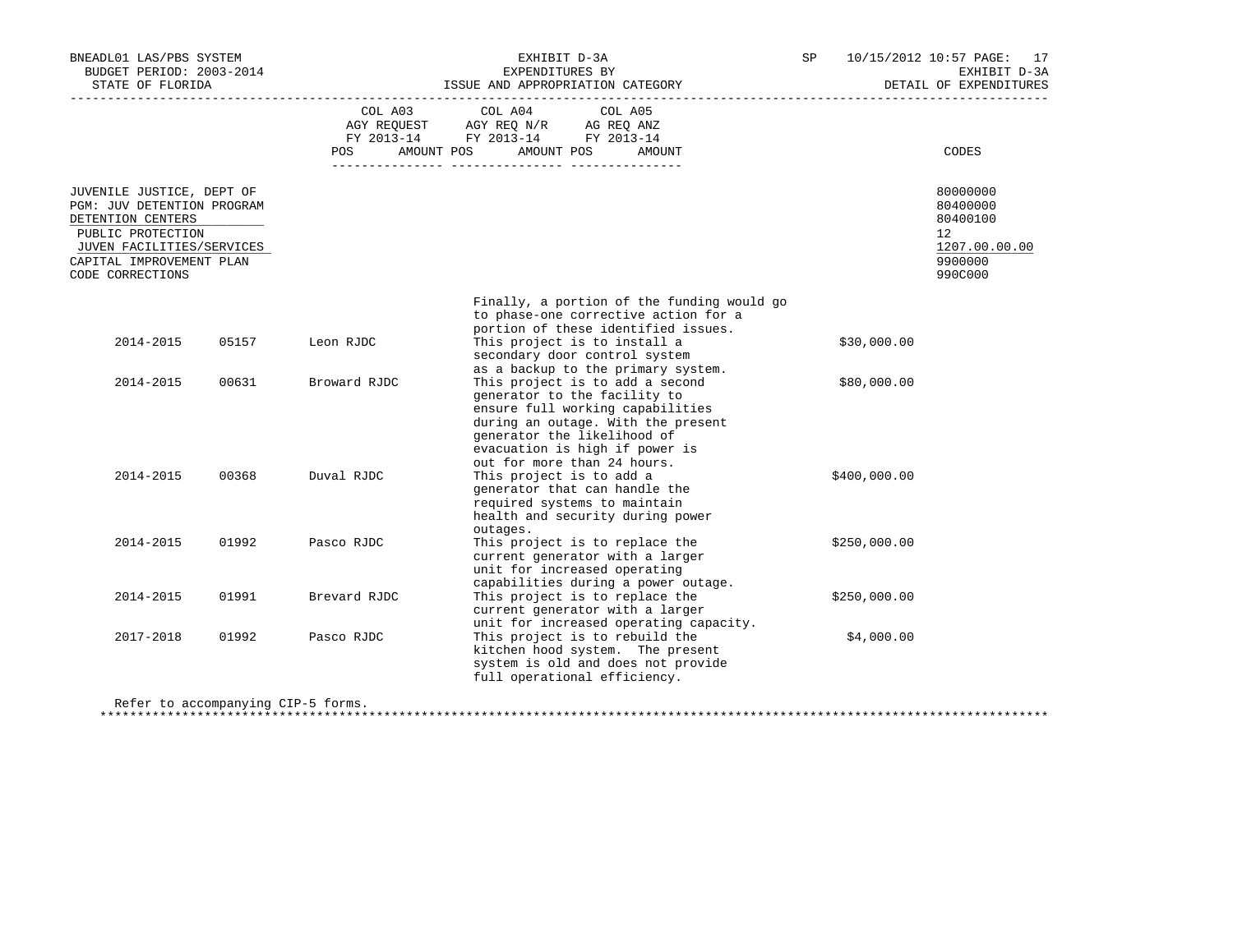| BNEADL01 LAS/PBS SYSTEM<br>BUDGET PERIOD: 2003-2014<br>STATE OF FLORIDA                                                                                                        |       |                       | EXHIBIT D-3A<br>EXPENDITURES BY<br>ISSUE AND APPROPRIATION CATEGORY                                                                                                                                                                       | SP           | 10/15/2012 10:57 PAGE: 17<br>EXHIBIT D-3A<br>DETAIL OF EXPENDITURES           |
|--------------------------------------------------------------------------------------------------------------------------------------------------------------------------------|-------|-----------------------|-------------------------------------------------------------------------------------------------------------------------------------------------------------------------------------------------------------------------------------------|--------------|-------------------------------------------------------------------------------|
|                                                                                                                                                                                |       | COL A03<br><b>POS</b> | COL A04<br>COL A05<br>AGY REQUEST AGY REQ N/R AG REQ ANZ<br>FY 2013-14 FY 2013-14 FY 2013-14<br>AMOUNT POS<br>AMOUNT POS<br>AMOUNT                                                                                                        |              | CODES                                                                         |
| JUVENILE JUSTICE, DEPT OF<br>PGM: JUV DETENTION PROGRAM<br>DETENTION CENTERS<br>PUBLIC PROTECTION<br>JUVEN FACILITIES/SERVICES<br>CAPITAL IMPROVEMENT PLAN<br>CODE CORRECTIONS |       |                       |                                                                                                                                                                                                                                           |              | 80000000<br>80400000<br>80400100<br>12<br>1207.00.00.00<br>9900000<br>990C000 |
|                                                                                                                                                                                |       |                       | Finally, a portion of the funding would go<br>to phase-one corrective action for a<br>portion of these identified issues.                                                                                                                 |              |                                                                               |
| 2014-2015                                                                                                                                                                      | 05157 | Leon RJDC             | This project is to install a<br>secondary door control system<br>as a backup to the primary system.                                                                                                                                       | \$30,000.00  |                                                                               |
| 2014-2015                                                                                                                                                                      | 00631 | Broward RJDC          | This project is to add a second<br>generator to the facility to<br>ensure full working capabilities<br>during an outage. With the present<br>generator the likelihood of<br>evacuation is high if power is<br>out for more than 24 hours. | \$80,000.00  |                                                                               |
| 2014-2015                                                                                                                                                                      | 00368 | Duval RJDC            | This project is to add a<br>generator that can handle the<br>required systems to maintain<br>health and security during power<br>outages.                                                                                                 | \$400,000.00 |                                                                               |
| 2014-2015                                                                                                                                                                      | 01992 | Pasco RJDC            | This project is to replace the<br>current generator with a larger<br>unit for increased operating<br>capabilities during a power outage.                                                                                                  | \$250,000.00 |                                                                               |
| 2014-2015                                                                                                                                                                      | 01991 | Brevard RJDC          | This project is to replace the<br>current generator with a larger<br>unit for increased operating capacity.                                                                                                                               | \$250,000.00 |                                                                               |
| 2017-2018                                                                                                                                                                      | 01992 | Pasco RJDC            | This project is to rebuild the<br>kitchen hood system. The present<br>system is old and does not provide<br>full operational efficiency.                                                                                                  | \$4,000.00   |                                                                               |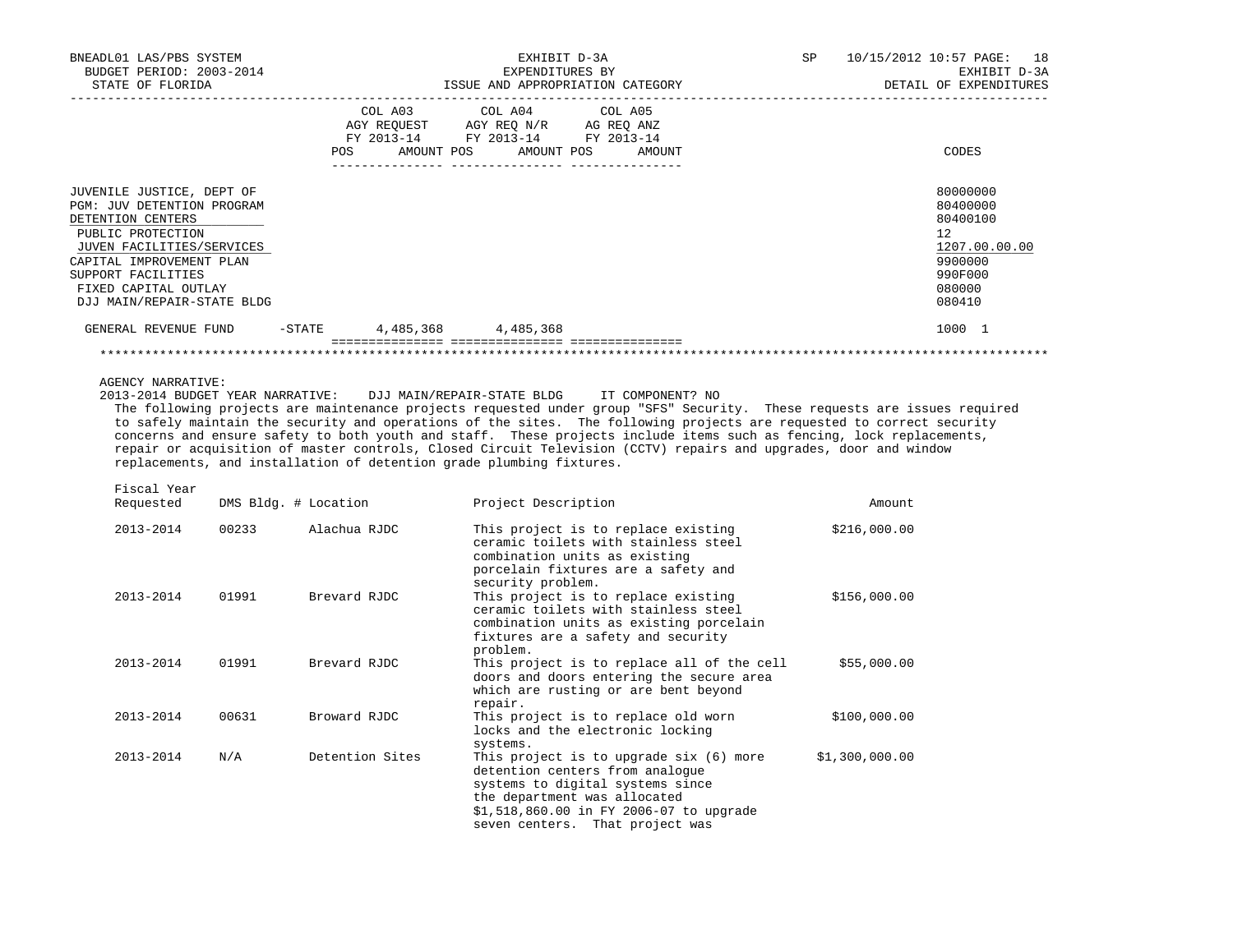| BNEADL01 LAS/PBS SYSTEM<br>BUDGET PERIOD: 2003-2014<br>STATE OF FLORIDA<br>_____________________                               |                      |                                             | EXHIBIT D-3A<br>EXPENDITURES BY<br>ISSUE AND APPROPRIATION CATEGORY                                                                                                                                                                                                                                                                                                                                                                                                                                                                                                                                                     | SP | _________________________ | 10/15/2012 10:57 PAGE: 18<br>EXHIBIT D-3A<br>DETAIL OF EXPENDITURES |
|--------------------------------------------------------------------------------------------------------------------------------|----------------------|---------------------------------------------|-------------------------------------------------------------------------------------------------------------------------------------------------------------------------------------------------------------------------------------------------------------------------------------------------------------------------------------------------------------------------------------------------------------------------------------------------------------------------------------------------------------------------------------------------------------------------------------------------------------------------|----|---------------------------|---------------------------------------------------------------------|
|                                                                                                                                |                      | COL A03<br>AGY REQUEST<br>AMOUNT POS<br>POS | COL A04<br>COL A05<br>AGY REQ N/R AG REQ ANZ<br>FY 2013-14 FY 2013-14 FY 2013-14<br>AMOUNT POS<br>AMOUNT                                                                                                                                                                                                                                                                                                                                                                                                                                                                                                                |    |                           | CODES                                                               |
| JUVENILE JUSTICE, DEPT OF<br>PGM: JUV DETENTION PROGRAM<br>DETENTION CENTERS<br>PUBLIC PROTECTION<br>JUVEN FACILITIES/SERVICES |                      |                                             |                                                                                                                                                                                                                                                                                                                                                                                                                                                                                                                                                                                                                         |    |                           | 80000000<br>80400000<br>80400100<br>12<br>1207.00.00.00             |
| CAPITAL IMPROVEMENT PLAN<br>SUPPORT FACILITIES<br>FIXED CAPITAL OUTLAY<br>DJJ MAIN/REPAIR-STATE BLDG                           |                      |                                             |                                                                                                                                                                                                                                                                                                                                                                                                                                                                                                                                                                                                                         |    |                           | 9900000<br>990F000<br>080000<br>080410                              |
| GENERAL REVENUE FUND                                                                                                           |                      | $-STATE$                                    | 4,485,368 4,485,368                                                                                                                                                                                                                                                                                                                                                                                                                                                                                                                                                                                                     |    |                           | 1000 1                                                              |
| 2013-2014 BUDGET YEAR NARRATIVE:                                                                                               |                      |                                             | DJJ MAIN/REPAIR-STATE BLDG<br>IT COMPONENT? NO<br>The following projects are maintenance projects requested under group "SFS" Security. These requests are issues required<br>to safely maintain the security and operations of the sites. The following projects are requested to correct security<br>concerns and ensure safety to both youth and staff. These projects include items such as fencing, lock replacements,<br>repair or acquisition of master controls, Closed Circuit Television (CCTV) repairs and upgrades, door and window<br>replacements, and installation of detention grade plumbing fixtures. |    |                           |                                                                     |
| Fiscal Year<br>Requested                                                                                                       | DMS Bldg. # Location |                                             | Project Description                                                                                                                                                                                                                                                                                                                                                                                                                                                                                                                                                                                                     |    | Amount                    |                                                                     |
| 2013-2014                                                                                                                      | 00233                | Alachua RJDC                                | This project is to replace existing<br>ceramic toilets with stainless steel<br>combination units as existing<br>porcelain fixtures are a safety and                                                                                                                                                                                                                                                                                                                                                                                                                                                                     |    | \$216,000.00              |                                                                     |
| 2013-2014                                                                                                                      | 01991                | Brevard RJDC                                | security problem.<br>This project is to replace existing<br>ceramic toilets with stainless steel<br>combination units as existing porcelain<br>fixtures are a safety and security                                                                                                                                                                                                                                                                                                                                                                                                                                       |    | \$156,000.00              |                                                                     |
| 2013-2014                                                                                                                      | 01991                | Brevard RJDC                                | problem.<br>This project is to replace all of the cell<br>doors and doors entering the secure area<br>which are rusting or are bent beyond<br>repair.                                                                                                                                                                                                                                                                                                                                                                                                                                                                   |    | \$55,000.00               |                                                                     |
| 2013-2014                                                                                                                      | 00631                | Broward RJDC                                | This project is to replace old worn<br>locks and the electronic locking<br>systems.                                                                                                                                                                                                                                                                                                                                                                                                                                                                                                                                     |    | \$100,000.00              |                                                                     |
| 2013-2014                                                                                                                      | N/A                  | Detention Sites                             | This project is to upgrade six (6) more<br>detention centers from analoque                                                                                                                                                                                                                                                                                                                                                                                                                                                                                                                                              |    | \$1,300,000.00            |                                                                     |

 systems to digital systems since the department was allocated

 \$1,518,860.00 in FY 2006-07 to upgrade seven centers. That project was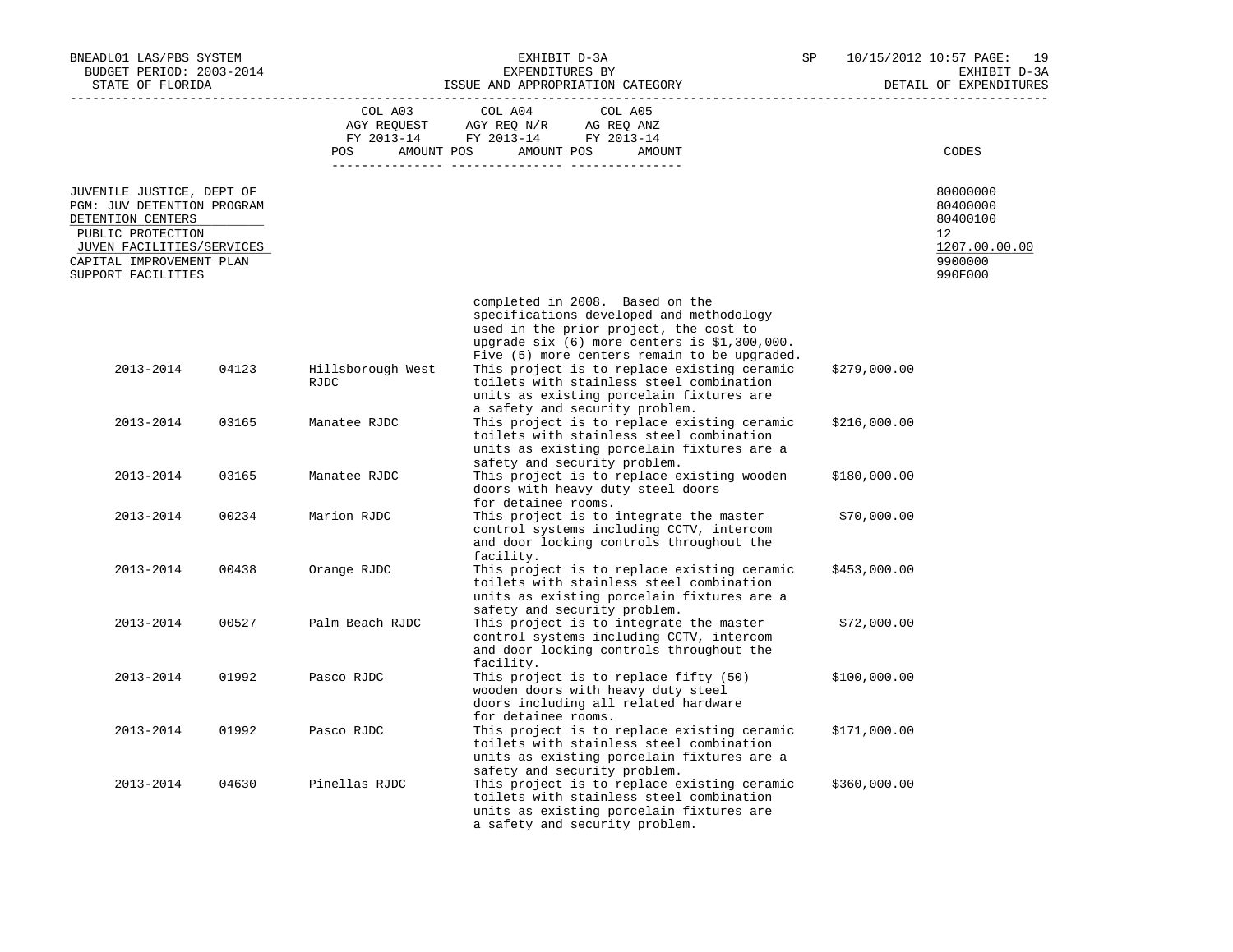| BNEADL01 LAS/PBS SYSTEM<br>BUDGET PERIOD: 2003-2014<br>STATE OF FLORIDA                                                                                                          |       | ISSUE AND APPROPRIATION CATEGORY                                 | SP                                                                                                                                                                                                                    |  | 10/15/2012 10:57 PAGE:<br>19<br>EXHIBIT D-3A<br>DETAIL OF EXPENDITURES |                                                                                         |
|----------------------------------------------------------------------------------------------------------------------------------------------------------------------------------|-------|------------------------------------------------------------------|-----------------------------------------------------------------------------------------------------------------------------------------------------------------------------------------------------------------------|--|------------------------------------------------------------------------|-----------------------------------------------------------------------------------------|
|                                                                                                                                                                                  |       | COL A03<br>AGY REQUEST<br>FY 2013-14<br><b>POS</b><br>AMOUNT POS | COL A05<br>COL A04<br>AGY REQ N/R<br>AG REQ ANZ<br>FY 2013-14<br>FY 2013-14<br>AMOUNT POS<br>AMOUNT                                                                                                                   |  |                                                                        | CODES                                                                                   |
| JUVENILE JUSTICE, DEPT OF<br>PGM: JUV DETENTION PROGRAM<br>DETENTION CENTERS<br>PUBLIC PROTECTION<br>JUVEN FACILITIES/SERVICES<br>CAPITAL IMPROVEMENT PLAN<br>SUPPORT FACILITIES |       |                                                                  |                                                                                                                                                                                                                       |  |                                                                        | 80000000<br>80400000<br>80400100<br>$12^{\circ}$<br>1207.00.00.00<br>9900000<br>990F000 |
|                                                                                                                                                                                  |       |                                                                  | completed in 2008. Based on the<br>specifications developed and methodology<br>used in the prior project, the cost to<br>upgrade six (6) more centers is \$1,300,000.<br>Five (5) more centers remain to be upgraded. |  |                                                                        |                                                                                         |
| 2013-2014                                                                                                                                                                        | 04123 | Hillsborough West<br>RJDC                                        | This project is to replace existing ceramic<br>toilets with stainless steel combination<br>units as existing porcelain fixtures are<br>a safety and security problem.                                                 |  | \$279,000.00                                                           |                                                                                         |
| 2013-2014                                                                                                                                                                        | 03165 | Manatee RJDC                                                     | This project is to replace existing ceramic<br>toilets with stainless steel combination<br>units as existing porcelain fixtures are a<br>safety and security problem.                                                 |  | \$216,000.00                                                           |                                                                                         |
| 2013-2014                                                                                                                                                                        | 03165 | Manatee RJDC                                                     | This project is to replace existing wooden<br>doors with heavy duty steel doors<br>for detainee rooms.                                                                                                                |  | \$180,000.00                                                           |                                                                                         |
| 2013-2014                                                                                                                                                                        | 00234 | Marion RJDC                                                      | This project is to integrate the master<br>control systems including CCTV, intercom<br>and door locking controls throughout the<br>facility.                                                                          |  | \$70,000.00                                                            |                                                                                         |
| 2013-2014                                                                                                                                                                        | 00438 | Orange RJDC                                                      | This project is to replace existing ceramic<br>toilets with stainless steel combination<br>units as existing porcelain fixtures are a<br>safety and security problem.                                                 |  | \$453,000.00                                                           |                                                                                         |
| 2013-2014                                                                                                                                                                        | 00527 | Palm Beach RJDC                                                  | This project is to integrate the master<br>control systems including CCTV, intercom<br>and door locking controls throughout the<br>facility.                                                                          |  | \$72,000.00                                                            |                                                                                         |
| 2013-2014                                                                                                                                                                        | 01992 | Pasco RJDC                                                       | This project is to replace fifty (50)<br>wooden doors with heavy duty steel<br>doors including all related hardware<br>for detainee rooms.                                                                            |  | \$100,000.00                                                           |                                                                                         |
| 2013-2014                                                                                                                                                                        | 01992 | Pasco RJDC                                                       | This project is to replace existing ceramic<br>toilets with stainless steel combination<br>units as existing porcelain fixtures are a<br>safety and security problem.                                                 |  | \$171,000.00                                                           |                                                                                         |
| 2013-2014                                                                                                                                                                        | 04630 | Pinellas RJDC                                                    | This project is to replace existing ceramic<br>toilets with stainless steel combination<br>units as existing porcelain fixtures are<br>a safety and security problem.                                                 |  | \$360,000.00                                                           |                                                                                         |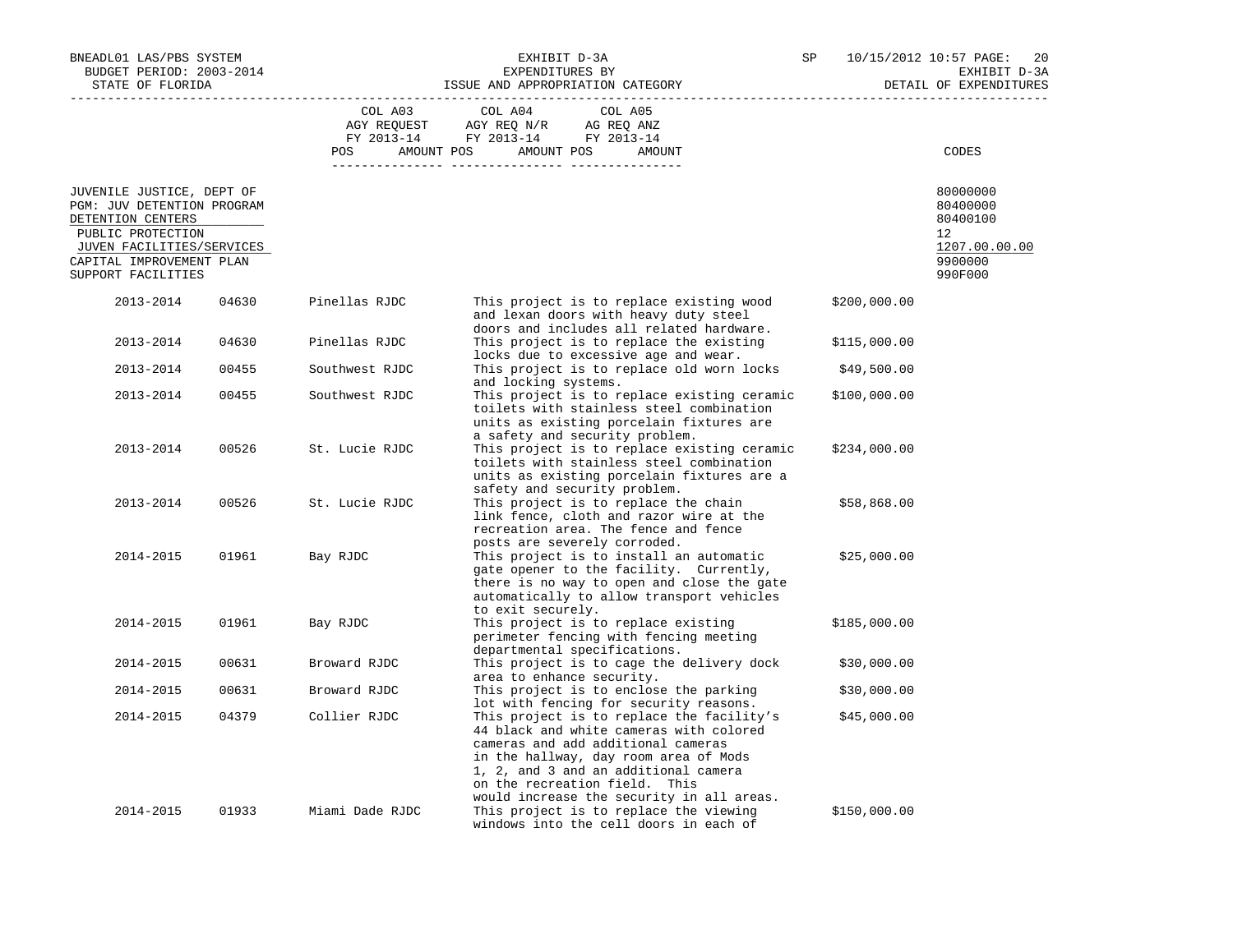| BNEADL01 LAS/PBS SYSTEM<br>BUDGET PERIOD: 2003-2014<br>STATE OF FLORIDA      |       |                 | EXHIBIT D-3A<br>EXPENDITURES BY<br>ISSUE AND APPROPRIATION CATEGORY                                                                                                                                                                                                                       | SP           | 10/15/2012 10:57 PAGE:<br>20<br>EXHIBIT D-3A<br>DETAIL OF EXPENDITURES |  |
|------------------------------------------------------------------------------|-------|-----------------|-------------------------------------------------------------------------------------------------------------------------------------------------------------------------------------------------------------------------------------------------------------------------------------------|--------------|------------------------------------------------------------------------|--|
|                                                                              |       | COL A03         | COL A04<br>COL A05<br>AGY REQUEST AGY REQ N/R AG REQ ANZ<br>FY 2013-14 FY 2013-14 FY 2013-14                                                                                                                                                                                              |              |                                                                        |  |
|                                                                              |       | POS             | AMOUNT POS<br>AMOUNT POS<br>AMOUNT                                                                                                                                                                                                                                                        |              | CODES                                                                  |  |
| JUVENILE JUSTICE, DEPT OF<br>PGM: JUV DETENTION PROGRAM<br>DETENTION CENTERS |       |                 |                                                                                                                                                                                                                                                                                           |              | 80000000<br>80400000<br>80400100                                       |  |
| PUBLIC PROTECTION<br>JUVEN FACILITIES/SERVICES                               |       |                 |                                                                                                                                                                                                                                                                                           |              | 12<br>1207.00.00.00                                                    |  |
| CAPITAL IMPROVEMENT PLAN<br>SUPPORT FACILITIES                               |       |                 |                                                                                                                                                                                                                                                                                           |              | 9900000<br>990F000                                                     |  |
| 2013-2014                                                                    | 04630 | Pinellas RJDC   | This project is to replace existing wood<br>and lexan doors with heavy duty steel<br>doors and includes all related hardware.                                                                                                                                                             | \$200,000.00 |                                                                        |  |
| 2013-2014                                                                    | 04630 | Pinellas RJDC   | This project is to replace the existing<br>locks due to excessive age and wear.                                                                                                                                                                                                           | \$115,000.00 |                                                                        |  |
| 2013-2014                                                                    | 00455 | Southwest RJDC  | This project is to replace old worn locks<br>and locking systems.                                                                                                                                                                                                                         | \$49,500.00  |                                                                        |  |
| 2013-2014                                                                    | 00455 | Southwest RJDC  | This project is to replace existing ceramic<br>toilets with stainless steel combination<br>units as existing porcelain fixtures are<br>a safety and security problem.                                                                                                                     | \$100,000.00 |                                                                        |  |
| 2013-2014                                                                    | 00526 | St. Lucie RJDC  | This project is to replace existing ceramic<br>toilets with stainless steel combination<br>units as existing porcelain fixtures are a<br>safety and security problem.                                                                                                                     | \$234,000.00 |                                                                        |  |
| 2013-2014                                                                    | 00526 | St. Lucie RJDC  | This project is to replace the chain<br>link fence, cloth and razor wire at the<br>recreation area. The fence and fence<br>posts are severely corroded.                                                                                                                                   | \$58,868.00  |                                                                        |  |
| 2014-2015                                                                    | 01961 | Bay RJDC        | This project is to install an automatic<br>gate opener to the facility. Currently,<br>there is no way to open and close the gate<br>automatically to allow transport vehicles<br>to exit securely.                                                                                        | \$25,000.00  |                                                                        |  |
| 2014-2015                                                                    | 01961 | Bay RJDC        | This project is to replace existing<br>perimeter fencing with fencing meeting<br>departmental specifications.                                                                                                                                                                             | \$185,000.00 |                                                                        |  |
| 2014-2015                                                                    | 00631 | Broward RJDC    | This project is to cage the delivery dock<br>area to enhance security.                                                                                                                                                                                                                    | \$30,000.00  |                                                                        |  |
| 2014-2015                                                                    | 00631 | Broward RJDC    | This project is to enclose the parking<br>lot with fencing for security reasons.                                                                                                                                                                                                          | \$30,000.00  |                                                                        |  |
| 2014-2015                                                                    | 04379 | Collier RJDC    | This project is to replace the facility's<br>44 black and white cameras with colored<br>cameras and add additional cameras<br>in the hallway, day room area of Mods<br>1, 2, and 3 and an additional camera<br>on the recreation field. This<br>would increase the security in all areas. | \$45,000.00  |                                                                        |  |
| 2014-2015                                                                    | 01933 | Miami Dade RJDC | This project is to replace the viewing<br>windows into the cell doors in each of                                                                                                                                                                                                          | \$150,000.00 |                                                                        |  |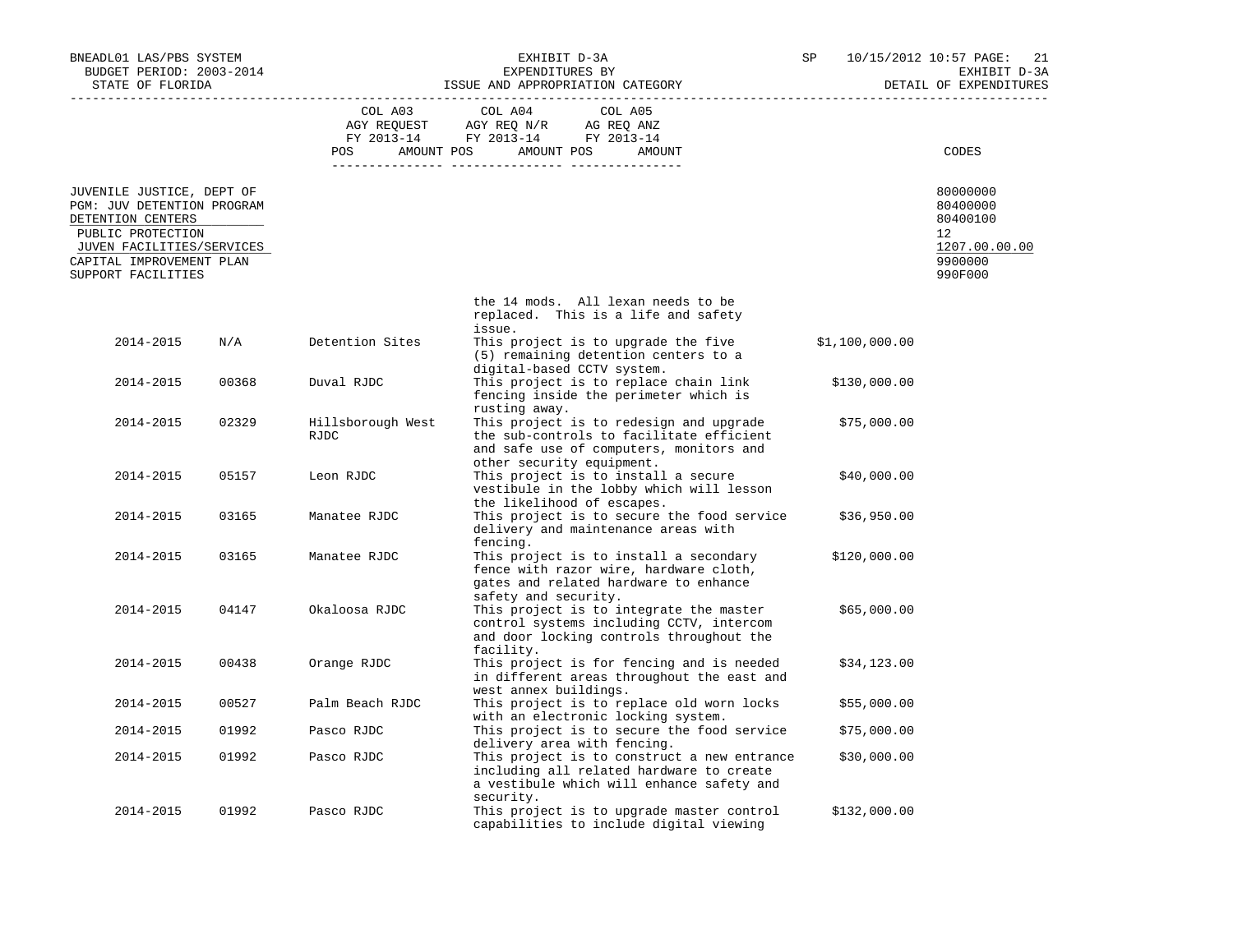| BNEADL01 LAS/PBS SYSTEM<br>BUDGET PERIOD: 2003-2014                                                                                                                              |                         |                           | SP                                                                                                                                                          | 10/15/2012 10:57 PAGE:<br>21<br>EXHIBIT D-3A |                                                                               |
|----------------------------------------------------------------------------------------------------------------------------------------------------------------------------------|-------------------------|---------------------------|-------------------------------------------------------------------------------------------------------------------------------------------------------------|----------------------------------------------|-------------------------------------------------------------------------------|
| STATE OF FLORIDA                                                                                                                                                                 |                         |                           | ISSUE AND APPROPRIATION CATEGORY                                                                                                                            |                                              | DETAIL OF EXPENDITURES                                                        |
|                                                                                                                                                                                  |                         |                           | COL A03 COL A04<br>COL A05<br>AGY REQUEST AGY REQ N/R AG REQ ANZ<br>FY 2013-14 FY 2013-14 FY 2013-14<br>POS AMOUNT POS AMOUNT POS<br>AMOUNT                 |                                              | CODES                                                                         |
| JUVENILE JUSTICE, DEPT OF<br>PGM: JUV DETENTION PROGRAM<br>DETENTION CENTERS<br>PUBLIC PROTECTION<br>JUVEN FACILITIES/SERVICES<br>CAPITAL IMPROVEMENT PLAN<br>SUPPORT FACILITIES |                         |                           |                                                                                                                                                             |                                              | 80000000<br>80400000<br>80400100<br>12<br>1207.00.00.00<br>9900000<br>990F000 |
|                                                                                                                                                                                  |                         |                           | the 14 mods. All lexan needs to be<br>replaced. This is a life and safety                                                                                   |                                              |                                                                               |
| 2014-2015                                                                                                                                                                        | $\mathrm{N}/\mathrm{A}$ | Detention Sites           | issue.<br>This project is to upgrade the five<br>(5) remaining detention centers to a<br>digital-based CCTV system.                                         | \$1,100,000.00                               |                                                                               |
| 2014-2015                                                                                                                                                                        | 00368                   | Duval RJDC                | This project is to replace chain link<br>fencing inside the perimeter which is<br>rusting away.                                                             | \$130,000.00                                 |                                                                               |
| 2014-2015                                                                                                                                                                        | 02329                   | Hillsborough West<br>RJDC | This project is to redesign and upgrade<br>the sub-controls to facilitate efficient<br>and safe use of computers, monitors and<br>other security equipment. | \$75,000.00                                  |                                                                               |
| 2014-2015                                                                                                                                                                        | 05157                   | Leon RJDC                 | This project is to install a secure<br>vestibule in the lobby which will lesson<br>the likelihood of escapes.                                               | \$40,000.00                                  |                                                                               |
| 2014-2015                                                                                                                                                                        | 03165                   | Manatee RJDC              | This project is to secure the food service<br>delivery and maintenance areas with<br>fencing.                                                               | \$36,950.00                                  |                                                                               |
| 2014-2015                                                                                                                                                                        | 03165                   | Manatee RJDC              | This project is to install a secondary<br>fence with razor wire, hardware cloth,<br>gates and related hardware to enhance<br>safety and security.           | \$120,000.00                                 |                                                                               |
| 2014-2015                                                                                                                                                                        | 04147                   | Okaloosa RJDC             | This project is to integrate the master<br>control systems including CCTV, intercom<br>and door locking controls throughout the<br>facility.                | \$65,000.00                                  |                                                                               |
| 2014-2015                                                                                                                                                                        | 00438                   | Orange RJDC               | This project is for fencing and is needed<br>in different areas throughout the east and<br>west annex buildings.                                            | \$34,123.00                                  |                                                                               |
| 2014-2015                                                                                                                                                                        | 00527                   | Palm Beach RJDC           | This project is to replace old worn locks<br>with an electronic locking system.                                                                             | \$55,000.00                                  |                                                                               |
| 2014-2015                                                                                                                                                                        | 01992                   | Pasco RJDC                | This project is to secure the food service<br>delivery area with fencing.                                                                                   | \$75,000.00                                  |                                                                               |
| 2014-2015                                                                                                                                                                        | 01992                   | Pasco RJDC                | This project is to construct a new entrance<br>including all related hardware to create<br>a vestibule which will enhance safety and<br>security.           | \$30,000.00                                  |                                                                               |
| 2014-2015                                                                                                                                                                        | 01992                   | Pasco RJDC                | This project is to upgrade master control<br>capabilities to include digital viewing                                                                        | \$132,000.00                                 |                                                                               |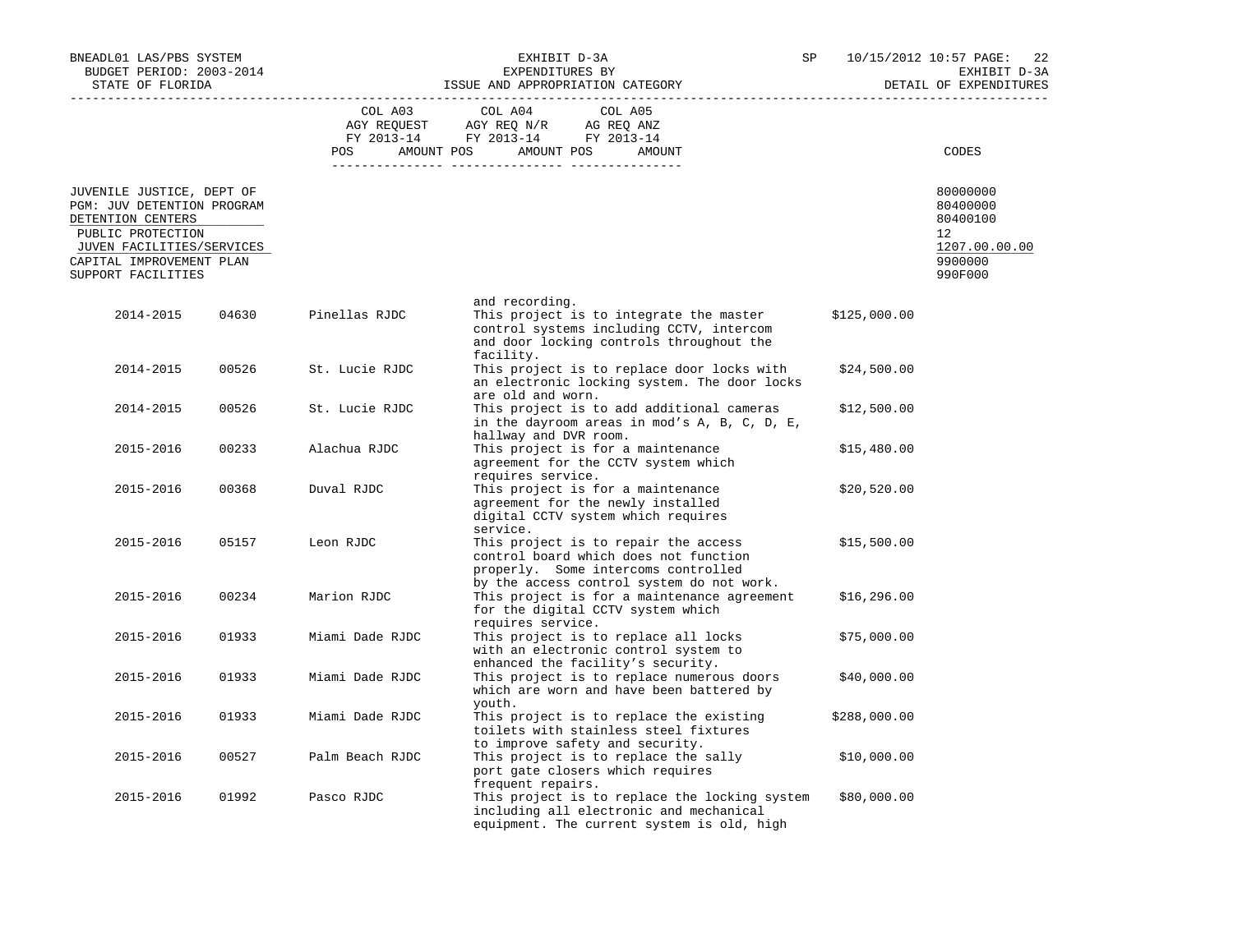| BNEADL01 LAS/PBS SYSTEM<br>BUDGET PERIOD: 2003-2014<br>STATE OF FLORIDA                                                                                                          |       |                 | SP                                                                                                                                                                | 10/15/2012 10:57 PAGE:<br>22<br>EXHIBIT D-3A<br>DETAIL OF EXPENDITURES |                                                                               |
|----------------------------------------------------------------------------------------------------------------------------------------------------------------------------------|-------|-----------------|-------------------------------------------------------------------------------------------------------------------------------------------------------------------|------------------------------------------------------------------------|-------------------------------------------------------------------------------|
|                                                                                                                                                                                  |       | COL A03         | ISSUE AND APPROPRIATION CATEGORY<br>COL A05<br>COL A04<br>AGY REQUEST AGY REQ N/R AG REQ ANZ<br>FY 2013-14 FY 2013-14 FY 2013-14                                  |                                                                        |                                                                               |
|                                                                                                                                                                                  |       |                 | POS AMOUNT POS AMOUNT POS<br>AMOUNT                                                                                                                               |                                                                        | CODES                                                                         |
| JUVENILE JUSTICE, DEPT OF<br>PGM: JUV DETENTION PROGRAM<br>DETENTION CENTERS<br>PUBLIC PROTECTION<br>JUVEN FACILITIES/SERVICES<br>CAPITAL IMPROVEMENT PLAN<br>SUPPORT FACILITIES |       |                 |                                                                                                                                                                   |                                                                        | 80000000<br>80400000<br>80400100<br>12<br>1207.00.00.00<br>9900000<br>990F000 |
| 2014-2015                                                                                                                                                                        | 04630 | Pinellas RJDC   | and recording.<br>This project is to integrate the master<br>control systems including CCTV, intercom<br>and door locking controls throughout the<br>facility.    | \$125,000.00                                                           |                                                                               |
| 2014-2015                                                                                                                                                                        | 00526 | St. Lucie RJDC  | This project is to replace door locks with<br>an electronic locking system. The door locks<br>are old and worn.                                                   | \$24,500.00                                                            |                                                                               |
| 2014-2015                                                                                                                                                                        | 00526 | St. Lucie RJDC  | This project is to add additional cameras<br>in the dayroom areas in mod's A, B, C, D, E,<br>hallway and DVR room.                                                | \$12,500.00                                                            |                                                                               |
| 2015-2016                                                                                                                                                                        | 00233 | Alachua RJDC    | This project is for a maintenance<br>agreement for the CCTV system which<br>requires service.                                                                     | \$15,480.00                                                            |                                                                               |
| 2015-2016                                                                                                                                                                        | 00368 | Duval RJDC      | This project is for a maintenance<br>agreement for the newly installed<br>digital CCTV system which requires<br>service.                                          | \$20,520.00                                                            |                                                                               |
| 2015-2016                                                                                                                                                                        | 05157 | Leon RJDC       | This project is to repair the access<br>control board which does not function<br>properly. Some intercoms controlled<br>by the access control system do not work. | \$15,500.00                                                            |                                                                               |
| 2015-2016                                                                                                                                                                        | 00234 | Marion RJDC     | This project is for a maintenance agreement<br>for the digital CCTV system which<br>requires service.                                                             | \$16, 296.00                                                           |                                                                               |
| 2015-2016                                                                                                                                                                        | 01933 | Miami Dade RJDC | This project is to replace all locks<br>with an electronic control system to<br>enhanced the facility's security.                                                 | \$75,000.00                                                            |                                                                               |
| 2015-2016                                                                                                                                                                        | 01933 | Miami Dade RJDC | This project is to replace numerous doors<br>which are worn and have been battered by<br>youth.                                                                   | \$40,000.00                                                            |                                                                               |
| 2015-2016                                                                                                                                                                        | 01933 | Miami Dade RJDC | This project is to replace the existing<br>toilets with stainless steel fixtures<br>to improve safety and security.                                               | \$288,000.00                                                           |                                                                               |
| 2015-2016                                                                                                                                                                        | 00527 | Palm Beach RJDC | This project is to replace the sally<br>port gate closers which requires<br>frequent repairs.                                                                     | \$10,000.00                                                            |                                                                               |
| 2015-2016                                                                                                                                                                        | 01992 | Pasco RJDC      | This project is to replace the locking system<br>including all electronic and mechanical<br>equipment. The current system is old, high                            | \$80,000.00                                                            |                                                                               |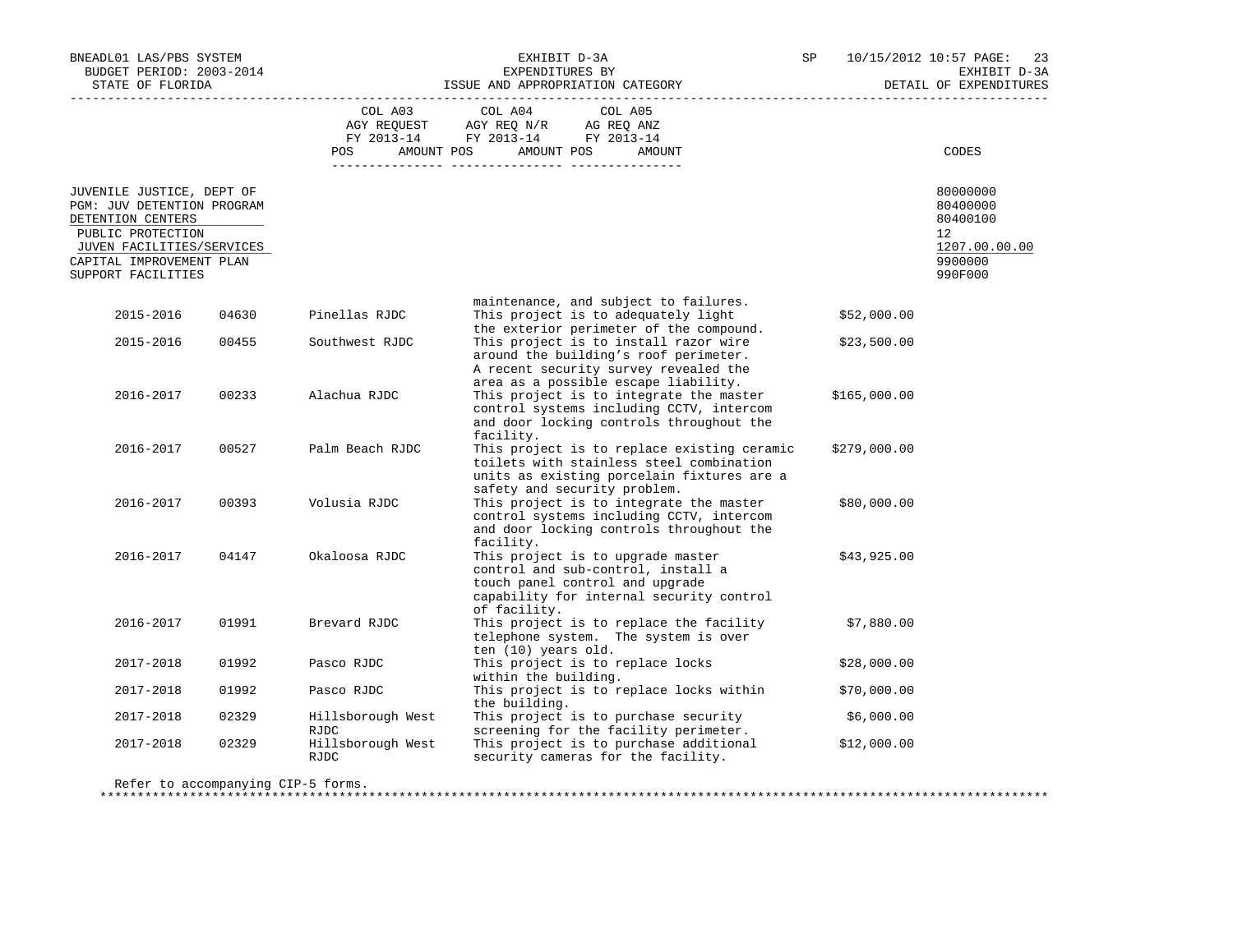| BNEADL01 LAS/PBS SYSTEM<br>BUDGET PERIOD: 2003-2014<br>STATE OF FLORIDA                                                                                                          |       | ISSUE AND APPROPRIATION CATEGORY            | SP                                                                                                                                                                                 | 10/15/2012 10:57 PAGE:<br>EXHIBIT D-3A<br>DETAIL OF EXPENDITURES |              |                                                                                            |
|----------------------------------------------------------------------------------------------------------------------------------------------------------------------------------|-------|---------------------------------------------|------------------------------------------------------------------------------------------------------------------------------------------------------------------------------------|------------------------------------------------------------------|--------------|--------------------------------------------------------------------------------------------|
|                                                                                                                                                                                  |       | COL A03<br>AGY REQUEST<br>AMOUNT POS<br>POS | COL A04<br>COL A05<br>AGY REQ N/R AG REQ ANZ<br>FY 2013-14 FY 2013-14 FY 2013-14<br>AMOUNT POS<br>AMOUNT                                                                           |                                                                  |              | CODES                                                                                      |
| JUVENILE JUSTICE, DEPT OF<br>PGM: JUV DETENTION PROGRAM<br>DETENTION CENTERS<br>PUBLIC PROTECTION<br>JUVEN FACILITIES/SERVICES<br>CAPITAL IMPROVEMENT PLAN<br>SUPPORT FACILITIES |       |                                             |                                                                                                                                                                                    |                                                                  |              | 80000000<br>80400000<br>80400100<br>12 <sup>°</sup><br>1207.00.00.00<br>9900000<br>990F000 |
| 2015-2016                                                                                                                                                                        | 04630 | Pinellas RJDC                               | maintenance, and subject to failures.<br>This project is to adequately light                                                                                                       |                                                                  | \$52,000.00  |                                                                                            |
| 2015-2016                                                                                                                                                                        | 00455 | Southwest RJDC                              | the exterior perimeter of the compound.<br>This project is to install razor wire<br>around the building's roof perimeter.<br>A recent security survey revealed the                 |                                                                  | \$23,500.00  |                                                                                            |
| 2016-2017                                                                                                                                                                        | 00233 | Alachua RJDC                                | area as a possible escape liability.<br>This project is to integrate the master<br>control systems including CCTV, intercom<br>and door locking controls throughout the            |                                                                  | \$165,000.00 |                                                                                            |
| 2016-2017                                                                                                                                                                        | 00527 | Palm Beach RJDC                             | facility.<br>This project is to replace existing ceramic<br>toilets with stainless steel combination<br>units as existing porcelain fixtures are a<br>safety and security problem. |                                                                  | \$279,000.00 |                                                                                            |
| 2016-2017                                                                                                                                                                        | 00393 | Volusia RJDC                                | This project is to integrate the master<br>control systems including CCTV, intercom<br>and door locking controls throughout the<br>facility.                                       |                                                                  | \$80,000.00  |                                                                                            |
| 2016-2017                                                                                                                                                                        | 04147 | Okaloosa RJDC                               | This project is to upgrade master<br>control and sub-control, install a<br>touch panel control and upgrade<br>capability for internal security control<br>of facility.             |                                                                  | \$43,925.00  |                                                                                            |
| 2016-2017                                                                                                                                                                        | 01991 | Brevard RJDC                                | This project is to replace the facility<br>telephone system. The system is over<br>ten (10) years old.                                                                             |                                                                  | \$7,880.00   |                                                                                            |
| 2017-2018                                                                                                                                                                        | 01992 | Pasco RJDC                                  | This project is to replace locks<br>within the building.                                                                                                                           |                                                                  | \$28,000.00  |                                                                                            |
| 2017-2018                                                                                                                                                                        | 01992 | Pasco RJDC                                  | This project is to replace locks within<br>the building.                                                                                                                           |                                                                  | \$70,000.00  |                                                                                            |
| 2017-2018                                                                                                                                                                        | 02329 | Hillsborough West<br>RJDC                   | This project is to purchase security<br>screening for the facility perimeter.                                                                                                      |                                                                  | \$6,000.00   |                                                                                            |
| 2017-2018                                                                                                                                                                        | 02329 | Hillsborough West<br>RJDC                   | This project is to purchase additional<br>security cameras for the facility.                                                                                                       |                                                                  | \$12,000.00  |                                                                                            |
| Refer to accompanying CIP-5 forms.                                                                                                                                               |       |                                             |                                                                                                                                                                                    |                                                                  |              |                                                                                            |

\*\*\*\*\*\*\*\*\*\*\*\*\*\*\*\*\*\*\*\*\*\*\*\*\*\*\*\*\*\*\*\*\*\*\*\*\*\*\*\*\*\*\*\*\*\*\*\*\*\*\*\*\*\*\*\*\*\*\*\*\*\*\*\*\*\*\*\*\*\*\*\*\*\*\*\*\*\*\*\*\*\*\*\*\*\*\*\*\*\*\*\*\*\*\*\*\*\*\*\*\*\*\*\*\*\*\*\*\*\*\*\*\*\*\*\*\*\*\*\*\*\*\*\*\*\*\*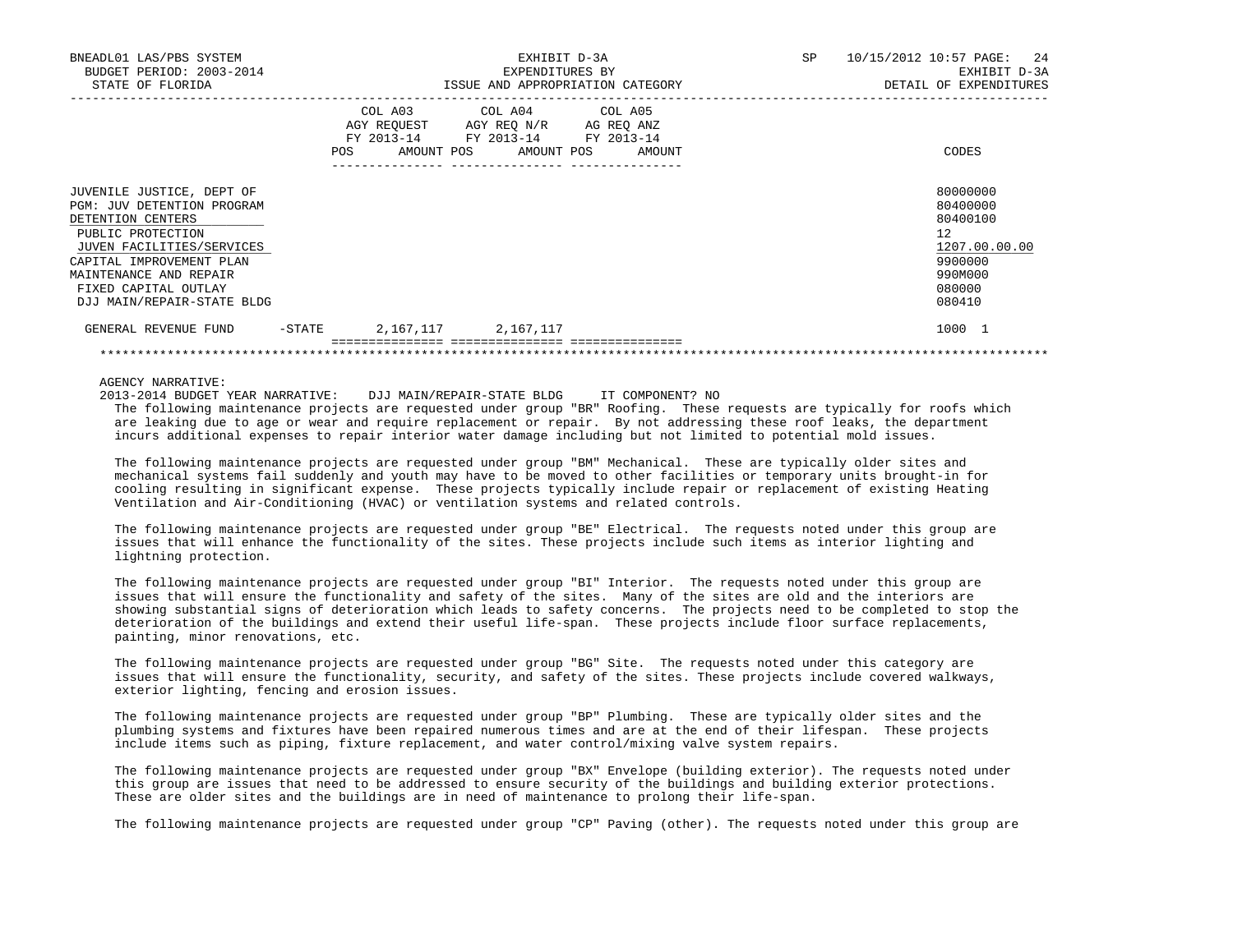| BNEADL01 LAS/PBS SYSTEM<br>BUDGET PERIOD: 2003-2014<br>STATE OF FLORIDA                                                                                                                                                                           |        | EXHIBIT D-3A<br>EXPENDITURES BY<br>ISSUE AND APPROPRIATION CATEGORY |                                                                                                   |                                  | 10/15/2012 10:57 PAGE: 24<br>SP<br>EXHIBIT D-3A<br>DETAIL OF EXPENDITURES                                      |  |  |
|---------------------------------------------------------------------------------------------------------------------------------------------------------------------------------------------------------------------------------------------------|--------|---------------------------------------------------------------------|---------------------------------------------------------------------------------------------------|----------------------------------|----------------------------------------------------------------------------------------------------------------|--|--|
|                                                                                                                                                                                                                                                   |        |                                                                     | COL A03 COL A04 COL A05<br>AGY REQUEST AGY REQ N/R AG REQ ANZ<br>FY 2013-14 FY 2013-14 FY 2013-14 | POS AMOUNT POS AMOUNT POS AMOUNT | CODES                                                                                                          |  |  |
| JUVENILE JUSTICE, DEPT OF<br><b>PGM: JUV DETENTION PROGRAM</b><br>DETENTION CENTERS<br>PUBLIC PROTECTION<br>JUVEN FACILITIES/SERVICES<br>CAPITAL IMPROVEMENT PLAN<br>MAINTENANCE AND REPAIR<br>FIXED CAPITAL OUTLAY<br>DJJ MAIN/REPAIR-STATE BLDG |        |                                                                     |                                                                                                   |                                  | 80000000<br>80400000<br>80400100<br>12 <sup>7</sup><br>1207.00.00.00<br>9900000<br>990M000<br>080000<br>080410 |  |  |
| GENERAL REVENUE FUND                                                                                                                                                                                                                              | -STATE |                                                                     | 2, 167, 117 2, 167, 117                                                                           |                                  | 1000 1                                                                                                         |  |  |

AGENCY NARRATIVE:

2013-2014 BUDGET YEAR NARRATIVE: DJJ MAIN/REPAIR-STATE BLDG IT COMPONENT? NO

 The following maintenance projects are requested under group "BR" Roofing. These requests are typically for roofs which are leaking due to age or wear and require replacement or repair. By not addressing these roof leaks, the department incurs additional expenses to repair interior water damage including but not limited to potential mold issues.

\*\*\*\*\*\*\*\*\*\*\*\*\*\*\*\*\*\*\*\*\*\*\*\*\*\*\*\*\*\*\*\*\*\*\*\*\*\*\*\*\*\*\*\*\*\*\*\*\*\*\*\*\*\*\*\*\*\*\*\*\*\*\*\*\*\*\*\*\*\*\*\*\*\*\*\*\*\*\*\*\*\*\*\*\*\*\*\*\*\*\*\*\*\*\*\*\*\*\*\*\*\*\*\*\*\*\*\*\*\*\*\*\*\*\*\*\*\*\*\*\*\*\*\*\*\*\*

 The following maintenance projects are requested under group "BM" Mechanical. These are typically older sites and mechanical systems fail suddenly and youth may have to be moved to other facilities or temporary units brought-in for cooling resulting in significant expense. These projects typically include repair or replacement of existing Heating Ventilation and Air-Conditioning (HVAC) or ventilation systems and related controls.

 The following maintenance projects are requested under group "BE" Electrical. The requests noted under this group are issues that will enhance the functionality of the sites. These projects include such items as interior lighting and lightning protection.

 The following maintenance projects are requested under group "BI" Interior. The requests noted under this group are issues that will ensure the functionality and safety of the sites. Many of the sites are old and the interiors are showing substantial signs of deterioration which leads to safety concerns. The projects need to be completed to stop the deterioration of the buildings and extend their useful life-span. These projects include floor surface replacements, painting, minor renovations, etc.

 The following maintenance projects are requested under group "BG" Site. The requests noted under this category are issues that will ensure the functionality, security, and safety of the sites. These projects include covered walkways, exterior lighting, fencing and erosion issues.

 The following maintenance projects are requested under group "BP" Plumbing. These are typically older sites and the plumbing systems and fixtures have been repaired numerous times and are at the end of their lifespan. These projects include items such as piping, fixture replacement, and water control/mixing valve system repairs.

 The following maintenance projects are requested under group "BX" Envelope (building exterior). The requests noted under this group are issues that need to be addressed to ensure security of the buildings and building exterior protections. These are older sites and the buildings are in need of maintenance to prolong their life-span.

The following maintenance projects are requested under group "CP" Paving (other). The requests noted under this group are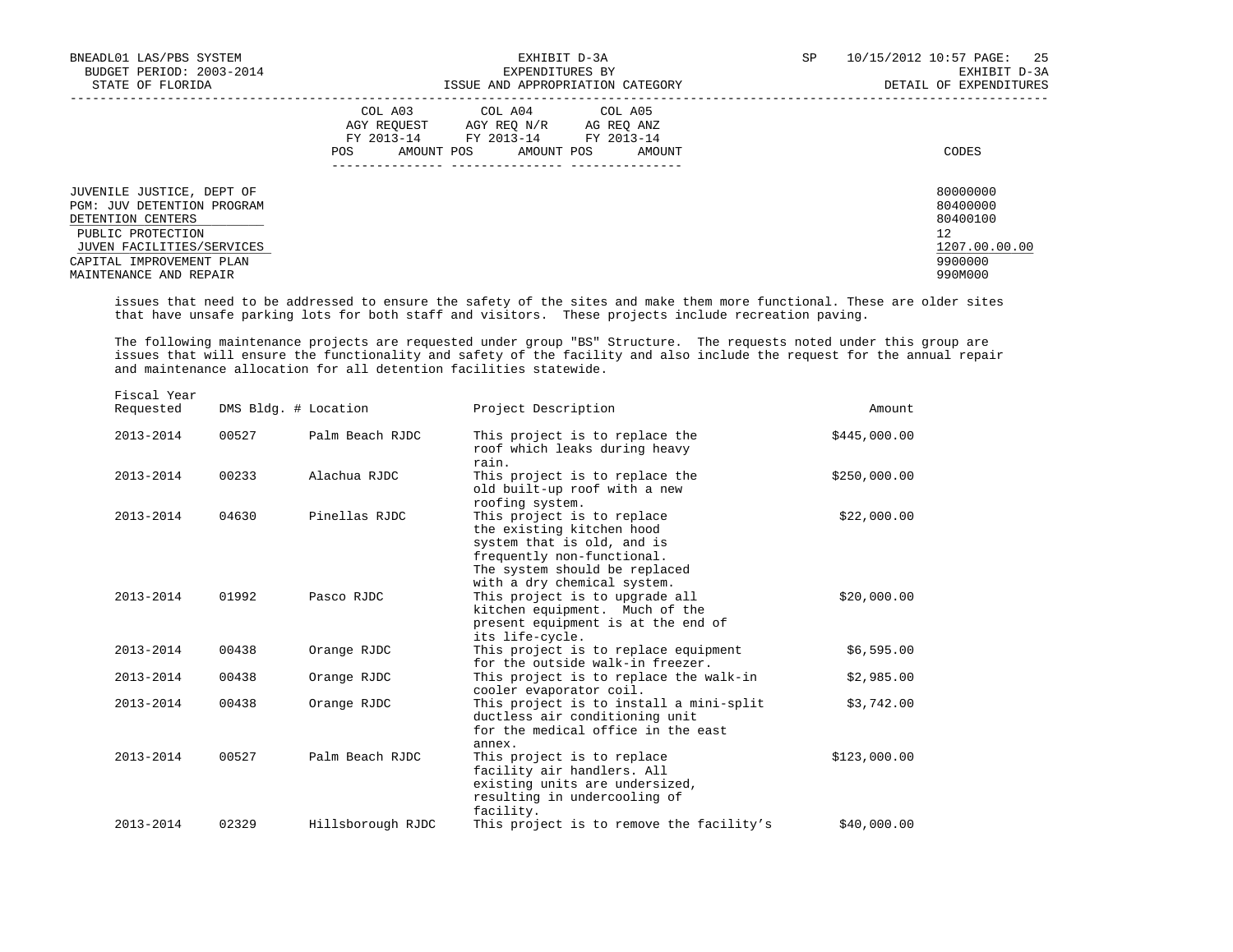| BNEADL01 LAS/PBS SYSTEM<br>BUDGET PERIOD: 2003-2014<br>STATE OF FLORIDA                                                                                                                     | EXHIBIT D-3A<br>EXPENDITURES BY<br>ISSUE AND APPROPRIATION CATEGORY                                                                                        | 25<br>SP<br>10/15/2012 10:57 PAGE:<br>EXHIBIT D-3A<br>DETAIL OF EXPENDITURES  |
|---------------------------------------------------------------------------------------------------------------------------------------------------------------------------------------------|------------------------------------------------------------------------------------------------------------------------------------------------------------|-------------------------------------------------------------------------------|
|                                                                                                                                                                                             | COL A03<br>COL A04 COL A05<br>AGY REOUEST<br>AGY REO N/R<br>AG REO ANZ<br>FY 2013-14<br>FY 2013-14 FY 2013-14<br>AMOUNT POS<br>AMOUNT POS<br>POS<br>AMOUNT | CODES                                                                         |
| JUVENILE JUSTICE, DEPT OF<br><b>PGM: JUV DETENTION PROGRAM</b><br>DETENTION CENTERS<br>PUBLIC PROTECTION<br>JUVEN FACILITIES/SERVICES<br>CAPITAL IMPROVEMENT PLAN<br>MAINTENANCE AND REPAIR |                                                                                                                                                            | 80000000<br>80400000<br>80400100<br>12<br>1207.00.00.00<br>9900000<br>990M000 |

 issues that need to be addressed to ensure the safety of the sites and make them more functional. These are older sites that have unsafe parking lots for both staff and visitors. These projects include recreation paving.

 The following maintenance projects are requested under group "BS" Structure. The requests noted under this group are issues that will ensure the functionality and safety of the facility and also include the request for the annual repair and maintenance allocation for all detention facilities statewide.

| Amount       | Project Description                                                                                                                                                                 | DMS Bldg. # Location |       | Fiscal Year<br>Requested |
|--------------|-------------------------------------------------------------------------------------------------------------------------------------------------------------------------------------|----------------------|-------|--------------------------|
| \$445,000.00 | This project is to replace the<br>roof which leaks during heavy<br>rain.                                                                                                            | Palm Beach RJDC      | 00527 | 2013-2014                |
| \$250,000.00 | This project is to replace the<br>old built-up roof with a new<br>roofing system.                                                                                                   | Alachua RJDC         | 00233 | 2013-2014                |
| \$22,000.00  | This project is to replace<br>the existing kitchen hood<br>system that is old, and is<br>frequently non-functional.<br>The system should be replaced<br>with a dry chemical system. | Pinellas RJDC        | 04630 | 2013-2014                |
| \$20,000.00  | This project is to upgrade all<br>kitchen equipment. Much of the<br>present equipment is at the end of<br>its life-cycle.                                                           | Pasco RJDC           | 01992 | 2013-2014                |
| \$6,595.00   | This project is to replace equipment<br>for the outside walk-in freezer.                                                                                                            | Orange RJDC          | 00438 | 2013-2014                |
| \$2,985.00   | This project is to replace the walk-in<br>cooler evaporator coil.                                                                                                                   | Orange RJDC          | 00438 | 2013-2014                |
| \$3,742.00   | This project is to install a mini-split<br>ductless air conditioning unit<br>for the medical office in the east<br>annex.                                                           | Orange RJDC          | 00438 | 2013-2014                |
| \$123,000.00 | This project is to replace<br>facility air handlers. All<br>existing units are undersized,<br>resulting in undercooling of<br>facility.                                             | Palm Beach RJDC      | 00527 | 2013-2014                |
| \$40,000.00  | This project is to remove the facility's                                                                                                                                            | Hillsborough RJDC    | 02329 | 2013-2014                |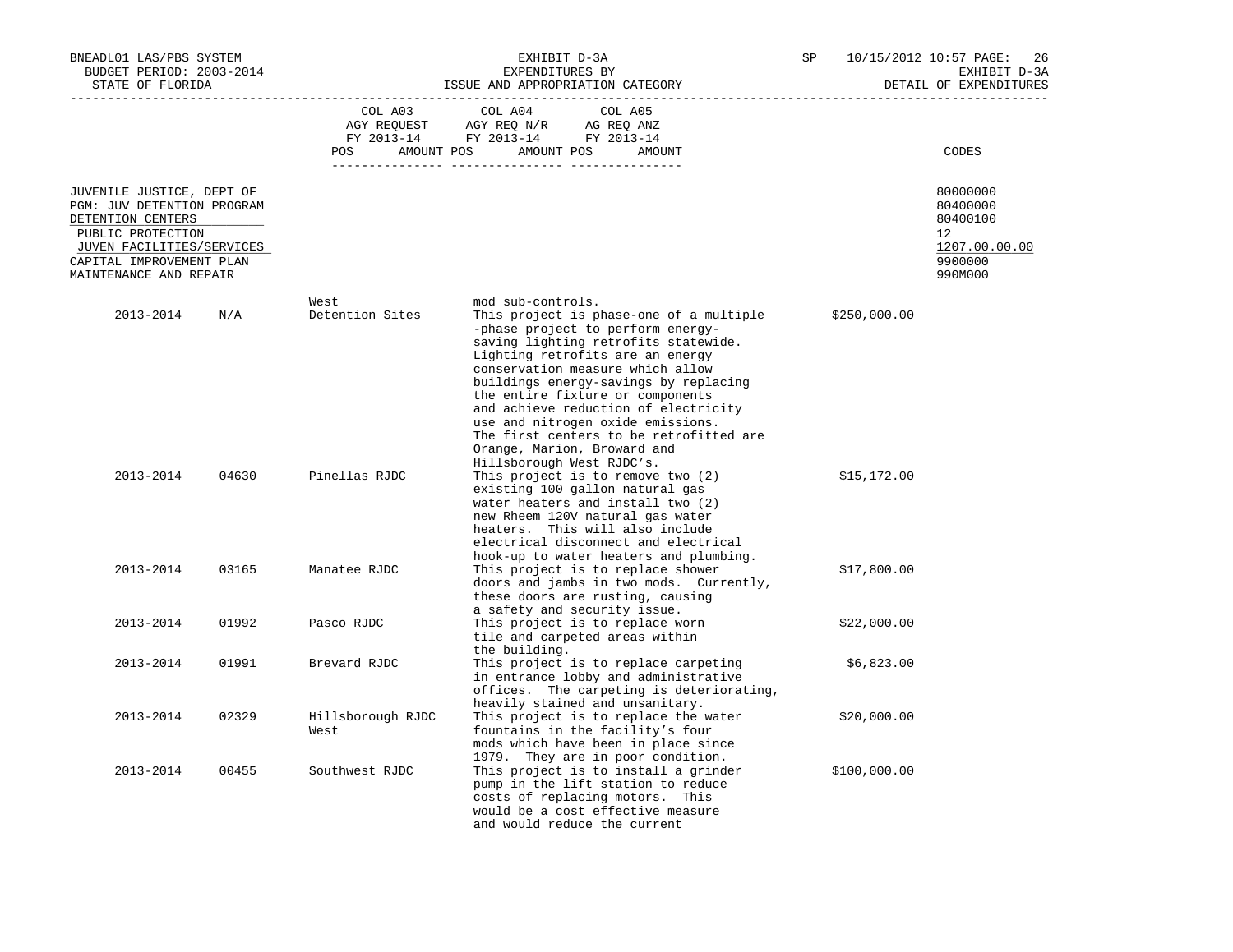| BNEADL01 LAS/PBS SYSTEM<br>BUDGET PERIOD: 2003-2014<br>STATE OF FLORIDA                                                                                                              |       | ISSUE AND APPROPRIATION CATEGORY | SP                                                                                                                                                                                                                                                                                                                                                                                                                                                    |  | 10/15/2012 10:57 PAGE:<br>26<br>EXHIBIT D-3A<br>DETAIL OF EXPENDITURES |                                                                                         |
|--------------------------------------------------------------------------------------------------------------------------------------------------------------------------------------|-------|----------------------------------|-------------------------------------------------------------------------------------------------------------------------------------------------------------------------------------------------------------------------------------------------------------------------------------------------------------------------------------------------------------------------------------------------------------------------------------------------------|--|------------------------------------------------------------------------|-----------------------------------------------------------------------------------------|
|                                                                                                                                                                                      |       | COL A03                          | COL A05<br>COL A04<br>AGY REQUEST AGY REQ N/R AG REQ ANZ<br>FY 2013-14 FY 2013-14 FY 2013-14<br>POS AMOUNT POS AMOUNT POS AMOUNT                                                                                                                                                                                                                                                                                                                      |  |                                                                        | CODES                                                                                   |
| JUVENILE JUSTICE, DEPT OF<br>PGM: JUV DETENTION PROGRAM<br>DETENTION CENTERS<br>PUBLIC PROTECTION<br>JUVEN FACILITIES/SERVICES<br>CAPITAL IMPROVEMENT PLAN<br>MAINTENANCE AND REPAIR |       |                                  |                                                                                                                                                                                                                                                                                                                                                                                                                                                       |  |                                                                        | 80000000<br>80400000<br>80400100<br>$12^{\circ}$<br>1207.00.00.00<br>9900000<br>990M000 |
| 2013-2014                                                                                                                                                                            | N/A   | West<br>Detention Sites          | mod sub-controls.<br>This project is phase-one of a multiple<br>-phase project to perform energy-<br>saving lighting retrofits statewide.<br>Lighting retrofits are an energy<br>conservation measure which allow<br>buildings energy-savings by replacing<br>the entire fixture or components<br>and achieve reduction of electricity<br>use and nitrogen oxide emissions.<br>The first centers to be retrofitted are<br>Orange, Marion, Broward and |  | \$250,000.00                                                           |                                                                                         |
| 2013-2014                                                                                                                                                                            | 04630 | Pinellas RJDC                    | Hillsborough West RJDC's.<br>This project is to remove two (2)<br>existing 100 gallon natural gas<br>water heaters and install two (2)<br>new Rheem 120V natural gas water<br>heaters. This will also include<br>electrical disconnect and electrical<br>hook-up to water heaters and plumbing.                                                                                                                                                       |  | \$15,172.00                                                            |                                                                                         |
| 2013-2014                                                                                                                                                                            | 03165 | Manatee RJDC                     | This project is to replace shower<br>doors and jambs in two mods. Currently,<br>these doors are rusting, causing<br>a safety and security issue.                                                                                                                                                                                                                                                                                                      |  | \$17,800.00                                                            |                                                                                         |
| 2013-2014                                                                                                                                                                            | 01992 | Pasco RJDC                       | This project is to replace worn<br>tile and carpeted areas within<br>the building.                                                                                                                                                                                                                                                                                                                                                                    |  | \$22,000.00                                                            |                                                                                         |
| 2013-2014                                                                                                                                                                            | 01991 | Brevard RJDC                     | This project is to replace carpeting<br>in entrance lobby and administrative<br>offices. The carpeting is deteriorating,<br>heavily stained and unsanitary.                                                                                                                                                                                                                                                                                           |  | \$6,823.00                                                             |                                                                                         |
| 2013-2014                                                                                                                                                                            | 02329 | Hillsborough RJDC<br>West        | This project is to replace the water<br>fountains in the facility's four<br>mods which have been in place since                                                                                                                                                                                                                                                                                                                                       |  | \$20,000.00                                                            |                                                                                         |
| 2013-2014                                                                                                                                                                            | 00455 | Southwest RJDC                   | 1979. They are in poor condition.<br>This project is to install a grinder<br>pump in the lift station to reduce<br>costs of replacing motors. This<br>would be a cost effective measure<br>and would reduce the current                                                                                                                                                                                                                               |  | \$100,000.00                                                           |                                                                                         |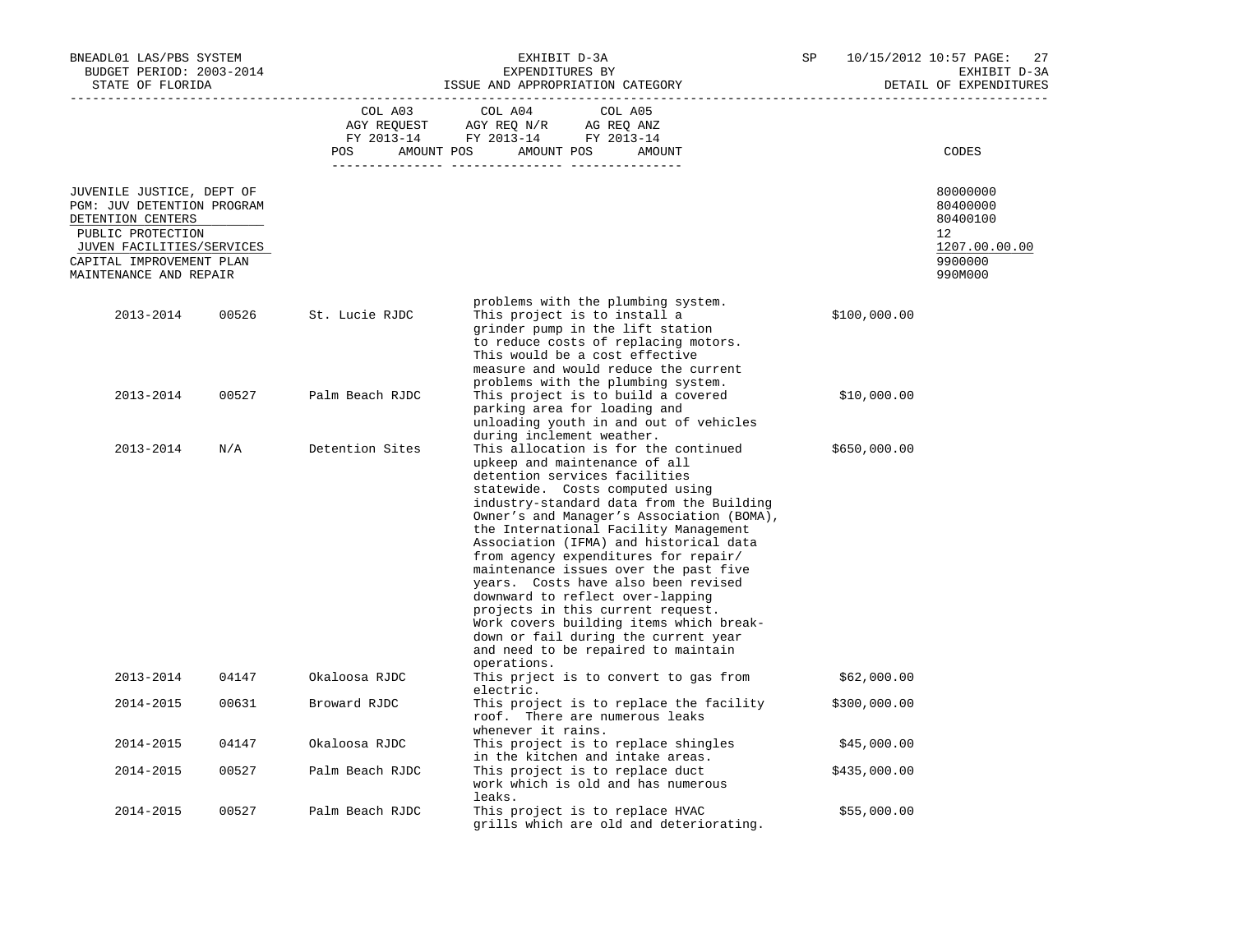| BNEADL01 LAS/PBS SYSTEM<br>BUDGET PERIOD: 2003-2014<br>STATE OF FLORIDA                                                                                                              |       |                 | EXHIBIT D-3A<br>EXPENDITURES BY<br>ISSUE AND APPROPRIATION CATEGORY                                                                                                                                                                                                                                                                                                                                                                                                                                                                                                                                                                                             | SP |              | 10/15/2012 10:57 PAGE: 27<br>EXHIBIT D-3A<br>DETAIL OF EXPENDITURES           |  |
|--------------------------------------------------------------------------------------------------------------------------------------------------------------------------------------|-------|-----------------|-----------------------------------------------------------------------------------------------------------------------------------------------------------------------------------------------------------------------------------------------------------------------------------------------------------------------------------------------------------------------------------------------------------------------------------------------------------------------------------------------------------------------------------------------------------------------------------------------------------------------------------------------------------------|----|--------------|-------------------------------------------------------------------------------|--|
|                                                                                                                                                                                      |       | COL A03         | COL A04<br>COL A05<br>$\begin{tabular}{lllllll} \bf AGY \;\; RegUEST \hspace{1cm} \bf AGY \;\; REG \;\; N/R \hspace{1cm} \bf AG \;\; REG \;\; ANZ \\ \hline \bf FY \;\; 2013-14 \hspace{1cm} FY \;\; 2013-14 \hspace{1cm} FY \;\; 2013-14 \end{tabular}$<br>POS AMOUNT POS AMOUNT POS AMOUNT                                                                                                                                                                                                                                                                                                                                                                    |    |              | CODES                                                                         |  |
| JUVENILE JUSTICE, DEPT OF<br>PGM: JUV DETENTION PROGRAM<br>DETENTION CENTERS<br>PUBLIC PROTECTION<br>JUVEN FACILITIES/SERVICES<br>CAPITAL IMPROVEMENT PLAN<br>MAINTENANCE AND REPAIR |       |                 |                                                                                                                                                                                                                                                                                                                                                                                                                                                                                                                                                                                                                                                                 |    |              | 80000000<br>80400000<br>80400100<br>12<br>1207.00.00.00<br>9900000<br>990M000 |  |
| 2013-2014                                                                                                                                                                            | 00526 | St. Lucie RJDC  | problems with the plumbing system.<br>This project is to install a<br>grinder pump in the lift station<br>to reduce costs of replacing motors.<br>This would be a cost effective<br>measure and would reduce the current                                                                                                                                                                                                                                                                                                                                                                                                                                        |    | \$100,000.00 |                                                                               |  |
| 2013-2014                                                                                                                                                                            | 00527 | Palm Beach RJDC | problems with the plumbing system.<br>This project is to build a covered<br>parking area for loading and<br>unloading youth in and out of vehicles<br>during inclement weather.                                                                                                                                                                                                                                                                                                                                                                                                                                                                                 |    | \$10,000.00  |                                                                               |  |
| 2013-2014                                                                                                                                                                            | N/A   | Detention Sites | This allocation is for the continued<br>upkeep and maintenance of all<br>detention services facilities<br>statewide. Costs computed using<br>industry-standard data from the Building<br>Owner's and Manager's Association (BOMA),<br>the International Facility Management<br>Association (IFMA) and historical data<br>from agency expenditures for repair/<br>maintenance issues over the past five<br>years. Costs have also been revised<br>downward to reflect over-lapping<br>projects in this current request.<br>Work covers building items which break-<br>down or fail during the current year<br>and need to be repaired to maintain<br>operations. |    | \$650,000.00 |                                                                               |  |
| 2013-2014                                                                                                                                                                            | 04147 | Okaloosa RJDC   | This prject is to convert to gas from<br>electric.                                                                                                                                                                                                                                                                                                                                                                                                                                                                                                                                                                                                              |    | \$62,000.00  |                                                                               |  |
| 2014-2015                                                                                                                                                                            | 00631 | Broward RJDC    | This project is to replace the facility<br>roof. There are numerous leaks<br>whenever it rains.                                                                                                                                                                                                                                                                                                                                                                                                                                                                                                                                                                 |    | \$300,000.00 |                                                                               |  |
| 2014-2015                                                                                                                                                                            | 04147 | Okaloosa RJDC   | This project is to replace shingles<br>in the kitchen and intake areas.                                                                                                                                                                                                                                                                                                                                                                                                                                                                                                                                                                                         |    | \$45,000.00  |                                                                               |  |
| 2014-2015                                                                                                                                                                            | 00527 | Palm Beach RJDC | This project is to replace duct<br>work which is old and has numerous<br>leaks.                                                                                                                                                                                                                                                                                                                                                                                                                                                                                                                                                                                 |    | \$435,000.00 |                                                                               |  |
| 2014-2015                                                                                                                                                                            | 00527 | Palm Beach RJDC | This project is to replace HVAC<br>grills which are old and deteriorating.                                                                                                                                                                                                                                                                                                                                                                                                                                                                                                                                                                                      |    | \$55,000.00  |                                                                               |  |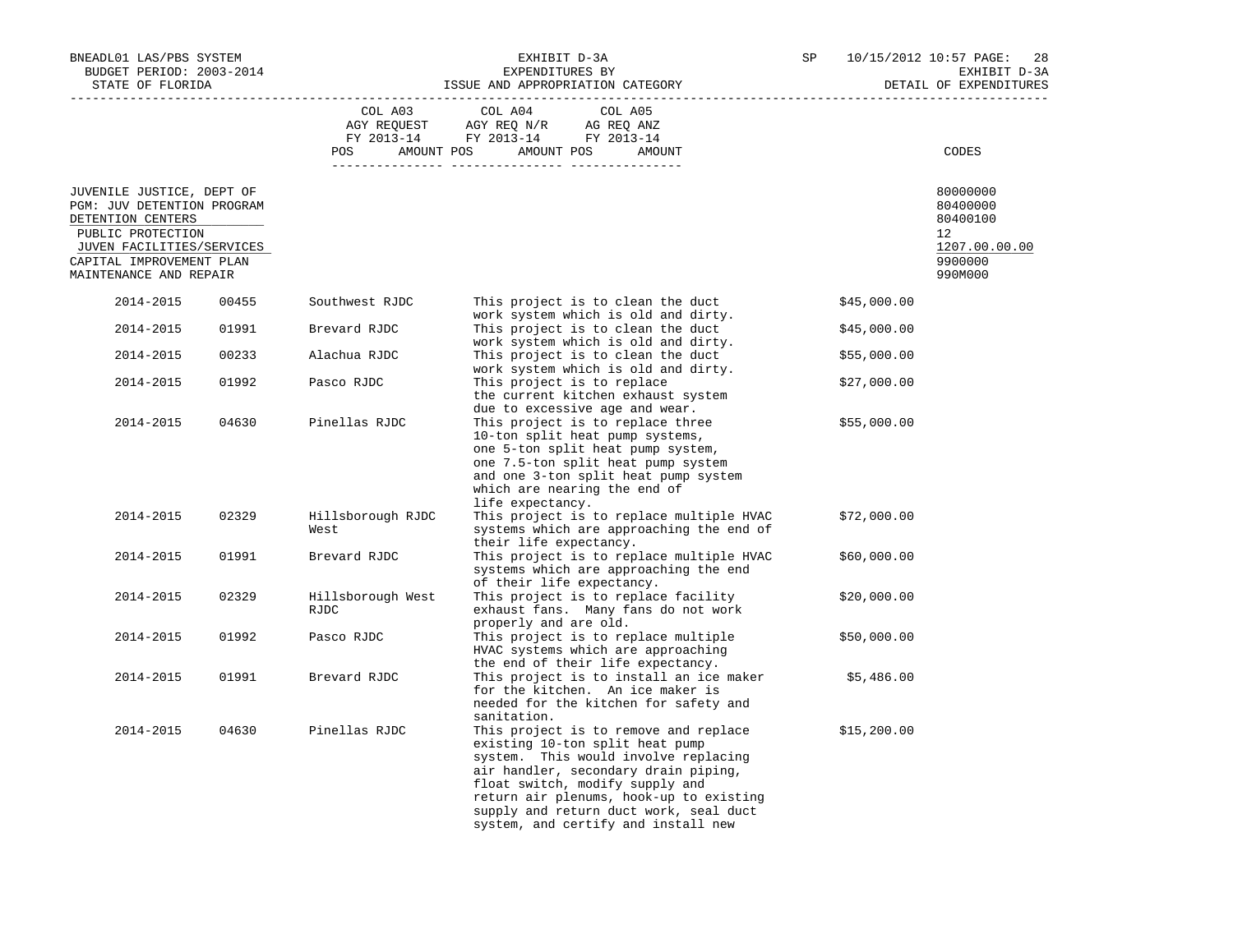| BNEADL01 LAS/PBS SYSTEM<br>BUDGET PERIOD: 2003-2014<br>STATE OF FLORIDA<br>_______________________________ |       |                           | EXHIBIT D-3A<br>EXPENDITURES BY<br>ISSUE AND APPROPRIATION CATEGORY                                                                                                                                                                                                                                                     | SP          | 10/15/2012 10:57 PAGE:<br>28<br>EXHIBIT D-3A<br>DETAIL OF EXPENDITURES |  |
|------------------------------------------------------------------------------------------------------------|-------|---------------------------|-------------------------------------------------------------------------------------------------------------------------------------------------------------------------------------------------------------------------------------------------------------------------------------------------------------------------|-------------|------------------------------------------------------------------------|--|
|                                                                                                            |       | COL A03                   | COL A04<br>COL A05<br>AGY REQUEST AGY REQ $\texttt{N/R}$ AG REQ ANZ<br>FY 2013-14 FY 2013-14 FY 2013-14                                                                                                                                                                                                                 |             |                                                                        |  |
|                                                                                                            |       | <b>POS</b>                | AMOUNT POS AMOUNT POS<br>AMOUNT                                                                                                                                                                                                                                                                                         |             | CODES                                                                  |  |
| JUVENILE JUSTICE, DEPT OF<br>PGM: JUV DETENTION PROGRAM<br>DETENTION CENTERS<br>PUBLIC PROTECTION          |       |                           |                                                                                                                                                                                                                                                                                                                         |             | 80000000<br>80400000<br>80400100<br>12                                 |  |
| JUVEN FACILITIES/SERVICES<br>CAPITAL IMPROVEMENT PLAN<br>MAINTENANCE AND REPAIR                            |       |                           |                                                                                                                                                                                                                                                                                                                         |             | 1207.00.00.00<br>9900000<br>990M000                                    |  |
| 2014-2015                                                                                                  | 00455 | Southwest RJDC            | This project is to clean the duct<br>work system which is old and dirty.                                                                                                                                                                                                                                                | \$45,000.00 |                                                                        |  |
| 2014-2015                                                                                                  | 01991 | Brevard RJDC              | This project is to clean the duct<br>work system which is old and dirty.                                                                                                                                                                                                                                                | \$45,000.00 |                                                                        |  |
| 2014-2015                                                                                                  | 00233 | Alachua RJDC              | This project is to clean the duct<br>work system which is old and dirty.                                                                                                                                                                                                                                                | \$55,000.00 |                                                                        |  |
| 2014-2015                                                                                                  | 01992 | Pasco RJDC                | This project is to replace<br>the current kitchen exhaust system<br>due to excessive age and wear.                                                                                                                                                                                                                      | \$27,000.00 |                                                                        |  |
| 2014-2015                                                                                                  | 04630 | Pinellas RJDC             | This project is to replace three<br>10-ton split heat pump systems,<br>one 5-ton split heat pump system,<br>one 7.5-ton split heat pump system<br>and one 3-ton split heat pump system<br>which are nearing the end of<br>life expectancy.                                                                              | \$55,000.00 |                                                                        |  |
| 2014-2015                                                                                                  | 02329 | Hillsborough RJDC<br>West | This project is to replace multiple HVAC<br>systems which are approaching the end of<br>their life expectancy.                                                                                                                                                                                                          | \$72,000.00 |                                                                        |  |
| 2014-2015                                                                                                  | 01991 | Brevard RJDC              | This project is to replace multiple HVAC<br>systems which are approaching the end<br>of their life expectancy.                                                                                                                                                                                                          | \$60,000.00 |                                                                        |  |
| 2014-2015                                                                                                  | 02329 | Hillsborough West<br>RJDC | This project is to replace facility<br>exhaust fans. Many fans do not work<br>properly and are old.                                                                                                                                                                                                                     | \$20,000.00 |                                                                        |  |
| 2014-2015                                                                                                  | 01992 | Pasco RJDC                | This project is to replace multiple<br>HVAC systems which are approaching<br>the end of their life expectancy.                                                                                                                                                                                                          | \$50,000.00 |                                                                        |  |
| 2014-2015                                                                                                  | 01991 | Brevard RJDC              | This project is to install an ice maker<br>for the kitchen. An ice maker is<br>needed for the kitchen for safety and<br>sanitation.                                                                                                                                                                                     | \$5,486.00  |                                                                        |  |
| 2014-2015                                                                                                  | 04630 | Pinellas RJDC             | This project is to remove and replace<br>existing 10-ton split heat pump<br>system. This would involve replacing<br>air handler, secondary drain piping,<br>float switch, modify supply and<br>return air plenums, hook-up to existing<br>supply and return duct work, seal duct<br>system, and certify and install new | \$15,200.00 |                                                                        |  |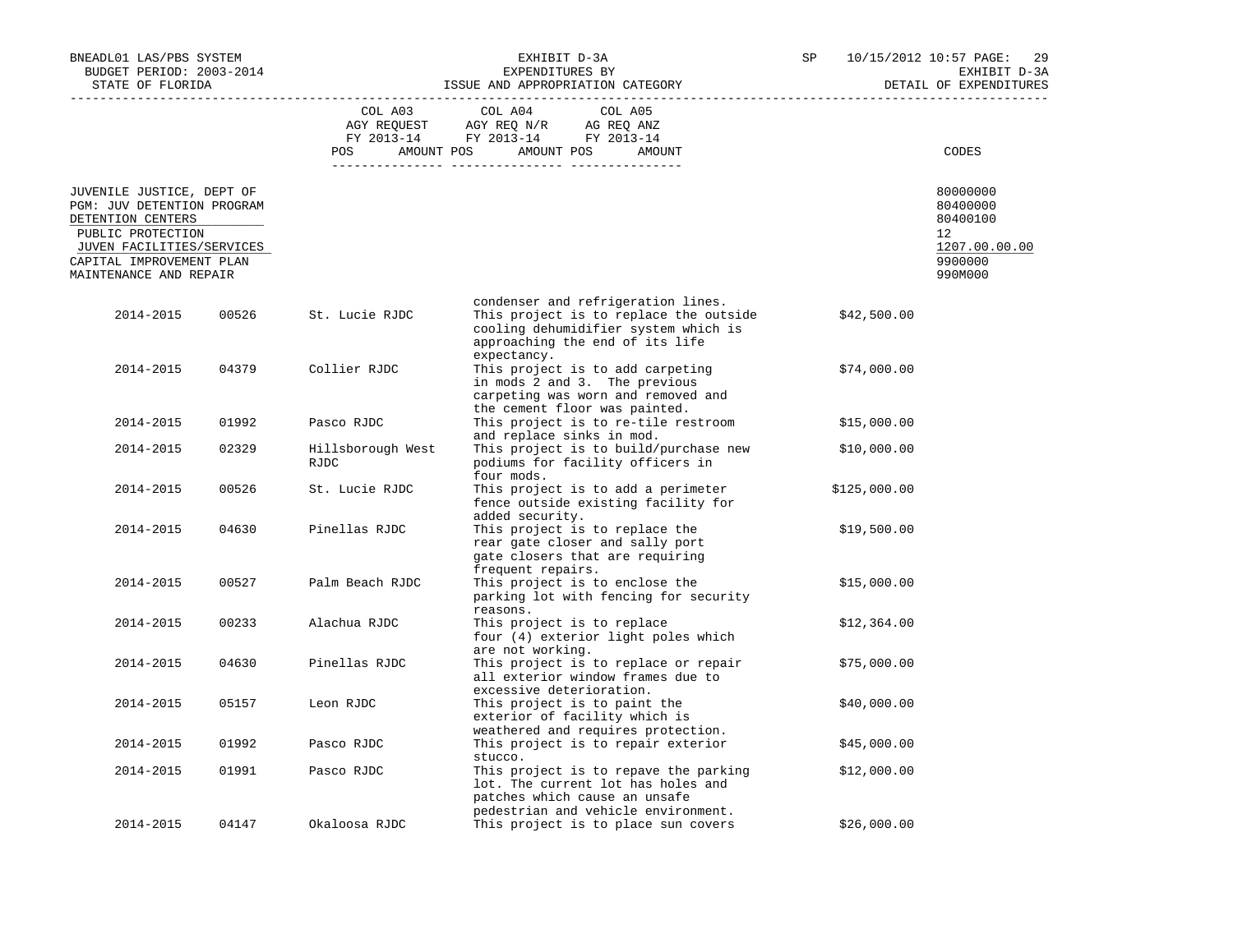| BNEADL01 LAS/PBS SYSTEM<br>BUDGET PERIOD: 2003-2014<br>STATE OF FLORIDA                                                                                                              |       | EXHIBIT D-3A<br>EXPENDITURES BY<br>ISSUE AND APPROPRIATION CATEGORY |                                                                                                                                                                        |  | 10/15/2012 10:57 PAGE:<br>29<br>EXHIBIT D-3A<br>DETAIL OF EXPENDITURES        |
|--------------------------------------------------------------------------------------------------------------------------------------------------------------------------------------|-------|---------------------------------------------------------------------|------------------------------------------------------------------------------------------------------------------------------------------------------------------------|--|-------------------------------------------------------------------------------|
|                                                                                                                                                                                      |       | COL A03<br><b>POS</b>                                               | COL A04<br>COL A05<br>AGY REQUEST AGY REQ N/R AG REQ ANZ<br>FY 2013-14 FY 2013-14 FY 2013-14<br>AMOUNT POS AMOUNT POS<br>AMOUNT                                        |  | CODES                                                                         |
| JUVENILE JUSTICE, DEPT OF<br>PGM: JUV DETENTION PROGRAM<br>DETENTION CENTERS<br>PUBLIC PROTECTION<br>JUVEN FACILITIES/SERVICES<br>CAPITAL IMPROVEMENT PLAN<br>MAINTENANCE AND REPAIR |       |                                                                     |                                                                                                                                                                        |  | 80000000<br>80400000<br>80400100<br>12<br>1207.00.00.00<br>9900000<br>990M000 |
| 2014-2015                                                                                                                                                                            | 00526 | St. Lucie RJDC                                                      | condenser and refrigeration lines.<br>This project is to replace the outside<br>cooling dehumidifier system which is<br>approaching the end of its life<br>expectancy. |  | \$42,500.00                                                                   |
| 2014-2015                                                                                                                                                                            | 04379 | Collier RJDC                                                        | This project is to add carpeting<br>in mods 2 and 3. The previous<br>carpeting was worn and removed and<br>the cement floor was painted.                               |  | \$74,000.00                                                                   |
| 2014-2015                                                                                                                                                                            | 01992 | Pasco RJDC                                                          | This project is to re-tile restroom<br>and replace sinks in mod.                                                                                                       |  | \$15,000.00                                                                   |
| 2014-2015                                                                                                                                                                            | 02329 | Hillsborough West<br>RJDC                                           | This project is to build/purchase new<br>podiums for facility officers in<br>four mods.                                                                                |  | \$10,000.00                                                                   |
| 2014-2015                                                                                                                                                                            | 00526 | St. Lucie RJDC                                                      | This project is to add a perimeter<br>fence outside existing facility for<br>added security.                                                                           |  | \$125,000.00                                                                  |
| 2014-2015                                                                                                                                                                            | 04630 | Pinellas RJDC                                                       | This project is to replace the<br>rear gate closer and sally port<br>gate closers that are requiring<br>frequent repairs.                                              |  | \$19,500.00                                                                   |
| 2014-2015                                                                                                                                                                            | 00527 | Palm Beach RJDC                                                     | This project is to enclose the<br>parking lot with fencing for security<br>reasons.                                                                                    |  | \$15,000.00                                                                   |
| 2014-2015                                                                                                                                                                            | 00233 | Alachua RJDC                                                        | This project is to replace<br>four (4) exterior light poles which<br>are not working.                                                                                  |  | \$12,364.00                                                                   |
| 2014-2015                                                                                                                                                                            | 04630 | Pinellas RJDC                                                       | This project is to replace or repair<br>all exterior window frames due to<br>excessive deterioration.                                                                  |  | \$75,000.00                                                                   |
| 2014-2015                                                                                                                                                                            | 05157 | Leon RJDC                                                           | This project is to paint the<br>exterior of facility which is<br>weathered and requires protection.                                                                    |  | \$40,000.00                                                                   |
| 2014-2015                                                                                                                                                                            | 01992 | Pasco RJDC                                                          | This project is to repair exterior<br>stucco.                                                                                                                          |  | \$45,000.00                                                                   |
| 2014-2015                                                                                                                                                                            | 01991 | Pasco RJDC                                                          | This project is to repave the parking<br>lot. The current lot has holes and<br>patches which cause an unsafe                                                           |  | \$12,000.00                                                                   |
| 2014-2015                                                                                                                                                                            | 04147 | Okaloosa RJDC                                                       | pedestrian and vehicle environment.<br>This project is to place sun covers                                                                                             |  | \$26,000.00                                                                   |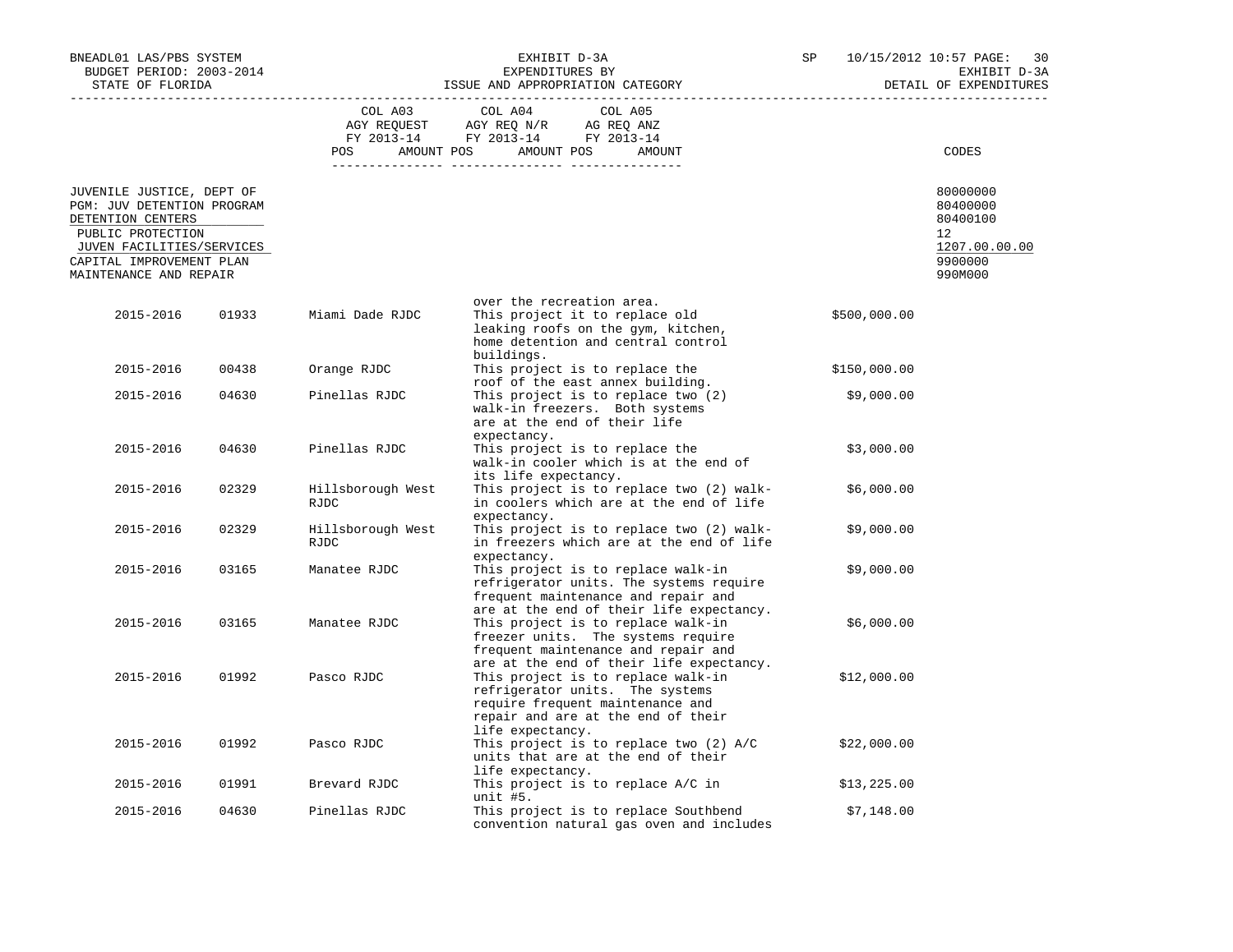| BNEADL01 LAS/PBS SYSTEM<br>BUDGET PERIOD: 2003-2014<br>STATE OF FLORIDA                                                                                                              |       | ISSUE AND APPROPRIATION CATEGORY | SP                                                                                                                                                                  | 10/15/2012 10:57 PAGE:<br>30<br>EXHIBIT D-3A<br>DETAIL OF EXPENDITURES |                                                                               |
|--------------------------------------------------------------------------------------------------------------------------------------------------------------------------------------|-------|----------------------------------|---------------------------------------------------------------------------------------------------------------------------------------------------------------------|------------------------------------------------------------------------|-------------------------------------------------------------------------------|
|                                                                                                                                                                                      |       | COL A03                          | COL A04<br>COL A05<br>AGY REQUEST AGY REQ N/R AG REQ ANZ<br>FY 2013-14 FY 2013-14 FY 2013-14<br>POS AMOUNT POS AMOUNT POS<br>AMOUNT                                 |                                                                        | CODES                                                                         |
|                                                                                                                                                                                      |       |                                  |                                                                                                                                                                     |                                                                        |                                                                               |
| JUVENILE JUSTICE, DEPT OF<br>PGM: JUV DETENTION PROGRAM<br>DETENTION CENTERS<br>PUBLIC PROTECTION<br>JUVEN FACILITIES/SERVICES<br>CAPITAL IMPROVEMENT PLAN<br>MAINTENANCE AND REPAIR |       |                                  |                                                                                                                                                                     |                                                                        | 80000000<br>80400000<br>80400100<br>12<br>1207.00.00.00<br>9900000<br>990M000 |
|                                                                                                                                                                                      |       |                                  | over the recreation area.                                                                                                                                           |                                                                        |                                                                               |
| 2015-2016                                                                                                                                                                            | 01933 | Miami Dade RJDC                  | This project it to replace old<br>leaking roofs on the gym, kitchen,<br>home detention and central control<br>buildings.                                            | \$500,000.00                                                           |                                                                               |
| 2015-2016                                                                                                                                                                            | 00438 | Orange RJDC                      | This project is to replace the<br>roof of the east annex building.                                                                                                  | \$150,000.00                                                           |                                                                               |
| 2015-2016                                                                                                                                                                            | 04630 | Pinellas RJDC                    | This project is to replace two (2)<br>walk-in freezers. Both systems<br>are at the end of their life<br>expectancy.                                                 | \$9,000.00                                                             |                                                                               |
| 2015-2016                                                                                                                                                                            | 04630 | Pinellas RJDC                    | This project is to replace the<br>walk-in cooler which is at the end of<br>its life expectancy.                                                                     | \$3,000.00                                                             |                                                                               |
| 2015-2016                                                                                                                                                                            | 02329 | Hillsborough West<br>RJDC        | This project is to replace two (2) walk-<br>in coolers which are at the end of life<br>expectancy.                                                                  | \$6,000.00                                                             |                                                                               |
| 2015-2016                                                                                                                                                                            | 02329 | Hillsborough West<br>RJDC        | This project is to replace two (2) walk-<br>in freezers which are at the end of life<br>expectancy.                                                                 | \$9,000.00                                                             |                                                                               |
| 2015-2016                                                                                                                                                                            | 03165 | Manatee RJDC                     | This project is to replace walk-in<br>refrigerator units. The systems require<br>frequent maintenance and repair and<br>are at the end of their life expectancy.    | \$9,000.00                                                             |                                                                               |
| 2015-2016                                                                                                                                                                            | 03165 | Manatee RJDC                     | This project is to replace walk-in<br>freezer units. The systems require<br>frequent maintenance and repair and<br>are at the end of their life expectancy.         | \$6,000.00                                                             |                                                                               |
| 2015-2016                                                                                                                                                                            | 01992 | Pasco RJDC                       | This project is to replace walk-in<br>refrigerator units. The systems<br>require frequent maintenance and<br>repair and are at the end of their<br>life expectancy. | \$12,000.00                                                            |                                                                               |
| 2015-2016                                                                                                                                                                            | 01992 | Pasco RJDC                       | This project is to replace two (2) A/C<br>units that are at the end of their<br>life expectancy.                                                                    | \$22,000.00                                                            |                                                                               |
| 2015-2016                                                                                                                                                                            | 01991 | Brevard RJDC                     | This project is to replace A/C in<br>unit #5.                                                                                                                       | \$13,225.00                                                            |                                                                               |
| 2015-2016                                                                                                                                                                            | 04630 | Pinellas RJDC                    | This project is to replace Southbend<br>convention natural gas oven and includes                                                                                    | \$7,148.00                                                             |                                                                               |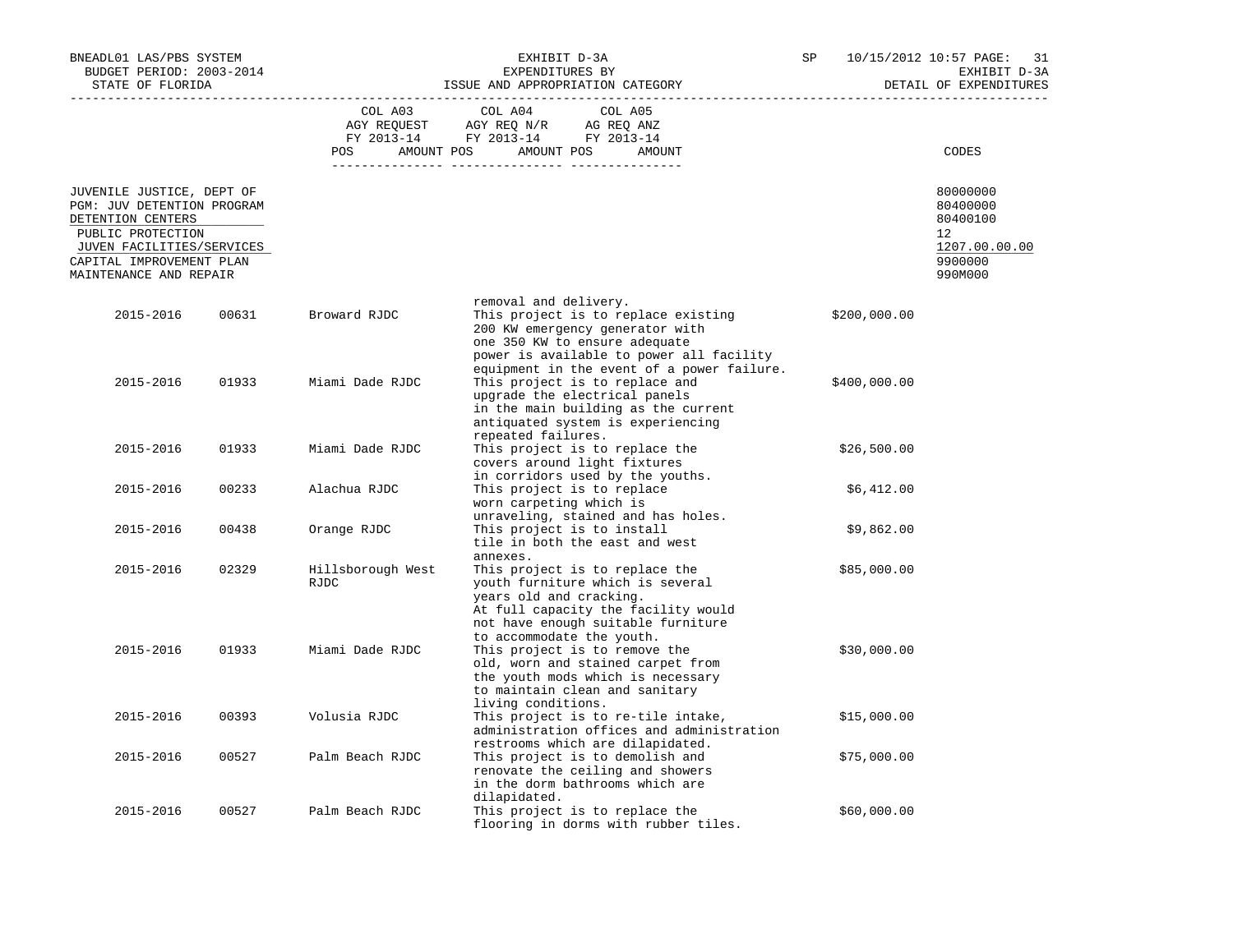| BNEADL01 LAS/PBS SYSTEM<br>BUDGET PERIOD: 2003-2014<br>STATE OF FLORIDA                           |       |                                  | EXHIBIT D-3A<br>EXPENDITURES BY<br>ISSUE AND APPROPRIATION CATEGORY                                                                                                                                     | SP           | 10/15/2012 10:57 PAGE:<br>31<br>EXHIBIT D-3A<br>DETAIL OF EXPENDITURES |
|---------------------------------------------------------------------------------------------------|-------|----------------------------------|---------------------------------------------------------------------------------------------------------------------------------------------------------------------------------------------------------|--------------|------------------------------------------------------------------------|
|                                                                                                   |       | COL A03<br>POS                   | COL A04<br>COL A05<br>AGY REQUEST AGY REQ N/R AG REQ ANZ<br>FY 2013-14 FY 2013-14 FY 2013-14<br>AMOUNT POS AMOUNT POS<br>AMOUNT                                                                         |              | CODES                                                                  |
|                                                                                                   |       |                                  |                                                                                                                                                                                                         |              |                                                                        |
| JUVENILE JUSTICE, DEPT OF<br>PGM: JUV DETENTION PROGRAM<br>DETENTION CENTERS<br>PUBLIC PROTECTION |       |                                  |                                                                                                                                                                                                         |              | 80000000<br>80400000<br>80400100<br>12                                 |
| JUVEN FACILITIES/SERVICES<br>CAPITAL IMPROVEMENT PLAN<br>MAINTENANCE AND REPAIR                   |       |                                  |                                                                                                                                                                                                         |              | 1207.00.00.00<br>9900000<br>990M000                                    |
|                                                                                                   |       |                                  | removal and delivery.                                                                                                                                                                                   |              |                                                                        |
| 2015-2016                                                                                         | 00631 | Broward RJDC                     | This project is to replace existing<br>200 KW emergency generator with<br>one 350 KW to ensure adequate<br>power is available to power all facility<br>equipment in the event of a power failure.       | \$200,000.00 |                                                                        |
| 2015-2016                                                                                         | 01933 | Miami Dade RJDC                  | This project is to replace and<br>upgrade the electrical panels<br>in the main building as the current<br>antiquated system is experiencing<br>repeated failures.                                       | \$400,000.00 |                                                                        |
| 2015-2016                                                                                         | 01933 | Miami Dade RJDC                  | This project is to replace the<br>covers around light fixtures<br>in corridors used by the youths.                                                                                                      | \$26,500.00  |                                                                        |
| 2015-2016                                                                                         | 00233 | Alachua RJDC                     | This project is to replace<br>worn carpeting which is<br>unraveling, stained and has holes.                                                                                                             | \$6,412.00   |                                                                        |
| 2015-2016                                                                                         | 00438 | Orange RJDC                      | This project is to install<br>tile in both the east and west<br>annexes.                                                                                                                                | \$9,862.00   |                                                                        |
| 2015-2016                                                                                         | 02329 | Hillsborough West<br><b>RJDC</b> | This project is to replace the<br>youth furniture which is several<br>years old and cracking.<br>At full capacity the facility would<br>not have enough suitable furniture<br>to accommodate the youth. | \$85,000.00  |                                                                        |
| 2015-2016                                                                                         | 01933 | Miami Dade RJDC                  | This project is to remove the<br>old, worn and stained carpet from<br>the youth mods which is necessary<br>to maintain clean and sanitary<br>living conditions.                                         | \$30,000.00  |                                                                        |
| 2015-2016                                                                                         | 00393 | Volusia RJDC                     | This project is to re-tile intake,<br>administration offices and administration<br>restrooms which are dilapidated.                                                                                     | \$15,000.00  |                                                                        |
| 2015-2016                                                                                         | 00527 | Palm Beach RJDC                  | This project is to demolish and<br>renovate the ceiling and showers<br>in the dorm bathrooms which are<br>dilapidated.                                                                                  | \$75,000.00  |                                                                        |
| 2015-2016                                                                                         | 00527 | Palm Beach RJDC                  | This project is to replace the<br>flooring in dorms with rubber tiles.                                                                                                                                  | \$60,000.00  |                                                                        |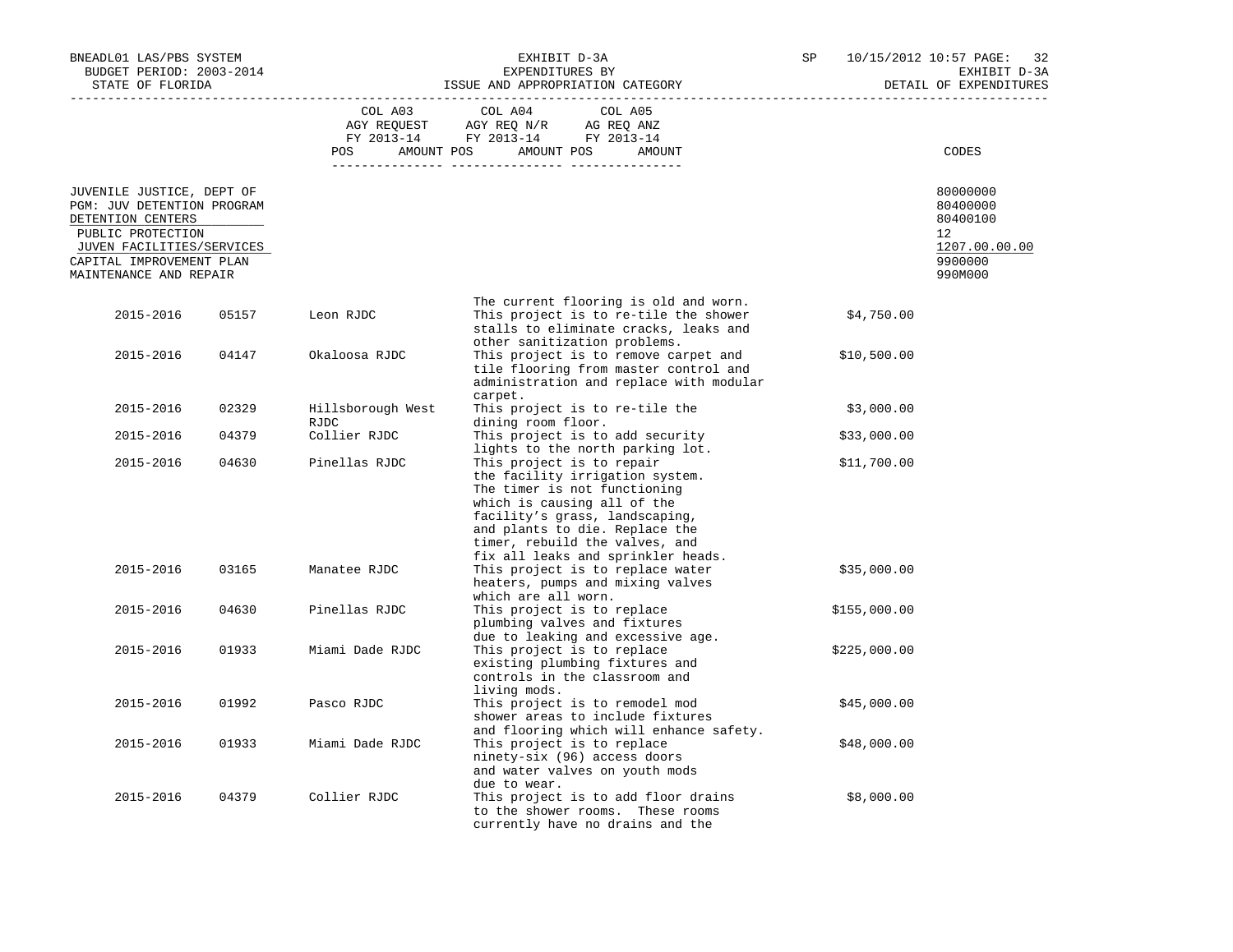| BNEADL01 LAS/PBS SYSTEM<br>BUDGET PERIOD: 2003-2014<br>STATE OF FLORIDA                                                                                                              |       |                                  | EXHIBIT D-3A<br>EXPENDITURES BY<br>ISSUE AND APPROPRIATION CATEGORY                                                                                                                                                                                                     | SP           | 10/15/2012 10:57 PAGE:<br>32<br>EXHIBIT D-3A<br>DETAIL OF EXPENDITURES        |  |
|--------------------------------------------------------------------------------------------------------------------------------------------------------------------------------------|-------|----------------------------------|-------------------------------------------------------------------------------------------------------------------------------------------------------------------------------------------------------------------------------------------------------------------------|--------------|-------------------------------------------------------------------------------|--|
|                                                                                                                                                                                      |       | COL A03                          | COL A04<br>COL A05<br>POS AMOUNT POS AMOUNT POS AMOUNT                                                                                                                                                                                                                  |              | <b>CODES</b>                                                                  |  |
|                                                                                                                                                                                      |       |                                  |                                                                                                                                                                                                                                                                         |              |                                                                               |  |
| JUVENILE JUSTICE, DEPT OF<br>PGM: JUV DETENTION PROGRAM<br>DETENTION CENTERS<br>PUBLIC PROTECTION<br>JUVEN FACILITIES/SERVICES<br>CAPITAL IMPROVEMENT PLAN<br>MAINTENANCE AND REPAIR |       |                                  |                                                                                                                                                                                                                                                                         |              | 80000000<br>80400000<br>80400100<br>12<br>1207.00.00.00<br>9900000<br>990M000 |  |
| 2015-2016                                                                                                                                                                            | 05157 | Leon RJDC                        | The current flooring is old and worn.<br>This project is to re-tile the shower<br>stalls to eliminate cracks, leaks and<br>other sanitization problems.                                                                                                                 | \$4,750.00   |                                                                               |  |
| 2015-2016                                                                                                                                                                            | 04147 | Okaloosa RJDC                    | This project is to remove carpet and<br>tile flooring from master control and<br>administration and replace with modular<br>carpet.                                                                                                                                     | \$10,500.00  |                                                                               |  |
| 2015-2016                                                                                                                                                                            | 02329 | Hillsborough West<br><b>RJDC</b> | This project is to re-tile the<br>dining room floor.                                                                                                                                                                                                                    | \$3,000.00   |                                                                               |  |
| 2015-2016                                                                                                                                                                            | 04379 | Collier RJDC                     | This project is to add security<br>lights to the north parking lot.                                                                                                                                                                                                     | \$33,000.00  |                                                                               |  |
| 2015-2016                                                                                                                                                                            | 04630 | Pinellas RJDC                    | This project is to repair<br>the facility irrigation system.<br>The timer is not functioning<br>which is causing all of the<br>facility's grass, landscaping,<br>and plants to die. Replace the<br>timer, rebuild the valves, and<br>fix all leaks and sprinkler heads. | \$11,700.00  |                                                                               |  |
| 2015-2016                                                                                                                                                                            | 03165 | Manatee RJDC                     | This project is to replace water<br>heaters, pumps and mixing valves<br>which are all worn.                                                                                                                                                                             | \$35,000.00  |                                                                               |  |
| 2015-2016                                                                                                                                                                            | 04630 | Pinellas RJDC                    | This project is to replace<br>plumbing valves and fixtures<br>due to leaking and excessive age.                                                                                                                                                                         | \$155,000.00 |                                                                               |  |
| 2015-2016                                                                                                                                                                            | 01933 | Miami Dade RJDC                  | This project is to replace<br>existing plumbing fixtures and<br>controls in the classroom and<br>living mods.                                                                                                                                                           | \$225,000.00 |                                                                               |  |
| 2015-2016                                                                                                                                                                            | 01992 | Pasco RJDC                       | This project is to remodel mod<br>shower areas to include fixtures<br>and flooring which will enhance safety.                                                                                                                                                           | \$45,000.00  |                                                                               |  |
| 2015-2016                                                                                                                                                                            | 01933 | Miami Dade RJDC                  | This project is to replace<br>ninety-six (96) access doors<br>and water valves on youth mods<br>due to wear.                                                                                                                                                            | \$48,000.00  |                                                                               |  |
| 2015-2016                                                                                                                                                                            | 04379 | Collier RJDC                     | This project is to add floor drains<br>to the shower rooms. These rooms<br>currently have no drains and the                                                                                                                                                             | \$8,000.00   |                                                                               |  |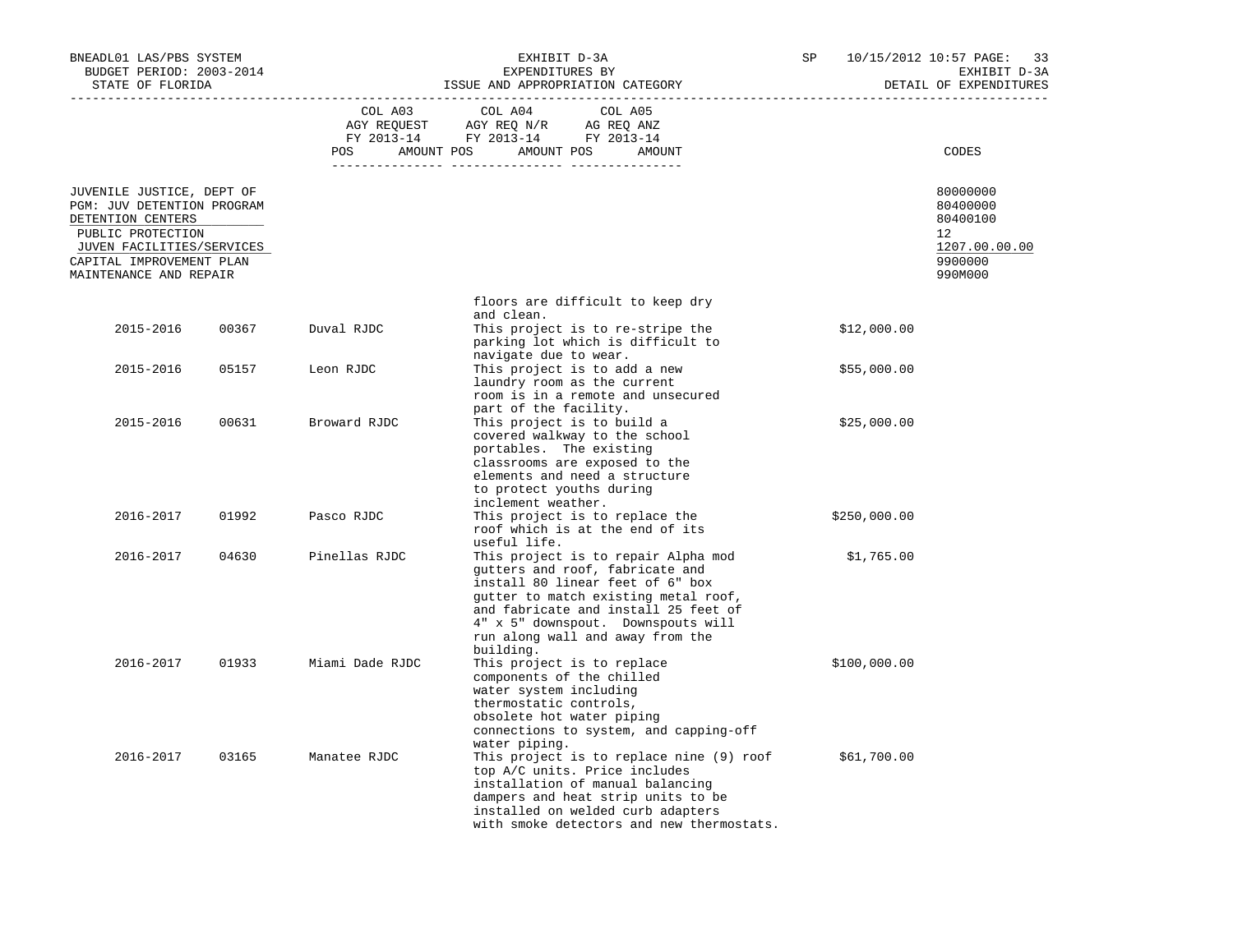| BNEADL01 LAS/PBS SYSTEM<br>BUDGET PERIOD: 2003-2014<br>STATE OF FLORIDA                                                                                                              |       | EXHIBIT D-3A<br>EXPENDITURES BY<br>ISSUE AND APPROPRIATION CATEGORY |                                                                                                                                                                                                                                                                                   | SP           | 10/15/2012 10:57 PAGE:<br>33<br>EXHIBIT D-3A<br>DETAIL OF EXPENDITURES        |  |
|--------------------------------------------------------------------------------------------------------------------------------------------------------------------------------------|-------|---------------------------------------------------------------------|-----------------------------------------------------------------------------------------------------------------------------------------------------------------------------------------------------------------------------------------------------------------------------------|--------------|-------------------------------------------------------------------------------|--|
|                                                                                                                                                                                      |       | COL A03<br>POS                                                      | COL A04<br>COL A05<br>AGY REQUEST AGY REQ N/R AG REQ ANZ<br>FY 2013-14 FY 2013-14 FY 2013-14<br>AMOUNT POS AMOUNT POS<br>AMOUNT                                                                                                                                                   |              | CODES                                                                         |  |
| JUVENILE JUSTICE, DEPT OF<br>PGM: JUV DETENTION PROGRAM<br>DETENTION CENTERS<br>PUBLIC PROTECTION<br>JUVEN FACILITIES/SERVICES<br>CAPITAL IMPROVEMENT PLAN<br>MAINTENANCE AND REPAIR |       |                                                                     |                                                                                                                                                                                                                                                                                   |              | 80000000<br>80400000<br>80400100<br>12<br>1207.00.00.00<br>9900000<br>990M000 |  |
|                                                                                                                                                                                      |       |                                                                     | floors are difficult to keep dry                                                                                                                                                                                                                                                  |              |                                                                               |  |
| 2015-2016                                                                                                                                                                            | 00367 | Duval RJDC                                                          | and clean.<br>This project is to re-stripe the<br>parking lot which is difficult to<br>navigate due to wear.                                                                                                                                                                      | \$12,000.00  |                                                                               |  |
| 2015-2016                                                                                                                                                                            | 05157 | Leon RJDC                                                           | This project is to add a new<br>laundry room as the current<br>room is in a remote and unsecured<br>part of the facility.                                                                                                                                                         | \$55,000.00  |                                                                               |  |
| 2015-2016                                                                                                                                                                            | 00631 | Broward RJDC                                                        | This project is to build a<br>covered walkway to the school<br>portables. The existing<br>classrooms are exposed to the<br>elements and need a structure<br>to protect youths during                                                                                              | \$25,000.00  |                                                                               |  |
| 2016-2017                                                                                                                                                                            | 01992 | Pasco RJDC                                                          | inclement weather.<br>This project is to replace the<br>roof which is at the end of its<br>useful life.                                                                                                                                                                           | \$250,000.00 |                                                                               |  |
| 2016-2017                                                                                                                                                                            | 04630 | Pinellas RJDC                                                       | This project is to repair Alpha mod<br>gutters and roof, fabricate and<br>install 80 linear feet of 6" box<br>gutter to match existing metal roof,<br>and fabricate and install 25 feet of<br>4" x 5" downspout. Downspouts will<br>run along wall and away from the<br>building. | \$1,765.00   |                                                                               |  |
| 2016-2017                                                                                                                                                                            | 01933 | Miami Dade RJDC                                                     | This project is to replace<br>components of the chilled<br>water system including<br>thermostatic controls,<br>obsolete hot water piping<br>connections to system, and capping-off<br>water piping.                                                                               | \$100,000.00 |                                                                               |  |
| 2016-2017                                                                                                                                                                            | 03165 | Manatee RJDC                                                        | This project is to replace nine (9) roof<br>top A/C units. Price includes<br>installation of manual balancing<br>dampers and heat strip units to be<br>installed on welded curb adapters<br>with smoke detectors and new thermostats.                                             | \$61,700.00  |                                                                               |  |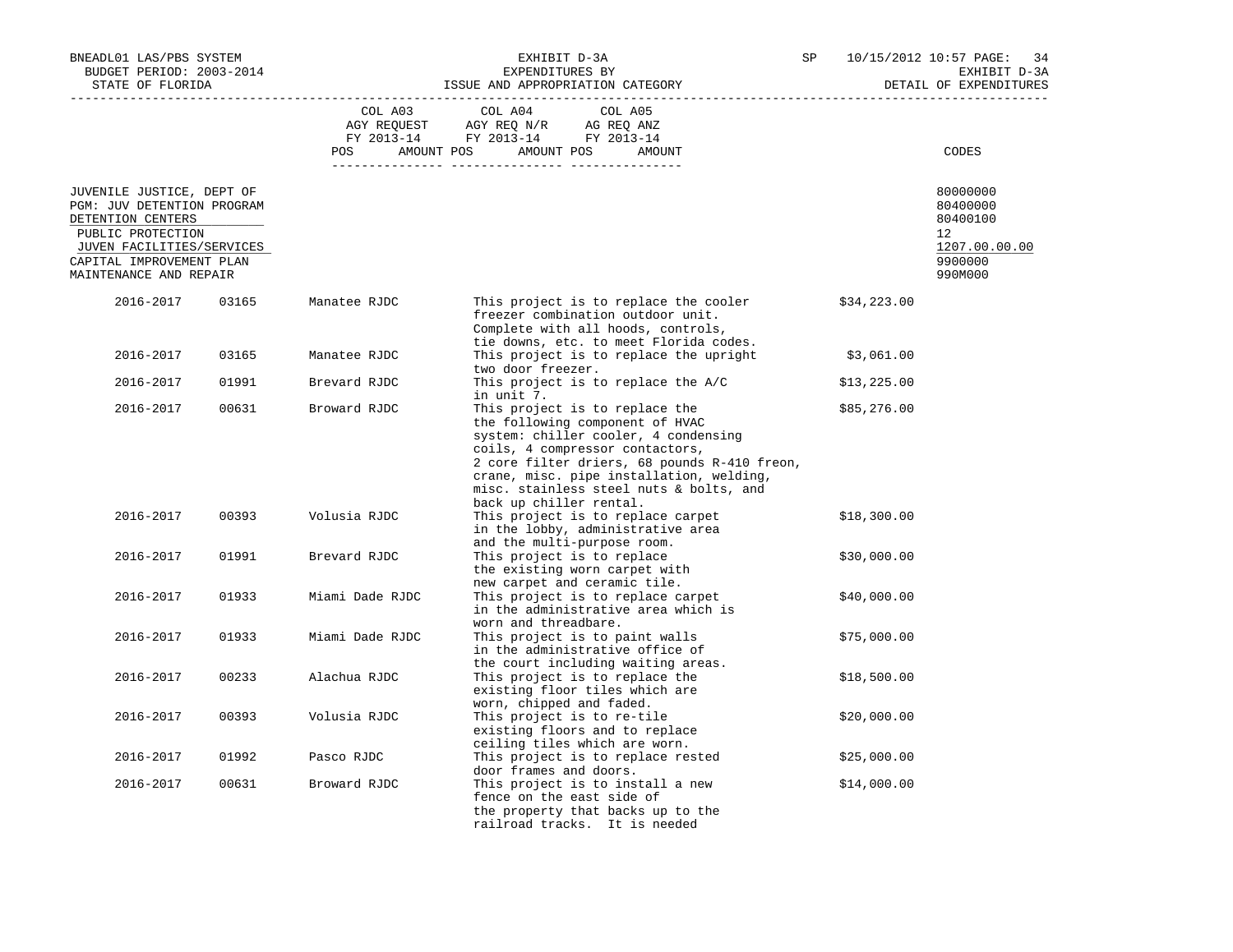| BNEADL01 LAS/PBS SYSTEM<br>BUDGET PERIOD: 2003-2014<br>STATE OF FLORIDA                                                                                                              |       | EXHIBIT D-3A<br>EXPENDITURES BY<br>ISSUE AND APPROPRIATION CATEGORY |                                                                                                                                                                                                                                                                                                                | SP          | 10/15/2012 10:57 PAGE: 34<br>EXHIBIT D-3A<br>DETAIL OF EXPENDITURES           |  |
|--------------------------------------------------------------------------------------------------------------------------------------------------------------------------------------|-------|---------------------------------------------------------------------|----------------------------------------------------------------------------------------------------------------------------------------------------------------------------------------------------------------------------------------------------------------------------------------------------------------|-------------|-------------------------------------------------------------------------------|--|
|                                                                                                                                                                                      |       |                                                                     | COL A03 COL A04<br>COL A05<br>AGY REQUEST AGY REQ N/R AG REQ ANZ<br>FY 2013-14 FY 2013-14 FY 2013-14<br>POS AMOUNT POS AMOUNT POS<br>AMOUNT                                                                                                                                                                    |             | CODES                                                                         |  |
| JUVENILE JUSTICE, DEPT OF<br>PGM: JUV DETENTION PROGRAM<br>DETENTION CENTERS<br>PUBLIC PROTECTION<br>JUVEN FACILITIES/SERVICES<br>CAPITAL IMPROVEMENT PLAN<br>MAINTENANCE AND REPAIR |       |                                                                     |                                                                                                                                                                                                                                                                                                                |             | 80000000<br>80400000<br>80400100<br>12<br>1207.00.00.00<br>9900000<br>990M000 |  |
| 2016-2017                                                                                                                                                                            | 03165 | Manatee RJDC                                                        | This project is to replace the cooler<br>freezer combination outdoor unit.<br>Complete with all hoods, controls,                                                                                                                                                                                               | \$34,223.00 |                                                                               |  |
| 2016-2017                                                                                                                                                                            | 03165 | Manatee RJDC                                                        | tie downs, etc. to meet Florida codes.<br>This project is to replace the upright<br>two door freezer.                                                                                                                                                                                                          | \$3,061.00  |                                                                               |  |
| 2016-2017                                                                                                                                                                            | 01991 | Brevard RJDC                                                        | This project is to replace the A/C<br>in unit 7.                                                                                                                                                                                                                                                               | \$13,225.00 |                                                                               |  |
| 2016-2017                                                                                                                                                                            | 00631 | Broward RJDC                                                        | This project is to replace the<br>the following component of HVAC<br>system: chiller cooler, 4 condensing<br>coils, 4 compressor contactors,<br>2 core filter driers, 68 pounds R-410 freon,<br>crane, misc. pipe installation, welding,<br>misc. stainless steel nuts & bolts, and<br>back up chiller rental. | \$85,276.00 |                                                                               |  |
| 2016-2017                                                                                                                                                                            | 00393 | Volusia RJDC                                                        | This project is to replace carpet<br>in the lobby, administrative area<br>and the multi-purpose room.                                                                                                                                                                                                          | \$18,300.00 |                                                                               |  |
| 2016-2017                                                                                                                                                                            | 01991 | Brevard RJDC                                                        | This project is to replace<br>the existing worn carpet with<br>new carpet and ceramic tile.                                                                                                                                                                                                                    | \$30,000.00 |                                                                               |  |
| 2016-2017                                                                                                                                                                            | 01933 | Miami Dade RJDC                                                     | This project is to replace carpet<br>in the administrative area which is<br>worn and threadbare.                                                                                                                                                                                                               | \$40,000.00 |                                                                               |  |
| 2016-2017                                                                                                                                                                            | 01933 | Miami Dade RJDC                                                     | This project is to paint walls<br>in the administrative office of<br>the court including waiting areas.                                                                                                                                                                                                        | \$75,000.00 |                                                                               |  |
| 2016-2017                                                                                                                                                                            | 00233 | Alachua RJDC                                                        | This project is to replace the<br>existing floor tiles which are<br>worn, chipped and faded.                                                                                                                                                                                                                   | \$18,500.00 |                                                                               |  |
| 2016-2017                                                                                                                                                                            | 00393 | Volusia RJDC                                                        | This project is to re-tile<br>existing floors and to replace<br>ceiling tiles which are worn.                                                                                                                                                                                                                  | \$20,000.00 |                                                                               |  |
| 2016-2017                                                                                                                                                                            | 01992 | Pasco RJDC                                                          | This project is to replace rested<br>door frames and doors.                                                                                                                                                                                                                                                    | \$25,000.00 |                                                                               |  |
| 2016-2017                                                                                                                                                                            | 00631 | Broward RJDC                                                        | This project is to install a new<br>fence on the east side of<br>the property that backs up to the<br>railroad tracks. It is needed                                                                                                                                                                            | \$14,000.00 |                                                                               |  |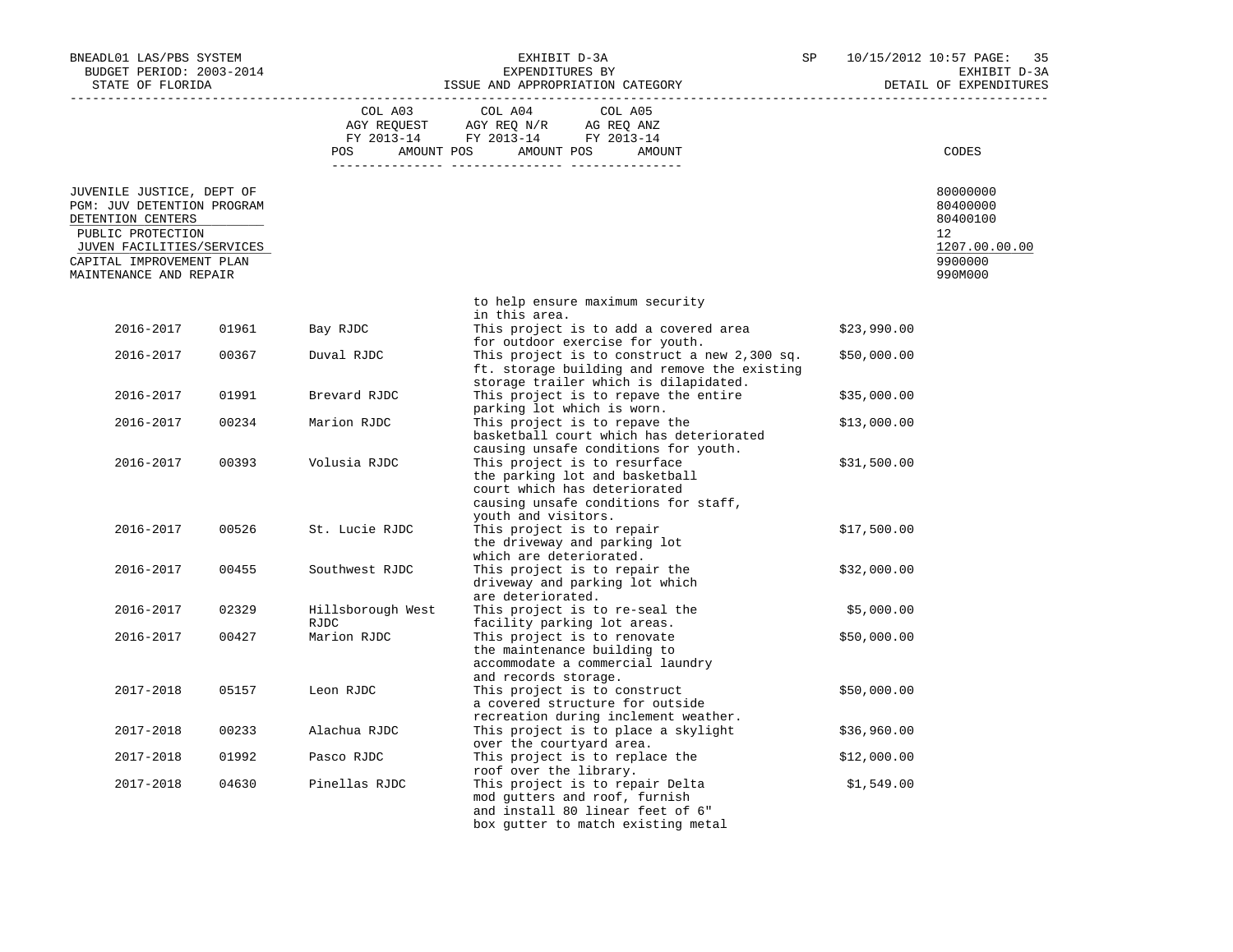| BNEADL01 LAS/PBS SYSTEM<br>BUDGET PERIOD: 2003-2014<br>STATE OF FLORIDA                                                                                                              |       | EXHIBIT D-3A<br>SP<br>EXPENDITURES BY<br>ISSUE AND APPROPRIATION CATEGORY |                                                                                                                                                                                | 10/15/2012 10:57 PAGE:<br>35<br>EXHIBIT D-3A<br>DETAIL OF EXPENDITURES |                                                                               |
|--------------------------------------------------------------------------------------------------------------------------------------------------------------------------------------|-------|---------------------------------------------------------------------------|--------------------------------------------------------------------------------------------------------------------------------------------------------------------------------|------------------------------------------------------------------------|-------------------------------------------------------------------------------|
|                                                                                                                                                                                      |       | COL A03<br>POS FOR                                                        | COL A05<br>COL A04<br>AGY REQUEST AGY REQ N/R AG REQ ANZ<br>FY 2013-14 FY 2013-14 FY 2013-14<br>AMOUNT POS AMOUNT POS<br>AMOUNT                                                |                                                                        | CODES                                                                         |
| JUVENILE JUSTICE, DEPT OF<br>PGM: JUV DETENTION PROGRAM<br>DETENTION CENTERS<br>PUBLIC PROTECTION<br>JUVEN FACILITIES/SERVICES<br>CAPITAL IMPROVEMENT PLAN<br>MAINTENANCE AND REPAIR |       |                                                                           |                                                                                                                                                                                |                                                                        | 80000000<br>80400000<br>80400100<br>12<br>1207.00.00.00<br>9900000<br>990M000 |
|                                                                                                                                                                                      |       |                                                                           | to help ensure maximum security<br>in this area.                                                                                                                               |                                                                        |                                                                               |
| 2016-2017                                                                                                                                                                            | 01961 | Bay RJDC                                                                  | This project is to add a covered area<br>for outdoor exercise for youth.                                                                                                       | \$23,990.00                                                            |                                                                               |
| 2016-2017                                                                                                                                                                            | 00367 | Duval RJDC                                                                | This project is to construct a new 2,300 sq.<br>ft. storage building and remove the existing<br>storage trailer which is dilapidated.                                          | \$50,000.00                                                            |                                                                               |
| 2016-2017                                                                                                                                                                            | 01991 | Brevard RJDC                                                              | This project is to repave the entire                                                                                                                                           | \$35,000.00                                                            |                                                                               |
| 2016-2017                                                                                                                                                                            | 00234 | Marion RJDC                                                               | parking lot which is worn.<br>This project is to repave the<br>basketball court which has deteriorated                                                                         | \$13,000.00                                                            |                                                                               |
| 2016-2017                                                                                                                                                                            | 00393 | Volusia RJDC                                                              | causing unsafe conditions for youth.<br>This project is to resurface<br>the parking lot and basketball<br>court which has deteriorated<br>causing unsafe conditions for staff, | \$31,500.00                                                            |                                                                               |
| 2016-2017                                                                                                                                                                            | 00526 | St. Lucie RJDC                                                            | youth and visitors.<br>This project is to repair<br>the driveway and parking lot                                                                                               | \$17,500.00                                                            |                                                                               |
| 2016-2017                                                                                                                                                                            | 00455 | Southwest RJDC                                                            | which are deteriorated.<br>This project is to repair the<br>driveway and parking lot which<br>are deteriorated.                                                                | \$32,000.00                                                            |                                                                               |
| 2016-2017                                                                                                                                                                            | 02329 | Hillsborough West<br><b>RJDC</b>                                          | This project is to re-seal the                                                                                                                                                 | \$5,000.00                                                             |                                                                               |
| 2016-2017                                                                                                                                                                            | 00427 | Marion RJDC                                                               | facility parking lot areas.<br>This project is to renovate<br>the maintenance building to<br>accommodate a commercial laundry<br>and records storage.                          | \$50,000.00                                                            |                                                                               |
| 2017-2018                                                                                                                                                                            | 05157 | Leon RJDC                                                                 | This project is to construct<br>a covered structure for outside<br>recreation during inclement weather.                                                                        | \$50,000.00                                                            |                                                                               |
| 2017-2018                                                                                                                                                                            | 00233 | Alachua RJDC                                                              | This project is to place a skylight                                                                                                                                            | \$36,960.00                                                            |                                                                               |
| 2017-2018                                                                                                                                                                            | 01992 | Pasco RJDC                                                                | over the courtyard area.<br>This project is to replace the                                                                                                                     | \$12,000.00                                                            |                                                                               |
| 2017-2018                                                                                                                                                                            | 04630 | Pinellas RJDC                                                             | roof over the library.<br>This project is to repair Delta<br>mod gutters and roof, furnish<br>and install 80 linear feet of 6"<br>box gutter to match existing metal           | \$1,549.00                                                             |                                                                               |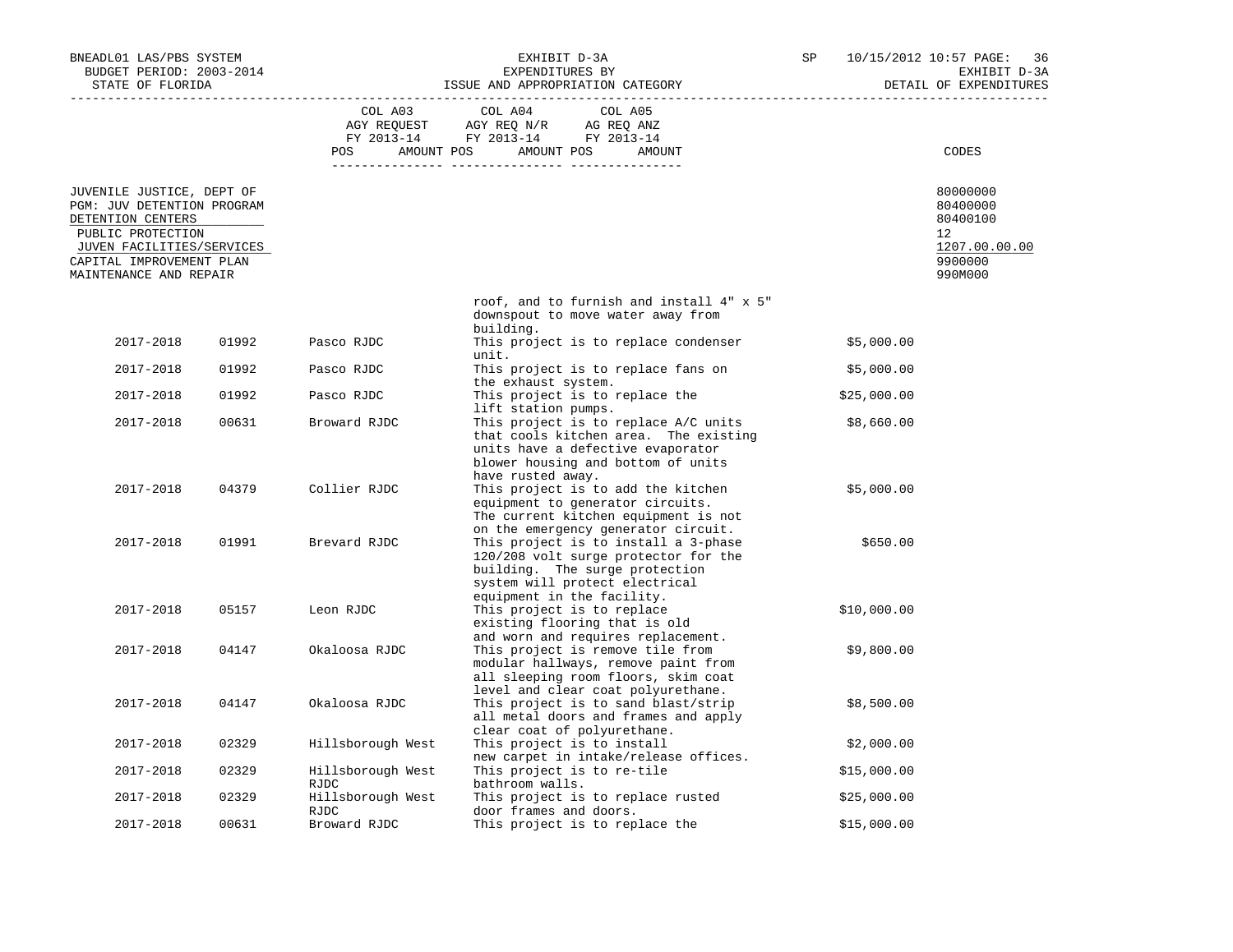| BNEADL01 LAS/PBS SYSTEM<br>BUDGET PERIOD: 2003-2014<br>STATE OF FLORIDA                                                                                                              |       | EXHIBIT D-3A<br>EXPENDITURES BY<br>ISSUE AND APPROPRIATION CATEGORY |                                                                                                                                                                                         | SP          | 10/15/2012 10:57 PAGE:<br>36<br>EXHIBIT D-3A                                               |
|--------------------------------------------------------------------------------------------------------------------------------------------------------------------------------------|-------|---------------------------------------------------------------------|-----------------------------------------------------------------------------------------------------------------------------------------------------------------------------------------|-------------|--------------------------------------------------------------------------------------------|
|                                                                                                                                                                                      |       |                                                                     |                                                                                                                                                                                         |             | DETAIL OF EXPENDITURES                                                                     |
|                                                                                                                                                                                      |       | COL A03                                                             | COL A04<br>COL A05<br>POS AMOUNT POS AMOUNT POS AMOUNT                                                                                                                                  |             | CODES                                                                                      |
| JUVENILE JUSTICE, DEPT OF<br>PGM: JUV DETENTION PROGRAM<br>DETENTION CENTERS<br>PUBLIC PROTECTION<br>JUVEN FACILITIES/SERVICES<br>CAPITAL IMPROVEMENT PLAN<br>MAINTENANCE AND REPAIR |       |                                                                     |                                                                                                                                                                                         |             | 80000000<br>80400000<br>80400100<br>12 <sup>°</sup><br>1207.00.00.00<br>9900000<br>990M000 |
|                                                                                                                                                                                      |       |                                                                     | roof, and to furnish and install 4" x 5"<br>downspout to move water away from                                                                                                           |             |                                                                                            |
| 2017-2018                                                                                                                                                                            | 01992 | Pasco RJDC                                                          | building.<br>This project is to replace condenser<br>unit.                                                                                                                              | \$5,000.00  |                                                                                            |
| 2017-2018                                                                                                                                                                            | 01992 | Pasco RJDC                                                          | This project is to replace fans on<br>the exhaust system.                                                                                                                               | \$5,000.00  |                                                                                            |
| 2017-2018                                                                                                                                                                            | 01992 | Pasco RJDC                                                          | This project is to replace the<br>lift station pumps.                                                                                                                                   | \$25,000.00 |                                                                                            |
| 2017-2018                                                                                                                                                                            | 00631 | Broward RJDC                                                        | This project is to replace A/C units<br>that cools kitchen area. The existing<br>units have a defective evaporator<br>blower housing and bottom of units                                | \$8,660.00  |                                                                                            |
| 2017-2018                                                                                                                                                                            | 04379 | Collier RJDC                                                        | have rusted away.<br>This project is to add the kitchen<br>equipment to generator circuits.<br>The current kitchen equipment is not                                                     | \$5,000.00  |                                                                                            |
| 2017-2018                                                                                                                                                                            | 01991 | Brevard RJDC                                                        | on the emergency generator circuit.<br>This project is to install a 3-phase<br>120/208 volt surge protector for the<br>building. The surge protection<br>system will protect electrical |             | \$650.00                                                                                   |
| 2017-2018                                                                                                                                                                            | 05157 | Leon RJDC                                                           | equipment in the facility.<br>This project is to replace<br>existing flooring that is old<br>and worn and requires replacement.                                                         | \$10,000.00 |                                                                                            |
| 2017-2018                                                                                                                                                                            | 04147 | Okaloosa RJDC                                                       | This project is remove tile from<br>modular hallways, remove paint from<br>all sleeping room floors, skim coat                                                                          | \$9,800.00  |                                                                                            |
| 2017-2018                                                                                                                                                                            | 04147 | Okaloosa RJDC                                                       | level and clear coat polyurethane.<br>This project is to sand blast/strip<br>all metal doors and frames and apply<br>clear coat of polyurethane.                                        | \$8,500.00  |                                                                                            |
| 2017-2018                                                                                                                                                                            | 02329 | Hillsborough West                                                   | This project is to install<br>new carpet in intake/release offices.                                                                                                                     | \$2,000.00  |                                                                                            |
| 2017-2018                                                                                                                                                                            | 02329 | Hillsborough West<br>RJDC                                           | This project is to re-tile<br>bathroom walls.                                                                                                                                           | \$15,000.00 |                                                                                            |
| 2017-2018                                                                                                                                                                            | 02329 | Hillsborough West<br>RJDC                                           | This project is to replace rusted<br>door frames and doors.                                                                                                                             | \$25,000.00 |                                                                                            |
| 2017-2018                                                                                                                                                                            | 00631 | Broward RJDC                                                        | This project is to replace the                                                                                                                                                          | \$15,000.00 |                                                                                            |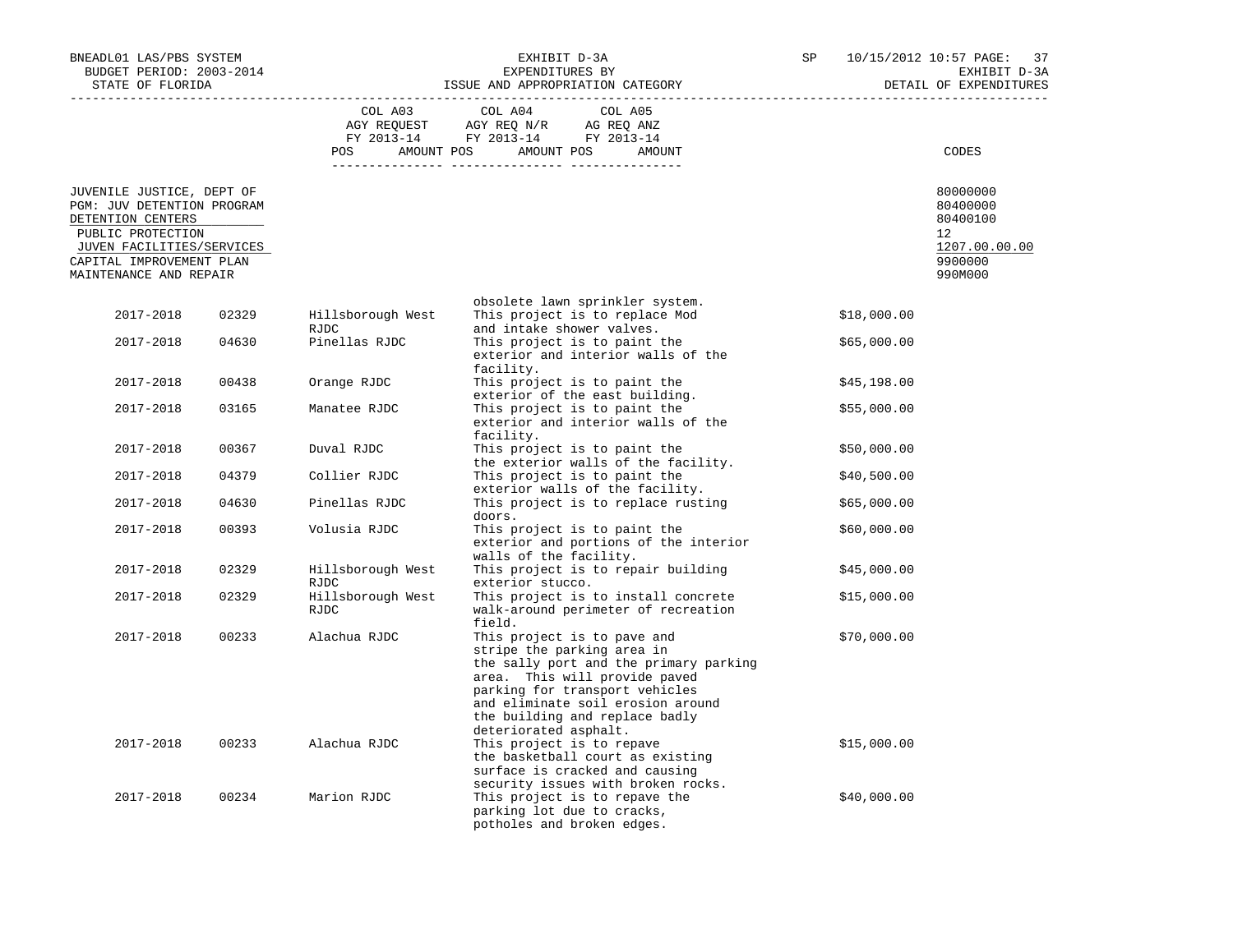| BNEADL01 LAS/PBS SYSTEM<br>BUDGET PERIOD: 2003-2014<br>STATE OF FLORIDA                                                                                                              |       | EXHIBIT D-3A<br>EXPENDITURES BY<br>ISSUE AND APPROPRIATION CATEGORY |                                                                                                                                                                                                                                                                        |  |             | 10/15/2012 10:57 PAGE:<br>37<br>EXHIBIT D-3A<br>DETAIL OF EXPENDITURES                  |  |
|--------------------------------------------------------------------------------------------------------------------------------------------------------------------------------------|-------|---------------------------------------------------------------------|------------------------------------------------------------------------------------------------------------------------------------------------------------------------------------------------------------------------------------------------------------------------|--|-------------|-----------------------------------------------------------------------------------------|--|
|                                                                                                                                                                                      |       | COL A03                                                             | COL A04<br>COL A05<br>$\begin{tabular}{lllllll} \bf AGY \;\; REG \;SIST \; & \tt AGY \;\; REG \;\; N/R & \tt AG \;\; REG \;\; ANZ \\ \hline \tt FY \;\; 2013-14 & \tt FY \;\; 2013-14 & \tt FY \;\; 2013-14 \\ \end{tabular}$<br>POS AMOUNT POS AMOUNT POS<br>AMOUNT   |  |             | CODES                                                                                   |  |
| JUVENILE JUSTICE, DEPT OF<br>PGM: JUV DETENTION PROGRAM<br>DETENTION CENTERS<br>PUBLIC PROTECTION<br>JUVEN FACILITIES/SERVICES<br>CAPITAL IMPROVEMENT PLAN<br>MAINTENANCE AND REPAIR |       |                                                                     |                                                                                                                                                                                                                                                                        |  |             | 80000000<br>80400000<br>80400100<br>$12^{\circ}$<br>1207.00.00.00<br>9900000<br>990M000 |  |
| 2017-2018                                                                                                                                                                            | 02329 | Hillsborough West                                                   | obsolete lawn sprinkler system.<br>This project is to replace Mod                                                                                                                                                                                                      |  | \$18,000.00 |                                                                                         |  |
| 2017-2018                                                                                                                                                                            | 04630 | RJDC<br>Pinellas RJDC                                               | and intake shower valves.<br>This project is to paint the<br>exterior and interior walls of the                                                                                                                                                                        |  | \$65,000.00 |                                                                                         |  |
| 2017-2018                                                                                                                                                                            | 00438 | Orange RJDC                                                         | facility.<br>This project is to paint the<br>exterior of the east building.                                                                                                                                                                                            |  | \$45,198.00 |                                                                                         |  |
| 2017-2018                                                                                                                                                                            | 03165 | Manatee RJDC                                                        | This project is to paint the<br>exterior and interior walls of the                                                                                                                                                                                                     |  | \$55,000.00 |                                                                                         |  |
| 2017-2018                                                                                                                                                                            | 00367 | Duval RJDC                                                          | facility.<br>This project is to paint the<br>the exterior walls of the facility.                                                                                                                                                                                       |  | \$50,000.00 |                                                                                         |  |
| 2017-2018                                                                                                                                                                            | 04379 | Collier RJDC                                                        | This project is to paint the<br>exterior walls of the facility.                                                                                                                                                                                                        |  | \$40,500.00 |                                                                                         |  |
| 2017-2018                                                                                                                                                                            | 04630 | Pinellas RJDC                                                       | This project is to replace rusting<br>doors.                                                                                                                                                                                                                           |  | \$65,000.00 |                                                                                         |  |
| 2017-2018                                                                                                                                                                            | 00393 | Volusia RJDC                                                        | This project is to paint the<br>exterior and portions of the interior<br>walls of the facility.                                                                                                                                                                        |  | \$60,000.00 |                                                                                         |  |
| 2017-2018                                                                                                                                                                            | 02329 | Hillsborough West<br>RJDC                                           | This project is to repair building<br>exterior stucco.                                                                                                                                                                                                                 |  | \$45,000.00 |                                                                                         |  |
| 2017-2018                                                                                                                                                                            | 02329 | Hillsborough West<br>RJDC                                           | This project is to install concrete<br>walk-around perimeter of recreation<br>field.                                                                                                                                                                                   |  | \$15,000.00 |                                                                                         |  |
| 2017-2018                                                                                                                                                                            | 00233 | Alachua RJDC                                                        | This project is to pave and<br>stripe the parking area in<br>the sally port and the primary parking<br>area. This will provide paved<br>parking for transport vehicles<br>and eliminate soil erosion around<br>the building and replace badly<br>deteriorated asphalt. |  | \$70,000.00 |                                                                                         |  |
| 2017-2018                                                                                                                                                                            | 00233 | Alachua RJDC                                                        | This project is to repave<br>the basketball court as existing<br>surface is cracked and causing<br>security issues with broken rocks.                                                                                                                                  |  | \$15,000.00 |                                                                                         |  |
| 2017-2018                                                                                                                                                                            | 00234 | Marion RJDC                                                         | This project is to repave the<br>parking lot due to cracks,<br>potholes and broken edges.                                                                                                                                                                              |  | \$40,000.00 |                                                                                         |  |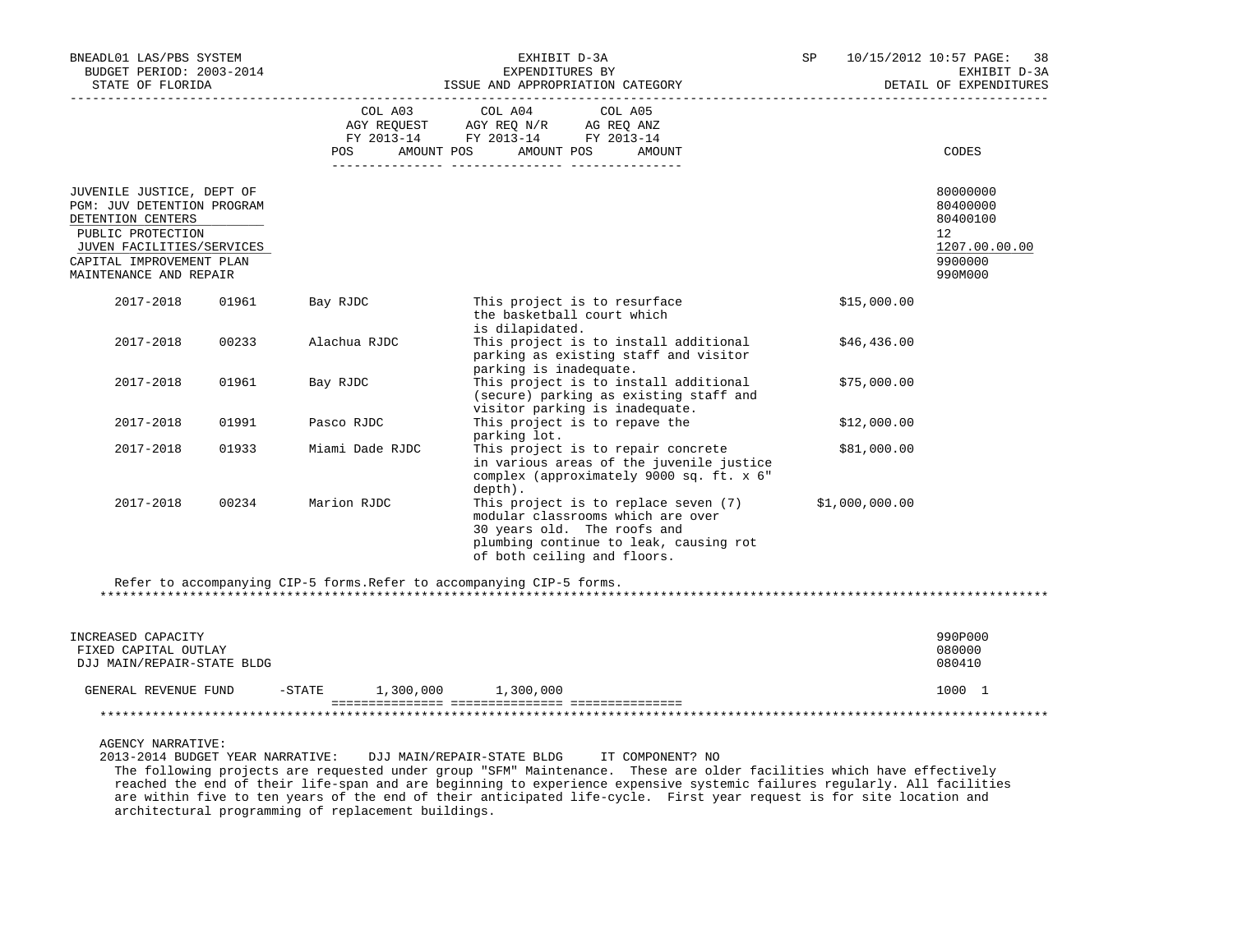| BNEADL01 LAS/PBS SYSTEM<br>BUDGET PERIOD: 2003-2014<br>STATE OF FLORIDA                                                                                                              |                       | EXHIBIT D-3A<br>EXPENDITURES BY<br>ISSUE AND APPROPRIATION CATEGORY                                                                                                               | SP             | 10/15/2012 10:57 PAGE:<br>38<br>EXHIBIT D-3A<br>DETAIL OF EXPENDITURES                  |
|--------------------------------------------------------------------------------------------------------------------------------------------------------------------------------------|-----------------------|-----------------------------------------------------------------------------------------------------------------------------------------------------------------------------------|----------------|-----------------------------------------------------------------------------------------|
|                                                                                                                                                                                      | COL A03<br>POS DO     | COL A04<br>COL A05<br>FY 2013-14 FY 2013-14 FY 2013-14<br>AMOUNT POS AMOUNT POS<br>AMOUNT                                                                                         |                | CODES                                                                                   |
| JUVENILE JUSTICE, DEPT OF<br>PGM: JUV DETENTION PROGRAM<br>DETENTION CENTERS<br>PUBLIC PROTECTION<br>JUVEN FACILITIES/SERVICES<br>CAPITAL IMPROVEMENT PLAN<br>MAINTENANCE AND REPAIR |                       |                                                                                                                                                                                   |                | 80000000<br>80400000<br>80400100<br>$12^{\circ}$<br>1207.00.00.00<br>9900000<br>990M000 |
| 2017-2018<br>01961                                                                                                                                                                   | Bay RJDC              | This project is to resurface<br>the basketball court which<br>is dilapidated.                                                                                                     | \$15,000.00    |                                                                                         |
| 00233<br>2017-2018                                                                                                                                                                   | Alachua RJDC          | This project is to install additional<br>parking as existing staff and visitor<br>parking is inadequate.                                                                          | \$46,436.00    |                                                                                         |
| 2017-2018<br>01961                                                                                                                                                                   | Bay RJDC              | This project is to install additional<br>(secure) parking as existing staff and<br>visitor parking is inadequate.                                                                 | \$75,000.00    |                                                                                         |
| 2017-2018<br>01991                                                                                                                                                                   | Pasco RJDC            | This project is to repave the<br>parking lot.                                                                                                                                     | \$12,000.00    |                                                                                         |
| 01933<br>2017-2018                                                                                                                                                                   | Miami Dade RJDC       | This project is to repair concrete<br>in various areas of the juvenile justice<br>complex (approximately 9000 sq. ft. x 6"<br>depth).                                             | \$81,000.00    |                                                                                         |
| 2017-2018<br>00234                                                                                                                                                                   | Marion RJDC           | This project is to replace seven (7)<br>modular classrooms which are over<br>30 years old. The roofs and<br>plumbing continue to leak, causing rot<br>of both ceiling and floors. | \$1,000,000.00 |                                                                                         |
|                                                                                                                                                                                      |                       | Refer to accompanying CIP-5 forms. Refer to accompanying CIP-5 forms.                                                                                                             |                |                                                                                         |
| INCREASED CAPACITY<br>FIXED CAPITAL OUTLAY<br>DJJ MAIN/REPAIR-STATE BLDG                                                                                                             |                       |                                                                                                                                                                                   |                | 990P000<br>080000<br>080410                                                             |
| GENERAL REVENUE FUND                                                                                                                                                                 | $-STATE$<br>1,300,000 | 1,300,000                                                                                                                                                                         |                | 1000 1                                                                                  |

AGENCY NARRATIVE:

 2013-2014 BUDGET YEAR NARRATIVE: DJJ MAIN/REPAIR-STATE BLDG IT COMPONENT? NO The following projects are requested under group "SFM" Maintenance. These are older facilities which have effectively reached the end of their life-span and are beginning to experience expensive systemic failures regularly. All facilities are within five to ten years of the end of their anticipated life-cycle. First year request is for site location and architectural programming of replacement buildings.

\*\*\*\*\*\*\*\*\*\*\*\*\*\*\*\*\*\*\*\*\*\*\*\*\*\*\*\*\*\*\*\*\*\*\*\*\*\*\*\*\*\*\*\*\*\*\*\*\*\*\*\*\*\*\*\*\*\*\*\*\*\*\*\*\*\*\*\*\*\*\*\*\*\*\*\*\*\*\*\*\*\*\*\*\*\*\*\*\*\*\*\*\*\*\*\*\*\*\*\*\*\*\*\*\*\*\*\*\*\*\*\*\*\*\*\*\*\*\*\*\*\*\*\*\*\*\*

=============== =============== ===============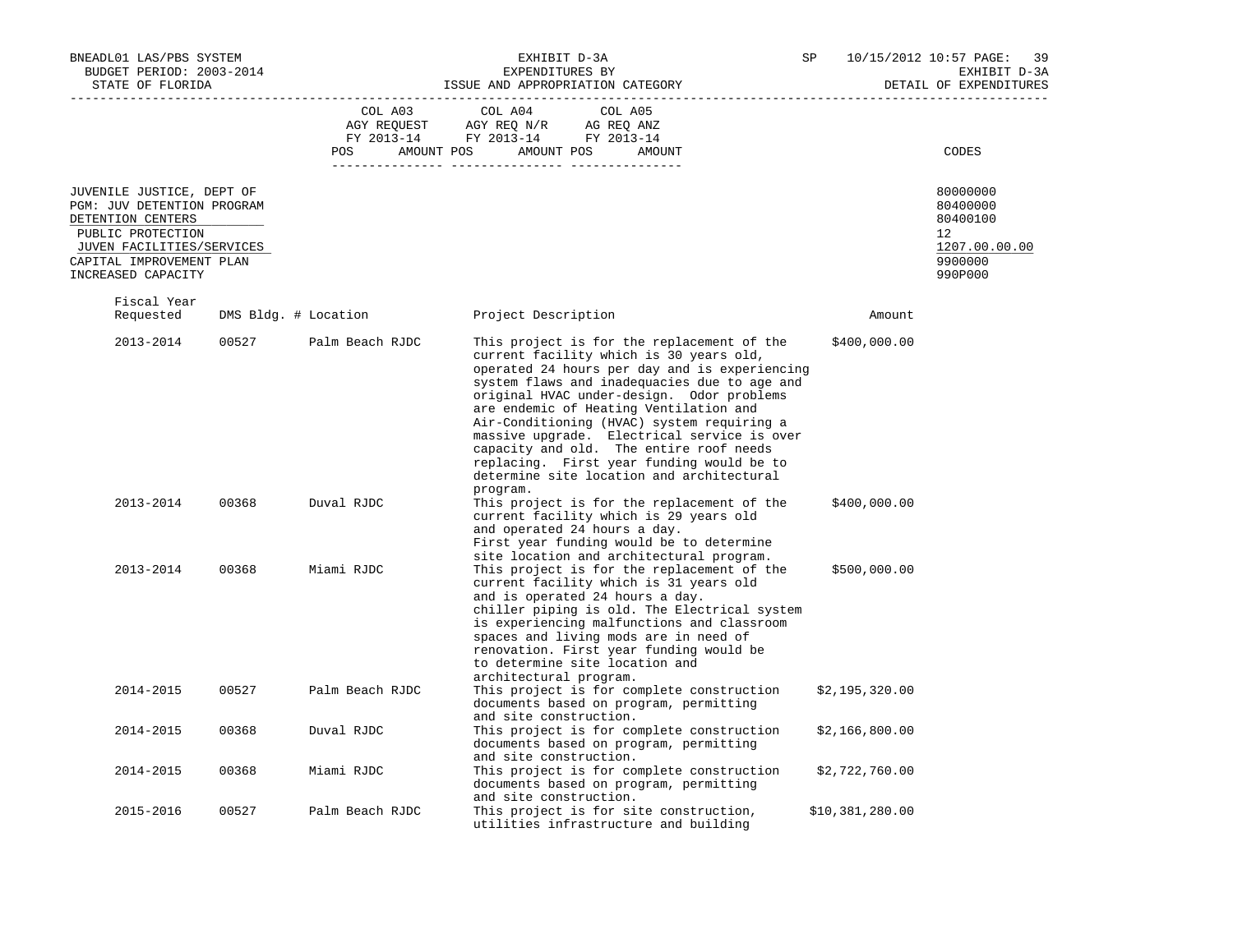| BNEADL01 LAS/PBS SYSTEM<br>BUDGET PERIOD: 2003-2014<br>STATE OF FLORIDA                                                                                                          |       |                      | EXHIBIT D-3A<br>EXPENDITURES BY<br>ISSUE AND APPROPRIATION CATEGORY                                                                                                                                                                                                                                                                                                                                                                                                                                                         | SP |                 | 10/15/2012 10:57 PAGE: 39<br>EXHIBIT D-3A<br>DETAIL OF EXPENDITURES           |
|----------------------------------------------------------------------------------------------------------------------------------------------------------------------------------|-------|----------------------|-----------------------------------------------------------------------------------------------------------------------------------------------------------------------------------------------------------------------------------------------------------------------------------------------------------------------------------------------------------------------------------------------------------------------------------------------------------------------------------------------------------------------------|----|-----------------|-------------------------------------------------------------------------------|
|                                                                                                                                                                                  |       | COL A03<br>POS       | COL A04<br>COL A05<br>$\begin{tabular}{lllllll} \bf AGY \;\; RegUEST\hspace{1cm}AGY \;\; REG \;\; N/R\hspace{1cm}AG \;\; REG \;\; ANZ \\ \hline \texttt{FY} \;\; 2013\text{--}14 & \texttt{FY} \;\; 2013\text{--}14 & \texttt{FY} \;\; 2013\text{--}14 \\ \end{tabular}$<br>AMOUNT POS<br>AMOUNT POS<br>AMOUNT                                                                                                                                                                                                              |    |                 | CODES                                                                         |
| JUVENILE JUSTICE, DEPT OF<br>PGM: JUV DETENTION PROGRAM<br>DETENTION CENTERS<br>PUBLIC PROTECTION<br>JUVEN FACILITIES/SERVICES<br>CAPITAL IMPROVEMENT PLAN<br>INCREASED CAPACITY |       |                      |                                                                                                                                                                                                                                                                                                                                                                                                                                                                                                                             |    |                 | 80000000<br>80400000<br>80400100<br>12<br>1207.00.00.00<br>9900000<br>990P000 |
| Fiscal Year<br>Requested                                                                                                                                                         |       | DMS Bldg. # Location | Project Description                                                                                                                                                                                                                                                                                                                                                                                                                                                                                                         |    | Amount          |                                                                               |
| 2013-2014                                                                                                                                                                        | 00527 | Palm Beach RJDC      | This project is for the replacement of the<br>current facility which is 30 years old,<br>operated 24 hours per day and is experiencing<br>system flaws and inadequacies due to age and<br>original HVAC under-design. Odor problems<br>are endemic of Heating Ventilation and<br>Air-Conditioning (HVAC) system requiring a<br>massive upgrade. Electrical service is over<br>capacity and old. The entire roof needs<br>replacing. First year funding would be to<br>determine site location and architectural<br>program. |    | \$400,000.00    |                                                                               |
| 2013-2014                                                                                                                                                                        | 00368 | Duval RJDC           | This project is for the replacement of the<br>current facility which is 29 years old<br>and operated 24 hours a day.<br>First year funding would be to determine<br>site location and architectural program.                                                                                                                                                                                                                                                                                                                |    | \$400,000.00    |                                                                               |
| 2013-2014                                                                                                                                                                        | 00368 | Miami RJDC           | This project is for the replacement of the<br>current facility which is 31 years old<br>and is operated 24 hours a day.<br>chiller piping is old. The Electrical system<br>is experiencing malfunctions and classroom<br>spaces and living mods are in need of<br>renovation. First year funding would be<br>to determine site location and<br>architectural program.                                                                                                                                                       |    | \$500,000.00    |                                                                               |
| 2014-2015                                                                                                                                                                        | 00527 | Palm Beach RJDC      | This project is for complete construction<br>documents based on program, permitting<br>and site construction.                                                                                                                                                                                                                                                                                                                                                                                                               |    | \$2,195,320.00  |                                                                               |
| 2014-2015                                                                                                                                                                        | 00368 | Duval RJDC           | This project is for complete construction<br>documents based on program, permitting<br>and site construction.                                                                                                                                                                                                                                                                                                                                                                                                               |    | \$2,166,800.00  |                                                                               |
| 2014-2015                                                                                                                                                                        | 00368 | Miami RJDC           | This project is for complete construction<br>documents based on program, permitting<br>and site construction.                                                                                                                                                                                                                                                                                                                                                                                                               |    | \$2,722,760.00  |                                                                               |
| 2015-2016                                                                                                                                                                        | 00527 | Palm Beach RJDC      | This project is for site construction,<br>utilities infrastructure and building                                                                                                                                                                                                                                                                                                                                                                                                                                             |    | \$10,381,280.00 |                                                                               |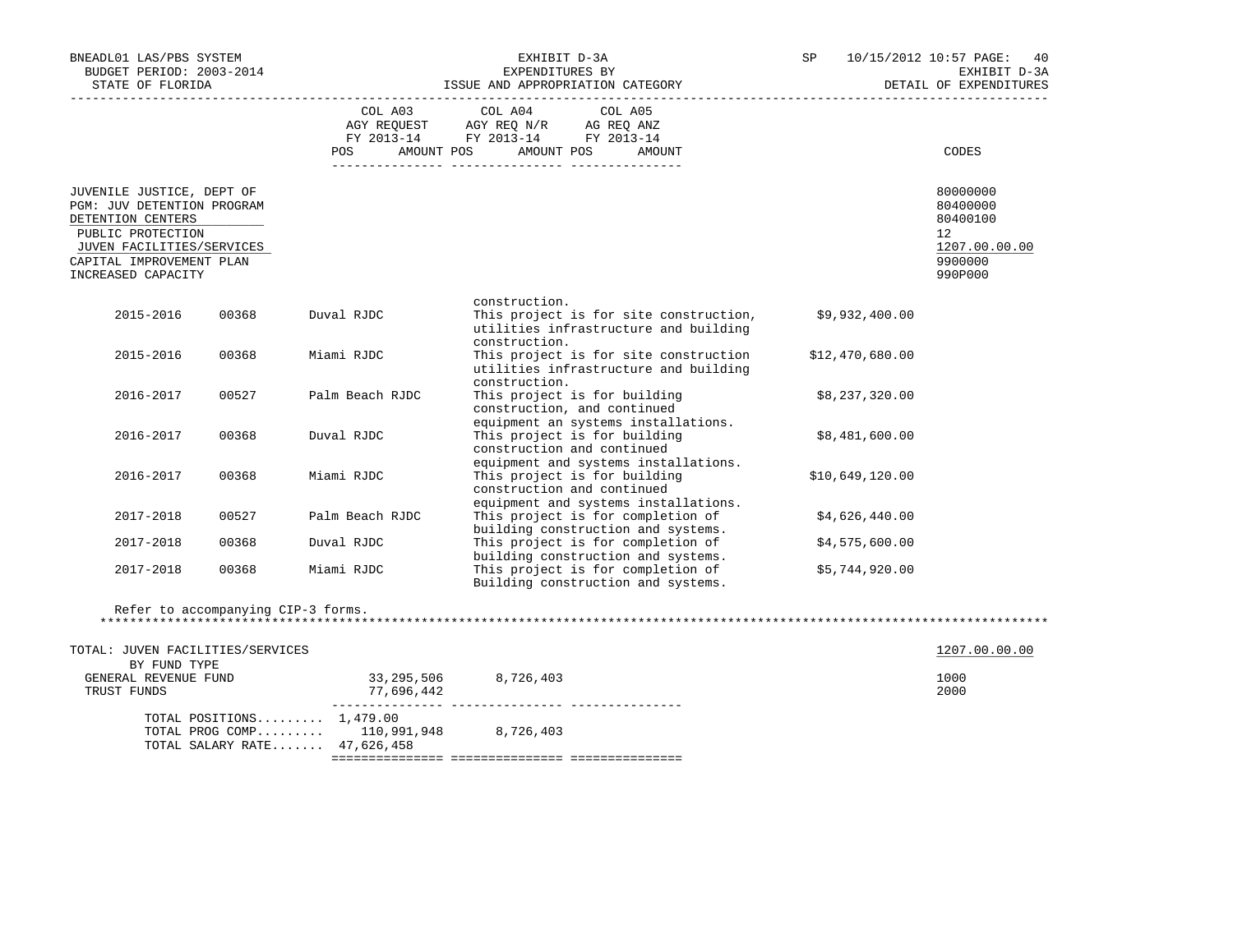| BNEADL01 LAS/PBS SYSTEM<br>BUDGET PERIOD: 2003-2014<br>STATE OF FLORIDA                                                                                    |       |                                                                                                     | EXHIBIT D-3A<br>EXPENDITURES BY<br>ISSUE AND APPROPRIATION CATEGORY                                                                                                                                                                                                    | SP              | 10/15/2012 10:57 PAGE:<br>40<br>EXHIBIT D-3A<br>DETAIL OF EXPENDITURES          |
|------------------------------------------------------------------------------------------------------------------------------------------------------------|-------|-----------------------------------------------------------------------------------------------------|------------------------------------------------------------------------------------------------------------------------------------------------------------------------------------------------------------------------------------------------------------------------|-----------------|---------------------------------------------------------------------------------|
|                                                                                                                                                            |       | AMOUNT POS<br>POS                                                                                   | COL A03 COL A04 COL A05<br>$\begin{tabular}{lllllllll} \bf{AGY} & \bf{REQUEST} & \bf{AGY} & \bf{REQ} & \bf{IN/R} & \bf{AG} & \bf{REQ} & \bf{ANZ} \\ \bf{FY} & \bf{2013-14} & \bf{FY} & \bf{2013-14} & \bf{FY} & \bf{2013-14} \\ \end{tabular}$<br>AMOUNT POS<br>AMOUNT |                 | CODES                                                                           |
| JUVENILE JUSTICE, DEPT OF<br>PGM: JUV DETENTION PROGRAM<br>DETENTION CENTERS<br>PUBLIC PROTECTION<br>JUVEN FACILITIES/SERVICES<br>CAPITAL IMPROVEMENT PLAN |       |                                                                                                     |                                                                                                                                                                                                                                                                        |                 | 80000000<br>80400000<br>80400100<br>12 <sup>°</sup><br>1207.00.00.00<br>9900000 |
| INCREASED CAPACITY                                                                                                                                         |       |                                                                                                     |                                                                                                                                                                                                                                                                        |                 | 990P000                                                                         |
| 2015-2016                                                                                                                                                  | 00368 | Duval RJDC                                                                                          | construction.<br>This project is for site construction,<br>utilities infrastructure and building<br>construction.                                                                                                                                                      | \$9,932,400.00  |                                                                                 |
| 2015-2016                                                                                                                                                  | 00368 | Miami RJDC                                                                                          | This project is for site construction<br>utilities infrastructure and building<br>construction.                                                                                                                                                                        | \$12,470,680.00 |                                                                                 |
| 2016-2017                                                                                                                                                  | 00527 | Palm Beach RJDC                                                                                     | This project is for building<br>construction, and continued                                                                                                                                                                                                            | \$8,237,320.00  |                                                                                 |
| 2016-2017                                                                                                                                                  | 00368 | Duval RJDC                                                                                          | equipment an systems installations.<br>This project is for building<br>construction and continued<br>equipment and systems installations.                                                                                                                              | \$8,481,600.00  |                                                                                 |
| 2016-2017                                                                                                                                                  | 00368 | Miami RJDC                                                                                          | This project is for building<br>construction and continued<br>equipment and systems installations.                                                                                                                                                                     | \$10,649,120.00 |                                                                                 |
| 2017-2018                                                                                                                                                  | 00527 | Palm Beach RJDC                                                                                     | This project is for completion of<br>building construction and systems.                                                                                                                                                                                                | \$4,626,440.00  |                                                                                 |
| 2017-2018                                                                                                                                                  | 00368 | Duval RJDC                                                                                          | This project is for completion of<br>building construction and systems.                                                                                                                                                                                                | \$4,575,600.00  |                                                                                 |
| 2017-2018                                                                                                                                                  | 00368 | Miami RJDC                                                                                          | This project is for completion of<br>Building construction and systems.                                                                                                                                                                                                | \$5,744,920.00  |                                                                                 |
|                                                                                                                                                            |       | Refer to accompanying CIP-3 forms.                                                                  |                                                                                                                                                                                                                                                                        |                 |                                                                                 |
| TOTAL: JUVEN FACILITIES/SERVICES                                                                                                                           |       |                                                                                                     |                                                                                                                                                                                                                                                                        |                 | 1207.00.00.00                                                                   |
| BY FUND TYPE<br>GENERAL REVENUE FUND<br>TRUST FUNDS                                                                                                        |       | 33, 295, 506 8, 726, 403<br>77,696,442                                                              |                                                                                                                                                                                                                                                                        |                 | 1000<br>2000                                                                    |
|                                                                                                                                                            |       | TOTAL POSITIONS $1,479.00$<br>TOTAL PROG COMP 110,991,948 8,726,403<br>TOTAL SALARY RATE 47,626,458 |                                                                                                                                                                                                                                                                        |                 |                                                                                 |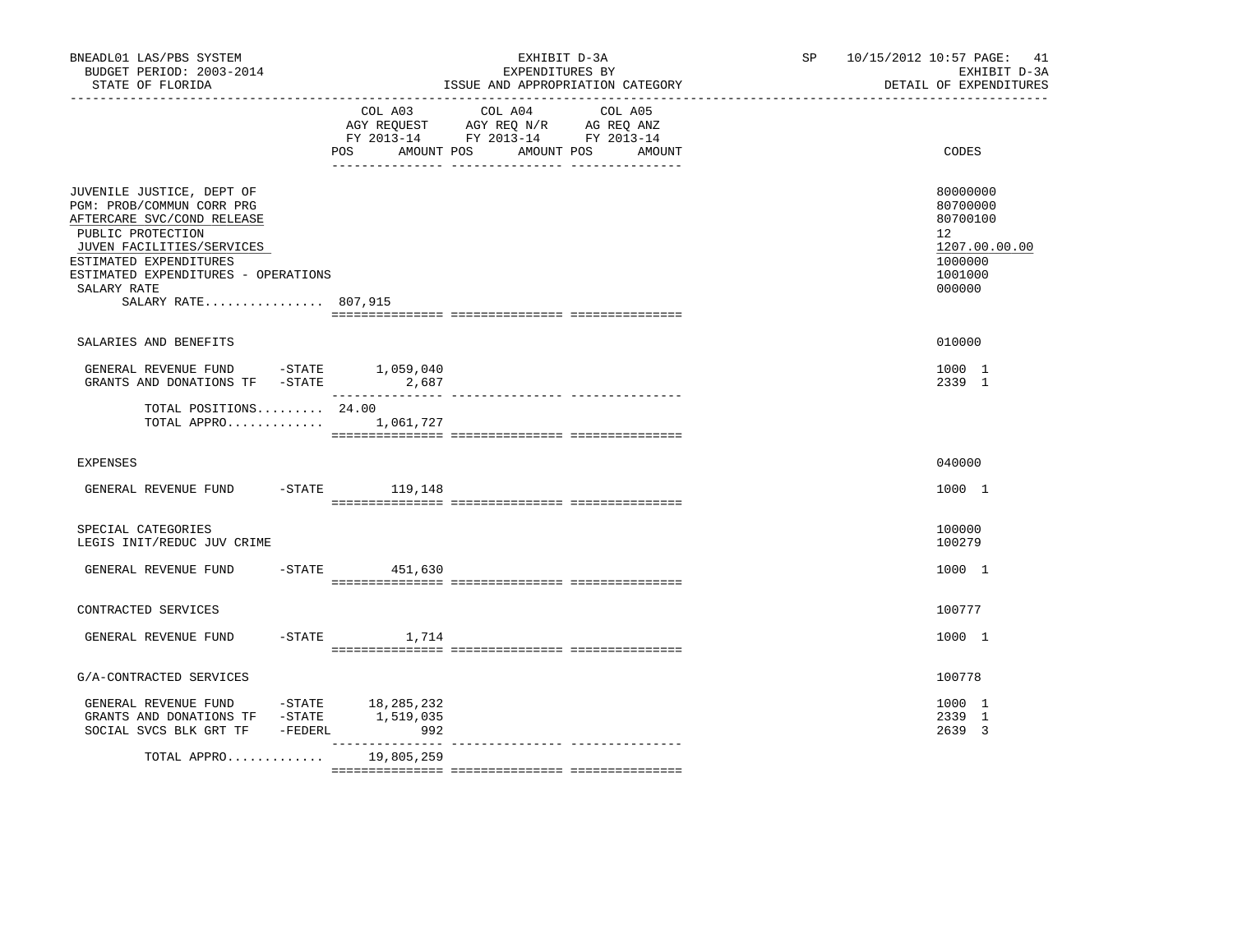| BNEADL01 LAS/PBS SYSTEM<br>BUDGET PERIOD: 2003-2014<br>STATE OF FLORIDA                                                                                                                                                                       |                   | EXHIBIT D-3A<br>EXPENDITURES BY<br>ISSUE AND APPROPRIATION CATEGORY                                                       | SP 10/15/2012 10:57 PAGE: 41<br>EXHIBIT D-3A<br>DETAIL OF EXPENDITURES                               |
|-----------------------------------------------------------------------------------------------------------------------------------------------------------------------------------------------------------------------------------------------|-------------------|---------------------------------------------------------------------------------------------------------------------------|------------------------------------------------------------------------------------------------------|
|                                                                                                                                                                                                                                               | POS<br>AMOUNT POS | COL A03 COL A04 COL A05<br>AGY REQUEST AGY REQ N/R AG REQ ANZ<br>FY 2013-14 FY 2013-14 FY 2013-14<br>AMOUNT POS<br>AMOUNT | CODES                                                                                                |
| JUVENILE JUSTICE, DEPT OF<br>PGM: PROB/COMMUN CORR PRG<br>AFTERCARE SVC/COND RELEASE<br>PUBLIC PROTECTION<br>JUVEN FACILITIES/SERVICES<br>ESTIMATED EXPENDITURES<br>ESTIMATED EXPENDITURES - OPERATIONS<br>SALARY RATE<br>SALARY RATE 807,915 |                   |                                                                                                                           | 80000000<br>80700000<br>80700100<br>12 <sup>°</sup><br>1207.00.00.00<br>1000000<br>1001000<br>000000 |
| SALARIES AND BENEFITS                                                                                                                                                                                                                         |                   |                                                                                                                           | 010000                                                                                               |
| GENERAL REVENUE FUND -STATE 1,059,040<br>GRANTS AND DONATIONS TF $-STATE$ 2,687                                                                                                                                                               |                   |                                                                                                                           | 1000 1<br>2339 1                                                                                     |
| TOTAL POSITIONS $24.00$<br>TOTAL APPRO $1,061,727$                                                                                                                                                                                            |                   |                                                                                                                           |                                                                                                      |
| <b>EXPENSES</b>                                                                                                                                                                                                                               |                   |                                                                                                                           | 040000                                                                                               |
| GENERAL REVENUE FUND -STATE 119,148                                                                                                                                                                                                           |                   |                                                                                                                           | 1000 1                                                                                               |
| SPECIAL CATEGORIES<br>LEGIS INIT/REDUC JUV CRIME                                                                                                                                                                                              |                   |                                                                                                                           | 100000<br>100279                                                                                     |
| GENERAL REVENUE FUND                                                                                                                                                                                                                          | $-STATE$ 451,630  |                                                                                                                           | 1000 1                                                                                               |
| CONTRACTED SERVICES                                                                                                                                                                                                                           |                   |                                                                                                                           | 100777                                                                                               |
| GENERAL REVENUE FUND                                                                                                                                                                                                                          | $-$ STATE $1.714$ |                                                                                                                           | 1000 1                                                                                               |
| G/A-CONTRACTED SERVICES                                                                                                                                                                                                                       |                   |                                                                                                                           | 100778                                                                                               |
| GENERAL REVENUE FUND -STATE 18,285,232<br>GRANTS AND DONATIONS TF -STATE<br>SOCIAL SVCS BLK GRT TF -FEDERL                                                                                                                                    | 1,519,035<br>992  |                                                                                                                           | 1000 1<br>2339 1<br>2639 3                                                                           |
| TOTAL APPRO                                                                                                                                                                                                                                   | 19,805,259        |                                                                                                                           |                                                                                                      |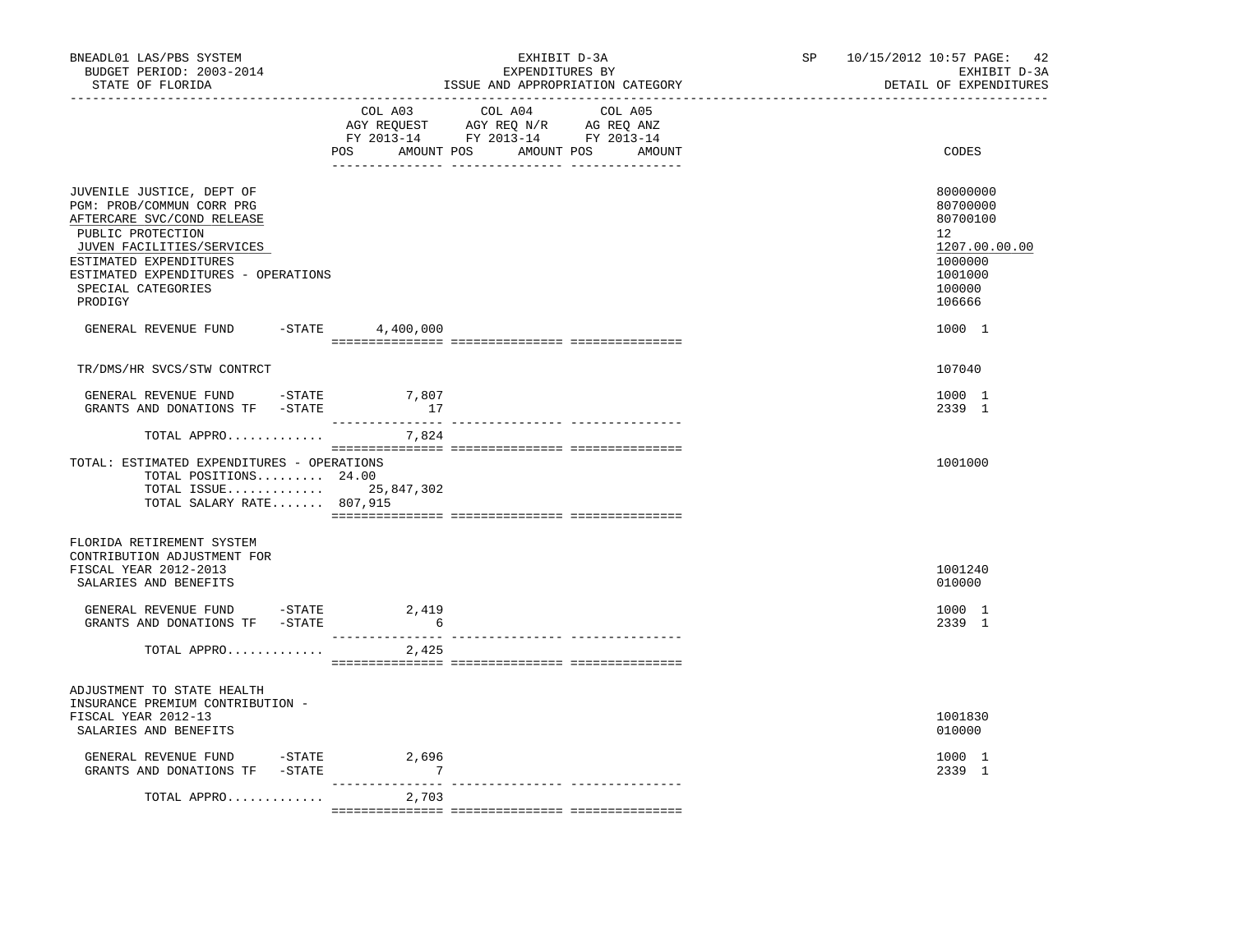| BNEADL01 LAS/PBS SYSTEM<br>BUDGET PERIOD: 2003-2014<br>STATE OF FLORIDA<br>-----------------                                                                                                                                             |                           | EXHIBIT D-3A<br>EXPENDITURES BY<br>ISSUE AND APPROPRIATION CATEGORY                                                                      | SP 10/15/2012 10:57 PAGE: 42<br>EXHIBIT D-3A<br>DETAIL OF EXPENDITURES                                         |
|------------------------------------------------------------------------------------------------------------------------------------------------------------------------------------------------------------------------------------------|---------------------------|------------------------------------------------------------------------------------------------------------------------------------------|----------------------------------------------------------------------------------------------------------------|
|                                                                                                                                                                                                                                          |                           | COL A03 COL A04<br>COL A05<br>AGY REQUEST AGY REQ N/R AG REQ ANZ<br>FY 2013-14 FY 2013-14 FY 2013-14<br>POS AMOUNT POS AMOUNT POS AMOUNT | CODES                                                                                                          |
| JUVENILE JUSTICE, DEPT OF<br>PGM: PROB/COMMUN CORR PRG<br>AFTERCARE SVC/COND RELEASE<br>PUBLIC PROTECTION<br>JUVEN FACILITIES/SERVICES<br>ESTIMATED EXPENDITURES<br>ESTIMATED EXPENDITURES - OPERATIONS<br>SPECIAL CATEGORIES<br>PRODIGY |                           |                                                                                                                                          | 80000000<br>80700000<br>80700100<br>12 <sup>°</sup><br>1207.00.00.00<br>1000000<br>1001000<br>100000<br>106666 |
| GENERAL REVENUE FUND                                                                                                                                                                                                                     | -STATE 4,400,000          |                                                                                                                                          | 1000 1                                                                                                         |
| TR/DMS/HR SVCS/STW CONTRCT                                                                                                                                                                                                               |                           |                                                                                                                                          | 107040                                                                                                         |
| GENERAL REVENUE FUND -STATE<br>GRANTS AND DONATIONS TF -STATE                                                                                                                                                                            | 7,807<br>17               |                                                                                                                                          | 1000 1<br>2339 1                                                                                               |
| TOTAL APPRO                                                                                                                                                                                                                              | 7,824                     |                                                                                                                                          |                                                                                                                |
| TOTAL: ESTIMATED EXPENDITURES - OPERATIONS<br>TOTAL POSITIONS 24.00<br>TOTAL ISSUE 25,847,302<br>TOTAL SALARY RATE 807,915                                                                                                               |                           |                                                                                                                                          | 1001000                                                                                                        |
| FLORIDA RETIREMENT SYSTEM<br>CONTRIBUTION ADJUSTMENT FOR<br>FISCAL YEAR 2012-2013<br>SALARIES AND BENEFITS                                                                                                                               |                           |                                                                                                                                          | 1001240<br>010000                                                                                              |
| GENERAL REVENUE FUND -STATE 2,419<br>GRANTS AND DONATIONS TF -STATE                                                                                                                                                                      | $6^{\circ}$               |                                                                                                                                          | 1000 1<br>2339 1                                                                                               |
| TOTAL APPRO                                                                                                                                                                                                                              | ----------------<br>2,425 |                                                                                                                                          |                                                                                                                |
| ADJUSTMENT TO STATE HEALTH<br>INSURANCE PREMIUM CONTRIBUTION -<br>FISCAL YEAR 2012-13<br>SALARIES AND BENEFITS                                                                                                                           |                           |                                                                                                                                          | 1001830<br>010000                                                                                              |
| GENERAL REVENUE FUND -STATE<br>GRANTS AND DONATIONS TF -STATE                                                                                                                                                                            | 2,696<br>$\overline{7}$   |                                                                                                                                          | 1000 1<br>2339 1                                                                                               |
| TOTAL APPRO                                                                                                                                                                                                                              | 2,703                     |                                                                                                                                          |                                                                                                                |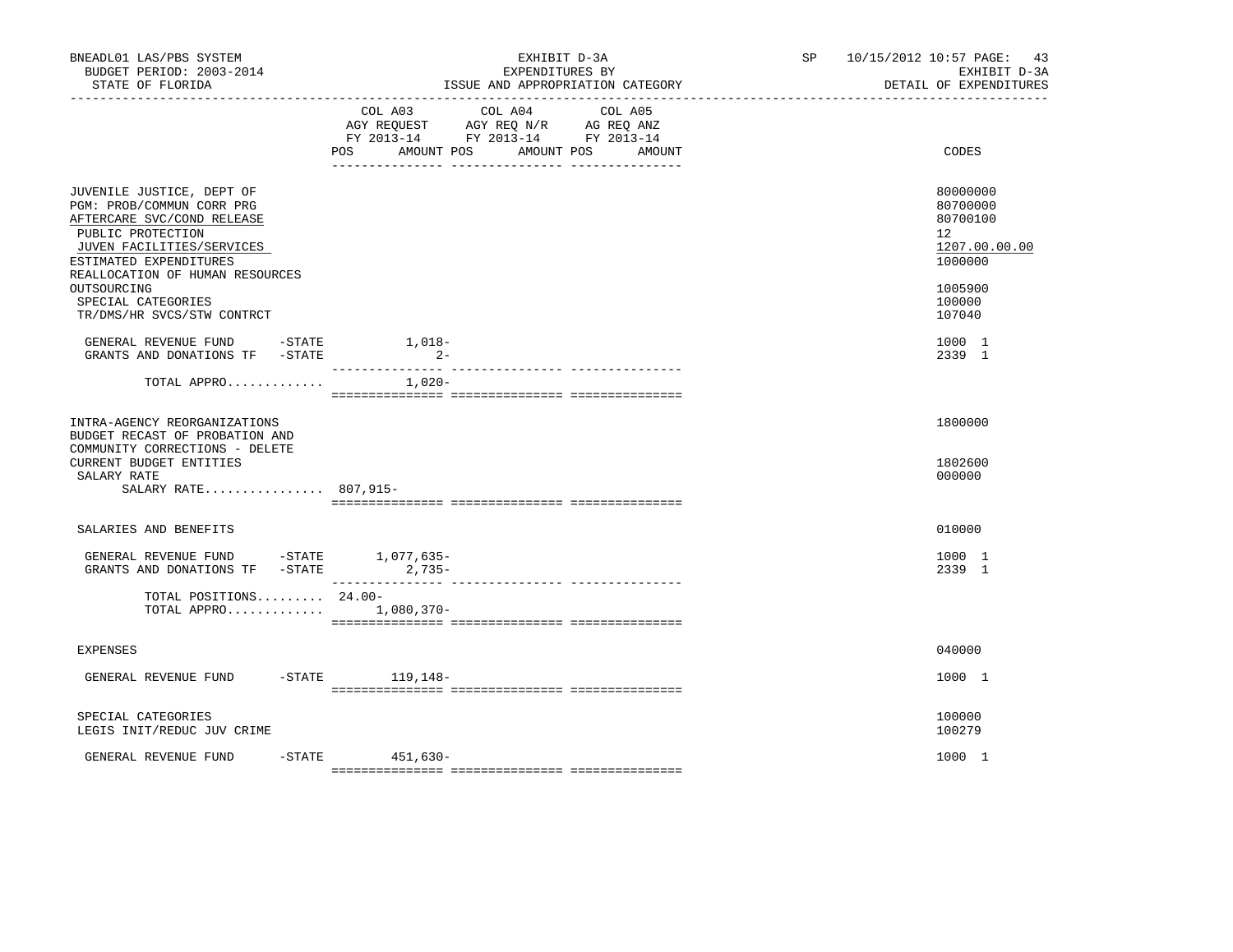| BNEADL01 LAS/PBS SYSTEM<br>BUDGET PERIOD: 2003-2014<br>STATE OF FLORIDA                                                                                                                                                                  | EXHIBIT D-3A<br>EXPENDITURES BY<br>ISSUE AND APPROPRIATION CATEGORY                                                                                         | SP and the set of the set of the set of the set of the set of the set of the set of the set of the set of the set of the set of the set of the set of the set of the set of the set of the set of the set of the set of the se<br>10/15/2012 10:57 PAGE: 43<br>EXHIBIT D-3A<br>DETAIL OF EXPENDITURES |
|------------------------------------------------------------------------------------------------------------------------------------------------------------------------------------------------------------------------------------------|-------------------------------------------------------------------------------------------------------------------------------------------------------------|-------------------------------------------------------------------------------------------------------------------------------------------------------------------------------------------------------------------------------------------------------------------------------------------------------|
|                                                                                                                                                                                                                                          | COL A03<br>COL A04<br>COL A05<br>AGY REQUEST AGY REQ N/R AG REQ ANZ<br>FY 2013-14 FY 2013-14 FY 2013-14<br><b>POS</b><br>AMOUNT POS<br>AMOUNT POS<br>AMOUNT | CODES                                                                                                                                                                                                                                                                                                 |
| JUVENILE JUSTICE, DEPT OF<br>PGM: PROB/COMMUN CORR PRG<br>AFTERCARE SVC/COND RELEASE<br>PUBLIC PROTECTION<br>JUVEN FACILITIES/SERVICES<br>ESTIMATED EXPENDITURES<br>REALLOCATION OF HUMAN RESOURCES<br>OUTSOURCING<br>SPECIAL CATEGORIES |                                                                                                                                                             | 80000000<br>80700000<br>80700100<br>12<br>1207.00.00.00<br>1000000<br>1005900<br>100000                                                                                                                                                                                                               |
| TR/DMS/HR SVCS/STW CONTRCT<br>GENERAL REVENUE FUND -STATE<br>GRANTS AND DONATIONS TF -STATE                                                                                                                                              | $1,018-$<br>$2-$                                                                                                                                            | 107040<br>1000 1<br>2339 1                                                                                                                                                                                                                                                                            |
| TOTAL APPRO                                                                                                                                                                                                                              | $1,020-$                                                                                                                                                    |                                                                                                                                                                                                                                                                                                       |
| INTRA-AGENCY REORGANIZATIONS<br>BUDGET RECAST OF PROBATION AND<br>COMMUNITY CORRECTIONS - DELETE<br>CURRENT BUDGET ENTITIES<br>SALARY RATE<br>SALARY RATE 807,915-                                                                       |                                                                                                                                                             | 1800000<br>1802600<br>000000                                                                                                                                                                                                                                                                          |
| SALARIES AND BENEFITS                                                                                                                                                                                                                    |                                                                                                                                                             | 010000                                                                                                                                                                                                                                                                                                |
| GENERAL REVENUE FUND -STATE 1,077,635-<br>GRANTS AND DONATIONS TF -STATE 2,735-                                                                                                                                                          |                                                                                                                                                             | 1000 1<br>2339 1                                                                                                                                                                                                                                                                                      |
| TOTAL POSITIONS 24.00-<br>TOTAL APPRO                                                                                                                                                                                                    | 1,080,370-                                                                                                                                                  |                                                                                                                                                                                                                                                                                                       |
| <b>EXPENSES</b>                                                                                                                                                                                                                          |                                                                                                                                                             | 040000                                                                                                                                                                                                                                                                                                |
| GENERAL REVENUE FUND                                                                                                                                                                                                                     | -STATE 119,148-                                                                                                                                             | 1000 1                                                                                                                                                                                                                                                                                                |
| SPECIAL CATEGORIES<br>LEGIS INIT/REDUC JUV CRIME                                                                                                                                                                                         |                                                                                                                                                             | 100000<br>100279                                                                                                                                                                                                                                                                                      |
| GENERAL REVENUE FUND                                                                                                                                                                                                                     | $-STATE$ 451,630-                                                                                                                                           | 1000 1                                                                                                                                                                                                                                                                                                |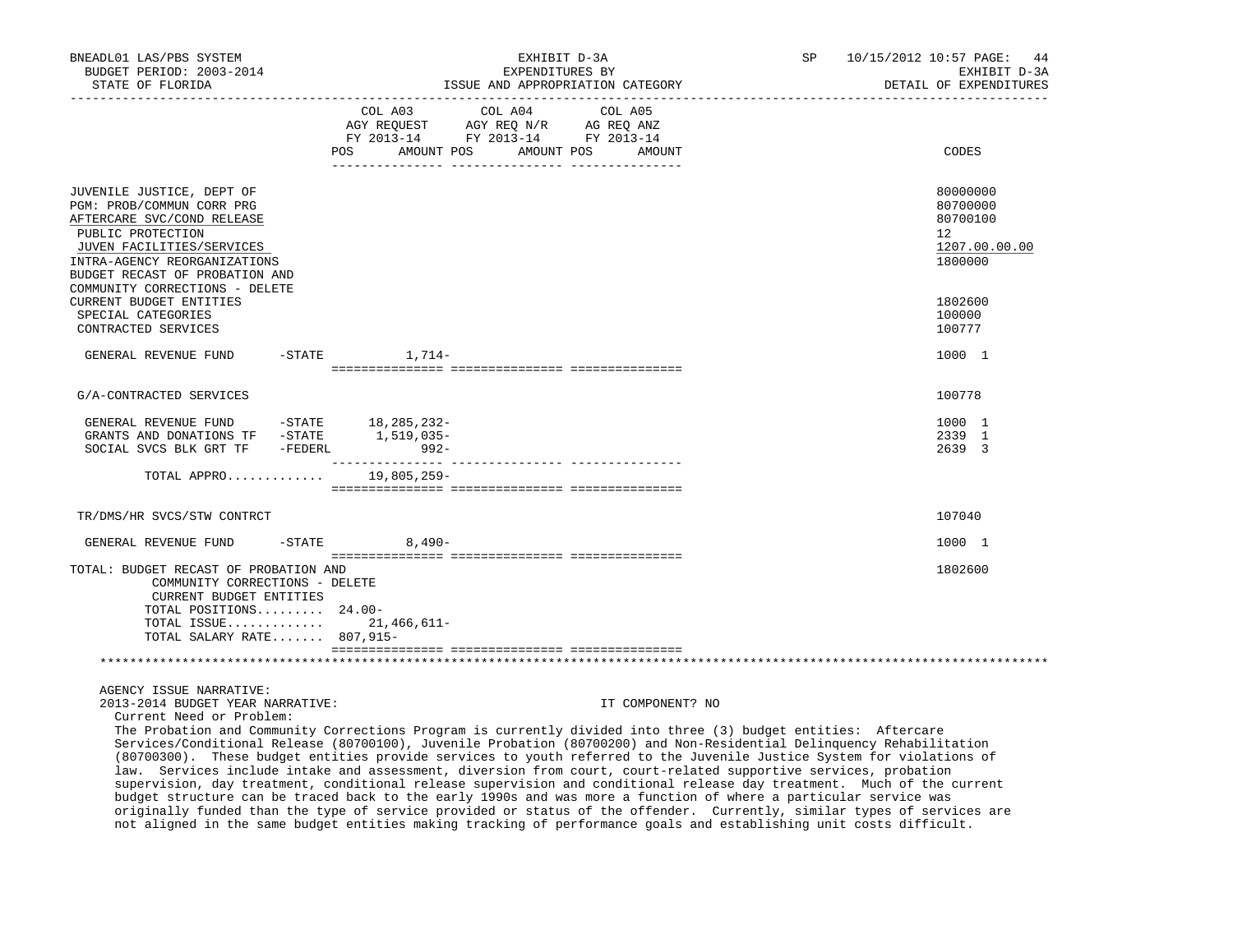| BNEADL01 LAS/PBS SYSTEM<br>BUDGET PERIOD: 2003-2014<br>STATE OF FLORIDA<br>-----------------                                                                                                                                                                                                                                                                                                                                                                                                                                                                                   |                       | EXHIBIT D-3A<br>EXPENDITURES BY<br>ISSUE AND APPROPRIATION CATEGORY               |                  | SP | 10/15/2012 10:57 PAGE:<br>44<br>EXHIBIT D-3A<br>DETAIL OF EXPENDITURES       |
|--------------------------------------------------------------------------------------------------------------------------------------------------------------------------------------------------------------------------------------------------------------------------------------------------------------------------------------------------------------------------------------------------------------------------------------------------------------------------------------------------------------------------------------------------------------------------------|-----------------------|-----------------------------------------------------------------------------------|------------------|----|------------------------------------------------------------------------------|
|                                                                                                                                                                                                                                                                                                                                                                                                                                                                                                                                                                                | COL A03               | COL A04<br>AGY REQUEST AGY REQ N/R AG REQ ANZ<br>FY 2013-14 FY 2013-14 FY 2013-14 | COL A05          |    |                                                                              |
|                                                                                                                                                                                                                                                                                                                                                                                                                                                                                                                                                                                | POS<br>AMOUNT POS     | AMOUNT POS                                                                        | AMOUNT           |    | CODES                                                                        |
| JUVENILE JUSTICE, DEPT OF<br>PGM: PROB/COMMUN CORR PRG<br>AFTERCARE SVC/COND RELEASE<br>PUBLIC PROTECTION<br>JUVEN FACILITIES/SERVICES<br>INTRA-AGENCY REORGANIZATIONS<br>BUDGET RECAST OF PROBATION AND                                                                                                                                                                                                                                                                                                                                                                       |                       |                                                                                   |                  |    | 80000000<br>80700000<br>80700100<br>$12^{\circ}$<br>1207.00.00.00<br>1800000 |
| COMMUNITY CORRECTIONS - DELETE<br>CURRENT BUDGET ENTITIES<br>SPECIAL CATEGORIES<br>CONTRACTED SERVICES                                                                                                                                                                                                                                                                                                                                                                                                                                                                         |                       |                                                                                   |                  |    | 1802600<br>100000<br>100777                                                  |
| GENERAL REVENUE FUND                                                                                                                                                                                                                                                                                                                                                                                                                                                                                                                                                           | $-$ STATE $1, 714-$   |                                                                                   |                  |    | 1000 1                                                                       |
| G/A-CONTRACTED SERVICES                                                                                                                                                                                                                                                                                                                                                                                                                                                                                                                                                        |                       |                                                                                   |                  |    | 100778                                                                       |
| GENERAL REVENUE FUND -STATE $18,285,232-$<br>GRANTS AND DONATIONS TF -STATE $1,519,035-$<br>SOCIAL SVCS BLK GRT TF -FEDERL                                                                                                                                                                                                                                                                                                                                                                                                                                                     | $992 -$               |                                                                                   |                  |    | 1000 1<br>2339 1<br>2639 3                                                   |
| TOTAL APPRO                                                                                                                                                                                                                                                                                                                                                                                                                                                                                                                                                                    | 19,805,259-           |                                                                                   |                  |    |                                                                              |
| TR/DMS/HR SVCS/STW CONTRCT                                                                                                                                                                                                                                                                                                                                                                                                                                                                                                                                                     |                       |                                                                                   |                  |    | 107040                                                                       |
| GENERAL REVENUE FUND                                                                                                                                                                                                                                                                                                                                                                                                                                                                                                                                                           | $-STATE$<br>$8.490 -$ |                                                                                   |                  |    | 1000 1                                                                       |
| TOTAL: BUDGET RECAST OF PROBATION AND<br>COMMUNITY CORRECTIONS - DELETE<br>CURRENT BUDGET ENTITIES<br>TOTAL POSITIONS 24.00-<br>TOTAL ISSUE 21,466,611-<br>TOTAL SALARY RATE 807,915-                                                                                                                                                                                                                                                                                                                                                                                          |                       |                                                                                   |                  |    | 1802600                                                                      |
|                                                                                                                                                                                                                                                                                                                                                                                                                                                                                                                                                                                |                       |                                                                                   |                  |    |                                                                              |
| AGENCY ISSUE NARRATIVE:<br>2013-2014 BUDGET YEAR NARRATIVE:<br>Current Need or Problem:<br>The Probation and Community Corrections Program is currently divided into three (3) budget entities: Aftercare<br>Services/Conditional Release (80700100), Juvenile Probation (80700200) and Non-Residential Delinquency Rehabilitation<br>(80700300). These budget entities provide services to youth referred to the Juvenile Justice System for violations of<br>law. Services include intake and assessment, diversion from court, court-related supportive services, probation |                       |                                                                                   | IT COMPONENT? NO |    |                                                                              |

 supervision, day treatment, conditional release supervision and conditional release day treatment. Much of the current budget structure can be traced back to the early 1990s and was more a function of where a particular service was originally funded than the type of service provided or status of the offender. Currently, similar types of services are not aligned in the same budget entities making tracking of performance goals and establishing unit costs difficult.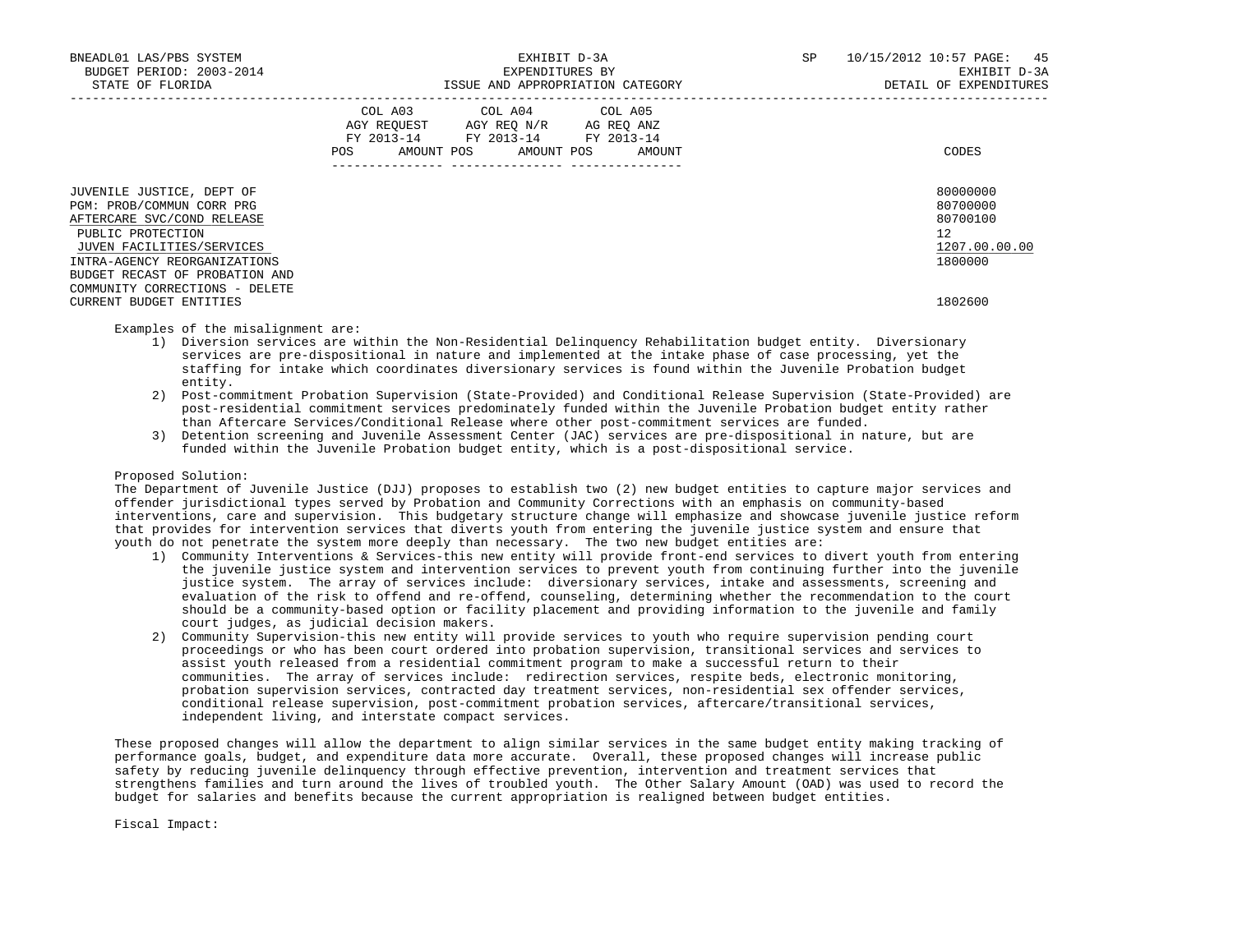| BNEADL01 LAS/PBS SYSTEM<br>BUDGET PERIOD: 2003-2014<br>STATE OF FLORIDA                                                                                                                                  | EXHIBIT D-3A<br>EXPENDITURES BY<br>ISSUE AND APPROPRIATION CATEGORY                                                                         | SP<br>10/15/2012 10:57 PAGE: 45<br>EXHIBIT D-3A<br>DETAIL OF EXPENDITURES |
|----------------------------------------------------------------------------------------------------------------------------------------------------------------------------------------------------------|---------------------------------------------------------------------------------------------------------------------------------------------|---------------------------------------------------------------------------|
|                                                                                                                                                                                                          | COL A03 COL A04 COL A05<br>AGY REOUEST AGY REO N/R AG REO ANZ<br>FY 2013-14 FY 2013-14 FY 2013-14<br>AMOUNT POS AMOUNT POS<br>AMOUNT<br>POS | CODES                                                                     |
| JUVENILE JUSTICE, DEPT OF<br>PGM: PROB/COMMUN CORR PRG<br>AFTERCARE SVC/COND RELEASE<br>PUBLIC PROTECTION<br>JUVEN FACILITIES/SERVICES<br>INTRA-AGENCY REORGANIZATIONS<br>BUDGET RECAST OF PROBATION AND |                                                                                                                                             | 80000000<br>80700000<br>80700100<br>12<br>1207.00.00.00<br>1800000        |
| COMMUNITY CORRECTIONS - DELETE<br>CURRENT BUDGET ENTITIES                                                                                                                                                |                                                                                                                                             | 1802600                                                                   |

#### Examples of the misalignment are:

- 1) Diversion services are within the Non-Residential Delinquency Rehabilitation budget entity. Diversionary services are pre-dispositional in nature and implemented at the intake phase of case processing, yet the staffing for intake which coordinates diversionary services is found within the Juvenile Probation budget entity.
- 2) Post-commitment Probation Supervision (State-Provided) and Conditional Release Supervision (State-Provided) are post-residential commitment services predominately funded within the Juvenile Probation budget entity rather than Aftercare Services/Conditional Release where other post-commitment services are funded.
- 3) Detention screening and Juvenile Assessment Center (JAC) services are pre-dispositional in nature, but are funded within the Juvenile Probation budget entity, which is a post-dispositional service.

# Proposed Solution:

 The Department of Juvenile Justice (DJJ) proposes to establish two (2) new budget entities to capture major services and offender jurisdictional types served by Probation and Community Corrections with an emphasis on community-based interventions, care and supervision. This budgetary structure change will emphasize and showcase juvenile justice reform that provides for intervention services that diverts youth from entering the juvenile justice system and ensure that youth do not penetrate the system more deeply than necessary. The two new budget entities are:

- 1) Community Interventions & Services-this new entity will provide front-end services to divert youth from entering the juvenile justice system and intervention services to prevent youth from continuing further into the juvenile justice system. The array of services include: diversionary services, intake and assessments, screening and evaluation of the risk to offend and re-offend, counseling, determining whether the recommendation to the court should be a community-based option or facility placement and providing information to the juvenile and family court judges, as judicial decision makers.
- 2) Community Supervision-this new entity will provide services to youth who require supervision pending court proceedings or who has been court ordered into probation supervision, transitional services and services to assist youth released from a residential commitment program to make a successful return to their communities. The array of services include: redirection services, respite beds, electronic monitoring, probation supervision services, contracted day treatment services, non-residential sex offender services, conditional release supervision, post-commitment probation services, aftercare/transitional services, independent living, and interstate compact services.

 These proposed changes will allow the department to align similar services in the same budget entity making tracking of performance goals, budget, and expenditure data more accurate. Overall, these proposed changes will increase public safety by reducing juvenile delinquency through effective prevention, intervention and treatment services that strengthens families and turn around the lives of troubled youth. The Other Salary Amount (OAD) was used to record the budget for salaries and benefits because the current appropriation is realigned between budget entities.

Fiscal Impact: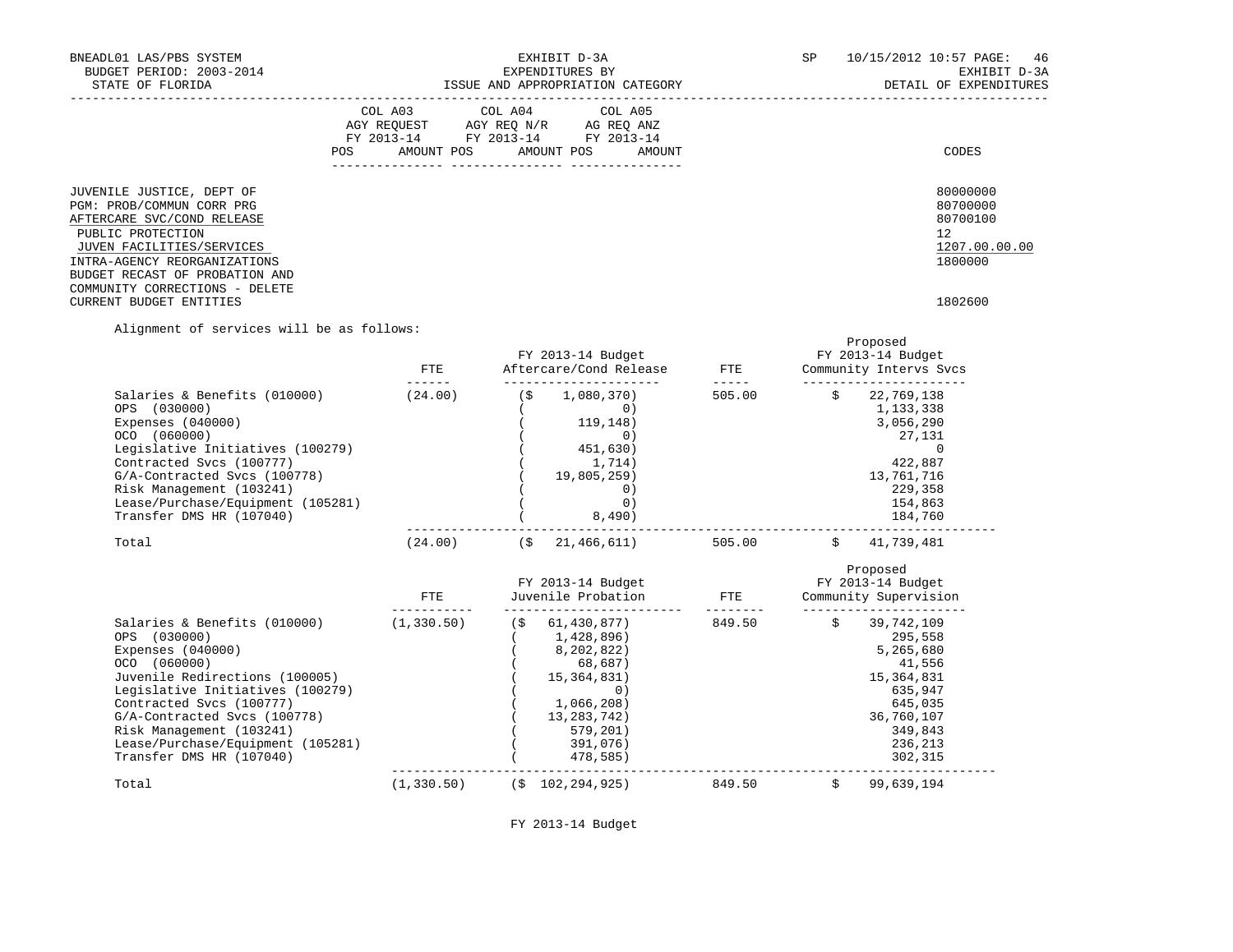| BNEADL01 LAS/PBS SYSTEM<br>BUDGET PERIOD: 2003-2014<br>STATE OF FLORIDA                                                                                                                                                                                               | EXHIBIT D-3A<br>EXPENDITURES BY<br>ISSUE AND APPROPRIATION CATEGORY                                                                                         | SP<br>10/15/2012 10:57 PAGE: 46<br>EXHIBIT D-3A<br>DETAIL OF EXPENDITURES     |
|-----------------------------------------------------------------------------------------------------------------------------------------------------------------------------------------------------------------------------------------------------------------------|-------------------------------------------------------------------------------------------------------------------------------------------------------------|-------------------------------------------------------------------------------|
|                                                                                                                                                                                                                                                                       | COL A03 COL A04 COL A05<br>AGY REOUEST AGY REO N/R AG REO ANZ<br>FY 2013-14 FY 2013-14 FY 2013-14<br>AMOUNT POS AMOUNT POS<br>POS<br>AMOUNT<br>------------ | CODES                                                                         |
| JUVENILE JUSTICE, DEPT OF<br>PGM: PROB/COMMUN CORR PRG<br>AFTERCARE SVC/COND RELEASE<br>PUBLIC PROTECTION<br>JUVEN FACILITIES/SERVICES<br>INTRA-AGENCY REORGANIZATIONS<br>BUDGET RECAST OF PROBATION AND<br>COMMUNITY CORRECTIONS - DELETE<br>CURRENT BUDGET ENTITIES |                                                                                                                                                             | 80000000<br>80700000<br>80700100<br>12<br>1207.00.00.00<br>1800000<br>1802600 |

Alignment of services will be as follows:

|                                                                                                                                                                                                                                                                                                                  | FTE<br>------ | FY 2013-14 Budget<br>Aftercare/Cond Release                                                                                                        | FTE<br>$- - - - -$ | Proposed<br>FY 2013-14 Budget<br>Community Intervs Svcs                                                                                 |
|------------------------------------------------------------------------------------------------------------------------------------------------------------------------------------------------------------------------------------------------------------------------------------------------------------------|---------------|----------------------------------------------------------------------------------------------------------------------------------------------------|--------------------|-----------------------------------------------------------------------------------------------------------------------------------------|
| Salaries & Benefits (010000)<br>OPS (030000)<br>Expenses (040000)<br>OCO (060000)<br>Legislative Initiatives (100279)<br>Contracted Svcs (100777)<br>G/A-Contracted Svcs (100778)<br>Risk Management (103241)<br>Lease/Purchase/Equipment (105281)<br>Transfer DMS HR (107040)                                   | (24.00)       | 1,080,370)<br>( \$<br>0)<br>119,148)<br>0)<br>451,630)<br>1,714)<br>19,805,259)<br>0)<br>0)<br>8,490)                                              | 505.00             | Ŝ.<br>22,769,138<br>1,133,338<br>3,056,290<br>27,131<br>$\Omega$<br>422,887<br>13,761,716<br>229,358<br>154,863<br>184,760              |
| Total                                                                                                                                                                                                                                                                                                            | (24.00)       | 21, 466, 611)<br>(\$                                                                                                                               | 505.00             | Ŝ.<br>41,739,481                                                                                                                        |
|                                                                                                                                                                                                                                                                                                                  | FTE.          | FY 2013-14 Budget<br>Juvenile Probation                                                                                                            | <b>FTE</b>         | Proposed<br>FY 2013-14 Budget<br>Community Supervision                                                                                  |
| Salaries & Benefits (010000)<br>OPS (030000)<br>Expenses (040000)<br>OCO (060000)<br>Juvenile Redirections (100005)<br>Legislative Initiatives (100279)<br>Contracted Svcs (100777)<br>G/A-Contracted Svcs (100778)<br>Risk Management (103241)<br>Lease/Purchase/Equipment (105281)<br>Transfer DMS HR (107040) | (1, 330.50)   | (S)<br>61,430,877)<br>1,428,896)<br>8,202,822)<br>68,687)<br>15,364,831)<br>0)<br>1,066,208)<br>13, 283, 742)<br>579, 201)<br>391,076)<br>478,585) | 849.50             | Ŝ.<br>39,742,109<br>295,558<br>5,265,680<br>41,556<br>15, 364, 831<br>635,947<br>645,035<br>36,760,107<br>349,843<br>236,213<br>302,315 |
| Total                                                                                                                                                                                                                                                                                                            | (1, 330.50)   | (S 102, 294, 925)                                                                                                                                  | 849.50             | 99,639,194<br>\$                                                                                                                        |

FY 2013-14 Budget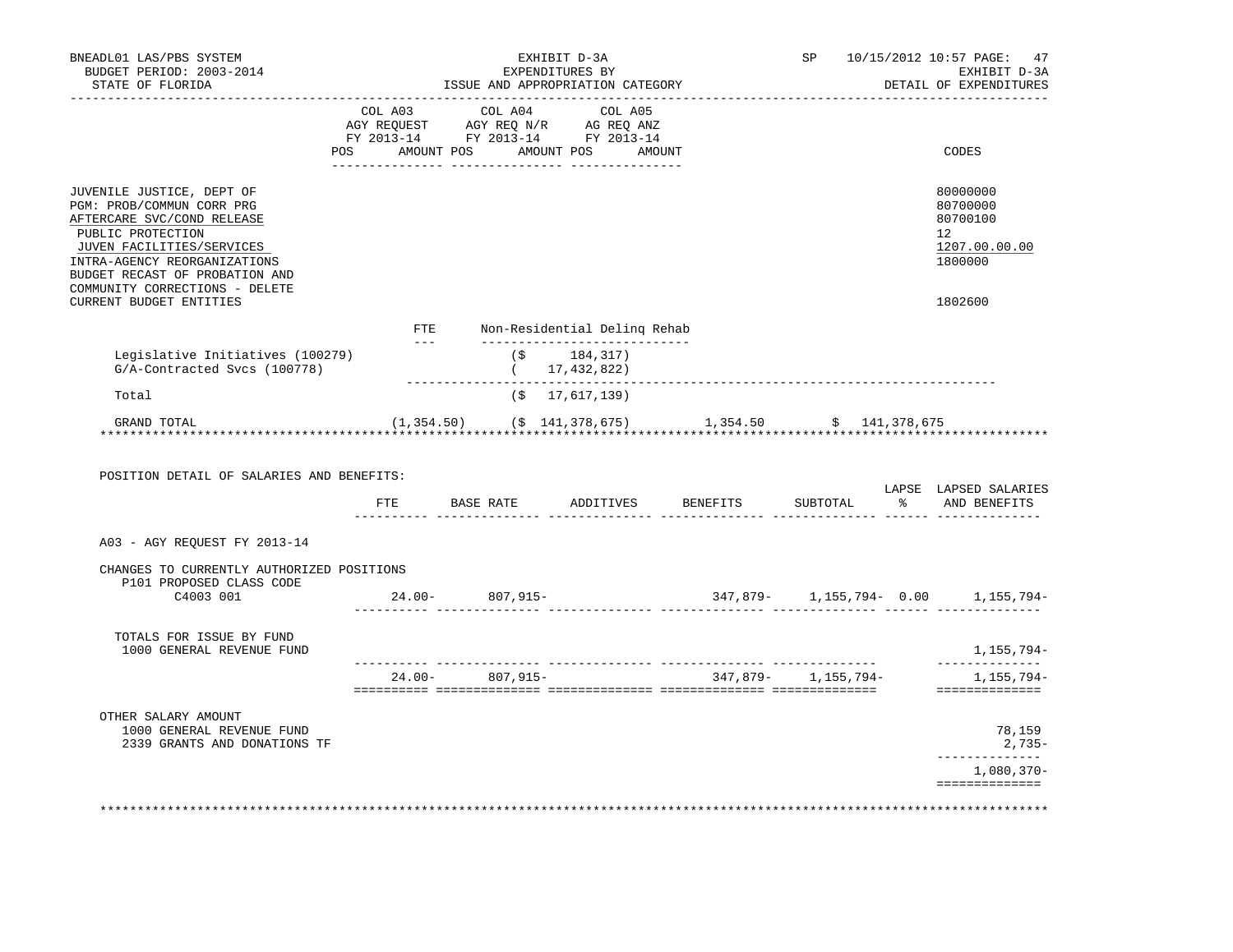| BNEADL01 LAS/PBS SYSTEM<br>BUDGET PERIOD: 2003-2014<br>STATE OF FLORIDA                                                                                                                                                                    |                                                                                                                                                                                                                                                                                                                                                                                              |                 | EXHIBIT D-3A<br>EXPENDITURES BY<br>ISSUE AND APPROPRIATION CATEGORY                                                                                                                            |                                                           | SP       | 10/15/2012 10:57 PAGE:<br>47<br>EXHIBIT D-3A<br>DETAIL OF EXPENDITURES |
|--------------------------------------------------------------------------------------------------------------------------------------------------------------------------------------------------------------------------------------------|----------------------------------------------------------------------------------------------------------------------------------------------------------------------------------------------------------------------------------------------------------------------------------------------------------------------------------------------------------------------------------------------|-----------------|------------------------------------------------------------------------------------------------------------------------------------------------------------------------------------------------|-----------------------------------------------------------|----------|------------------------------------------------------------------------|
|                                                                                                                                                                                                                                            |                                                                                                                                                                                                                                                                                                                                                                                              |                 | $\begin{tabular}{lcccc} COL A03 & COL A04 & COL A05 \\ AGY REQUEST & AGY REQ N/R & AG REQ ANZ \\ FY & 2013-14 & FY & 2013-14 & FY & 2013-14 \end{tabular}$<br>POS AMOUNT POS AMOUNT POS AMOUNT |                                                           |          | CODES                                                                  |
| JUVENILE JUSTICE, DEPT OF<br>PGM: PROB/COMMUN CORR PRG<br>AFTERCARE SVC/COND RELEASE<br>PUBLIC PROTECTION<br>JUVEN FACILITIES/SERVICES<br>INTRA-AGENCY REORGANIZATIONS<br>BUDGET RECAST OF PROBATION AND<br>COMMUNITY CORRECTIONS - DELETE |                                                                                                                                                                                                                                                                                                                                                                                              |                 |                                                                                                                                                                                                |                                                           |          | 80000000<br>80700000<br>80700100<br>12<br>1207.00.00.00<br>1800000     |
| <b>CURRENT BUDGET ENTITIES</b>                                                                                                                                                                                                             |                                                                                                                                                                                                                                                                                                                                                                                              |                 |                                                                                                                                                                                                |                                                           |          | 1802600                                                                |
|                                                                                                                                                                                                                                            | $\frac{1}{2} \frac{1}{2} \frac{1}{2} \frac{1}{2} \frac{1}{2} \frac{1}{2} \frac{1}{2} \frac{1}{2} \frac{1}{2} \frac{1}{2} \frac{1}{2} \frac{1}{2} \frac{1}{2} \frac{1}{2} \frac{1}{2} \frac{1}{2} \frac{1}{2} \frac{1}{2} \frac{1}{2} \frac{1}{2} \frac{1}{2} \frac{1}{2} \frac{1}{2} \frac{1}{2} \frac{1}{2} \frac{1}{2} \frac{1}{2} \frac{1}{2} \frac{1}{2} \frac{1}{2} \frac{1}{2} \frac{$ |                 | FTE Non-Residential Delinq Rehab<br>_______________________________                                                                                                                            |                                                           |          |                                                                        |
| Legislative Initiatives (100279)<br>G/A-Contracted Svcs (100778)                                                                                                                                                                           |                                                                                                                                                                                                                                                                                                                                                                                              | $(\hat{S})$     | 184,317)<br>(17, 432, 822)                                                                                                                                                                     |                                                           |          |                                                                        |
| Total                                                                                                                                                                                                                                      |                                                                                                                                                                                                                                                                                                                                                                                              | (\$             | 17,617,139)                                                                                                                                                                                    |                                                           |          |                                                                        |
| GRAND TOTAL                                                                                                                                                                                                                                |                                                                                                                                                                                                                                                                                                                                                                                              |                 |                                                                                                                                                                                                | $(1,354.50)$ $($ \$ 141,378,675) 1,354.50 $($ 141,378,675 |          |                                                                        |
| POSITION DETAIL OF SALARIES AND BENEFITS:                                                                                                                                                                                                  |                                                                                                                                                                                                                                                                                                                                                                                              |                 | FTE BASE RATE ADDITIVES                                                                                                                                                                        | BENEFITS                                                  | SUBTOTAL | LAPSE LAPSED SALARIES<br>% AND BENEFITS                                |
| A03 - AGY REOUEST FY 2013-14                                                                                                                                                                                                               |                                                                                                                                                                                                                                                                                                                                                                                              |                 |                                                                                                                                                                                                |                                                           |          |                                                                        |
| CHANGES TO CURRENTLY AUTHORIZED POSITIONS                                                                                                                                                                                                  |                                                                                                                                                                                                                                                                                                                                                                                              |                 |                                                                                                                                                                                                |                                                           |          |                                                                        |
| P101 PROPOSED CLASS CODE<br>C4003 001                                                                                                                                                                                                      |                                                                                                                                                                                                                                                                                                                                                                                              | 24.00- 807,915- | ------ -------------- -------                                                                                                                                                                  |                                                           |          | 347,879- 1,155,794- 0.00 1,155,794-                                    |
| TOTALS FOR ISSUE BY FUND<br>1000 GENERAL REVENUE FUND                                                                                                                                                                                      |                                                                                                                                                                                                                                                                                                                                                                                              |                 |                                                                                                                                                                                                |                                                           |          | 1,155,794–                                                             |
|                                                                                                                                                                                                                                            |                                                                                                                                                                                                                                                                                                                                                                                              |                 |                                                                                                                                                                                                | $24.00 - 807,915 - 347,879 - 1,155,794 -$                 |          | ______________<br>1,155,794-                                           |
| OTHER SALARY AMOUNT<br>1000 GENERAL REVENUE FUND<br>2339 GRANTS AND DONATIONS TF                                                                                                                                                           |                                                                                                                                                                                                                                                                                                                                                                                              |                 |                                                                                                                                                                                                |                                                           |          | 78,159<br>2,735-                                                       |
|                                                                                                                                                                                                                                            |                                                                                                                                                                                                                                                                                                                                                                                              |                 |                                                                                                                                                                                                |                                                           |          | ______________<br>$1,080,370-$<br>==============                       |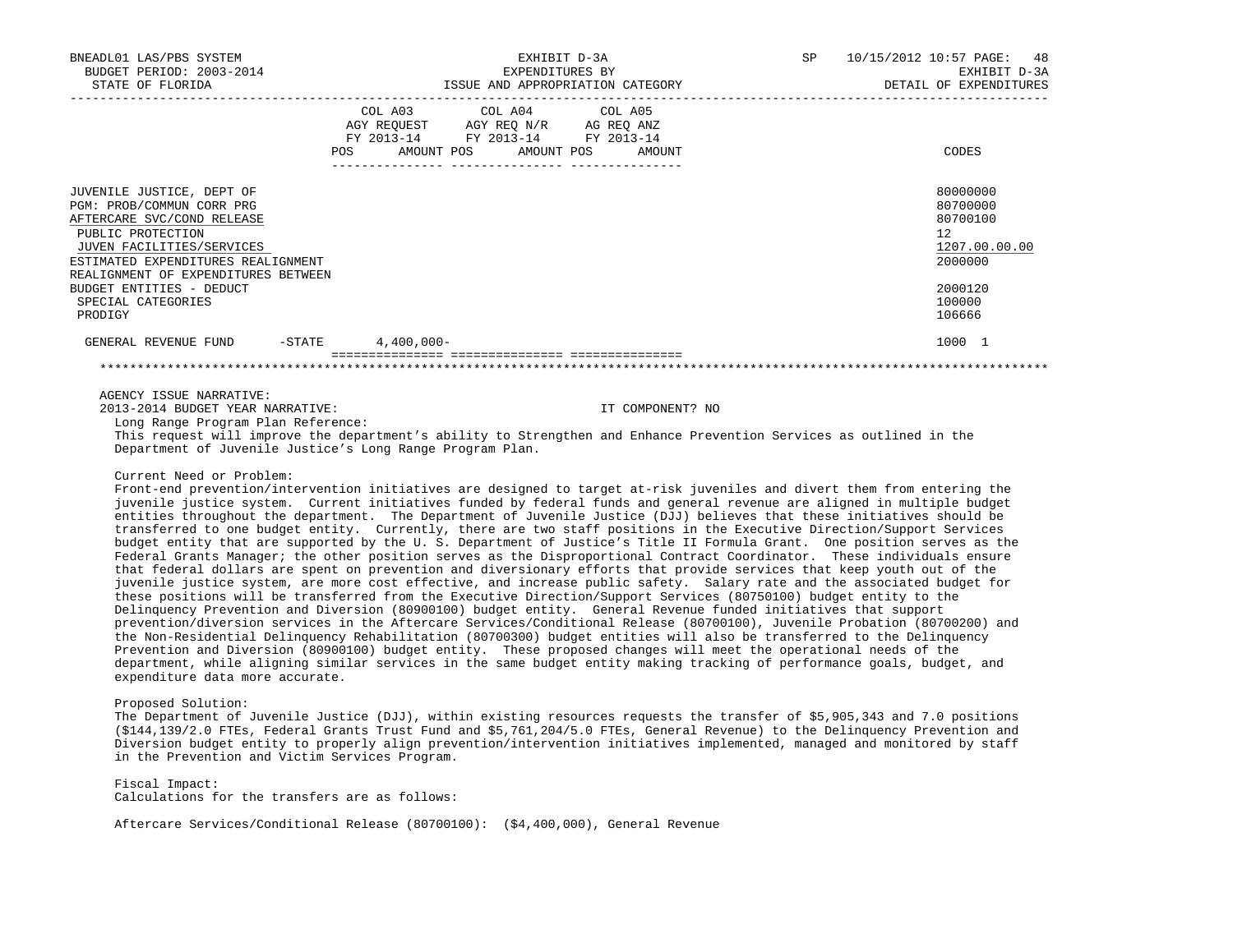| BNEADL01 LAS/PBS SYSTEM<br>BUDGET PERIOD: 2003-2014<br>STATE OF FLORIDA                                                                                                                                             |                                                                                                                                       | EXHIBIT D-3A<br>EXPENDITURES BY<br>ISSUE AND APPROPRIATION CATEGORY |  | <b>SP</b> | 10/15/2012 10:57 PAGE: 48<br>EXHIBIT D-3A<br>DETAIL OF EXPENDITURES |
|---------------------------------------------------------------------------------------------------------------------------------------------------------------------------------------------------------------------|---------------------------------------------------------------------------------------------------------------------------------------|---------------------------------------------------------------------|--|-----------|---------------------------------------------------------------------|
|                                                                                                                                                                                                                     | COL A03 COL A04 COL A05<br>AGY REQUEST AGY REQ N/R AG REQ ANZ<br>FY 2013-14 FY 2013-14 FY 2013-14<br>POS AMOUNT POS AMOUNT POS AMOUNT |                                                                     |  |           | CODES                                                               |
| JUVENILE JUSTICE, DEPT OF<br>PGM: PROB/COMMUN CORR PRG<br>AFTERCARE SVC/COND RELEASE<br>PUBLIC PROTECTION<br>JUVEN FACILITIES/SERVICES<br>ESTIMATED EXPENDITURES REALIGNMENT<br>REALIGNMENT OF EXPENDITURES BETWEEN |                                                                                                                                       |                                                                     |  |           | 80000000<br>80700000<br>80700100<br>12<br>1207.00.00.00<br>2000000  |
| BUDGET ENTITIES - DEDUCT<br>SPECIAL CATEGORIES<br>PRODIGY                                                                                                                                                           |                                                                                                                                       |                                                                     |  |           | 2000120<br>100000<br>106666                                         |
| $-$ STATE<br>GENERAL REVENUE FUND                                                                                                                                                                                   | $4,400,000 -$                                                                                                                         |                                                                     |  |           | 1000 1                                                              |
|                                                                                                                                                                                                                     |                                                                                                                                       |                                                                     |  |           |                                                                     |

# AGENCY ISSUE NARRATIVE:

2013-2014 BUDGET YEAR NARRATIVE: IT COMPONENT? NO

Long Range Program Plan Reference:

 This request will improve the department's ability to Strengthen and Enhance Prevention Services as outlined in the Department of Juvenile Justice's Long Range Program Plan.

# Current Need or Problem:

 Front-end prevention/intervention initiatives are designed to target at-risk juveniles and divert them from entering the juvenile justice system. Current initiatives funded by federal funds and general revenue are aligned in multiple budget entities throughout the department. The Department of Juvenile Justice (DJJ) believes that these initiatives should be transferred to one budget entity. Currently, there are two staff positions in the Executive Direction/Support Services budget entity that are supported by the U. S. Department of Justice's Title II Formula Grant. One position serves as the Federal Grants Manager; the other position serves as the Disproportional Contract Coordinator. These individuals ensure that federal dollars are spent on prevention and diversionary efforts that provide services that keep youth out of the juvenile justice system, are more cost effective, and increase public safety. Salary rate and the associated budget for these positions will be transferred from the Executive Direction/Support Services (80750100) budget entity to the Delinquency Prevention and Diversion (80900100) budget entity. General Revenue funded initiatives that support prevention/diversion services in the Aftercare Services/Conditional Release (80700100), Juvenile Probation (80700200) and the Non-Residential Delinquency Rehabilitation (80700300) budget entities will also be transferred to the Delinquency Prevention and Diversion (80900100) budget entity. These proposed changes will meet the operational needs of the department, while aligning similar services in the same budget entity making tracking of performance goals, budget, and expenditure data more accurate.

### Proposed Solution:

 The Department of Juvenile Justice (DJJ), within existing resources requests the transfer of \$5,905,343 and 7.0 positions (\$144,139/2.0 FTEs, Federal Grants Trust Fund and \$5,761,204/5.0 FTEs, General Revenue) to the Delinquency Prevention and Diversion budget entity to properly align prevention/intervention initiatives implemented, managed and monitored by staff in the Prevention and Victim Services Program.

 Fiscal Impact: Calculations for the transfers are as follows:

Aftercare Services/Conditional Release (80700100): (\$4,400,000), General Revenue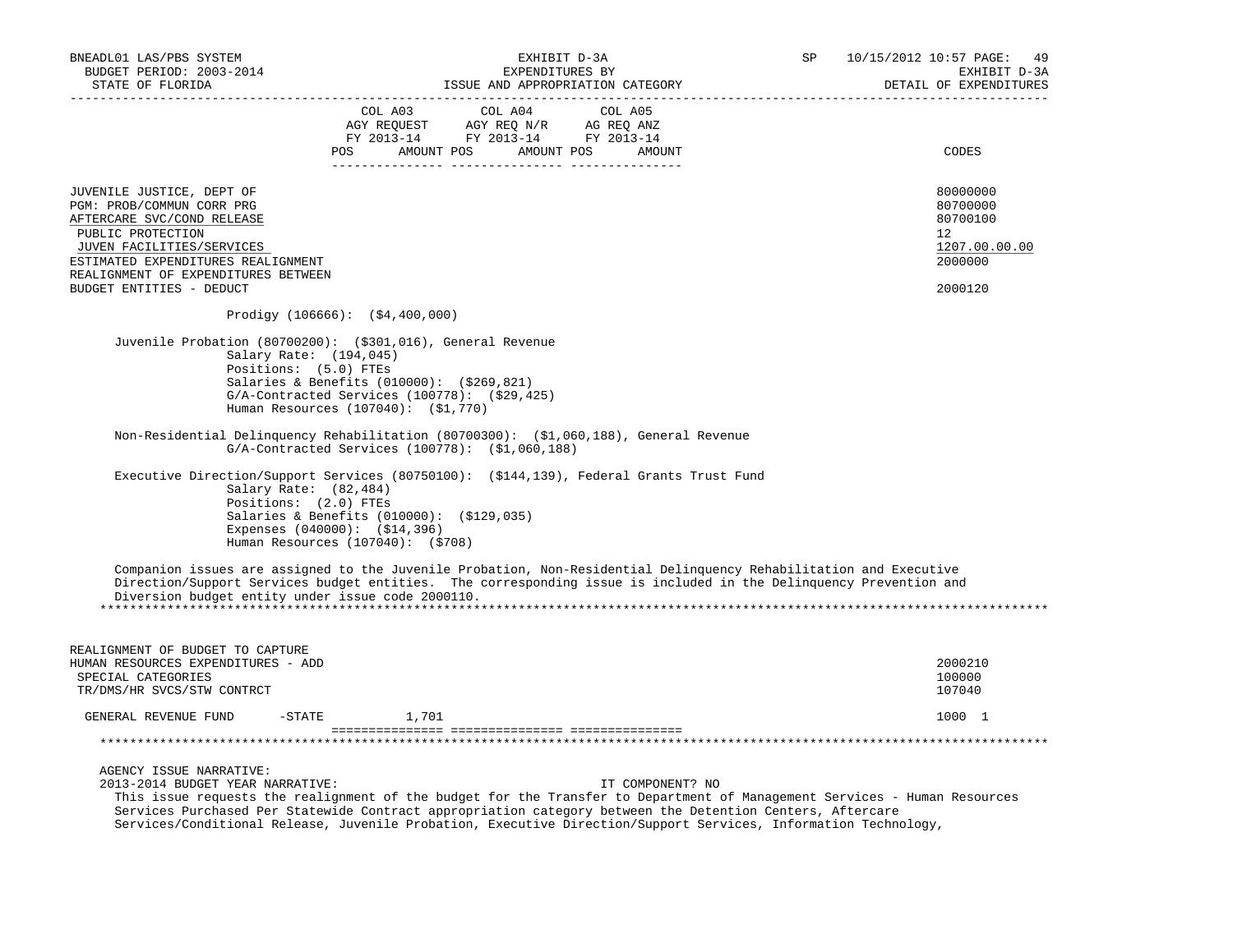| BNEADL01 LAS/PBS SYSTEM<br>BUDGET PERIOD: 2003-2014<br>STATE OF FLORIDA                                                                                                                                             | EXHIBIT D-3A<br>EXPENDITURES BY<br>ISSUE AND APPROPRIATION CATEGORY                                                                                                                                                                                                                                                                                                           |  | 10/15/2012 10:57 PAGE: 49<br>EXHIBIT D-3A<br>DETAIL OF EXPENDITURES |
|---------------------------------------------------------------------------------------------------------------------------------------------------------------------------------------------------------------------|-------------------------------------------------------------------------------------------------------------------------------------------------------------------------------------------------------------------------------------------------------------------------------------------------------------------------------------------------------------------------------|--|---------------------------------------------------------------------|
|                                                                                                                                                                                                                     | COL A03<br>COL A04<br>COL A05<br>$\begin{tabular}{lllllllll} \bf{AGY} & \bf{REQUEST} & \bf{AGY} & \bf{REQ} & \bf{N/R} & \bf{AG} & \bf{REQ} & \bf{ANZ} \\ \bf{FY} & \bf{2013-14} & \bf{FY} & \bf{2013-14} & \bf{FY} & \bf{2013-14} \\ \end{tabular}$<br>POS AMOUNT POS AMOUNT POS AMOUNT                                                                                       |  | CODES                                                               |
| JUVENILE JUSTICE, DEPT OF<br>PGM: PROB/COMMUN CORR PRG<br>AFTERCARE SVC/COND RELEASE<br>PUBLIC PROTECTION<br>JUVEN FACILITIES/SERVICES<br>ESTIMATED EXPENDITURES REALIGNMENT<br>REALIGNMENT OF EXPENDITURES BETWEEN |                                                                                                                                                                                                                                                                                                                                                                               |  | 80000000<br>80700000<br>80700100<br>12<br>1207.00.00.00<br>2000000  |
| BUDGET ENTITIES - DEDUCT                                                                                                                                                                                            |                                                                                                                                                                                                                                                                                                                                                                               |  | 2000120                                                             |
|                                                                                                                                                                                                                     | Prodigy $(106666):$ $( $4,400,000)$                                                                                                                                                                                                                                                                                                                                           |  |                                                                     |
| Salary Rate: (194,045)<br>Positions: (5.0) FTEs                                                                                                                                                                     | Juvenile Probation (80700200): (\$301,016), General Revenue<br>Salaries & Benefits (010000): (\$269,821)<br>$G/A$ -Contracted Services (100778): $(529, 425)$<br>Human Resources (107040): (\$1,770)                                                                                                                                                                          |  |                                                                     |
|                                                                                                                                                                                                                     | Non-Residential Delinquency Rehabilitation (80700300): (\$1,060,188), General Revenue<br>$G/A$ -Contracted Services (100778): $(51,060,188)$                                                                                                                                                                                                                                  |  |                                                                     |
| Salary Rate: (82,484)<br>Positions: (2.0) FTEs                                                                                                                                                                      | Executive Direction/Support Services (80750100): (\$144,139), Federal Grants Trust Fund<br>Salaries & Benefits (010000): (\$129,035)<br>Expenses $(040000)$ : $( $14, 396)$<br>Human Resources (107040): (\$708)                                                                                                                                                              |  |                                                                     |
| Diversion budget entity under issue code 2000110.                                                                                                                                                                   | Companion issues are assigned to the Juvenile Probation, Non-Residential Delinquency Rehabilitation and Executive<br>Direction/Support Services budget entities. The corresponding issue is included in the Delinquency Prevention and                                                                                                                                        |  |                                                                     |
| REALIGNMENT OF BUDGET TO CAPTURE<br>HUMAN RESOURCES EXPENDITURES - ADD<br>SPECIAL CATEGORIES<br>TR/DMS/HR SVCS/STW CONTRCT                                                                                          |                                                                                                                                                                                                                                                                                                                                                                               |  | 2000210<br>100000<br>107040                                         |
| GENERAL REVENUE FUND                                                                                                                                                                                                | $-$ STATE<br>1,701                                                                                                                                                                                                                                                                                                                                                            |  | 1000 1                                                              |
|                                                                                                                                                                                                                     |                                                                                                                                                                                                                                                                                                                                                                               |  |                                                                     |
| AGENCY ISSUE NARRATIVE:<br>2013-2014 BUDGET YEAR NARRATIVE:                                                                                                                                                         | IT COMPONENT? NO<br>This issue requests the realignment of the budget for the Transfer to Department of Management Services - Human Resources<br>Services Purchased Per Statewide Contract appropriation category between the Detention Centers, Aftercare<br>Services/Conditional Release, Juvenile Probation, Executive Direction/Support Services, Information Technology, |  |                                                                     |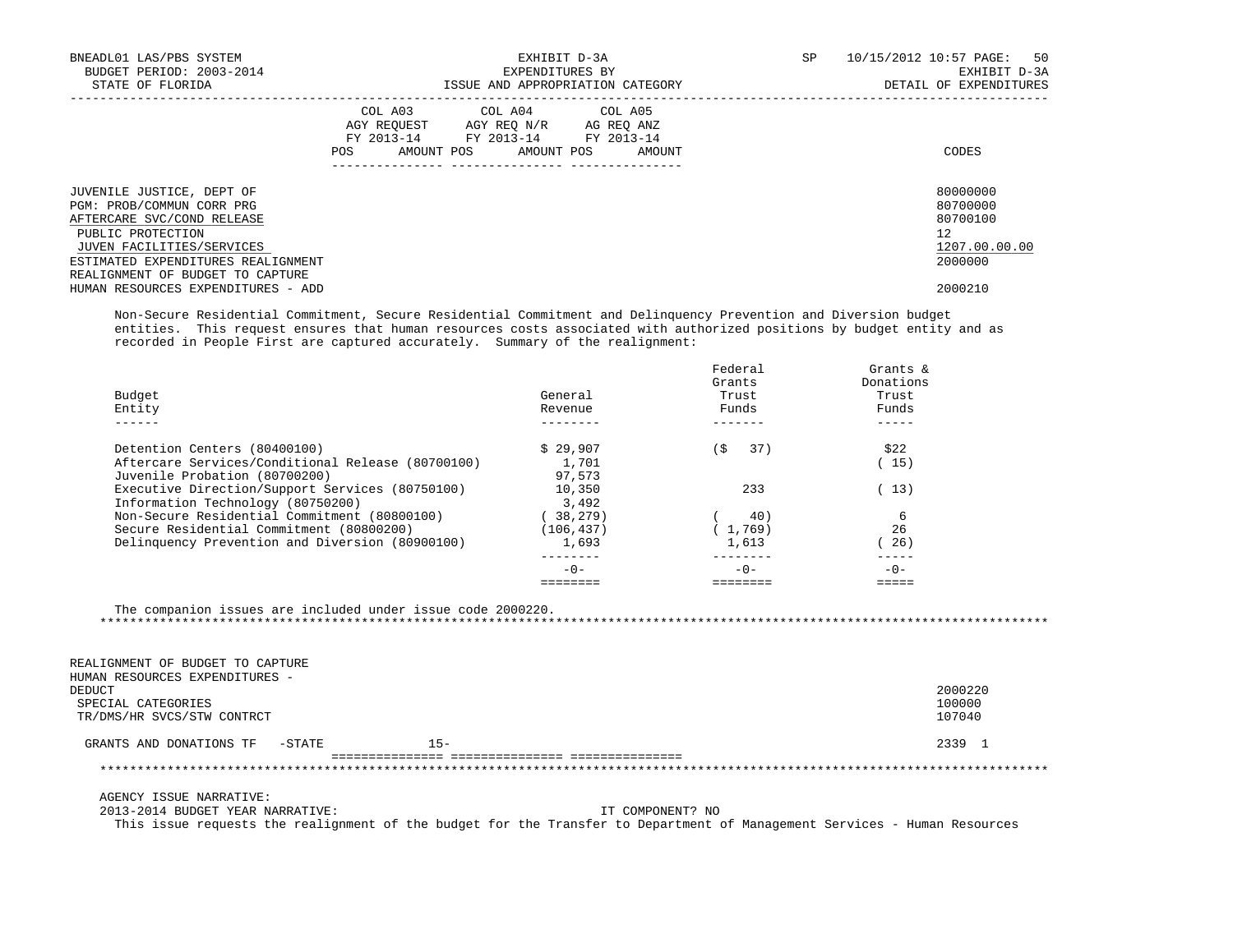| BNEADL01 LAS/PBS SYSTEM<br>BUDGET PERIOD: 2003-2014<br>STATE OF FLORIDA                                                                                                                                          | EXHIBIT D-3A<br>EXPENDITURES BY<br>ISSUE AND APPROPRIATION CATEGORY                                                                         | SP<br>10/15/2012 10:57 PAGE: 50<br>EXHIBIT D-3A<br>DETAIL OF EXPENDITURES |
|------------------------------------------------------------------------------------------------------------------------------------------------------------------------------------------------------------------|---------------------------------------------------------------------------------------------------------------------------------------------|---------------------------------------------------------------------------|
|                                                                                                                                                                                                                  | COL A03 COL A04 COL A05<br>AGY REQUEST AGY REQ N/R AG REQ ANZ<br>FY 2013-14 FY 2013-14 FY 2013-14<br>AMOUNT POS AMOUNT POS<br>AMOUNT<br>POS | CODES                                                                     |
| JUVENILE JUSTICE, DEPT OF<br>PGM: PROB/COMMUN CORR PRG<br>AFTERCARE SVC/COND RELEASE<br>PUBLIC PROTECTION<br>JUVEN FACILITIES/SERVICES<br>ESTIMATED EXPENDITURES REALIGNMENT<br>REALIGNMENT OF BUDGET TO CAPTURE |                                                                                                                                             | 80000000<br>80700000<br>80700100<br>12<br>1207.00.00.00<br>2000000        |
| HUMAN RESOURCES EXPENDITURES - ADD                                                                                                                                                                               |                                                                                                                                             | 2000210                                                                   |

 Non-Secure Residential Commitment, Secure Residential Commitment and Delinquency Prevention and Diversion budget entities. This request ensures that human resources costs associated with authorized positions by budget entity and as recorded in People First are captured accurately. Summary of the realignment:

| Budget<br>Entity                                  | General<br>Revenue | Federal<br>Grants<br>Trust<br>Funds | Grants $\&$<br>Donations<br>Trust<br>Funds |
|---------------------------------------------------|--------------------|-------------------------------------|--------------------------------------------|
| Detention Centers (80400100)                      | \$29.907           | 37)<br>í S                          | \$22                                       |
| Aftercare Services/Conditional Release (80700100) | 1,701              |                                     | 15)                                        |
| Juvenile Probation (80700200)                     | 97,573             |                                     |                                            |
| Executive Direction/Support Services (80750100)   | 10,350             | 233                                 | 13)                                        |
| Information Technology (80750200)                 | 3,492              |                                     |                                            |
| Non-Secure Residential Commitment (80800100)      | 38,279)            | 40)                                 |                                            |
| Secure Residential Commitment (80800200)          | (106, 437)         | (1.769)                             | 26                                         |
| Delinquency Prevention and Diversion (80900100)   | 1,693              | 1,613                               | 26)                                        |
|                                                   | $-0-$              | $-0-$                               | $-0-$                                      |
|                                                   |                    |                                     |                                            |

The companion issues are included under issue code 2000220.

\*\*\*\*\*\*\*\*\*\*\*\*\*\*\*\*\*\*\*\*\*\*\*\*\*\*\*\*\*\*\*\*\*\*\*\*\*\*\*\*\*\*\*\*\*\*\*\*\*\*\*\*\*\*\*\*\*\*\*\*\*\*\*\*\*\*\*\*\*\*\*\*\*\*\*\*\*\*\*\*\*\*\*\*\*\*\*\*\*\*\*\*\*\*\*\*\*\*\*\*\*\*\*\*\*\*\*\*\*\*\*\*\*\*\*\*\*\*\*\*\*\*\*\*\*\*\*

 REALIGNMENT OF BUDGET TO CAPTURE HUMAN RESOURCES EXPENDITURES - DEDUCT 2000220 SPECIAL CATEGORIES 100000 1200000 1200000 1200000 1200000 1200000 1200000 1200000 1200000 1200000 1200000 120000<br>TR/DMS/HR SVCS/STW CONTRCT TR/DMS/HR SVCS/STW CONTRCT GRANTS AND DONATIONS TF -STATE 15- 15- 2339 1 =============== =============== =============== \*\*\*\*\*\*\*\*\*\*\*\*\*\*\*\*\*\*\*\*\*\*\*\*\*\*\*\*\*\*\*\*\*\*\*\*\*\*\*\*\*\*\*\*\*\*\*\*\*\*\*\*\*\*\*\*\*\*\*\*\*\*\*\*\*\*\*\*\*\*\*\*\*\*\*\*\*\*\*\*\*\*\*\*\*\*\*\*\*\*\*\*\*\*\*\*\*\*\*\*\*\*\*\*\*\*\*\*\*\*\*\*\*\*\*\*\*\*\*\*\*\*\*\*\*\*\*

AGENCY ISSUE NARRATIVE:

2013-2014 BUDGET YEAR NARRATIVE: IT COMPONENT? NO

This issue requests the realignment of the budget for the Transfer to Department of Management Services - Human Resources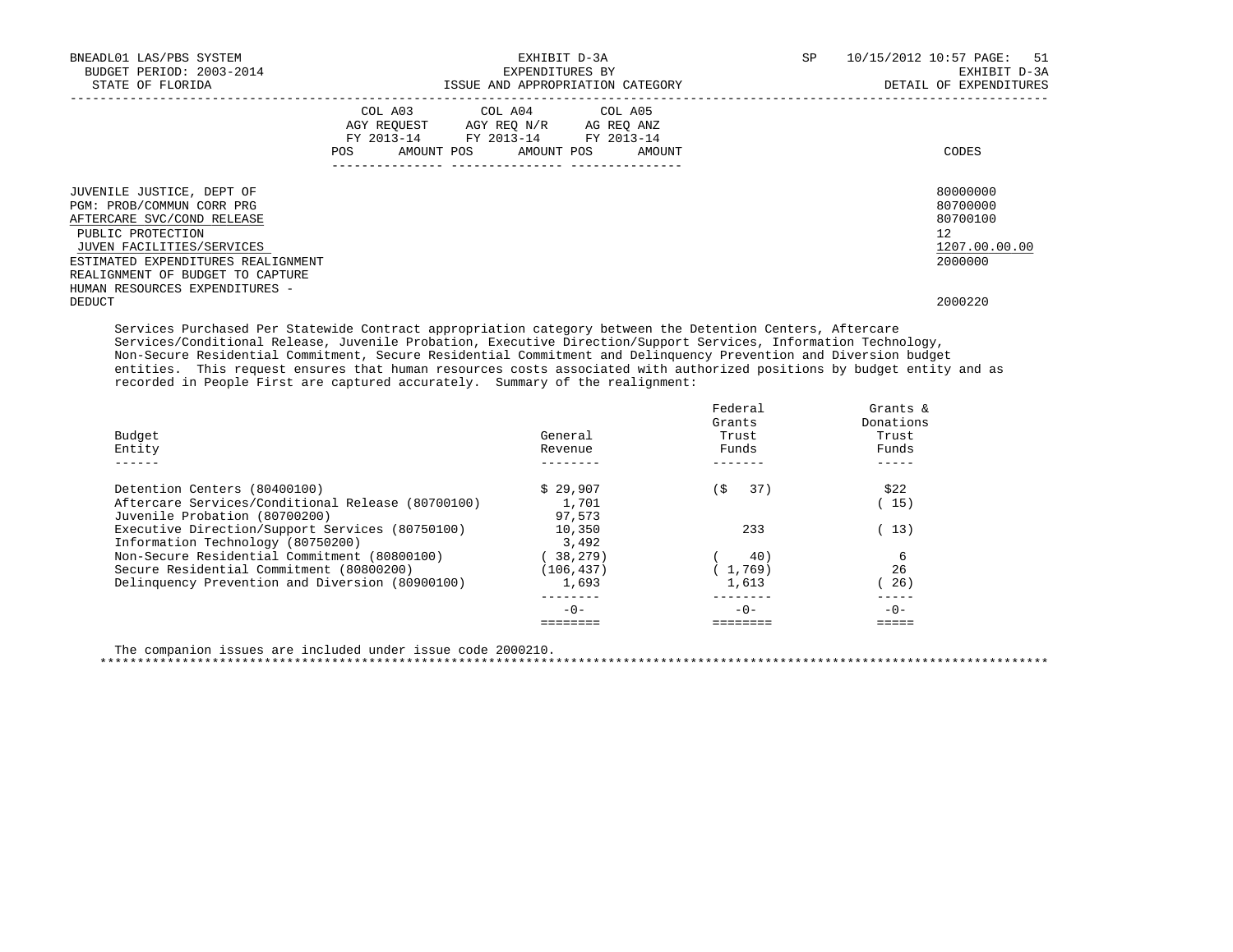| BNEADL01 LAS/PBS SYSTEM<br>BUDGET PERIOD: 2003-2014<br>STATE OF FLORIDA              | EXHIBIT D-3A<br>EXPENDITURES BY<br>ISSUE AND APPROPRIATION CATEGORY |  |                                                                                                                            |  |  | SP     | 10/15/2012 10:57 PAGE: 51<br>EXHIBIT D-3A<br>DETAIL OF EXPENDITURES |                                  |  |
|--------------------------------------------------------------------------------------|---------------------------------------------------------------------|--|----------------------------------------------------------------------------------------------------------------------------|--|--|--------|---------------------------------------------------------------------|----------------------------------|--|
|                                                                                      | POS                                                                 |  | COL A03 COL A04 COL A05<br>AGY REOUEST AGY REO N/R AG REO ANZ<br>FY 2013-14 FY 2013-14 FY 2013-14<br>AMOUNT POS AMOUNT POS |  |  | AMOUNT |                                                                     | CODES                            |  |
| JUVENILE JUSTICE, DEPT OF<br>PGM: PROB/COMMUN CORR PRG<br>AFTERCARE SVC/COND RELEASE |                                                                     |  |                                                                                                                            |  |  |        |                                                                     | 80000000<br>80700000<br>80700100 |  |
| PUBLIC PROTECTION                                                                    |                                                                     |  |                                                                                                                            |  |  |        |                                                                     | 12                               |  |
| JUVEN FACILITIES/SERVICES                                                            |                                                                     |  |                                                                                                                            |  |  |        |                                                                     | 1207.00.00.00                    |  |
| ESTIMATED EXPENDITURES REALIGNMENT                                                   |                                                                     |  |                                                                                                                            |  |  |        |                                                                     | 2000000                          |  |
| REALIGNMENT OF BUDGET TO CAPTURE                                                     |                                                                     |  |                                                                                                                            |  |  |        |                                                                     |                                  |  |
| HUMAN RESOURCES EXPENDITURES -<br>DEDUCT                                             |                                                                     |  |                                                                                                                            |  |  |        |                                                                     | 2000220                          |  |
|                                                                                      |                                                                     |  |                                                                                                                            |  |  |        |                                                                     |                                  |  |

 Services Purchased Per Statewide Contract appropriation category between the Detention Centers, Aftercare Services/Conditional Release, Juvenile Probation, Executive Direction/Support Services, Information Technology, Non-Secure Residential Commitment, Secure Residential Commitment and Delinquency Prevention and Diversion budget entities. This request ensures that human resources costs associated with authorized positions by budget entity and as recorded in People First are captured accurately. Summary of the realignment:

| Budget<br>Entity                                  | General<br>Revenue | Federal<br>Grants<br>Trust<br>Funds | Grants $\delta$<br>Donations<br>Trust<br>Funds |
|---------------------------------------------------|--------------------|-------------------------------------|------------------------------------------------|
|                                                   |                    |                                     |                                                |
| Detention Centers (80400100)                      | \$29.907           | \$<br>37)                           | \$22                                           |
| Aftercare Services/Conditional Release (80700100) | 1,701              |                                     | 15)                                            |
| Juvenile Probation (80700200)                     | 97,573             |                                     |                                                |
| Executive Direction/Support Services (80750100)   | 10,350             | 233                                 | 13)                                            |
| Information Technology (80750200)                 | 3,492              |                                     |                                                |
| Non-Secure Residential Commitment (80800100)      | (38, 279)          | 40)                                 | 6                                              |
| Secure Residential Commitment (80800200)          | (106, 437)         | 1,769)                              | 26                                             |
| Delinquency Prevention and Diversion (80900100)   | 1,693              | 1,613                               | 26)                                            |
|                                                   | $-0-$              | $-0-$                               | $-0-$                                          |
|                                                   |                    |                                     |                                                |

 The companion issues are included under issue code 2000210. \*\*\*\*\*\*\*\*\*\*\*\*\*\*\*\*\*\*\*\*\*\*\*\*\*\*\*\*\*\*\*\*\*\*\*\*\*\*\*\*\*\*\*\*\*\*\*\*\*\*\*\*\*\*\*\*\*\*\*\*\*\*\*\*\*\*\*\*\*\*\*\*\*\*\*\*\*\*\*\*\*\*\*\*\*\*\*\*\*\*\*\*\*\*\*\*\*\*\*\*\*\*\*\*\*\*\*\*\*\*\*\*\*\*\*\*\*\*\*\*\*\*\*\*\*\*\*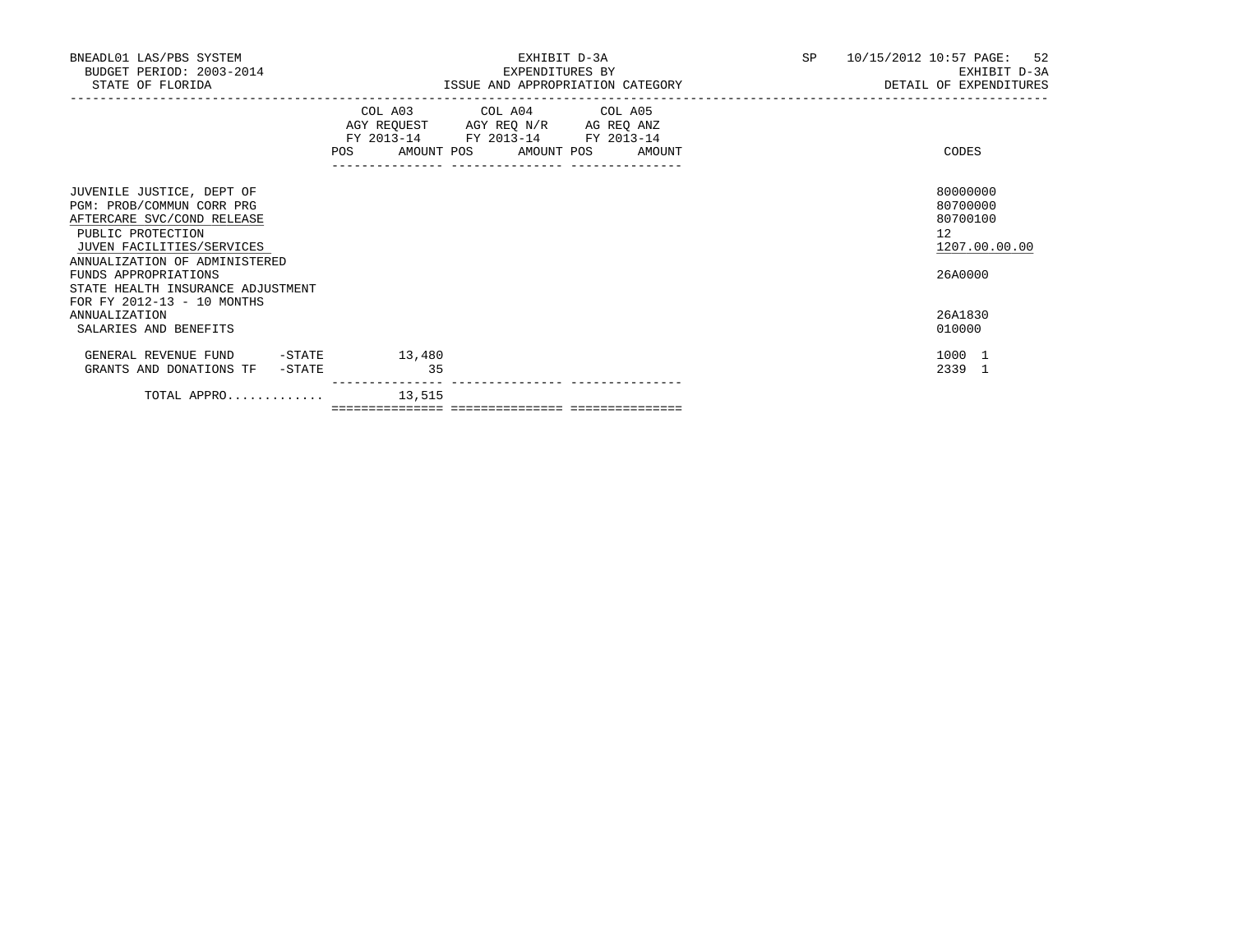| BNEADL01 LAS/PBS SYSTEM<br>BUDGET PERIOD: 2003-2014<br>STATE OF FLORIDA                                                                                                                                                              | EXHIBIT D-3A<br>EXPENDITURES BY<br>ISSUE AND APPROPRIATION CATEGORY                                                                   | 10/15/2012 10:57 PAGE: 52<br>SP and the set of the set of the set of the set of the set of the set of the set of the set of the set of the set of the set of the set of the set of the set of the set of the set of the set of the set of the set of the se<br>EXHIBIT D-3A<br>DETAIL OF EXPENDITURES |
|--------------------------------------------------------------------------------------------------------------------------------------------------------------------------------------------------------------------------------------|---------------------------------------------------------------------------------------------------------------------------------------|-------------------------------------------------------------------------------------------------------------------------------------------------------------------------------------------------------------------------------------------------------------------------------------------------------|
|                                                                                                                                                                                                                                      | COL A03 COL A04 COL A05<br>AGY REQUEST AGY REQ N/R AG REQ ANZ<br>FY 2013-14 FY 2013-14 FY 2013-14<br>POS AMOUNT POS AMOUNT POS AMOUNT | CODES                                                                                                                                                                                                                                                                                                 |
| JUVENILE JUSTICE, DEPT OF<br>PGM: PROB/COMMUN CORR PRG<br>AFTERCARE SVC/COND RELEASE<br>PUBLIC PROTECTION<br>JUVEN FACILITIES/SERVICES<br>ANNUALIZATION OF ADMINISTERED<br>FUNDS APPROPRIATIONS<br>STATE HEALTH INSURANCE ADJUSTMENT |                                                                                                                                       | 80000000<br>80700000<br>80700100<br>12<br>1207.00.00.00<br>26A0000                                                                                                                                                                                                                                    |
| FOR FY 2012-13 - 10 MONTHS<br><b>ANNUALIZATION</b><br>SALARIES AND BENEFITS                                                                                                                                                          |                                                                                                                                       | 26A1830<br>010000                                                                                                                                                                                                                                                                                     |
| GENERAL REVENUE FUND -STATE<br>GRANTS AND DONATIONS TF -STATE                                                                                                                                                                        | 13,480<br>35                                                                                                                          | 1000 1<br>2339 1                                                                                                                                                                                                                                                                                      |
| TOTAL APPRO $13,515$                                                                                                                                                                                                                 | ---------------                                                                                                                       |                                                                                                                                                                                                                                                                                                       |

=============== =============== ===============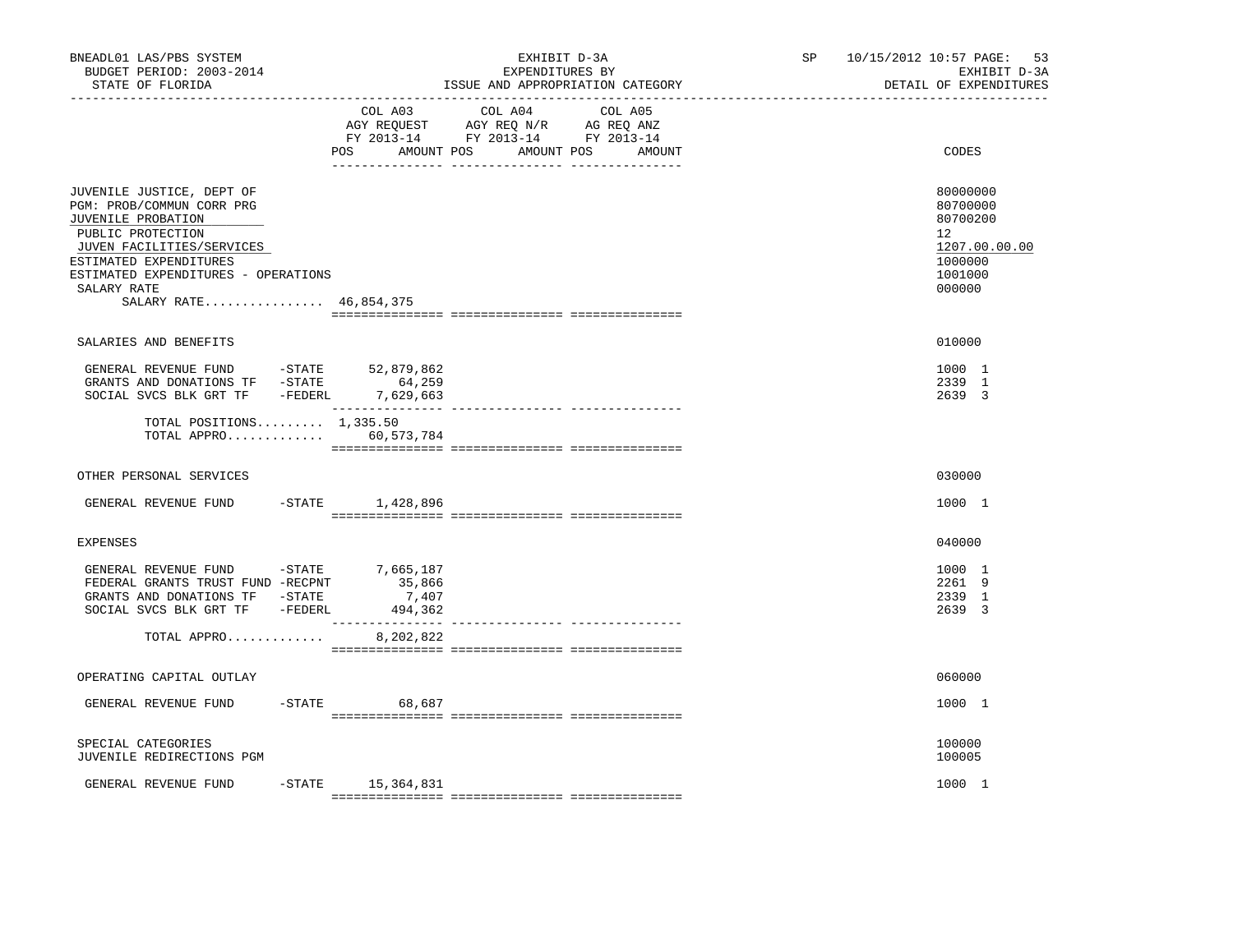| BNEADL01 LAS/PBS SYSTEM<br>BUDGET PERIOD: 2003-2014<br>STATE OF FLORIDA                                                                                                                                                                  |                                                      | EXHIBIT D-3A<br>EXPENDITURES BY<br>ISSUE AND APPROPRIATION CATEGORY                                                                  | SP | 10/15/2012 10:57 PAGE:<br>53<br>EXHIBIT D-3A<br>DETAIL OF EXPENDITURES                  |
|------------------------------------------------------------------------------------------------------------------------------------------------------------------------------------------------------------------------------------------|------------------------------------------------------|--------------------------------------------------------------------------------------------------------------------------------------|----|-----------------------------------------------------------------------------------------|
|                                                                                                                                                                                                                                          | POS                                                  | COL A03 COL A04<br>COL A05<br>AGY REQUEST AGY REQ N/R AG REQ ANZ<br>FY 2013-14 FY 2013-14 FY 2013-14<br>AMOUNT POS AMOUNT POS AMOUNT |    | CODES                                                                                   |
| JUVENILE JUSTICE, DEPT OF<br>PGM: PROB/COMMUN CORR PRG<br>JUVENILE PROBATION<br>PUBLIC PROTECTION<br>JUVEN FACILITIES/SERVICES<br>ESTIMATED EXPENDITURES<br>ESTIMATED EXPENDITURES - OPERATIONS<br>SALARY RATE<br>SALARY RATE 46,854,375 |                                                      |                                                                                                                                      |    | 80000000<br>80700000<br>80700200<br>12<br>1207.00.00.00<br>1000000<br>1001000<br>000000 |
| SALARIES AND BENEFITS                                                                                                                                                                                                                    |                                                      |                                                                                                                                      |    | 010000                                                                                  |
| GENERAL REVENUE FUND -STATE 52,879,862<br>GRANTS AND DONATIONS TF -STATE<br>SOCIAL SVCS BLK GRT TF -FEDERL 7,629,663<br>TOTAL POSITIONS $1,335.50$<br>TOTAL APPRO 60,573,784                                                             | 64,259                                               |                                                                                                                                      |    | 1000 1<br>2339 1<br>2639 3                                                              |
|                                                                                                                                                                                                                                          |                                                      |                                                                                                                                      |    |                                                                                         |
| OTHER PERSONAL SERVICES                                                                                                                                                                                                                  |                                                      |                                                                                                                                      |    | 030000                                                                                  |
| GENERAL REVENUE FUND -STATE 1,428,896                                                                                                                                                                                                    |                                                      |                                                                                                                                      |    | 1000 1                                                                                  |
| <b>EXPENSES</b>                                                                                                                                                                                                                          |                                                      |                                                                                                                                      |    | 040000                                                                                  |
| GENERAL REVENUE FUND -STATE<br>FEDERAL GRANTS TRUST FUND -RECPNT<br>GRANTS AND DONATIONS TF -STATE<br>SOCIAL SVCS BLK GRT TF -FEDERL<br>TOTAL APPRO                                                                                      | 7,665,187<br>35,866<br>7,407<br>494,362<br>8,202,822 |                                                                                                                                      |    | 1000 1<br>2261 9<br>2339 1<br>2639 3                                                    |
|                                                                                                                                                                                                                                          |                                                      |                                                                                                                                      |    |                                                                                         |
| OPERATING CAPITAL OUTLAY                                                                                                                                                                                                                 |                                                      |                                                                                                                                      |    | 060000                                                                                  |
| GENERAL REVENUE FUND                                                                                                                                                                                                                     | $-STATE$ 68,687                                      |                                                                                                                                      |    | 1000 1                                                                                  |
| SPECIAL CATEGORIES<br>JUVENILE REDIRECTIONS PGM                                                                                                                                                                                          |                                                      |                                                                                                                                      |    | 100000<br>100005                                                                        |
| GENERAL REVENUE FUND                                                                                                                                                                                                                     | $-$ STATE $15, 364, 831$                             |                                                                                                                                      |    | 1000 1                                                                                  |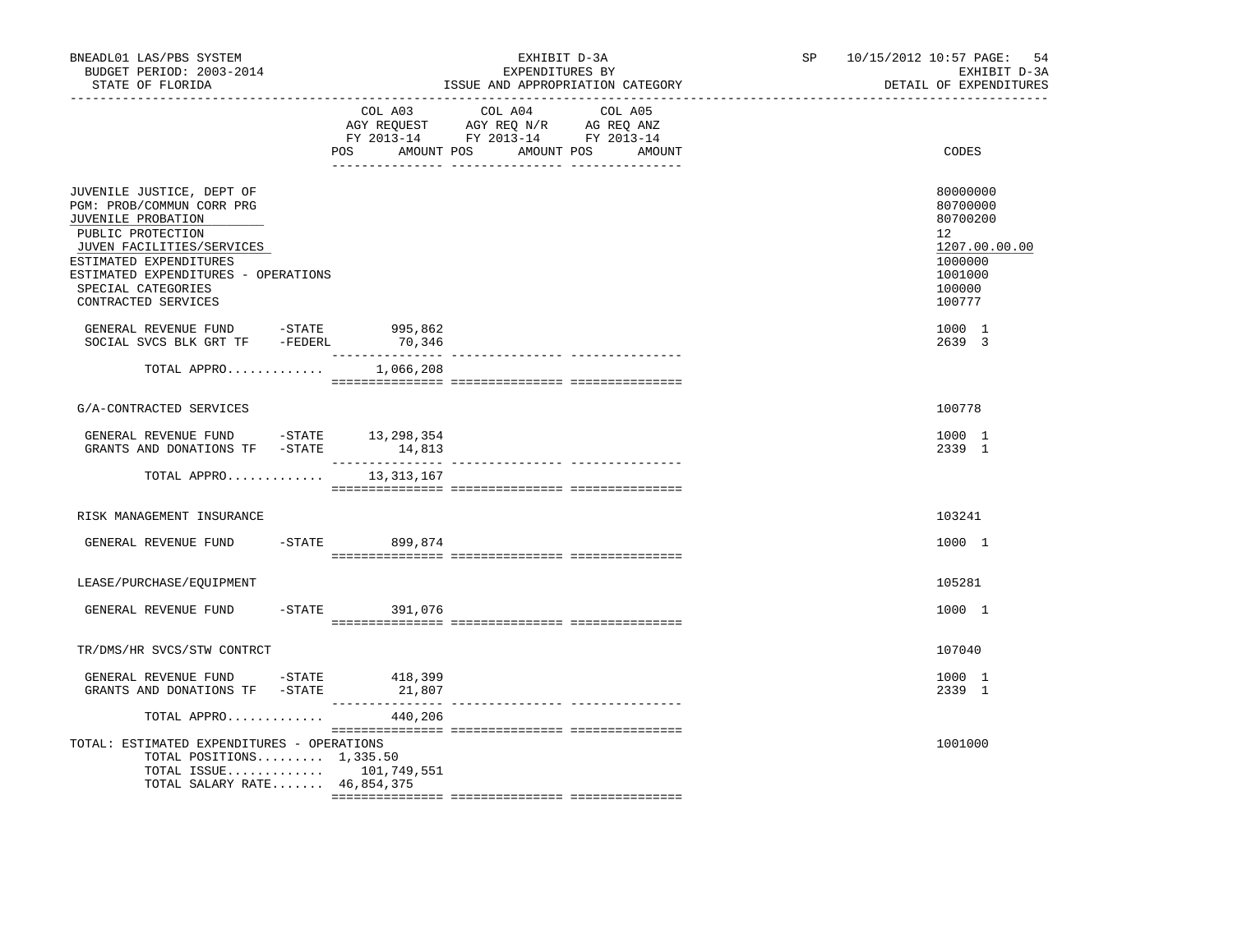| BNEADL01 LAS/PBS SYSTEM<br>BUDGET PERIOD: 2003-2014<br>STATE OF FLORIDA                                                                                                                                                                      |                  | EXHIBIT D-3A<br>EXPENDITURES BY<br>ISSUE AND APPROPRIATION CATEGORY                                                               | SP and the set of the set of the set of the set of the set of the set of the set of the set of the set of the set of the set of the set of the set of the set of the set of the set of the set of the set of the set of the se | 10/15/2012 10:57 PAGE: 54<br>EXHIBIT D-3A<br>DETAIL OF EXPENDITURES                               |
|----------------------------------------------------------------------------------------------------------------------------------------------------------------------------------------------------------------------------------------------|------------------|-----------------------------------------------------------------------------------------------------------------------------------|--------------------------------------------------------------------------------------------------------------------------------------------------------------------------------------------------------------------------------|---------------------------------------------------------------------------------------------------|
|                                                                                                                                                                                                                                              | POS              | COL A03 COL A04 COL A05<br>AGY REQUEST AGY REQ N/R AG REQ ANZ<br>FY 2013-14 FY 2013-14 FY 2013-14<br>AMOUNT POS AMOUNT POS AMOUNT |                                                                                                                                                                                                                                | CODES                                                                                             |
| JUVENILE JUSTICE, DEPT OF<br>PGM: PROB/COMMUN CORR PRG<br>JUVENILE PROBATION<br>PUBLIC PROTECTION<br>JUVEN FACILITIES/SERVICES<br>ESTIMATED EXPENDITURES<br>ESTIMATED EXPENDITURES - OPERATIONS<br>SPECIAL CATEGORIES<br>CONTRACTED SERVICES |                  |                                                                                                                                   |                                                                                                                                                                                                                                | 80000000<br>80700000<br>80700200<br>12<br>1207.00.00.00<br>1000000<br>1001000<br>100000<br>100777 |
| GENERAL REVENUE FUND -STATE 995,862<br>SOCIAL SVCS BLK GRT TF -FEDERL                                                                                                                                                                        | 70,346           |                                                                                                                                   |                                                                                                                                                                                                                                | 1000 1<br>2639 3                                                                                  |
| TOTAL APPRO                                                                                                                                                                                                                                  | 1,066,208        |                                                                                                                                   |                                                                                                                                                                                                                                |                                                                                                   |
| G/A-CONTRACTED SERVICES                                                                                                                                                                                                                      |                  |                                                                                                                                   |                                                                                                                                                                                                                                | 100778                                                                                            |
| GENERAL REVENUE FUND -STATE 13,298,354<br>GRANTS AND DONATIONS TF -STATE                                                                                                                                                                     | 14,813           |                                                                                                                                   |                                                                                                                                                                                                                                | 1000 1<br>2339 1                                                                                  |
| TOTAL APPRO 13, 313, 167                                                                                                                                                                                                                     |                  |                                                                                                                                   |                                                                                                                                                                                                                                |                                                                                                   |
| RISK MANAGEMENT INSURANCE                                                                                                                                                                                                                    |                  |                                                                                                                                   |                                                                                                                                                                                                                                | 103241                                                                                            |
| GENERAL REVENUE FUND -STATE 899,874                                                                                                                                                                                                          |                  |                                                                                                                                   |                                                                                                                                                                                                                                | 1000 1                                                                                            |
| LEASE/PURCHASE/EQUIPMENT                                                                                                                                                                                                                     |                  |                                                                                                                                   |                                                                                                                                                                                                                                | 105281                                                                                            |
| GENERAL REVENUE FUND                                                                                                                                                                                                                         | $-STATE$ 391,076 |                                                                                                                                   |                                                                                                                                                                                                                                | 1000 1                                                                                            |
| TR/DMS/HR SVCS/STW CONTRCT                                                                                                                                                                                                                   |                  |                                                                                                                                   |                                                                                                                                                                                                                                | 107040                                                                                            |
| GENERAL REVENUE FUND -STATE 418,399<br>GRANTS AND DONATIONS TF -STATE                                                                                                                                                                        | 21,807           |                                                                                                                                   |                                                                                                                                                                                                                                | 1000 1<br>2339 1                                                                                  |
| TOTAL APPRO                                                                                                                                                                                                                                  | 440,206          |                                                                                                                                   |                                                                                                                                                                                                                                |                                                                                                   |
| TOTAL: ESTIMATED EXPENDITURES - OPERATIONS<br>TOTAL POSITIONS $1,335.50$<br>TOTAL ISSUE 101,749,551<br>TOTAL SALARY RATE 46,854,375                                                                                                          |                  |                                                                                                                                   |                                                                                                                                                                                                                                | 1001000                                                                                           |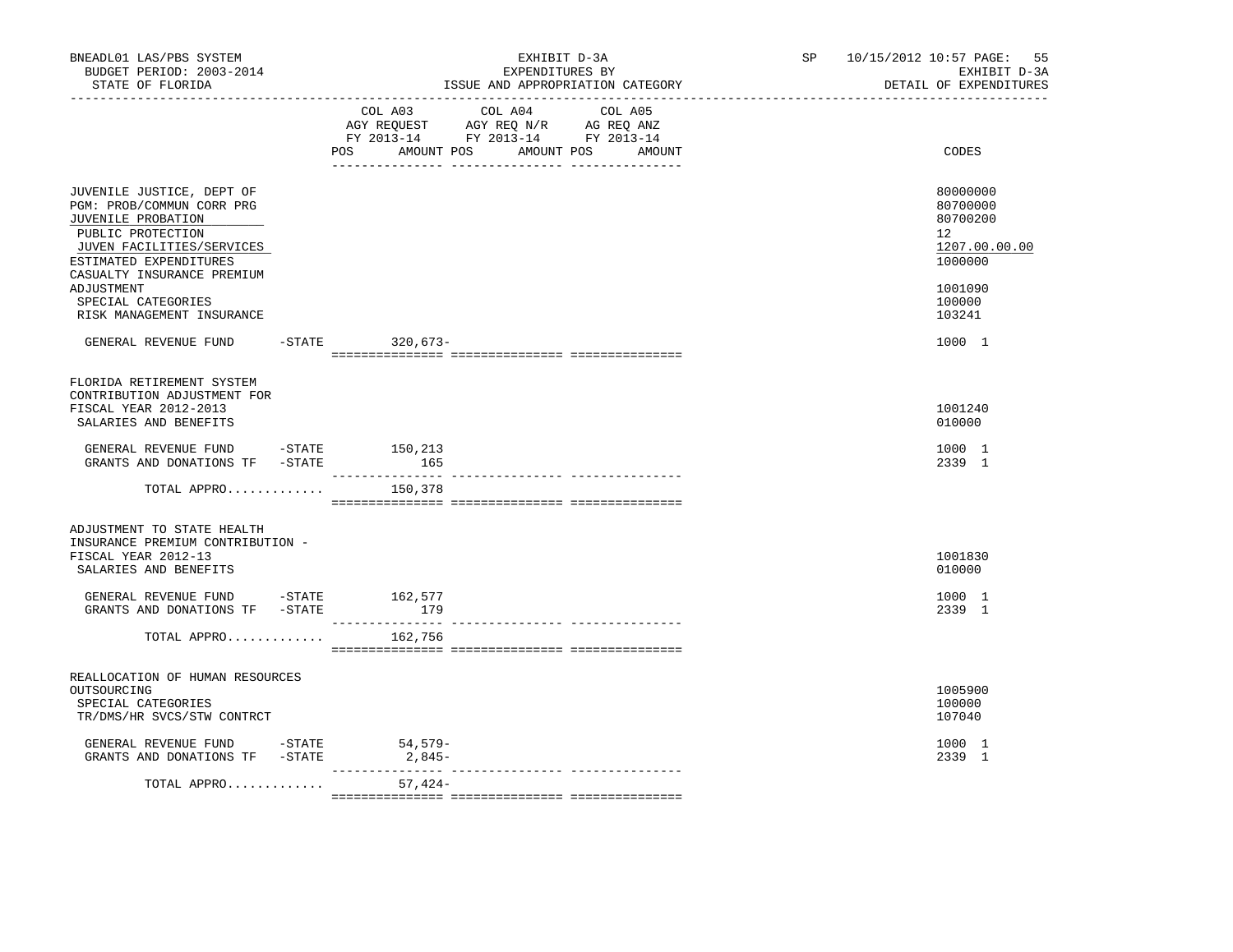| BNEADL01 LAS/PBS SYSTEM<br>BUDGET PERIOD: 2003-2014<br>STATE OF FLORIDA                                                                                                                                                                                                         |                             | EXHIBIT D-3A<br>EXPENDITURES BY<br>ISSUE AND APPROPRIATION CATEGORY                                                       | SP | 10/15/2012 10:57 PAGE:<br>55<br>EXHIBIT D-3A<br>DETAIL OF EXPENDITURES                                                |
|---------------------------------------------------------------------------------------------------------------------------------------------------------------------------------------------------------------------------------------------------------------------------------|-----------------------------|---------------------------------------------------------------------------------------------------------------------------|----|-----------------------------------------------------------------------------------------------------------------------|
|                                                                                                                                                                                                                                                                                 | AMOUNT POS<br>POS           | COL A03 COL A04 COL A05<br>AGY REQUEST AGY REQ N/R AG REQ ANZ<br>FY 2013-14 FY 2013-14 FY 2013-14<br>AMOUNT POS<br>AMOUNT |    | CODES                                                                                                                 |
| JUVENILE JUSTICE, DEPT OF<br>PGM: PROB/COMMUN CORR PRG<br>JUVENILE PROBATION<br>PUBLIC PROTECTION<br>JUVEN FACILITIES/SERVICES<br>ESTIMATED EXPENDITURES<br>CASUALTY INSURANCE PREMIUM<br>ADJUSTMENT<br>SPECIAL CATEGORIES<br>RISK MANAGEMENT INSURANCE<br>GENERAL REVENUE FUND | -STATE 320,673-             |                                                                                                                           |    | 80000000<br>80700000<br>80700200<br>$12^{\circ}$<br>1207.00.00.00<br>1000000<br>1001090<br>100000<br>103241<br>1000 1 |
| FLORIDA RETIREMENT SYSTEM<br>CONTRIBUTION ADJUSTMENT FOR<br>FISCAL YEAR 2012-2013<br>SALARIES AND BENEFITS                                                                                                                                                                      |                             |                                                                                                                           |    | 1001240<br>010000                                                                                                     |
| GENERAL REVENUE FUND -STATE 150,213<br>GRANTS AND DONATIONS TF -STATE<br>TOTAL APPRO                                                                                                                                                                                            | 165<br>150,378              |                                                                                                                           |    | 1000 1<br>2339 1                                                                                                      |
| ADJUSTMENT TO STATE HEALTH<br>INSURANCE PREMIUM CONTRIBUTION -<br>FISCAL YEAR 2012-13<br>SALARIES AND BENEFITS<br>GENERAL REVENUE FUND -STATE 162,577<br>GRANTS AND DONATIONS TF -STATE                                                                                         | 179                         |                                                                                                                           |    | 1001830<br>010000<br>1000 1<br>2339 1                                                                                 |
| TOTAL APPRO                                                                                                                                                                                                                                                                     | 162,756                     |                                                                                                                           |    |                                                                                                                       |
| REALLOCATION OF HUMAN RESOURCES<br>OUTSOURCING<br>SPECIAL CATEGORIES<br>TR/DMS/HR SVCS/STW CONTRCT                                                                                                                                                                              |                             |                                                                                                                           |    | 1005900<br>100000<br>107040                                                                                           |
| GENERAL REVENUE FUND -STATE 54,579-<br>GRANTS AND DONATIONS TF -STATE                                                                                                                                                                                                           | $2,845-$<br>_______________ | _______________ _______________                                                                                           |    | 1000 1<br>2339 1                                                                                                      |
| TOTAL APPRO                                                                                                                                                                                                                                                                     | $57,424-$                   |                                                                                                                           |    |                                                                                                                       |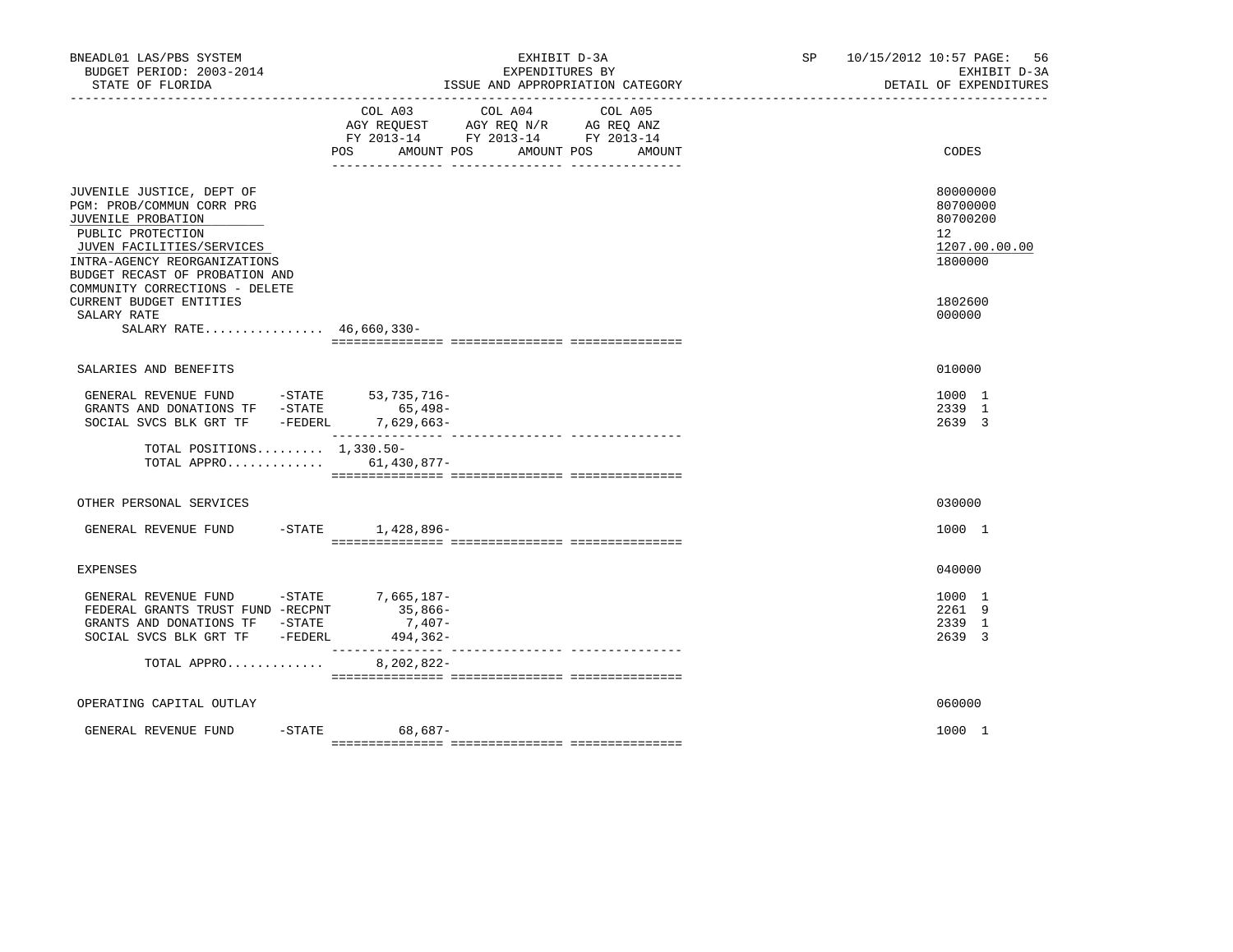| BNEADL01 LAS/PBS SYSTEM<br>BUDGET PERIOD: 2003-2014<br>STATE OF FLORIDA                                                                                                                                                            | EXHIBIT D-3A<br>EXPENDITURES BY<br>ISSUE AND APPROPRIATION CATEGORY                                                                                  | SP<br>10/15/2012 10:57 PAGE: 56<br>EXHIBIT D-3A<br>DETAIL OF EXPENDITURES       |
|------------------------------------------------------------------------------------------------------------------------------------------------------------------------------------------------------------------------------------|------------------------------------------------------------------------------------------------------------------------------------------------------|---------------------------------------------------------------------------------|
|                                                                                                                                                                                                                                    | COL A04<br>COL A03<br>COL A05<br>AGY REQUEST AGY REQ N/R AG REQ ANZ<br>FY 2013-14 FY 2013-14 FY 2013-14<br>AMOUNT POS<br>POS<br>AMOUNT POS<br>AMOUNT | CODES                                                                           |
| JUVENILE JUSTICE, DEPT OF<br>PGM: PROB/COMMUN CORR PRG<br>JUVENILE PROBATION<br>PUBLIC PROTECTION<br>JUVEN FACILITIES/SERVICES<br>INTRA-AGENCY REORGANIZATIONS<br>BUDGET RECAST OF PROBATION AND<br>COMMUNITY CORRECTIONS - DELETE |                                                                                                                                                      | 80000000<br>80700000<br>80700200<br>12 <sup>°</sup><br>1207.00.00.00<br>1800000 |
| CURRENT BUDGET ENTITIES<br>SALARY RATE<br>SALARY RATE 46,660,330-                                                                                                                                                                  |                                                                                                                                                      | 1802600<br>000000                                                               |
| SALARIES AND BENEFITS                                                                                                                                                                                                              |                                                                                                                                                      | 010000                                                                          |
| GENERAL REVENUE FUND -STATE 53,735,716-<br>GRANTS AND DONATIONS TF -STATE<br>SOCIAL SVCS BLK GRT TF - FEDERL 7,629,663-                                                                                                            | $65,498-$                                                                                                                                            | 1000 1<br>2339 1<br>2639 3                                                      |
| TOTAL POSITIONS $1,330.50-$<br>TOTAL APPRO 61,430,877-                                                                                                                                                                             |                                                                                                                                                      |                                                                                 |
| OTHER PERSONAL SERVICES                                                                                                                                                                                                            |                                                                                                                                                      | 030000                                                                          |
| GENERAL REVENUE FUND                                                                                                                                                                                                               | $-$ STATE $1,428,896-$                                                                                                                               | 1000 1                                                                          |
| EXPENSES                                                                                                                                                                                                                           |                                                                                                                                                      | 040000                                                                          |
| GENERAL REVENUE FUND -STATE 7,665,187-<br>FEDERAL GRANTS TRUST FUND -RECPNT<br>GRANTS AND DONATIONS TF -STATE<br>SOCIAL SVCS BLK GRT TF - FEDERL                                                                                   | 35,866-<br>$7,407-$<br>494,362-                                                                                                                      | 1000 1<br>2261 9<br>2339 1<br>2639 3                                            |
| TOTAL APPRO                                                                                                                                                                                                                        | 8,202,822-                                                                                                                                           |                                                                                 |
| OPERATING CAPITAL OUTLAY                                                                                                                                                                                                           |                                                                                                                                                      | 060000                                                                          |
| GENERAL REVENUE FUND                                                                                                                                                                                                               | -STATE 68,687-                                                                                                                                       | 1000 1                                                                          |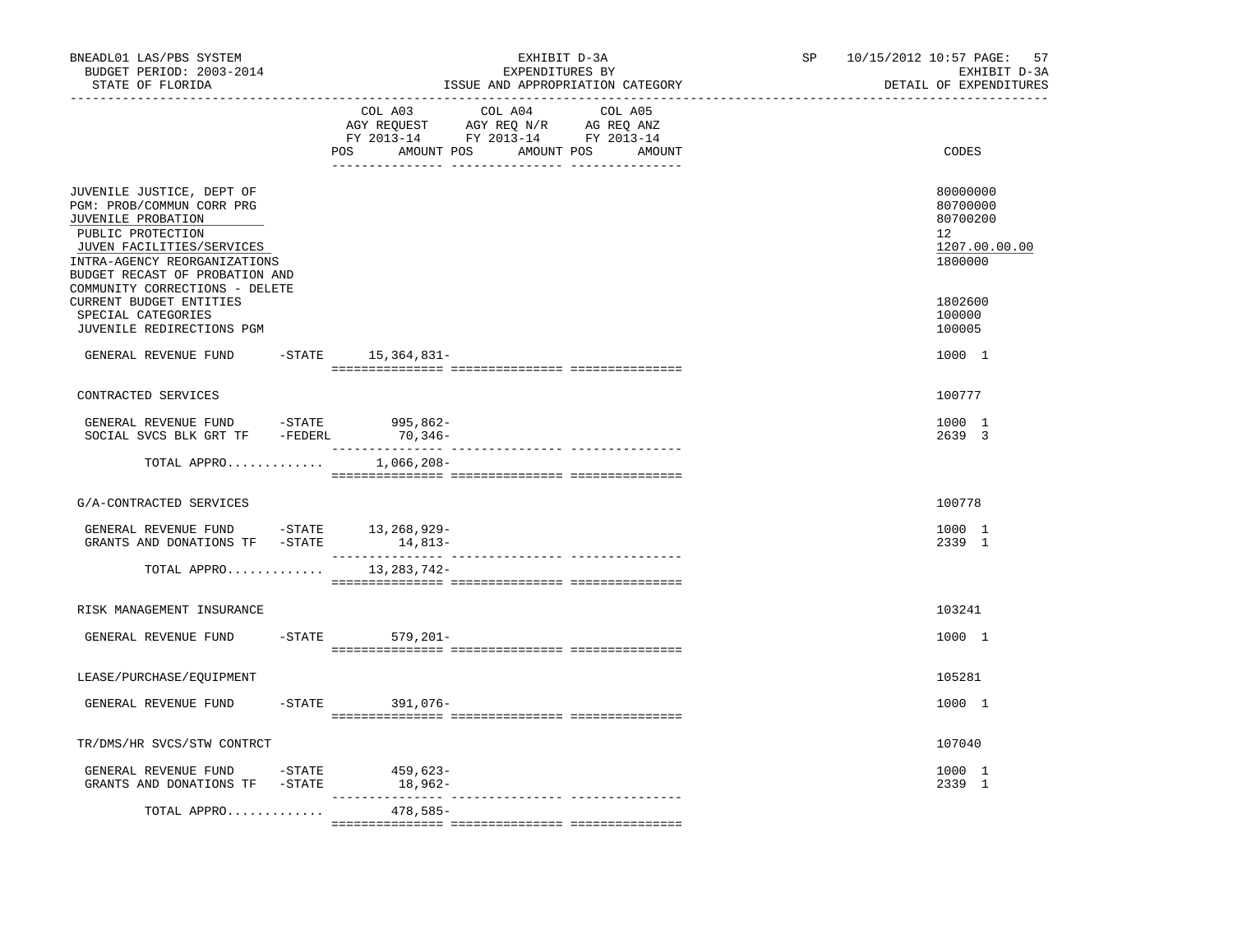| BNEADL01 LAS/PBS SYSTEM<br>BUDGET PERIOD: 2003-2014<br>STATE OF FLORIDA                                                                                                                                                            | EXHIBIT D-3A<br>EXPENDITURES BY<br>ISSUE AND APPROPRIATION CATEGORY                                                                      | 10/15/2012 10:57 PAGE: 57<br>SP and the set of the set of the set of the set of the set of the set of the set of the set of the set of the set of the set of the set of the set of the set of the set of the set of the set of the set of the set of the se<br>EXHIBIT D-3A<br>DETAIL OF EXPENDITURES |
|------------------------------------------------------------------------------------------------------------------------------------------------------------------------------------------------------------------------------------|------------------------------------------------------------------------------------------------------------------------------------------|-------------------------------------------------------------------------------------------------------------------------------------------------------------------------------------------------------------------------------------------------------------------------------------------------------|
|                                                                                                                                                                                                                                    | COL A03<br>COL A04 COL A05<br>AGY REQUEST AGY REQ N/R AG REQ ANZ<br>FY 2013-14 FY 2013-14 FY 2013-14<br>POS AMOUNT POS AMOUNT POS AMOUNT | CODES                                                                                                                                                                                                                                                                                                 |
| JUVENILE JUSTICE, DEPT OF<br>PGM: PROB/COMMUN CORR PRG<br>JUVENILE PROBATION<br>PUBLIC PROTECTION<br>JUVEN FACILITIES/SERVICES<br>INTRA-AGENCY REORGANIZATIONS<br>BUDGET RECAST OF PROBATION AND<br>COMMUNITY CORRECTIONS - DELETE |                                                                                                                                          | 80000000<br>80700000<br>80700200<br>12<br>1207.00.00.00<br>1800000                                                                                                                                                                                                                                    |
| <b>CURRENT BUDGET ENTITIES</b><br>SPECIAL CATEGORIES<br>JUVENILE REDIRECTIONS PGM                                                                                                                                                  |                                                                                                                                          | 1802600<br>100000<br>100005                                                                                                                                                                                                                                                                           |
| GENERAL REVENUE FUND                                                                                                                                                                                                               | -STATE 15,364,831-                                                                                                                       | 1000 1                                                                                                                                                                                                                                                                                                |
| CONTRACTED SERVICES                                                                                                                                                                                                                |                                                                                                                                          | 100777                                                                                                                                                                                                                                                                                                |
| GENERAL REVENUE FUND - STATE<br>SOCIAL SVCS BLK GRT TF - FEDERL 70,346-                                                                                                                                                            | 995,862-                                                                                                                                 | 1000 1<br>2639 3                                                                                                                                                                                                                                                                                      |
| TOTAL APPRO                                                                                                                                                                                                                        | 1,066,208-                                                                                                                               |                                                                                                                                                                                                                                                                                                       |
| G/A-CONTRACTED SERVICES                                                                                                                                                                                                            |                                                                                                                                          | 100778                                                                                                                                                                                                                                                                                                |
| GENERAL REVENUE FUND -STATE 13,268,929-<br>GRANTS AND DONATIONS TF - STATE                                                                                                                                                         | $14,813-$                                                                                                                                | 1000 1<br>2339 1                                                                                                                                                                                                                                                                                      |
| TOTAL APPRO 13, 283, 742-                                                                                                                                                                                                          |                                                                                                                                          |                                                                                                                                                                                                                                                                                                       |
| RISK MANAGEMENT INSURANCE                                                                                                                                                                                                          |                                                                                                                                          | 103241                                                                                                                                                                                                                                                                                                |
| GENERAL REVENUE FUND                                                                                                                                                                                                               | -STATE 579,201-                                                                                                                          | 1000 1                                                                                                                                                                                                                                                                                                |
| LEASE/PURCHASE/EQUIPMENT                                                                                                                                                                                                           |                                                                                                                                          | 105281                                                                                                                                                                                                                                                                                                |
| $-STATE$<br>GENERAL REVENUE FUND                                                                                                                                                                                                   | 391,076-                                                                                                                                 | 1000 1                                                                                                                                                                                                                                                                                                |
| TR/DMS/HR SVCS/STW CONTRCT                                                                                                                                                                                                         |                                                                                                                                          | 107040                                                                                                                                                                                                                                                                                                |
| GENERAL REVENUE FUND -STATE<br>GRANTS AND DONATIONS TF -STATE                                                                                                                                                                      | $459,623-$<br>18,962-                                                                                                                    | 1000 1<br>2339 1                                                                                                                                                                                                                                                                                      |
| TOTAL APPRO                                                                                                                                                                                                                        | 478,585-                                                                                                                                 |                                                                                                                                                                                                                                                                                                       |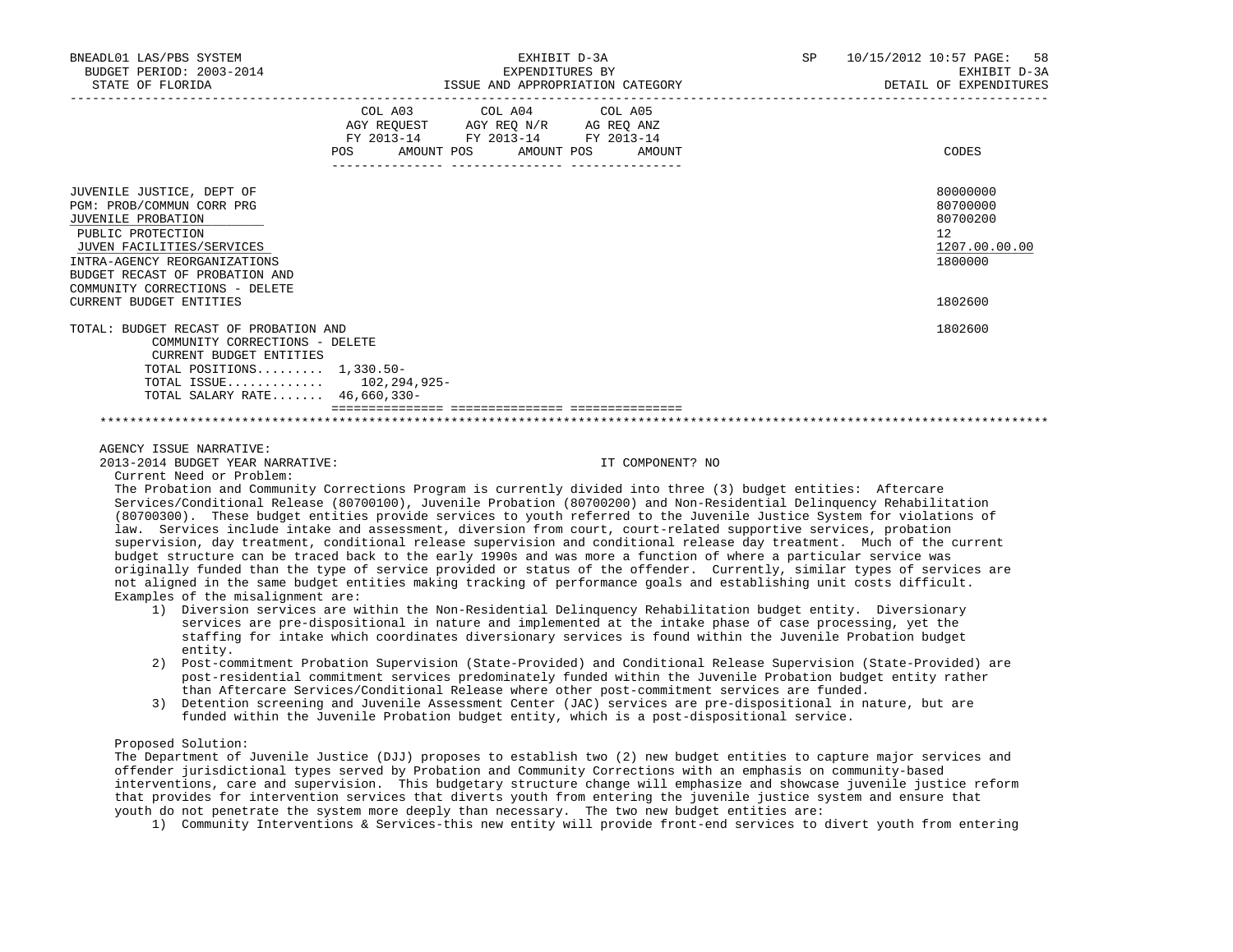| BNEADL01 LAS/PBS SYSTEM<br>BUDGET PERIOD: 2003-2014<br>STATE OF FLORIDA                                                                                                                                                            |     | EXPENDITURES BY                                                                                                 | EXHIBIT D-3A<br>ISSUE AND APPROPRIATION CATEGORY | 10/15/2012 10:57 PAGE: 58<br>SP<br>EXHIBIT D-3A<br>DETAIL OF EXPENDITURES |
|------------------------------------------------------------------------------------------------------------------------------------------------------------------------------------------------------------------------------------|-----|-----------------------------------------------------------------------------------------------------------------|--------------------------------------------------|---------------------------------------------------------------------------|
|                                                                                                                                                                                                                                    | POS | COL A03 COL A04 COL A05<br>AGY REQUEST AGY REQ N/R AG REQ ANZ<br>FY 2013-14 FY 2013-14 FY 2013-14<br>AMOUNT POS | AMOUNT POS<br>AMOUNT                             | CODES                                                                     |
| JUVENILE JUSTICE, DEPT OF<br>PGM: PROB/COMMUN CORR PRG<br>JUVENILE PROBATION<br>PUBLIC PROTECTION<br>JUVEN FACILITIES/SERVICES<br>INTRA-AGENCY REORGANIZATIONS<br>BUDGET RECAST OF PROBATION AND<br>COMMUNITY CORRECTIONS - DELETE |     |                                                                                                                 |                                                  | 80000000<br>80700000<br>80700200<br>12<br>1207.00.00.00<br>1800000        |
| <b>CURRENT BUDGET ENTITIES</b>                                                                                                                                                                                                     |     |                                                                                                                 |                                                  | 1802600                                                                   |
| TOTAL: BUDGET RECAST OF PROBATION AND<br>COMMUNITY CORRECTIONS - DELETE<br>CURRENT BUDGET ENTITIES<br>TOTAL POSITIONS $1,330.50-$<br>TOTAL ISSUE $102, 294, 925 -$<br>TOTAL SALARY RATE 46,660,330-                                |     |                                                                                                                 |                                                  | 1802600                                                                   |
|                                                                                                                                                                                                                                    |     |                                                                                                                 |                                                  |                                                                           |

AGENCY ISSUE NARRATIVE:

2013-2014 BUDGET YEAR NARRATIVE: IT COMPONENT? NO

Current Need or Problem:

 The Probation and Community Corrections Program is currently divided into three (3) budget entities: Aftercare Services/Conditional Release (80700100), Juvenile Probation (80700200) and Non-Residential Delinquency Rehabilitation (80700300). These budget entities provide services to youth referred to the Juvenile Justice System for violations of law. Services include intake and assessment, diversion from court, court-related supportive services, probation supervision, day treatment, conditional release supervision and conditional release day treatment. Much of the current budget structure can be traced back to the early 1990s and was more a function of where a particular service was originally funded than the type of service provided or status of the offender. Currently, similar types of services are not aligned in the same budget entities making tracking of performance goals and establishing unit costs difficult. Examples of the misalignment are:

- 1) Diversion services are within the Non-Residential Delinquency Rehabilitation budget entity. Diversionary services are pre-dispositional in nature and implemented at the intake phase of case processing, yet the staffing for intake which coordinates diversionary services is found within the Juvenile Probation budget entity.
- 2) Post-commitment Probation Supervision (State-Provided) and Conditional Release Supervision (State-Provided) are post-residential commitment services predominately funded within the Juvenile Probation budget entity rather than Aftercare Services/Conditional Release where other post-commitment services are funded.
- 3) Detention screening and Juvenile Assessment Center (JAC) services are pre-dispositional in nature, but are funded within the Juvenile Probation budget entity, which is a post-dispositional service.

# Proposed Solution:

 The Department of Juvenile Justice (DJJ) proposes to establish two (2) new budget entities to capture major services and offender jurisdictional types served by Probation and Community Corrections with an emphasis on community-based interventions, care and supervision. This budgetary structure change will emphasize and showcase juvenile justice reform that provides for intervention services that diverts youth from entering the juvenile justice system and ensure that youth do not penetrate the system more deeply than necessary. The two new budget entities are:

1) Community Interventions & Services-this new entity will provide front-end services to divert youth from entering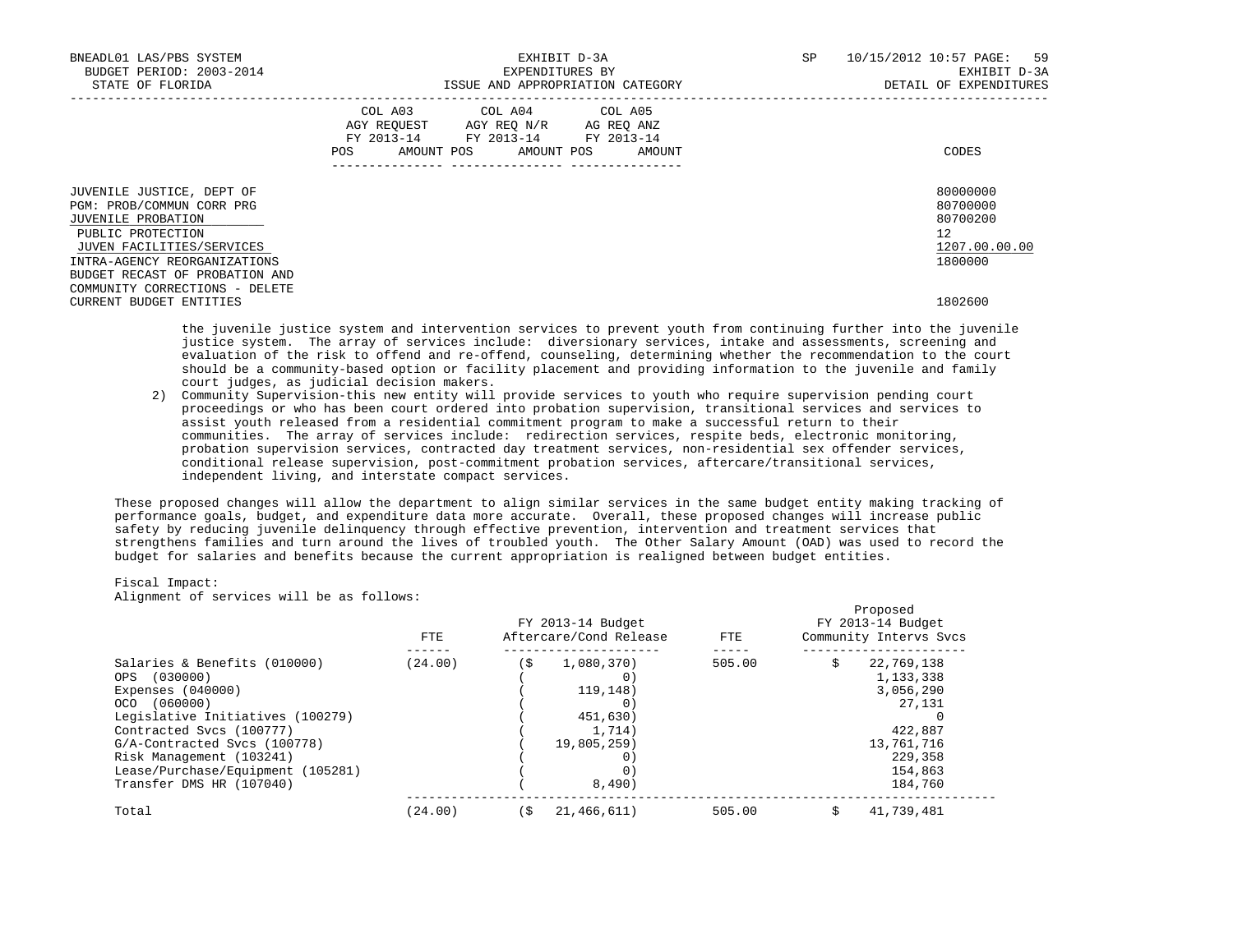| BNEADL01 LAS/PBS SYSTEM<br>BUDGET PERIOD: 2003-2014<br>STATE OF FLORIDA                                                                                                                          |     |                                                                                                   | EXHIBIT D-3A<br>EXPENDITURES BY | ISSUE AND APPROPRIATION CATEGORY | SP | 10/15/2012 10:57 PAGE: 59<br>DETAIL OF EXPENDITURES | EXHIBIT D-3A                                      |
|--------------------------------------------------------------------------------------------------------------------------------------------------------------------------------------------------|-----|---------------------------------------------------------------------------------------------------|---------------------------------|----------------------------------|----|-----------------------------------------------------|---------------------------------------------------|
|                                                                                                                                                                                                  | POS | COL A03 COL A04 COL A05<br>AGY REQUEST AGY REQ N/R AG REQ ANZ<br>FY 2013-14 FY 2013-14 FY 2013-14 |                                 | AMOUNT POS AMOUNT POS AMOUNT     |    | CODES                                               |                                                   |
| JUVENILE JUSTICE, DEPT OF<br>PGM: PROB/COMMUN CORR PRG<br>JUVENILE PROBATION<br>PUBLIC PROTECTION<br>JUVEN FACILITIES/SERVICES<br>INTRA-AGENCY REORGANIZATIONS<br>BUDGET RECAST OF PROBATION AND |     |                                                                                                   |                                 |                                  |    | 12<br>1800000                                       | 80000000<br>80700000<br>80700200<br>1207.00.00.00 |
| COMMUNITY CORRECTIONS - DELETE<br>CURRENT BUDGET ENTITIES                                                                                                                                        |     |                                                                                                   |                                 |                                  |    | 1802600                                             |                                                   |

 the juvenile justice system and intervention services to prevent youth from continuing further into the juvenile justice system. The array of services include: diversionary services, intake and assessments, screening and evaluation of the risk to offend and re-offend, counseling, determining whether the recommendation to the court should be a community-based option or facility placement and providing information to the juvenile and family court judges, as judicial decision makers.

 2) Community Supervision-this new entity will provide services to youth who require supervision pending court proceedings or who has been court ordered into probation supervision, transitional services and services to assist youth released from a residential commitment program to make a successful return to their communities. The array of services include: redirection services, respite beds, electronic monitoring, probation supervision services, contracted day treatment services, non-residential sex offender services, conditional release supervision, post-commitment probation services, aftercare/transitional services, independent living, and interstate compact services.

 These proposed changes will allow the department to align similar services in the same budget entity making tracking of performance goals, budget, and expenditure data more accurate. Overall, these proposed changes will increase public safety by reducing juvenile delinquency through effective prevention, intervention and treatment services that strengthens families and turn around the lives of troubled youth. The Other Salary Amount (OAD) was used to record the budget for salaries and benefits because the current appropriation is realigned between budget entities.

### Fiscal Impact:

Alignment of services will be as follows:

|                                              | FTE.    |     | FY 2013-14 Budget<br>Aftercare/Cond Release | FTE.   | Proposed<br>FY 2013-14 Budget<br>Community Intervs Svcs |
|----------------------------------------------|---------|-----|---------------------------------------------|--------|---------------------------------------------------------|
| Salaries & Benefits (010000)<br>OPS (030000) | (24.00) | (\$ | 1,080,370)                                  | 505.00 | 22,769,138<br>1,133,338                                 |
| Expenses $(040000)$                          |         |     | 119,148)                                    |        | 3,056,290                                               |
| OCO (060000)                                 |         |     | 0)                                          |        | 27,131                                                  |
| Legislative Initiatives (100279)             |         |     | 451,630)                                    |        |                                                         |
| Contracted Sycs (100777)                     |         |     | 1,714)                                      |        | 422,887                                                 |
| G/A-Contracted Svcs (100778)                 |         |     | 19,805,259                                  |        | 13,761,716                                              |
| Risk Management (103241)                     |         |     |                                             |        | 229,358                                                 |
| Lease/Purchase/Equipment (105281)            |         |     |                                             |        | 154,863                                                 |
| Transfer DMS HR (107040)                     |         |     | 8,490)                                      |        | 184,760                                                 |
| Total                                        | (24.00) | í S | 21,466,611)                                 | 505.00 | 41,739,481                                              |
|                                              |         |     |                                             |        |                                                         |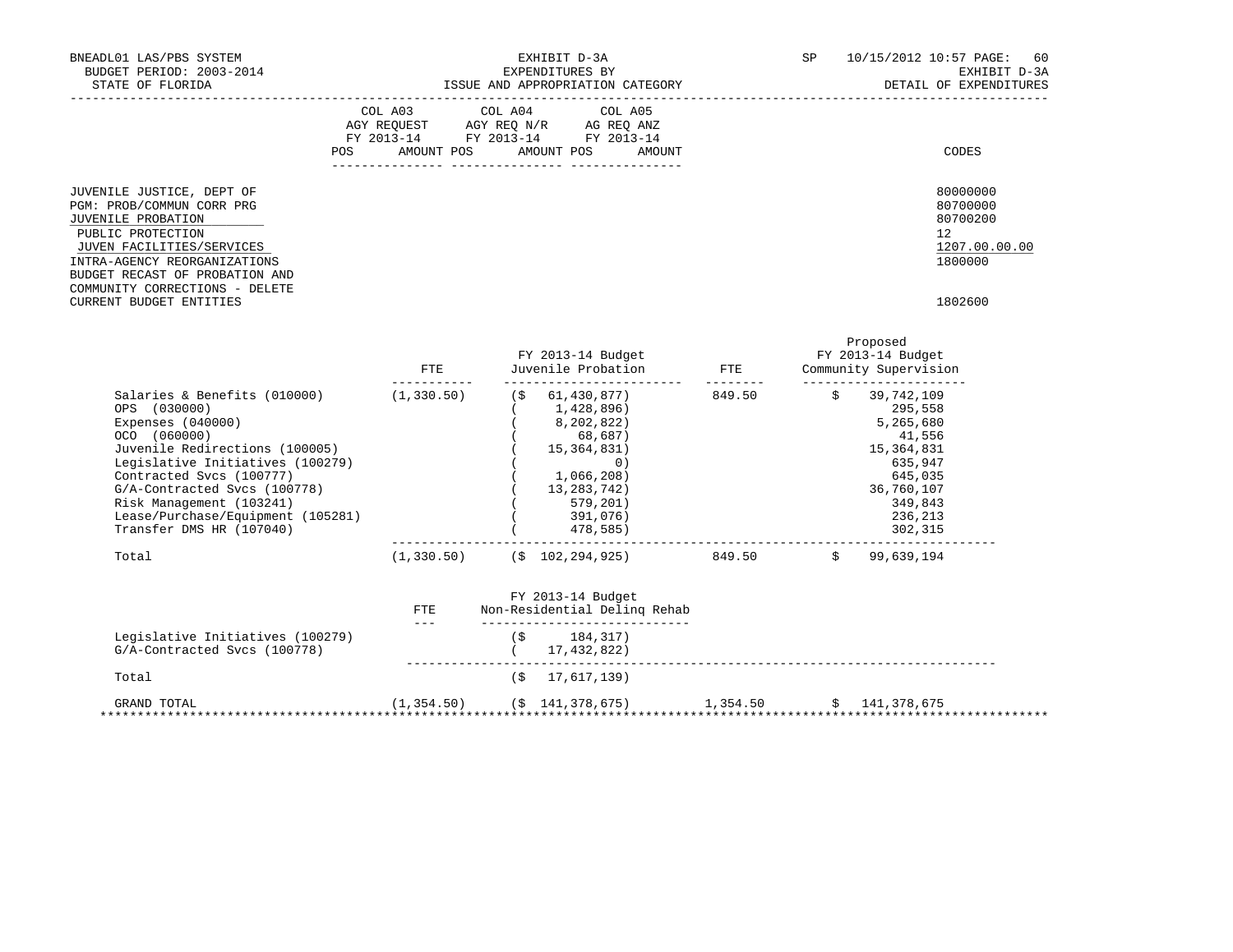| BNEADL01 LAS/PBS SYSTEM<br>BUDGET PERIOD: 2003-2014<br>STATE OF FLORIDA                                                                                                                                                                                                                                                       |                                                                                                                                                                                                                                                                                                                                                                                                     | EXHIBIT D-3A<br>EXPENDITURES BY<br>ISSUE AND APPROPRIATION CATEGORY                                                                                                                                            |                          | SP | 10/15/2012 10:57 PAGE:                                                                                                              | 60<br>EXHIBIT D-3A<br>DETAIL OF EXPENDITURES                            |
|-------------------------------------------------------------------------------------------------------------------------------------------------------------------------------------------------------------------------------------------------------------------------------------------------------------------------------|-----------------------------------------------------------------------------------------------------------------------------------------------------------------------------------------------------------------------------------------------------------------------------------------------------------------------------------------------------------------------------------------------------|----------------------------------------------------------------------------------------------------------------------------------------------------------------------------------------------------------------|--------------------------|----|-------------------------------------------------------------------------------------------------------------------------------------|-------------------------------------------------------------------------|
| POS                                                                                                                                                                                                                                                                                                                           | COL A03<br>AMOUNT POS                                                                                                                                                                                                                                                                                                                                                                               | COL A04<br>COL A05<br>$\begin{tabular}{lllllll} \bf AGY & \bf REQUEST & \bf AGY & \bf REQ & \bf N/R & \bf AG & \bf REQ & \bf ANZ \\ \end{tabular}$<br>FY 2013-14 FY 2013-14 FY 2013-14<br>AMOUNT POS<br>AMOUNT |                          |    |                                                                                                                                     | CODES                                                                   |
| JUVENILE JUSTICE, DEPT OF<br>PGM: PROB/COMMUN CORR PRG<br>JUVENILE PROBATION<br>PUBLIC PROTECTION<br>JUVEN FACILITIES/SERVICES<br>INTRA-AGENCY REORGANIZATIONS<br>BUDGET RECAST OF PROBATION AND<br>COMMUNITY CORRECTIONS - DELETE<br>CURRENT BUDGET ENTITIES                                                                 |                                                                                                                                                                                                                                                                                                                                                                                                     |                                                                                                                                                                                                                |                          |    | 12                                                                                                                                  | 80000000<br>80700000<br>80700200<br>1207.00.00.00<br>1800000<br>1802600 |
|                                                                                                                                                                                                                                                                                                                               | FTE<br>$- - - - - - - - - - -$                                                                                                                                                                                                                                                                                                                                                                      | FY 2013-14 Budget<br>Juvenile Probation<br>__________________________                                                                                                                                          | ETE<br>$- - - - - - - -$ |    | Proposed<br>FY 2013-14 Budget<br>Community Supervision<br>________________________                                                  |                                                                         |
| Salaries & Benefits (010000) (1,330.50)<br>OPS (030000)<br>Expenses $(040000)$<br>OCO (060000)<br>Juvenile Redirections (100005)<br>Legislative Initiatives (100279)<br>Contracted Svcs (100777)<br>G/A-Contracted Svcs (100778)<br>Risk Management (103241)<br>Lease/Purchase/Equipment (105281)<br>Transfer DMS HR (107040) |                                                                                                                                                                                                                                                                                                                                                                                                     | $($ \$ 61,430,877)<br>(1, 428, 896)<br>8,202,822)<br>68,687)<br>15, 364, 831)<br>$\circ$ )<br>1,066,208)<br>(13, 283, 742)<br>579,201)<br>391,076)<br>478,585)                                                 | 849.50                   |    | \$39,742,109<br>295,558<br>5,265,680<br>41,556<br>15, 364, 831<br>635,947<br>645,035<br>36,760,107<br>349,843<br>236,213<br>302,315 |                                                                         |
| Total                                                                                                                                                                                                                                                                                                                         |                                                                                                                                                                                                                                                                                                                                                                                                     | $(1,330.50)$ $($ \$ 102,294,925) 849.50 $\frac{1}{2}$ 99,639,194                                                                                                                                               |                          |    |                                                                                                                                     |                                                                         |
|                                                                                                                                                                                                                                                                                                                               | FTE<br>$\frac{1}{2} \frac{1}{2} \frac{1}{2} \frac{1}{2} \frac{1}{2} \frac{1}{2} \frac{1}{2} \frac{1}{2} \frac{1}{2} \frac{1}{2} \frac{1}{2} \frac{1}{2} \frac{1}{2} \frac{1}{2} \frac{1}{2} \frac{1}{2} \frac{1}{2} \frac{1}{2} \frac{1}{2} \frac{1}{2} \frac{1}{2} \frac{1}{2} \frac{1}{2} \frac{1}{2} \frac{1}{2} \frac{1}{2} \frac{1}{2} \frac{1}{2} \frac{1}{2} \frac{1}{2} \frac{1}{2} \frac{$ | FY 2013-14 Budget<br>Non-Residential Deling Rehab<br>______________________________<br>$(S \t 184, 317)$                                                                                                       |                          |    |                                                                                                                                     |                                                                         |
| Legislative Initiatives (100279)<br>G/A-Contracted Svcs (100778)                                                                                                                                                                                                                                                              |                                                                                                                                                                                                                                                                                                                                                                                                     | (17, 432, 822)                                                                                                                                                                                                 |                          |    |                                                                                                                                     |                                                                         |
| Total                                                                                                                                                                                                                                                                                                                         |                                                                                                                                                                                                                                                                                                                                                                                                     | 17,617,139)<br>(\$                                                                                                                                                                                             |                          |    |                                                                                                                                     |                                                                         |

 GRAND TOTAL (1,354.50) (\$ 141,378,675) 1,354.50 \$ 141,378,675 \*\*\*\*\*\*\*\*\*\*\*\*\*\*\*\*\*\*\*\*\*\*\*\*\*\*\*\*\*\*\*\*\*\*\*\*\*\*\*\*\*\*\*\*\*\*\*\*\*\*\*\*\*\*\*\*\*\*\*\*\*\*\*\*\*\*\*\*\*\*\*\*\*\*\*\*\*\*\*\*\*\*\*\*\*\*\*\*\*\*\*\*\*\*\*\*\*\*\*\*\*\*\*\*\*\*\*\*\*\*\*\*\*\*\*\*\*\*\*\*\*\*\*\*\*\*\*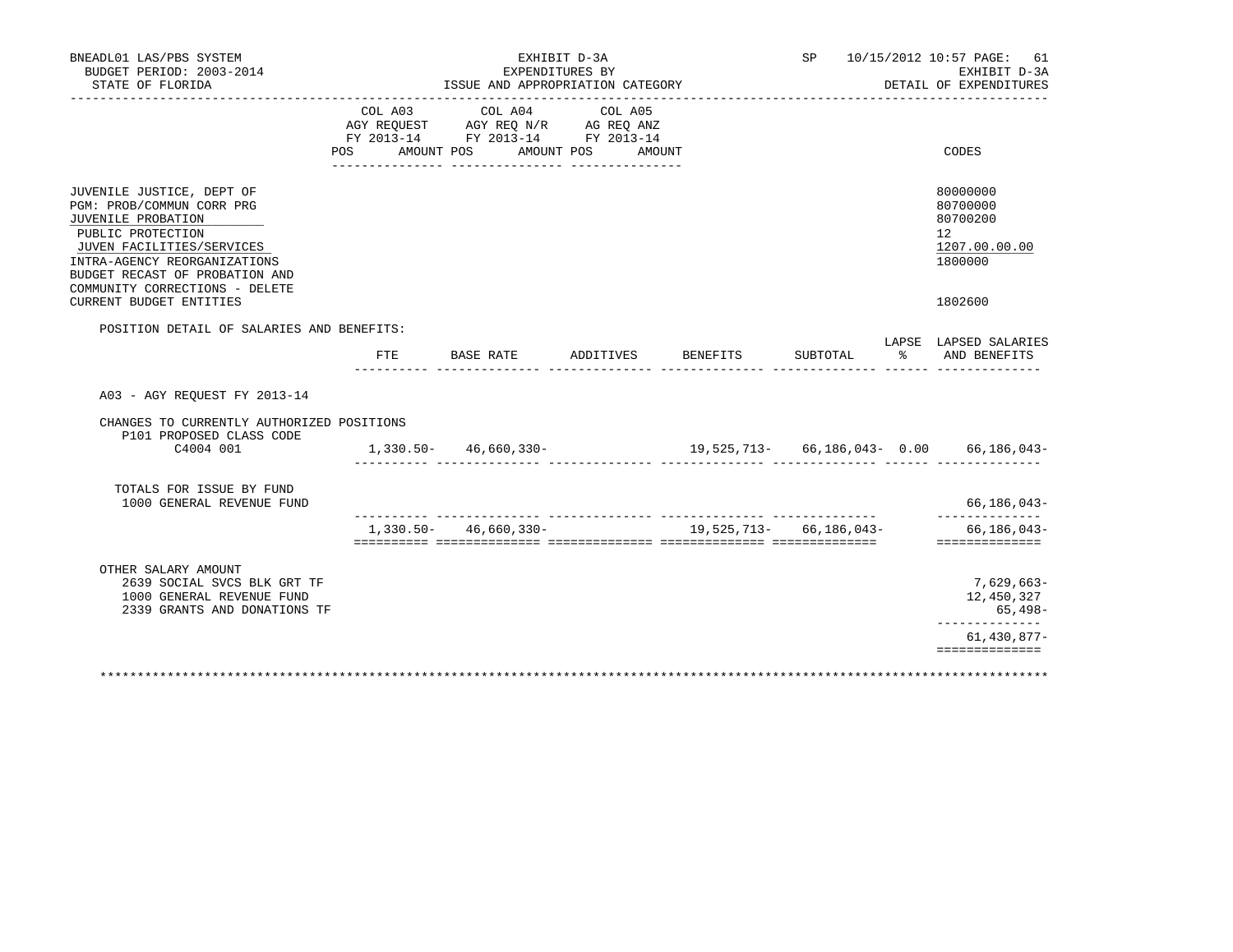| BNEADL01 LAS/PBS SYSTEM<br>BUDGET PERIOD: 2003-2014<br>STATE OF FLORIDA                                                                                                                                                                                              |                | ISSUE AND APPROPRIATION CATEGORY                                                                              | EXHIBIT D-3A<br>EXPENDITURES BY |                           |          |   | SP 10/15/2012 10:57 PAGE: 61<br>EXHIBIT D-3A<br>DETAIL OF EXPENDITURES                     |
|----------------------------------------------------------------------------------------------------------------------------------------------------------------------------------------------------------------------------------------------------------------------|----------------|---------------------------------------------------------------------------------------------------------------|---------------------------------|---------------------------|----------|---|--------------------------------------------------------------------------------------------|
| .                                                                                                                                                                                                                                                                    | COL A03<br>POS | COL A04<br>AGY REQUEST AGY REQ N/R AG REQ ANZ<br>FY 2013-14 FY 2013-14 FY 2013-14<br>AMOUNT POS<br>AMOUNT POS | COL A05<br>AMOUNT               |                           |          |   | CODES                                                                                      |
| JUVENILE JUSTICE, DEPT OF<br>PGM: PROB/COMMUN CORR PRG<br>JUVENILE PROBATION<br>PUBLIC PROTECTION<br>JUVEN FACILITIES/SERVICES<br>INTRA-AGENCY REORGANIZATIONS<br>BUDGET RECAST OF PROBATION AND<br>COMMUNITY CORRECTIONS - DELETE<br><b>CURRENT BUDGET ENTITIES</b> |                |                                                                                                               |                                 |                           |          |   | 80000000<br>80700000<br>80700200<br>12 <sup>°</sup><br>1207.00.00.00<br>1800000<br>1802600 |
| POSITION DETAIL OF SALARIES AND BENEFITS:                                                                                                                                                                                                                            |                |                                                                                                               |                                 |                           |          |   | LAPSE LAPSED SALARIES                                                                      |
|                                                                                                                                                                                                                                                                      | FTE.           | BASE RATE                                                                                                     | ADDITIVES                       | BENEFITS                  | SUBTOTAL | ႜ | AND BENEFITS                                                                               |
| A03 - AGY REOUEST FY 2013-14                                                                                                                                                                                                                                         |                |                                                                                                               |                                 |                           |          |   |                                                                                            |
| CHANGES TO CURRENTLY AUTHORIZED POSITIONS<br>P101 PROPOSED CLASS CODE<br>C4004 001                                                                                                                                                                                   |                | $1,330.50 - 46,660,330 -$<br>$\sim$ $\sim$ $\sim$ $\sim$                                                      |                                 |                           |          |   |                                                                                            |
| TOTALS FOR ISSUE BY FUND<br>1000 GENERAL REVENUE FUND                                                                                                                                                                                                                |                |                                                                                                               |                                 |                           |          |   | 66,186,043-                                                                                |
|                                                                                                                                                                                                                                                                      |                | $1,330.50 - 46,660.330 -$                                                                                     |                                 | 19,525,713 - 66,186,043 - |          |   | $66, 186, 043 -$<br>==============                                                         |
| OTHER SALARY AMOUNT<br>2639 SOCIAL SVCS BLK GRT TF<br>1000 GENERAL REVENUE FUND<br>2339 GRANTS AND DONATIONS TF                                                                                                                                                      |                |                                                                                                               |                                 |                           |          |   | $7,629,663-$<br>12,450,327<br>65,498-                                                      |
|                                                                                                                                                                                                                                                                      |                |                                                                                                               |                                 |                           |          |   | ______________<br>$61,430,877-$<br>==============                                          |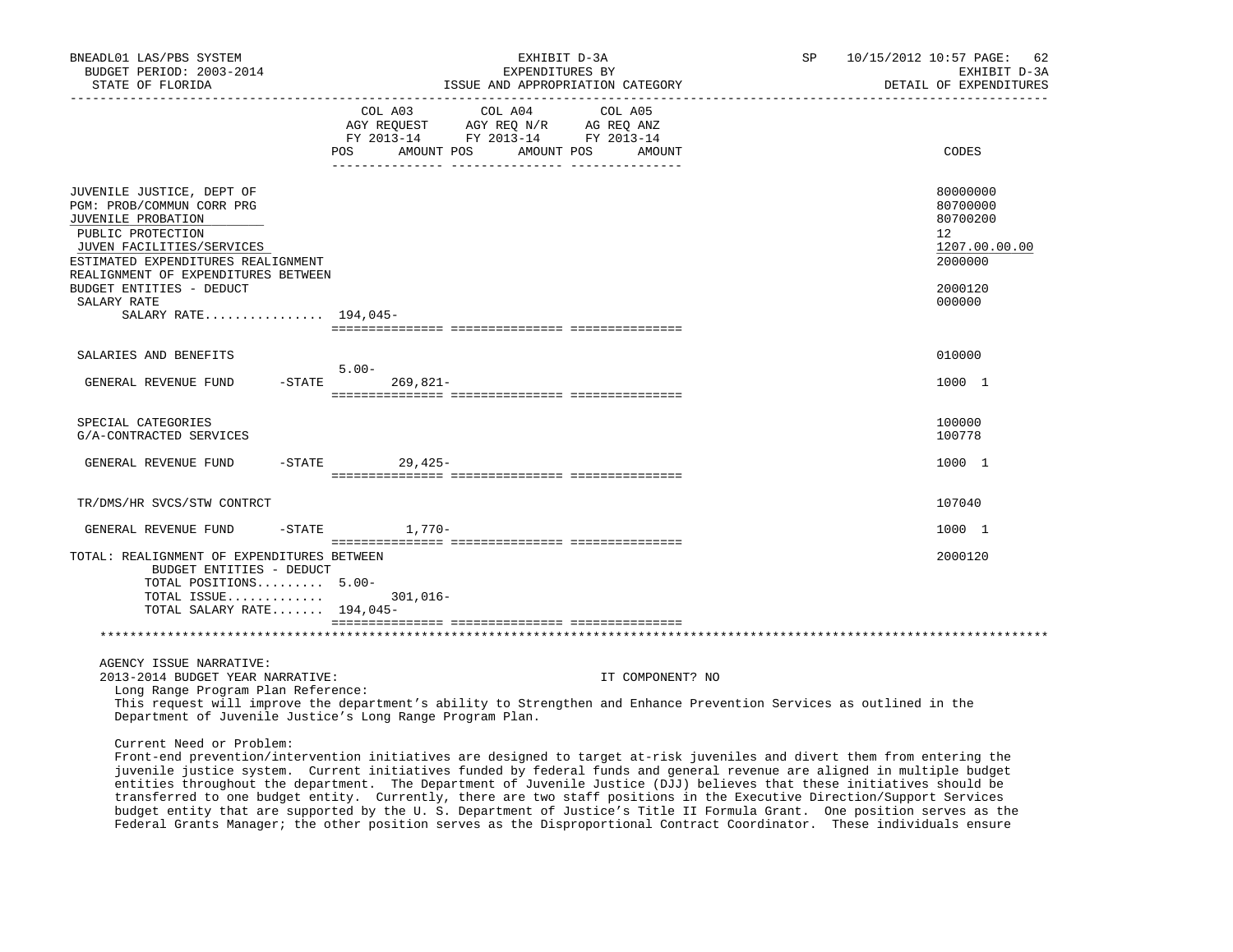| BNEADL01 LAS/PBS SYSTEM<br>BUDGET PERIOD: 2003-2014<br>STATE OF FLORIDA                                                                                                                                                                                                                                                                                                                                                                                                                                                             |           |                                                                                                                                                                                                                                                                   | ISSUE AND APPROPRIATION CATEGORY | EXHIBIT D-3A<br>EXPENDITURES BY |         |                  | SP | 10/15/2012 10:57 PAGE: 62<br>EXHIBIT D-3A<br>DETAIL OF EXPENDITURES |
|-------------------------------------------------------------------------------------------------------------------------------------------------------------------------------------------------------------------------------------------------------------------------------------------------------------------------------------------------------------------------------------------------------------------------------------------------------------------------------------------------------------------------------------|-----------|-------------------------------------------------------------------------------------------------------------------------------------------------------------------------------------------------------------------------------------------------------------------|----------------------------------|---------------------------------|---------|------------------|----|---------------------------------------------------------------------|
|                                                                                                                                                                                                                                                                                                                                                                                                                                                                                                                                     | POS       | COL A03<br>$\begin{array}{ccccccccc}\n\text{AGY} & \text{REQUEST} & \text{AGY} & \text{REQ} & \text{N/R} & \text{AG} & \text{REQ} & \text{ANZ} \\ \text{RY} & 2013-14 & \text{FY} & 2013-14 & \text{FY} & 2013-14 \\ \end{array}$<br>AMOUNT POS AMOUNT POS AMOUNT | COL A04                          |                                 | COL A05 |                  |    | CODES                                                               |
| JUVENILE JUSTICE, DEPT OF<br>PGM: PROB/COMMUN CORR PRG<br>JUVENILE PROBATION<br>PUBLIC PROTECTION<br>JUVEN FACILITIES/SERVICES<br>ESTIMATED EXPENDITURES REALIGNMENT<br>REALIGNMENT OF EXPENDITURES BETWEEN                                                                                                                                                                                                                                                                                                                         |           |                                                                                                                                                                                                                                                                   |                                  |                                 |         |                  |    | 80000000<br>80700000<br>80700200<br>12<br>1207.00.00.00<br>2000000  |
| BUDGET ENTITIES - DEDUCT<br>SALARY RATE<br>SALARY RATE 194,045-                                                                                                                                                                                                                                                                                                                                                                                                                                                                     |           |                                                                                                                                                                                                                                                                   |                                  |                                 |         |                  |    | 2000120<br>000000                                                   |
|                                                                                                                                                                                                                                                                                                                                                                                                                                                                                                                                     |           |                                                                                                                                                                                                                                                                   |                                  |                                 |         |                  |    |                                                                     |
| SALARIES AND BENEFITS                                                                                                                                                                                                                                                                                                                                                                                                                                                                                                               |           |                                                                                                                                                                                                                                                                   |                                  |                                 |         |                  |    | 010000                                                              |
| GENERAL REVENUE FUND                                                                                                                                                                                                                                                                                                                                                                                                                                                                                                                | $-STATE$  | $5.00 -$<br>269,821-                                                                                                                                                                                                                                              |                                  |                                 |         |                  |    | 1000 1                                                              |
| SPECIAL CATEGORIES<br>G/A-CONTRACTED SERVICES                                                                                                                                                                                                                                                                                                                                                                                                                                                                                       |           |                                                                                                                                                                                                                                                                   |                                  |                                 |         |                  |    | 100000<br>100778                                                    |
| GENERAL REVENUE FUND                                                                                                                                                                                                                                                                                                                                                                                                                                                                                                                | $-STATE$  | 29,425-                                                                                                                                                                                                                                                           |                                  |                                 |         |                  |    | 1000 1                                                              |
| TR/DMS/HR SVCS/STW CONTRCT                                                                                                                                                                                                                                                                                                                                                                                                                                                                                                          |           |                                                                                                                                                                                                                                                                   |                                  |                                 |         |                  |    | 107040                                                              |
|                                                                                                                                                                                                                                                                                                                                                                                                                                                                                                                                     |           |                                                                                                                                                                                                                                                                   |                                  |                                 |         |                  |    |                                                                     |
| GENERAL REVENUE FUND                                                                                                                                                                                                                                                                                                                                                                                                                                                                                                                | $-$ STATE | $1,770-$                                                                                                                                                                                                                                                          |                                  |                                 |         |                  |    | 1000 1                                                              |
| TOTAL: REALIGNMENT OF EXPENDITURES BETWEEN<br>BUDGET ENTITIES - DEDUCT<br>TOTAL POSITIONS 5.00-<br>TOTAL ISSUE<br>TOTAL SALARY RATE 194,045-                                                                                                                                                                                                                                                                                                                                                                                        |           | $301,016-$                                                                                                                                                                                                                                                        |                                  |                                 |         |                  |    | 2000120                                                             |
|                                                                                                                                                                                                                                                                                                                                                                                                                                                                                                                                     |           |                                                                                                                                                                                                                                                                   |                                  |                                 |         |                  |    |                                                                     |
| AGENCY ISSUE NARRATIVE:<br>2013-2014 BUDGET YEAR NARRATIVE:<br>Long Range Program Plan Reference:                                                                                                                                                                                                                                                                                                                                                                                                                                   |           |                                                                                                                                                                                                                                                                   |                                  |                                 |         | IT COMPONENT? NO |    |                                                                     |
| This request will improve the department's ability to Strengthen and Enhance Prevention Services as outlined in the<br>Department of Juvenile Justice's Long Range Program Plan.                                                                                                                                                                                                                                                                                                                                                    |           |                                                                                                                                                                                                                                                                   |                                  |                                 |         |                  |    |                                                                     |
| Current Need or Problem:<br>Front-end prevention/intervention initiatives are designed to target at-risk juveniles and divert them from entering the<br>juvenile justice system. Current initiatives funded by federal funds and general revenue are aligned in multiple budget<br>entities throughout the department. The Department of Juvenile Justice (DJJ) believes that these initiatives should be<br>transferred to one budget entity. Currently, there are two staff positions in the Executive Direction/Support Services |           |                                                                                                                                                                                                                                                                   |                                  |                                 |         |                  |    |                                                                     |

 budget entity that are supported by the U. S. Department of Justice's Title II Formula Grant. One position serves as the Federal Grants Manager; the other position serves as the Disproportional Contract Coordinator. These individuals ensure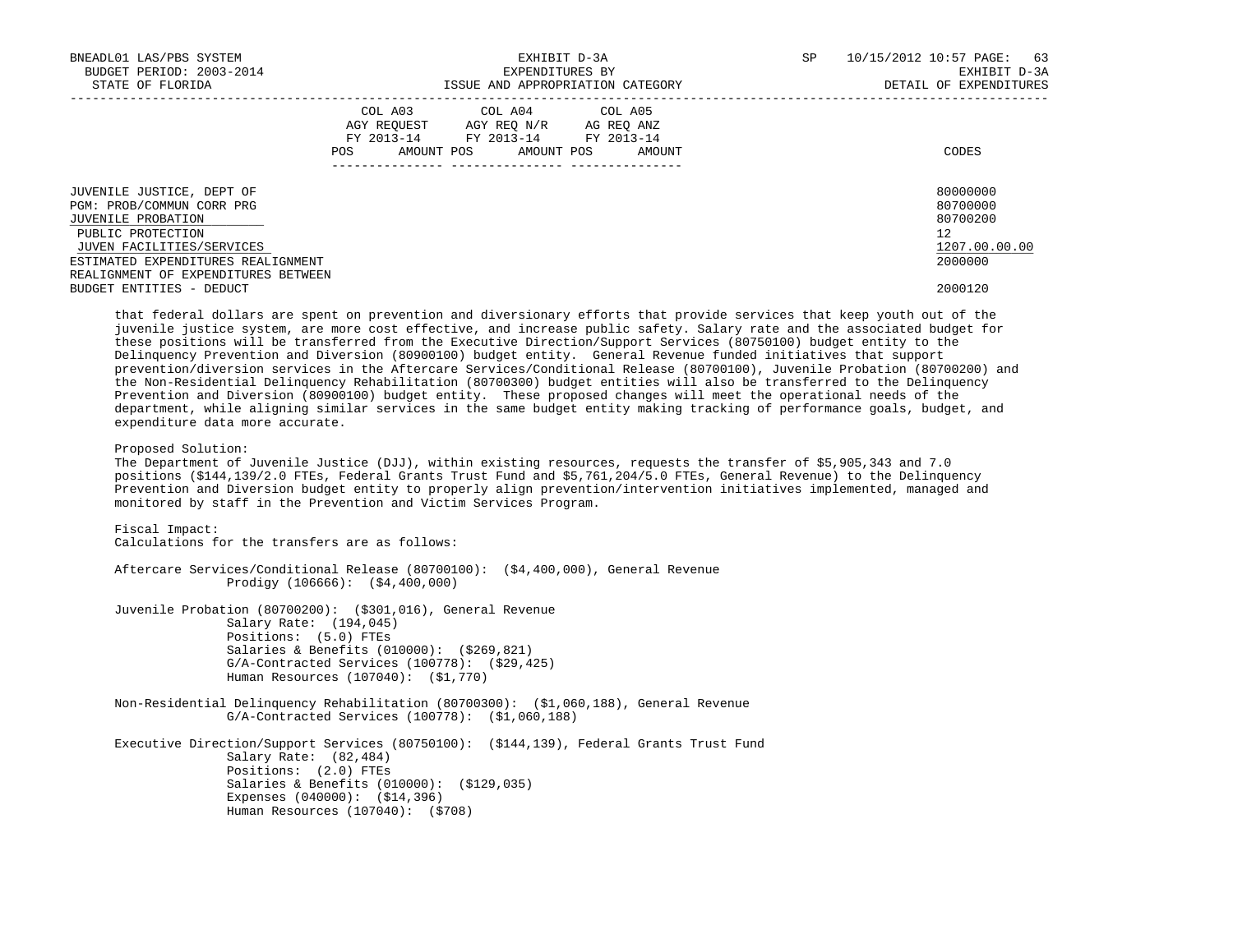| BNEADL01 LAS/PBS SYSTEM<br>BUDGET PERIOD: 2003-2014<br>STATE OF FLORIDA                                                                                                                                                                 | EXHIBIT D-3A<br>EXPENDITURES BY<br>ISSUE AND APPROPRIATION CATEGORY                                                                         | 10/15/2012 10:57 PAGE: 63<br>SP.<br>EXHIBIT D-3A<br>DETAIL OF EXPENDITURES    |
|-----------------------------------------------------------------------------------------------------------------------------------------------------------------------------------------------------------------------------------------|---------------------------------------------------------------------------------------------------------------------------------------------|-------------------------------------------------------------------------------|
|                                                                                                                                                                                                                                         | COL A03 COL A04 COL A05<br>AGY REQUEST AGY REQ N/R AG REQ ANZ<br>FY 2013-14 FY 2013-14 FY 2013-14<br>AMOUNT POS AMOUNT POS<br>AMOUNT<br>POS | CODES                                                                         |
| JUVENILE JUSTICE, DEPT OF<br>PGM: PROB/COMMUN CORR PRG<br>JUVENILE PROBATION<br>PUBLIC PROTECTION<br>JUVEN FACILITIES/SERVICES<br>ESTIMATED EXPENDITURES REALIGNMENT<br>REALIGNMENT OF EXPENDITURES BETWEEN<br>BUDGET ENTITIES - DEDUCT |                                                                                                                                             | 80000000<br>80700000<br>80700200<br>12<br>1207.00.00.00<br>2000000<br>2000120 |
|                                                                                                                                                                                                                                         | thic fiding) dilling ini doğucu in onancullar and disindingsing iffined chick onceida dinaluzi chick lingua sha                             |                                                                               |

 that federal dollars are spent on prevention and diversionary efforts that provide services that keep youth out of the juvenile justice system, are more cost effective, and increase public safety. Salary rate and the associated budget for these positions will be transferred from the Executive Direction/Support Services (80750100) budget entity to the Delinquency Prevention and Diversion (80900100) budget entity. General Revenue funded initiatives that support prevention/diversion services in the Aftercare Services/Conditional Release (80700100), Juvenile Probation (80700200) and the Non-Residential Delinquency Rehabilitation (80700300) budget entities will also be transferred to the Delinquency Prevention and Diversion (80900100) budget entity. These proposed changes will meet the operational needs of the department, while aligning similar services in the same budget entity making tracking of performance goals, budget, and expenditure data more accurate.

Proposed Solution:

 The Department of Juvenile Justice (DJJ), within existing resources, requests the transfer of \$5,905,343 and 7.0 positions (\$144,139/2.0 FTEs, Federal Grants Trust Fund and \$5,761,204/5.0 FTEs, General Revenue) to the Delinquency Prevention and Diversion budget entity to properly align prevention/intervention initiatives implemented, managed and monitored by staff in the Prevention and Victim Services Program.

 Fiscal Impact: Calculations for the transfers are as follows: Aftercare Services/Conditional Release (80700100): (\$4,400,000), General Revenue Prodigy (106666): (\$4,400,000) Juvenile Probation (80700200): (\$301,016), General Revenue Salary Rate: (194,045) Positions: (5.0) FTEs Salaries & Benefits (010000): (\$269,821) G/A-Contracted Services (100778): (\$29,425) Human Resources (107040): (\$1,770) Non-Residential Delinquency Rehabilitation (80700300): (\$1,060,188), General Revenue G/A-Contracted Services (100778): (\$1,060,188) Executive Direction/Support Services (80750100): (\$144,139), Federal Grants Trust Fund Salary Rate: (82,484) Positions: (2.0) FTEs Salaries & Benefits (010000): (\$129,035) Expenses (040000): (\$14,396) Human Resources (107040): (\$708)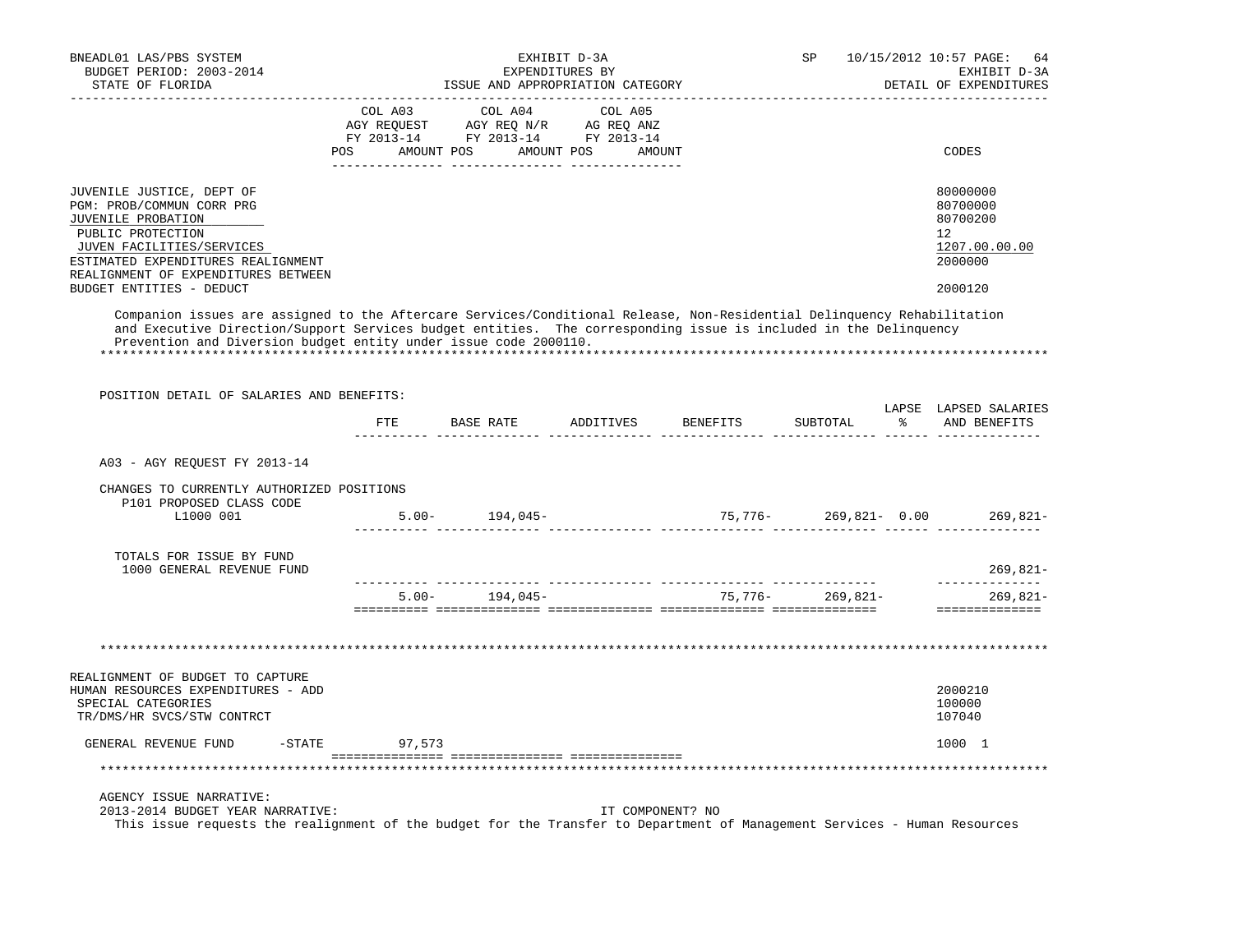| BNEADL01 LAS/PBS SYSTEM<br>BUDGET PERIOD: 2003-2014                                                                                                                                                                                                                                                             |               |                                                                                                                                               | EXHIBIT D-3A<br>EXPENDITURES BY |                                       | SP.      |               | 10/15/2012 10:57 PAGE:<br>64<br>EXHIBIT D-3A                                  |
|-----------------------------------------------------------------------------------------------------------------------------------------------------------------------------------------------------------------------------------------------------------------------------------------------------------------|---------------|-----------------------------------------------------------------------------------------------------------------------------------------------|---------------------------------|---------------------------------------|----------|---------------|-------------------------------------------------------------------------------|
| STATE OF FLORIDA                                                                                                                                                                                                                                                                                                |               | ISSUE AND APPROPRIATION CATEGORY                                                                                                              |                                 |                                       |          |               | DETAIL OF EXPENDITURES                                                        |
|                                                                                                                                                                                                                                                                                                                 | COL A03       | AGY REQUEST AGY REQ N/R AG REQ ANZ<br>FY 2013-14 FY 2013-14 FY 2013-14<br>POS AMOUNT POS AMOUNT POS AMOUNT<br>_______ _________________ _____ | COL A04 COL A05                 |                                       |          |               | CODES                                                                         |
| JUVENILE JUSTICE, DEPT OF<br>PGM: PROB/COMMUN CORR PRG<br>JUVENILE PROBATION<br>PUBLIC PROTECTION<br>JUVEN FACILITIES/SERVICES<br>ESTIMATED EXPENDITURES REALIGNMENT<br>REALIGNMENT OF EXPENDITURES BETWEEN<br>BUDGET ENTITIES - DEDUCT                                                                         |               |                                                                                                                                               |                                 |                                       |          |               | 80000000<br>80700000<br>80700200<br>12<br>1207.00.00.00<br>2000000<br>2000120 |
| Companion issues are assigned to the Aftercare Services/Conditional Release, Non-Residential Delinquency Rehabilitation<br>and Executive Direction/Support Services budget entities. The corresponding issue is included in the Delinquency<br>Prevention and Diversion budget entity under issue code 2000110. |               |                                                                                                                                               |                                 |                                       |          |               |                                                                               |
| POSITION DETAIL OF SALARIES AND BENEFITS:                                                                                                                                                                                                                                                                       |               |                                                                                                                                               |                                 | FTE BASE RATE ADDITIVES BENEFITS      | SUBTOTAL | $\frac{8}{6}$ | LAPSE LAPSED SALARIES<br>AND BENEFITS                                         |
| A03 - AGY REQUEST FY 2013-14                                                                                                                                                                                                                                                                                    |               |                                                                                                                                               |                                 |                                       |          |               |                                                                               |
|                                                                                                                                                                                                                                                                                                                 |               |                                                                                                                                               |                                 |                                       |          |               |                                                                               |
| CHANGES TO CURRENTLY AUTHORIZED POSITIONS<br>P101 PROPOSED CLASS CODE<br>L1000 001                                                                                                                                                                                                                              |               | $5.00 - 194,045 -$                                                                                                                            |                                 | $75,776 - 269,821 - 0.00$             |          |               | 269,821-                                                                      |
| TOTALS FOR ISSUE BY FUND<br>1000 GENERAL REVENUE FUND                                                                                                                                                                                                                                                           |               |                                                                                                                                               |                                 |                                       |          |               | 269,821-                                                                      |
|                                                                                                                                                                                                                                                                                                                 |               |                                                                                                                                               |                                 | $5.00 - 194,045 - 75,776 - 269,821 -$ |          |               | ______________<br>269,821-<br>----------------                                |
|                                                                                                                                                                                                                                                                                                                 |               |                                                                                                                                               |                                 |                                       |          |               |                                                                               |
| REALIGNMENT OF BUDGET TO CAPTURE<br>HUMAN RESOURCES EXPENDITURES - ADD<br>SPECIAL CATEGORIES<br>TR/DMS/HR SVCS/STW CONTRCT                                                                                                                                                                                      |               |                                                                                                                                               |                                 |                                       |          |               | 2000210<br>100000<br>107040                                                   |
| GENERAL REVENUE FUND                                                                                                                                                                                                                                                                                            | -STATE 97,573 |                                                                                                                                               |                                 |                                       |          |               | 1000 1                                                                        |
|                                                                                                                                                                                                                                                                                                                 |               |                                                                                                                                               |                                 |                                       |          |               |                                                                               |
| AGENCY ISSUE NARRATIVE:<br>2013-2014 BUDGET YEAR NARRATIVE:<br>This issue requests the realignment of the budget for the Transfer to Department of Management Services - Human Resources                                                                                                                        |               |                                                                                                                                               | IT COMPONENT? NO                |                                       |          |               |                                                                               |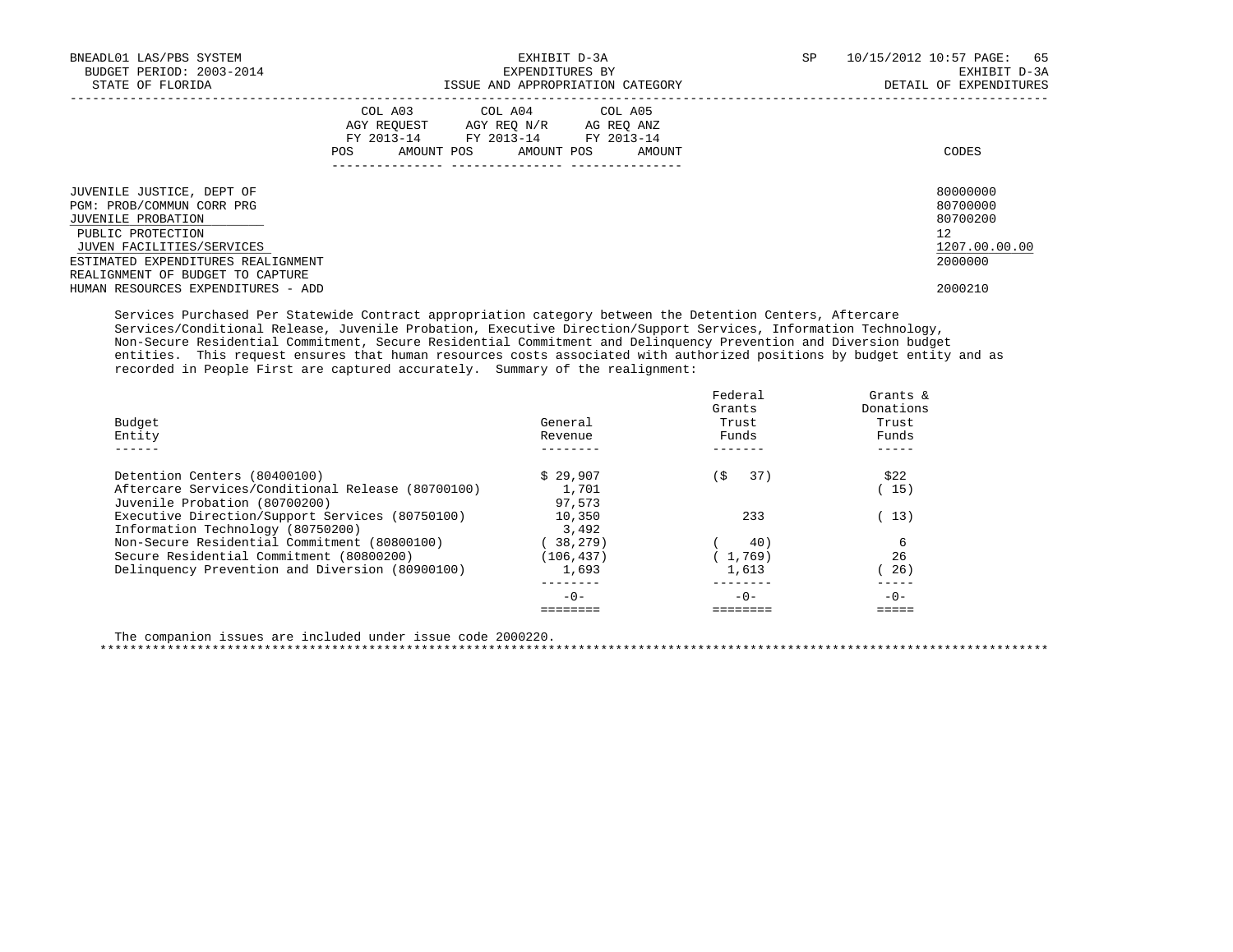| BNEADL01 LAS/PBS SYSTEM<br>BUDGET PERIOD: 2003-2014<br>STATE OF FLORIDA                                                        |     |                                                                                                   | EXHIBIT D-3A<br>EXPENDITURES BY<br>ISSUE AND APPROPRIATION CATEGORY | SP. | 10/15/2012 10:57 PAGE: 65<br>EXHIBIT D-3A<br>DETAIL OF EXPENDITURES |  |  |
|--------------------------------------------------------------------------------------------------------------------------------|-----|---------------------------------------------------------------------------------------------------|---------------------------------------------------------------------|-----|---------------------------------------------------------------------|--|--|
|                                                                                                                                | POS | COL A03 COL A04 COL A05<br>AGY REQUEST AGY REO N/R AG REO ANZ<br>FY 2013-14 FY 2013-14 FY 2013-14 | AMOUNT POS AMOUNT POS AMOUNT                                        |     | CODES                                                               |  |  |
| JUVENILE JUSTICE, DEPT OF<br>PGM: PROB/COMMUN CORR PRG<br>JUVENILE PROBATION<br>PUBLIC PROTECTION<br>JUVEN FACILITIES/SERVICES |     |                                                                                                   |                                                                     |     | 80000000<br>80700000<br>80700200<br>12<br>1207.00.00.00             |  |  |
| ESTIMATED EXPENDITURES REALIGNMENT<br>REALIGNMENT OF BUDGET TO CAPTURE<br>HUMAN RESOURCES EXPENDITURES - ADD                   |     |                                                                                                   |                                                                     |     | 2000000<br>2000210                                                  |  |  |

 Services Purchased Per Statewide Contract appropriation category between the Detention Centers, Aftercare Services/Conditional Release, Juvenile Probation, Executive Direction/Support Services, Information Technology, Non-Secure Residential Commitment, Secure Residential Commitment and Delinquency Prevention and Diversion budget entities. This request ensures that human resources costs associated with authorized positions by budget entity and as recorded in People First are captured accurately. Summary of the realignment:

| Budget<br>Entity                                  | General<br>Revenue | Federal<br>Grants<br>Trust<br>Funds | Grants $\&$<br>Donations<br>Trust<br>Funds |
|---------------------------------------------------|--------------------|-------------------------------------|--------------------------------------------|
| Detention Centers (80400100)                      | \$29.907           | 37)<br>í S                          | \$22                                       |
| Aftercare Services/Conditional Release (80700100) | 1,701              |                                     | 15)                                        |
| Juvenile Probation (80700200)                     | 97,573             |                                     |                                            |
| Executive Direction/Support Services (80750100)   | 10,350             | 233                                 | 13)                                        |
| Information Technology (80750200)                 | 3,492              |                                     |                                            |
| Non-Secure Residential Commitment (80800100)      | 38,279)            | 40)                                 |                                            |
| Secure Residential Commitment (80800200)          | (106, 437)         | (1.769)                             | 26                                         |
| Delinquency Prevention and Diversion (80900100)   | 1,693              | 1,613                               | 26)                                        |
|                                                   | $-0-$              | $-0-$                               | $-0-$                                      |
|                                                   |                    |                                     |                                            |

The companion issues are included under issue code 2000220.

\*\*\*\*\*\*\*\*\*\*\*\*\*\*\*\*\*\*\*\*\*\*\*\*\*\*\*\*\*\*\*\*\*\*\*\*\*\*\*\*\*\*\*\*\*\*\*\*\*\*\*\*\*\*\*\*\*\*\*\*\*\*\*\*\*\*\*\*\*\*\*\*\*\*\*\*\*\*\*\*\*\*\*\*\*\*\*\*\*\*\*\*\*\*\*\*\*\*\*\*\*\*\*\*\*\*\*\*\*\*\*\*\*\*\*\*\*\*\*\*\*\*\*\*\*\*\*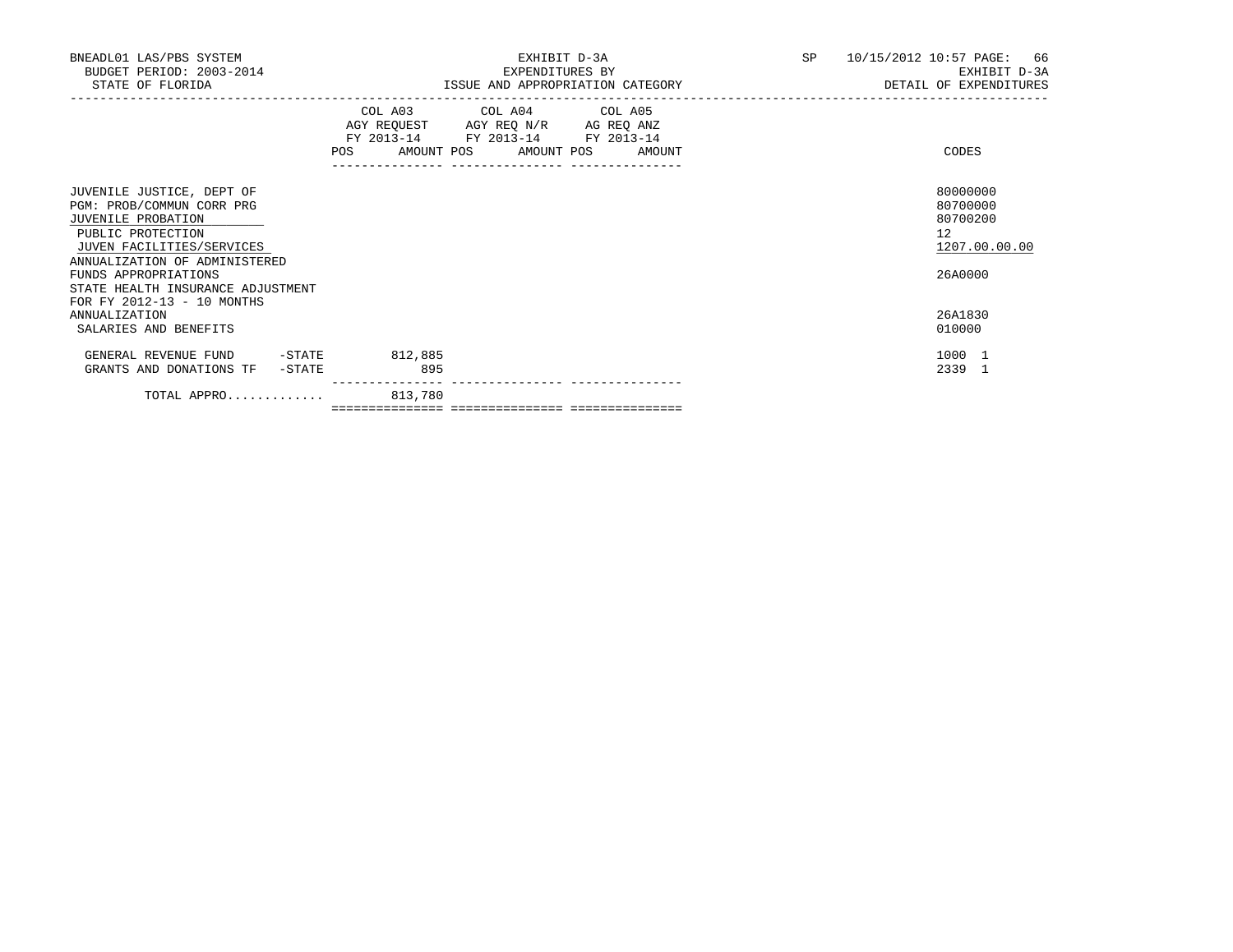| BNEADL01 LAS/PBS SYSTEM<br>BUDGET PERIOD: 2003-2014<br>STATE OF FLORIDA                                                                                                                 | EXHIBIT D-3A<br>EXPENDITURES BY<br>ISSUE AND APPROPRIATION CATEGORY                                                                   | SP<br>10/15/2012 10:57 PAGE: 66<br>EXHIBIT D-3A<br>DETAIL OF EXPENDITURES |
|-----------------------------------------------------------------------------------------------------------------------------------------------------------------------------------------|---------------------------------------------------------------------------------------------------------------------------------------|---------------------------------------------------------------------------|
|                                                                                                                                                                                         | COL A03 COL A04 COL A05<br>AGY REQUEST AGY REQ N/R AG REQ ANZ<br>FY 2013-14 FY 2013-14 FY 2013-14<br>POS AMOUNT POS AMOUNT POS AMOUNT | CODES                                                                     |
| JUVENILE JUSTICE, DEPT OF<br>PGM: PROB/COMMUN CORR PRG<br>JUVENILE PROBATION<br>PUBLIC PROTECTION<br>JUVEN FACILITIES/SERVICES<br>ANNUALIZATION OF ADMINISTERED<br>FUNDS APPROPRIATIONS |                                                                                                                                       | 80000000<br>80700000<br>80700200<br>12<br>1207.00.00.00<br>26A0000        |
| STATE HEALTH INSURANCE ADJUSTMENT<br>FOR FY 2012-13 - 10 MONTHS<br><b>ANNUALIZATION</b><br>SALARIES AND BENEFITS                                                                        |                                                                                                                                       | 26A1830<br>010000                                                         |
| $-STATE$<br>GENERAL REVENUE FUND<br>GRANTS AND DONATIONS TF<br>-STATE                                                                                                                   | 812,885<br>895                                                                                                                        | 1000 1<br>2339 1                                                          |
| TOTAL APPRO 813,780                                                                                                                                                                     |                                                                                                                                       |                                                                           |

=============== =============== ===============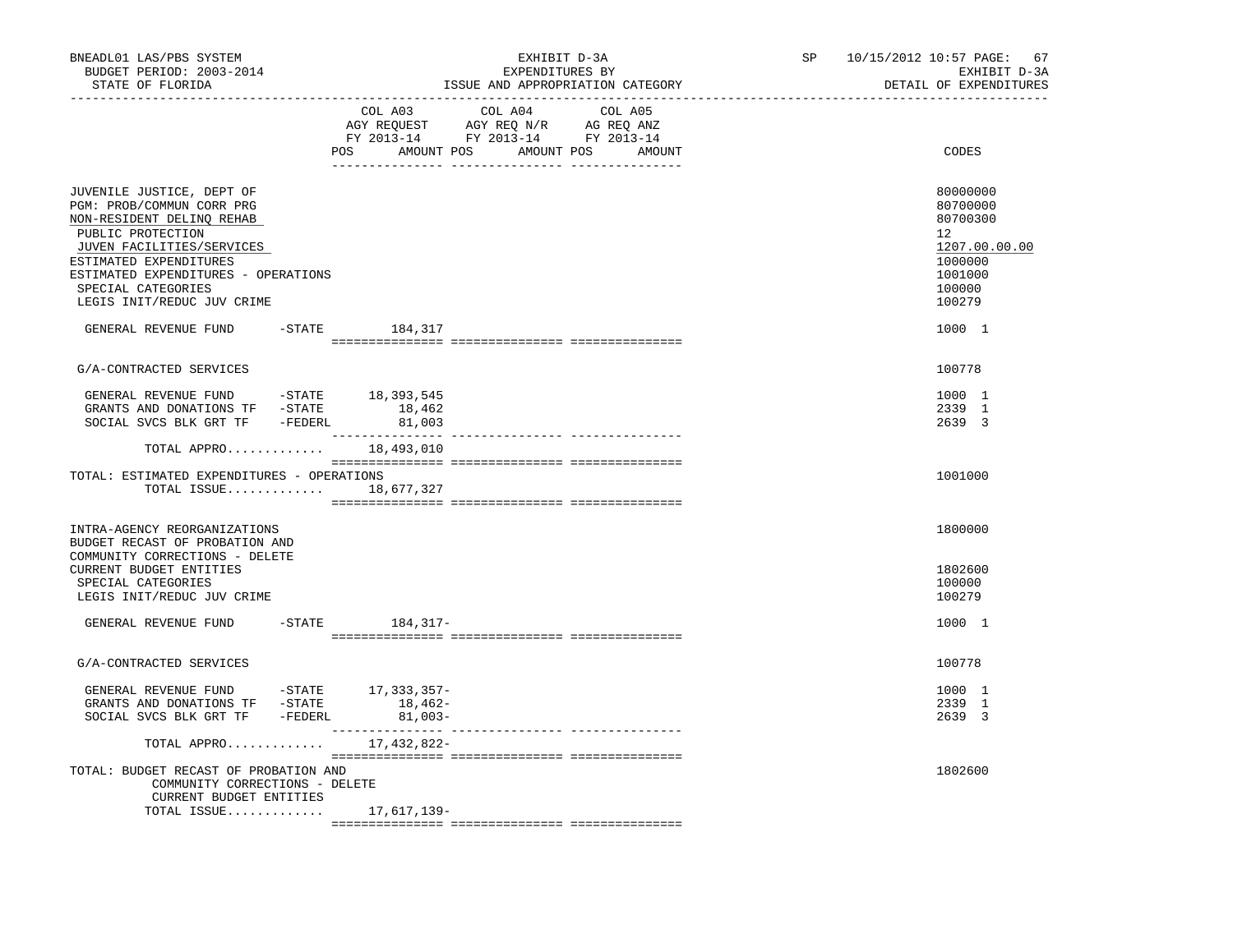| BNEADL01 LAS/PBS SYSTEM<br>BUDGET PERIOD: 2003-2014<br>STATE OF FLORIDA<br>. _ _ _ _ _ _ _ _ _ _ _ _ _ _ _ _ _                                                                                                                                             | EXHIBIT D-3A<br>EXPENDITURES BY<br>ISSUE AND APPROPRIATION CATEGORY                                                                         | 10/15/2012 10:57 PAGE:<br>67<br>SP<br>EXHIBIT D-3A<br>DETAIL OF EXPENDITURES                      |
|------------------------------------------------------------------------------------------------------------------------------------------------------------------------------------------------------------------------------------------------------------|---------------------------------------------------------------------------------------------------------------------------------------------|---------------------------------------------------------------------------------------------------|
|                                                                                                                                                                                                                                                            | COL A03<br>COL A04<br>COL A05<br>AGY REQUEST AGY REQ N/R AG REQ ANZ<br>FY 2013-14 FY 2013-14 FY 2013-14<br>POS AMOUNT POS AMOUNT POS AMOUNT | CODES                                                                                             |
| JUVENILE JUSTICE, DEPT OF<br>PGM: PROB/COMMUN CORR PRG<br>NON-RESIDENT DELINQ REHAB<br>PUBLIC PROTECTION<br>JUVEN FACILITIES/SERVICES<br>ESTIMATED EXPENDITURES<br>ESTIMATED EXPENDITURES - OPERATIONS<br>SPECIAL CATEGORIES<br>LEGIS INIT/REDUC JUV CRIME |                                                                                                                                             | 80000000<br>80700000<br>80700300<br>12<br>1207.00.00.00<br>1000000<br>1001000<br>100000<br>100279 |
| GENERAL REVENUE FUND -STATE 184,317                                                                                                                                                                                                                        |                                                                                                                                             | 1000 1                                                                                            |
| G/A-CONTRACTED SERVICES                                                                                                                                                                                                                                    |                                                                                                                                             | 100778                                                                                            |
| GENERAL REVENUE FUND -STATE 18,393,545<br>GRANTS AND DONATIONS TF -STATE<br>SOCIAL SVCS BLK GRT TF -FEDERL                                                                                                                                                 | 18,462                                                                                                                                      | 1000 1<br>2339 1<br>2639 3                                                                        |
| TOTAL APPRO 18,493,010<br>TOTAL: ESTIMATED EXPENDITURES - OPERATIONS<br>TOTAL ISSUE 18,677,327                                                                                                                                                             |                                                                                                                                             | 1001000                                                                                           |
| INTRA-AGENCY REORGANIZATIONS<br>BUDGET RECAST OF PROBATION AND<br>COMMUNITY CORRECTIONS - DELETE                                                                                                                                                           |                                                                                                                                             | 1800000                                                                                           |
| CURRENT BUDGET ENTITIES<br>SPECIAL CATEGORIES<br>LEGIS INIT/REDUC JUV CRIME                                                                                                                                                                                |                                                                                                                                             | 1802600<br>100000<br>100279                                                                       |
| GENERAL REVENUE FUND -STATE 184,317-                                                                                                                                                                                                                       |                                                                                                                                             | 1000 1                                                                                            |
| G/A-CONTRACTED SERVICES                                                                                                                                                                                                                                    |                                                                                                                                             | 100778                                                                                            |
| GENERAL REVENUE FUND -STATE 17,333,357-<br>GRANTS AND DONATIONS TF -STATE<br>SOCIAL SVCS BLK GRT TF -FEDERL                                                                                                                                                | 18,462-<br>$81,003-$                                                                                                                        | 1000 1<br>2339 1<br>2639 3                                                                        |
| TOTAL APPRO 17,432,822-                                                                                                                                                                                                                                    |                                                                                                                                             |                                                                                                   |
| TOTAL: BUDGET RECAST OF PROBATION AND<br>COMMUNITY CORRECTIONS - DELETE<br>CURRENT BUDGET ENTITIES                                                                                                                                                         |                                                                                                                                             | 1802600                                                                                           |
| TOTAL ISSUE 17,617,139-                                                                                                                                                                                                                                    |                                                                                                                                             |                                                                                                   |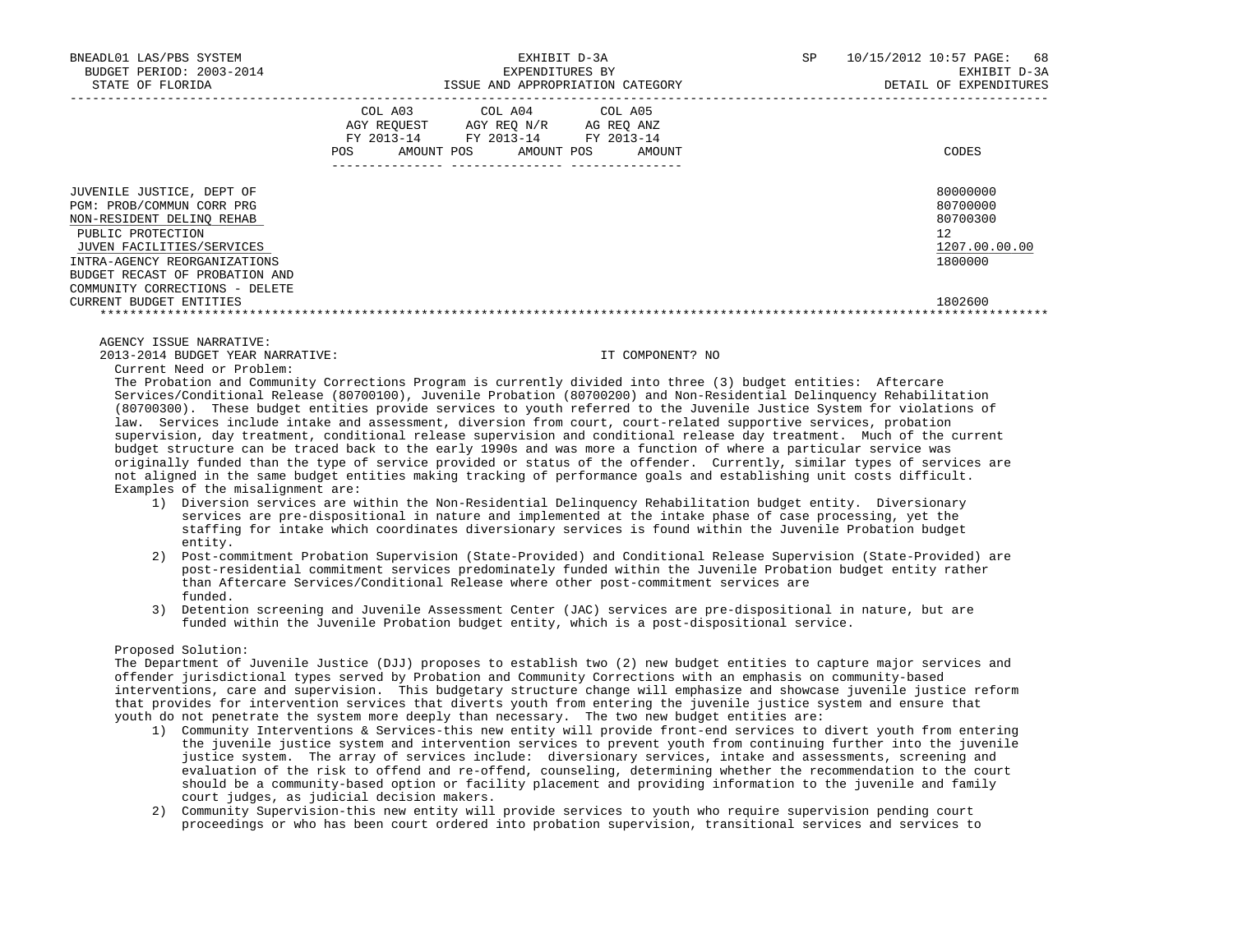| COL A03 COL A04 COL A05            |            |            |                                                                                            |
|------------------------------------|------------|------------|--------------------------------------------------------------------------------------------|
| AGY REQUEST AGY REQ N/R AG REQ ANZ |            |            | CODES                                                                                      |
|                                    |            |            | 80000000<br>80700000<br>80700300<br>12 <sup>°</sup><br>1207.00.00.00<br>1800000<br>1802600 |
| POS                                | AMOUNT POS | AMOUNT POS | FY 2013-14 FY 2013-14 FY 2013-14<br>AMOUNT                                                 |

#### AGENCY ISSUE NARRATIVE:

2013-2014 BUDGET YEAR NARRATIVE: IT COMPONENT? NO

Current Need or Problem:

 The Probation and Community Corrections Program is currently divided into three (3) budget entities: Aftercare Services/Conditional Release (80700100), Juvenile Probation (80700200) and Non-Residential Delinquency Rehabilitation (80700300). These budget entities provide services to youth referred to the Juvenile Justice System for violations of law. Services include intake and assessment, diversion from court, court-related supportive services, probation supervision, day treatment, conditional release supervision and conditional release day treatment. Much of the current budget structure can be traced back to the early 1990s and was more a function of where a particular service was originally funded than the type of service provided or status of the offender. Currently, similar types of services are not aligned in the same budget entities making tracking of performance goals and establishing unit costs difficult. Examples of the misalignment are:

- 1) Diversion services are within the Non-Residential Delinquency Rehabilitation budget entity. Diversionary services are pre-dispositional in nature and implemented at the intake phase of case processing, yet the staffing for intake which coordinates diversionary services is found within the Juvenile Probation budget entity.
- 2) Post-commitment Probation Supervision (State-Provided) and Conditional Release Supervision (State-Provided) are post-residential commitment services predominately funded within the Juvenile Probation budget entity rather than Aftercare Services/Conditional Release where other post-commitment services are funded.
- 3) Detention screening and Juvenile Assessment Center (JAC) services are pre-dispositional in nature, but are funded within the Juvenile Probation budget entity, which is a post-dispositional service.

#### Proposed Solution:

 The Department of Juvenile Justice (DJJ) proposes to establish two (2) new budget entities to capture major services and offender jurisdictional types served by Probation and Community Corrections with an emphasis on community-based interventions, care and supervision. This budgetary structure change will emphasize and showcase juvenile justice reform that provides for intervention services that diverts youth from entering the juvenile justice system and ensure that youth do not penetrate the system more deeply than necessary. The two new budget entities are:

- 1) Community Interventions & Services-this new entity will provide front-end services to divert youth from entering the juvenile justice system and intervention services to prevent youth from continuing further into the juvenile justice system. The array of services include: diversionary services, intake and assessments, screening and evaluation of the risk to offend and re-offend, counseling, determining whether the recommendation to the court should be a community-based option or facility placement and providing information to the juvenile and family court judges, as judicial decision makers.
- 2) Community Supervision-this new entity will provide services to youth who require supervision pending court proceedings or who has been court ordered into probation supervision, transitional services and services to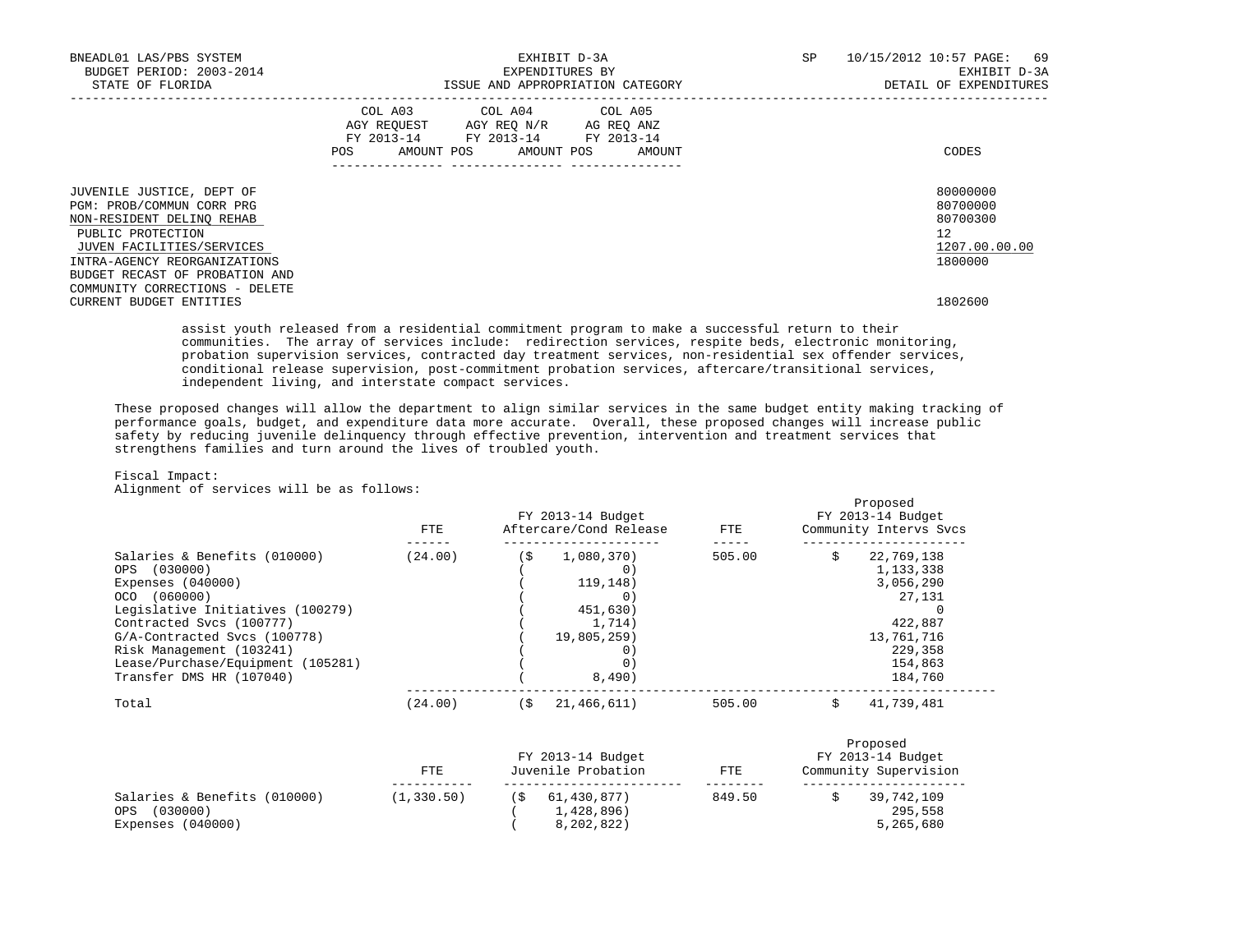| BNEADL01 LAS/PBS SYSTEM<br>BUDGET PERIOD: 2003-2014<br>STATE OF FLORIDA                                                                                                                                                                   | EXHIBIT D-3A<br>EXPENDITURES BY<br>ISSUE AND APPROPRIATION CATEGORY |                                                                                                   |  |  |  | SP                           | 10/15/2012 10:57 PAGE: 69<br>EXHIBIT D-3A<br>DETAIL OF EXPENDITURES |                                                                    |
|-------------------------------------------------------------------------------------------------------------------------------------------------------------------------------------------------------------------------------------------|---------------------------------------------------------------------|---------------------------------------------------------------------------------------------------|--|--|--|------------------------------|---------------------------------------------------------------------|--------------------------------------------------------------------|
|                                                                                                                                                                                                                                           | POS                                                                 | COL A03 COL A04 COL A05<br>AGY REQUEST AGY REQ N/R AG REQ ANZ<br>FY 2013-14 FY 2013-14 FY 2013-14 |  |  |  | AMOUNT POS AMOUNT POS AMOUNT |                                                                     | CODES                                                              |
| JUVENILE JUSTICE, DEPT OF<br>PGM: PROB/COMMUN CORR PRG<br>NON-RESIDENT DELINQ REHAB<br>PUBLIC PROTECTION<br>JUVEN FACILITIES/SERVICES<br>INTRA-AGENCY REORGANIZATIONS<br>BUDGET RECAST OF PROBATION AND<br>COMMUNITY CORRECTIONS - DELETE |                                                                     |                                                                                                   |  |  |  |                              |                                                                     | 80000000<br>80700000<br>80700300<br>12<br>1207.00.00.00<br>1800000 |
| CURRENT BUDGET ENTITIES                                                                                                                                                                                                                   |                                                                     |                                                                                                   |  |  |  |                              |                                                                     | 1802600                                                            |

 assist youth released from a residential commitment program to make a successful return to their communities. The array of services include: redirection services, respite beds, electronic monitoring, probation supervision services, contracted day treatment services, non-residential sex offender services, conditional release supervision, post-commitment probation services, aftercare/transitional services, independent living, and interstate compact services.

 These proposed changes will allow the department to align similar services in the same budget entity making tracking of performance goals, budget, and expenditure data more accurate. Overall, these proposed changes will increase public safety by reducing juvenile delinquency through effective prevention, intervention and treatment services that strengthens families and turn around the lives of troubled youth.

# Fiscal Impact:

Alignment of services will be as follows:

|                                   | FTE.    | FY 2013-14 Budget<br>Aftercare/Cond Release |             |        | Proposed<br>FY 2013-14 Budget<br>Community Intervs Svcs |            |  |
|-----------------------------------|---------|---------------------------------------------|-------------|--------|---------------------------------------------------------|------------|--|
| Salaries & Benefits (010000)      | (24.00) | (\$                                         | 1,080,370)  | 505.00 |                                                         | 22,769,138 |  |
| OPS (030000)                      |         |                                             | 0)          |        |                                                         | 1,133,338  |  |
| Expenses $(040000)$               |         |                                             | 119, 148)   |        |                                                         | 3,056,290  |  |
| OCO (060000)                      |         |                                             | $\Omega$ )  |        |                                                         | 27,131     |  |
| Legislative Initiatives (100279)  |         |                                             | 451,630)    |        |                                                         |            |  |
| Contracted Sycs (100777)          |         |                                             | 1.714)      |        |                                                         | 422,887    |  |
| G/A-Contracted Svcs (100778)      |         |                                             | 19,805,259  |        |                                                         | 13,761,716 |  |
| Risk Management (103241)          |         |                                             | 0)          |        |                                                         | 229,358    |  |
| Lease/Purchase/Equipment (105281) |         |                                             |             |        |                                                         | 154,863    |  |
| Transfer DMS HR (107040)          |         |                                             | 8,490)      |        |                                                         | 184,760    |  |
| Total                             | (24.00) | (\$                                         | 21,466,611) | 505.00 |                                                         | 41,739,481 |  |

|                                                                      | FTE.        | FY 2013-14 Budget<br>Juvenile Probation   | FTE    | Proposed<br>FY 2013-14 Budget<br>Community Supervision |
|----------------------------------------------------------------------|-------------|-------------------------------------------|--------|--------------------------------------------------------|
| Salaries & Benefits (010000)<br>(030000)<br>OPS<br>Expenses (040000) | (1, 330.50) | 61,430,877)<br>1,428,896)<br>8, 202, 822) | 849.50 | 39,742,109<br>295,558<br>5,265,680                     |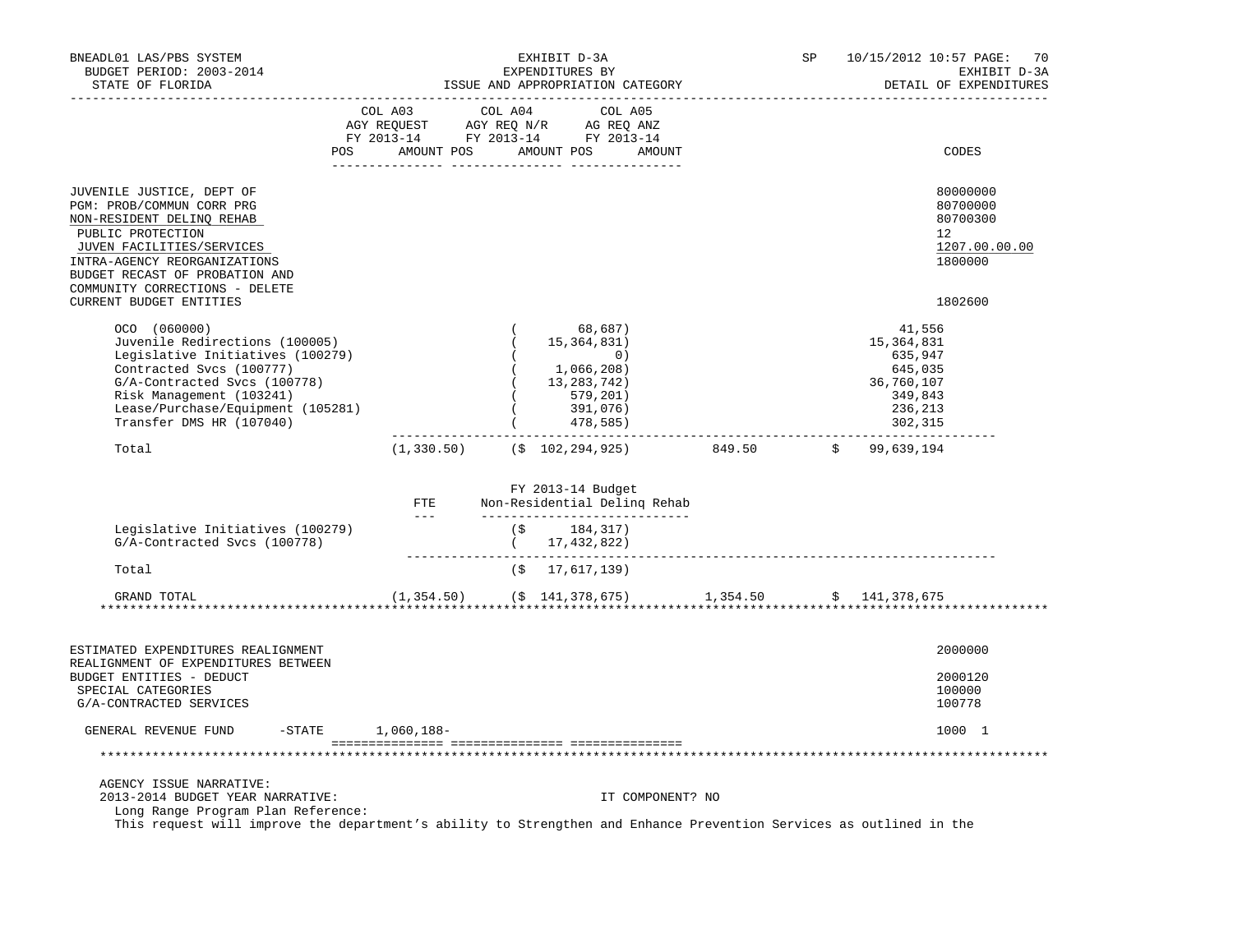| BNEADL01 LAS/PBS SYSTEM<br>BUDGET PERIOD: 2003-2014<br>STATE OF FLORIDA                                                                                                                                                                                              |                                                                                                                                                                               |            | EXHIBIT D-3A<br>EXPENDITURES BY<br>ISSUE AND APPROPRIATION CATEGORY                              |                  |                     | SP |                                                                                           | 10/15/2012 10:57 PAGE: 70<br>EXHIBIT D-3A<br>DETAIL OF EXPENDITURES           |
|----------------------------------------------------------------------------------------------------------------------------------------------------------------------------------------------------------------------------------------------------------------------|-------------------------------------------------------------------------------------------------------------------------------------------------------------------------------|------------|--------------------------------------------------------------------------------------------------|------------------|---------------------|----|-------------------------------------------------------------------------------------------|-------------------------------------------------------------------------------|
|                                                                                                                                                                                                                                                                      | COL A03<br>COL AU3 COL AU4 COL AU5<br>AGY REQUEST AGY REQ N/R AG REQ ANZ<br>FY 2013-14 FY 2013-14 FY 2013-14<br>POS AMOUNT POS AMOUNT POS AMOUNT<br>. _ _ _ _ _ _ _ _ _ _ _ _ | COL A04    | COL A05<br>___________________________                                                           |                  |                     |    |                                                                                           | CODES                                                                         |
| JUVENILE JUSTICE, DEPT OF<br>PGM: PROB/COMMUN CORR PRG<br>NON-RESIDENT DELINQ REHAB<br>PUBLIC PROTECTION<br>JUVEN FACILITIES/SERVICES<br>INTRA-AGENCY REORGANIZATIONS<br>BUDGET RECAST OF PROBATION AND<br>COMMUNITY CORRECTIONS - DELETE<br>CURRENT BUDGET ENTITIES |                                                                                                                                                                               |            |                                                                                                  |                  |                     |    |                                                                                           | 80000000<br>80700000<br>80700300<br>12<br>1207.00.00.00<br>1800000<br>1802600 |
| OCO (060000)<br>Juvenile Redirections (100005)<br>Legislative Initiatives (100279)<br>Contracted Svcs (100777)<br>G/A-Contracted Svcs (100778)<br>Risk Management (103241)<br>Lease/Purchase/Equipment (105281)<br>Transfer DMS HR (107040)                          |                                                                                                                                                                               | $\sqrt{2}$ | 68,687)<br>15,364,831)<br>0)<br>(1,066,208)<br>13, 283, 742)<br>579,201)<br>391,076)<br>478,585) |                  |                     |    | 41,556<br>15,364,831<br>635,947<br>645,035<br>36,760,107<br>349,843<br>236,213<br>302,315 |                                                                               |
| Total                                                                                                                                                                                                                                                                | $(1,330.50)$ $($ \$ 102,294,925)                                                                                                                                              |            |                                                                                                  |                  | 849.50 \$99,639,194 |    |                                                                                           |                                                                               |
|                                                                                                                                                                                                                                                                      | $\begin{array}{ll}\n \textbf{FTE} \\  \textbf{---} \n \end{array}$                                                                                                            |            | FY 2013-14 Budget<br>Non-Residential Deling Rehab<br>_______________________________             |                  |                     |    |                                                                                           |                                                                               |
| Legislative Initiatives (100279)<br>G/A-Contracted Svcs (100778)                                                                                                                                                                                                     |                                                                                                                                                                               |            | $($ \$ 184,317)<br>$(7)$<br>$(17, 432, 822)$                                                     |                  |                     |    |                                                                                           |                                                                               |
| Total                                                                                                                                                                                                                                                                |                                                                                                                                                                               |            | $($ \$ 17,617,139)                                                                               |                  |                     |    |                                                                                           |                                                                               |
| GRAND TOTAL                                                                                                                                                                                                                                                          | $(1,354.50)$ $($ \$ 141,378,675 0 1,354.50 \$ 141,378,675                                                                                                                     |            |                                                                                                  |                  |                     |    |                                                                                           |                                                                               |
| ESTIMATED EXPENDITURES REALIGNMENT                                                                                                                                                                                                                                   |                                                                                                                                                                               |            |                                                                                                  |                  |                     |    |                                                                                           | 2000000                                                                       |
| REALIGNMENT OF EXPENDITURES BETWEEN<br>BUDGET ENTITIES - DEDUCT<br>SPECIAL CATEGORIES<br>G/A-CONTRACTED SERVICES                                                                                                                                                     |                                                                                                                                                                               |            |                                                                                                  |                  |                     |    |                                                                                           | 2000120<br>100000<br>100778                                                   |
| GENERAL REVENUE FUND                                                                                                                                                                                                                                                 | $-$ STATE $1,060,188-$                                                                                                                                                        |            |                                                                                                  |                  |                     |    |                                                                                           | 1000 1                                                                        |
|                                                                                                                                                                                                                                                                      |                                                                                                                                                                               |            |                                                                                                  |                  |                     |    |                                                                                           |                                                                               |
| AGENCY ISSUE NARRATIVE:<br>2013-2014 BUDGET YEAR NARRATIVE:<br>Long Range Program Plan Reference:                                                                                                                                                                    |                                                                                                                                                                               |            |                                                                                                  | IT COMPONENT? NO |                     |    |                                                                                           |                                                                               |
| This request will improve the department's ability to Strengthen and Enhance Prevention Services as outlined in the                                                                                                                                                  |                                                                                                                                                                               |            |                                                                                                  |                  |                     |    |                                                                                           |                                                                               |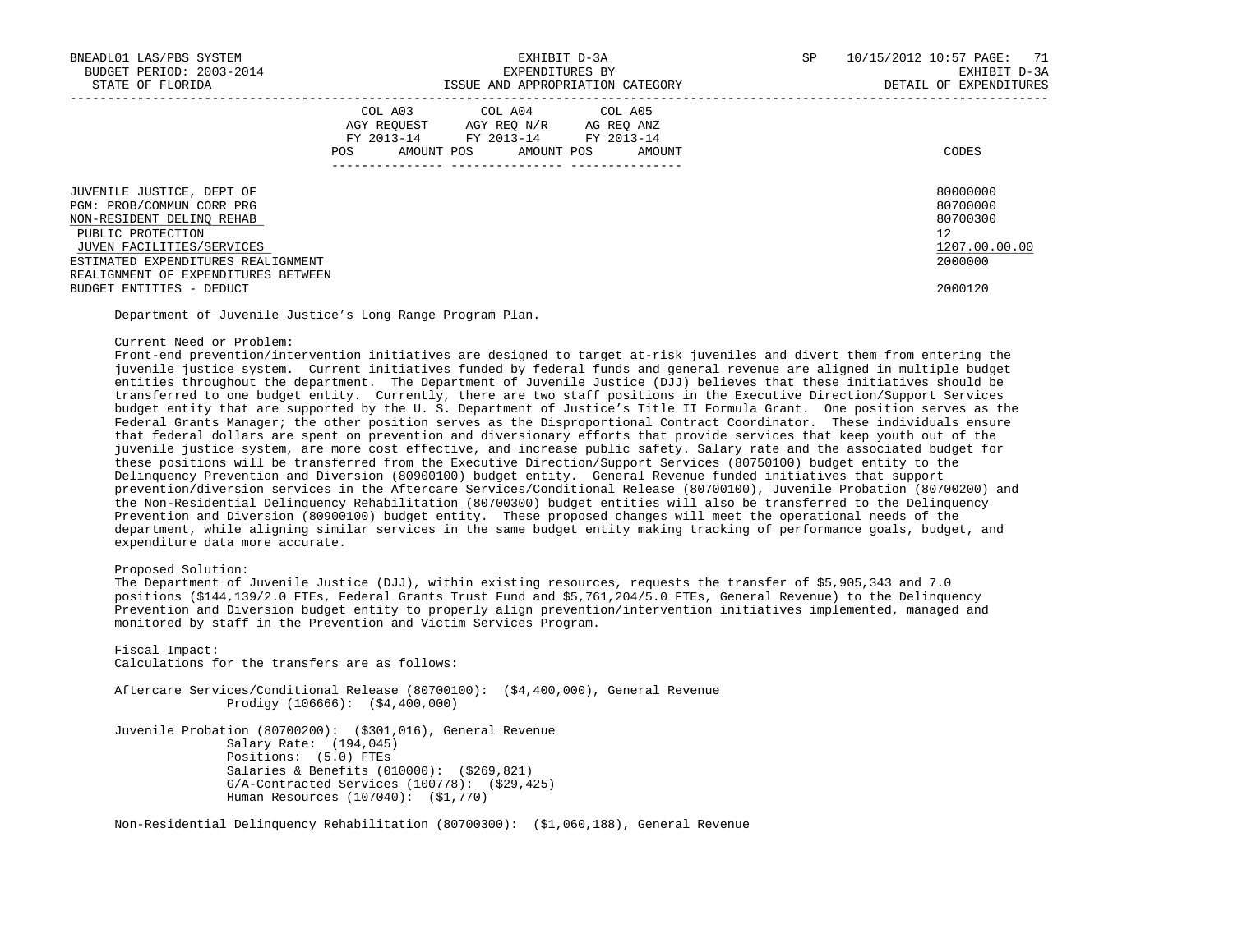| BNEADL01 LAS/PBS SYSTEM<br>BUDGET PERIOD: 2003-2014<br>STATE OF FLORIDA                                                                                                                                            |            | EXHIBIT D-3A<br>EXPENDITURES BY<br>ISSUE AND APPROPRIATION CATEGORY                                                        | SP     | 10/15/2012 10:57 PAGE: 71<br>EXHIBIT D-3A<br>DETAIL OF EXPENDITURES |                                                                    |
|--------------------------------------------------------------------------------------------------------------------------------------------------------------------------------------------------------------------|------------|----------------------------------------------------------------------------------------------------------------------------|--------|---------------------------------------------------------------------|--------------------------------------------------------------------|
|                                                                                                                                                                                                                    | <b>POS</b> | COL A03 COL A04 COL A05<br>AGY REQUEST AGY REQ N/R AG REQ ANZ<br>FY 2013-14 FY 2013-14 FY 2013-14<br>AMOUNT POS AMOUNT POS | AMOUNT |                                                                     | CODES                                                              |
| JUVENILE JUSTICE, DEPT OF<br>PGM: PROB/COMMUN CORR PRG<br>NON-RESIDENT DELINO REHAB<br>PUBLIC PROTECTION<br>JUVEN FACILITIES/SERVICES<br>ESTIMATED EXPENDITURES REALIGNMENT<br>REALIGNMENT OF EXPENDITURES BETWEEN |            |                                                                                                                            |        |                                                                     | 80000000<br>80700000<br>80700300<br>12<br>1207.00.00.00<br>2000000 |
| BUDGET ENTITIES - DEDUCT                                                                                                                                                                                           |            |                                                                                                                            |        |                                                                     | 2000120                                                            |

Department of Juvenile Justice's Long Range Program Plan.

#### Current Need or Problem:

 Front-end prevention/intervention initiatives are designed to target at-risk juveniles and divert them from entering the juvenile justice system. Current initiatives funded by federal funds and general revenue are aligned in multiple budget entities throughout the department. The Department of Juvenile Justice (DJJ) believes that these initiatives should be transferred to one budget entity. Currently, there are two staff positions in the Executive Direction/Support Services budget entity that are supported by the U. S. Department of Justice's Title II Formula Grant. One position serves as the Federal Grants Manager; the other position serves as the Disproportional Contract Coordinator. These individuals ensure that federal dollars are spent on prevention and diversionary efforts that provide services that keep youth out of the juvenile justice system, are more cost effective, and increase public safety. Salary rate and the associated budget for these positions will be transferred from the Executive Direction/Support Services (80750100) budget entity to the Delinquency Prevention and Diversion (80900100) budget entity. General Revenue funded initiatives that support prevention/diversion services in the Aftercare Services/Conditional Release (80700100), Juvenile Probation (80700200) and the Non-Residential Delinquency Rehabilitation (80700300) budget entities will also be transferred to the Delinquency Prevention and Diversion (80900100) budget entity. These proposed changes will meet the operational needs of the department, while aligning similar services in the same budget entity making tracking of performance goals, budget, and expenditure data more accurate.

# Proposed Solution:

 The Department of Juvenile Justice (DJJ), within existing resources, requests the transfer of \$5,905,343 and 7.0 positions (\$144,139/2.0 FTEs, Federal Grants Trust Fund and \$5,761,204/5.0 FTEs, General Revenue) to the Delinquency Prevention and Diversion budget entity to properly align prevention/intervention initiatives implemented, managed and monitored by staff in the Prevention and Victim Services Program.

 Fiscal Impact: Calculations for the transfers are as follows:

 Aftercare Services/Conditional Release (80700100): (\$4,400,000), General Revenue Prodigy (106666): (\$4,400,000)

 Juvenile Probation (80700200): (\$301,016), General Revenue Salary Rate: (194,045) Positions: (5.0) FTEs Salaries & Benefits (010000): (\$269,821) G/A-Contracted Services (100778): (\$29,425) Human Resources (107040): (\$1,770)

Non-Residential Delinquency Rehabilitation (80700300): (\$1,060,188), General Revenue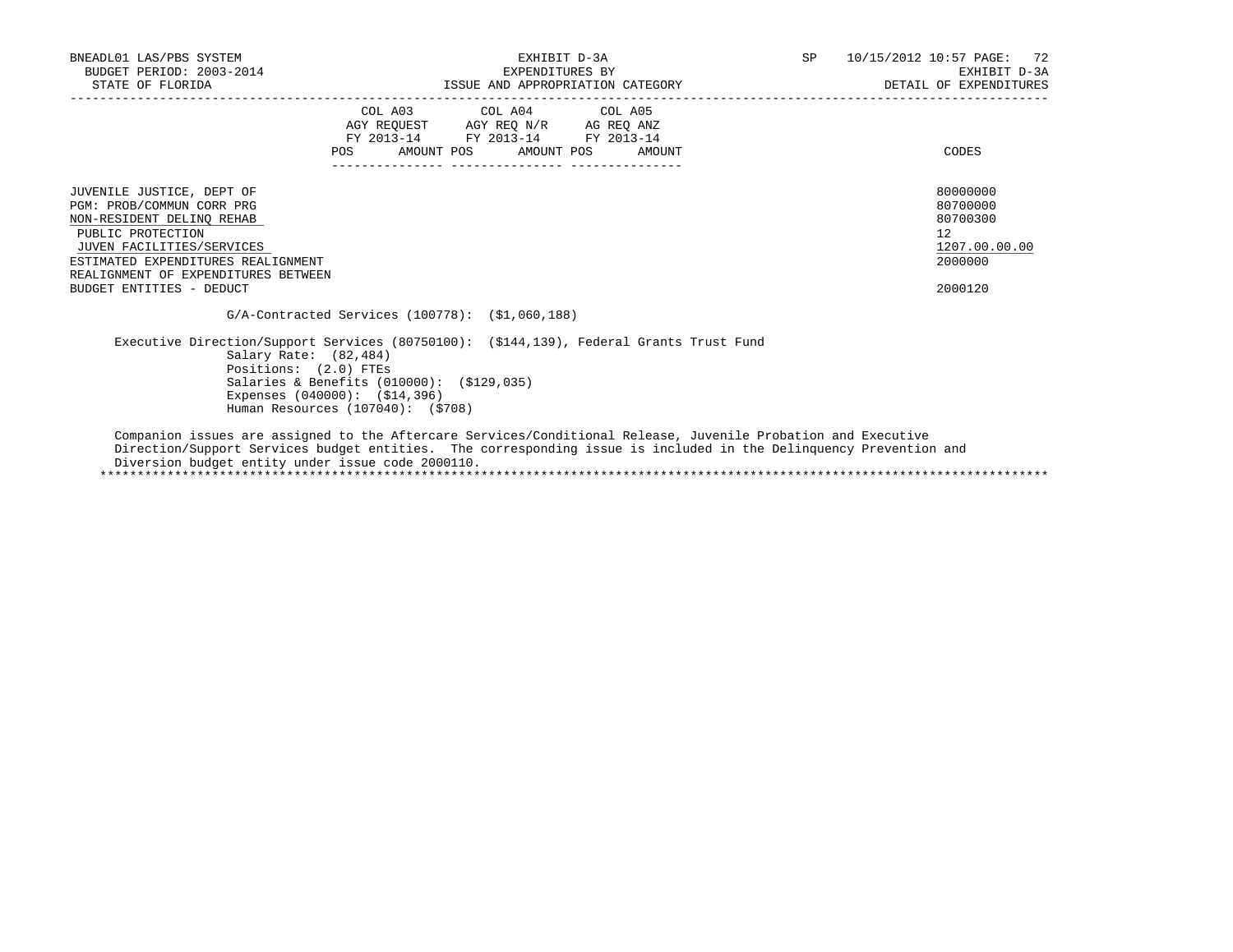| BNEADL01 LAS/PBS SYSTEM<br>BUDGET PERIOD: 2003-2014<br>STATE OF FLORIDA                                                                                                                                                                        | EXHIBIT D-3A<br>EXPENDITURES BY<br>ISSUE AND APPROPRIATION CATEGORY                                                                                                       |                                                                                                   |                              | SP | 10/15/2012 10:57 PAGE: 72<br>EXHIBIT D-3A<br>DETAIL OF EXPENDITURES           |
|------------------------------------------------------------------------------------------------------------------------------------------------------------------------------------------------------------------------------------------------|---------------------------------------------------------------------------------------------------------------------------------------------------------------------------|---------------------------------------------------------------------------------------------------|------------------------------|----|-------------------------------------------------------------------------------|
|                                                                                                                                                                                                                                                | <b>POS</b>                                                                                                                                                                | COL A03 COL A04 COL A05<br>AGY REQUEST AGY REQ N/R AG REQ ANZ<br>FY 2013-14 FY 2013-14 FY 2013-14 | AMOUNT POS AMOUNT POS AMOUNT |    | CODES                                                                         |
| JUVENILE JUSTICE, DEPT OF<br>PGM: PROB/COMMUN CORR PRG<br>NON-RESIDENT DELINO REHAB<br>PUBLIC PROTECTION<br>JUVEN FACILITIES/SERVICES<br>ESTIMATED EXPENDITURES REALIGNMENT<br>REALIGNMENT OF EXPENDITURES BETWEEN<br>BUDGET ENTITIES - DEDUCT |                                                                                                                                                                           |                                                                                                   |                              |    | 80000000<br>80700000<br>80700300<br>12<br>1207.00.00.00<br>2000000<br>2000120 |
|                                                                                                                                                                                                                                                | $G/A$ -Contracted Services (100778): $(51,060,188)$                                                                                                                       |                                                                                                   |                              |    |                                                                               |
| Executive Direction/Support Services (80750100): (\$144,139), Federal Grants Trust Fund                                                                                                                                                        | Salary Rate: $(82, 484)$<br>Positions: (2.0) FTEs<br>Salaries & Benefits (010000): (\$129,035)<br>Expenses $(040000)$ : $(514, 396)$<br>Human Resources (107040): (\$708) |                                                                                                   |                              |    |                                                                               |

 Companion issues are assigned to the Aftercare Services/Conditional Release, Juvenile Probation and Executive Direction/Support Services budget entities. The corresponding issue is included in the Delinquency Prevention and Diversion budget entity under issue code 2000110. \*\*\*\*\*\*\*\*\*\*\*\*\*\*\*\*\*\*\*\*\*\*\*\*\*\*\*\*\*\*\*\*\*\*\*\*\*\*\*\*\*\*\*\*\*\*\*\*\*\*\*\*\*\*\*\*\*\*\*\*\*\*\*\*\*\*\*\*\*\*\*\*\*\*\*\*\*\*\*\*\*\*\*\*\*\*\*\*\*\*\*\*\*\*\*\*\*\*\*\*\*\*\*\*\*\*\*\*\*\*\*\*\*\*\*\*\*\*\*\*\*\*\*\*\*\*\*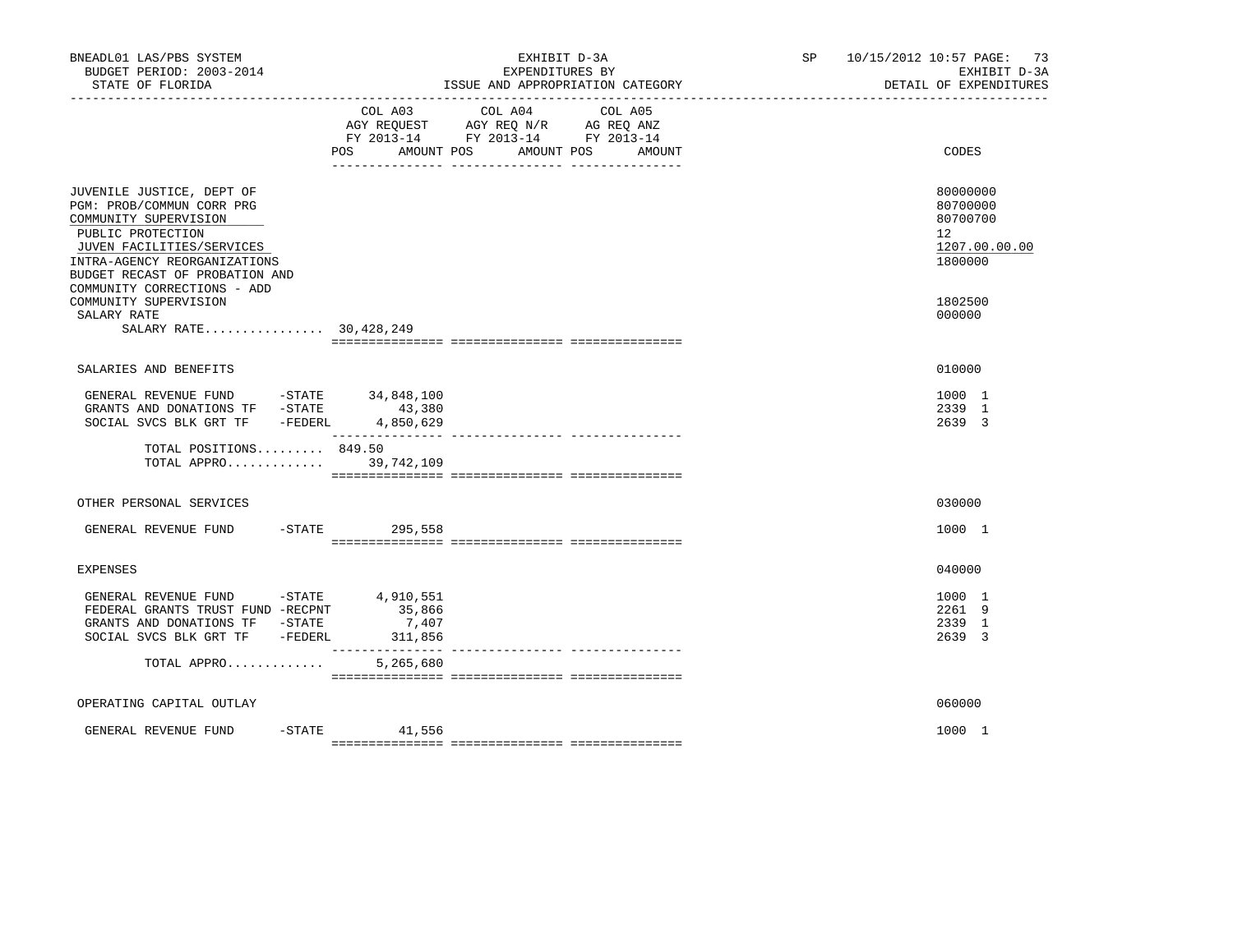| BNEADL01 LAS/PBS SYSTEM<br>BUDGET PERIOD: 2003-2014<br>STATE OF FLORIDA                                                                                                                                                            |                              | EXHIBIT D-3A<br>EXPENDITURES BY<br>ISSUE AND APPROPRIATION CATEGORY                                               | SP 10/15/2012 10:57 PAGE: 73<br>EXHIBIT D-3A<br>DETAIL OF EXPENDITURES |
|------------------------------------------------------------------------------------------------------------------------------------------------------------------------------------------------------------------------------------|------------------------------|-------------------------------------------------------------------------------------------------------------------|------------------------------------------------------------------------|
|                                                                                                                                                                                                                                    | COL A03<br>AMOUNT POS<br>POS | COL A04<br>COL A05<br>AGY REQUEST AGY REQ N/R AG REQ ANZ<br>FY 2013-14 FY 2013-14 FY 2013-14<br>AMOUNT POS AMOUNT | CODES                                                                  |
| JUVENILE JUSTICE, DEPT OF<br>PGM: PROB/COMMUN CORR PRG<br>COMMUNITY SUPERVISION<br>PUBLIC PROTECTION<br>JUVEN FACILITIES/SERVICES<br>INTRA-AGENCY REORGANIZATIONS<br>BUDGET RECAST OF PROBATION AND<br>COMMUNITY CORRECTIONS - ADD |                              |                                                                                                                   | 80000000<br>80700000<br>80700700<br>12<br>1207.00.00.00<br>1800000     |
| COMMUNITY SUPERVISION<br>SALARY RATE<br>SALARY RATE 30,428,249                                                                                                                                                                     |                              |                                                                                                                   | 1802500<br>000000                                                      |
| SALARIES AND BENEFITS                                                                                                                                                                                                              |                              |                                                                                                                   | 010000                                                                 |
| GENERAL REVENUE FUND -STATE 34,848,100<br>GRANTS AND DONATIONS TF -STATE<br>SOCIAL SVCS BLK GRT TF - FEDERL                                                                                                                        | 43,380<br>4,850,629          |                                                                                                                   | 1000 1<br>2339 1<br>2639 3                                             |
| TOTAL POSITIONS 849.50<br>TOTAL APPRO 39,742,109                                                                                                                                                                                   | __________________           | ---------------- ----------------                                                                                 |                                                                        |
| OTHER PERSONAL SERVICES                                                                                                                                                                                                            |                              |                                                                                                                   | 030000                                                                 |
| GENERAL REVENUE FUND                                                                                                                                                                                                               | -STATE 295,558               |                                                                                                                   | 1000 1                                                                 |
| <b>EXPENSES</b>                                                                                                                                                                                                                    |                              |                                                                                                                   | 040000                                                                 |
| GENERAL REVENUE FUND -STATE 4,910,551<br>FEDERAL GRANTS TRUST FUND -RECPNT<br>GRANTS AND DONATIONS TF -STATE<br>SOCIAL SVCS BLK GRT TF - FEDERL                                                                                    | 35,866<br>7,407<br>311,856   |                                                                                                                   | 1000 1<br>2261 9<br>2339 1<br>2639 3                                   |
| TOTAL APPRO                                                                                                                                                                                                                        | 5,265,680                    |                                                                                                                   |                                                                        |
| OPERATING CAPITAL OUTLAY                                                                                                                                                                                                           |                              |                                                                                                                   | 060000                                                                 |
| GENERAL REVENUE FUND                                                                                                                                                                                                               | $-$ STATE 41,556             |                                                                                                                   | 1000 1                                                                 |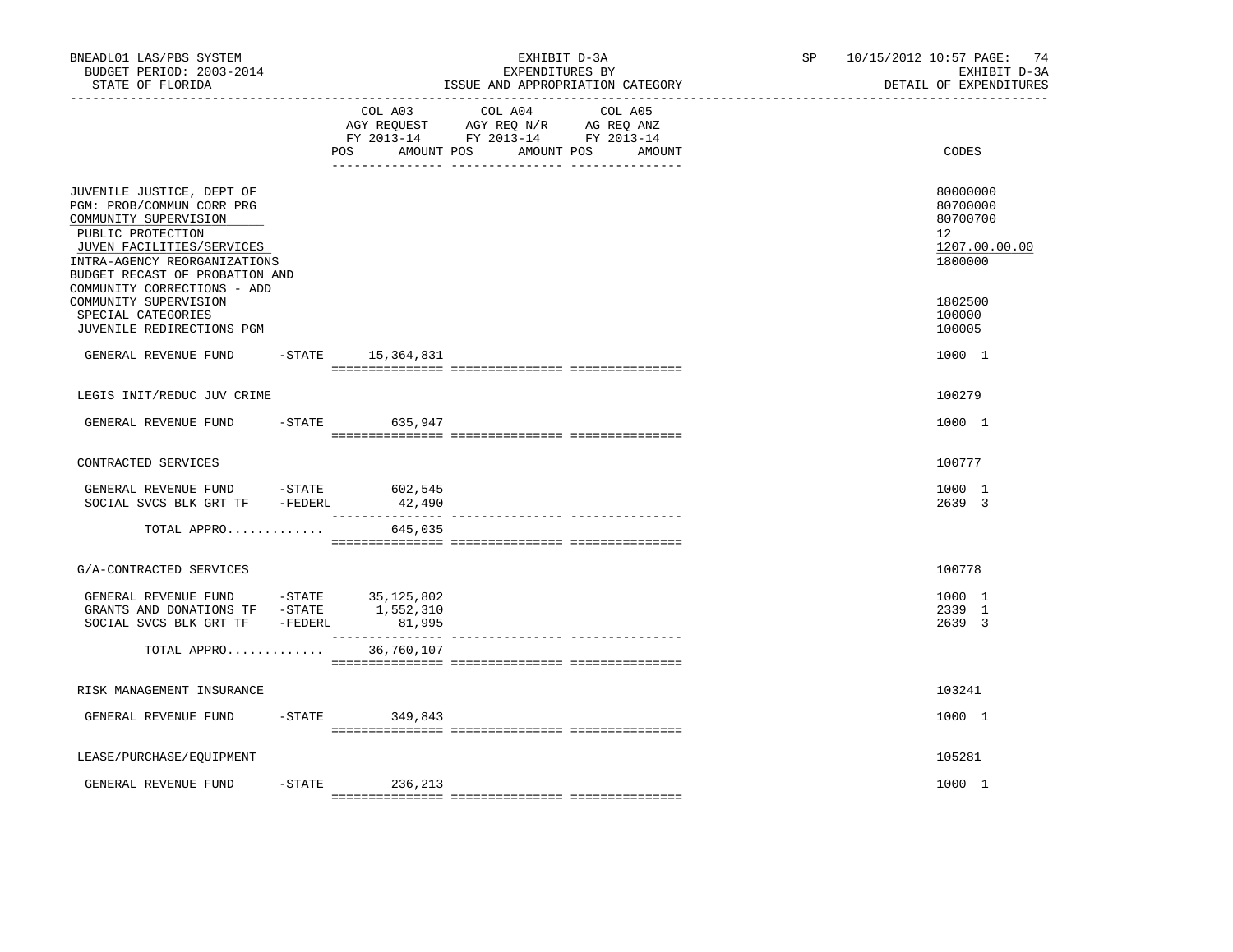| BNEADL01 LAS/PBS SYSTEM<br>BUDGET PERIOD: 2003-2014<br>STATE OF FLORIDA<br>__________________                                                                     |           |                        | EXHIBIT D-3A<br>EXPENDITURES BY<br>ISSUE AND APPROPRIATION CATEGORY                                                                  | SP and the set of the set of the set of the set of the set of the set of the set of the set of the set of the set of the set of the set of the set of the set of the set of the set of the set of the set of the set of the se | 10/15/2012 10:57 PAGE: 74<br>EXHIBIT D-3A<br>DETAIL OF EXPENDITURES |
|-------------------------------------------------------------------------------------------------------------------------------------------------------------------|-----------|------------------------|--------------------------------------------------------------------------------------------------------------------------------------|--------------------------------------------------------------------------------------------------------------------------------------------------------------------------------------------------------------------------------|---------------------------------------------------------------------|
|                                                                                                                                                                   |           | POS                    | COL A03 COL A04 COL A05<br>AGY REQUEST AGY REQ N/R AG REQ ANZ<br>FY 2013-14 FY 2013-14 FY 2013-14<br>AMOUNT POS AMOUNT POS<br>AMOUNT |                                                                                                                                                                                                                                | CODES                                                               |
| JUVENILE JUSTICE, DEPT OF<br>PGM: PROB/COMMUN CORR PRG<br>COMMUNITY SUPERVISION<br>PUBLIC PROTECTION<br>JUVEN FACILITIES/SERVICES<br>INTRA-AGENCY REORGANIZATIONS |           |                        |                                                                                                                                      |                                                                                                                                                                                                                                | 80000000<br>80700000<br>80700700<br>12<br>1207.00.00.00<br>1800000  |
| BUDGET RECAST OF PROBATION AND<br>COMMUNITY CORRECTIONS - ADD<br>COMMUNITY SUPERVISION<br>SPECIAL CATEGORIES<br>JUVENILE REDIRECTIONS PGM                         |           |                        |                                                                                                                                      |                                                                                                                                                                                                                                | 1802500<br>100000<br>100005                                         |
| GENERAL REVENUE FUND                                                                                                                                              |           | $-$ STATE 15, 364, 831 |                                                                                                                                      |                                                                                                                                                                                                                                | 1000 1                                                              |
| LEGIS INIT/REDUC JUV CRIME                                                                                                                                        |           |                        |                                                                                                                                      |                                                                                                                                                                                                                                | 100279                                                              |
| GENERAL REVENUE FUND                                                                                                                                              | $-$ STATE | 635,947                |                                                                                                                                      |                                                                                                                                                                                                                                | 1000 1                                                              |
| CONTRACTED SERVICES                                                                                                                                               |           |                        |                                                                                                                                      |                                                                                                                                                                                                                                | 100777                                                              |
| GENERAL REVENUE FUND -STATE 602,545<br>SOCIAL SVCS BLK GRT TF -FEDERL                                                                                             |           | 42,490                 |                                                                                                                                      |                                                                                                                                                                                                                                | 1000 1<br>2639 3                                                    |
| TOTAL APPRO                                                                                                                                                       |           | 645,035                |                                                                                                                                      |                                                                                                                                                                                                                                |                                                                     |
| G/A-CONTRACTED SERVICES                                                                                                                                           |           |                        |                                                                                                                                      |                                                                                                                                                                                                                                | 100778                                                              |
| GENERAL REVENUE FUND -STATE $35,125,802$<br>GRANTS AND DONATIONS TF -STATE $1,552,310$<br>SOCIAL SVCS BLK GRT TF -FEDERL                                          |           | 81,995                 |                                                                                                                                      |                                                                                                                                                                                                                                | 1000 1<br>2339 1<br>2639 3                                          |
| TOTAL APPRO                                                                                                                                                       |           | 36,760,107             |                                                                                                                                      |                                                                                                                                                                                                                                |                                                                     |
| RISK MANAGEMENT INSURANCE                                                                                                                                         |           |                        |                                                                                                                                      |                                                                                                                                                                                                                                | 103241                                                              |
| GENERAL REVENUE FUND                                                                                                                                              |           | $-STATE$ 349,843       |                                                                                                                                      |                                                                                                                                                                                                                                | 1000 1                                                              |
| LEASE/PURCHASE/EQUIPMENT                                                                                                                                          |           |                        |                                                                                                                                      |                                                                                                                                                                                                                                | 105281                                                              |
| GENERAL REVENUE FUND                                                                                                                                              |           | $-STATE$<br>236,213    |                                                                                                                                      |                                                                                                                                                                                                                                | 1000 1                                                              |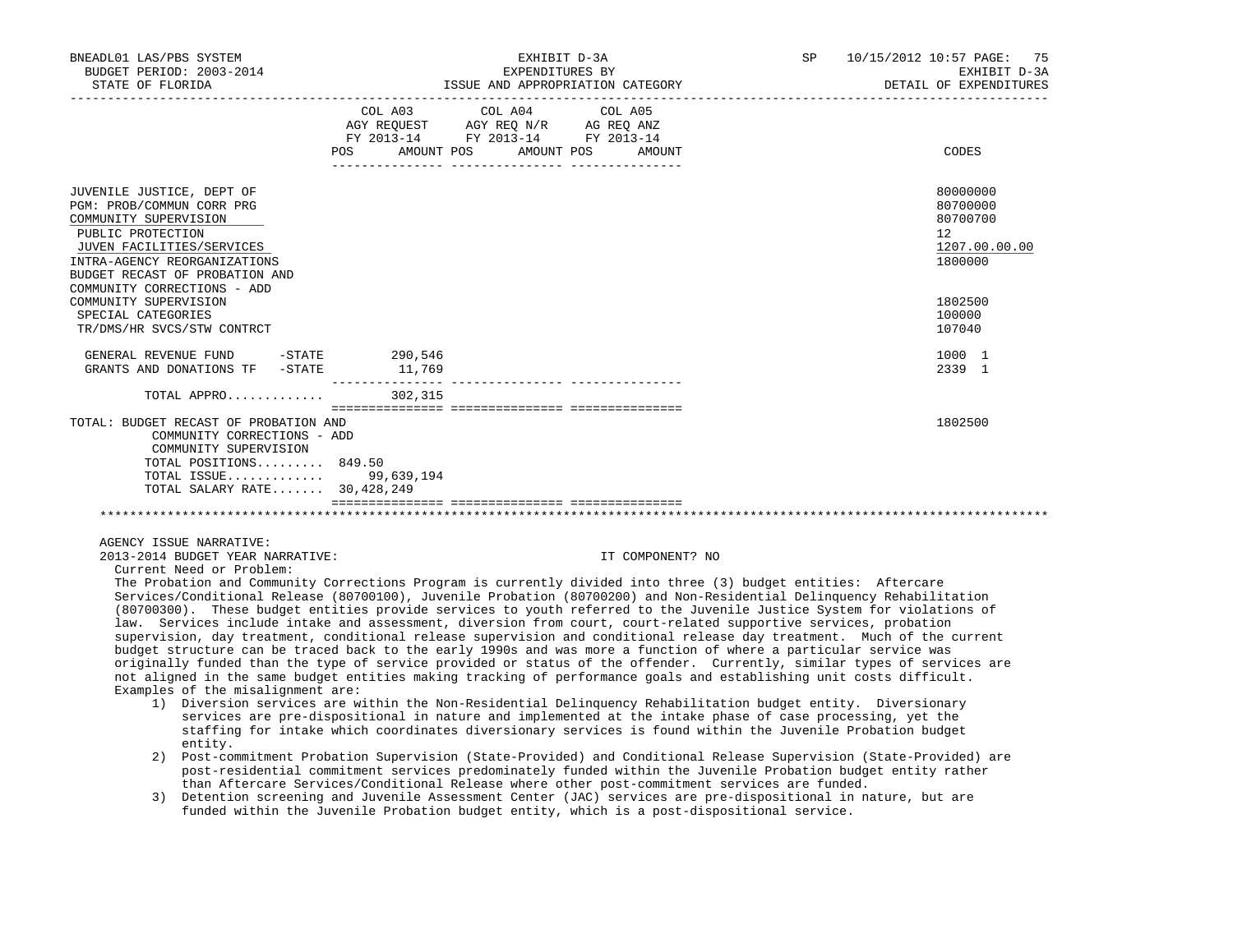| BNEADL01 LAS/PBS SYSTEM<br>BUDGET PERIOD: 2003-2014<br>STATE OF FLORIDA                                                                                                                                                            |                                  | EXHIBIT D-3A<br>EXPENDITURES BY<br>ISSUE AND APPROPRIATION CATEGORY                               |  | SP 10/15/2012 10:57 PAGE: 75<br>EXHIBIT D-3A<br>DETAIL OF EXPENDITURES |
|------------------------------------------------------------------------------------------------------------------------------------------------------------------------------------------------------------------------------------|----------------------------------|---------------------------------------------------------------------------------------------------|--|------------------------------------------------------------------------|
|                                                                                                                                                                                                                                    | POS AMOUNT POS AMOUNT POS AMOUNT | COL A03 COL A04 COL A05<br>AGY REQUEST AGY REQ N/R AG REQ ANZ<br>FY 2013-14 FY 2013-14 FY 2013-14 |  | CODES                                                                  |
| JUVENILE JUSTICE, DEPT OF<br>PGM: PROB/COMMUN CORR PRG<br>COMMUNITY SUPERVISION<br>PUBLIC PROTECTION<br>JUVEN FACILITIES/SERVICES<br>INTRA-AGENCY REORGANIZATIONS<br>BUDGET RECAST OF PROBATION AND<br>COMMUNITY CORRECTIONS - ADD |                                  |                                                                                                   |  | 80000000<br>80700000<br>80700700<br>12<br>1207.00.00.00<br>1800000     |
| COMMUNITY SUPERVISION<br>SPECIAL CATEGORIES<br>TR/DMS/HR SVCS/STW CONTRCT                                                                                                                                                          |                                  |                                                                                                   |  | 1802500<br>100000<br>107040                                            |
| GENERAL REVENUE FUND -STATE 290,546<br>GRANTS AND DONATIONS TF -STATE                                                                                                                                                              | 11,769                           |                                                                                                   |  | 1000 1<br>2339 1                                                       |
| TOTAL APPRO                                                                                                                                                                                                                        | 302,315                          |                                                                                                   |  |                                                                        |
| TOTAL: BUDGET RECAST OF PROBATION AND<br>COMMUNITY CORRECTIONS - ADD<br>COMMUNITY SUPERVISION<br>TOTAL POSITIONS 849.50<br>TOTAL ISSUE 99,639,194<br>TOTAL SALARY RATE 30, 428, 249                                                |                                  |                                                                                                   |  | 1802500                                                                |
|                                                                                                                                                                                                                                    |                                  |                                                                                                   |  |                                                                        |

2013-2014 BUDGET YEAR NARRATIVE: IT COMPONENT? NO

Current Need or Problem:

 The Probation and Community Corrections Program is currently divided into three (3) budget entities: Aftercare Services/Conditional Release (80700100), Juvenile Probation (80700200) and Non-Residential Delinquency Rehabilitation (80700300). These budget entities provide services to youth referred to the Juvenile Justice System for violations of law. Services include intake and assessment, diversion from court, court-related supportive services, probation supervision, day treatment, conditional release supervision and conditional release day treatment. Much of the current budget structure can be traced back to the early 1990s and was more a function of where a particular service was originally funded than the type of service provided or status of the offender. Currently, similar types of services are not aligned in the same budget entities making tracking of performance goals and establishing unit costs difficult. Examples of the misalignment are:

- 1) Diversion services are within the Non-Residential Delinquency Rehabilitation budget entity. Diversionary services are pre-dispositional in nature and implemented at the intake phase of case processing, yet the staffing for intake which coordinates diversionary services is found within the Juvenile Probation budget entity.
- 2) Post-commitment Probation Supervision (State-Provided) and Conditional Release Supervision (State-Provided) are post-residential commitment services predominately funded within the Juvenile Probation budget entity rather than Aftercare Services/Conditional Release where other post-commitment services are funded.
- 3) Detention screening and Juvenile Assessment Center (JAC) services are pre-dispositional in nature, but are funded within the Juvenile Probation budget entity, which is a post-dispositional service.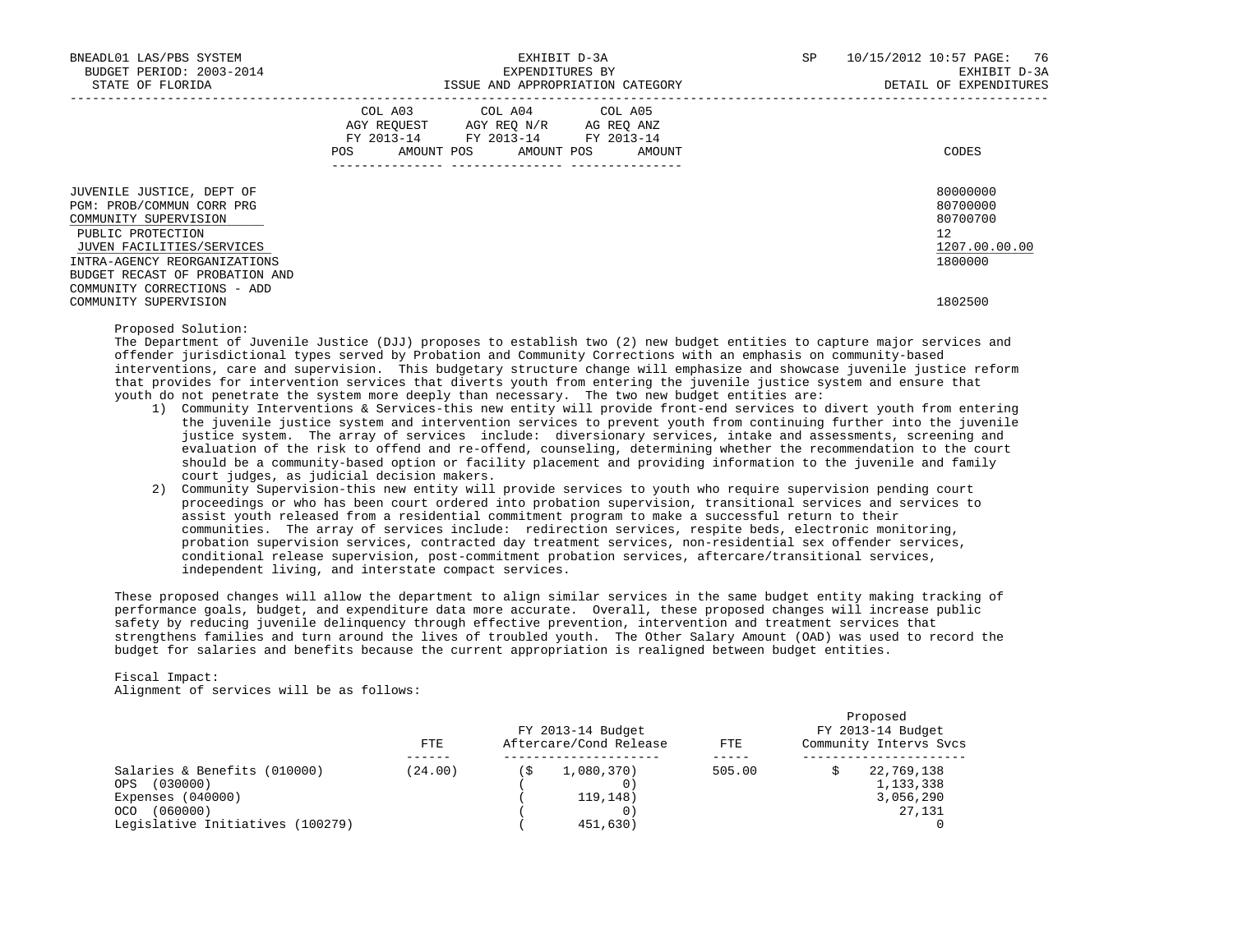| BNEADL01 LAS/PBS SYSTEM<br>BUDGET PERIOD: 2003-2014<br>STATE OF FLORIDA                                                                                                                                                            | EXHIBIT D-3A<br>EXPENDITURES BY<br>ISSUE AND APPROPRIATION CATEGORY                                                                         | 10/15/2012 10:57 PAGE: 76<br>SP<br>EXHIBIT D-3A<br>DETAIL OF EXPENDITURES |
|------------------------------------------------------------------------------------------------------------------------------------------------------------------------------------------------------------------------------------|---------------------------------------------------------------------------------------------------------------------------------------------|---------------------------------------------------------------------------|
|                                                                                                                                                                                                                                    | COL A03 COL A04 COL A05<br>AGY REOUEST AGY REO N/R AG REO ANZ<br>FY 2013-14 FY 2013-14 FY 2013-14<br>AMOUNT POS AMOUNT POS<br>POS<br>AMOUNT | CODES                                                                     |
| JUVENILE JUSTICE, DEPT OF<br>PGM: PROB/COMMUN CORR PRG<br>COMMUNITY SUPERVISION<br>PUBLIC PROTECTION<br>JUVEN FACILITIES/SERVICES<br>INTRA-AGENCY REORGANIZATIONS<br>BUDGET RECAST OF PROBATION AND<br>COMMUNITY CORRECTIONS - ADD |                                                                                                                                             | 80000000<br>80700000<br>80700700<br>12<br>1207.00.00.00<br>1800000        |
| COMMUNITY SUPERVISION                                                                                                                                                                                                              |                                                                                                                                             | 1802500                                                                   |

### Proposed Solution:

 The Department of Juvenile Justice (DJJ) proposes to establish two (2) new budget entities to capture major services and offender jurisdictional types served by Probation and Community Corrections with an emphasis on community-based interventions, care and supervision. This budgetary structure change will emphasize and showcase juvenile justice reform that provides for intervention services that diverts youth from entering the juvenile justice system and ensure that youth do not penetrate the system more deeply than necessary. The two new budget entities are:

- 1) Community Interventions & Services-this new entity will provide front-end services to divert youth from entering the juvenile justice system and intervention services to prevent youth from continuing further into the juvenile justice system. The array of services include: diversionary services, intake and assessments, screening and evaluation of the risk to offend and re-offend, counseling, determining whether the recommendation to the court should be a community-based option or facility placement and providing information to the juvenile and family court judges, as judicial decision makers.
- 2) Community Supervision-this new entity will provide services to youth who require supervision pending court proceedings or who has been court ordered into probation supervision, transitional services and services to assist youth released from a residential commitment program to make a successful return to their communities. The array of services include: redirection services, respite beds, electronic monitoring, probation supervision services, contracted day treatment services, non-residential sex offender services, conditional release supervision, post-commitment probation services, aftercare/transitional services, independent living, and interstate compact services.

 These proposed changes will allow the department to align similar services in the same budget entity making tracking of performance goals, budget, and expenditure data more accurate. Overall, these proposed changes will increase public safety by reducing juvenile delinquency through effective prevention, intervention and treatment services that strengthens families and turn around the lives of troubled youth. The Other Salary Amount (OAD) was used to record the budget for salaries and benefits because the current appropriation is realigned between budget entities.

# Fiscal Impact:

Alignment of services will be as follows:

|                                  | FTE     |    | FY 2013-14 Budget<br>Aftercare/Cond Release | <b>FTE</b> | Proposed<br>FY 2013-14 Budget<br>Community Intervs Svcs |
|----------------------------------|---------|----|---------------------------------------------|------------|---------------------------------------------------------|
| Salaries & Benefits (010000)     | (24.00) | ิร | 1,080,370)                                  | 505.00     | 22,769,138                                              |
| (030000)<br>OPS.                 |         |    | 0)                                          |            | 1,133,338                                               |
| Expenses $(040000)$              |         |    | 119, 148)                                   |            | 3,056,290                                               |
| (060000)<br>OCO.                 |         |    | 0                                           |            | 27,131                                                  |
| Legislative Initiatives (100279) |         |    | 451,630)                                    |            |                                                         |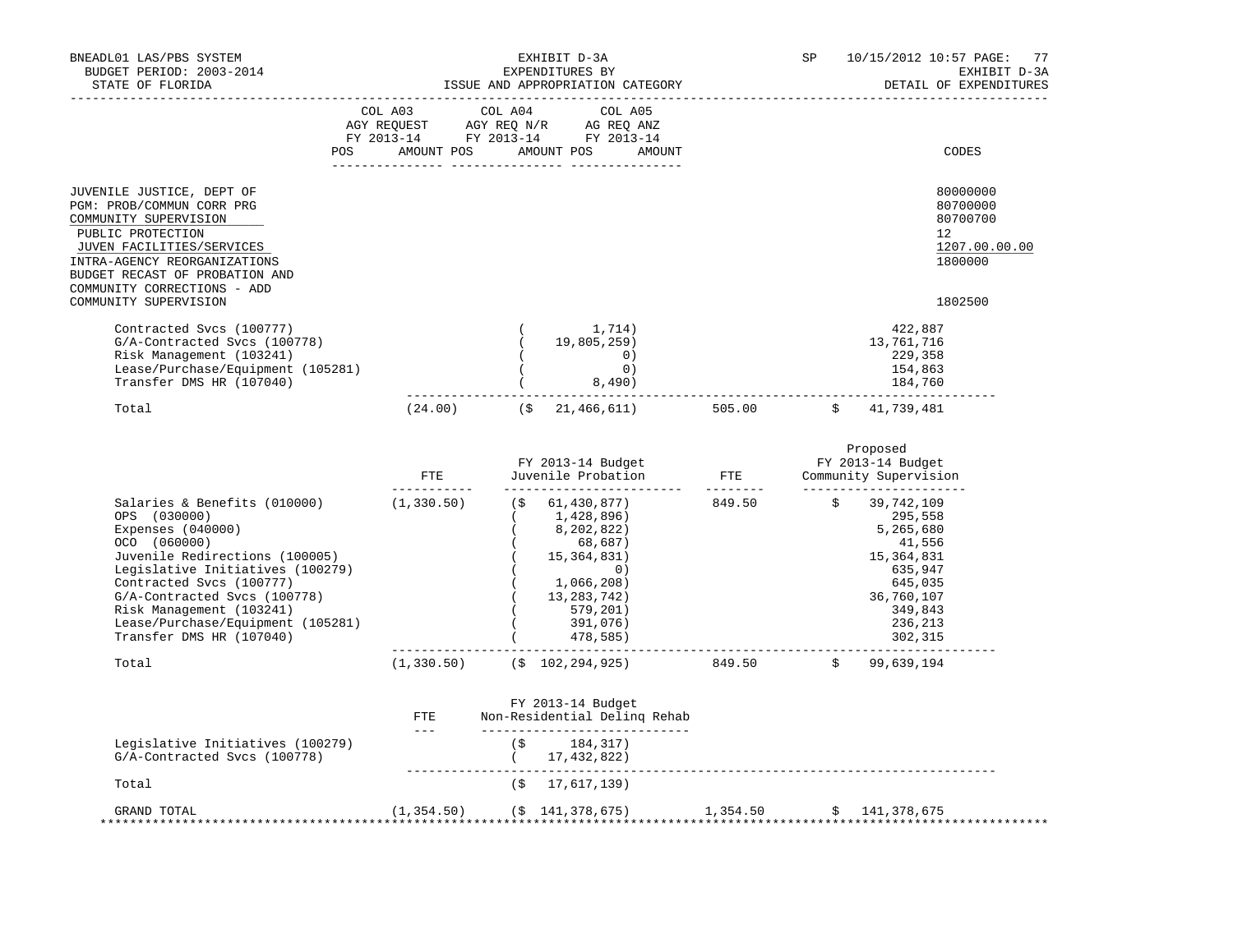| BNEADL01 LAS/PBS SYSTEM<br>BUDGET PERIOD: 2003-2014<br>STATE OF FLORIDA<br>--------------------                                                                                                                                                                                                                                               |                                                                                                                                       |    | EXHIBIT D-3A<br>EXPENDITURES BY<br>ISSUE AND APPROPRIATION CATEGORY                                                                                                                                                               |                                   | SP | 10/15/2012 10:57 PAGE:<br>DETAIL OF EXPENDITURES                                                                                               | 77<br>EXHIBIT D-3A |
|-----------------------------------------------------------------------------------------------------------------------------------------------------------------------------------------------------------------------------------------------------------------------------------------------------------------------------------------------|---------------------------------------------------------------------------------------------------------------------------------------|----|-----------------------------------------------------------------------------------------------------------------------------------------------------------------------------------------------------------------------------------|-----------------------------------|----|------------------------------------------------------------------------------------------------------------------------------------------------|--------------------|
|                                                                                                                                                                                                                                                                                                                                               | COL A03 COL A04 COL A05<br>AGY REQUEST AGY REQ N/R AG REQ ANZ<br>FY 2013-14 FY 2013-14 FY 2013-14<br>POS AMOUNT POS AMOUNT POS AMOUNT |    |                                                                                                                                                                                                                                   |                                   |    | CODES                                                                                                                                          |                    |
|                                                                                                                                                                                                                                                                                                                                               |                                                                                                                                       |    |                                                                                                                                                                                                                                   |                                   |    |                                                                                                                                                |                    |
| JUVENILE JUSTICE, DEPT OF<br>PGM: PROB/COMMUN CORR PRG<br>COMMUNITY SUPERVISION<br>PUBLIC PROTECTION<br>JUVEN FACILITIES/SERVICES<br>INTRA-AGENCY REORGANIZATIONS<br>BUDGET RECAST OF PROBATION AND<br>COMMUNITY CORRECTIONS - ADD                                                                                                            |                                                                                                                                       |    |                                                                                                                                                                                                                                   |                                   |    | 80000000<br>80700000<br>80700700<br>12<br>1207.00.00.00<br>1800000                                                                             |                    |
| COMMUNITY SUPERVISION                                                                                                                                                                                                                                                                                                                         |                                                                                                                                       |    |                                                                                                                                                                                                                                   |                                   |    | 1802500                                                                                                                                        |                    |
| Contracted Svcs (100777)<br>G/A-Contracted Svcs (100778)<br>Risk Management (103241)<br>Lease/Purchase/Equipment (105281)<br>Transfer DMS HR (107040)                                                                                                                                                                                         |                                                                                                                                       |    | 1,714)<br>19,805,259)<br>0)<br>0)<br>8,490)                                                                                                                                                                                       |                                   |    | 422,887<br>13,761,716<br>229,358<br>154,863<br>184,760                                                                                         |                    |
| Total                                                                                                                                                                                                                                                                                                                                         |                                                                                                                                       |    | $(24.00) \qquad \qquad (\xi \qquad 21,466,611) \qquad \qquad 505.00 \qquad \qquad \xi \qquad 41,739,481$                                                                                                                          |                                   |    |                                                                                                                                                |                    |
|                                                                                                                                                                                                                                                                                                                                               | ETE                                                                                                                                   |    | FY 2013-14 Budget<br>Juvenile Probation<br>FTE Community Supervision                                                                                                                                                              |                                   |    | Proposed                                                                                                                                       |                    |
| Salaries & Benefits (010000) (1,330.50) (\$ 61,430,877)<br>OPS (030000)<br>Expenses $(040000)$<br>OCO (060000)<br>Juvenile Redirections (100005)<br>Legislative Initiatives (100279)<br>Contracted Svcs (100777)<br>G/A-Contracted Svcs (100778)<br>Risk Management (103241)<br>Lease/Purchase/Equipment (105281)<br>Transfer DMS HR (107040) | ------------                                                                                                                          |    | __________________________<br>(1, 428, 896)<br>8,202,822)<br>68,687)<br>(15, 364, 831)<br>$\begin{pmatrix} 0 \end{pmatrix}$<br>1,066,208)<br>(13, 283, 742)<br>$( \begin{array}{ccc} 579, 201)\ 391, 076)\ 478, 585) \end{array}$ | ---------<br>849.50 \$ 39,742,109 |    | _______________________<br>295,558<br>5,265,680<br>41,556<br>15, 364, 831<br>635,947<br>645,035<br>36,760,107<br>349,843<br>236,213<br>302,315 |                    |
| Total                                                                                                                                                                                                                                                                                                                                         | (1, 330.50)                                                                                                                           |    | $($ \$ 102,294,925) 849.50 \$ 99,639,194                                                                                                                                                                                          |                                   |    |                                                                                                                                                |                    |
|                                                                                                                                                                                                                                                                                                                                               | ${\tt FTE}$<br>$\frac{1}{2}$ and $\frac{1}{2}$ . The $\frac{1}{2}$                                                                    |    | FY 2013-14 Budget<br>Non-Residential Deling Rehab<br>_______________________________                                                                                                                                              |                                   |    |                                                                                                                                                |                    |
| Legislative Initiatives (100279)<br>G/A-Contracted Svcs (100778)                                                                                                                                                                                                                                                                              |                                                                                                                                       | (S | 184,317)<br>(17, 432, 822)                                                                                                                                                                                                        |                                   |    |                                                                                                                                                |                    |
| Total                                                                                                                                                                                                                                                                                                                                         |                                                                                                                                       |    | $($ \$ 17,617,139)                                                                                                                                                                                                                |                                   |    |                                                                                                                                                |                    |
| GRAND TOTAL                                                                                                                                                                                                                                                                                                                                   | (1, 354.50)                                                                                                                           |    | $($ \$141,378,675)                                                                                                                                                                                                                | 1,354.50                          |    | \$141,378,675                                                                                                                                  |                    |

\*\*\*\*\*\*\*\*\*\*\*\*\*\*\*\*\*\*\*\*\*\*\*\*\*\*\*\*\*\*\*\*\*\*\*\*\*\*\*\*\*\*\*\*\*\*\*\*\*\*\*\*\*\*\*\*\*\*\*\*\*\*\*\*\*\*\*\*\*\*\*\*\*\*\*\*\*\*\*\*\*\*\*\*\*\*\*\*\*\*\*\*\*\*\*\*\*\*\*\*\*\*\*\*\*\*\*\*\*\*\*\*\*\*\*\*\*\*\*\*\*\*\*\*\*\*\*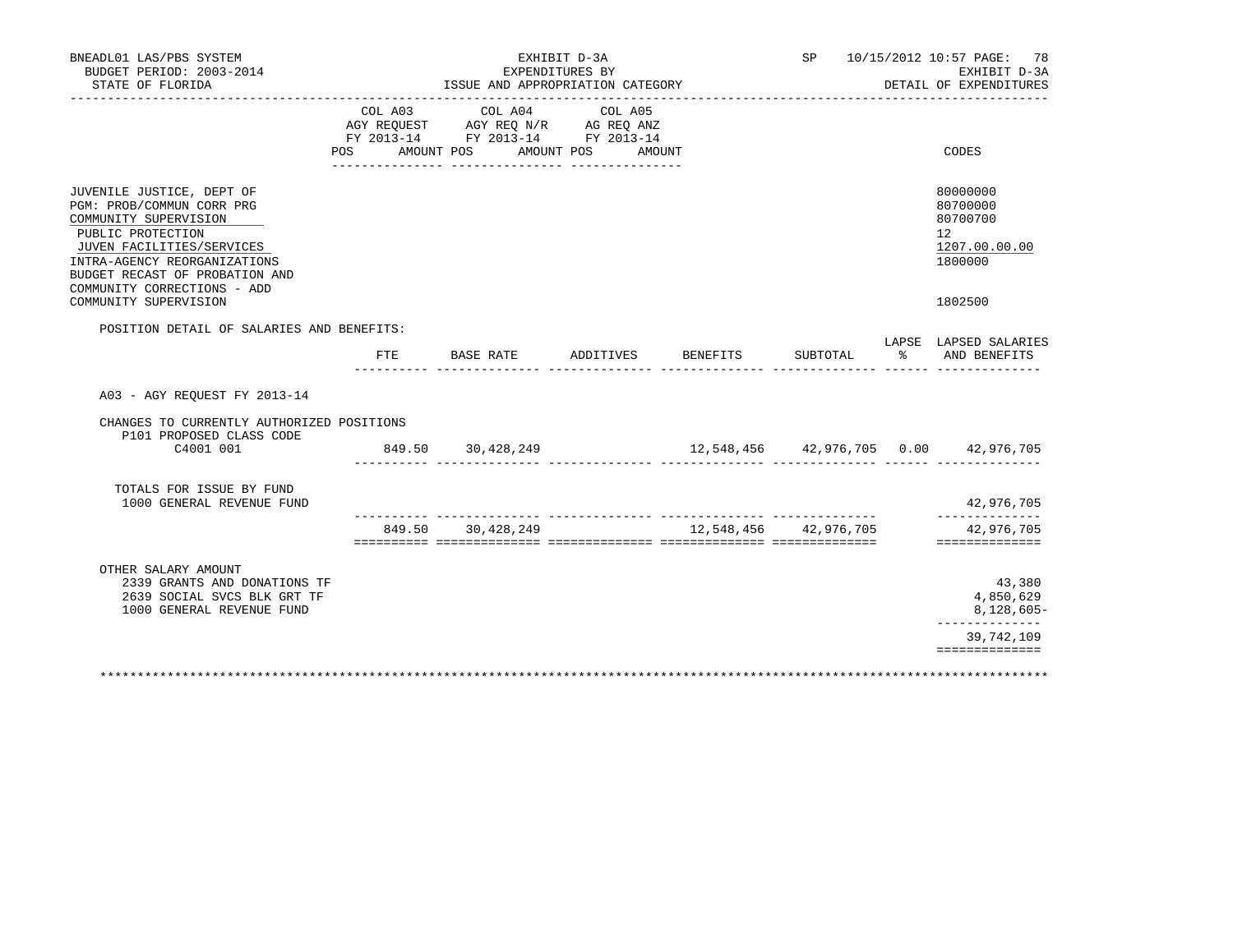| BNEADL01 LAS/PBS SYSTEM<br>BUDGET PERIOD: 2003-2014                                                                                                                                                                                                         |                           |                                                                                   | EXHIBIT D-3A<br>EXPENDITURES BY |                       |          |          | SP 10/15/2012 10:57 PAGE: 78<br>EXHIBIT D-3A                                  |
|-------------------------------------------------------------------------------------------------------------------------------------------------------------------------------------------------------------------------------------------------------------|---------------------------|-----------------------------------------------------------------------------------|---------------------------------|-----------------------|----------|----------|-------------------------------------------------------------------------------|
| STATE OF FLORIDA                                                                                                                                                                                                                                            |                           | ISSUE AND APPROPRIATION CATEGORY                                                  |                                 |                       |          |          | DETAIL OF EXPENDITURES                                                        |
|                                                                                                                                                                                                                                                             | COL A03<br>POS AMOUNT POS | COL A04<br>AGY REQUEST AGY REQ N/R AG REQ ANZ<br>FY 2013-14 FY 2013-14 FY 2013-14 | COL A05<br>AMOUNT POS AMOUNT    |                       |          |          | CODES                                                                         |
| JUVENILE JUSTICE, DEPT OF<br>PGM: PROB/COMMUN CORR PRG<br>COMMUNITY SUPERVISION<br>PUBLIC PROTECTION<br>JUVEN FACILITIES/SERVICES<br>INTRA-AGENCY REORGANIZATIONS<br>BUDGET RECAST OF PROBATION AND<br>COMMUNITY CORRECTIONS - ADD<br>COMMUNITY SUPERVISION |                           |                                                                                   |                                 |                       |          |          | 80000000<br>80700000<br>80700700<br>12<br>1207.00.00.00<br>1800000<br>1802500 |
| POSITION DETAIL OF SALARIES AND BENEFITS:                                                                                                                                                                                                                   |                           |                                                                                   |                                 |                       |          |          | LAPSE LAPSED SALARIES                                                         |
|                                                                                                                                                                                                                                                             | FTE.                      | BASE RATE                                                                         | ADDITIVES                       | BENEFITS              | SUBTOTAL | $\sim$ 8 | AND BENEFITS                                                                  |
| A03 - AGY REQUEST FY 2013-14                                                                                                                                                                                                                                |                           |                                                                                   |                                 |                       |          |          |                                                                               |
| CHANGES TO CURRENTLY AUTHORIZED POSITIONS<br>P101 PROPOSED CLASS CODE<br>C4001 001                                                                                                                                                                          |                           | 849.50 30,428,249                                                                 |                                 |                       |          |          |                                                                               |
| TOTALS FOR ISSUE BY FUND<br>1000 GENERAL REVENUE FUND                                                                                                                                                                                                       |                           |                                                                                   |                                 |                       |          |          | 42,976,705<br>______________                                                  |
|                                                                                                                                                                                                                                                             |                           | 849.50 30,428,249                                                                 |                                 | 12,548,456 42,976,705 |          |          | 42,976,705<br>==============                                                  |
| OTHER SALARY AMOUNT<br>2339 GRANTS AND DONATIONS TF<br>2639 SOCIAL SVCS BLK GRT TF<br>1000 GENERAL REVENUE FUND                                                                                                                                             |                           |                                                                                   |                                 |                       |          |          | 43,380<br>4,850,629<br>8,128,605-                                             |
|                                                                                                                                                                                                                                                             |                           |                                                                                   |                                 |                       |          |          | ______________<br>39,742,109                                                  |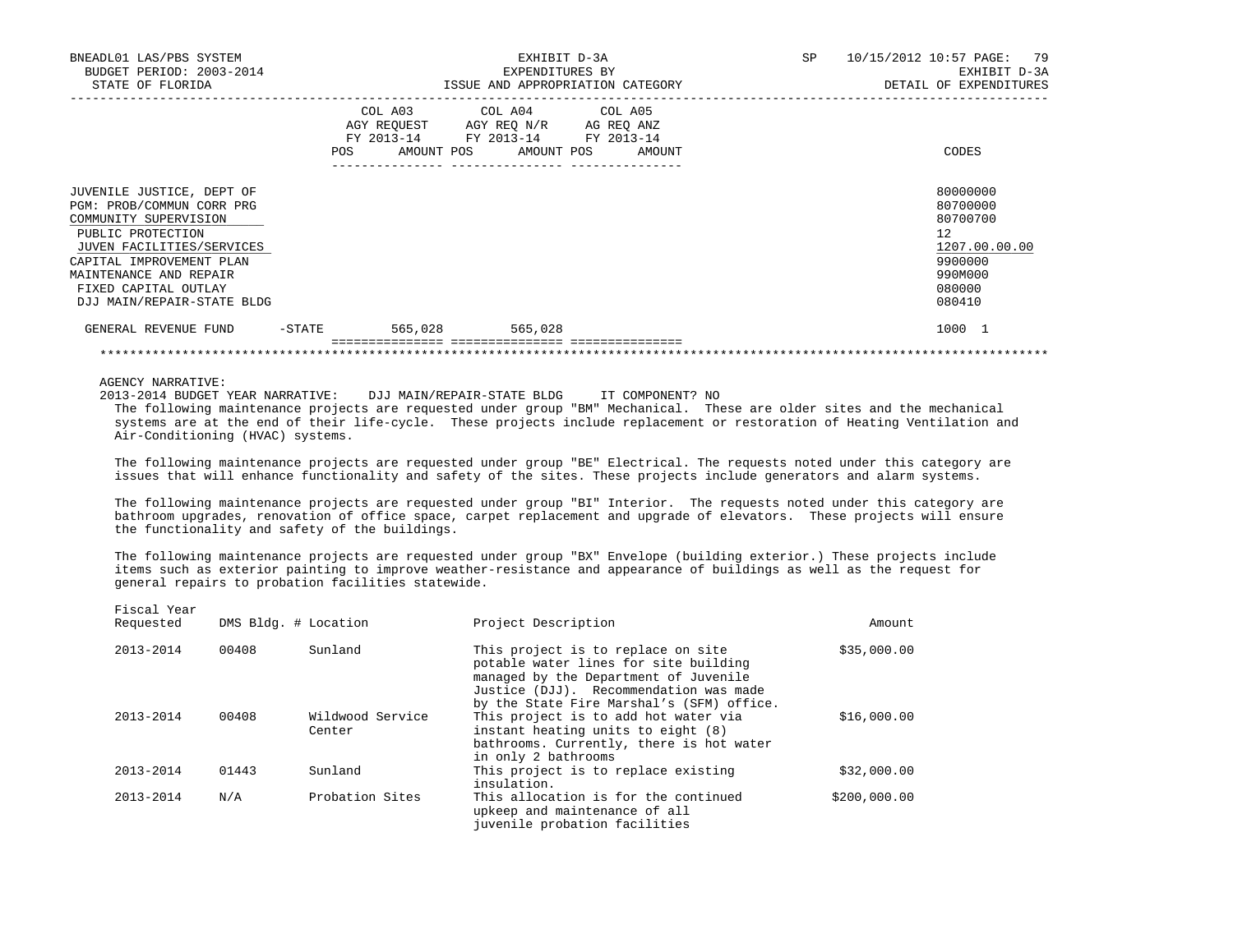| BNEADL01 LAS/PBS SYSTEM<br>BUDGET PERIOD: 2003-2014<br>STATE OF FLORIDA                                                                                                                                                                       |                                                                                                                |                         |         | EXHIBIT D-3A<br>EXPENDITURES BY<br>ISSUE AND APPROPRIATION CATEGORY                                    | SP | 10/15/2012 10:57 PAGE: 79<br>EXHIBIT D-3A<br>DETAIL OF EXPENDITURES                               |
|-----------------------------------------------------------------------------------------------------------------------------------------------------------------------------------------------------------------------------------------------|----------------------------------------------------------------------------------------------------------------|-------------------------|---------|--------------------------------------------------------------------------------------------------------|----|---------------------------------------------------------------------------------------------------|
|                                                                                                                                                                                                                                               | POS FOR THE POST OF THE STATE STATE STATE STATE STATE STATE STATE STATE STATE STATE STATE STATE STATE STATE ST | COL A03 COL A04 COL A05 |         | AGY REQUEST AGY REQ N/R AG REQ ANZ<br>FY 2013-14 FY 2013-14 FY 2013-14<br>AMOUNT POS AMOUNT POS AMOUNT |    | CODES                                                                                             |
| JUVENILE JUSTICE, DEPT OF<br>PGM: PROB/COMMUN CORR PRG<br>COMMUNITY SUPERVISION<br>PUBLIC PROTECTION<br>JUVEN FACILITIES/SERVICES<br>CAPITAL IMPROVEMENT PLAN<br>MAINTENANCE AND REPAIR<br>FIXED CAPITAL OUTLAY<br>DJJ MAIN/REPAIR-STATE BLDG |                                                                                                                |                         |         |                                                                                                        |    | 80000000<br>80700000<br>80700700<br>12<br>1207.00.00.00<br>9900000<br>990M000<br>080000<br>080410 |
| GENERAL REVENUE FUND                                                                                                                                                                                                                          | -STATE                                                                                                         | 565,028                 | 565,028 |                                                                                                        |    | 1000 1                                                                                            |

AGENCY NARRATIVE:

Fiscal Year

2013-2014 BUDGET YEAR NARRATIVE: DJJ MAIN/REPAIR-STATE BLDG IT COMPONENT? NO

 The following maintenance projects are requested under group "BM" Mechanical. These are older sites and the mechanical systems are at the end of their life-cycle. These projects include replacement or restoration of Heating Ventilation and Air-Conditioning (HVAC) systems.

\*\*\*\*\*\*\*\*\*\*\*\*\*\*\*\*\*\*\*\*\*\*\*\*\*\*\*\*\*\*\*\*\*\*\*\*\*\*\*\*\*\*\*\*\*\*\*\*\*\*\*\*\*\*\*\*\*\*\*\*\*\*\*\*\*\*\*\*\*\*\*\*\*\*\*\*\*\*\*\*\*\*\*\*\*\*\*\*\*\*\*\*\*\*\*\*\*\*\*\*\*\*\*\*\*\*\*\*\*\*\*\*\*\*\*\*\*\*\*\*\*\*\*\*\*\*\*

 The following maintenance projects are requested under group "BE" Electrical. The requests noted under this category are issues that will enhance functionality and safety of the sites. These projects include generators and alarm systems.

 The following maintenance projects are requested under group "BI" Interior. The requests noted under this category are bathroom upgrades, renovation of office space, carpet replacement and upgrade of elevators. These projects will ensure the functionality and safety of the buildings.

 The following maintenance projects are requested under group "BX" Envelope (building exterior.) These projects include items such as exterior painting to improve weather-resistance and appearance of buildings as well as the request for general repairs to probation facilities statewide.

| TTACAT TCAT<br>Requested | DMS Bldg. # Location |                            | Project Description                                                                                                                                                                                         | Amount       |
|--------------------------|----------------------|----------------------------|-------------------------------------------------------------------------------------------------------------------------------------------------------------------------------------------------------------|--------------|
| $2013 - 2014$            | 00408                | Sunland                    | This project is to replace on site<br>potable water lines for site building<br>managed by the Department of Juvenile<br>Justice (DJJ). Recommendation was made<br>by the State Fire Marshal's (SFM) office. | \$35,000.00  |
| $2013 - 2014$            | 00408                | Wildwood Service<br>Center | This project is to add hot water via<br>instant heating units to eight (8)<br>bathrooms. Currently, there is hot water<br>in only 2 bathrooms                                                               | \$16,000.00  |
| $2013 - 2014$            | 01443                | Sunland                    | This project is to replace existing<br>insulation.                                                                                                                                                          | \$32,000.00  |
| $2013 - 2014$            | N/A                  | Probation Sites            | This allocation is for the continued<br>upkeep and maintenance of all<br>juvenile probation facilities                                                                                                      | \$200,000.00 |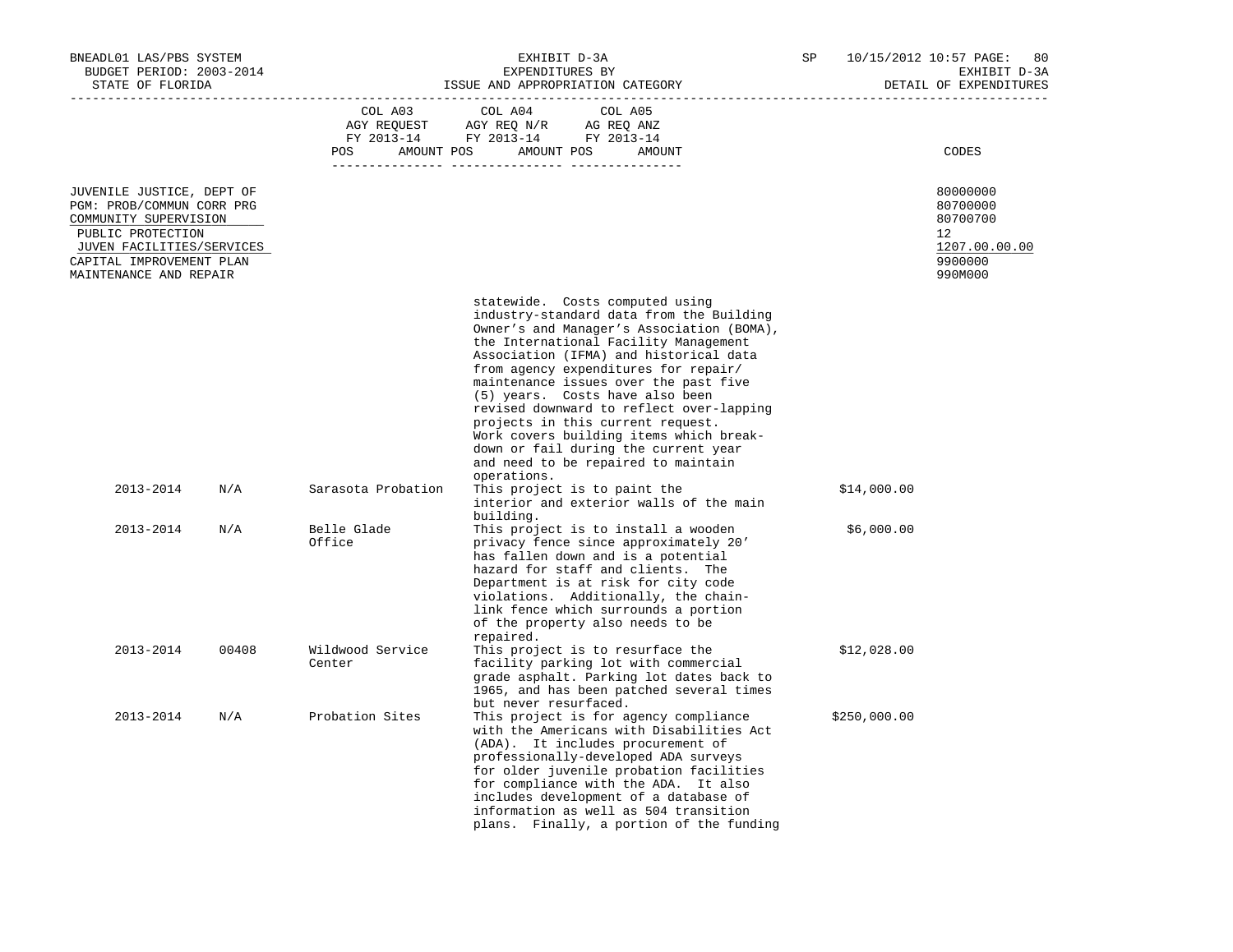| BNEADL01 LAS/PBS SYSTEM<br>BUDGET PERIOD: 2003-2014                                                                                                                                     |       |                            | EXHIBIT D-3A<br>EXPENDITURES BY                                                                                                                                                                                                                                                                                                                                                                                                                                                                                                                                                                                                      | SP           | 10/15/2012 10:57 PAGE:<br>80<br>EXHIBIT D-3A                                  |
|-----------------------------------------------------------------------------------------------------------------------------------------------------------------------------------------|-------|----------------------------|--------------------------------------------------------------------------------------------------------------------------------------------------------------------------------------------------------------------------------------------------------------------------------------------------------------------------------------------------------------------------------------------------------------------------------------------------------------------------------------------------------------------------------------------------------------------------------------------------------------------------------------|--------------|-------------------------------------------------------------------------------|
| STATE OF FLORIDA                                                                                                                                                                        |       |                            | ISSUE AND APPROPRIATION CATEGORY                                                                                                                                                                                                                                                                                                                                                                                                                                                                                                                                                                                                     |              | DETAIL OF EXPENDITURES                                                        |
|                                                                                                                                                                                         |       | COL A03 COL A04<br>POS     | COL A05<br>AGY REQUEST AGY REQ N/R AG REQ ANZ<br>FY 2013-14 FY 2013-14 FY 2013-14<br>AMOUNT POS AMOUNT POS<br>AMOUNT                                                                                                                                                                                                                                                                                                                                                                                                                                                                                                                 |              | CODES                                                                         |
| JUVENILE JUSTICE, DEPT OF<br>PGM: PROB/COMMUN CORR PRG<br>COMMUNITY SUPERVISION<br>PUBLIC PROTECTION<br>JUVEN FACILITIES/SERVICES<br>CAPITAL IMPROVEMENT PLAN<br>MAINTENANCE AND REPAIR |       |                            |                                                                                                                                                                                                                                                                                                                                                                                                                                                                                                                                                                                                                                      |              | 80000000<br>80700000<br>80700700<br>12<br>1207.00.00.00<br>9900000<br>990M000 |
| 2013-2014                                                                                                                                                                               | N/A   | Sarasota Probation         | statewide. Costs computed using<br>industry-standard data from the Building<br>Owner's and Manager's Association (BOMA),<br>the International Facility Management<br>Association (IFMA) and historical data<br>from agency expenditures for repair/<br>maintenance issues over the past five<br>(5) years. Costs have also been<br>revised downward to reflect over-lapping<br>projects in this current request.<br>Work covers building items which break-<br>down or fail during the current year<br>and need to be repaired to maintain<br>operations.<br>This project is to paint the<br>interior and exterior walls of the main | \$14,000.00  |                                                                               |
| 2013-2014                                                                                                                                                                               | N/A   | Belle Glade<br>Office      | building.<br>This project is to install a wooden<br>privacy fence since approximately 20'<br>has fallen down and is a potential<br>hazard for staff and clients. The<br>Department is at risk for city code<br>violations. Additionally, the chain-<br>link fence which surrounds a portion<br>of the property also needs to be<br>repaired.                                                                                                                                                                                                                                                                                         | \$6,000.00   |                                                                               |
| 2013-2014                                                                                                                                                                               | 00408 | Wildwood Service<br>Center | This project is to resurface the<br>facility parking lot with commercial<br>grade asphalt. Parking lot dates back to<br>1965, and has been patched several times<br>but never resurfaced.                                                                                                                                                                                                                                                                                                                                                                                                                                            | \$12,028.00  |                                                                               |
| 2013-2014                                                                                                                                                                               | N/A   | Probation Sites            | This project is for agency compliance<br>with the Americans with Disabilities Act<br>(ADA). It includes procurement of<br>professionally-developed ADA surveys<br>for older juvenile probation facilities<br>for compliance with the ADA. It also<br>includes development of a database of<br>information as well as 504 transition<br>plans. Finally, a portion of the funding                                                                                                                                                                                                                                                      | \$250,000.00 |                                                                               |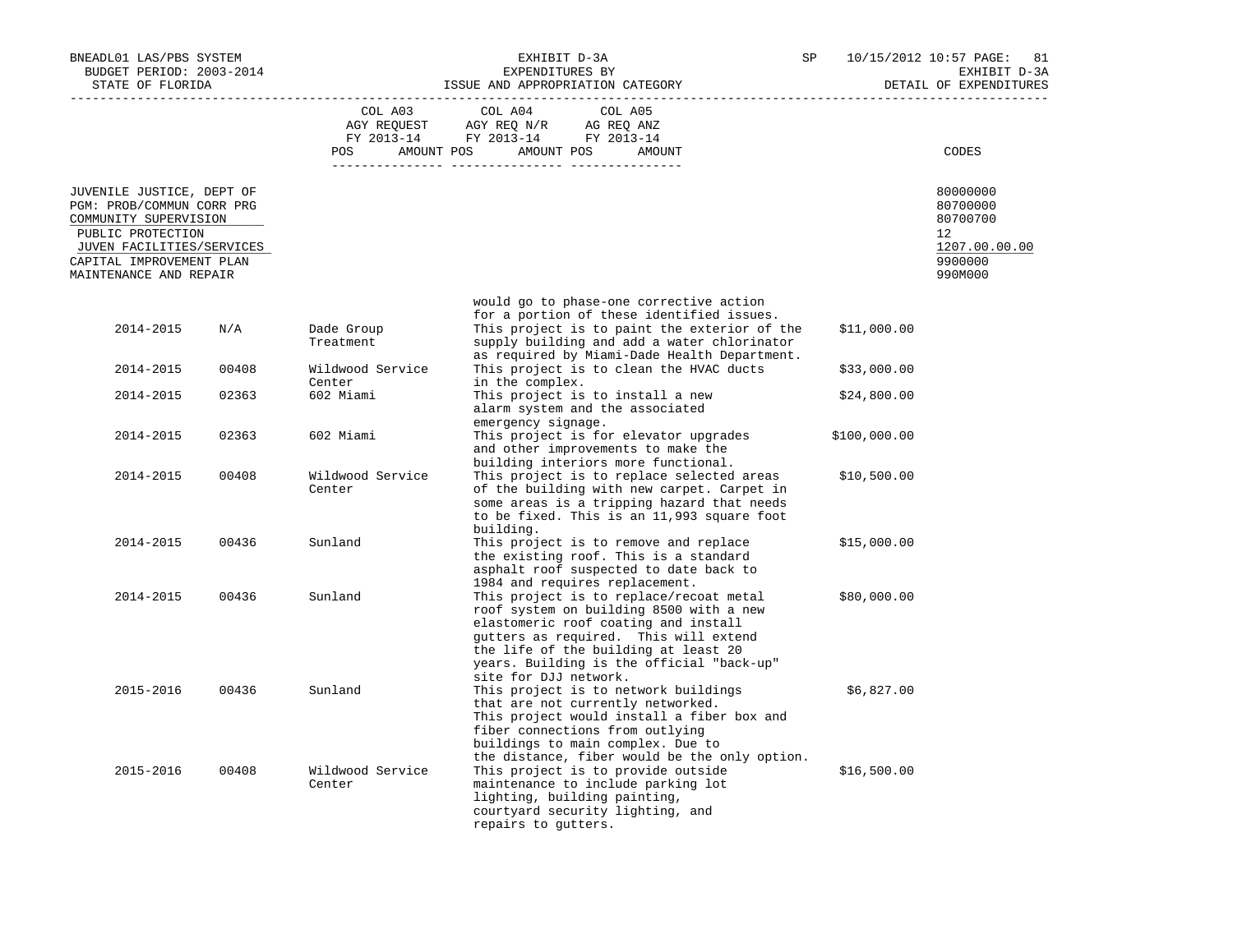| BNEADL01 LAS/PBS SYSTEM<br>BUDGET PERIOD: 2003-2014<br>STATE OF FLORIDA                                                                                                                 |       |                            | EXHIBIT D-3A<br>EXPENDITURES BY<br>ISSUE AND APPROPRIATION CATEGORY                                                                                                                                                                                                               | SP           | 10/15/2012 10:57 PAGE:<br>81<br>EXHIBIT D-3A<br>DETAIL OF EXPENDITURES        |
|-----------------------------------------------------------------------------------------------------------------------------------------------------------------------------------------|-------|----------------------------|-----------------------------------------------------------------------------------------------------------------------------------------------------------------------------------------------------------------------------------------------------------------------------------|--------------|-------------------------------------------------------------------------------|
|                                                                                                                                                                                         |       | COL A03<br><b>POS</b>      | COL A04<br>COL A05<br>AGY REQUEST AGY REQ N/R AG REQ ANZ<br>FY 2013-14 FY 2013-14 FY 2013-14<br>AMOUNT POS AMOUNT POS<br>AMOUNT                                                                                                                                                   |              | CODES                                                                         |
| JUVENILE JUSTICE, DEPT OF<br>PGM: PROB/COMMUN CORR PRG<br>COMMUNITY SUPERVISION<br>PUBLIC PROTECTION<br>JUVEN FACILITIES/SERVICES<br>CAPITAL IMPROVEMENT PLAN<br>MAINTENANCE AND REPAIR |       |                            |                                                                                                                                                                                                                                                                                   |              | 80000000<br>80700000<br>80700700<br>12<br>1207.00.00.00<br>9900000<br>990M000 |
| 2014-2015                                                                                                                                                                               | N/A   | Dade Group<br>Treatment    | would go to phase-one corrective action<br>for a portion of these identified issues.<br>This project is to paint the exterior of the<br>supply building and add a water chlorinator<br>as required by Miami-Dade Health Department.                                               | \$11,000.00  |                                                                               |
| 2014-2015                                                                                                                                                                               | 00408 | Wildwood Service           | This project is to clean the HVAC ducts                                                                                                                                                                                                                                           | \$33,000.00  |                                                                               |
| 2014-2015                                                                                                                                                                               | 02363 | Center<br>602 Miami        | in the complex.<br>This project is to install a new<br>alarm system and the associated<br>emergency signage.                                                                                                                                                                      | \$24,800.00  |                                                                               |
| 2014-2015                                                                                                                                                                               | 02363 | 602 Miami                  | This project is for elevator upgrades<br>and other improvements to make the<br>building interiors more functional.                                                                                                                                                                | \$100,000.00 |                                                                               |
| 2014-2015                                                                                                                                                                               | 00408 | Wildwood Service<br>Center | This project is to replace selected areas<br>of the building with new carpet. Carpet in<br>some areas is a tripping hazard that needs<br>to be fixed. This is an 11,993 square foot<br>building.                                                                                  | \$10,500.00  |                                                                               |
| 2014-2015                                                                                                                                                                               | 00436 | Sunland                    | This project is to remove and replace<br>the existing roof. This is a standard<br>asphalt roof suspected to date back to<br>1984 and requires replacement.                                                                                                                        | \$15,000.00  |                                                                               |
| 2014-2015                                                                                                                                                                               | 00436 | Sunland                    | This project is to replace/recoat metal<br>roof system on building 8500 with a new<br>elastomeric roof coating and install<br>gutters as required. This will extend<br>the life of the building at least 20<br>years. Building is the official "back-up"<br>site for DJJ network. | \$80,000.00  |                                                                               |
| 2015-2016                                                                                                                                                                               | 00436 | Sunland                    | This project is to network buildings<br>that are not currently networked.<br>This project would install a fiber box and<br>fiber connections from outlying<br>buildings to main complex. Due to<br>the distance, fiber would be the only option.                                  | \$6,827.00   |                                                                               |
| 2015-2016                                                                                                                                                                               | 00408 | Wildwood Service<br>Center | This project is to provide outside<br>maintenance to include parking lot<br>lighting, building painting,<br>courtyard security lighting, and<br>repairs to gutters.                                                                                                               | \$16,500.00  |                                                                               |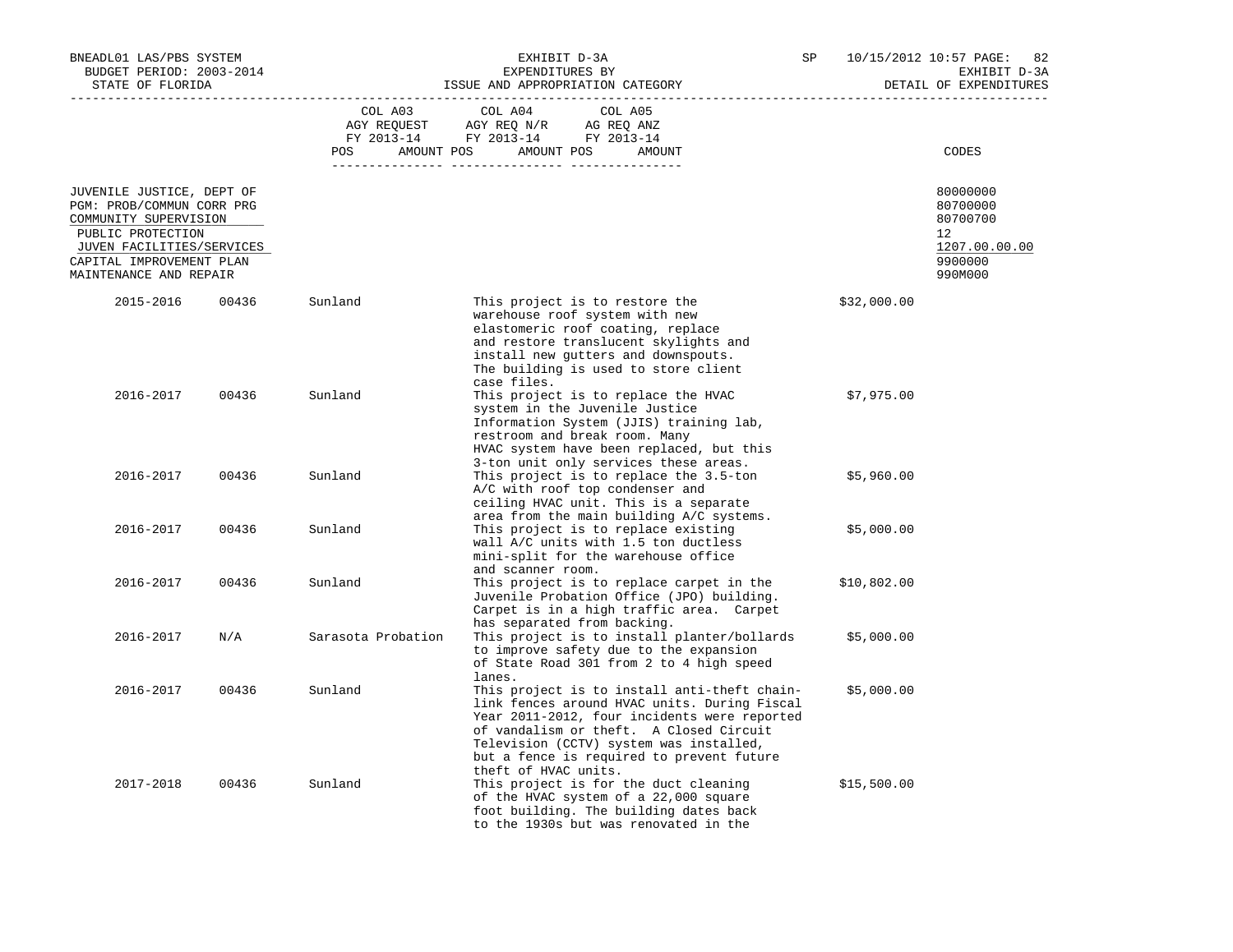| BNEADL01 LAS/PBS SYSTEM<br>BUDGET PERIOD: 2003-2014<br>STATE OF FLORIDA                              |       |                    | EXHIBIT D-3A<br>EXPENDITURES BY<br>ISSUE AND APPROPRIATION CATEGORY                                                                                                                                                                                                                                     | SP          | 10/15/2012 10:57 PAGE:<br>82<br>EXHIBIT D-3A<br>DETAIL OF EXPENDITURES |  |
|------------------------------------------------------------------------------------------------------|-------|--------------------|---------------------------------------------------------------------------------------------------------------------------------------------------------------------------------------------------------------------------------------------------------------------------------------------------------|-------------|------------------------------------------------------------------------|--|
|                                                                                                      |       | COL A03            | COL A04<br>COL A05                                                                                                                                                                                                                                                                                      |             |                                                                        |  |
|                                                                                                      |       | AMOUNT POS<br>POS  | FY 2013-14 FY 2013-14 FY 2013-14<br>AMOUNT POS<br>AMOUNT                                                                                                                                                                                                                                                |             | CODES                                                                  |  |
| JUVENILE JUSTICE, DEPT OF<br>PGM: PROB/COMMUN CORR PRG<br>COMMUNITY SUPERVISION                      |       |                    |                                                                                                                                                                                                                                                                                                         |             | 80000000<br>80700000<br>80700700                                       |  |
| PUBLIC PROTECTION<br>JUVEN FACILITIES/SERVICES<br>CAPITAL IMPROVEMENT PLAN<br>MAINTENANCE AND REPAIR |       |                    |                                                                                                                                                                                                                                                                                                         |             | 12<br>1207.00.00.00<br>9900000<br>990M000                              |  |
| 2015-2016                                                                                            | 00436 | Sunland            | This project is to restore the<br>warehouse roof system with new<br>elastomeric roof coating, replace<br>and restore translucent skylights and<br>install new gutters and downspouts.<br>The building is used to store client<br>case files.                                                            | \$32,000.00 |                                                                        |  |
| 2016-2017                                                                                            | 00436 | Sunland            | This project is to replace the HVAC<br>system in the Juvenile Justice<br>Information System (JJIS) training lab,<br>restroom and break room. Many<br>HVAC system have been replaced, but this<br>3-ton unit only services these areas.                                                                  | \$7,975.00  |                                                                        |  |
| 2016-2017                                                                                            | 00436 | Sunland            | This project is to replace the 3.5-ton<br>A/C with roof top condenser and<br>ceiling HVAC unit. This is a separate<br>area from the main building A/C systems.                                                                                                                                          | \$5,960.00  |                                                                        |  |
| 2016-2017                                                                                            | 00436 | Sunland            | This project is to replace existing<br>wall A/C units with 1.5 ton ductless<br>mini-split for the warehouse office<br>and scanner room.                                                                                                                                                                 | \$5,000.00  |                                                                        |  |
| 2016-2017                                                                                            | 00436 | Sunland            | This project is to replace carpet in the<br>Juvenile Probation Office (JPO) building.<br>Carpet is in a high traffic area. Carpet<br>has separated from backing.                                                                                                                                        | \$10,802.00 |                                                                        |  |
| 2016-2017                                                                                            | N/A   | Sarasota Probation | This project is to install planter/bollards<br>to improve safety due to the expansion<br>of State Road 301 from 2 to 4 high speed<br>lanes.                                                                                                                                                             | \$5,000.00  |                                                                        |  |
| 2016-2017                                                                                            | 00436 | Sunland            | This project is to install anti-theft chain-<br>link fences around HVAC units. During Fiscal<br>Year 2011-2012, four incidents were reported<br>of vandalism or theft. A Closed Circuit<br>Television (CCTV) system was installed,<br>but a fence is required to prevent future<br>theft of HVAC units. | \$5,000.00  |                                                                        |  |
| 2017-2018                                                                                            | 00436 | Sunland            | This project is for the duct cleaning<br>of the HVAC system of a 22,000 square<br>foot building. The building dates back<br>to the 1930s but was renovated in the                                                                                                                                       | \$15,500.00 |                                                                        |  |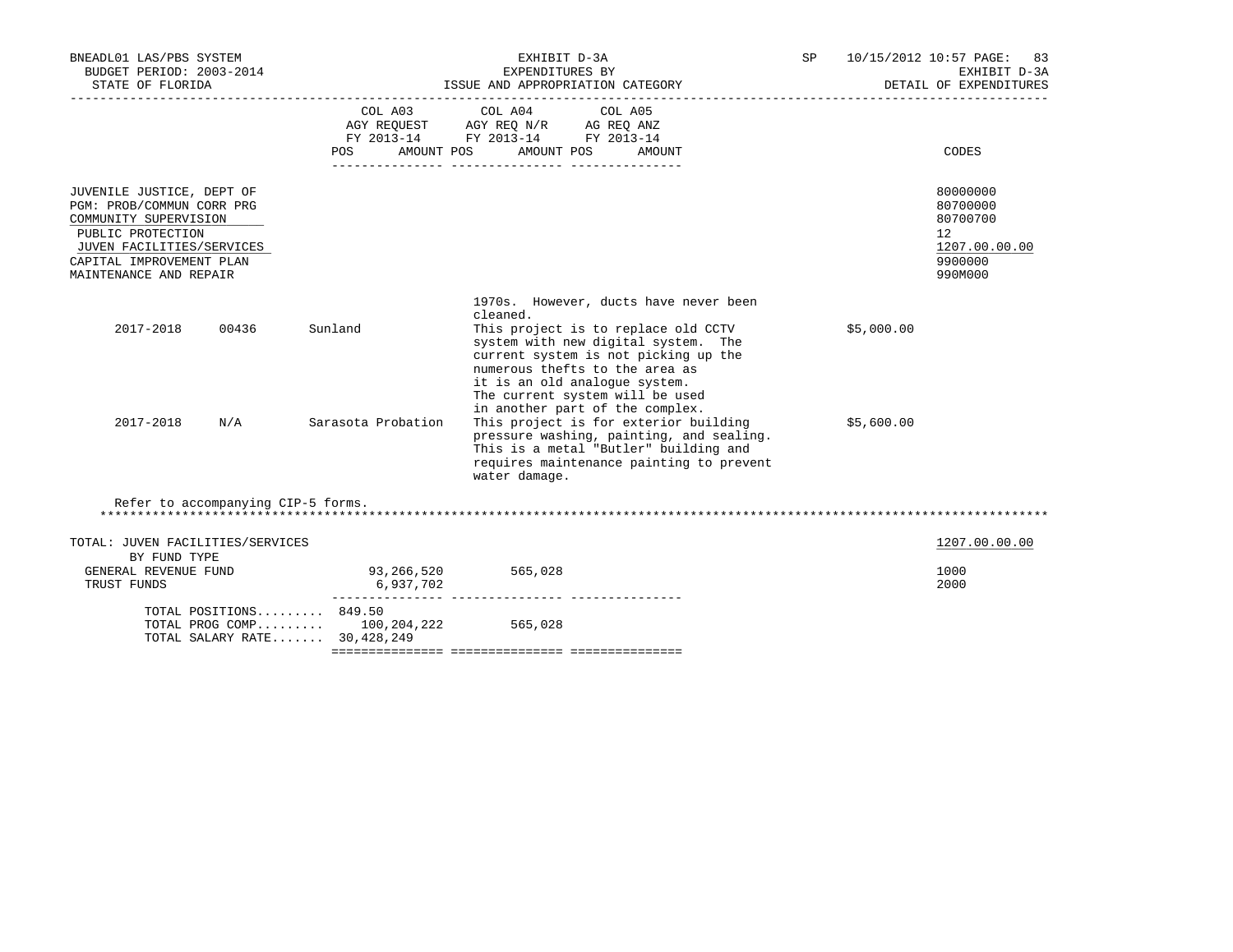| BNEADL01 LAS/PBS SYSTEM<br>BUDGET PERIOD: 2003-2014<br>STATE OF FLORIDA                                                                                                                 |                                    | EXHIBIT D-3A<br>EXPENDITURES BY<br>ISSUE AND APPROPRIATION CATEGORY                                                                                                                                                                                                           | SP <sub>2</sub> |            | 10/15/2012 10:57 PAGE: 83<br>EXHIBIT D-3A<br>DETAIL OF EXPENDITURES           |
|-----------------------------------------------------------------------------------------------------------------------------------------------------------------------------------------|------------------------------------|-------------------------------------------------------------------------------------------------------------------------------------------------------------------------------------------------------------------------------------------------------------------------------|-----------------|------------|-------------------------------------------------------------------------------|
|                                                                                                                                                                                         | AMOUNT POS<br>POS FOR              | COL A03 COL A04 COL A05<br>$\begin{tabular}{lllllll} AGY & \texttt{REQUEST} & \texttt{AGY REQ N/R} & \texttt{AG REQ ANZ} \end{tabular}$<br>FY 2013-14 FY 2013-14 FY 2013-14<br>AMOUNT POS<br>AMOUNT                                                                           |                 |            | CODES                                                                         |
| JUVENILE JUSTICE, DEPT OF<br>PGM: PROB/COMMUN CORR PRG<br>COMMUNITY SUPERVISION<br>PUBLIC PROTECTION<br>JUVEN FACILITIES/SERVICES<br>CAPITAL IMPROVEMENT PLAN<br>MAINTENANCE AND REPAIR |                                    |                                                                                                                                                                                                                                                                               |                 |            | 80000000<br>80700000<br>80700700<br>12<br>1207.00.00.00<br>9900000<br>990M000 |
| 2017-2018<br>00436                                                                                                                                                                      | Sunland                            | 1970s. However, ducts have never been<br>cleaned.<br>This project is to replace old CCTV<br>system with new digital system. The<br>current system is not picking up the<br>numerous thefts to the area as<br>it is an old analogue system.<br>The current system will be used |                 | \$5,000.00 |                                                                               |
| 2017-2018<br>N/A                                                                                                                                                                        | Sarasota Probation                 | in another part of the complex.<br>This project is for exterior building<br>pressure washing, painting, and sealing.<br>This is a metal "Butler" building and<br>requires maintenance painting to prevent<br>water damage.                                                    |                 | \$5,600.00 |                                                                               |
| Refer to accompanying CIP-5 forms.                                                                                                                                                      |                                    |                                                                                                                                                                                                                                                                               |                 |            |                                                                               |
| TOTAL: JUVEN FACILITIES/SERVICES<br>BY FUND TYPE                                                                                                                                        |                                    |                                                                                                                                                                                                                                                                               |                 |            | 1207.00.00.00                                                                 |
| GENERAL REVENUE FUND<br>TRUST FUNDS                                                                                                                                                     | 93, 266, 520 565, 028<br>6,937,702 |                                                                                                                                                                                                                                                                               |                 |            | 1000<br>2000                                                                  |
| TOTAL POSITIONS $849.50$<br>TOTAL PROG COMP 100,204,222<br>TOTAL SALARY RATE 30,428,249                                                                                                 |                                    | 565,028                                                                                                                                                                                                                                                                       |                 |            |                                                                               |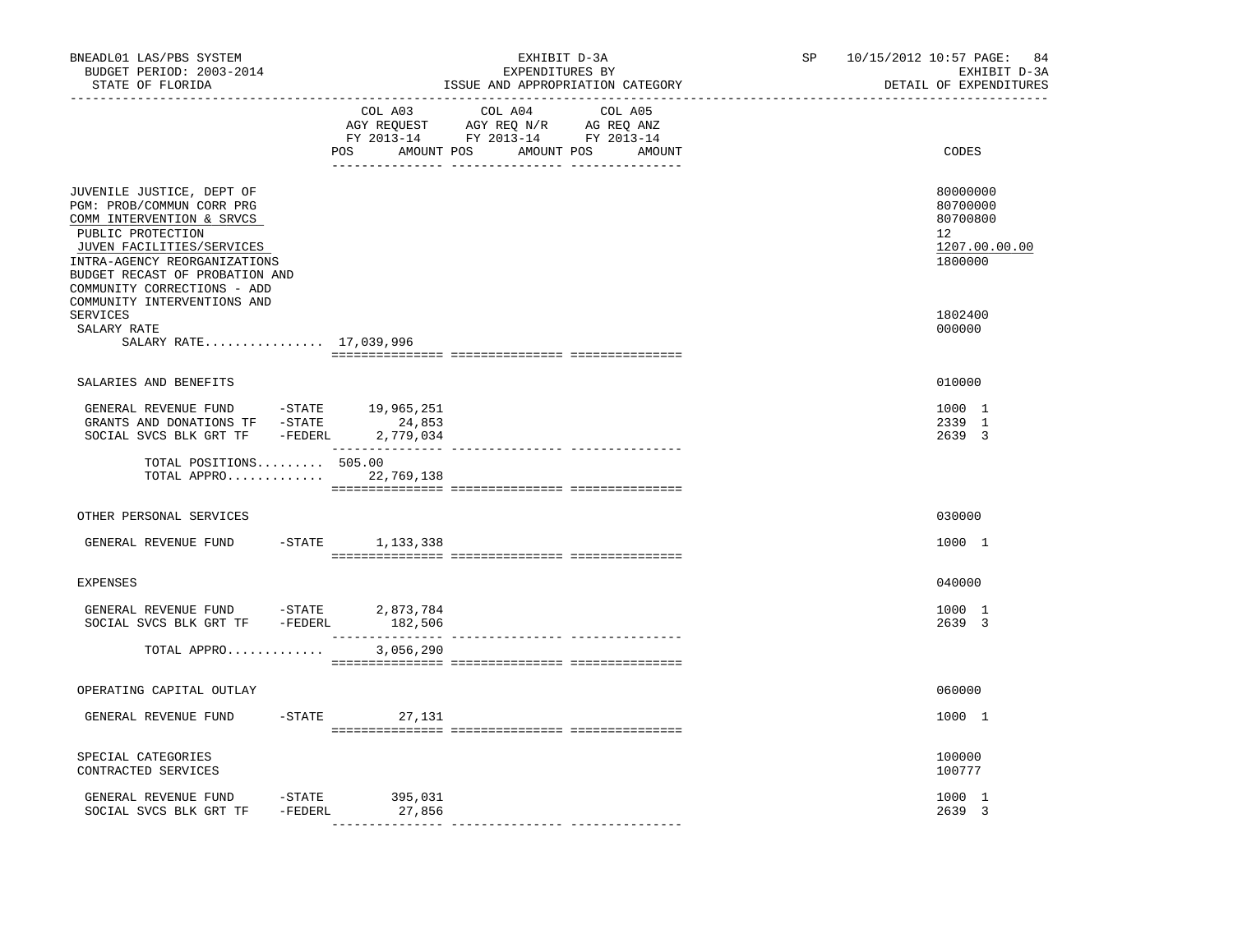| BNEADL01 LAS/PBS SYSTEM<br>BUDGET PERIOD: 2003-2014<br>STATE OF FLORIDA                                                                                                                                                                | EXHIBIT D-3A<br>EXPENDITURES BY<br>ISSUE AND APPROPRIATION CATEGORY                                                                      | 10/15/2012 10:57 PAGE:<br>84<br>SP and the set of the set of the set of the set of the set of the set of the set of the set of the set of the set of the set of the set of the set of the set of the set of the set of the set of the set of the set of the se<br>EXHIBIT D-3A<br>DETAIL OF EXPENDITURES |
|----------------------------------------------------------------------------------------------------------------------------------------------------------------------------------------------------------------------------------------|------------------------------------------------------------------------------------------------------------------------------------------|----------------------------------------------------------------------------------------------------------------------------------------------------------------------------------------------------------------------------------------------------------------------------------------------------------|
|                                                                                                                                                                                                                                        | COL A03 COL A04<br>COL A05<br>AGY REQUEST AGY REQ N/R AG REQ ANZ<br>FY 2013-14 FY 2013-14 FY 2013-14<br>POS AMOUNT POS AMOUNT POS AMOUNT | CODES                                                                                                                                                                                                                                                                                                    |
| JUVENILE JUSTICE, DEPT OF<br>PGM: PROB/COMMUN CORR PRG<br>COMM INTERVENTION & SRVCS<br>PUBLIC PROTECTION<br>JUVEN FACILITIES/SERVICES<br>INTRA-AGENCY REORGANIZATIONS<br>BUDGET RECAST OF PROBATION AND<br>COMMUNITY CORRECTIONS - ADD |                                                                                                                                          | 80000000<br>80700000<br>80700800<br>12<br>1207.00.00.00<br>1800000                                                                                                                                                                                                                                       |
| COMMUNITY INTERVENTIONS AND<br>SERVICES<br>SALARY RATE<br>SALARY RATE 17,039,996                                                                                                                                                       |                                                                                                                                          | 1802400<br>000000                                                                                                                                                                                                                                                                                        |
| SALARIES AND BENEFITS                                                                                                                                                                                                                  |                                                                                                                                          | 010000                                                                                                                                                                                                                                                                                                   |
| GENERAL REVENUE FUND $-$ STATE 19,965,251<br>GRANTS AND DONATIONS TF -STATE<br>SOCIAL SVCS BLK GRT TF - FEDERL 2,779,034                                                                                                               | 24,853                                                                                                                                   | 1000 1<br>2339 1<br>2639 3                                                                                                                                                                                                                                                                               |
| TOTAL POSITIONS 505.00<br>TOTAL APPRO 22,769,138                                                                                                                                                                                       |                                                                                                                                          |                                                                                                                                                                                                                                                                                                          |
| OTHER PERSONAL SERVICES                                                                                                                                                                                                                |                                                                                                                                          | 030000                                                                                                                                                                                                                                                                                                   |
| GENERAL REVENUE FUND                                                                                                                                                                                                                   | -STATE 1,133,338                                                                                                                         | 1000 1                                                                                                                                                                                                                                                                                                   |
| <b>EXPENSES</b>                                                                                                                                                                                                                        |                                                                                                                                          | 040000                                                                                                                                                                                                                                                                                                   |
| GENERAL REVENUE FUND -STATE 2,873,784<br>SOCIAL SVCS BLK GRT TF -FEDERL 182,506                                                                                                                                                        |                                                                                                                                          | 1000 1<br>2639 3                                                                                                                                                                                                                                                                                         |
| TOTAL APPRO                                                                                                                                                                                                                            | 3,056,290                                                                                                                                |                                                                                                                                                                                                                                                                                                          |
| OPERATING CAPITAL OUTLAY                                                                                                                                                                                                               |                                                                                                                                          | 060000                                                                                                                                                                                                                                                                                                   |
| GENERAL REVENUE FUND                                                                                                                                                                                                                   | $-STATE$<br>27,131                                                                                                                       | 1000 1                                                                                                                                                                                                                                                                                                   |
| SPECIAL CATEGORIES<br>CONTRACTED SERVICES                                                                                                                                                                                              |                                                                                                                                          | 100000<br>100777                                                                                                                                                                                                                                                                                         |
| GENERAL REVENUE FUND -STATE<br>SOCIAL SVCS BLK GRT TF -FEDERL                                                                                                                                                                          | 395,031<br>27,856                                                                                                                        | 1000 1<br>2639 3                                                                                                                                                                                                                                                                                         |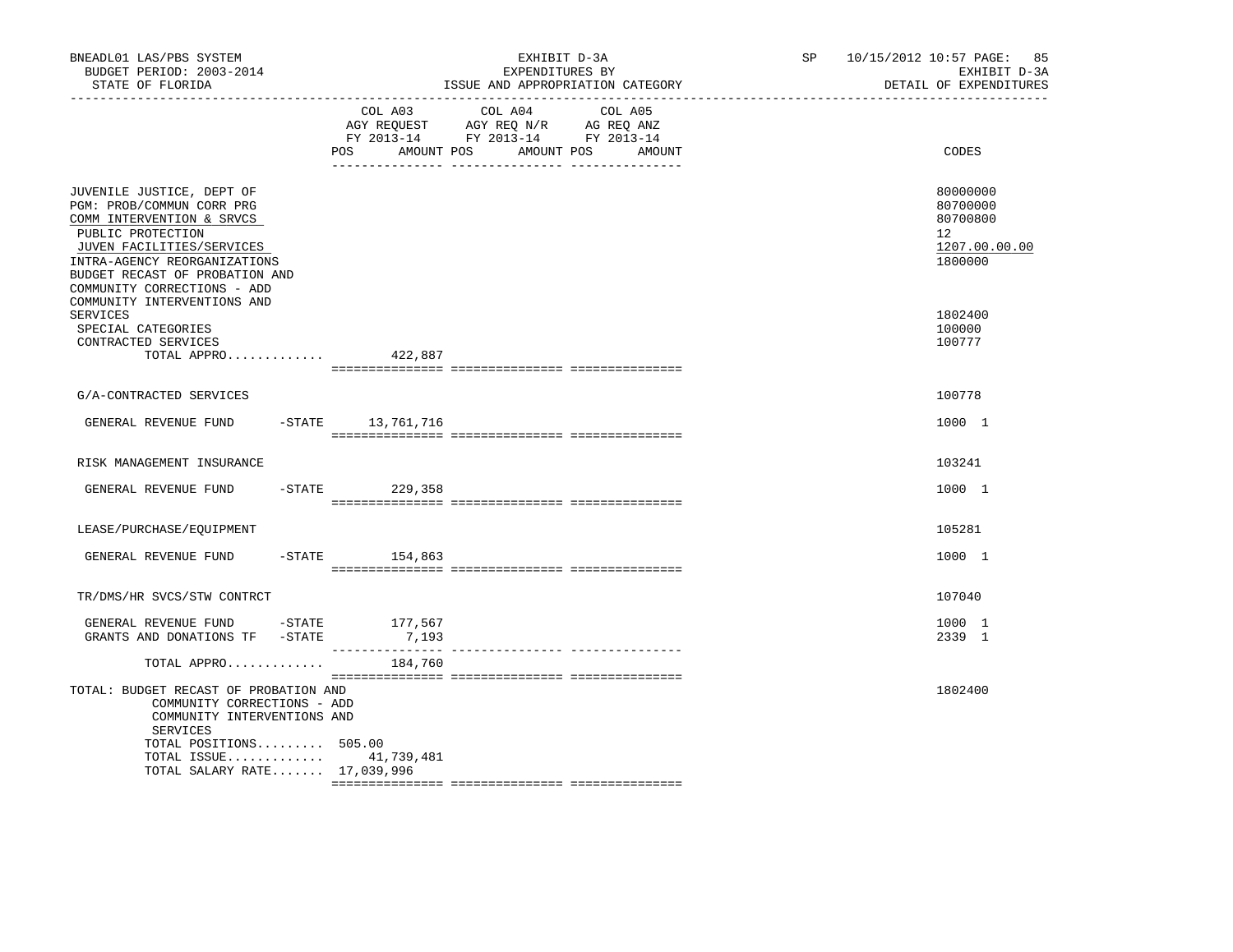| BNEADL01 LAS/PBS SYSTEM<br>BUDGET PERIOD: 2003-2014<br>STATE OF FLORIDA<br>------------------                                                                                                                                          | EXHIBIT D-3A<br>EXPENDITURES BY<br>ISSUE AND APPROPRIATION CATEGORY                                                                        | SP 10/15/2012 10:57 PAGE:<br>85<br>EXHIBIT D-3A<br>DETAIL OF EXPENDITURES       |
|----------------------------------------------------------------------------------------------------------------------------------------------------------------------------------------------------------------------------------------|--------------------------------------------------------------------------------------------------------------------------------------------|---------------------------------------------------------------------------------|
|                                                                                                                                                                                                                                        | COL A03<br>COL A04<br>COL A05<br>AGY REQUEST AGY REQ N/R AG REQ ANZ<br>FY 2013-14 FY 2013-14 FY 2013-14<br>AMOUNT POS<br>AMOUNT POS<br>POS | CODES<br>AMOUNT                                                                 |
| JUVENILE JUSTICE, DEPT OF<br>PGM: PROB/COMMUN CORR PRG<br>COMM INTERVENTION & SRVCS<br>PUBLIC PROTECTION<br>JUVEN FACILITIES/SERVICES<br>INTRA-AGENCY REORGANIZATIONS<br>BUDGET RECAST OF PROBATION AND<br>COMMUNITY CORRECTIONS - ADD |                                                                                                                                            | 80000000<br>80700000<br>80700800<br>12 <sup>°</sup><br>1207.00.00.00<br>1800000 |
| COMMUNITY INTERVENTIONS AND<br><b>SERVICES</b><br>SPECIAL CATEGORIES<br>CONTRACTED SERVICES<br>TOTAL APPRO                                                                                                                             | 422,887                                                                                                                                    | 1802400<br>100000<br>100777                                                     |
|                                                                                                                                                                                                                                        |                                                                                                                                            |                                                                                 |
| G/A-CONTRACTED SERVICES                                                                                                                                                                                                                |                                                                                                                                            | 100778                                                                          |
| GENERAL REVENUE FUND -STATE 13,761,716                                                                                                                                                                                                 |                                                                                                                                            | 1000 1                                                                          |
| RISK MANAGEMENT INSURANCE                                                                                                                                                                                                              |                                                                                                                                            | 103241                                                                          |
| GENERAL REVENUE FUND                                                                                                                                                                                                                   | $-$ STATE 229, 358                                                                                                                         | 1000 1                                                                          |
| LEASE/PURCHASE/EQUIPMENT                                                                                                                                                                                                               |                                                                                                                                            | 105281                                                                          |
| GENERAL REVENUE FUND                                                                                                                                                                                                                   | $-$ STATE 154,863                                                                                                                          | 1000 1                                                                          |
| TR/DMS/HR SVCS/STW CONTRCT                                                                                                                                                                                                             |                                                                                                                                            | 107040                                                                          |
| GENERAL REVENUE FUND -STATE 177,567<br>GRANTS AND DONATIONS TF -STATE                                                                                                                                                                  | 7,193                                                                                                                                      | 1000 1<br>2339 1                                                                |
| TOTAL APPRO                                                                                                                                                                                                                            | 184,760                                                                                                                                    |                                                                                 |
| TOTAL: BUDGET RECAST OF PROBATION AND<br>COMMUNITY CORRECTIONS - ADD<br>COMMUNITY INTERVENTIONS AND<br>SERVICES                                                                                                                        |                                                                                                                                            | 1802400                                                                         |
| TOTAL POSITIONS 505.00<br>TOTAL ISSUE 41,739,481<br>TOTAL SALARY RATE 17,039,996                                                                                                                                                       |                                                                                                                                            |                                                                                 |
|                                                                                                                                                                                                                                        |                                                                                                                                            |                                                                                 |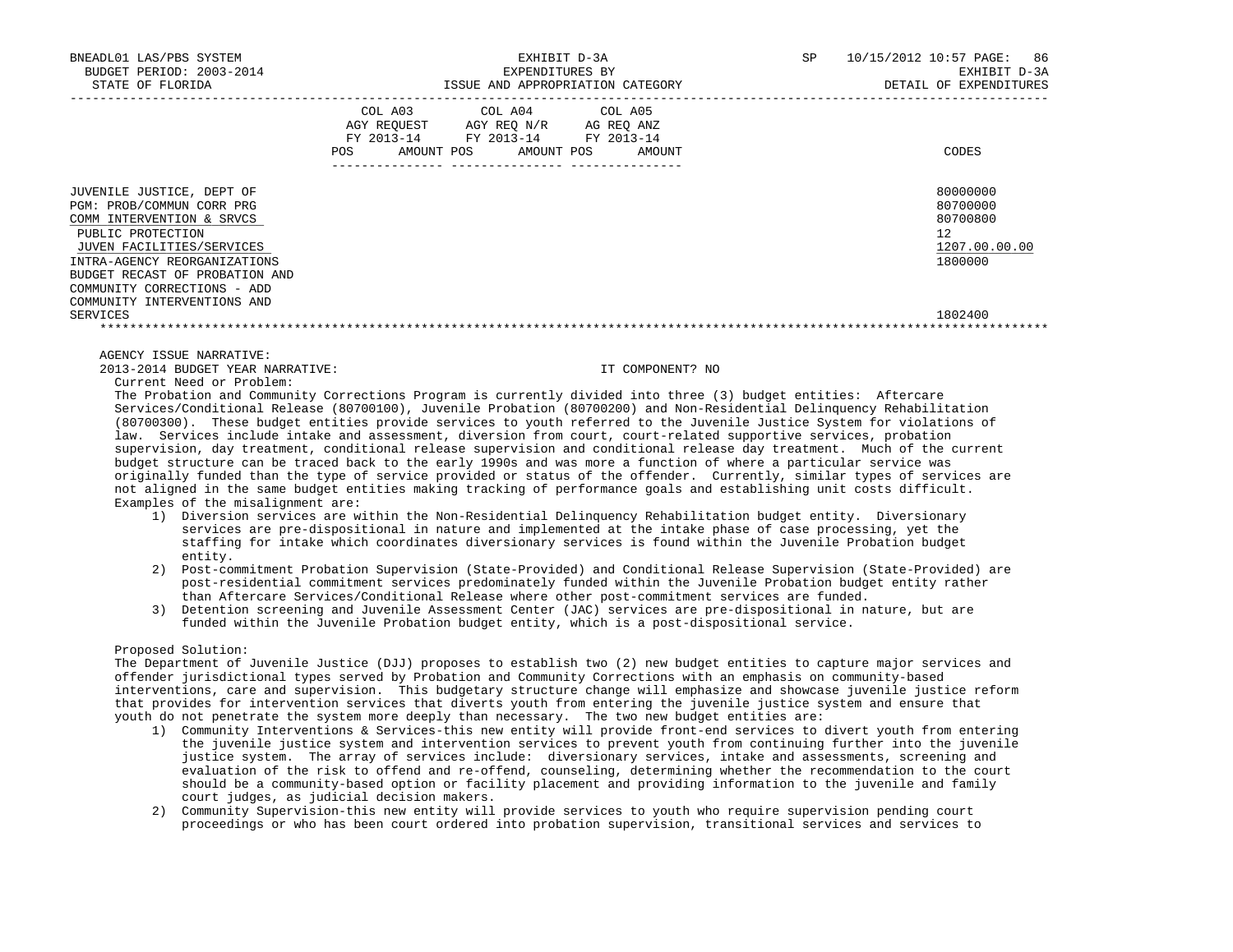| BNEADL01 LAS/PBS SYSTEM<br>BUDGET PERIOD: 2003-2014<br>STATE OF FLORIDA                                                                                                                                                                                               | EXHIBIT D-3A<br>EXPENDITURES BY<br>ISSUE AND APPROPRIATION CATEGORY                                                                         | 10/15/2012 10:57 PAGE: 86<br>SP<br>EXHIBIT D-3A<br>DETAIL OF EXPENDITURES |
|-----------------------------------------------------------------------------------------------------------------------------------------------------------------------------------------------------------------------------------------------------------------------|---------------------------------------------------------------------------------------------------------------------------------------------|---------------------------------------------------------------------------|
|                                                                                                                                                                                                                                                                       | COL A03 COL A04 COL A05<br>AGY REQUEST AGY REQ N/R AG REQ ANZ<br>FY 2013-14 FY 2013-14 FY 2013-14<br>AMOUNT POS AMOUNT POS<br>POS<br>AMOUNT | CODES                                                                     |
| JUVENILE JUSTICE, DEPT OF<br>PGM: PROB/COMMUN CORR PRG<br>COMM INTERVENTION & SRVCS<br>PUBLIC PROTECTION<br>JUVEN FACILITIES/SERVICES<br>INTRA-AGENCY REORGANIZATIONS<br>BUDGET RECAST OF PROBATION AND<br>COMMUNITY CORRECTIONS - ADD<br>COMMUNITY INTERVENTIONS AND |                                                                                                                                             | 80000000<br>80700000<br>80700800<br>12<br>1207.00.00.00<br>1800000        |
| SERVICES                                                                                                                                                                                                                                                              |                                                                                                                                             | 1802400                                                                   |
|                                                                                                                                                                                                                                                                       |                                                                                                                                             |                                                                           |

 2013-2014 BUDGET YEAR NARRATIVE: IT COMPONENT? NO Current Need or Problem:

 The Probation and Community Corrections Program is currently divided into three (3) budget entities: Aftercare Services/Conditional Release (80700100), Juvenile Probation (80700200) and Non-Residential Delinquency Rehabilitation (80700300). These budget entities provide services to youth referred to the Juvenile Justice System for violations of law. Services include intake and assessment, diversion from court, court-related supportive services, probation supervision, day treatment, conditional release supervision and conditional release day treatment. Much of the current budget structure can be traced back to the early 1990s and was more a function of where a particular service was originally funded than the type of service provided or status of the offender. Currently, similar types of services are not aligned in the same budget entities making tracking of performance goals and establishing unit costs difficult. Examples of the misalignment are:

- 1) Diversion services are within the Non-Residential Delinquency Rehabilitation budget entity. Diversionary services are pre-dispositional in nature and implemented at the intake phase of case processing, yet the staffing for intake which coordinates diversionary services is found within the Juvenile Probation budget entity.
- 2) Post-commitment Probation Supervision (State-Provided) and Conditional Release Supervision (State-Provided) are post-residential commitment services predominately funded within the Juvenile Probation budget entity rather than Aftercare Services/Conditional Release where other post-commitment services are funded.
- 3) Detention screening and Juvenile Assessment Center (JAC) services are pre-dispositional in nature, but are funded within the Juvenile Probation budget entity, which is a post-dispositional service.

## Proposed Solution:

 The Department of Juvenile Justice (DJJ) proposes to establish two (2) new budget entities to capture major services and offender jurisdictional types served by Probation and Community Corrections with an emphasis on community-based interventions, care and supervision. This budgetary structure change will emphasize and showcase juvenile justice reform that provides for intervention services that diverts youth from entering the juvenile justice system and ensure that youth do not penetrate the system more deeply than necessary. The two new budget entities are:

- 1) Community Interventions & Services-this new entity will provide front-end services to divert youth from entering the juvenile justice system and intervention services to prevent youth from continuing further into the juvenile justice system. The array of services include: diversionary services, intake and assessments, screening and evaluation of the risk to offend and re-offend, counseling, determining whether the recommendation to the court should be a community-based option or facility placement and providing information to the juvenile and family court judges, as judicial decision makers.
- 2) Community Supervision-this new entity will provide services to youth who require supervision pending court proceedings or who has been court ordered into probation supervision, transitional services and services to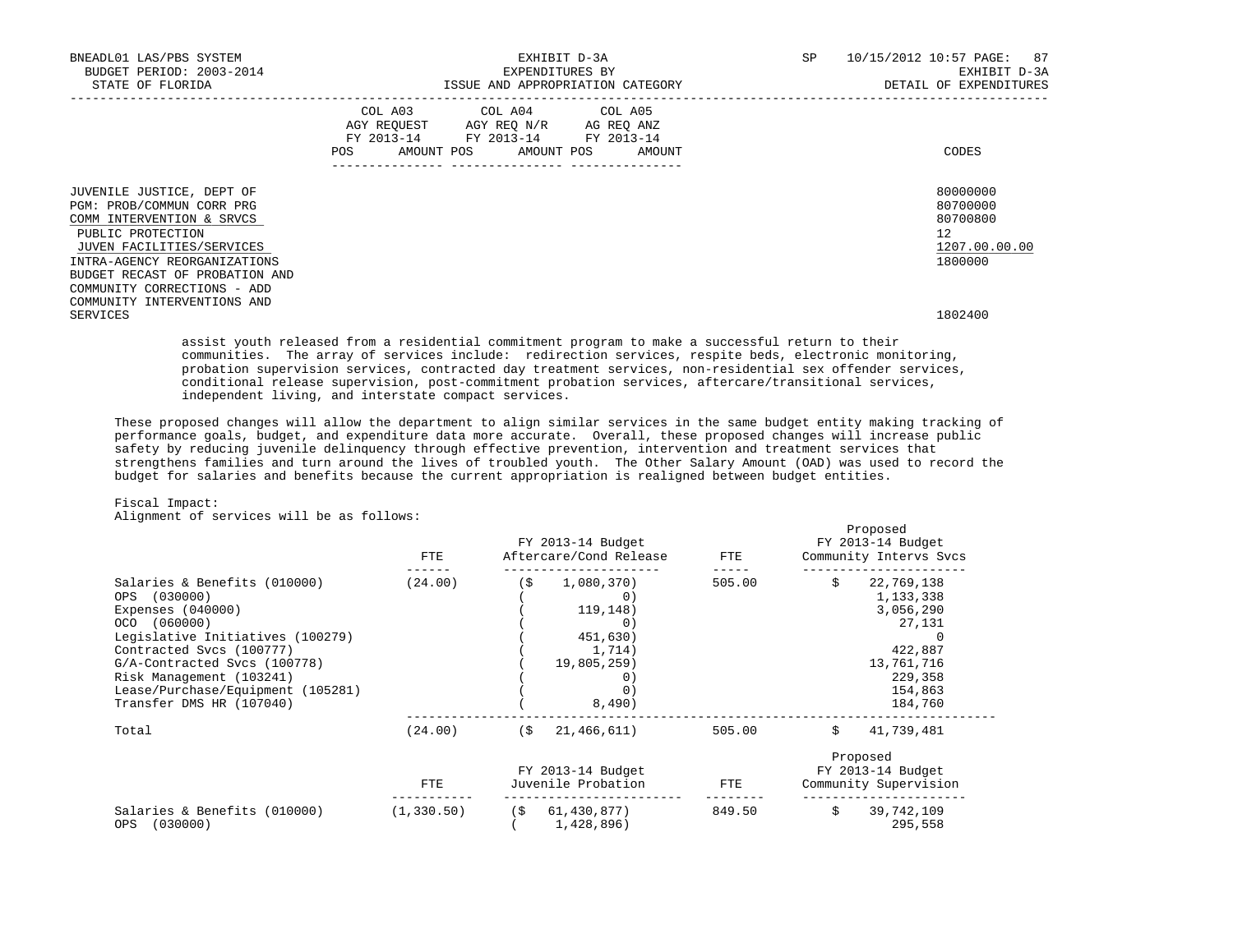| BNEADL01 LAS/PBS SYSTEM<br>BUDGET PERIOD: 2003-2014<br>STATE OF FLORIDA                          |                                                                                                                                       | EXHIBIT D-3A<br>EXPENDITURES BY | ISSUE AND APPROPRIATION CATEGORY | SP | 10/15/2012 10:57 PAGE: 87<br>EXHIBIT D-3A<br>DETAIL OF EXPENDITURES |
|--------------------------------------------------------------------------------------------------|---------------------------------------------------------------------------------------------------------------------------------------|---------------------------------|----------------------------------|----|---------------------------------------------------------------------|
|                                                                                                  | COL A03 COL A04 COL A05<br>AGY REQUEST AGY REQ N/R AG REQ ANZ<br>FY 2013-14 FY 2013-14 FY 2013-14<br>POS AMOUNT POS AMOUNT POS AMOUNT |                                 |                                  |    | CODES                                                               |
| JUVENILE JUSTICE, DEPT OF<br>PGM: PROB/COMMUN CORR PRG                                           |                                                                                                                                       |                                 |                                  |    | 80000000<br>80700000                                                |
| COMM INTERVENTION & SRVCS                                                                        |                                                                                                                                       |                                 |                                  |    | 80700800                                                            |
| PUBLIC PROTECTION                                                                                |                                                                                                                                       |                                 |                                  |    | 12                                                                  |
| JUVEN FACILITIES/SERVICES                                                                        |                                                                                                                                       |                                 |                                  |    | 1207.00.00.00                                                       |
| INTRA-AGENCY REORGANIZATIONS                                                                     |                                                                                                                                       |                                 |                                  |    | 1800000                                                             |
| BUDGET RECAST OF PROBATION AND                                                                   |                                                                                                                                       |                                 |                                  |    |                                                                     |
| COMMUNITY CORRECTIONS - ADD                                                                      |                                                                                                                                       |                                 |                                  |    |                                                                     |
| COMMUNITY INTERVENTIONS AND<br>SERVICES                                                          |                                                                                                                                       |                                 |                                  |    | 1802400                                                             |
| assist youth released from a residential commitment program to make a successful return to their |                                                                                                                                       |                                 |                                  |    |                                                                     |

 communities. The array of services include: redirection services, respite beds, electronic monitoring, probation supervision services, contracted day treatment services, non-residential sex offender services, conditional release supervision, post-commitment probation services, aftercare/transitional services, independent living, and interstate compact services.

 These proposed changes will allow the department to align similar services in the same budget entity making tracking of performance goals, budget, and expenditure data more accurate. Overall, these proposed changes will increase public safety by reducing juvenile delinquency through effective prevention, intervention and treatment services that strengthens families and turn around the lives of troubled youth. The Other Salary Amount (OAD) was used to record the budget for salaries and benefits because the current appropriation is realigned between budget entities.

## Fiscal Impact:

Alignment of services will be as follows:

|                                                                                                                                                                                                                                                                                  | FTE         | FY 2013-14 Budget<br>Aftercare/Cond Release                                                    | FTE    | Proposed<br>FY 2013-14 Budget<br>Community Intervs Svcs                                                               |
|----------------------------------------------------------------------------------------------------------------------------------------------------------------------------------------------------------------------------------------------------------------------------------|-------------|------------------------------------------------------------------------------------------------|--------|-----------------------------------------------------------------------------------------------------------------------|
| Salaries & Benefits (010000)<br>OPS (030000)<br>Expenses $(040000)$<br>OCO (060000)<br>Legislative Initiatives (100279)<br>Contracted Svcs (100777)<br>G/A-Contracted Svcs (100778)<br>Risk Management (103241)<br>Lease/Purchase/Equipment (105281)<br>Transfer DMS HR (107040) | (24.00)     | 1,080,370)<br>(\$<br>0)<br>119,148)<br>0)<br>451,630)<br>1,714)<br>19,805,259)<br>0)<br>8,490) | 505.00 | Ŝ.<br>22,769,138<br>1, 133, 338<br>3,056,290<br>27,131<br>0<br>422,887<br>13,761,716<br>229,358<br>154,863<br>184,760 |
| Total                                                                                                                                                                                                                                                                            | (24.00)     | (S)<br>21,466,611)                                                                             | 505.00 | Ŝ.<br>41,739,481                                                                                                      |
|                                                                                                                                                                                                                                                                                  | FTE         | FY 2013-14 Budget<br>Juvenile Probation                                                        | FTE    | Proposed<br>FY 2013-14 Budget<br>Community Supervision                                                                |
| Salaries & Benefits (010000)<br>OPS (030000)                                                                                                                                                                                                                                     | (1, 330.50) | (S<br>61,430,877)<br>1,428,896)                                                                | 849.50 | 39,742,109<br>Ŝ.<br>295,558                                                                                           |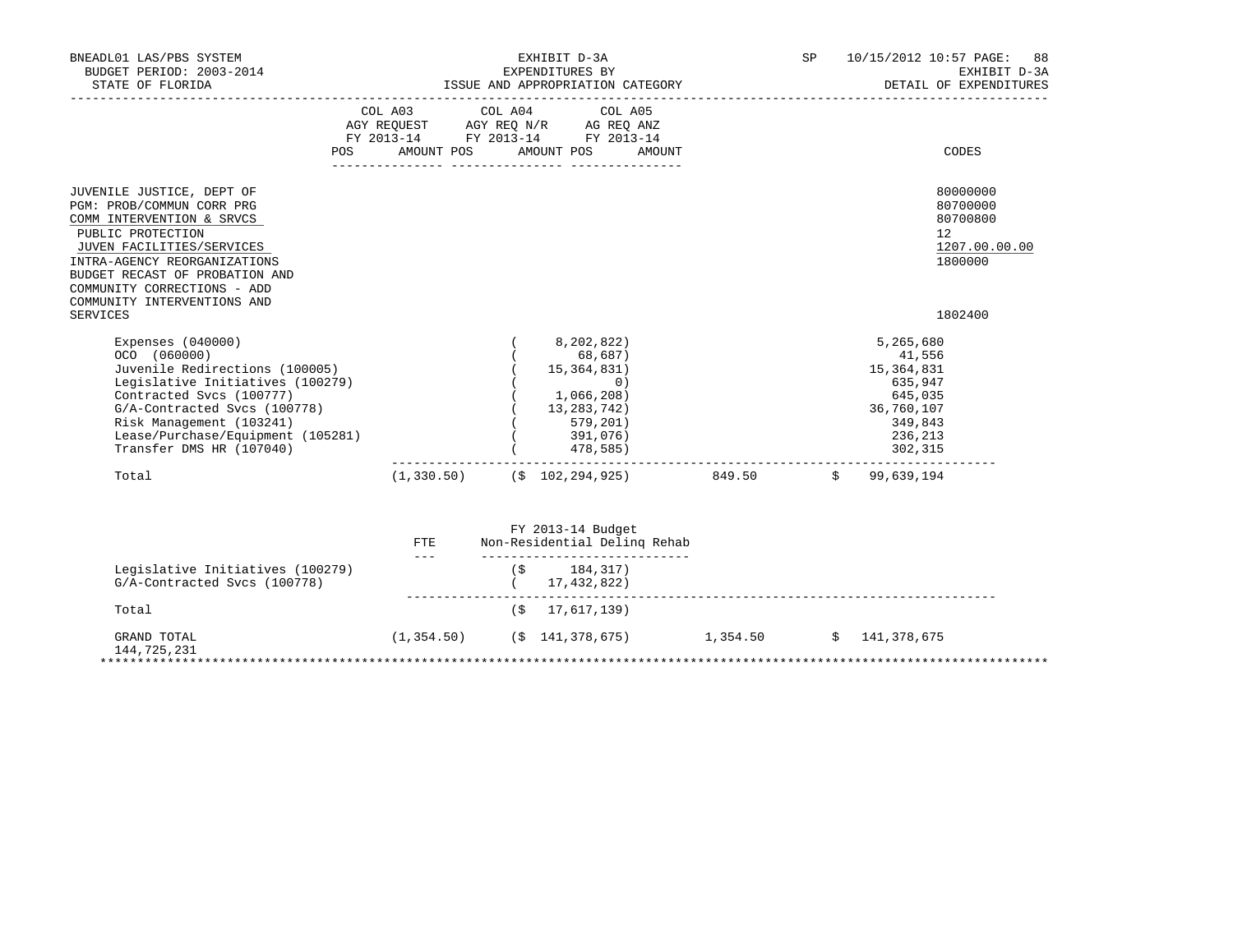| BNEADL01 LAS/PBS SYSTEM<br>BUDGET PERIOD: 2003-2014<br>STATE OF FLORIDA                                                                                                                                                                                                           | ___________________________________ |         | EXHIBIT D-3A<br>EXPENDITURES BY<br>DETAIL OF EXPE<br>ISSUE AND APPROPRIATION CATEGORY<br>$\begin{minipage}{0.99\textwidth} \begin{tabular}{@{}l@{}} \textbf{DETAIL OF EXPE} \end{tabular} \end{minipage}$ | SP | 10/15/2012 10:57 PAGE:<br>88<br>EXHIBIT D-3A<br>DETAIL OF EXPENDITURES                                                                 |
|-----------------------------------------------------------------------------------------------------------------------------------------------------------------------------------------------------------------------------------------------------------------------------------|-------------------------------------|---------|-----------------------------------------------------------------------------------------------------------------------------------------------------------------------------------------------------------|----|----------------------------------------------------------------------------------------------------------------------------------------|
| POS                                                                                                                                                                                                                                                                               | COL A03                             | COL A04 | COL A05<br>AGY REQUEST AGY REQ N/R AG REQ ANZ<br>FY 2013-14 FY 2013-14 FY 2013-14<br>AMOUNT POS AMOUNT POS<br>AMOUNT                                                                                      |    | CODES                                                                                                                                  |
| JUVENILE JUSTICE, DEPT OF<br>PGM: PROB/COMMUN CORR PRG<br>COMM INTERVENTION & SRVCS<br>PUBLIC PROTECTION<br>JUVEN FACILITIES/SERVICES<br>INTRA-AGENCY REORGANIZATIONS<br>BUDGET RECAST OF PROBATION AND<br>COMMUNITY CORRECTIONS - ADD<br>COMMUNITY INTERVENTIONS AND<br>SERVICES |                                     |         |                                                                                                                                                                                                           |    | 80000000<br>80700000<br>80700800<br>12<br>1207.00.00.00<br>1800000<br>1802400                                                          |
| Expenses $(040000)$<br>OCO (060000)<br>Juvenile Redirections (100005)<br>Legislative Initiatives (100279)<br>Contracted Svcs (100777)<br>G/A-Contracted Svcs (100778)<br>Risk Management (103241)<br>Lease/Purchase/Equipment (105281)<br>Transfer DMS HR (107040)                |                                     |         | 8,202,822)<br>68,687)<br>15,364,831)<br>0)<br>1,066,208)<br>13, 283, 742)<br>579,201)<br>391,076)<br>478,585)                                                                                             |    | 5,265,680<br>41,556<br>15, 364, 831<br>635,947<br>645,035<br>36,760,107<br>349,843<br>236,213<br>302,315<br>__________________________ |
| Total                                                                                                                                                                                                                                                                             |                                     |         | $(1,330.50)$ $($ \$ 102,294,925) 849.50 $($ \$ 99,639,194<br>FY 2013-14 Budget                                                                                                                            |    |                                                                                                                                        |
|                                                                                                                                                                                                                                                                                   | FTE.<br><b>Service</b> Company      |         | Non-Residential Deling Rehab<br>-----------------------------                                                                                                                                             |    |                                                                                                                                        |
| Legislative Initiatives (100279)<br>G/A-Contracted Svcs (100778)                                                                                                                                                                                                                  |                                     |         | $($ \$ 184,317)<br>(17, 432, 822)                                                                                                                                                                         |    |                                                                                                                                        |
| Total                                                                                                                                                                                                                                                                             |                                     | (\$     | 17,617,139)                                                                                                                                                                                               |    |                                                                                                                                        |
| GRAND TOTAL<br>144,725,231                                                                                                                                                                                                                                                        |                                     |         | $(1,354.50)$ $($ \$ 141,378,675 } 1,354.50 \$ 141,378,675                                                                                                                                                 |    |                                                                                                                                        |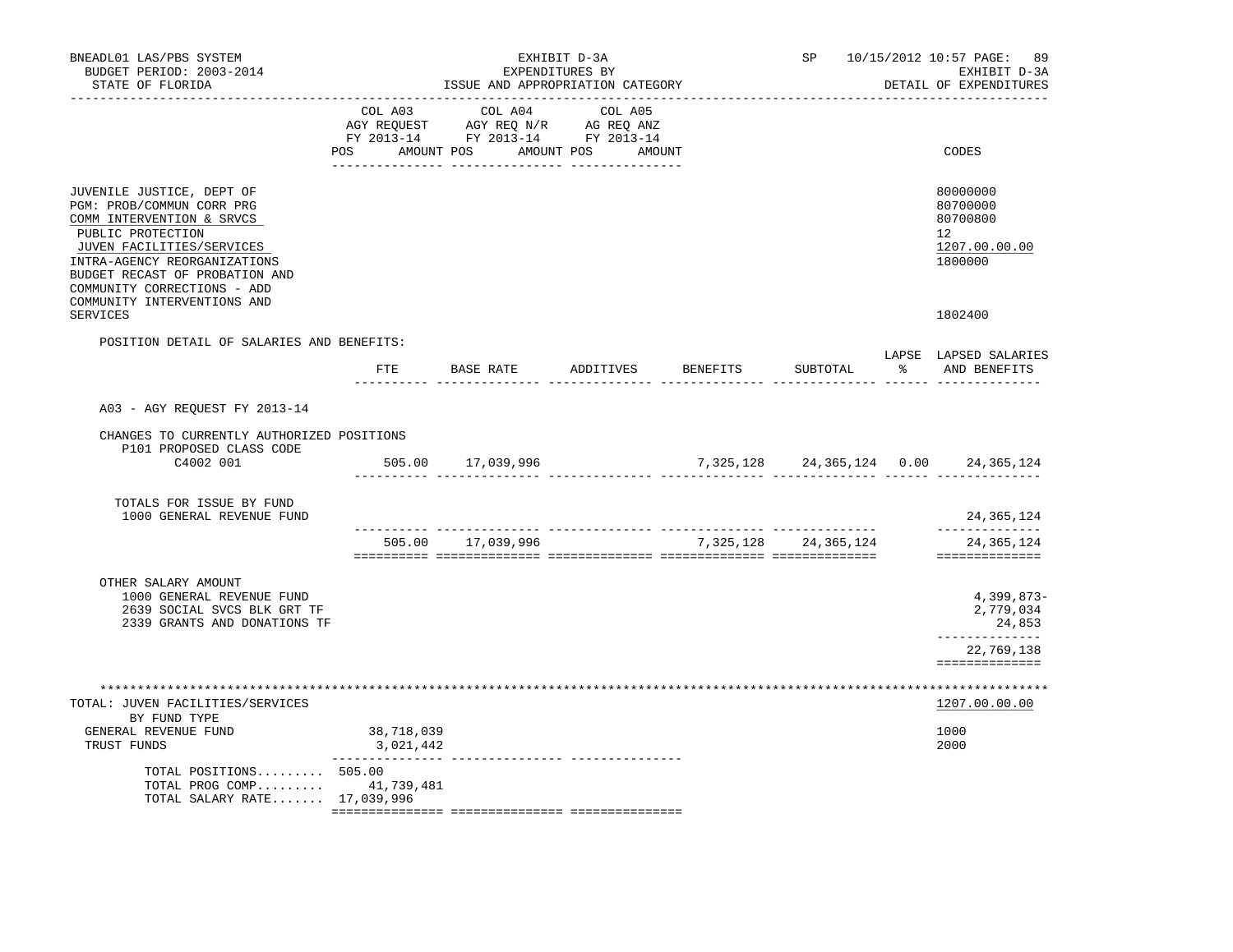| BNEADL01 LAS/PBS SYSTEM<br>BUDGET PERIOD: 2003-2014<br>STATE OF FLORIDA                                                                                                                                                                                               |                         | ISSUE AND APPROPRIATION CATEGORY                                                                                                                                                                                                                    | EXHIBIT D-3A<br>EXPENDITURES BY |          | SP 10/15/2012 10:57 PAGE: 89<br>EXHIBIT D-3A<br>DETAIL OF EXPENDITURES          |
|-----------------------------------------------------------------------------------------------------------------------------------------------------------------------------------------------------------------------------------------------------------------------|-------------------------|-----------------------------------------------------------------------------------------------------------------------------------------------------------------------------------------------------------------------------------------------------|---------------------------------|----------|---------------------------------------------------------------------------------|
|                                                                                                                                                                                                                                                                       | COL A03                 | COL A04<br>$\begin{tabular}{lllllllll} \bf AGY & \bf REQUEST & \bf AGY & \bf REQ & \bf N/R & \bf AG & \bf REQ & \bf ANZ \\ \bf FY & \tt 2013-14 & \bf FY & \tt 2013-14 & \bf FY & \tt 2013-14 \\ \end{tabular}$<br>POS AMOUNT POS AMOUNT POS AMOUNT | COL A05                         |          | CODES                                                                           |
| JUVENILE JUSTICE, DEPT OF<br>PGM: PROB/COMMUN CORR PRG<br>COMM INTERVENTION & SRVCS<br>PUBLIC PROTECTION<br>JUVEN FACILITIES/SERVICES<br>INTRA-AGENCY REORGANIZATIONS<br>BUDGET RECAST OF PROBATION AND<br>COMMUNITY CORRECTIONS - ADD<br>COMMUNITY INTERVENTIONS AND |                         |                                                                                                                                                                                                                                                     |                                 |          | 80000000<br>80700000<br>80700800<br>12 <sup>°</sup><br>1207.00.00.00<br>1800000 |
| SERVICES                                                                                                                                                                                                                                                              |                         |                                                                                                                                                                                                                                                     |                                 |          | 1802400                                                                         |
| POSITION DETAIL OF SALARIES AND BENEFITS:                                                                                                                                                                                                                             |                         | FTE BASE RATE<br>.                                                                                                                                                                                                                                  | ADDITIVES BENEFITS              | SUBTOTAL | LAPSE LAPSED SALARIES<br>% AND BENEFITS                                         |
| A03 - AGY REQUEST FY 2013-14                                                                                                                                                                                                                                          |                         |                                                                                                                                                                                                                                                     |                                 |          |                                                                                 |
| CHANGES TO CURRENTLY AUTHORIZED POSITIONS<br>P101 PROPOSED CLASS CODE                                                                                                                                                                                                 |                         |                                                                                                                                                                                                                                                     |                                 |          |                                                                                 |
| C4002 001                                                                                                                                                                                                                                                             |                         | 505.00 17,039,996                                                                                                                                                                                                                                   |                                 |          | 7,325,128 24,365,124 0.00 24,365,124                                            |
| TOTALS FOR ISSUE BY FUND<br>1000 GENERAL REVENUE FUND                                                                                                                                                                                                                 |                         | ________ _______________                                                                                                                                                                                                                            |                                 |          | 24, 365, 124<br>______________                                                  |
|                                                                                                                                                                                                                                                                       |                         | 505.00 17,039,996                                                                                                                                                                                                                                   | 7, 325, 128 24, 365, 124        |          | 24,365,124<br>==============                                                    |
| OTHER SALARY AMOUNT<br>1000 GENERAL REVENUE FUND<br>2639 SOCIAL SVCS BLK GRT TF<br>2339 GRANTS AND DONATIONS TF                                                                                                                                                       |                         |                                                                                                                                                                                                                                                     |                                 |          | $4,399,873-$<br>2,779,034<br>24,853<br>______________                           |
|                                                                                                                                                                                                                                                                       |                         |                                                                                                                                                                                                                                                     |                                 |          | 22,769,138<br>==============                                                    |
| TOTAL: JUVEN FACILITIES/SERVICES                                                                                                                                                                                                                                      |                         |                                                                                                                                                                                                                                                     |                                 |          | ****************************<br>1207.00.00.00                                   |
| BY FUND TYPE<br>GENERAL REVENUE FUND<br>TRUST FUNDS                                                                                                                                                                                                                   | 38,718,039<br>3,021,442 |                                                                                                                                                                                                                                                     |                                 |          | 1000<br>2000                                                                    |
| TOTAL POSITIONS 505.00<br>TOTAL PROG COMP 41,739,481<br>TOTAL SALARY RATE 17,039,996                                                                                                                                                                                  | _______________         |                                                                                                                                                                                                                                                     |                                 |          |                                                                                 |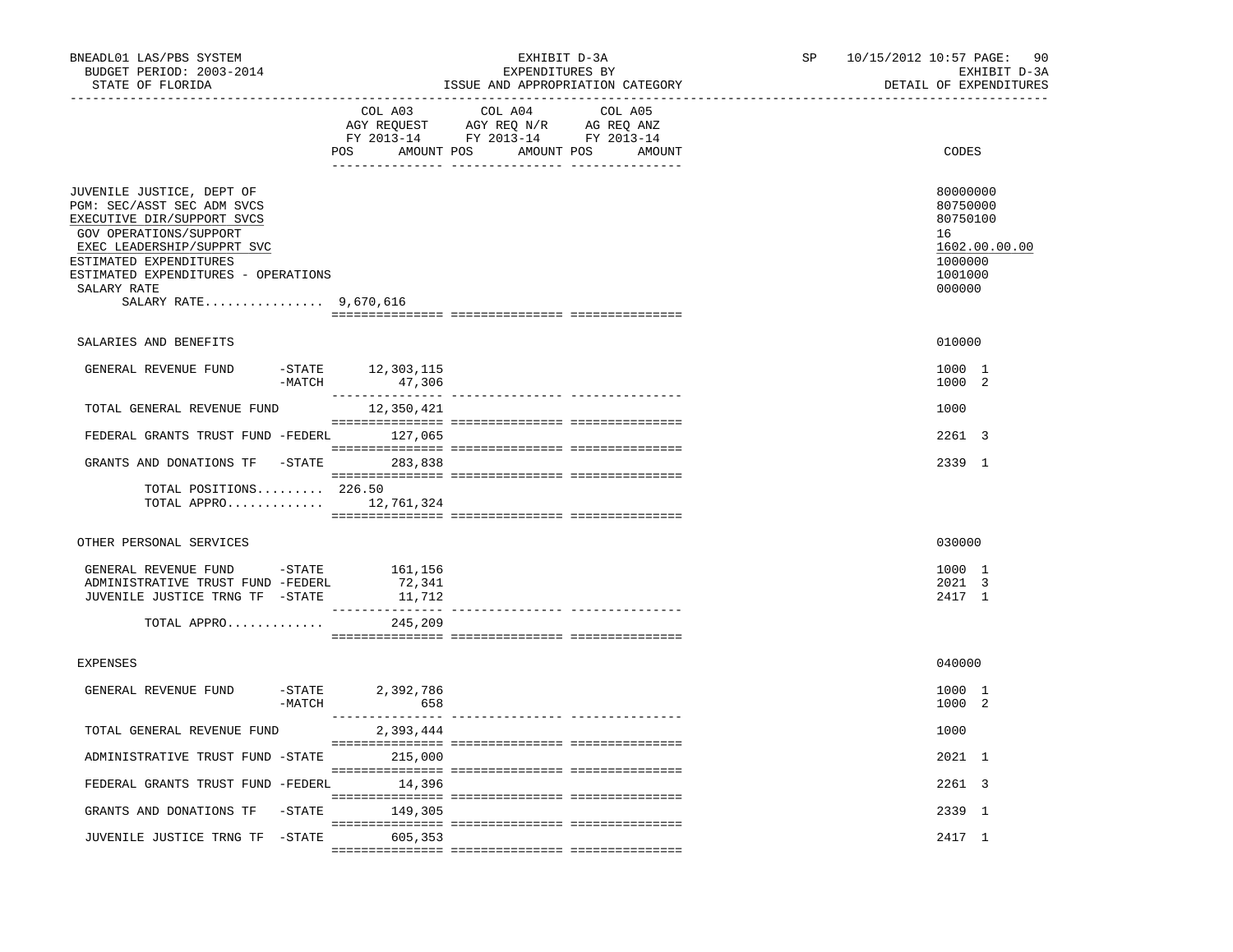| BNEADL01 LAS/PBS SYSTEM<br>BUDGET PERIOD: 2003-2014<br>STATE OF FLORIDA<br>---------------                                                                                                                                                             | _________________________________       | EXHIBIT D-3A<br>EXPENDITURES BY<br>ISSUE AND APPROPRIATION CATEGORY                                                                                                                                                                                                          | SP | 10/15/2012 10:57 PAGE: 90<br>EXHIBIT D-3A<br>DETAIL OF EXPENDITURES                     |
|--------------------------------------------------------------------------------------------------------------------------------------------------------------------------------------------------------------------------------------------------------|-----------------------------------------|------------------------------------------------------------------------------------------------------------------------------------------------------------------------------------------------------------------------------------------------------------------------------|----|-----------------------------------------------------------------------------------------|
|                                                                                                                                                                                                                                                        | COL A03                                 | COL A04<br>COL A05<br>$\begin{tabular}{lllllllll} \bf{AGY} & \bf{REQUEST} & \bf{AGY} & \bf{REQ} & \bf{N/R} & \bf{AG} & \bf{REQ} & \bf{ANZ} \\ \bf{FY} & \bf{2013-14} & \bf{FY} & \bf{2013-14} & \bf{FY} & \bf{2013-14} \\ \end{tabular}$<br>POS AMOUNT POS AMOUNT POS AMOUNT |    | CODES                                                                                   |
| JUVENILE JUSTICE, DEPT OF<br>PGM: SEC/ASST SEC ADM SVCS<br>EXECUTIVE DIR/SUPPORT SVCS<br>GOV OPERATIONS/SUPPORT<br>EXEC LEADERSHIP/SUPPRT SVC<br>ESTIMATED EXPENDITURES<br>ESTIMATED EXPENDITURES - OPERATIONS<br>SALARY RATE<br>SALARY RATE 9,670,616 |                                         |                                                                                                                                                                                                                                                                              |    | 80000000<br>80750000<br>80750100<br>16<br>1602.00.00.00<br>1000000<br>1001000<br>000000 |
| SALARIES AND BENEFITS                                                                                                                                                                                                                                  |                                         |                                                                                                                                                                                                                                                                              |    | 010000                                                                                  |
| GENERAL REVENUE FUND                                                                                                                                                                                                                                   | -STATE 12,303,115<br>$-MATCH$<br>47,306 |                                                                                                                                                                                                                                                                              |    | 1000 1<br>1000 2                                                                        |
| TOTAL GENERAL REVENUE FUND                                                                                                                                                                                                                             | 12,350,421                              |                                                                                                                                                                                                                                                                              |    | 1000                                                                                    |
| FEDERAL GRANTS TRUST FUND -FEDERL 127,065                                                                                                                                                                                                              |                                         |                                                                                                                                                                                                                                                                              |    | 2261 3                                                                                  |
| GRANTS AND DONATIONS TF -STATE 283,838                                                                                                                                                                                                                 |                                         |                                                                                                                                                                                                                                                                              |    | 2339 1                                                                                  |
| TOTAL POSITIONS 226.50<br>TOTAL APPRO $12,761,324$                                                                                                                                                                                                     |                                         |                                                                                                                                                                                                                                                                              |    |                                                                                         |
| OTHER PERSONAL SERVICES                                                                                                                                                                                                                                |                                         |                                                                                                                                                                                                                                                                              |    | 030000                                                                                  |
| GENERAL REVENUE FUND -STATE 161,156<br>ADMINISTRATIVE TRUST FUND -FEDERL<br>JUVENILE JUSTICE TRNG TF -STATE                                                                                                                                            | 72,341<br>11,712                        |                                                                                                                                                                                                                                                                              |    | 1000 1<br>2021 3<br>2417 1                                                              |
| TOTAL APPRO                                                                                                                                                                                                                                            | 245,209                                 |                                                                                                                                                                                                                                                                              |    |                                                                                         |
| <b>EXPENSES</b>                                                                                                                                                                                                                                        |                                         |                                                                                                                                                                                                                                                                              |    | 040000                                                                                  |
| GENERAL REVENUE FUND                                                                                                                                                                                                                                   | $-STATE$<br>2,392,786<br>$-MATCH$ 658   |                                                                                                                                                                                                                                                                              |    | 1000 1<br>1000 2                                                                        |
| TOTAL GENERAL REVENUE FUND                                                                                                                                                                                                                             | 2,393,444                               |                                                                                                                                                                                                                                                                              |    | 1000                                                                                    |
| ADMINISTRATIVE TRUST FUND -STATE 215,000                                                                                                                                                                                                               |                                         |                                                                                                                                                                                                                                                                              |    | 2021 1                                                                                  |
| FEDERAL GRANTS TRUST FUND -FEDERL 14,396                                                                                                                                                                                                               |                                         |                                                                                                                                                                                                                                                                              |    | 2261 3                                                                                  |
| GRANTS AND DONATIONS TF                                                                                                                                                                                                                                | $-STATE$ 149,305                        |                                                                                                                                                                                                                                                                              |    | 2339 1                                                                                  |
| JUVENILE JUSTICE TRNG TF -STATE 605,353                                                                                                                                                                                                                |                                         |                                                                                                                                                                                                                                                                              |    | 2417 1                                                                                  |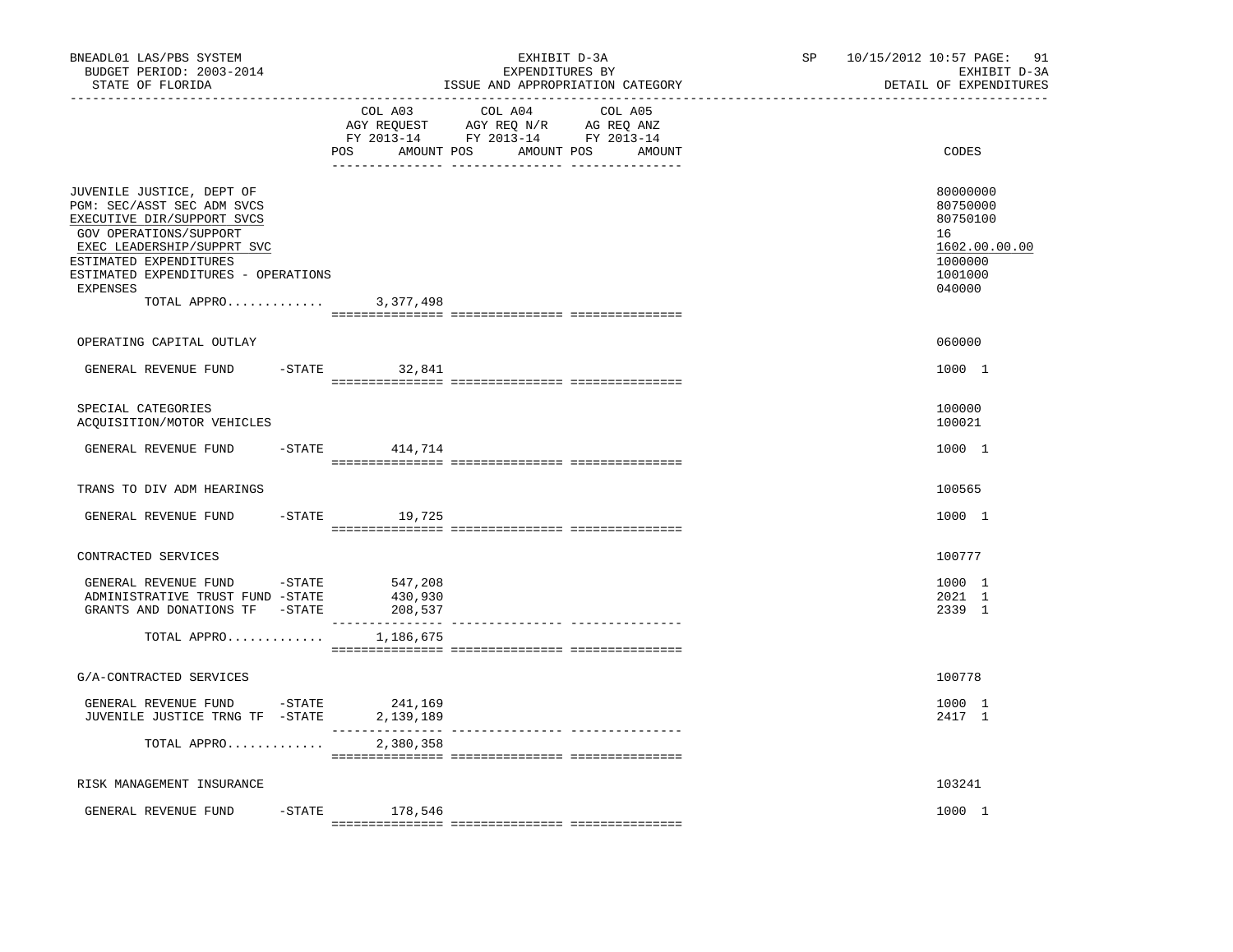| BNEADL01 LAS/PBS SYSTEM<br>BUDGET PERIOD: 2003-2014<br>STATE OF FLORIDA                                                                                                                                                                                    |                               | EXHIBIT D-3A<br>EXPENDITURES BY<br>ISSUE AND APPROPRIATION CATEGORY | SP | 10/15/2012 10:57 PAGE:<br>91<br>EXHIBIT D-3A<br>DETAIL OF EXPENDITURES                  |
|------------------------------------------------------------------------------------------------------------------------------------------------------------------------------------------------------------------------------------------------------------|-------------------------------|---------------------------------------------------------------------|----|-----------------------------------------------------------------------------------------|
|                                                                                                                                                                                                                                                            | COL A03<br>POS<br>AMOUNT POS  | COL A04<br>COL A05<br>AMOUNT POS<br>AMOUNT                          |    | CODES                                                                                   |
| JUVENILE JUSTICE, DEPT OF<br>PGM: SEC/ASST SEC ADM SVCS<br>EXECUTIVE DIR/SUPPORT SVCS<br>GOV OPERATIONS/SUPPORT<br>EXEC LEADERSHIP/SUPPRT SVC<br>ESTIMATED EXPENDITURES<br>ESTIMATED EXPENDITURES - OPERATIONS<br><b>EXPENSES</b><br>TOTAL APPRO 3,377,498 |                               |                                                                     |    | 80000000<br>80750000<br>80750100<br>16<br>1602.00.00.00<br>1000000<br>1001000<br>040000 |
| OPERATING CAPITAL OUTLAY                                                                                                                                                                                                                                   |                               |                                                                     |    | 060000                                                                                  |
| GENERAL REVENUE FUND                                                                                                                                                                                                                                       | $-STATE$<br>32,841            |                                                                     |    | 1000 1                                                                                  |
| SPECIAL CATEGORIES<br>ACQUISITION/MOTOR VEHICLES                                                                                                                                                                                                           |                               |                                                                     |    | 100000<br>100021                                                                        |
| GENERAL REVENUE FUND                                                                                                                                                                                                                                       | $-$ STATE 414, 714            |                                                                     |    | 1000 1                                                                                  |
| TRANS TO DIV ADM HEARINGS                                                                                                                                                                                                                                  |                               |                                                                     |    | 100565                                                                                  |
| GENERAL REVENUE FUND                                                                                                                                                                                                                                       | $-STATE$<br>19,725            |                                                                     |    | 1000 1                                                                                  |
| CONTRACTED SERVICES                                                                                                                                                                                                                                        |                               |                                                                     |    | 100777                                                                                  |
| GENERAL REVENUE FUND<br>$-$ STATE<br>ADMINISTRATIVE TRUST FUND -STATE<br>GRANTS AND DONATIONS TF -STATE                                                                                                                                                    | 547,208<br>430,930<br>208,537 |                                                                     |    | 1000 1<br>2021 1<br>2339 1                                                              |
| TOTAL APPRO                                                                                                                                                                                                                                                | 1,186,675                     |                                                                     |    |                                                                                         |
| G/A-CONTRACTED SERVICES                                                                                                                                                                                                                                    |                               |                                                                     |    | 100778                                                                                  |
| GENERAL REVENUE FUND<br>$-$ STATE<br>JUVENILE JUSTICE TRNG TF -STATE                                                                                                                                                                                       | 241,169<br>2,139,189          | --------------- ---------------                                     |    | 1000 1<br>2417 1                                                                        |
| TOTAL APPRO                                                                                                                                                                                                                                                | 2,380,358                     |                                                                     |    |                                                                                         |
| RISK MANAGEMENT INSURANCE                                                                                                                                                                                                                                  |                               |                                                                     |    | 103241                                                                                  |
| $-$ STATE<br>GENERAL REVENUE FUND                                                                                                                                                                                                                          | 178,546                       |                                                                     |    | 1000 1                                                                                  |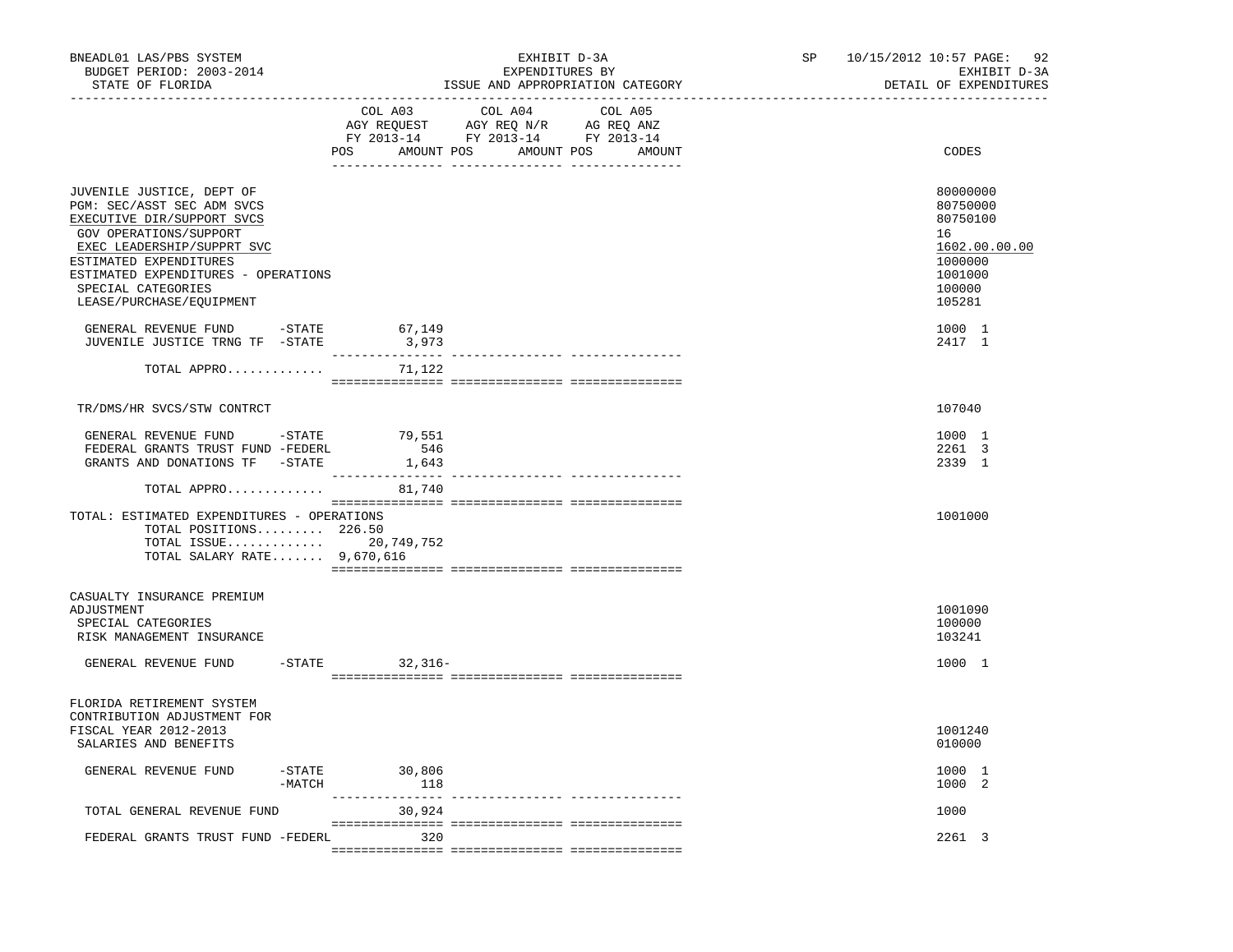| BNEADL01 LAS/PBS SYSTEM<br>BUDGET PERIOD: 2003-2014<br>STATE OF FLORIDA                                                                                                                                                                                          |                            | EXHIBIT D-3A<br>EXPENDITURES BY<br>ISSUE AND APPROPRIATION CATEGORY                                                                 | SP and the set of the set of the set of the set of the set of the set of the set of the set of the set of the set of the set of the set of the set of the set of the set of the set of the set of the set of the set of the se | 10/15/2012 10:57 PAGE: 92<br>EXHIBIT D-3A<br>DETAIL OF EXPENDITURES                               |
|------------------------------------------------------------------------------------------------------------------------------------------------------------------------------------------------------------------------------------------------------------------|----------------------------|-------------------------------------------------------------------------------------------------------------------------------------|--------------------------------------------------------------------------------------------------------------------------------------------------------------------------------------------------------------------------------|---------------------------------------------------------------------------------------------------|
|                                                                                                                                                                                                                                                                  | COL A03                    | COL A04<br>COL A05<br>AGY REQUEST AGY REQ N/R AG REQ ANZ<br>FY 2013-14 FY 2013-14 FY 2013-14<br>POS AMOUNT POS AMOUNT POS<br>AMOUNT |                                                                                                                                                                                                                                | CODES                                                                                             |
| JUVENILE JUSTICE, DEPT OF<br>PGM: SEC/ASST SEC ADM SVCS<br>EXECUTIVE DIR/SUPPORT SVCS<br>GOV OPERATIONS/SUPPORT<br>EXEC LEADERSHIP/SUPPRT SVC<br>ESTIMATED EXPENDITURES<br>ESTIMATED EXPENDITURES - OPERATIONS<br>SPECIAL CATEGORIES<br>LEASE/PURCHASE/EQUIPMENT |                            |                                                                                                                                     |                                                                                                                                                                                                                                | 80000000<br>80750000<br>80750100<br>16<br>1602.00.00.00<br>1000000<br>1001000<br>100000<br>105281 |
| GENERAL REVENUE FUND -STATE 67,149<br>JUVENILE JUSTICE TRNG TF -STATE                                                                                                                                                                                            | 3,973                      |                                                                                                                                     |                                                                                                                                                                                                                                | 1000 1<br>2417 1                                                                                  |
| TOTAL APPRO                                                                                                                                                                                                                                                      | 71,122                     |                                                                                                                                     |                                                                                                                                                                                                                                |                                                                                                   |
| TR/DMS/HR SVCS/STW CONTRCT                                                                                                                                                                                                                                       |                            |                                                                                                                                     |                                                                                                                                                                                                                                | 107040                                                                                            |
| GENERAL REVENUE FUND -STATE 79,551<br>FEDERAL GRANTS TRUST FUND -FEDERL<br>GRANTS AND DONATIONS TF -STATE                                                                                                                                                        | 546<br>1,643               |                                                                                                                                     |                                                                                                                                                                                                                                | 1000 1<br>2261 3<br>2339 1                                                                        |
| TOTAL APPRO                                                                                                                                                                                                                                                      | 81,740                     |                                                                                                                                     |                                                                                                                                                                                                                                |                                                                                                   |
| TOTAL: ESTIMATED EXPENDITURES - OPERATIONS<br>TOTAL POSITIONS 226.50<br>TOTAL ISSUE 20,749,752<br>TOTAL SALARY RATE $9,670,616$                                                                                                                                  |                            |                                                                                                                                     |                                                                                                                                                                                                                                | 1001000                                                                                           |
| CASUALTY INSURANCE PREMIUM                                                                                                                                                                                                                                       |                            |                                                                                                                                     |                                                                                                                                                                                                                                |                                                                                                   |
| ADJUSTMENT<br>SPECIAL CATEGORIES<br>RISK MANAGEMENT INSURANCE                                                                                                                                                                                                    |                            |                                                                                                                                     |                                                                                                                                                                                                                                | 1001090<br>100000<br>103241                                                                       |
| GENERAL REVENUE FUND                                                                                                                                                                                                                                             | $-$ STATE 32, 316 -        |                                                                                                                                     |                                                                                                                                                                                                                                | 1000 1                                                                                            |
| FLORIDA RETIREMENT SYSTEM<br>CONTRIBUTION ADJUSTMENT FOR<br>FISCAL YEAR 2012-2013<br>SALARIES AND BENEFITS                                                                                                                                                       |                            |                                                                                                                                     |                                                                                                                                                                                                                                | 1001240<br>010000                                                                                 |
| GENERAL REVENUE FUND<br>-MATCH                                                                                                                                                                                                                                   | 30,806<br>$-$ STATE<br>118 |                                                                                                                                     |                                                                                                                                                                                                                                | 1000 1<br>1000 2                                                                                  |
| TOTAL GENERAL REVENUE FUND                                                                                                                                                                                                                                       | 30,924                     |                                                                                                                                     |                                                                                                                                                                                                                                | 1000                                                                                              |
| FEDERAL GRANTS TRUST FUND -FEDERL                                                                                                                                                                                                                                | 320                        |                                                                                                                                     |                                                                                                                                                                                                                                | 2261 3                                                                                            |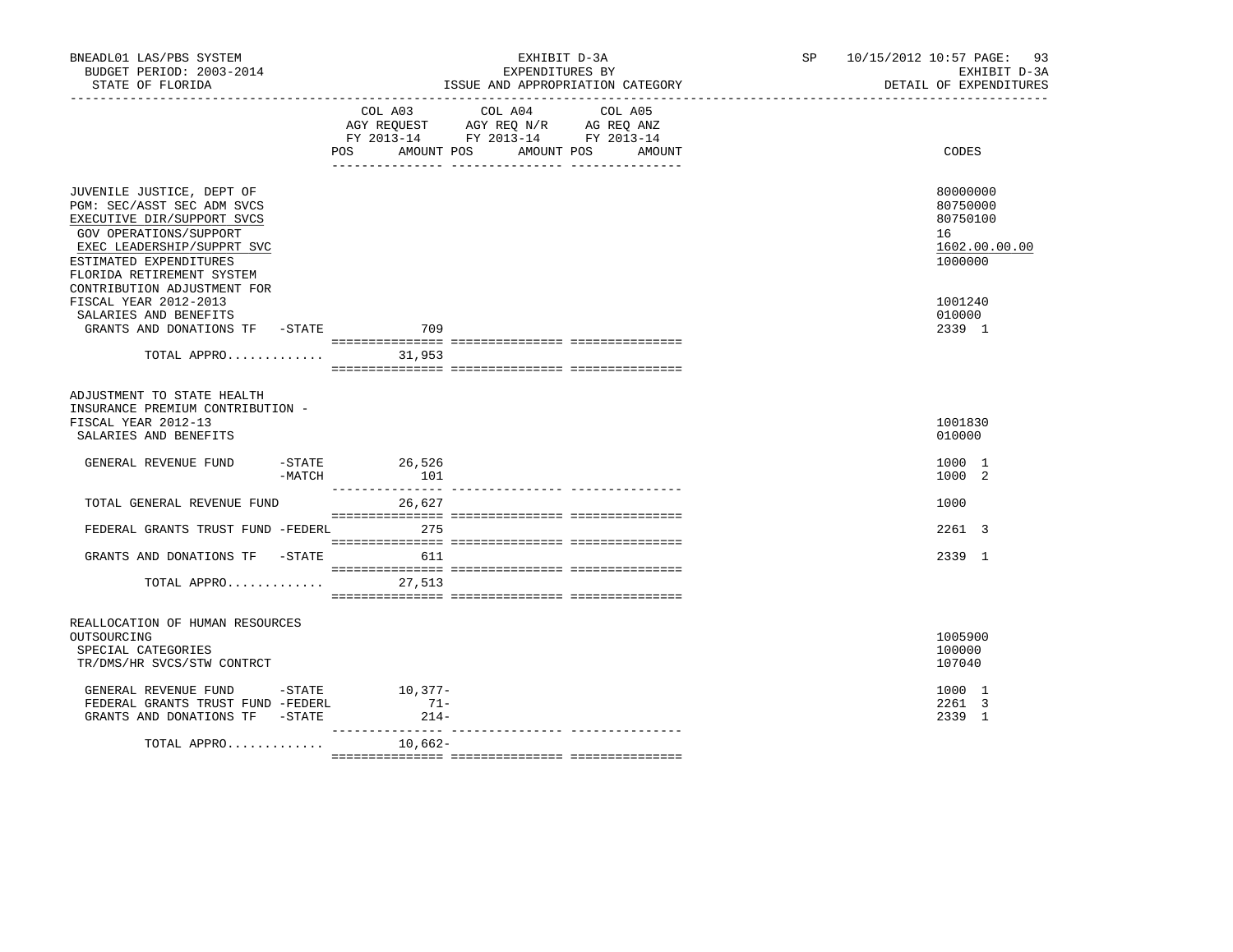| BNEADL01 LAS/PBS SYSTEM<br>BUDGET PERIOD: 2003-2014<br>STATE OF FLORIDA                                                                                                                              | EXHIBIT D-3A<br>EXPENDITURES BY<br>ISSUE AND APPROPRIATION CATEGORY                                                                         | SP 10/15/2012 10:57 PAGE: 93<br>EXHIBIT D-3A<br>DETAIL OF EXPENDITURES |
|------------------------------------------------------------------------------------------------------------------------------------------------------------------------------------------------------|---------------------------------------------------------------------------------------------------------------------------------------------|------------------------------------------------------------------------|
|                                                                                                                                                                                                      | COL A04<br>COL A03<br>COL A05<br>AGY REQUEST AGY REQ N/R AG REQ ANZ<br>FY 2013-14 FY 2013-14 FY 2013-14<br>POS AMOUNT POS AMOUNT POS AMOUNT | CODES                                                                  |
| JUVENILE JUSTICE, DEPT OF<br>PGM: SEC/ASST SEC ADM SVCS<br>EXECUTIVE DIR/SUPPORT SVCS<br>GOV OPERATIONS/SUPPORT<br>EXEC LEADERSHIP/SUPPRT SVC<br>ESTIMATED EXPENDITURES<br>FLORIDA RETIREMENT SYSTEM |                                                                                                                                             | 80000000<br>80750000<br>80750100<br>16<br>1602.00.00.00<br>1000000     |
| CONTRIBUTION ADJUSTMENT FOR<br>FISCAL YEAR 2012-2013<br>SALARIES AND BENEFITS<br>GRANTS AND DONATIONS TF -STATE 709                                                                                  |                                                                                                                                             | 1001240<br>010000<br>2339 1                                            |
|                                                                                                                                                                                                      |                                                                                                                                             |                                                                        |
| ADJUSTMENT TO STATE HEALTH<br>INSURANCE PREMIUM CONTRIBUTION -<br>FISCAL YEAR 2012-13<br>SALARIES AND BENEFITS<br>GENERAL REVENUE FUND<br>$-MATCH$                                                   | $-STATE$ 26,526<br>101                                                                                                                      | 1001830<br>010000<br>1000 1<br>1000 2                                  |
| TOTAL GENERAL REVENUE FUND                                                                                                                                                                           | 26,627                                                                                                                                      | 1000                                                                   |
| FEDERAL GRANTS TRUST FUND -FEDERL 275                                                                                                                                                                |                                                                                                                                             | 2261 3                                                                 |
| GRANTS AND DONATIONS TF -STATE<br>TOTAL APPRO 27,513                                                                                                                                                 | 611                                                                                                                                         | 2339 1                                                                 |
| REALLOCATION OF HUMAN RESOURCES<br>OUTSOURCING<br>SPECIAL CATEGORIES<br>TR/DMS/HR SVCS/STW CONTRCT                                                                                                   |                                                                                                                                             | 1005900<br>100000<br>107040                                            |
| GENERAL REVENUE FUND - STATE<br>FEDERAL GRANTS TRUST FUND -FEDERL<br>GRANTS AND DONATIONS TF -STATE                                                                                                  | $10,377-$<br>$71-$<br>$214-$<br>___________________                                                                                         | 1000 1<br>2261 3<br>2339 1                                             |
| TOTAL APPRO                                                                                                                                                                                          | 10,662-                                                                                                                                     |                                                                        |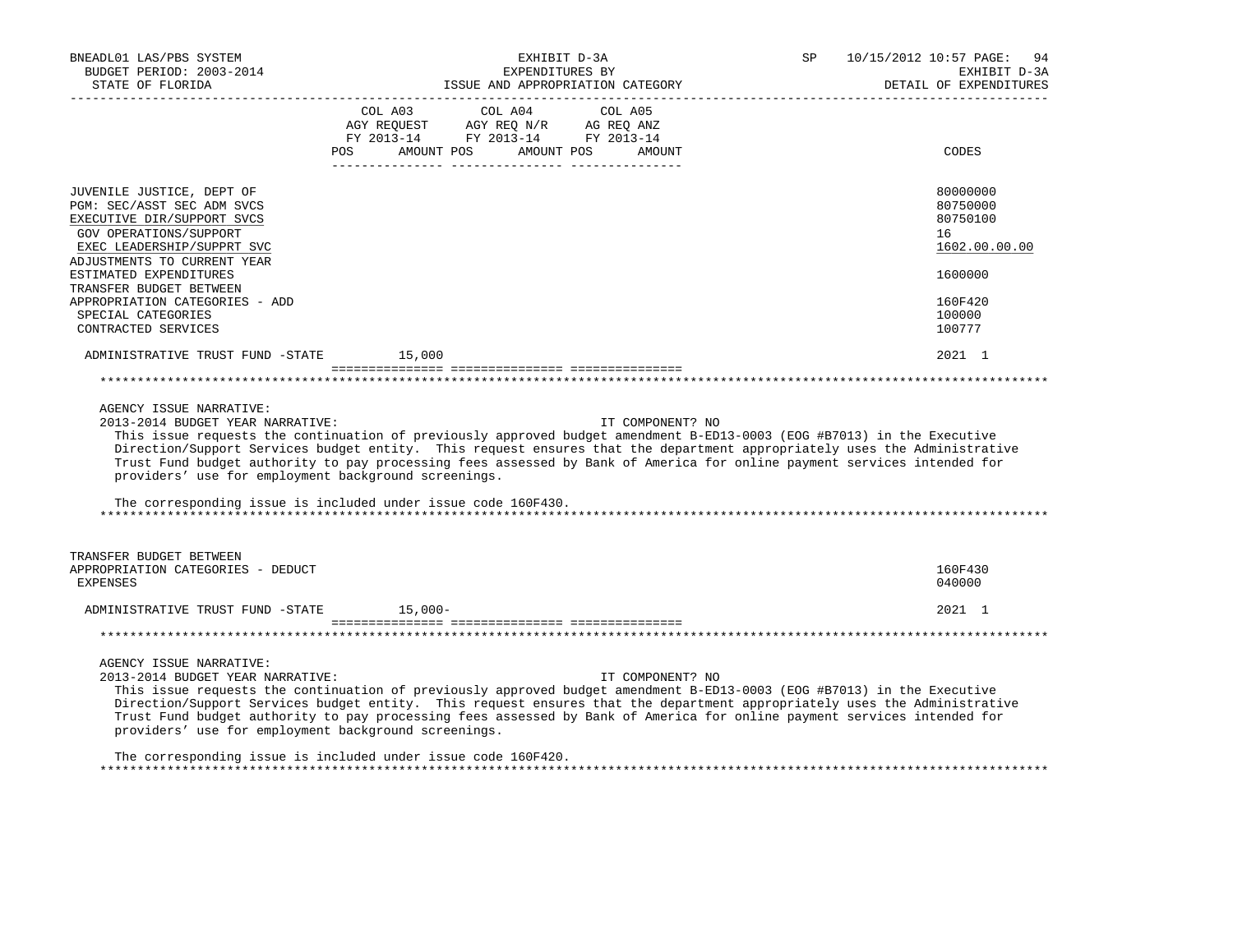| BNEADL01 LAS/PBS SYSTEM<br>BUDGET PERIOD: 2003-2014<br>STATE OF FLORIDA                                                                                                      | EXHIBIT D-3A<br>EXPENDITURES BY<br>ISSUE AND APPROPRIATION CATEGORY                                                                                                                                                                                                                                                                                                                                                                                                | SP 10/15/2012 10:57 PAGE:<br>94<br>EXHIBIT D-3A<br>DETAIL OF EXPENDITURES |
|------------------------------------------------------------------------------------------------------------------------------------------------------------------------------|--------------------------------------------------------------------------------------------------------------------------------------------------------------------------------------------------------------------------------------------------------------------------------------------------------------------------------------------------------------------------------------------------------------------------------------------------------------------|---------------------------------------------------------------------------|
|                                                                                                                                                                              | $\begin{tabular}{lcccc} COL A03 & COL A04 & COL A05 \\ AGY REQUEST & AGY REQ N/R & AG REQ ANZ \\ FY & 2013-14 & FY & 2013-14 & FY & 2013-14 \end{tabular}$<br>AMOUNT POS AMOUNT POS<br>AMOUNT<br>POS FOR                                                                                                                                                                                                                                                           | CODES                                                                     |
| JUVENILE JUSTICE, DEPT OF<br>PGM: SEC/ASST SEC ADM SVCS<br>EXECUTIVE DIR/SUPPORT SVCS<br>GOV OPERATIONS/SUPPORT<br>EXEC LEADERSHIP/SUPPRT SVC<br>ADJUSTMENTS TO CURRENT YEAR |                                                                                                                                                                                                                                                                                                                                                                                                                                                                    | 80000000<br>80750000<br>80750100<br>16<br>1602.00.00.00                   |
| ESTIMATED EXPENDITURES<br>TRANSFER BUDGET BETWEEN                                                                                                                            |                                                                                                                                                                                                                                                                                                                                                                                                                                                                    | 1600000                                                                   |
| APPROPRIATION CATEGORIES - ADD<br>SPECIAL CATEGORIES<br>CONTRACTED SERVICES                                                                                                  |                                                                                                                                                                                                                                                                                                                                                                                                                                                                    | 160F420<br>100000<br>100777                                               |
| ADMINISTRATIVE TRUST FUND -STATE 15,000                                                                                                                                      |                                                                                                                                                                                                                                                                                                                                                                                                                                                                    | 2021 1                                                                    |
|                                                                                                                                                                              |                                                                                                                                                                                                                                                                                                                                                                                                                                                                    |                                                                           |
| AGENCY ISSUE NARRATIVE:<br>2013-2014 BUDGET YEAR NARRATIVE:<br>providers' use for employment background screenings.                                                          | IT COMPONENT? NO<br>This issue requests the continuation of previously approved budget amendment B-ED13-0003 (EOG #B7013) in the Executive<br>Direction/Support Services budget entity. This request ensures that the department appropriately uses the Administrative<br>Trust Fund budget authority to pay processing fees assessed by Bank of America for online payment services intended for<br>The corresponding issue is included under issue code 160F430. |                                                                           |
| TRANSFER BUDGET BETWEEN<br>APPROPRIATION CATEGORIES - DEDUCT<br><b>EXPENSES</b>                                                                                              |                                                                                                                                                                                                                                                                                                                                                                                                                                                                    | 160F430<br>040000                                                         |
| ADMINISTRATIVE TRUST FUND -STATE 15,000-                                                                                                                                     |                                                                                                                                                                                                                                                                                                                                                                                                                                                                    | 2021 1                                                                    |
|                                                                                                                                                                              |                                                                                                                                                                                                                                                                                                                                                                                                                                                                    |                                                                           |
| AGENCY ISSUE NARRATIVE:<br>2013-2014 BUDGET YEAR NARRATIVE:<br>providers' use for employment background screenings.                                                          | IT COMPONENT? NO<br>This issue requests the continuation of previously approved budget amendment B-ED13-0003 (EOG #B7013) in the Executive<br>Direction/Support Services budget entity. This request ensures that the department appropriately uses the Administrative<br>Trust Fund budget authority to pay processing fees assessed by Bank of America for online payment services intended for                                                                  |                                                                           |
|                                                                                                                                                                              | The corresponding issue is included under issue code 160F420.                                                                                                                                                                                                                                                                                                                                                                                                      |                                                                           |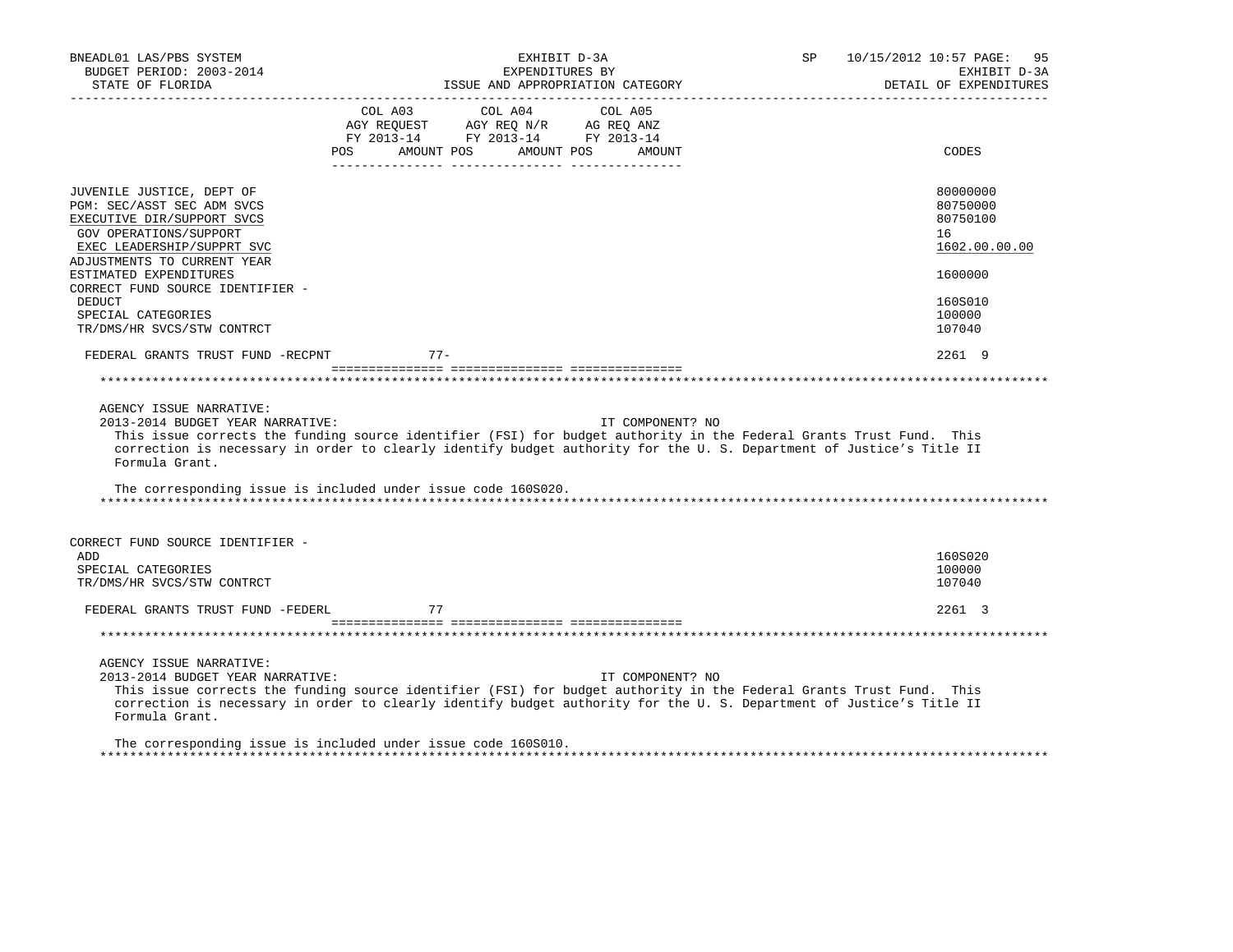| BNEADL01 LAS/PBS SYSTEM<br>BUDGET PERIOD: 2003-2014<br>STATE OF FLORIDA<br>----------------                                                                                                                                                | EXHIBIT D-3A<br>EXPENDITURES BY<br>ISSUE AND APPROPRIATION CATEGORY                                                                                                                                                                                                                                                             | 10/15/2012 10:57 PAGE:<br>SP<br>95<br>EXHIBIT D-3A<br>DETAIL OF EXPENDITURES |
|--------------------------------------------------------------------------------------------------------------------------------------------------------------------------------------------------------------------------------------------|---------------------------------------------------------------------------------------------------------------------------------------------------------------------------------------------------------------------------------------------------------------------------------------------------------------------------------|------------------------------------------------------------------------------|
|                                                                                                                                                                                                                                            | COL A03<br>COL A04<br>COL A05<br>AGY REQUEST AGY REQ N/R AG REQ ANZ<br>FY 2013-14 FY 2013-14 FY 2013-14<br>AMOUNT POS<br>AMOUNT POS<br>AMOUNT<br>POS                                                                                                                                                                            | CODES                                                                        |
| JUVENILE JUSTICE, DEPT OF<br>PGM: SEC/ASST SEC ADM SVCS<br>EXECUTIVE DIR/SUPPORT SVCS<br>GOV OPERATIONS/SUPPORT<br>EXEC LEADERSHIP/SUPPRT SVC<br>ADJUSTMENTS TO CURRENT YEAR<br>ESTIMATED EXPENDITURES<br>CORRECT FUND SOURCE IDENTIFIER - |                                                                                                                                                                                                                                                                                                                                 | 80000000<br>80750000<br>80750100<br>16<br>1602.00.00.00<br>1600000           |
| DEDUCT<br>SPECIAL CATEGORIES<br>TR/DMS/HR SVCS/STW CONTRCT                                                                                                                                                                                 |                                                                                                                                                                                                                                                                                                                                 | 160S010<br>100000<br>107040                                                  |
| FEDERAL GRANTS TRUST FUND -RECPNT                                                                                                                                                                                                          | $77-$                                                                                                                                                                                                                                                                                                                           | 2261 9                                                                       |
|                                                                                                                                                                                                                                            |                                                                                                                                                                                                                                                                                                                                 |                                                                              |
| AGENCY ISSUE NARRATIVE:<br>2013-2014 BUDGET YEAR NARRATIVE:<br>Formula Grant.                                                                                                                                                              | IT COMPONENT? NO<br>This issue corrects the funding source identifier (FSI) for budget authority in the Federal Grants Trust Fund. This<br>correction is necessary in order to clearly identify budget authority for the U.S. Department of Justice's Title II<br>The corresponding issue is included under issue code 160S020. |                                                                              |
| CORRECT FUND SOURCE IDENTIFIER -<br>ADD<br>SPECIAL CATEGORIES<br>TR/DMS/HR SVCS/STW CONTRCT                                                                                                                                                |                                                                                                                                                                                                                                                                                                                                 | 160S020<br>100000<br>107040                                                  |
| FEDERAL GRANTS TRUST FUND -FEDERL                                                                                                                                                                                                          | 77                                                                                                                                                                                                                                                                                                                              | 2261 3                                                                       |
|                                                                                                                                                                                                                                            |                                                                                                                                                                                                                                                                                                                                 |                                                                              |
| AGENCY ISSUE NARRATIVE:<br>2013-2014 BUDGET YEAR NARRATIVE:<br>Formula Grant.                                                                                                                                                              | IT COMPONENT? NO<br>This issue corrects the funding source identifier (FSI) for budget authority in the Federal Grants Trust Fund. This<br>correction is necessary in order to clearly identify budget authority for the U.S. Department of Justice's Title II                                                                  |                                                                              |
|                                                                                                                                                                                                                                            | The corresponding issue is included under issue code 160S010.                                                                                                                                                                                                                                                                   |                                                                              |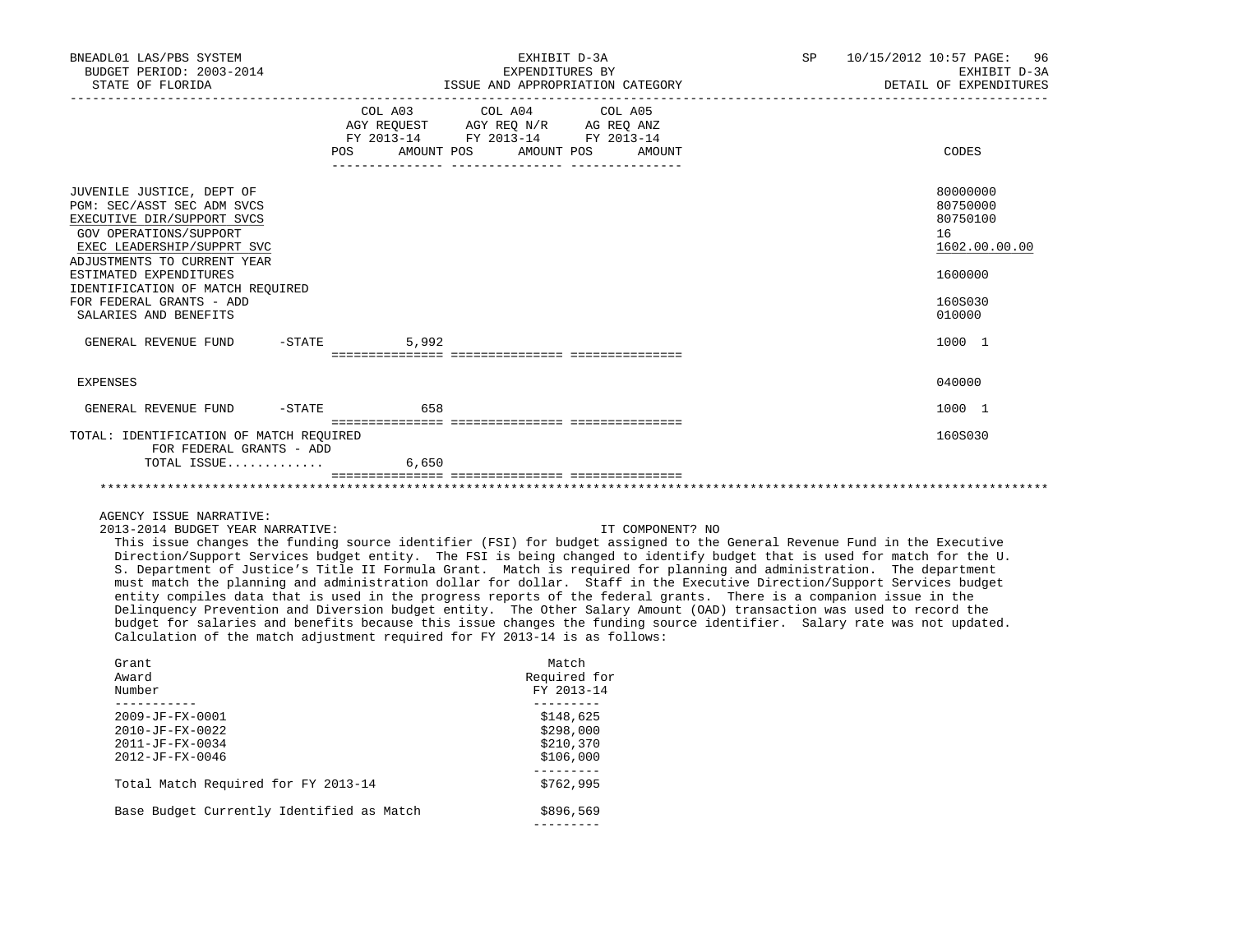| BNEADL01 LAS/PBS SYSTEM<br>BUDGET PERIOD: 2003-2014<br>STATE OF FLORIDA                                                                                                                                |  |                                                                                                   | EXHIBIT D-3A<br>EXPENDITURES BY<br>ISSUE AND APPROPRIATION CATEGORY | SP 10/15/2012 10:57 PAGE: 96<br>EXHIBIT D-3A<br>DETAIL OF EXPENDITURES |                                                                    |
|--------------------------------------------------------------------------------------------------------------------------------------------------------------------------------------------------------|--|---------------------------------------------------------------------------------------------------|---------------------------------------------------------------------|------------------------------------------------------------------------|--------------------------------------------------------------------|
|                                                                                                                                                                                                        |  | COL A03 COL A04 COL A05<br>AGY REQUEST AGY REQ N/R AG REQ ANZ<br>FY 2013-14 FY 2013-14 FY 2013-14 | POS AMOUNT POS AMOUNT POS AMOUNT                                    | CODES                                                                  |                                                                    |
| JUVENILE JUSTICE, DEPT OF<br>PGM: SEC/ASST SEC ADM SVCS<br>EXECUTIVE DIR/SUPPORT SVCS<br>GOV OPERATIONS/SUPPORT<br>EXEC LEADERSHIP/SUPPRT SVC<br>ADJUSTMENTS TO CURRENT YEAR<br>ESTIMATED EXPENDITURES |  |                                                                                                   |                                                                     |                                                                        | 80000000<br>80750000<br>80750100<br>16<br>1602.00.00.00<br>1600000 |
| IDENTIFICATION OF MATCH REQUIRED<br>FOR FEDERAL GRANTS - ADD<br>SALARIES AND BENEFITS                                                                                                                  |  |                                                                                                   |                                                                     |                                                                        | 160S030<br>010000                                                  |
| GENERAL REVENUE FUND                                                                                                                                                                                   |  | $-STATE$<br>5,992                                                                                 |                                                                     |                                                                        | 1000 1                                                             |
| EXPENSES                                                                                                                                                                                               |  |                                                                                                   |                                                                     |                                                                        | 040000                                                             |
| GENERAL REVENUE FUND -STATE 658                                                                                                                                                                        |  |                                                                                                   |                                                                     |                                                                        | 1000 1                                                             |
| TOTAL: IDENTIFICATION OF MATCH REQUIRED<br>FOR FEDERAL GRANTS - ADD<br>TOTAL ISSUE                                                                                                                     |  | 6.650                                                                                             |                                                                     |                                                                        | 160S030                                                            |
|                                                                                                                                                                                                        |  |                                                                                                   |                                                                     |                                                                        |                                                                    |
| AGENCY ISSUE NARRATIVE:<br>2013-2014 BUDGET YEAR NARRATIVE:                                                                                                                                            |  |                                                                                                   |                                                                     | IT COMPONENT? NO                                                       |                                                                    |

 This issue changes the funding source identifier (FSI) for budget assigned to the General Revenue Fund in the Executive Direction/Support Services budget entity. The FSI is being changed to identify budget that is used for match for the U. S. Department of Justice's Title II Formula Grant. Match is required for planning and administration. The department must match the planning and administration dollar for dollar. Staff in the Executive Direction/Support Services budget entity compiles data that is used in the progress reports of the federal grants. There is a companion issue in the Delinquency Prevention and Diversion budget entity. The Other Salary Amount (OAD) transaction was used to record the budget for salaries and benefits because this issue changes the funding source identifier. Salary rate was not updated. Calculation of the match adjustment required for FY 2013-14 is as follows:

| Grant                                     | Match        |
|-------------------------------------------|--------------|
| Award                                     | Required for |
| Number                                    | FY 2013-14   |
| $2009 - JF - FX - 0001$                   | \$148,625    |
| $2010 - JF - FX - 0022$                   | \$298,000    |
| $2011 - JF - FX - 0034$                   | \$210,370    |
| $2012 - JF - FX - 0046$                   | \$106,000    |
| Total Match Required for FY 2013-14       | \$762,995    |
| Base Budget Currently Identified as Match | \$896,569    |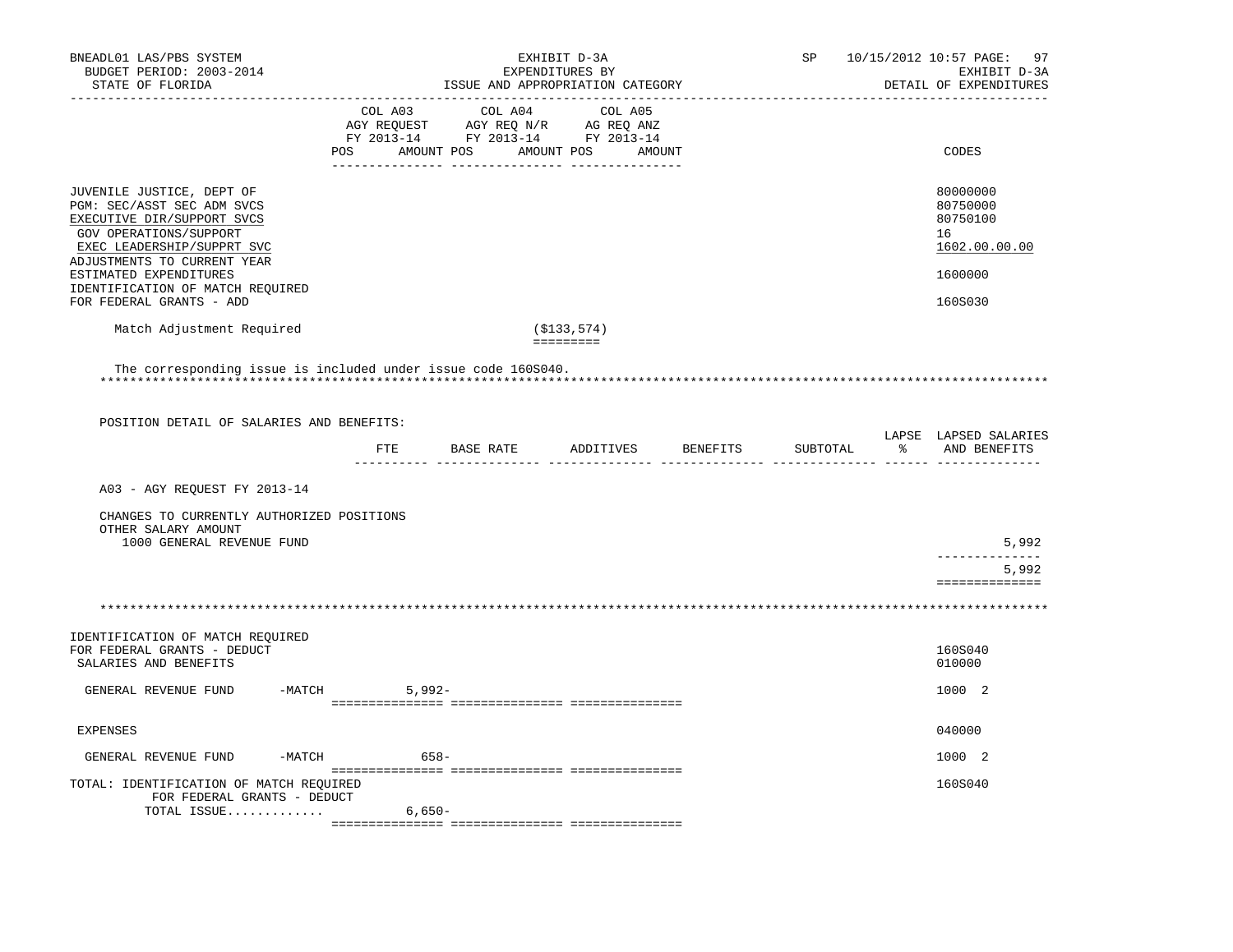| BNEADL01 LAS/PBS SYSTEM<br>BUDGET PERIOD: 2003-2014<br>STATE OF FLORIDA                                                                                                                                |             | EXHIBIT D-3A<br>EXPENDITURES BY<br>ISSUE AND APPROPRIATION CATEGORY | SP                                                                                                                               | 10/15/2012 10:57 PAGE:<br>97<br>EXHIBIT D-3A<br>DETAIL OF EXPENDITURES |                                                                    |
|--------------------------------------------------------------------------------------------------------------------------------------------------------------------------------------------------------|-------------|---------------------------------------------------------------------|----------------------------------------------------------------------------------------------------------------------------------|------------------------------------------------------------------------|--------------------------------------------------------------------|
|                                                                                                                                                                                                        | COL A03     | COL A04                                                             | COL A05<br>COL AUS<br>AGY REQUEST AGY REQ N/R AG REQ ANZ<br>FY 2013-14 FY 2013-14 FY 2013-14<br>POS AMOUNT POS AMOUNT POS AMOUNT |                                                                        | CODES                                                              |
| JUVENILE JUSTICE, DEPT OF<br>PGM: SEC/ASST SEC ADM SVCS<br>EXECUTIVE DIR/SUPPORT SVCS<br>GOV OPERATIONS/SUPPORT<br>EXEC LEADERSHIP/SUPPRT SVC<br>ADJUSTMENTS TO CURRENT YEAR<br>ESTIMATED EXPENDITURES |             |                                                                     |                                                                                                                                  |                                                                        | 80000000<br>80750000<br>80750100<br>16<br>1602.00.00.00<br>1600000 |
| IDENTIFICATION OF MATCH REOUIRED<br>FOR FEDERAL GRANTS - ADD                                                                                                                                           |             |                                                                     |                                                                                                                                  |                                                                        | 160S030                                                            |
| Match Adjustment Required                                                                                                                                                                              |             |                                                                     | (\$133,574)                                                                                                                      |                                                                        |                                                                    |
|                                                                                                                                                                                                        |             |                                                                     | <b>EDEDEDED</b>                                                                                                                  |                                                                        |                                                                    |
| The corresponding issue is included under issue code 160S040.                                                                                                                                          |             |                                                                     |                                                                                                                                  |                                                                        |                                                                    |
|                                                                                                                                                                                                        |             |                                                                     |                                                                                                                                  |                                                                        |                                                                    |
| POSITION DETAIL OF SALARIES AND BENEFITS:                                                                                                                                                              |             |                                                                     |                                                                                                                                  |                                                                        | LAPSE LAPSED SALARIES                                              |
|                                                                                                                                                                                                        |             |                                                                     | FTE BASE RATE ADDITIVES BENEFITS                                                                                                 | SUBTOTAL                                                               | % AND BENEFITS                                                     |
| A03 - AGY REQUEST FY 2013-14                                                                                                                                                                           |             |                                                                     |                                                                                                                                  |                                                                        |                                                                    |
| CHANGES TO CURRENTLY AUTHORIZED POSITIONS<br>OTHER SALARY AMOUNT<br>1000 GENERAL REVENUE FUND                                                                                                          |             |                                                                     |                                                                                                                                  |                                                                        | 5,992                                                              |
|                                                                                                                                                                                                        |             |                                                                     |                                                                                                                                  |                                                                        | --------------<br>5,992                                            |
|                                                                                                                                                                                                        |             |                                                                     |                                                                                                                                  |                                                                        | ==============                                                     |
|                                                                                                                                                                                                        |             |                                                                     |                                                                                                                                  |                                                                        |                                                                    |
| IDENTIFICATION OF MATCH REQUIRED<br>FOR FEDERAL GRANTS - DEDUCT<br>SALARIES AND BENEFITS                                                                                                               |             |                                                                     |                                                                                                                                  |                                                                        | 160S040<br>010000                                                  |
| GENERAL REVENUE FUND -MATCH                                                                                                                                                                            | $5.992 -$   |                                                                     |                                                                                                                                  |                                                                        | 1000 2                                                             |
|                                                                                                                                                                                                        |             |                                                                     |                                                                                                                                  |                                                                        |                                                                    |
| <b>EXPENSES</b>                                                                                                                                                                                        |             |                                                                     |                                                                                                                                  |                                                                        | 040000                                                             |
| GENERAL REVENUE FUND                                                                                                                                                                                   | -MATCH 658- |                                                                     |                                                                                                                                  |                                                                        | 1000 2                                                             |
| TOTAL: IDENTIFICATION OF MATCH REQUIRED<br>FOR FEDERAL GRANTS - DEDUCT                                                                                                                                 |             |                                                                     |                                                                                                                                  |                                                                        | 160S040                                                            |
| TOTAL ISSUE                                                                                                                                                                                            | 6,650-      |                                                                     |                                                                                                                                  |                                                                        |                                                                    |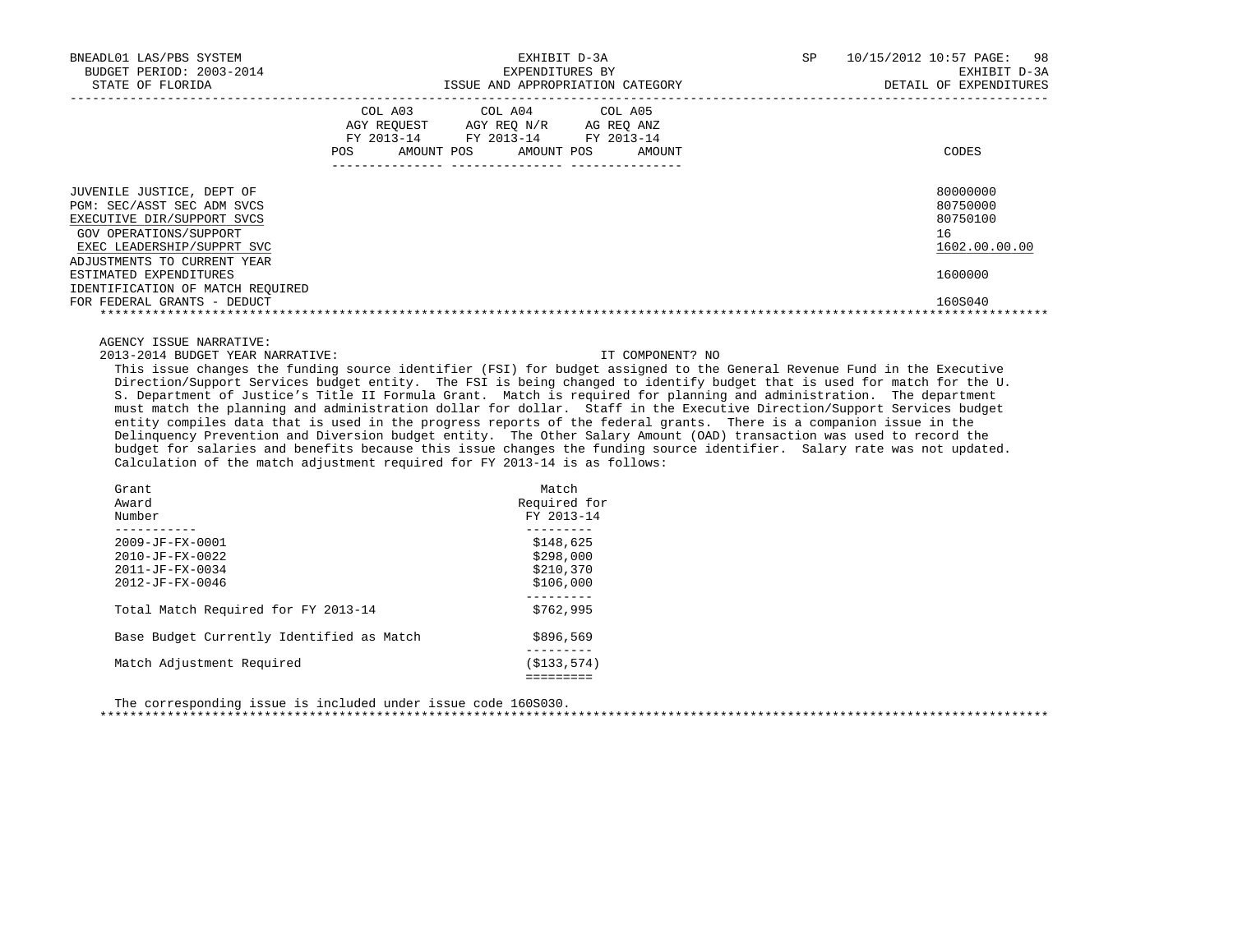| BNEADL01 LAS/PBS SYSTEM<br>BUDGET PERIOD: 2003-2014<br>STATE OF FLORIDA                                                                                                      |                                            | EXHIBIT D-3A<br>EXPENDITURES BY<br>ISSUE AND APPROPRIATION CATEGORY               | 10/15/2012 10:57 PAGE: 98<br>SP.<br>EXHIBIT D-3A<br>DETAIL OF EXPENDITURES |                                                         |
|------------------------------------------------------------------------------------------------------------------------------------------------------------------------------|--------------------------------------------|-----------------------------------------------------------------------------------|----------------------------------------------------------------------------|---------------------------------------------------------|
|                                                                                                                                                                              | COL A03<br>FY 2013-14<br>AMOUNT POS<br>POS | COL A04 COL A05<br>AGY REQUEST AGY REQ N/R<br>FY 2013-14 FY 2013-14<br>AMOUNT POS | AG REO ANZ<br>AMOUNT                                                       | CODES                                                   |
| JUVENILE JUSTICE, DEPT OF<br>PGM: SEC/ASST SEC ADM SVCS<br>EXECUTIVE DIR/SUPPORT SVCS<br>GOV OPERATIONS/SUPPORT<br>EXEC LEADERSHIP/SUPPRT SVC<br>ADJUSTMENTS TO CURRENT YEAR |                                            |                                                                                   |                                                                            | 80000000<br>80750000<br>80750100<br>16<br>1602.00.00.00 |
| ESTIMATED EXPENDITURES<br>IDENTIFICATION OF MATCH REQUIRED<br>FOR FEDERAL GRANTS - DEDUCT                                                                                    |                                            |                                                                                   |                                                                            | 1600000<br>160S040                                      |

2013-2014 BUDGET YEAR NARRATIVE: IT COMPONENT? NO

 This issue changes the funding source identifier (FSI) for budget assigned to the General Revenue Fund in the Executive Direction/Support Services budget entity. The FSI is being changed to identify budget that is used for match for the U. S. Department of Justice's Title II Formula Grant. Match is required for planning and administration. The department must match the planning and administration dollar for dollar. Staff in the Executive Direction/Support Services budget entity compiles data that is used in the progress reports of the federal grants. There is a companion issue in the Delinquency Prevention and Diversion budget entity. The Other Salary Amount (OAD) transaction was used to record the budget for salaries and benefits because this issue changes the funding source identifier. Salary rate was not updated. Calculation of the match adjustment required for FY 2013-14 is as follows:

| Grant<br>Award<br>Number                                                                                 | Match<br>Required for<br>FY 2013-14              |
|----------------------------------------------------------------------------------------------------------|--------------------------------------------------|
| $2009 - JF - FX - 0001$<br>$2010 - JF - FX - 0022$<br>$2011 - JF - FX - 0034$<br>$2012 - JF - FX - 0046$ | \$148,625<br>\$298,000<br>\$210.370<br>\$106.000 |
| Total Match Required for FY 2013-14                                                                      | \$762,995                                        |
| Base Budget Currently Identified as Match                                                                | \$896,569                                        |
| Match Adjustment Required                                                                                | (S133.574)                                       |

 The corresponding issue is included under issue code 160S030. \*\*\*\*\*\*\*\*\*\*\*\*\*\*\*\*\*\*\*\*\*\*\*\*\*\*\*\*\*\*\*\*\*\*\*\*\*\*\*\*\*\*\*\*\*\*\*\*\*\*\*\*\*\*\*\*\*\*\*\*\*\*\*\*\*\*\*\*\*\*\*\*\*\*\*\*\*\*\*\*\*\*\*\*\*\*\*\*\*\*\*\*\*\*\*\*\*\*\*\*\*\*\*\*\*\*\*\*\*\*\*\*\*\*\*\*\*\*\*\*\*\*\*\*\*\*\*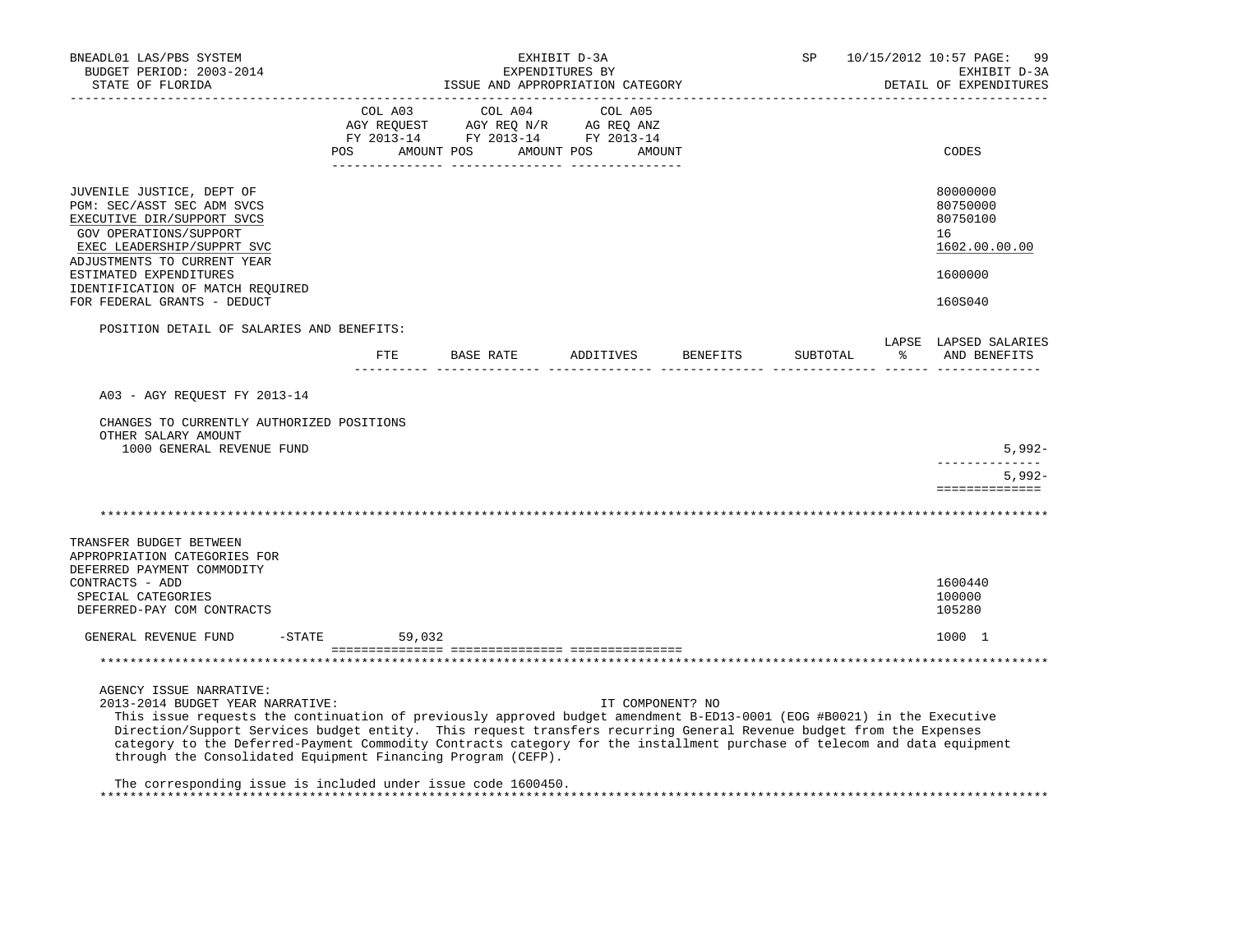| BNEADL01 LAS/PBS SYSTEM<br>BUDGET PERIOD: 2003-2014<br>STATE OF FLORIDA                                                                                                                                                                                                                                                                                                                                                                                                                                  | EXHIBIT D-3A<br>EXPENDITURES BY<br>ISSUE AND APPROPRIATION CATEGORY |         |            |                       |                                                                                                                                                                                                                                                                                                                                                                                                                                                   |                  | SP       | 10/15/2012 10:57 PAGE:<br>99<br>EXHIBIT D-3A<br>DETAIL OF EXPENDITURES |   |                                                                               |
|----------------------------------------------------------------------------------------------------------------------------------------------------------------------------------------------------------------------------------------------------------------------------------------------------------------------------------------------------------------------------------------------------------------------------------------------------------------------------------------------------------|---------------------------------------------------------------------|---------|------------|-----------------------|---------------------------------------------------------------------------------------------------------------------------------------------------------------------------------------------------------------------------------------------------------------------------------------------------------------------------------------------------------------------------------------------------------------------------------------------------|------------------|----------|------------------------------------------------------------------------|---|-------------------------------------------------------------------------------|
|                                                                                                                                                                                                                                                                                                                                                                                                                                                                                                          | POS                                                                 | COL A03 | AMOUNT POS | COL A04<br>AMOUNT POS | COL A05<br>$\begin{array}{ccccccccc}\n\text{AGY REQUEST} & & \text{GUT} & \text{GUT} & & \text{GUT} & \text{GUT} & \text{GUT} & \text{GUT} & \text{GUT} & \text{GUT} & \text{GUT} & \text{GUT} & \text{GUT} & \text{GUT} & \text{GUT} & \text{GUT} & \text{GUT} & \text{GUT} & \text{GUT} & \text{GUT} & \text{GUT} & \text{GUT} & \text{GUT} & \text{GUT} & \text{GUT} & \text{GUT} & \text{GUT} & \text{GUT} & \text{GUT} & \text{GUT} & \text$ | AMOUNT           |          |                                                                        |   | CODES                                                                         |
| JUVENILE JUSTICE, DEPT OF<br>PGM: SEC/ASST SEC ADM SVCS<br>EXECUTIVE DIR/SUPPORT SVCS<br>GOV OPERATIONS/SUPPORT<br>EXEC LEADERSHIP/SUPPRT SVC<br>ADJUSTMENTS TO CURRENT YEAR<br>ESTIMATED EXPENDITURES<br>IDENTIFICATION OF MATCH REQUIRED<br>FOR FEDERAL GRANTS - DEDUCT                                                                                                                                                                                                                                |                                                                     |         |            |                       |                                                                                                                                                                                                                                                                                                                                                                                                                                                   |                  |          |                                                                        |   | 80000000<br>80750000<br>80750100<br>16<br>1602.00.00.00<br>1600000<br>160S040 |
| POSITION DETAIL OF SALARIES AND BENEFITS:                                                                                                                                                                                                                                                                                                                                                                                                                                                                | FTE                                                                 |         |            |                       | BASE RATE ADDITIVES                                                                                                                                                                                                                                                                                                                                                                                                                               |                  | BENEFITS | SUBTOTAL                                                               | ዱ | LAPSE LAPSED SALARIES<br>AND BENEFITS                                         |
| A03 - AGY REQUEST FY 2013-14<br>CHANGES TO CURRENTLY AUTHORIZED POSITIONS<br>OTHER SALARY AMOUNT<br>1000 GENERAL REVENUE FUND                                                                                                                                                                                                                                                                                                                                                                            |                                                                     |         |            |                       |                                                                                                                                                                                                                                                                                                                                                                                                                                                   |                  |          |                                                                        |   | $5,992-$<br>-------------                                                     |
|                                                                                                                                                                                                                                                                                                                                                                                                                                                                                                          |                                                                     |         |            |                       |                                                                                                                                                                                                                                                                                                                                                                                                                                                   |                  |          |                                                                        |   | $5,992-$<br>==============                                                    |
| TRANSFER BUDGET BETWEEN<br>APPROPRIATION CATEGORIES FOR<br>DEFERRED PAYMENT COMMODITY<br>CONTRACTS - ADD<br>SPECIAL CATEGORIES<br>DEFERRED-PAY COM CONTRACTS                                                                                                                                                                                                                                                                                                                                             |                                                                     |         |            |                       |                                                                                                                                                                                                                                                                                                                                                                                                                                                   |                  |          |                                                                        |   | 1600440<br>100000<br>105280                                                   |
| GENERAL REVENUE FUND                                                                                                                                                                                                                                                                                                                                                                                                                                                                                     | $-$ STATE 59,032                                                    |         |            |                       |                                                                                                                                                                                                                                                                                                                                                                                                                                                   |                  |          |                                                                        |   | 1000 1                                                                        |
|                                                                                                                                                                                                                                                                                                                                                                                                                                                                                                          |                                                                     |         |            |                       |                                                                                                                                                                                                                                                                                                                                                                                                                                                   |                  |          |                                                                        |   |                                                                               |
| AGENCY ISSUE NARRATIVE:<br>2013-2014 BUDGET YEAR NARRATIVE:<br>This issue requests the continuation of previously approved budget amendment B-ED13-0001 (EOG #B0021) in the Executive<br>Direction/Support Services budget entity. This request transfers recurring General Revenue budget from the Expenses<br>category to the Deferred-Payment Commodity Contracts category for the installment purchase of telecom and data equipment<br>through the Consolidated Equipment Financing Program (CEFP). |                                                                     |         |            |                       |                                                                                                                                                                                                                                                                                                                                                                                                                                                   | IT COMPONENT? NO |          |                                                                        |   |                                                                               |
| The corresponding issue is included under issue code 1600450.                                                                                                                                                                                                                                                                                                                                                                                                                                            |                                                                     |         |            |                       |                                                                                                                                                                                                                                                                                                                                                                                                                                                   |                  |          |                                                                        |   |                                                                               |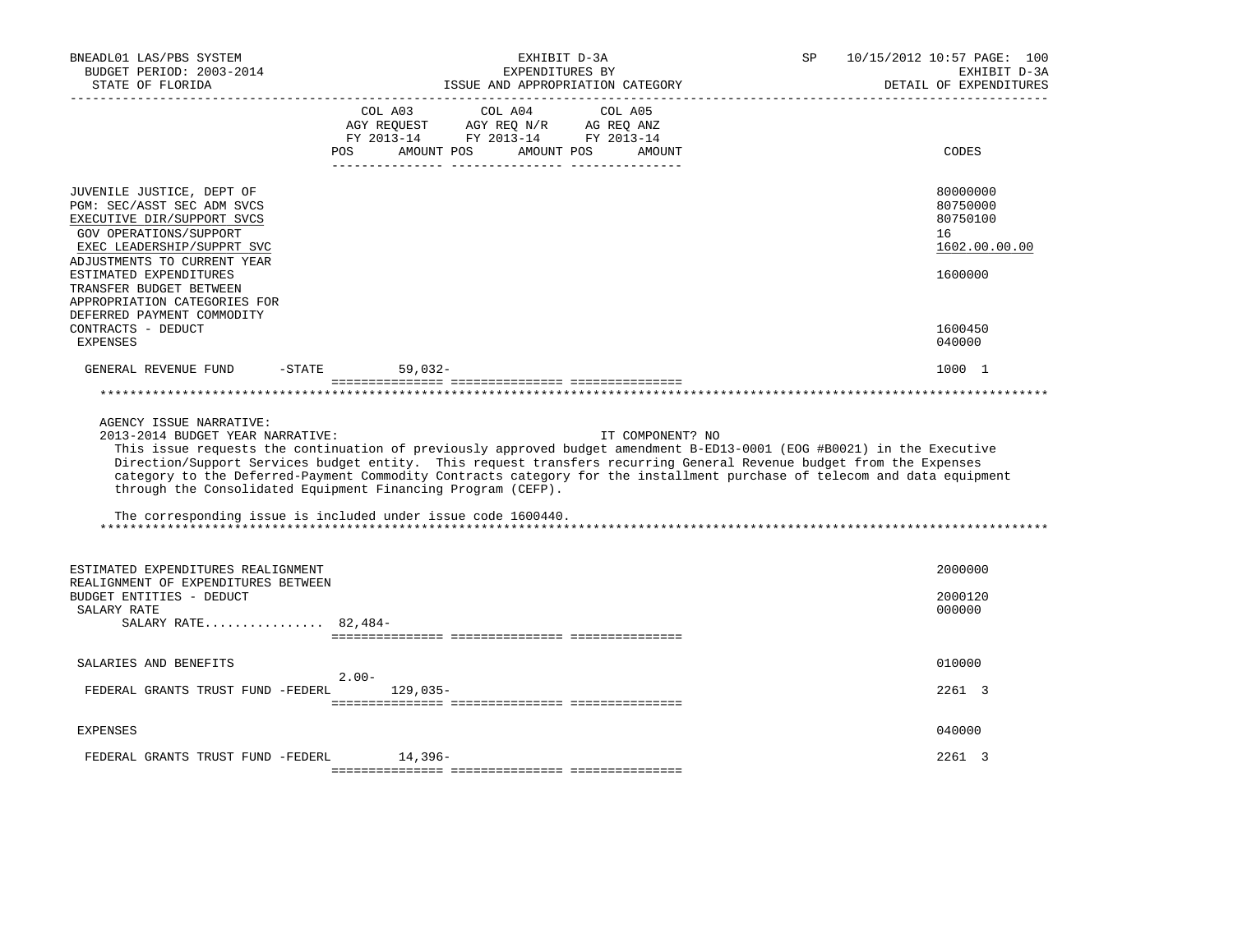| BNEADL01 LAS/PBS SYSTEM<br>BUDGET PERIOD: 2003-2014<br>STATE OF FLORIDA                                                                                                                                                                                                                                                           | EXHIBIT D-3A<br>EXPENDITURES BY<br>ISSUE AND APPROPRIATION CATEGORY                                                                                                                                                                                                                                                                                                                                                                                                                                                            | 10/15/2012 10:57 PAGE: 100<br>SP.<br>EXHIBIT D-3A<br>DETAIL OF EXPENDITURES             |
|-----------------------------------------------------------------------------------------------------------------------------------------------------------------------------------------------------------------------------------------------------------------------------------------------------------------------------------|--------------------------------------------------------------------------------------------------------------------------------------------------------------------------------------------------------------------------------------------------------------------------------------------------------------------------------------------------------------------------------------------------------------------------------------------------------------------------------------------------------------------------------|-----------------------------------------------------------------------------------------|
|                                                                                                                                                                                                                                                                                                                                   | COL A03<br>COL A04<br>COL A05<br>AGY REQUEST AGY REQ N/R<br>AG REQ ANZ<br>FY 2013-14 FY 2013-14 FY 2013-14<br>AMOUNT POS<br>AMOUNT POS<br>POS<br>AMOUNT                                                                                                                                                                                                                                                                                                                                                                        | CODES                                                                                   |
| JUVENILE JUSTICE, DEPT OF<br>PGM: SEC/ASST SEC ADM SVCS<br>EXECUTIVE DIR/SUPPORT SVCS<br>GOV OPERATIONS/SUPPORT<br>EXEC LEADERSHIP/SUPPRT SVC<br>ADJUSTMENTS TO CURRENT YEAR<br>ESTIMATED EXPENDITURES<br>TRANSFER BUDGET BETWEEN<br>APPROPRIATION CATEGORIES FOR<br>DEFERRED PAYMENT COMMODITY<br>CONTRACTS - DEDUCT<br>EXPENSES |                                                                                                                                                                                                                                                                                                                                                                                                                                                                                                                                | 80000000<br>80750000<br>80750100<br>16<br>1602.00.00.00<br>1600000<br>1600450<br>040000 |
| GENERAL REVENUE FUND<br>$-STATE$                                                                                                                                                                                                                                                                                                  | $59,032-$                                                                                                                                                                                                                                                                                                                                                                                                                                                                                                                      | 1000 1                                                                                  |
|                                                                                                                                                                                                                                                                                                                                   |                                                                                                                                                                                                                                                                                                                                                                                                                                                                                                                                |                                                                                         |
| AGENCY ISSUE NARRATIVE:<br>2013-2014 BUDGET YEAR NARRATIVE:                                                                                                                                                                                                                                                                       | IT COMPONENT? NO<br>This issue requests the continuation of previously approved budget amendment B-ED13-0001 (EOG #B0021) in the Executive<br>Direction/Support Services budget entity. This request transfers recurring General Revenue budget from the Expenses<br>category to the Deferred-Payment Commodity Contracts category for the installment purchase of telecom and data equipment<br>through the Consolidated Equipment Financing Program (CEFP).<br>The corresponding issue is included under issue code 1600440. |                                                                                         |
| ESTIMATED EXPENDITURES REALIGNMENT<br>REALIGNMENT OF EXPENDITURES BETWEEN<br>BUDGET ENTITIES - DEDUCT                                                                                                                                                                                                                             |                                                                                                                                                                                                                                                                                                                                                                                                                                                                                                                                | 2000000<br>2000120                                                                      |
| SALARY RATE<br>SALARY RATE 82,484-                                                                                                                                                                                                                                                                                                |                                                                                                                                                                                                                                                                                                                                                                                                                                                                                                                                | 000000                                                                                  |
| SALARIES AND BENEFITS                                                                                                                                                                                                                                                                                                             |                                                                                                                                                                                                                                                                                                                                                                                                                                                                                                                                | 010000                                                                                  |
| FEDERAL GRANTS TRUST FUND -FEDERL                                                                                                                                                                                                                                                                                                 | $2.00 -$<br>$129,035-$                                                                                                                                                                                                                                                                                                                                                                                                                                                                                                         | 2261 3                                                                                  |
| <b>EXPENSES</b>                                                                                                                                                                                                                                                                                                                   |                                                                                                                                                                                                                                                                                                                                                                                                                                                                                                                                | 040000                                                                                  |
| FEDERAL GRANTS TRUST FUND -FEDERL                                                                                                                                                                                                                                                                                                 | 14,396-                                                                                                                                                                                                                                                                                                                                                                                                                                                                                                                        | 2261 3                                                                                  |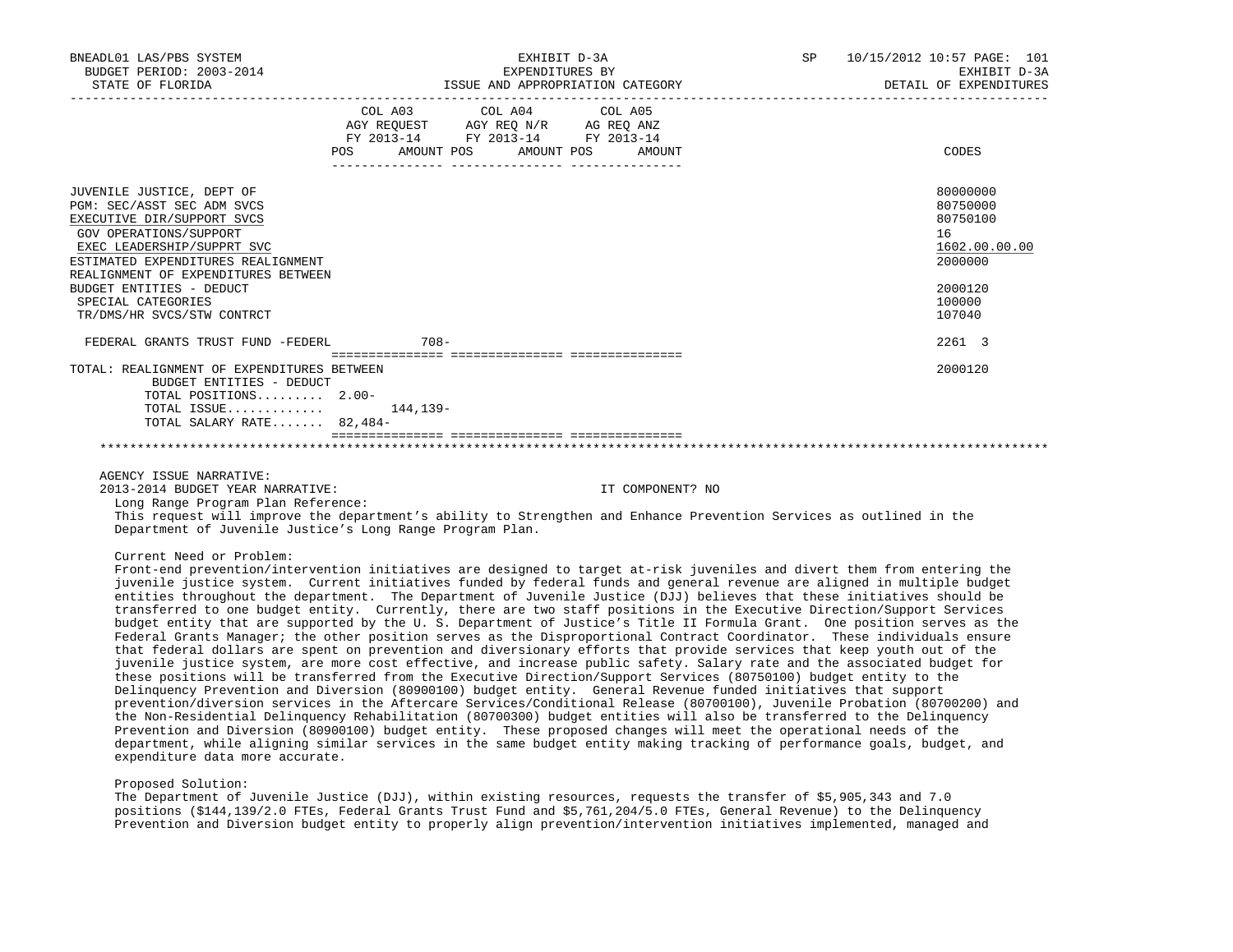| BNEADL01 LAS/PBS SYSTEM<br>BUDGET PERIOD: 2003-2014<br>STATE OF FLORIDA   |                                  | EXHIBIT D-3A<br>EXPENDITURES BY<br>ISSUE AND APPROPRIATION CATEGORY |  | SP 10/15/2012 10:57 PAGE: 101<br>EXHIBIT D-3A<br>DETAIL OF EXPENDITURES |
|---------------------------------------------------------------------------|----------------------------------|---------------------------------------------------------------------|--|-------------------------------------------------------------------------|
|                                                                           |                                  | COL A03 COL A04 COL A05<br>AGY REQUEST AGY REQ N/R AG REQ ANZ       |  |                                                                         |
|                                                                           |                                  | FY 2013-14 FY 2013-14 FY 2013-14                                    |  |                                                                         |
|                                                                           | POS AMOUNT POS AMOUNT POS AMOUNT |                                                                     |  | CODES                                                                   |
| JUVENILE JUSTICE, DEPT OF                                                 |                                  |                                                                     |  | 80000000                                                                |
| PGM: SEC/ASST SEC ADM SVCS                                                |                                  |                                                                     |  | 80750000                                                                |
| EXECUTIVE DIR/SUPPORT SVCS                                                |                                  |                                                                     |  | 80750100                                                                |
| GOV OPERATIONS/SUPPORT                                                    |                                  |                                                                     |  | 16                                                                      |
| EXEC LEADERSHIP/SUPPRT SVC                                                |                                  |                                                                     |  | 1602.00.00.00                                                           |
| ESTIMATED EXPENDITURES REALIGNMENT<br>REALIGNMENT OF EXPENDITURES BETWEEN |                                  |                                                                     |  | 2000000                                                                 |
| BUDGET ENTITIES - DEDUCT                                                  |                                  |                                                                     |  | 2000120                                                                 |
| SPECIAL CATEGORIES                                                        |                                  |                                                                     |  | 100000                                                                  |
| TR/DMS/HR SVCS/STW CONTRCT                                                |                                  |                                                                     |  | 107040                                                                  |
| FEDERAL GRANTS TRUST FUND -FEDERL                                         | $708 -$                          |                                                                     |  | 2261 3                                                                  |
| TOTAL: REALIGNMENT OF EXPENDITURES BETWEEN                                |                                  |                                                                     |  | 2000120                                                                 |
| BUDGET ENTITIES - DEDUCT<br>TOTAL POSITIONS $2.00-$                       |                                  |                                                                     |  |                                                                         |
| TOTAL ISSUE $144.139-$                                                    |                                  |                                                                     |  |                                                                         |
| TOTAL SALARY RATE 82,484-                                                 |                                  |                                                                     |  |                                                                         |
|                                                                           |                                  |                                                                     |  |                                                                         |

2013-2014 BUDGET YEAR NARRATIVE: IT COMPONENT? NO

Long Range Program Plan Reference:

 This request will improve the department's ability to Strengthen and Enhance Prevention Services as outlined in the Department of Juvenile Justice's Long Range Program Plan.

Current Need or Problem:

 Front-end prevention/intervention initiatives are designed to target at-risk juveniles and divert them from entering the juvenile justice system. Current initiatives funded by federal funds and general revenue are aligned in multiple budget entities throughout the department. The Department of Juvenile Justice (DJJ) believes that these initiatives should be transferred to one budget entity. Currently, there are two staff positions in the Executive Direction/Support Services budget entity that are supported by the U. S. Department of Justice's Title II Formula Grant. One position serves as the Federal Grants Manager; the other position serves as the Disproportional Contract Coordinator. These individuals ensure that federal dollars are spent on prevention and diversionary efforts that provide services that keep youth out of the juvenile justice system, are more cost effective, and increase public safety. Salary rate and the associated budget for these positions will be transferred from the Executive Direction/Support Services (80750100) budget entity to the Delinquency Prevention and Diversion (80900100) budget entity. General Revenue funded initiatives that support prevention/diversion services in the Aftercare Services/Conditional Release (80700100), Juvenile Probation (80700200) and the Non-Residential Delinquency Rehabilitation (80700300) budget entities will also be transferred to the Delinquency Prevention and Diversion (80900100) budget entity. These proposed changes will meet the operational needs of the department, while aligning similar services in the same budget entity making tracking of performance goals, budget, and expenditure data more accurate.

Proposed Solution:

 The Department of Juvenile Justice (DJJ), within existing resources, requests the transfer of \$5,905,343 and 7.0 positions (\$144,139/2.0 FTEs, Federal Grants Trust Fund and \$5,761,204/5.0 FTEs, General Revenue) to the Delinquency Prevention and Diversion budget entity to properly align prevention/intervention initiatives implemented, managed and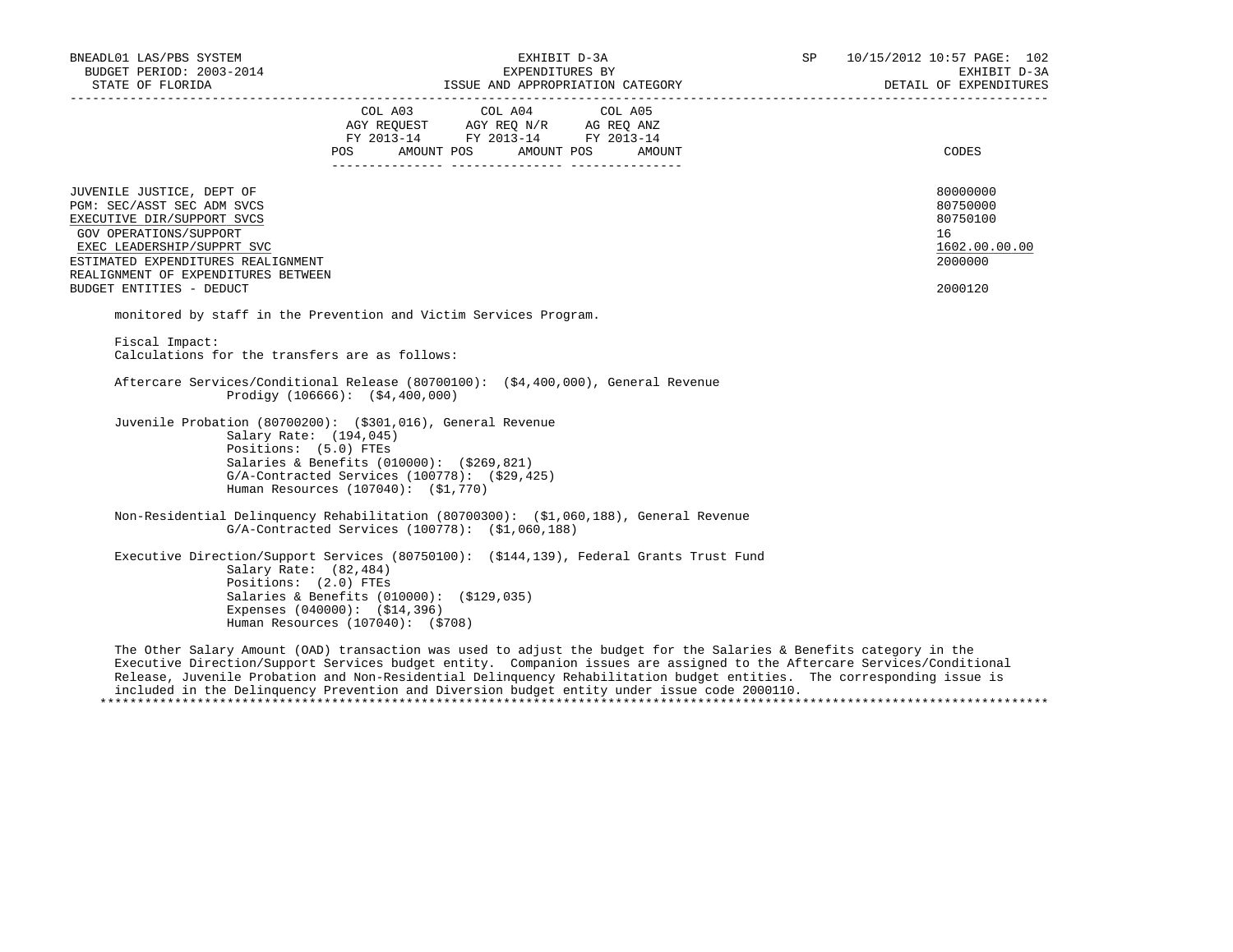| BNEADL01 LAS/PBS SYSTEM<br>BUDGET PERIOD: 2003-2014<br>$153 \text{UE} \quad \text{AND} \quad \text{D1} \quad \text{D2} \quad \text{D3} \quad \text{D4} \quad \text{D5} \quad \text{D5} \quad \text{D6} \quad \text{D7} \quad \text{D8} \quad \text{D8} \quad \text{D9} \quad \text{D8} \quad \text{D9} \quad \text{D8} \quad \text{D9} \quad \text{D8} \quad \text{D9} \quad \text{D8} \quad \text{D9} \quad \text{D9} \quad \text{D8} \quad \text{D9} \quad \text{D9} \quad \text{D9} \quad \text{D9} \quad \text{$ |                                                                                                                                                                                                                                | EXHIBIT D-3A<br>EXPENDITURES BY                                                                                                                                                                                                                                                                                         |                                  | SP <sub>2</sub> | 10/15/2012 10:57 PAGE: 102<br>EXHIBIT D-3A<br>DETAIL OF EXPENDITURES          |
|----------------------------------------------------------------------------------------------------------------------------------------------------------------------------------------------------------------------------------------------------------------------------------------------------------------------------------------------------------------------------------------------------------------------------------------------------------------------------------------------------------------------|--------------------------------------------------------------------------------------------------------------------------------------------------------------------------------------------------------------------------------|-------------------------------------------------------------------------------------------------------------------------------------------------------------------------------------------------------------------------------------------------------------------------------------------------------------------------|----------------------------------|-----------------|-------------------------------------------------------------------------------|
|                                                                                                                                                                                                                                                                                                                                                                                                                                                                                                                      |                                                                                                                                                                                                                                | $\begin{tabular}{lllllllllllll} &\multicolumn{4}{c}{\text{COL A03}} &\multicolumn{4}{c}{\text{COL A04}} &\multicolumn{4}{c}{\text{COL A05}} \\ \multicolumn{4}{c}{\text{AGY REQUEST}} &\multicolumn{4}{c}{\text{AGY REQ N/R}} &\multicolumn{4}{c}{\text{AG REQ ANZ}} \end{tabular}$<br>FY 2013-14 FY 2013-14 FY 2013-14 | POS AMOUNT POS AMOUNT POS AMOUNT |                 | CODES                                                                         |
| JUVENILE JUSTICE, DEPT OF<br>PGM: SEC/ASST SEC ADM SVCS<br>EXECUTIVE DIR/SUPPORT SVCS<br>GOV OPERATIONS/SUPPORT<br>EXEC LEADERSHIP/SUPPRT SVC<br>ESTIMATED EXPENDITURES REALIGNMENT<br>REALIGNMENT OF EXPENDITURES BETWEEN<br>BUDGET ENTITIES - DEDUCT                                                                                                                                                                                                                                                               |                                                                                                                                                                                                                                |                                                                                                                                                                                                                                                                                                                         |                                  |                 | 80000000<br>80750000<br>80750100<br>16<br>1602.00.00.00<br>2000000<br>2000120 |
| monitored by staff in the Prevention and Victim Services Program.<br>Fiscal Impact:<br>Calculations for the transfers are as follows:<br>Aftercare Services/Conditional Release (80700100): (\$4,400,000), General Revenue                                                                                                                                                                                                                                                                                           |                                                                                                                                                                                                                                |                                                                                                                                                                                                                                                                                                                         |                                  |                 |                                                                               |
| Juvenile Probation (80700200): (\$301,016), General Revenue                                                                                                                                                                                                                                                                                                                                                                                                                                                          | Prodigy $(106666):$ $(§4,400,000)$<br>Salary Rate: (194,045)<br>Positions: (5.0) FTEs<br>Salaries & Benefits (010000): (\$269,821)<br>$G/A$ -Contracted Services (100778): $(529, 425)$<br>Human Resources (107040): (\$1,770) |                                                                                                                                                                                                                                                                                                                         |                                  |                 |                                                                               |
| Non-Residential Delinquency Rehabilitation (80700300): (\$1,060,188), General Revenue                                                                                                                                                                                                                                                                                                                                                                                                                                | G/A-Contracted Services (100778): (\$1,060,188)                                                                                                                                                                                |                                                                                                                                                                                                                                                                                                                         |                                  |                 |                                                                               |
| Executive Direction/Support Services (80750100): (\$144,139), Federal Grants Trust Fund                                                                                                                                                                                                                                                                                                                                                                                                                              | Salary Rate: $(82, 484)$<br>Positions: (2.0) FTEs<br>Salaries & Benefits (010000): (\$129,035)<br>Expenses $(040000)$ : $(514, 396)$<br>Human Resources (107040): (\$708)                                                      |                                                                                                                                                                                                                                                                                                                         |                                  |                 |                                                                               |
| The Other Salary Amount (OAD) transaction was used to adjust the budget for the Salaries & Benefits category in the<br>Executive Direction/Support Services budget entity. Companion issues are assigned to the Aftercare Services/Conditional<br>Release, Juvenile Probation and Non-Residential Delinquency Rehabilitation budget entities. The corresponding issue is                                                                                                                                             |                                                                                                                                                                                                                                |                                                                                                                                                                                                                                                                                                                         |                                  |                 |                                                                               |

included in the Delinquency Prevention and Diversion budget entity under issue code 2000110.

\*\*\*\*\*\*\*\*\*\*\*\*\*\*\*\*\*\*\*\*\*\*\*\*\*\*\*\*\*\*\*\*\*\*\*\*\*\*\*\*\*\*\*\*\*\*\*\*\*\*\*\*\*\*\*\*\*\*\*\*\*\*\*\*\*\*\*\*\*\*\*\*\*\*\*\*\*\*\*\*\*\*\*\*\*\*\*\*\*\*\*\*\*\*\*\*\*\*\*\*\*\*\*\*\*\*\*\*\*\*\*\*\*\*\*\*\*\*\*\*\*\*\*\*\*\*\*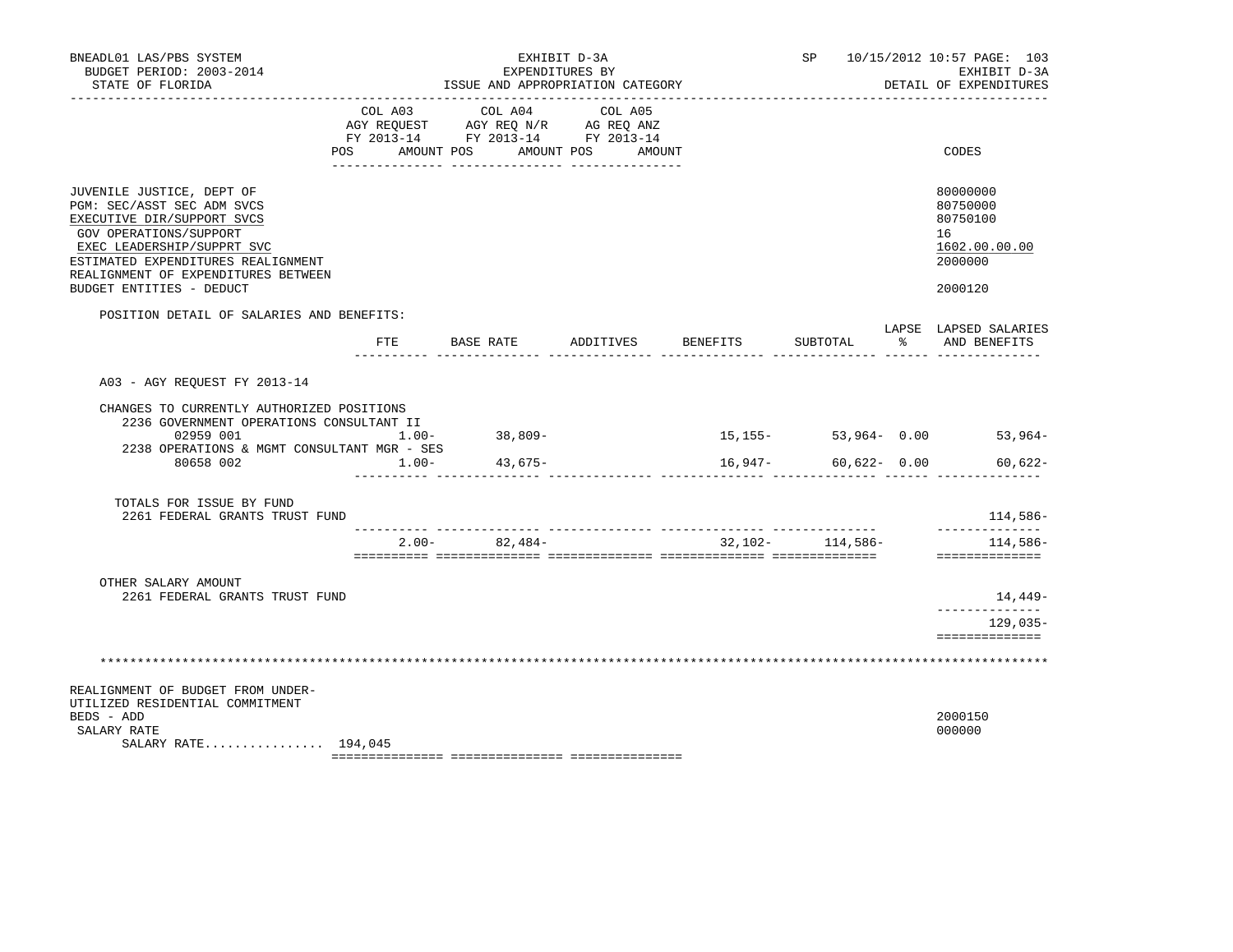| BNEADL01 LAS/PBS SYSTEM<br>BUDGET PERIOD: 2003-2014<br>STATE OF FLORIDA                                                                                                                                                                                |                                          | EXHIBIT D-3A<br>EXPENDITURES BY<br>ISSUE AND APPROPRIATION CATEGORY   |                              |                                  |                      |    | SP 10/15/2012 10:57 PAGE: 103<br>EXHIBIT D-3A<br>DETAIL OF EXPENDITURES       |
|--------------------------------------------------------------------------------------------------------------------------------------------------------------------------------------------------------------------------------------------------------|------------------------------------------|-----------------------------------------------------------------------|------------------------------|----------------------------------|----------------------|----|-------------------------------------------------------------------------------|
|                                                                                                                                                                                                                                                        | COL A03<br>AGY REOUEST<br>POS AMOUNT POS | COL A04<br>AGY REQ N/R AG REQ ANZ<br>FY 2013-14 FY 2013-14 FY 2013-14 | COL A05<br>AMOUNT POS AMOUNT |                                  |                      |    | CODES                                                                         |
| JUVENILE JUSTICE, DEPT OF<br>PGM: SEC/ASST SEC ADM SVCS<br>EXECUTIVE DIR/SUPPORT SVCS<br>GOV OPERATIONS/SUPPORT<br>EXEC LEADERSHIP/SUPPRT SVC<br>ESTIMATED EXPENDITURES REALIGNMENT<br>REALIGNMENT OF EXPENDITURES BETWEEN<br>BUDGET ENTITIES - DEDUCT |                                          |                                                                       |                              |                                  |                      |    | 80000000<br>80750000<br>80750100<br>16<br>1602.00.00.00<br>2000000<br>2000120 |
| POSITION DETAIL OF SALARIES AND BENEFITS:                                                                                                                                                                                                              |                                          |                                                                       |                              |                                  |                      |    |                                                                               |
|                                                                                                                                                                                                                                                        | FTE                                      | BASE RATE                                                             | ADDITIVES                    | BENEFITS                         | SUBTOTAL             | ႜၟ | LAPSE LAPSED SALARIES<br>AND BENEFITS                                         |
| A03 - AGY REQUEST FY 2013-14                                                                                                                                                                                                                           |                                          |                                                                       |                              |                                  |                      |    |                                                                               |
| CHANGES TO CURRENTLY AUTHORIZED POSITIONS<br>2236 GOVERNMENT OPERATIONS CONSULTANT II<br>02959 001<br>2238 OPERATIONS & MGMT CONSULTANT MGR - SES<br>80658 002                                                                                         | $1.00 -$<br>$1.00-$                      | 38,809-<br>43,675-                                                    |                              | 16,947-                          | $60,622 - 0.00$      |    | $15, 155 - 53, 964 - 0.00$ 53,964-<br>$60,622 -$                              |
| TOTALS FOR ISSUE BY FUND<br>2261 FEDERAL GRANTS TRUST FUND                                                                                                                                                                                             |                                          |                                                                       |                              |                                  |                      |    | 114,586-                                                                      |
|                                                                                                                                                                                                                                                        | $2.00 -$                                 | 82,484-                                                               |                              | ________________________________ | $32,102 - 114,586 -$ |    | . <u>.</u> .<br>114,586-<br>==============                                    |
| OTHER SALARY AMOUNT<br>2261 FEDERAL GRANTS TRUST FUND                                                                                                                                                                                                  |                                          |                                                                       |                              |                                  |                      |    | 14,449-                                                                       |
|                                                                                                                                                                                                                                                        |                                          |                                                                       |                              |                                  |                      |    | ------------<br>129,035-                                                      |
|                                                                                                                                                                                                                                                        |                                          |                                                                       |                              |                                  |                      |    | ==============                                                                |
| REALIGNMENT OF BUDGET FROM UNDER-<br>UTILIZED RESIDENTIAL COMMITMENT<br>BEDS - ADD<br>SALARY RATE<br>SALARY RATE 194,045                                                                                                                               |                                          |                                                                       |                              |                                  |                      |    | 2000150<br>000000                                                             |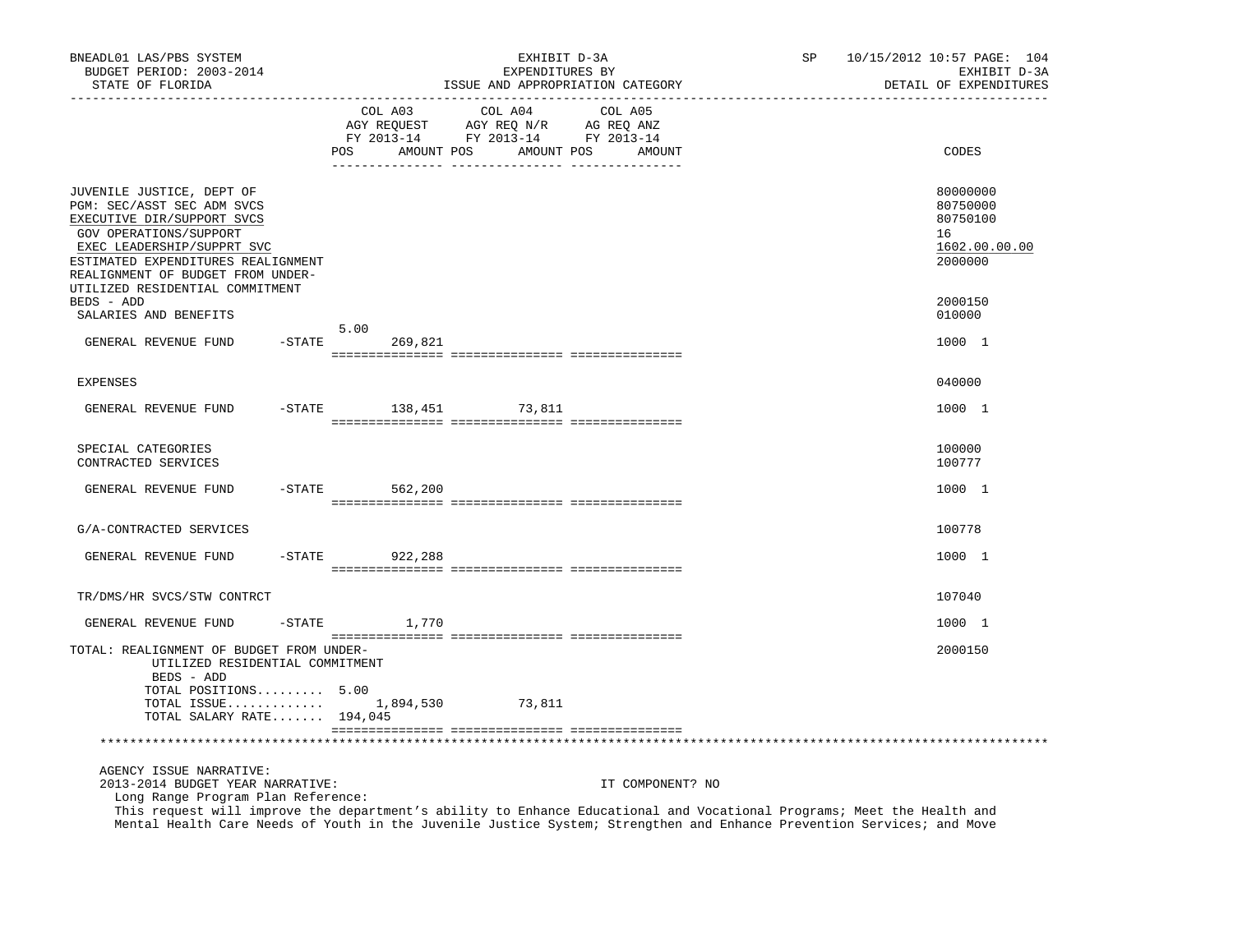| BNEADL01 LAS/PBS SYSTEM<br>BUDGET PERIOD: 2003-2014<br>STATE OF FLORIDA<br>---------------                                                                                                                                                                  |           |                              | EXHIBIT D-3A<br>EXPENDITURES BY                                                                 | ISSUE AND APPROPRIATION CATEGORY | SP | 10/15/2012 10:57 PAGE: 104<br>EXHIBIT D-3A<br>DETAIL OF EXPENDITURES |
|-------------------------------------------------------------------------------------------------------------------------------------------------------------------------------------------------------------------------------------------------------------|-----------|------------------------------|-------------------------------------------------------------------------------------------------|----------------------------------|----|----------------------------------------------------------------------|
|                                                                                                                                                                                                                                                             |           | COL A03<br>AMOUNT POS<br>POS | COL A04<br>AGY REQUEST AGY REQ N/R AG REQ ANZ<br>FY 2013-14 FY 2013-14 FY 2013-14<br>AMOUNT POS | COL A05<br>AMOUNT                |    | CODES                                                                |
|                                                                                                                                                                                                                                                             |           |                              |                                                                                                 |                                  |    |                                                                      |
| JUVENILE JUSTICE, DEPT OF<br>PGM: SEC/ASST SEC ADM SVCS<br>EXECUTIVE DIR/SUPPORT SVCS<br>GOV OPERATIONS/SUPPORT<br>EXEC LEADERSHIP/SUPPRT SVC<br>ESTIMATED EXPENDITURES REALIGNMENT<br>REALIGNMENT OF BUDGET FROM UNDER-<br>UTILIZED RESIDENTIAL COMMITMENT |           |                              |                                                                                                 |                                  |    | 80000000<br>80750000<br>80750100<br>16<br>1602.00.00.00<br>2000000   |
| BEDS - ADD                                                                                                                                                                                                                                                  |           |                              |                                                                                                 |                                  |    | 2000150                                                              |
| SALARIES AND BENEFITS                                                                                                                                                                                                                                       |           |                              |                                                                                                 |                                  |    | 010000                                                               |
| GENERAL REVENUE FUND                                                                                                                                                                                                                                        | $-$ STATE | 5.00<br>269,821              |                                                                                                 |                                  |    | 1000 1                                                               |
| <b>EXPENSES</b>                                                                                                                                                                                                                                             |           |                              |                                                                                                 |                                  |    | 040000                                                               |
| GENERAL REVENUE FUND                                                                                                                                                                                                                                        | $-STATE$  | 138,451                      | 73,811                                                                                          |                                  |    | 1000 1                                                               |
| SPECIAL CATEGORIES<br>CONTRACTED SERVICES                                                                                                                                                                                                                   |           |                              |                                                                                                 |                                  |    | 100000<br>100777                                                     |
| GENERAL REVENUE FUND                                                                                                                                                                                                                                        |           | $-STATE$ 562,200             |                                                                                                 |                                  |    | 1000 1                                                               |
| G/A-CONTRACTED SERVICES                                                                                                                                                                                                                                     |           |                              |                                                                                                 |                                  |    | 100778                                                               |
| GENERAL REVENUE FUND                                                                                                                                                                                                                                        |           | -STATE 922,288               |                                                                                                 |                                  |    | 1000 1                                                               |
| TR/DMS/HR SVCS/STW CONTRCT                                                                                                                                                                                                                                  |           |                              |                                                                                                 |                                  |    | 107040                                                               |
| GENERAL REVENUE FUND                                                                                                                                                                                                                                        | $-$ STATE | 1,770                        |                                                                                                 |                                  |    | 1000 1                                                               |
| TOTAL: REALIGNMENT OF BUDGET FROM UNDER-<br>UTILIZED RESIDENTIAL COMMITMENT<br>BEDS - ADD<br>TOTAL POSITIONS 5.00<br>TOTAL ISSUE $1,894,530$                                                                                                                |           |                              | 73,811                                                                                          |                                  |    | 2000150                                                              |
| TOTAL SALARY RATE 194,045                                                                                                                                                                                                                                   |           |                              |                                                                                                 |                                  |    |                                                                      |
|                                                                                                                                                                                                                                                             |           |                              |                                                                                                 |                                  |    |                                                                      |
| AGENCY ISSUE NARRATIVE:<br>2013-2014 BUDGET YEAR NARRATIVE:<br>Long Range Program Plan Reference:                                                                                                                                                           |           |                              |                                                                                                 | IT COMPONENT? NO                 |    |                                                                      |

 This request will improve the department's ability to Enhance Educational and Vocational Programs; Meet the Health and Mental Health Care Needs of Youth in the Juvenile Justice System; Strengthen and Enhance Prevention Services; and Move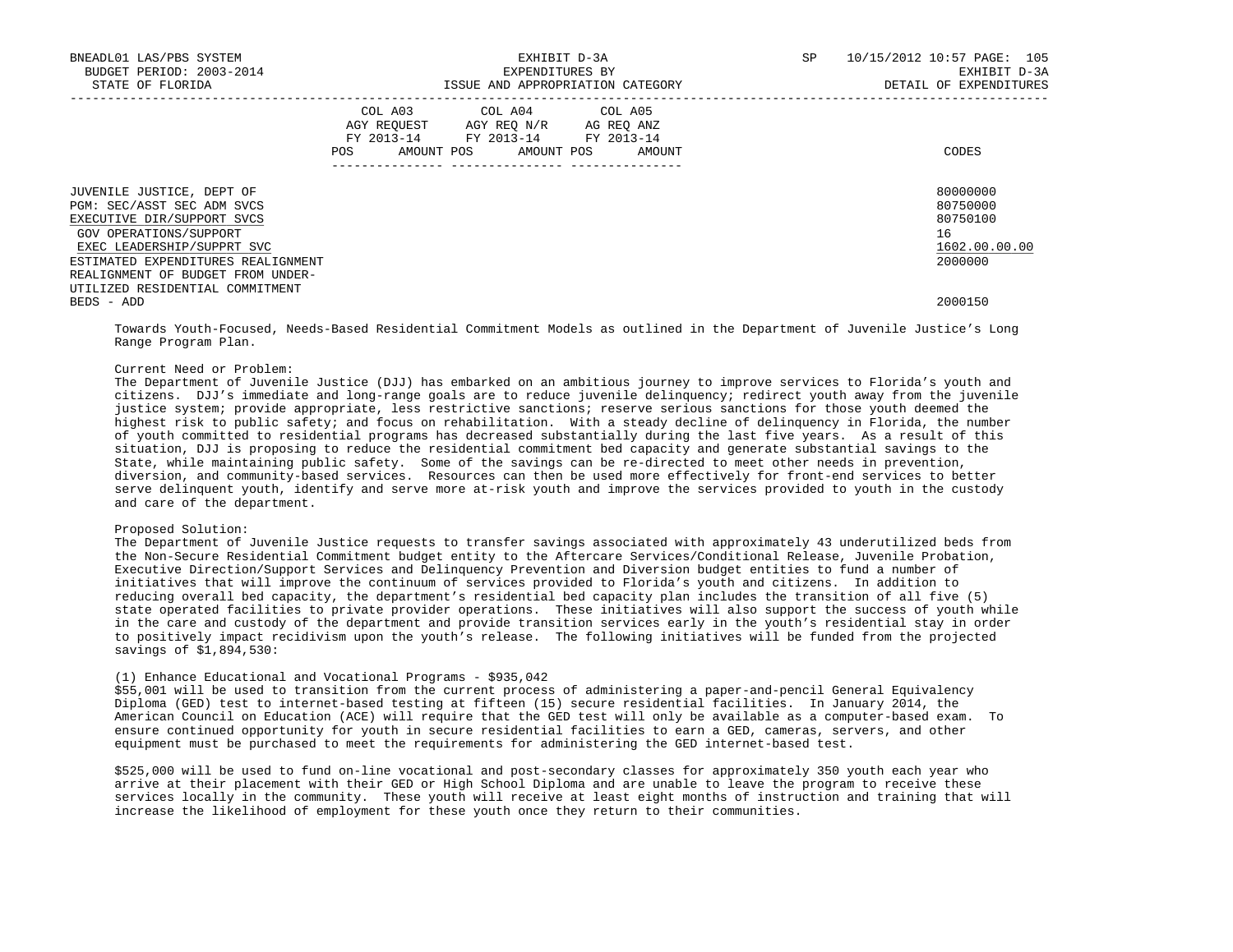| BNEADL01 LAS/PBS SYSTEM<br>BUDGET PERIOD: 2003-2014<br>STATE OF FLORIDA                                                                                                                                                  |     | EXHIBIT D-3A<br>EXPENDITURES BY<br>ISSUE AND APPROPRIATION CATEGORY                                                        | SP     | 10/15/2012 10:57 PAGE: 105<br>EXHIBIT D-3A<br>DETAIL OF EXPENDITURES |                                                                    |
|--------------------------------------------------------------------------------------------------------------------------------------------------------------------------------------------------------------------------|-----|----------------------------------------------------------------------------------------------------------------------------|--------|----------------------------------------------------------------------|--------------------------------------------------------------------|
|                                                                                                                                                                                                                          | POS | COL A03 COL A04 COL A05<br>AGY REQUEST AGY REQ N/R AG REQ ANZ<br>FY 2013-14 FY 2013-14 FY 2013-14<br>AMOUNT POS AMOUNT POS | AMOUNT |                                                                      | CODES                                                              |
| JUVENILE JUSTICE, DEPT OF<br>PGM: SEC/ASST SEC ADM SVCS<br>EXECUTIVE DIR/SUPPORT SVCS<br>GOV OPERATIONS/SUPPORT<br>EXEC LEADERSHIP/SUPPRT SVC<br>ESTIMATED EXPENDITURES REALIGNMENT<br>REALIGNMENT OF BUDGET FROM UNDER- |     |                                                                                                                            |        |                                                                      | 80000000<br>80750000<br>80750100<br>16<br>1602.00.00.00<br>2000000 |
| UTILIZED RESIDENTIAL COMMITMENT<br>BEDS - ADD                                                                                                                                                                            |     |                                                                                                                            |        |                                                                      | 2000150                                                            |

 Towards Youth-Focused, Needs-Based Residential Commitment Models as outlined in the Department of Juvenile Justice's Long Range Program Plan.

## Current Need or Problem:

 The Department of Juvenile Justice (DJJ) has embarked on an ambitious journey to improve services to Florida's youth and citizens. DJJ's immediate and long-range goals are to reduce juvenile delinquency; redirect youth away from the juvenile justice system; provide appropriate, less restrictive sanctions; reserve serious sanctions for those youth deemed the highest risk to public safety; and focus on rehabilitation. With a steady decline of delinquency in Florida, the number of youth committed to residential programs has decreased substantially during the last five years. As a result of this situation, DJJ is proposing to reduce the residential commitment bed capacity and generate substantial savings to the State, while maintaining public safety. Some of the savings can be re-directed to meet other needs in prevention, diversion, and community-based services. Resources can then be used more effectively for front-end services to better serve delinquent youth, identify and serve more at-risk youth and improve the services provided to youth in the custody and care of the department.

## Proposed Solution:

 The Department of Juvenile Justice requests to transfer savings associated with approximately 43 underutilized beds from the Non-Secure Residential Commitment budget entity to the Aftercare Services/Conditional Release, Juvenile Probation, Executive Direction/Support Services and Delinquency Prevention and Diversion budget entities to fund a number of initiatives that will improve the continuum of services provided to Florida's youth and citizens. In addition to reducing overall bed capacity, the department's residential bed capacity plan includes the transition of all five (5) state operated facilities to private provider operations. These initiatives will also support the success of youth while in the care and custody of the department and provide transition services early in the youth's residential stay in order to positively impact recidivism upon the youth's release. The following initiatives will be funded from the projected savings of \$1,894,530:

## (1) Enhance Educational and Vocational Programs - \$935,042

 \$55,001 will be used to transition from the current process of administering a paper-and-pencil General Equivalency Diploma (GED) test to internet-based testing at fifteen (15) secure residential facilities. In January 2014, the American Council on Education (ACE) will require that the GED test will only be available as a computer-based exam. To ensure continued opportunity for youth in secure residential facilities to earn a GED, cameras, servers, and other equipment must be purchased to meet the requirements for administering the GED internet-based test.

 \$525,000 will be used to fund on-line vocational and post-secondary classes for approximately 350 youth each year who arrive at their placement with their GED or High School Diploma and are unable to leave the program to receive these services locally in the community. These youth will receive at least eight months of instruction and training that will increase the likelihood of employment for these youth once they return to their communities.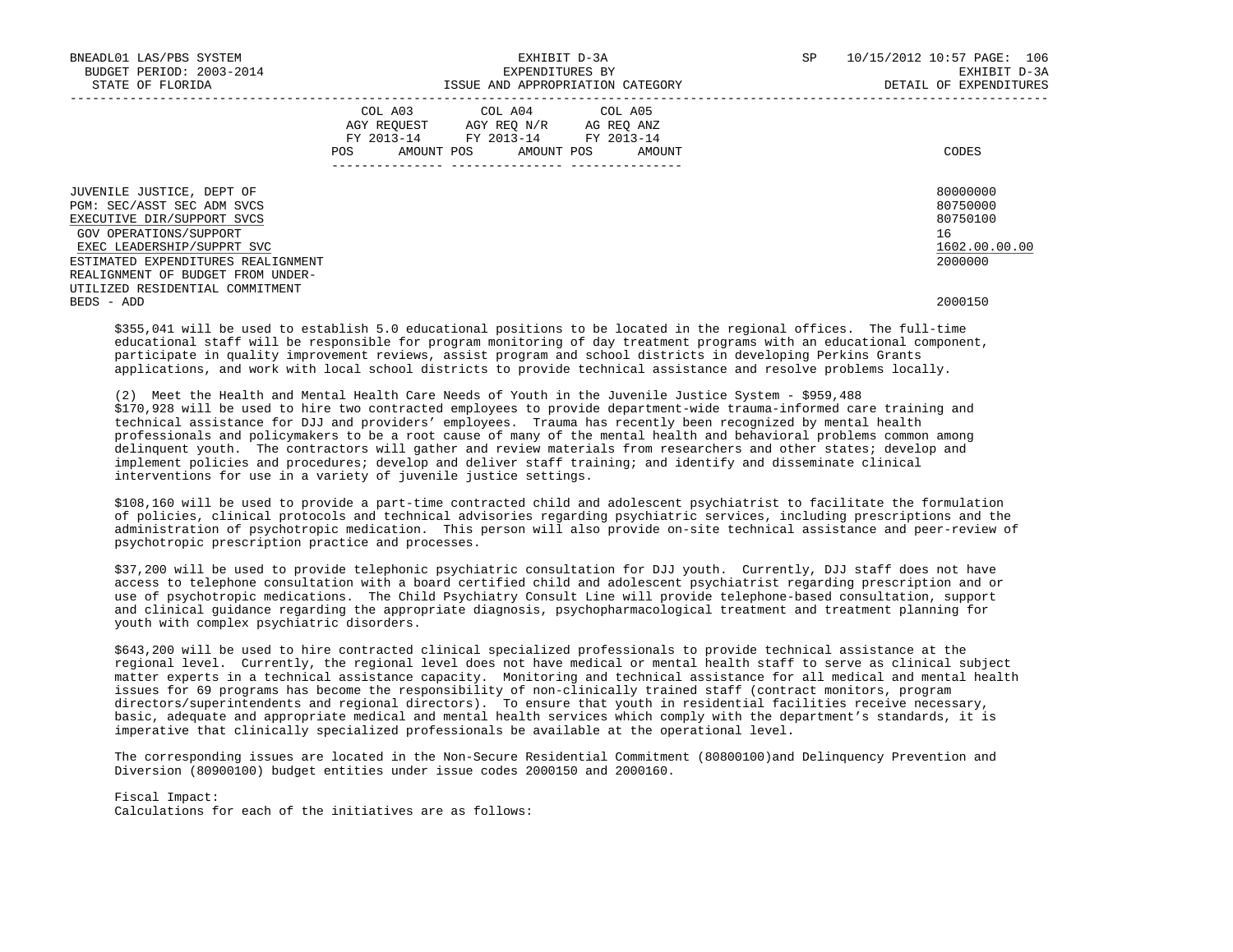| BNEADL01 LAS/PBS SYSTEM<br>BUDGET PERIOD: 2003-2014<br>STATE OF FLORIDA                                                                                                                                                  | EXHIBIT D-3A<br>EXPENDITURES BY<br>ISSUE AND APPROPRIATION CATEGORY |                                                                                                                            |        | SP | 10/15/2012 10:57 PAGE: 106<br>EXHIBIT D-3A<br>DETAIL OF EXPENDITURES |
|--------------------------------------------------------------------------------------------------------------------------------------------------------------------------------------------------------------------------|---------------------------------------------------------------------|----------------------------------------------------------------------------------------------------------------------------|--------|----|----------------------------------------------------------------------|
|                                                                                                                                                                                                                          | POS                                                                 | COL A03 COL A04 COL A05<br>AGY REQUEST AGY REQ N/R AG REQ ANZ<br>FY 2013-14 FY 2013-14 FY 2013-14<br>AMOUNT POS AMOUNT POS | AMOUNT |    | CODES                                                                |
| JUVENILE JUSTICE, DEPT OF<br>PGM: SEC/ASST SEC ADM SVCS<br>EXECUTIVE DIR/SUPPORT SVCS<br>GOV OPERATIONS/SUPPORT<br>EXEC LEADERSHIP/SUPPRT SVC<br>ESTIMATED EXPENDITURES REALIGNMENT<br>REALIGNMENT OF BUDGET FROM UNDER- |                                                                     |                                                                                                                            |        |    | 80000000<br>80750000<br>80750100<br>16<br>1602.00.00.00<br>2000000   |
| UTILIZED RESIDENTIAL COMMITMENT<br>BEDS - ADD                                                                                                                                                                            |                                                                     |                                                                                                                            |        |    | 2000150                                                              |

 \$355,041 will be used to establish 5.0 educational positions to be located in the regional offices. The full-time educational staff will be responsible for program monitoring of day treatment programs with an educational component, participate in quality improvement reviews, assist program and school districts in developing Perkins Grants applications, and work with local school districts to provide technical assistance and resolve problems locally.

 (2) Meet the Health and Mental Health Care Needs of Youth in the Juvenile Justice System - \$959,488 \$170,928 will be used to hire two contracted employees to provide department-wide trauma-informed care training and technical assistance for DJJ and providers' employees. Trauma has recently been recognized by mental health professionals and policymakers to be a root cause of many of the mental health and behavioral problems common among delinquent youth. The contractors will gather and review materials from researchers and other states; develop and implement policies and procedures; develop and deliver staff training; and identify and disseminate clinical interventions for use in a variety of juvenile justice settings.

 \$108,160 will be used to provide a part-time contracted child and adolescent psychiatrist to facilitate the formulation of policies, clinical protocols and technical advisories regarding psychiatric services, including prescriptions and the administration of psychotropic medication. This person will also provide on-site technical assistance and peer-review of psychotropic prescription practice and processes.

 \$37,200 will be used to provide telephonic psychiatric consultation for DJJ youth. Currently, DJJ staff does not have access to telephone consultation with a board certified child and adolescent psychiatrist regarding prescription and or use of psychotropic medications. The Child Psychiatry Consult Line will provide telephone-based consultation, support and clinical guidance regarding the appropriate diagnosis, psychopharmacological treatment and treatment planning for youth with complex psychiatric disorders.

 \$643,200 will be used to hire contracted clinical specialized professionals to provide technical assistance at the regional level. Currently, the regional level does not have medical or mental health staff to serve as clinical subject matter experts in a technical assistance capacity. Monitoring and technical assistance for all medical and mental health issues for 69 programs has become the responsibility of non-clinically trained staff (contract monitors, program directors/superintendents and regional directors). To ensure that youth in residential facilities receive necessary, basic, adequate and appropriate medical and mental health services which comply with the department's standards, it is imperative that clinically specialized professionals be available at the operational level.

 The corresponding issues are located in the Non-Secure Residential Commitment (80800100)and Delinquency Prevention and Diversion (80900100) budget entities under issue codes 2000150 and 2000160.

Fiscal Impact:

Calculations for each of the initiatives are as follows: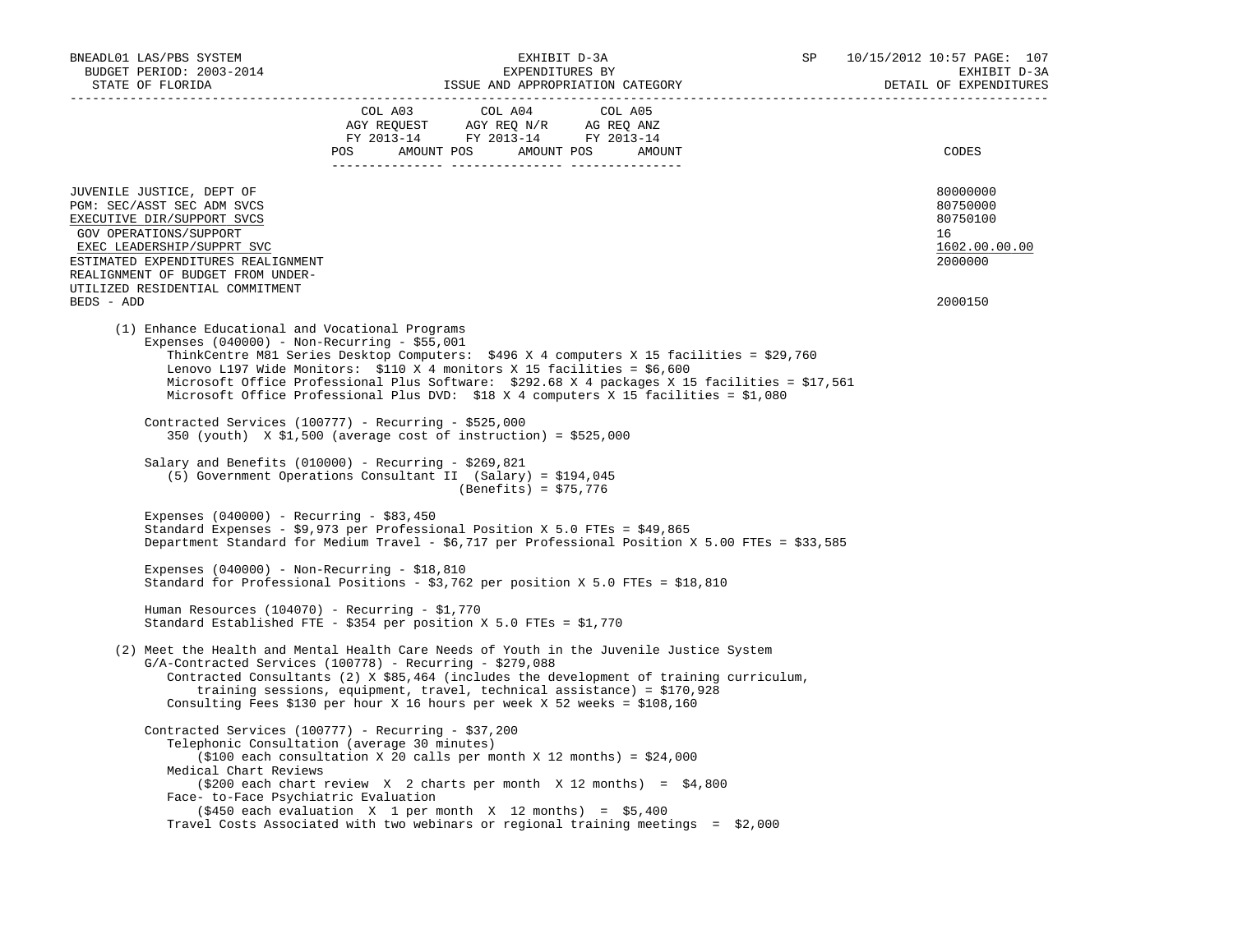| BNEADL01 LAS/PBS SYSTEM<br>BUDGET PERIOD: 2003-2014<br>STATE OF FLORIDA                                                                                                                                                                                                   | EXHIBIT D-3A<br>EXPENDITURES BY<br>ISSUE AND APPROPRIATION CATEGORY                                                                                                                                                                                                                                                                                                                                                                                                                      |                       |                                                                                                                                                                                                                                                                                   | SP | 10/15/2012 10:57 PAGE: 107<br>EXHIBIT D-3A<br>DETAIL OF EXPENDITURES          |
|---------------------------------------------------------------------------------------------------------------------------------------------------------------------------------------------------------------------------------------------------------------------------|------------------------------------------------------------------------------------------------------------------------------------------------------------------------------------------------------------------------------------------------------------------------------------------------------------------------------------------------------------------------------------------------------------------------------------------------------------------------------------------|-----------------------|-----------------------------------------------------------------------------------------------------------------------------------------------------------------------------------------------------------------------------------------------------------------------------------|----|-------------------------------------------------------------------------------|
|                                                                                                                                                                                                                                                                           | $\begin{tabular}{lllllllllll} &\multicolumn{4}{c}{\text{COL A03}} &\multicolumn{4}{c}{\text{COL A04}} &\multicolumn{4}{c}{\text{COL A05}}\\ &\multicolumn{4}{c}{\text{AGY REQUEST}} &\multicolumn{4}{c}{\text{AGY REQ N/R}} &\multicolumn{4}{c}{\text{AG REQ ANZ}}\\ &\multicolumn{4}{c}{\text{AGY REQ N/R}} &\multicolumn{4}{c}{\text{AG REQ ANZ}}\\ &\multicolumn{4}{c}{\text{FY 2013--14}} &\multicolumn{4}{c}{\text{FY 2013--14}} &\multicolumn$<br>POS AMOUNT POS AMOUNT POS AMOUNT |                       |                                                                                                                                                                                                                                                                                   |    | CODES                                                                         |
| JUVENILE JUSTICE, DEPT OF<br>PGM: SEC/ASST SEC ADM SVCS<br>EXECUTIVE DIR/SUPPORT SVCS<br>GOV OPERATIONS/SUPPORT<br>EXEC LEADERSHIP/SUPPRT SVC<br>ESTIMATED EXPENDITURES REALIGNMENT<br>REALIGNMENT OF BUDGET FROM UNDER-<br>UTILIZED RESIDENTIAL COMMITMENT<br>BEDS - ADD |                                                                                                                                                                                                                                                                                                                                                                                                                                                                                          |                       |                                                                                                                                                                                                                                                                                   |    | 80000000<br>80750000<br>80750100<br>16<br>1602.00.00.00<br>2000000<br>2000150 |
| (1) Enhance Educational and Vocational Programs<br>Expenses $(040000)$ - Non-Recurring - \$55,001<br>Lenovo L197 Wide Monitors: \$110 X 4 monitors X 15 facilities = \$6,600                                                                                              |                                                                                                                                                                                                                                                                                                                                                                                                                                                                                          |                       | ThinkCentre M81 Series Desktop Computers: \$496 X 4 computers X 15 facilities = \$29,760<br>Microsoft Office Professional Plus Software: \$292.68 X 4 packages X 15 facilities = \$17,561<br>Microsoft Office Professional Plus DVD: \$18 X 4 computers X 15 facilities = \$1,080 |    |                                                                               |
| Contracted Services (100777) - Recurring - \$525,000<br>350 (youth) $X$ \$1,500 (average cost of instruction) = \$525,000                                                                                                                                                 |                                                                                                                                                                                                                                                                                                                                                                                                                                                                                          |                       |                                                                                                                                                                                                                                                                                   |    |                                                                               |
| Salary and Benefits (010000) - Recurring - \$269,821<br>(5) Government Operations Consultant II (Salary) = \$194,045                                                                                                                                                      |                                                                                                                                                                                                                                                                                                                                                                                                                                                                                          | (Benefits) = \$75,776 |                                                                                                                                                                                                                                                                                   |    |                                                                               |
| Expenses $(040000)$ - Recurring - \$83,450<br>Standard Expenses - \$9,973 per Professional Position X 5.0 FTEs = \$49,865<br>Department Standard for Medium Travel - \$6,717 per Professional Position X 5.00 FTEs = \$33,585                                             |                                                                                                                                                                                                                                                                                                                                                                                                                                                                                          |                       |                                                                                                                                                                                                                                                                                   |    |                                                                               |
| Expenses $(040000)$ - Non-Recurring - \$18,810<br>Standard for Professional Positions - \$3,762 per position X 5.0 FTEs = \$18,810                                                                                                                                        |                                                                                                                                                                                                                                                                                                                                                                                                                                                                                          |                       |                                                                                                                                                                                                                                                                                   |    |                                                                               |
| Human Resources (104070) - Recurring - $$1,770$<br>Standard Established FTE - \$354 per position X 5.0 FTEs = \$1,770                                                                                                                                                     |                                                                                                                                                                                                                                                                                                                                                                                                                                                                                          |                       |                                                                                                                                                                                                                                                                                   |    |                                                                               |
| (2) Meet the Health and Mental Health Care Needs of Youth in the Juvenile Justice System<br>$G/A$ -Contracted Services (100778) - Recurring - \$279,088<br>Consulting Fees \$130 per hour X 16 hours per week X 52 weeks = \$108,160                                      | training sessions, equipment, travel, technical assistance) = $$170,928$                                                                                                                                                                                                                                                                                                                                                                                                                 |                       | Contracted Consultants (2) X \$85,464 (includes the development of training curriculum,                                                                                                                                                                                           |    |                                                                               |
| Contracted Services (100777) - Recurring - \$37,200<br>Telephonic Consultation (average 30 minutes)<br>Medical Chart Reviews<br>Face- to-Face Psychiatric Evaluation                                                                                                      | $(\text{$}100 \text{ each} \text{ consultation} \text{ X } 20 \text{ calls} \text{ per} \text{ month} \text{ X } 12 \text{ months}) = \$24,000$<br>$(\$200$ each chart review X 2 charts per month X 12 months) = $\$4,800$<br>$(\$450$ each evaluation X 1 per month X 12 months) = $\$5,400$                                                                                                                                                                                           |                       | Travel Costs Associated with two webinars or regional training meetings = \$2,000                                                                                                                                                                                                 |    |                                                                               |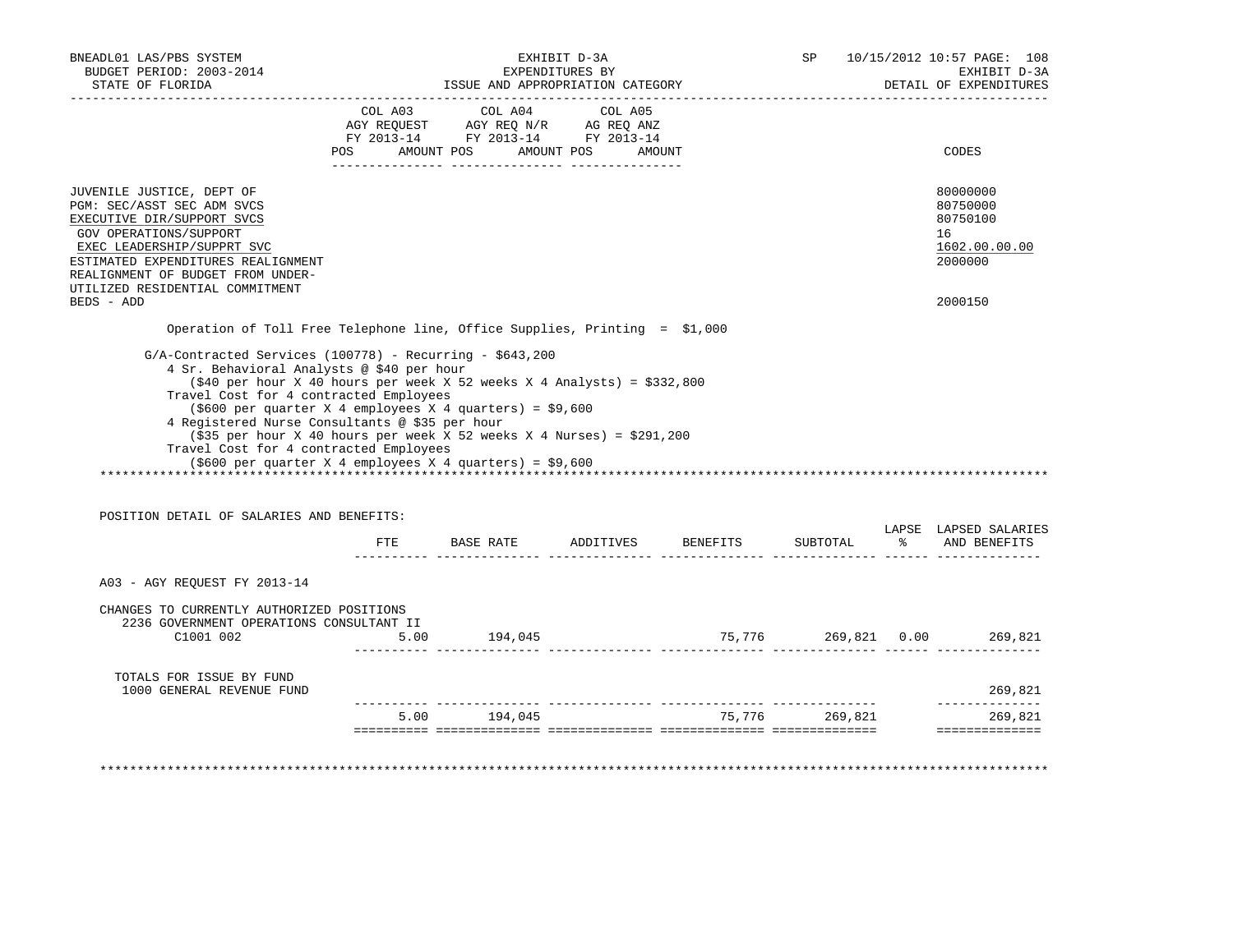| BNEADL01 LAS/PBS SYSTEM<br>BUDGET PERIOD: 2003-2014<br>STATE OF FLORIDA                                                                                                                                                                                                                                                                                                                                                                                   | EXHIBIT D-3A<br>EXPENDITURES BY<br>ISSUE AND APPROPRIATION CATEGORY |                                                                                                   |        |                                           |                | SP 10/15/2012 10:57 PAGE: 108<br>EXHIBIT D-3A<br>DETAIL OF EXPENDITURES |
|-----------------------------------------------------------------------------------------------------------------------------------------------------------------------------------------------------------------------------------------------------------------------------------------------------------------------------------------------------------------------------------------------------------------------------------------------------------|---------------------------------------------------------------------|---------------------------------------------------------------------------------------------------|--------|-------------------------------------------|----------------|-------------------------------------------------------------------------|
|                                                                                                                                                                                                                                                                                                                                                                                                                                                           |                                                                     | COL A03 COL A04 COL A05<br>AGY REQUEST AGY REQ N/R AG REQ ANZ<br>FY 2013-14 FY 2013-14 FY 2013-14 |        |                                           |                |                                                                         |
|                                                                                                                                                                                                                                                                                                                                                                                                                                                           |                                                                     | POS AMOUNT POS AMOUNT POS                                                                         | AMOUNT |                                           |                | CODES                                                                   |
| JUVENILE JUSTICE, DEPT OF<br>PGM: SEC/ASST SEC ADM SVCS<br>EXECUTIVE DIR/SUPPORT SVCS<br>GOV OPERATIONS/SUPPORT<br>EXEC LEADERSHIP/SUPPRT SVC<br>ESTIMATED EXPENDITURES REALIGNMENT<br>REALIGNMENT OF BUDGET FROM UNDER-<br>UTILIZED RESIDENTIAL COMMITMENT                                                                                                                                                                                               |                                                                     |                                                                                                   |        |                                           |                | 80000000<br>80750000<br>80750100<br>16<br>1602.00.00.00<br>2000000      |
| BEDS - ADD                                                                                                                                                                                                                                                                                                                                                                                                                                                |                                                                     |                                                                                                   |        |                                           |                | 2000150                                                                 |
| Operation of Toll Free Telephone line, Office Supplies, Printing = \$1,000                                                                                                                                                                                                                                                                                                                                                                                |                                                                     |                                                                                                   |        |                                           |                |                                                                         |
| $(\$40$ per hour X 40 hours per week X 52 weeks X 4 Analysts) = $\$332,800$<br>Travel Cost for 4 contracted Employees<br>$(5600 \text{ per quarter X } 4 \text{ employees X } 4 \text{ quarters}) = $9,600$<br>4 Registered Nurse Consultants @ \$35 per hour<br>$($ \$35 per hour X 40 hours per week X 52 weeks X 4 Nurses) = \$291,200<br>Travel Cost for 4 contracted Employees<br>$(\$600 \text{ per quarter X 4 employees X 4 quarters}) = \$9,600$ |                                                                     |                                                                                                   |        |                                           |                |                                                                         |
| POSITION DETAIL OF SALARIES AND BENEFITS:                                                                                                                                                                                                                                                                                                                                                                                                                 |                                                                     |                                                                                                   |        |                                           |                | LAPSE LAPSED SALARIES                                                   |
|                                                                                                                                                                                                                                                                                                                                                                                                                                                           |                                                                     |                                                                                                   |        | FTE BASE RATE ADDITIVES BENEFITS SUBTOTAL |                | % AND BENEFITS                                                          |
| A03 - AGY REQUEST FY 2013-14                                                                                                                                                                                                                                                                                                                                                                                                                              |                                                                     |                                                                                                   |        |                                           |                |                                                                         |
| CHANGES TO CURRENTLY AUTHORIZED POSITIONS<br>2236 GOVERNMENT OPERATIONS CONSULTANT II<br>C1001 002                                                                                                                                                                                                                                                                                                                                                        |                                                                     | $5.00$ 194,045                                                                                    |        | 75,776  269,821  0.00  269,821            |                |                                                                         |
|                                                                                                                                                                                                                                                                                                                                                                                                                                                           |                                                                     |                                                                                                   |        |                                           |                |                                                                         |
| TOTALS FOR ISSUE BY FUND<br>1000 GENERAL REVENUE FUND                                                                                                                                                                                                                                                                                                                                                                                                     |                                                                     |                                                                                                   |        |                                           |                | 269,821                                                                 |
|                                                                                                                                                                                                                                                                                                                                                                                                                                                           |                                                                     |                                                                                                   |        |                                           |                | --------------                                                          |
|                                                                                                                                                                                                                                                                                                                                                                                                                                                           |                                                                     | 5.00 194.045                                                                                      |        |                                           | 75,776 269,821 | 269,821                                                                 |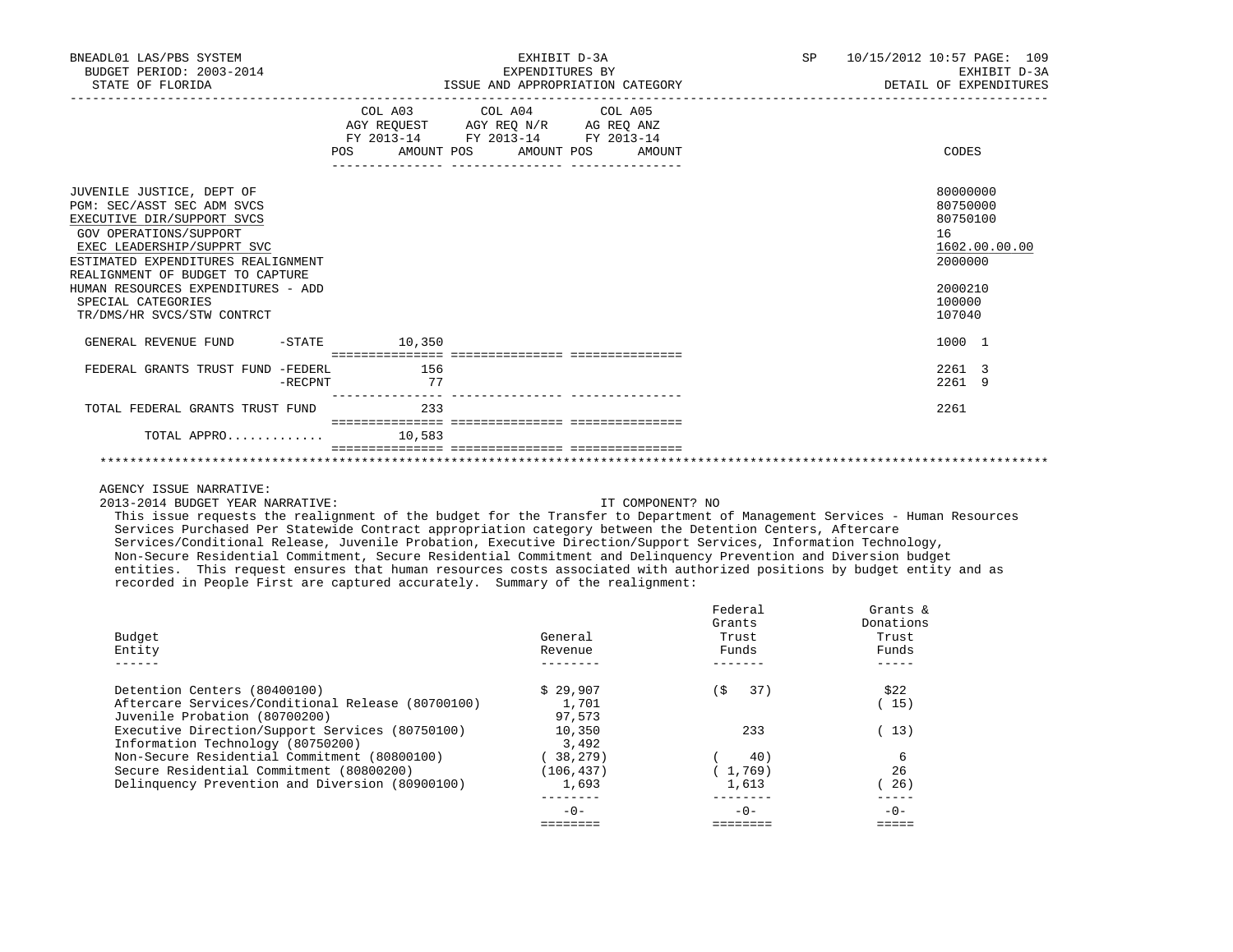| BNEADL01 LAS/PBS SYSTEM<br>BUDGET PERIOD: 2003-2014<br>STATE OF FLORIDA                                                                                                                                                                                                                                           |         |                     | EXPENDITURES BY<br>ISSUE AND APPROPRIATION CATEGORY                                                             | EXHIBIT D-3A |        | SP <sub>2</sub> | 10/15/2012 10:57 PAGE: 109 | EXHIBIT D-3A<br>DETAIL OF EXPENDITURES                                                      |
|-------------------------------------------------------------------------------------------------------------------------------------------------------------------------------------------------------------------------------------------------------------------------------------------------------------------|---------|---------------------|-----------------------------------------------------------------------------------------------------------------|--------------|--------|-----------------|----------------------------|---------------------------------------------------------------------------------------------|
|                                                                                                                                                                                                                                                                                                                   | POS     | AMOUNT POS          | COL A03 COL A04 COL A05<br>AGY REQUEST AGY REQ N/R AG REQ ANZ<br>FY 2013-14 FY 2013-14 FY 2013-14<br>AMOUNT POS |              | AMOUNT |                 |                            | CODES                                                                                       |
| JUVENILE JUSTICE, DEPT OF<br>PGM: SEC/ASST SEC ADM SVCS<br>EXECUTIVE DIR/SUPPORT SVCS<br>GOV OPERATIONS/SUPPORT<br>EXEC LEADERSHIP/SUPPRT SVC<br>ESTIMATED EXPENDITURES REALIGNMENT<br>REALIGNMENT OF BUDGET TO CAPTURE<br>HUMAN RESOURCES EXPENDITURES - ADD<br>SPECIAL CATEGORIES<br>TR/DMS/HR SVCS/STW CONTRCT |         |                     |                                                                                                                 |              |        |                 | 16                         | 80000000<br>80750000<br>80750100<br>1602.00.00.00<br>2000000<br>2000210<br>100000<br>107040 |
| GENERAL REVENUE FUND                                                                                                                                                                                                                                                                                              |         | $-$ STATE $10, 350$ |                                                                                                                 |              |        |                 |                            | 1000 1                                                                                      |
| FEDERAL GRANTS TRUST FUND -FEDERL                                                                                                                                                                                                                                                                                 | -RECPNT | 156<br>77           |                                                                                                                 |              |        |                 |                            | 2261 3<br>2261 9                                                                            |
| TOTAL FEDERAL GRANTS TRUST FUND                                                                                                                                                                                                                                                                                   |         | 233                 |                                                                                                                 |              |        |                 |                            | 2261                                                                                        |
| TOTAL APPRO                                                                                                                                                                                                                                                                                                       |         | 10,583              |                                                                                                                 |              |        |                 |                            |                                                                                             |
|                                                                                                                                                                                                                                                                                                                   |         |                     |                                                                                                                 |              |        |                 |                            |                                                                                             |

2013-2014 BUDGET YEAR NARRATIVE: IT COMPONENT? NO

 This issue requests the realignment of the budget for the Transfer to Department of Management Services - Human Resources Services Purchased Per Statewide Contract appropriation category between the Detention Centers, Aftercare Services/Conditional Release, Juvenile Probation, Executive Direction/Support Services, Information Technology, Non-Secure Residential Commitment, Secure Residential Commitment and Delinquency Prevention and Diversion budget entities. This request ensures that human resources costs associated with authorized positions by budget entity and as recorded in People First are captured accurately. Summary of the realignment:

| Budget<br>Entity                                  | General<br>Revenue | Federal<br>Grants<br>Trust<br>Funds | Grants $\&$<br>Donations<br>Trust<br>Funds |
|---------------------------------------------------|--------------------|-------------------------------------|--------------------------------------------|
|                                                   |                    |                                     |                                            |
| Detention Centers (80400100)                      | \$29.907           | Ŝ.<br>37)                           | \$22                                       |
| Aftercare Services/Conditional Release (80700100) | 1,701              |                                     | 15)                                        |
| Juvenile Probation (80700200)                     | 97,573             |                                     |                                            |
| Executive Direction/Support Services (80750100)   | 10,350             | 233                                 | 13)                                        |
| Information Technology (80750200)                 | 3,492              |                                     |                                            |
| Non-Secure Residential Commitment (80800100)      | 38,279)            | 40)                                 | 6                                          |
| Secure Residential Commitment (80800200)          | (106, 437)         | 1,769)                              | 26                                         |
| Delinquency Prevention and Diversion (80900100)   | 1,693              | 1,613                               | 26)                                        |
|                                                   |                    |                                     |                                            |
|                                                   | $-0-$              | $-0-$                               | $-0-$                                      |
|                                                   |                    |                                     |                                            |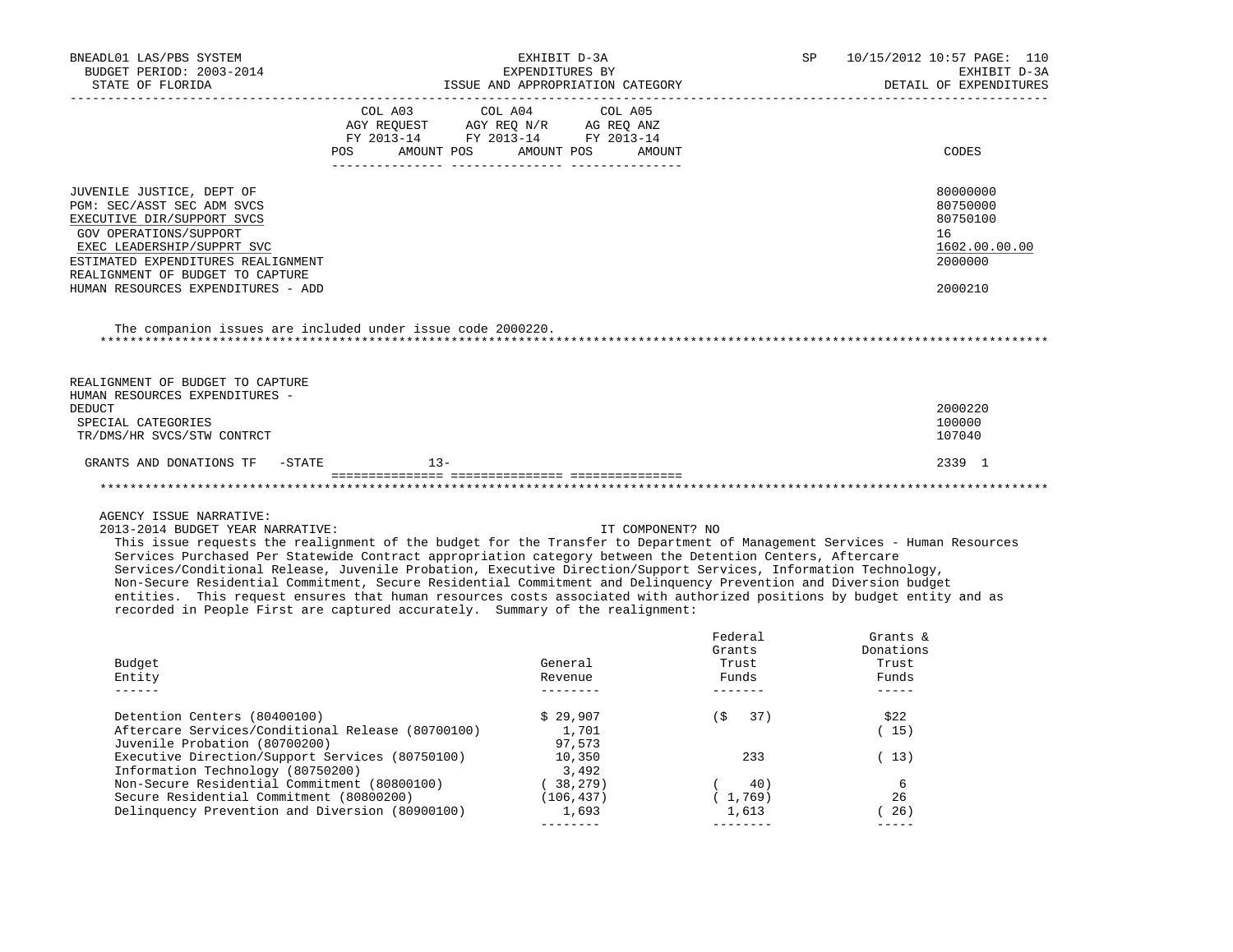| BNEADL01 LAS/PBS SYSTEM                                                                                                                                                                                                                    | EXHIBIT D-3A                                                           |                                                     | 10/15/2012 10:57 PAGE: 110<br>SP |                                                                                                                                                                                                                                                                                                                                                                                              |
|--------------------------------------------------------------------------------------------------------------------------------------------------------------------------------------------------------------------------------------------|------------------------------------------------------------------------|-----------------------------------------------------|----------------------------------|----------------------------------------------------------------------------------------------------------------------------------------------------------------------------------------------------------------------------------------------------------------------------------------------------------------------------------------------------------------------------------------------|
| BUDGET PERIOD: 2003-2014<br>STATE OF FLORIDA                                                                                                                                                                                               |                                                                        | EXPENDITURES BY<br>ISSUE AND APPROPRIATION CATEGORY |                                  | EXHIBIT D-3A<br>DETAIL OF EXPENDITURES                                                                                                                                                                                                                                                                                                                                                       |
| ___________________________________                                                                                                                                                                                                        |                                                                        |                                                     |                                  |                                                                                                                                                                                                                                                                                                                                                                                              |
|                                                                                                                                                                                                                                            | COL A03 COL A04 COL A05                                                |                                                     |                                  |                                                                                                                                                                                                                                                                                                                                                                                              |
|                                                                                                                                                                                                                                            | AGY REQUEST AGY REQ N/R AG REQ ANZ<br>FY 2013-14 FY 2013-14 FY 2013-14 |                                                     |                                  |                                                                                                                                                                                                                                                                                                                                                                                              |
|                                                                                                                                                                                                                                            |                                                                        |                                                     |                                  |                                                                                                                                                                                                                                                                                                                                                                                              |
|                                                                                                                                                                                                                                            | POS AMOUNT POS AMOUNT POS AMOUNT                                       |                                                     |                                  | CODES                                                                                                                                                                                                                                                                                                                                                                                        |
|                                                                                                                                                                                                                                            |                                                                        |                                                     |                                  |                                                                                                                                                                                                                                                                                                                                                                                              |
| JUVENILE JUSTICE, DEPT OF<br>PGM: SEC/ASST SEC ADM SVCS                                                                                                                                                                                    |                                                                        |                                                     |                                  | 80000000<br>80750000                                                                                                                                                                                                                                                                                                                                                                         |
| EXECUTIVE DIR/SUPPORT SVCS                                                                                                                                                                                                                 |                                                                        |                                                     |                                  | 80750100                                                                                                                                                                                                                                                                                                                                                                                     |
| GOV OPERATIONS/SUPPORT                                                                                                                                                                                                                     |                                                                        |                                                     |                                  | 16                                                                                                                                                                                                                                                                                                                                                                                           |
| EXEC LEADERSHIP/SUPPRT SVC                                                                                                                                                                                                                 |                                                                        |                                                     |                                  | 1602.00.00.00                                                                                                                                                                                                                                                                                                                                                                                |
| ESTIMATED EXPENDITURES REALIGNMENT                                                                                                                                                                                                         |                                                                        |                                                     |                                  | 2000000                                                                                                                                                                                                                                                                                                                                                                                      |
| REALIGNMENT OF BUDGET TO CAPTURE                                                                                                                                                                                                           |                                                                        |                                                     |                                  |                                                                                                                                                                                                                                                                                                                                                                                              |
| HUMAN RESOURCES EXPENDITURES - ADD                                                                                                                                                                                                         |                                                                        |                                                     |                                  | 2000210                                                                                                                                                                                                                                                                                                                                                                                      |
|                                                                                                                                                                                                                                            |                                                                        |                                                     |                                  |                                                                                                                                                                                                                                                                                                                                                                                              |
| The companion issues are included under issue code 2000220.                                                                                                                                                                                |                                                                        |                                                     |                                  |                                                                                                                                                                                                                                                                                                                                                                                              |
|                                                                                                                                                                                                                                            |                                                                        |                                                     |                                  |                                                                                                                                                                                                                                                                                                                                                                                              |
| REALIGNMENT OF BUDGET TO CAPTURE<br>HUMAN RESOURCES EXPENDITURES -                                                                                                                                                                         |                                                                        |                                                     |                                  |                                                                                                                                                                                                                                                                                                                                                                                              |
| DEDUCT                                                                                                                                                                                                                                     |                                                                        |                                                     |                                  | 2000220                                                                                                                                                                                                                                                                                                                                                                                      |
| SPECIAL CATEGORIES                                                                                                                                                                                                                         |                                                                        |                                                     |                                  | 100000                                                                                                                                                                                                                                                                                                                                                                                       |
| TR/DMS/HR SVCS/STW CONTRCT                                                                                                                                                                                                                 |                                                                        |                                                     |                                  | 107040                                                                                                                                                                                                                                                                                                                                                                                       |
| GRANTS AND DONATIONS TF -STATE                                                                                                                                                                                                             | $13 -$                                                                 |                                                     |                                  | 2339 1                                                                                                                                                                                                                                                                                                                                                                                       |
|                                                                                                                                                                                                                                            |                                                                        |                                                     |                                  |                                                                                                                                                                                                                                                                                                                                                                                              |
| AGENCY ISSUE NARRATIVE:                                                                                                                                                                                                                    |                                                                        |                                                     |                                  |                                                                                                                                                                                                                                                                                                                                                                                              |
| 2013-2014 BUDGET YEAR NARRATIVE:                                                                                                                                                                                                           |                                                                        |                                                     | IT COMPONENT? NO                 |                                                                                                                                                                                                                                                                                                                                                                                              |
| This issue requests the realignment of the budget for the Transfer to Department of Management Services - Human Resources                                                                                                                  |                                                                        |                                                     |                                  |                                                                                                                                                                                                                                                                                                                                                                                              |
| Services Purchased Per Statewide Contract appropriation category between the Detention Centers, Aftercare                                                                                                                                  |                                                                        |                                                     |                                  |                                                                                                                                                                                                                                                                                                                                                                                              |
| Services/Conditional Release, Juvenile Probation, Executive Direction/Support Services, Information Technology,                                                                                                                            |                                                                        |                                                     |                                  |                                                                                                                                                                                                                                                                                                                                                                                              |
| Non-Secure Residential Commitment, Secure Residential Commitment and Delinquency Prevention and Diversion budget<br>entities. This request ensures that human resources costs associated with authorized positions by budget entity and as |                                                                        |                                                     |                                  |                                                                                                                                                                                                                                                                                                                                                                                              |
| recorded in People First are captured accurately. Summary of the realignment:                                                                                                                                                              |                                                                        |                                                     |                                  |                                                                                                                                                                                                                                                                                                                                                                                              |
|                                                                                                                                                                                                                                            |                                                                        |                                                     | Federal                          | Grants &                                                                                                                                                                                                                                                                                                                                                                                     |
|                                                                                                                                                                                                                                            |                                                                        |                                                     | Grants                           | Donations                                                                                                                                                                                                                                                                                                                                                                                    |
| Budget                                                                                                                                                                                                                                     |                                                                        | General                                             | Trust                            | Trust                                                                                                                                                                                                                                                                                                                                                                                        |
| Entity                                                                                                                                                                                                                                     |                                                                        | Revenue                                             | Funds                            | Funds                                                                                                                                                                                                                                                                                                                                                                                        |
| $- - - - - -$                                                                                                                                                                                                                              |                                                                        | ---------                                           | --------                         | $- - - - - -$                                                                                                                                                                                                                                                                                                                                                                                |
| Detention Centers (80400100)                                                                                                                                                                                                               |                                                                        | \$29,907                                            | $($ \$37)                        | \$22                                                                                                                                                                                                                                                                                                                                                                                         |
| Aftercare Services/Conditional Release (80700100)                                                                                                                                                                                          |                                                                        | 1,701                                               |                                  | (15)                                                                                                                                                                                                                                                                                                                                                                                         |
| Juvenile Probation (80700200)                                                                                                                                                                                                              |                                                                        | 97,573                                              |                                  |                                                                                                                                                                                                                                                                                                                                                                                              |
| Executive Direction/Support Services (80750100)                                                                                                                                                                                            |                                                                        | 10,350                                              | 233                              | (13)                                                                                                                                                                                                                                                                                                                                                                                         |
| Information Technology (80750200)<br>Non-Secure Residential Commitment (80800100)                                                                                                                                                          |                                                                        | 3,492<br>(38, 279)                                  | (40)                             | 6                                                                                                                                                                                                                                                                                                                                                                                            |
| Secure Residential Commitment (80800200)                                                                                                                                                                                                   |                                                                        | (106, 437)                                          | (1, 769)                         | 26                                                                                                                                                                                                                                                                                                                                                                                           |
| Delinquency Prevention and Diversion (80900100)                                                                                                                                                                                            |                                                                        | 1,693                                               | 1,613                            | (26)                                                                                                                                                                                                                                                                                                                                                                                         |
|                                                                                                                                                                                                                                            |                                                                        |                                                     |                                  | $\frac{1}{2} \frac{1}{2} \frac{1}{2} \frac{1}{2} \frac{1}{2} \frac{1}{2} \frac{1}{2} \frac{1}{2} \frac{1}{2} \frac{1}{2} \frac{1}{2} \frac{1}{2} \frac{1}{2} \frac{1}{2} \frac{1}{2} \frac{1}{2} \frac{1}{2} \frac{1}{2} \frac{1}{2} \frac{1}{2} \frac{1}{2} \frac{1}{2} \frac{1}{2} \frac{1}{2} \frac{1}{2} \frac{1}{2} \frac{1}{2} \frac{1}{2} \frac{1}{2} \frac{1}{2} \frac{1}{2} \frac{$ |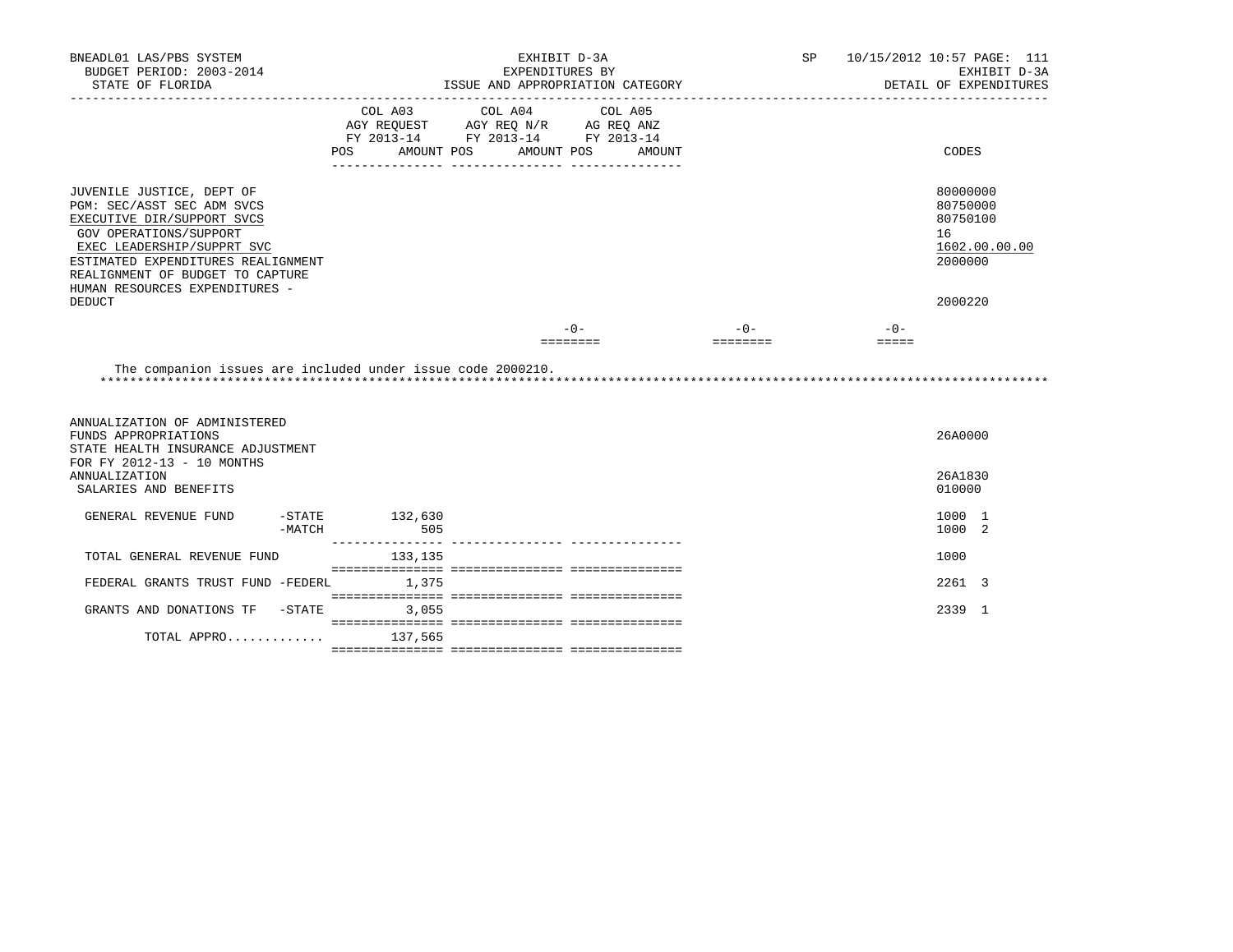| BNEADL01 LAS/PBS SYSTEM                                                                                                                                                                                                                                                    |                                                                                                                       | EXHIBIT D-3A    |                                  |          | SP 10/15/2012 10:57 PAGE: 111                                                 |
|----------------------------------------------------------------------------------------------------------------------------------------------------------------------------------------------------------------------------------------------------------------------------|-----------------------------------------------------------------------------------------------------------------------|-----------------|----------------------------------|----------|-------------------------------------------------------------------------------|
| BUDGET PERIOD: 2003-2014                                                                                                                                                                                                                                                   |                                                                                                                       | EXPENDITURES BY |                                  |          | EXHIBIT D-3A                                                                  |
| STATE OF FLORIDA                                                                                                                                                                                                                                                           |                                                                                                                       |                 | ISSUE AND APPROPRIATION CATEGORY |          | DETAIL OF EXPENDITURES                                                        |
|                                                                                                                                                                                                                                                                            | COL A03 COL A04<br>AGY REQUEST AGY REQ N/R AG REQ ANZ<br>FY 2013-14 FY 2013-14 FY 2013-14<br>AMOUNT POS<br><b>POS</b> | AMOUNT POS      | COL A05<br>AMOUNT                |          | CODES                                                                         |
| JUVENILE JUSTICE, DEPT OF<br>PGM: SEC/ASST SEC ADM SVCS<br>EXECUTIVE DIR/SUPPORT SVCS<br>GOV OPERATIONS/SUPPORT<br>EXEC LEADERSHIP/SUPPRT SVC<br>ESTIMATED EXPENDITURES REALIGNMENT<br>REALIGNMENT OF BUDGET TO CAPTURE<br>HUMAN RESOURCES EXPENDITURES -<br><b>DEDUCT</b> |                                                                                                                       |                 |                                  |          | 80000000<br>80750000<br>80750100<br>16<br>1602.00.00.00<br>2000000<br>2000220 |
|                                                                                                                                                                                                                                                                            |                                                                                                                       |                 |                                  |          |                                                                               |
|                                                                                                                                                                                                                                                                            |                                                                                                                       |                 | $-0-$                            | $-0-$    | $-0-$                                                                         |
|                                                                                                                                                                                                                                                                            |                                                                                                                       |                 | ========                         | ======== | $=$ $=$ $=$ $=$                                                               |
| The companion issues are included under issue code 2000210.                                                                                                                                                                                                                |                                                                                                                       |                 |                                  |          |                                                                               |
| ANNUALIZATION OF ADMINISTERED<br>FUNDS APPROPRIATIONS<br>STATE HEALTH INSURANCE ADJUSTMENT<br>FOR FY 2012-13 - 10 MONTHS                                                                                                                                                   |                                                                                                                       |                 |                                  |          | 26A0000                                                                       |
| <b>ANNUALIZATION</b><br>SALARIES AND BENEFITS                                                                                                                                                                                                                              |                                                                                                                       |                 |                                  |          | 26A1830<br>010000                                                             |
| GENERAL REVENUE FUND<br>-MATCH                                                                                                                                                                                                                                             | $-STATE$ 132,630<br>505                                                                                               |                 |                                  |          | 1000 1<br>1000 2                                                              |
| TOTAL GENERAL REVENUE FUND                                                                                                                                                                                                                                                 | 133, 135                                                                                                              |                 |                                  |          | 1000                                                                          |
| FEDERAL GRANTS TRUST FUND -FEDERL 1,375                                                                                                                                                                                                                                    |                                                                                                                       |                 |                                  |          | 2261 3                                                                        |
| GRANTS AND DONATIONS TF -STATE                                                                                                                                                                                                                                             | 3,055                                                                                                                 |                 |                                  |          | 2339 1                                                                        |
| TOTAL APPRO $137,565$                                                                                                                                                                                                                                                      |                                                                                                                       |                 |                                  |          |                                                                               |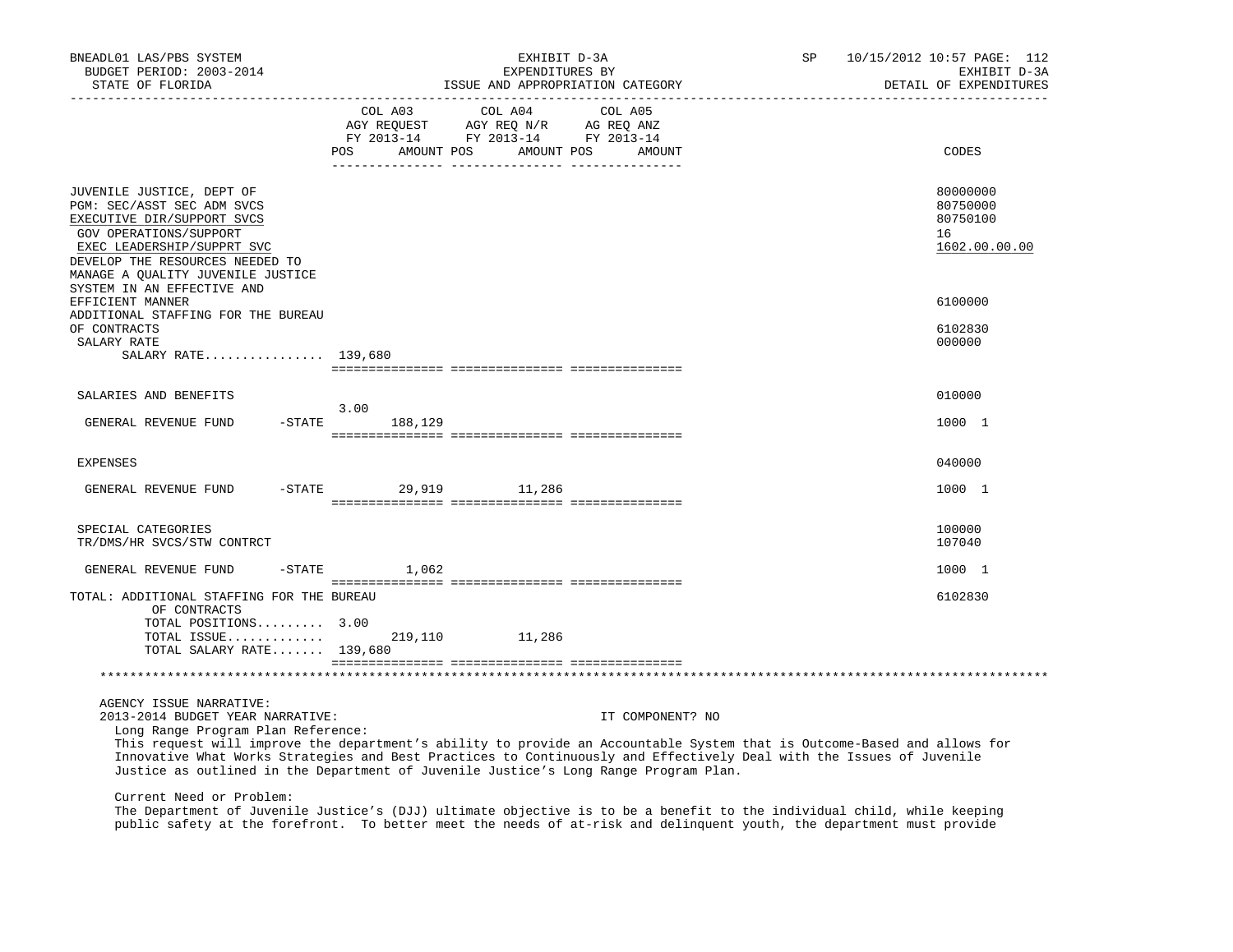| BNEADL01 LAS/PBS SYSTEM<br>BUDGET PERIOD: 2003-2014<br>STATE OF FLORIDA<br>-----------------                                                                                                                                                                                                                                                          |                      | EXHIBIT D-3A<br>EXPENDITURES BY                                                                                                                                                                                                             | ISSUE AND APPROPRIATION CATEGORY | SP | 10/15/2012 10:57 PAGE: 112<br>EXHIBIT D-3A<br>DETAIL OF EXPENDITURES |
|-------------------------------------------------------------------------------------------------------------------------------------------------------------------------------------------------------------------------------------------------------------------------------------------------------------------------------------------------------|----------------------|---------------------------------------------------------------------------------------------------------------------------------------------------------------------------------------------------------------------------------------------|----------------------------------|----|----------------------------------------------------------------------|
|                                                                                                                                                                                                                                                                                                                                                       | POS<br>AMOUNT POS    | COL A03 COL A04 COL A05<br>$\begin{tabular}{lllllll} \bf AGY & \bf REQUEST & \bf AGY & \bf REQ & \tt M/R & \tt AG & \tt REQ & \tt ANZ \\ \bf FY & \tt 2013-14 & \tt FY & \tt 2013-14 & \tt FY & \tt 2013-14 \\ \end{tabular}$<br>AMOUNT POS | AMOUNT                           |    | CODES                                                                |
| JUVENILE JUSTICE, DEPT OF<br>PGM: SEC/ASST SEC ADM SVCS<br>EXECUTIVE DIR/SUPPORT SVCS<br>GOV OPERATIONS/SUPPORT<br>EXEC LEADERSHIP/SUPPRT SVC<br>DEVELOP THE RESOURCES NEEDED TO<br>MANAGE A QUALITY JUVENILE JUSTICE                                                                                                                                 |                      |                                                                                                                                                                                                                                             |                                  |    | 80000000<br>80750000<br>80750100<br>16<br>1602.00.00.00              |
| SYSTEM IN AN EFFECTIVE AND<br>EFFICIENT MANNER                                                                                                                                                                                                                                                                                                        |                      |                                                                                                                                                                                                                                             |                                  |    | 6100000                                                              |
| ADDITIONAL STAFFING FOR THE BUREAU<br>OF CONTRACTS<br>SALARY RATE<br>SALARY RATE 139,680                                                                                                                                                                                                                                                              |                      |                                                                                                                                                                                                                                             |                                  |    | 6102830<br>000000                                                    |
| SALARIES AND BENEFITS                                                                                                                                                                                                                                                                                                                                 |                      |                                                                                                                                                                                                                                             |                                  |    | 010000                                                               |
| $-$ STATE<br>GENERAL REVENUE FUND                                                                                                                                                                                                                                                                                                                     | 3.00<br>188,129      |                                                                                                                                                                                                                                             |                                  |    | 1000 1                                                               |
| <b>EXPENSES</b>                                                                                                                                                                                                                                                                                                                                       |                      |                                                                                                                                                                                                                                             |                                  |    | 040000                                                               |
| GENERAL REVENUE FUND                                                                                                                                                                                                                                                                                                                                  | -STATE 29,919 11,286 |                                                                                                                                                                                                                                             |                                  |    | 1000 1                                                               |
| SPECIAL CATEGORIES<br>TR/DMS/HR SVCS/STW CONTRCT                                                                                                                                                                                                                                                                                                      |                      |                                                                                                                                                                                                                                             |                                  |    | 100000<br>107040                                                     |
| GENERAL REVENUE FUND                                                                                                                                                                                                                                                                                                                                  | $-$ STATE $1,062$    |                                                                                                                                                                                                                                             |                                  |    | 1000 1                                                               |
| TOTAL: ADDITIONAL STAFFING FOR THE BUREAU<br>OF CONTRACTS<br>TOTAL POSITIONS 3.00                                                                                                                                                                                                                                                                     |                      |                                                                                                                                                                                                                                             |                                  |    | 6102830                                                              |
| TOTAL ISSUE<br>TOTAL SALARY RATE 139,680                                                                                                                                                                                                                                                                                                              |                      | 219,110 11,286                                                                                                                                                                                                                              |                                  |    |                                                                      |
|                                                                                                                                                                                                                                                                                                                                                       |                      |                                                                                                                                                                                                                                             |                                  |    |                                                                      |
| AGENCY ISSUE NARRATIVE:<br>2013-2014 BUDGET YEAR NARRATIVE:<br>Long Range Program Plan Reference:<br>This request will improve the department's ability to provide an Accountable System that is Outcome-Based and allows for<br>Innovative What Works Strategies and Best Practices to Continuously and Effectively Deal with the Issues of Juvenile |                      |                                                                                                                                                                                                                                             | IT COMPONENT? NO                 |    |                                                                      |

Justice as outlined in the Department of Juvenile Justice's Long Range Program Plan.

Current Need or Problem:

 The Department of Juvenile Justice's (DJJ) ultimate objective is to be a benefit to the individual child, while keeping public safety at the forefront. To better meet the needs of at-risk and delinquent youth, the department must provide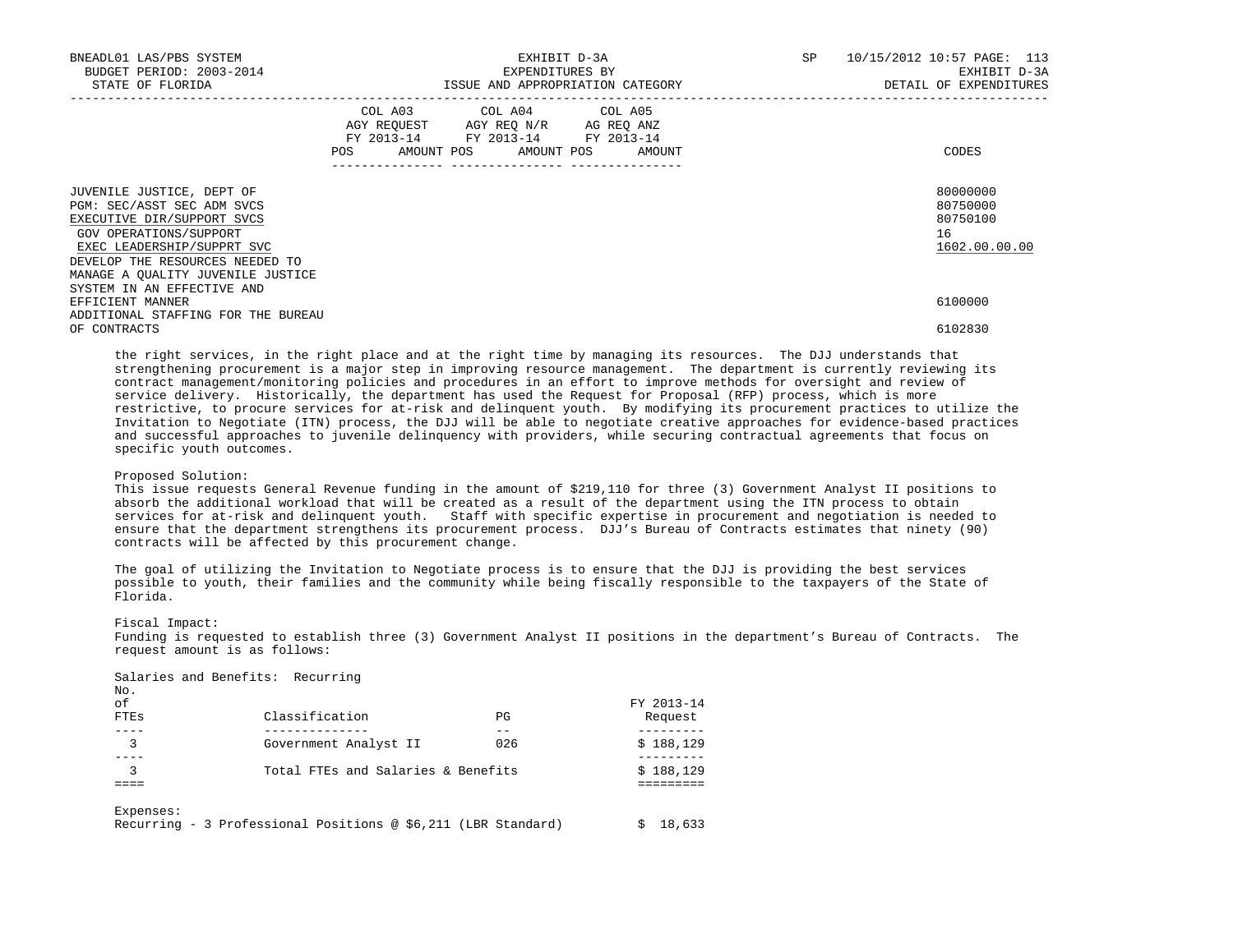| BNEADL01 LAS/PBS SYSTEM<br>BUDGET PERIOD: 2003-2014<br>STATE OF FLORIDA                                                                                                                                               | EXHIBIT D-3A<br>EXPENDITURES BY<br>ISSUE AND APPROPRIATION CATEGORY |                                                                                                                                       |  | SP | 10/15/2012 10:57 PAGE: 113<br>EXHIBIT D-3A<br>DETAIL OF EXPENDITURES |
|-----------------------------------------------------------------------------------------------------------------------------------------------------------------------------------------------------------------------|---------------------------------------------------------------------|---------------------------------------------------------------------------------------------------------------------------------------|--|----|----------------------------------------------------------------------|
|                                                                                                                                                                                                                       |                                                                     | COL A03 COL A04 COL A05<br>AGY REQUEST AGY REQ N/R AG REQ ANZ<br>FY 2013-14 FY 2013-14 FY 2013-14<br>POS AMOUNT POS AMOUNT POS AMOUNT |  |    | CODES                                                                |
| JUVENILE JUSTICE, DEPT OF<br>PGM: SEC/ASST SEC ADM SVCS<br>EXECUTIVE DIR/SUPPORT SVCS<br>GOV OPERATIONS/SUPPORT<br>EXEC LEADERSHIP/SUPPRT SVC<br>DEVELOP THE RESOURCES NEEDED TO<br>MANAGE A OUALITY JUVENILE JUSTICE |                                                                     |                                                                                                                                       |  |    | 80000000<br>80750000<br>80750100<br>16<br>1602.00.00.00              |
| SYSTEM IN AN EFFECTIVE AND<br>EFFICIENT MANNER<br>ADDITIONAL STAFFING FOR THE BUREAU                                                                                                                                  |                                                                     |                                                                                                                                       |  |    | 6100000                                                              |
| OF CONTRACTS                                                                                                                                                                                                          |                                                                     |                                                                                                                                       |  |    | 6102830                                                              |

 the right services, in the right place and at the right time by managing its resources. The DJJ understands that strengthening procurement is a major step in improving resource management. The department is currently reviewing its contract management/monitoring policies and procedures in an effort to improve methods for oversight and review of service delivery. Historically, the department has used the Request for Proposal (RFP) process, which is more restrictive, to procure services for at-risk and delinquent youth. By modifying its procurement practices to utilize the Invitation to Negotiate (ITN) process, the DJJ will be able to negotiate creative approaches for evidence-based practices and successful approaches to juvenile delinquency with providers, while securing contractual agreements that focus on specific youth outcomes.

## Proposed Solution:

 This issue requests General Revenue funding in the amount of \$219,110 for three (3) Government Analyst II positions to absorb the additional workload that will be created as a result of the department using the ITN process to obtain services for at-risk and delinquent youth. Staff with specific expertise in procurement and negotiation is needed to ensure that the department strengthens its procurement process. DJJ's Bureau of Contracts estimates that ninety (90) contracts will be affected by this procurement change.

 The goal of utilizing the Invitation to Negotiate process is to ensure that the DJJ is providing the best services possible to youth, their families and the community while being fiscally responsible to the taxpayers of the State of Florida.

#### Fiscal Impact:

Salaries and Benefits: Recurring

 Funding is requested to establish three (3) Government Analyst II positions in the department's Bureau of Contracts. The request amount is as follows:

| No.<br>of |                                    |     | FY 2013-14 |
|-----------|------------------------------------|-----|------------|
| FTES      | Classification                     | ΡG  | Request    |
|           |                                    |     |            |
| 3         | Government Analyst II              | 026 | \$188,129  |
|           | Total FTEs and Salaries & Benefits |     | \$188,129  |
|           |                                    |     |            |
| Expenses: |                                    |     |            |

Recurring - 3 Professional Positions @ \$6,211 (LBR Standard) \$ 18,633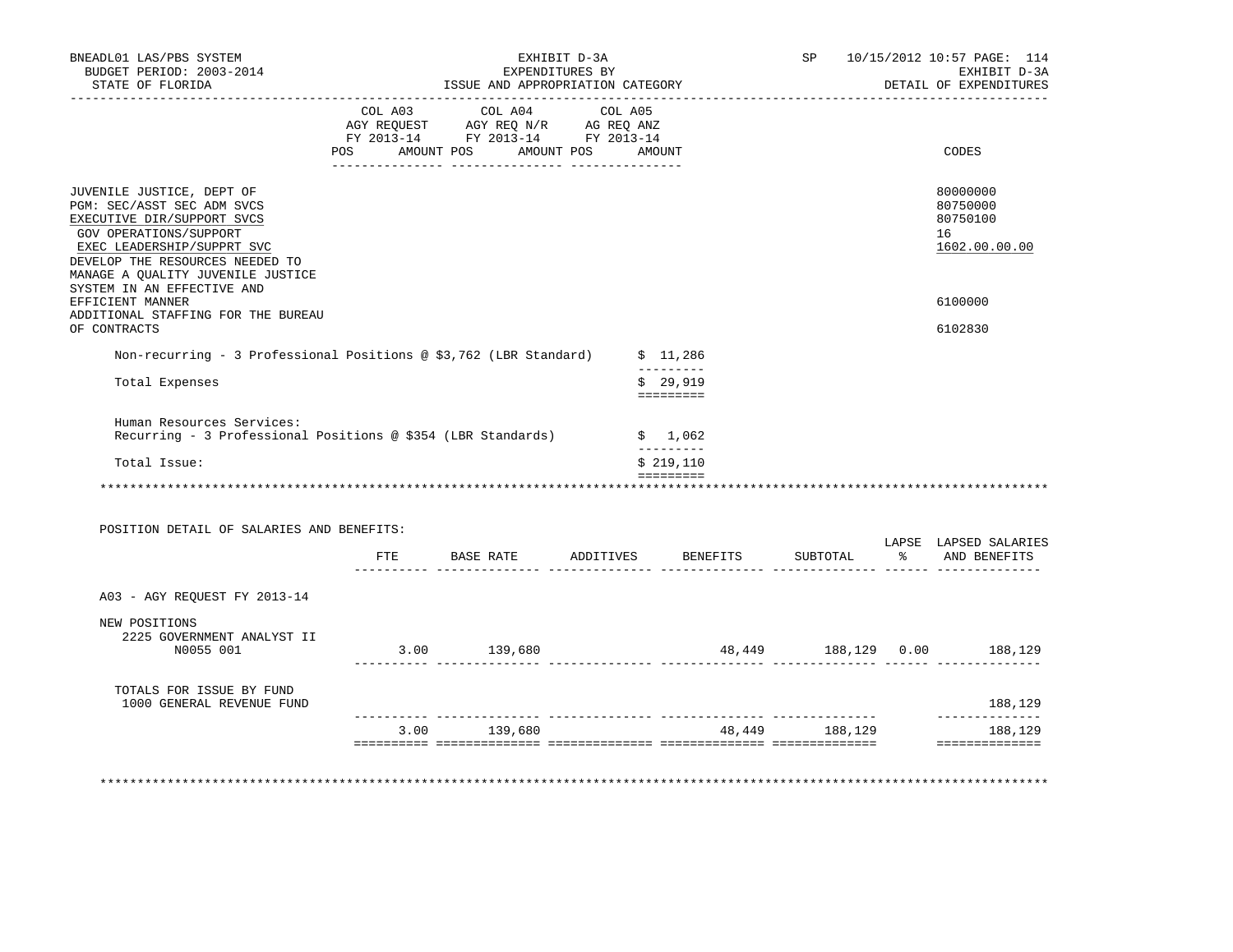| BNEADL01 LAS/PBS SYSTEM<br>BUDGET PERIOD: 2003-2014<br>STATE OF FLORIDA                                                                                                                                               | ISSUE AND APPROPRIATION CATEGORY                                                                                                                 | EXHIBIT D-3A<br>EXPENDITURES BY |                                 | SP             | 10/15/2012 10:57 PAGE: 114<br>EXHIBIT D-3A<br>DETAIL OF EXPENDITURES |
|-----------------------------------------------------------------------------------------------------------------------------------------------------------------------------------------------------------------------|--------------------------------------------------------------------------------------------------------------------------------------------------|---------------------------------|---------------------------------|----------------|----------------------------------------------------------------------|
|                                                                                                                                                                                                                       | COL A03 COL A04 COL A05<br>COL AUS<br>AGY REQUEST AGY REQ N/R AG REQ ANZ<br>FY 2013-14 FY 2013-14 FY 2013-14<br>POS AMOUNT POS AMOUNT POS AMOUNT |                                 |                                 |                | CODES                                                                |
|                                                                                                                                                                                                                       |                                                                                                                                                  |                                 |                                 |                |                                                                      |
| JUVENILE JUSTICE, DEPT OF<br>PGM: SEC/ASST SEC ADM SVCS<br>EXECUTIVE DIR/SUPPORT SVCS<br>GOV OPERATIONS/SUPPORT<br>EXEC LEADERSHIP/SUPPRT SVC<br>DEVELOP THE RESOURCES NEEDED TO<br>MANAGE A QUALITY JUVENILE JUSTICE |                                                                                                                                                  |                                 |                                 |                | 80000000<br>80750000<br>80750100<br>16<br>1602.00.00.00              |
| SYSTEM IN AN EFFECTIVE AND<br>EFFICIENT MANNER                                                                                                                                                                        |                                                                                                                                                  |                                 |                                 |                | 6100000                                                              |
| ADDITIONAL STAFFING FOR THE BUREAU<br>OF CONTRACTS                                                                                                                                                                    |                                                                                                                                                  |                                 |                                 |                | 6102830                                                              |
| Non-recurring - 3 Professional Positions @ \$3,762 (LBR Standard) $\qquad$ \$ 11,286                                                                                                                                  |                                                                                                                                                  |                                 |                                 |                |                                                                      |
| Total Expenses                                                                                                                                                                                                        |                                                                                                                                                  |                                 | $- - - - - - - - -$<br>\$29,919 |                |                                                                      |
| Human Resources Services:<br>Recurring - 3 Professional Positions @ \$354 (LBR Standards)                                                                                                                             |                                                                                                                                                  |                                 | \$1,062<br>----------           |                |                                                                      |
| Total Issue:                                                                                                                                                                                                          |                                                                                                                                                  |                                 | \$219,110                       |                |                                                                      |
|                                                                                                                                                                                                                       |                                                                                                                                                  |                                 |                                 |                |                                                                      |
| POSITION DETAIL OF SALARIES AND BENEFITS:                                                                                                                                                                             |                                                                                                                                                  |                                 |                                 |                |                                                                      |
|                                                                                                                                                                                                                       | FTE BASE RATE                                                                                                                                    |                                 | ADDITIVES BENEFITS              | SUBTOTAL       | LAPSE LAPSED SALARIES<br>% AND BENEFITS                              |
| A03 - AGY REQUEST FY 2013-14                                                                                                                                                                                          |                                                                                                                                                  |                                 |                                 |                |                                                                      |
| NEW POSITIONS<br>2225 GOVERNMENT ANALYST II<br>N0055 001                                                                                                                                                              | 3.00 139,680                                                                                                                                     |                                 |                                 |                | 48,449 188,129 0.00 188,129                                          |
|                                                                                                                                                                                                                       |                                                                                                                                                  |                                 |                                 |                |                                                                      |
| TOTALS FOR ISSUE BY FUND<br>1000 GENERAL REVENUE FUND                                                                                                                                                                 |                                                                                                                                                  |                                 |                                 |                | 188,129                                                              |
|                                                                                                                                                                                                                       |                                                                                                                                                  |                                 |                                 | 48,449 188,129 | ______________<br>188,129                                            |
|                                                                                                                                                                                                                       | 3.00 139,680                                                                                                                                     |                                 |                                 |                |                                                                      |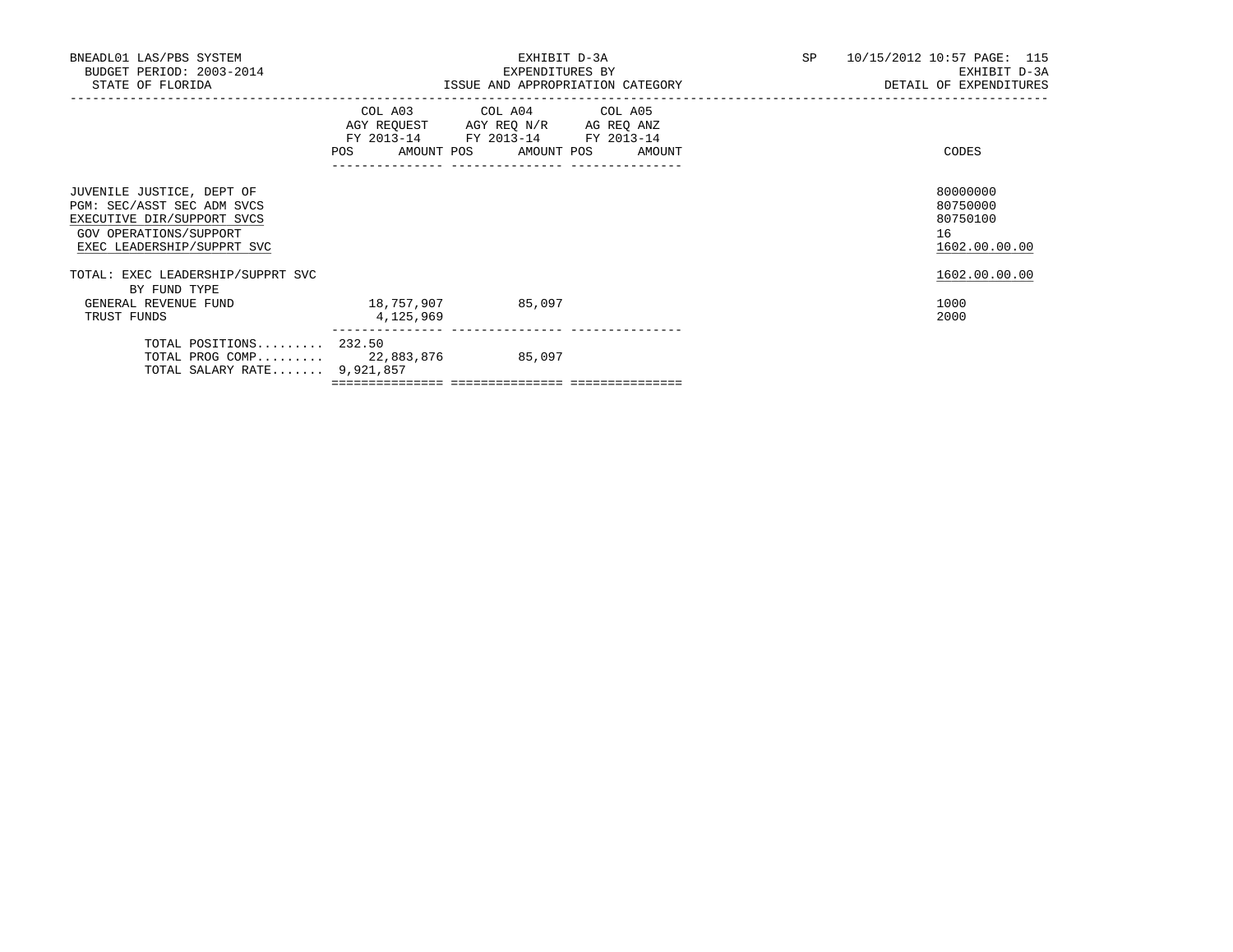| BNEADL01 LAS/PBS SYSTEM<br>BUDGET PERIOD: 2003-2014<br>STATE OF FLORIDA                                                                       |            | EXHIBIT D-3A<br>EXPENDITURES BY<br>ISSUE AND APPROPRIATION CATEGORY THE SERIES OF DETAIL OF EXPENDITURES                              | SP 10/15/2012 10:57 PAGE: 115<br>EXHIBIT D-3A           |
|-----------------------------------------------------------------------------------------------------------------------------------------------|------------|---------------------------------------------------------------------------------------------------------------------------------------|---------------------------------------------------------|
|                                                                                                                                               |            | COL A03 COL A04 COL A05<br>AGY REQUEST AGY REQ N/R AG REQ ANZ<br>FY 2013-14 FY 2013-14 FY 2013-14<br>POS AMOUNT POS AMOUNT POS AMOUNT | CODES                                                   |
| JUVENILE JUSTICE, DEPT OF<br>PGM: SEC/ASST SEC ADM SVCS<br>EXECUTIVE DIR/SUPPORT SVCS<br>GOV OPERATIONS/SUPPORT<br>EXEC LEADERSHIP/SUPPRT SVC |            |                                                                                                                                       | 80000000<br>80750000<br>80750100<br>16<br>1602.00.00.00 |
| TOTAL: EXEC LEADERSHIP/SUPPRT SVC<br>BY FUND TYPE<br>GENERAL REVENUE FUND                                                                     | 18,757,907 | 85,097                                                                                                                                | 1602.00.00.00<br>1000                                   |
| TRUST FUNDS                                                                                                                                   | 4,125,969  |                                                                                                                                       | 2000                                                    |
| TOTAL POSITIONS 232.50<br>TOTAL PROG COMP 22,883,876<br>TOTAL SALARY RATE $9,921,857$                                                         |            | 85,097                                                                                                                                |                                                         |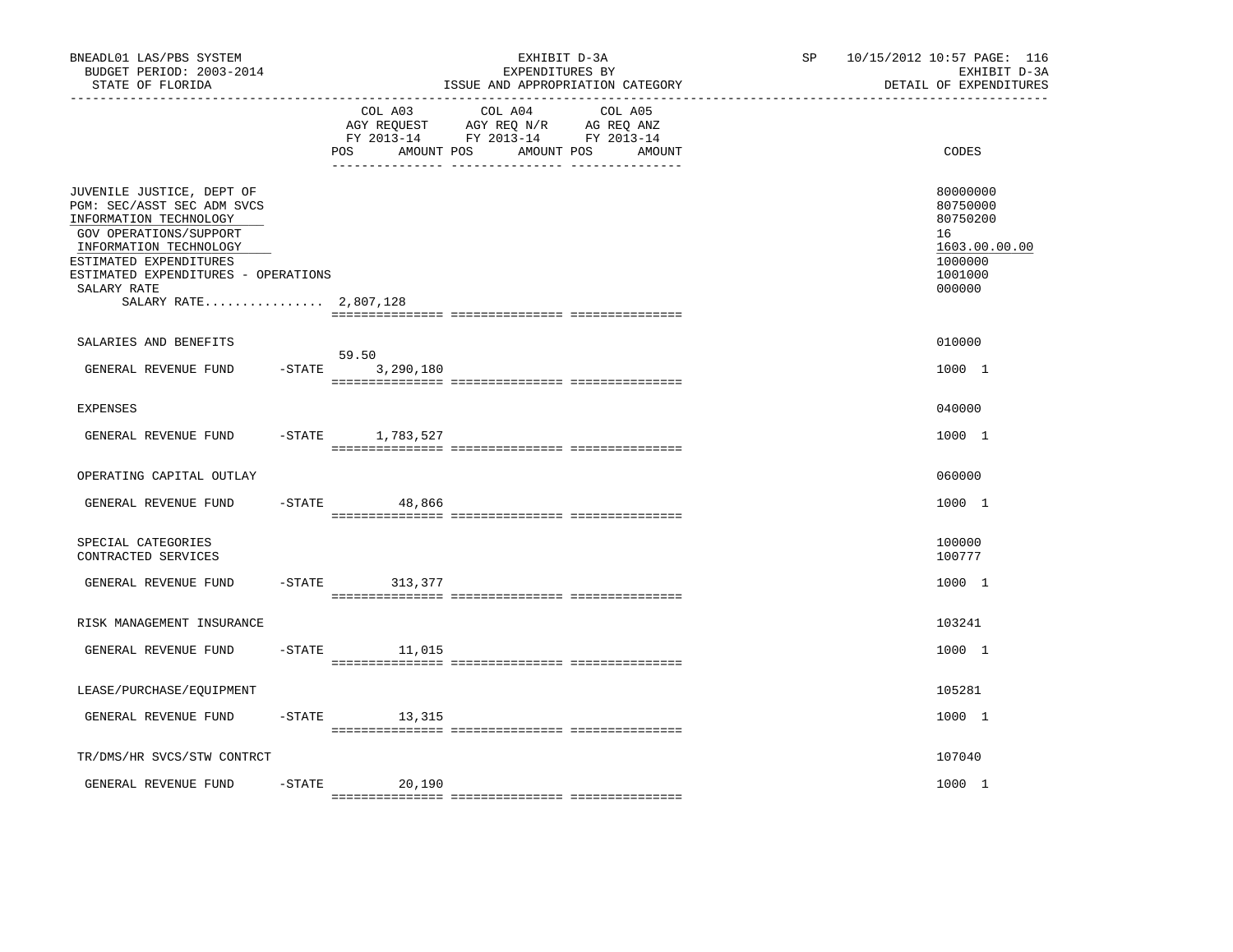| BNEADL01 LAS/PBS SYSTEM<br>BUDGET PERIOD: 2003-2014<br>STATE OF FLORIDA                                                                                                                                                                        |           |                                     | EXHIBIT D-3A<br>EXPENDITURES BY<br>ISSUE AND APPROPRIATION CATEGORY                                                  | SP | 10/15/2012 10:57 PAGE: 116<br>EXHIBIT D-3A<br>DETAIL OF EXPENDITURES                    |
|------------------------------------------------------------------------------------------------------------------------------------------------------------------------------------------------------------------------------------------------|-----------|-------------------------------------|----------------------------------------------------------------------------------------------------------------------|----|-----------------------------------------------------------------------------------------|
|                                                                                                                                                                                                                                                |           | COL A03<br>AMOUNT POS<br><b>POS</b> | COL A04<br>COL A05<br>AGY REQUEST AGY REQ N/R AG REQ ANZ<br>FY 2013-14 FY 2013-14 FY 2013-14<br>AMOUNT POS<br>AMOUNT |    | CODES                                                                                   |
| JUVENILE JUSTICE, DEPT OF<br>PGM: SEC/ASST SEC ADM SVCS<br>INFORMATION TECHNOLOGY<br>GOV OPERATIONS/SUPPORT<br>INFORMATION TECHNOLOGY<br>ESTIMATED EXPENDITURES<br>ESTIMATED EXPENDITURES - OPERATIONS<br>SALARY RATE<br>SALARY RATE 2,807,128 |           |                                     |                                                                                                                      |    | 80000000<br>80750000<br>80750200<br>16<br>1603.00.00.00<br>1000000<br>1001000<br>000000 |
| SALARIES AND BENEFITS                                                                                                                                                                                                                          |           |                                     |                                                                                                                      |    | 010000                                                                                  |
| GENERAL REVENUE FUND                                                                                                                                                                                                                           | $-$ STATE | 59.50<br>3,290,180                  |                                                                                                                      |    | 1000 1                                                                                  |
| <b>EXPENSES</b>                                                                                                                                                                                                                                |           |                                     |                                                                                                                      |    | 040000                                                                                  |
| GENERAL REVENUE FUND                                                                                                                                                                                                                           |           | $-$ STATE $1, 783, 527$             |                                                                                                                      |    | 1000 1                                                                                  |
| OPERATING CAPITAL OUTLAY                                                                                                                                                                                                                       |           |                                     |                                                                                                                      |    | 060000                                                                                  |
| GENERAL REVENUE FUND                                                                                                                                                                                                                           | $-$ STATE | 48,866                              |                                                                                                                      |    | 1000 1                                                                                  |
| SPECIAL CATEGORIES<br>CONTRACTED SERVICES                                                                                                                                                                                                      |           |                                     |                                                                                                                      |    | 100000<br>100777                                                                        |
| GENERAL REVENUE FUND                                                                                                                                                                                                                           | $-STATE$  | 313,377                             |                                                                                                                      |    | 1000 1                                                                                  |
| RISK MANAGEMENT INSURANCE                                                                                                                                                                                                                      |           |                                     |                                                                                                                      |    | 103241                                                                                  |
| GENERAL REVENUE FUND                                                                                                                                                                                                                           | $-$ STATE | 11,015                              |                                                                                                                      |    | 1000 1                                                                                  |
| LEASE/PURCHASE/EQUIPMENT                                                                                                                                                                                                                       |           |                                     |                                                                                                                      |    | 105281                                                                                  |
| GENERAL REVENUE FUND                                                                                                                                                                                                                           | $-$ STATE | 13,315                              |                                                                                                                      |    | 1000 1                                                                                  |
| TR/DMS/HR SVCS/STW CONTRCT                                                                                                                                                                                                                     |           |                                     |                                                                                                                      |    | 107040                                                                                  |
| GENERAL REVENUE FUND                                                                                                                                                                                                                           | $-STATE$  | 20,190                              |                                                                                                                      |    | 1000 1                                                                                  |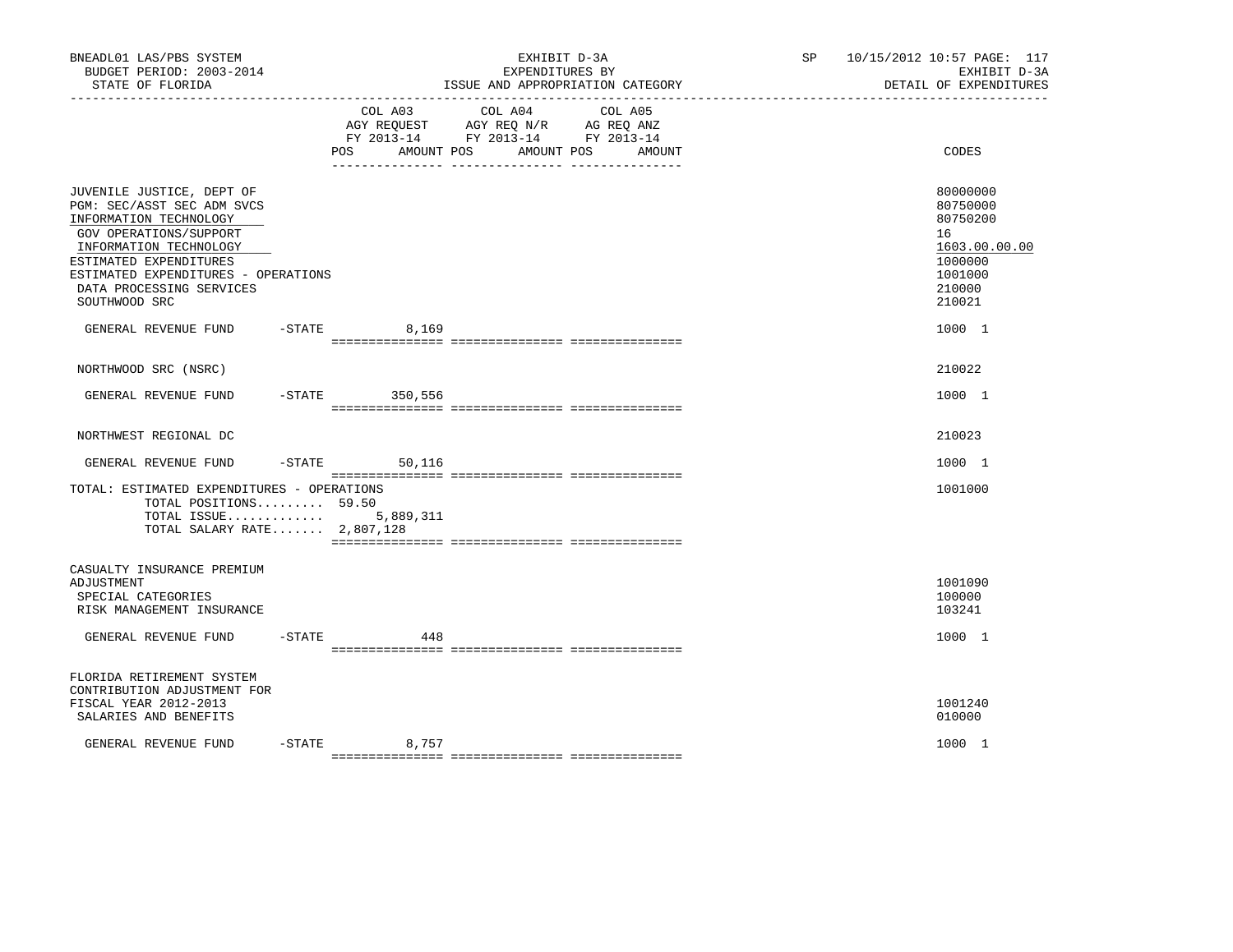| BNEADL01 LAS/PBS SYSTEM<br>BUDGET PERIOD: 2003-2014<br>STATE OF FLORIDA                                                                                                                                                                             |           | _____________________________________ | EXHIBIT D-3A<br>EXPENDITURES BY<br>ISSUE AND APPROPRIATION CATEGORY                                        |        | SP 10/15/2012 10:57 PAGE: 117<br>EXHIBIT D-3A<br>DETAIL OF EXPENDITURES                           |
|-----------------------------------------------------------------------------------------------------------------------------------------------------------------------------------------------------------------------------------------------------|-----------|---------------------------------------|------------------------------------------------------------------------------------------------------------|--------|---------------------------------------------------------------------------------------------------|
|                                                                                                                                                                                                                                                     |           | COL A03<br>AMOUNT POS<br>POS          | COL A04<br>COL A05<br>AGY REQUEST AGY REQ N/R AG REQ ANZ<br>FY 2013-14 FY 2013-14 FY 2013-14<br>AMOUNT POS | AMOUNT | CODES                                                                                             |
| JUVENILE JUSTICE, DEPT OF<br>PGM: SEC/ASST SEC ADM SVCS<br>INFORMATION TECHNOLOGY<br>GOV OPERATIONS/SUPPORT<br>INFORMATION TECHNOLOGY<br>ESTIMATED EXPENDITURES<br>ESTIMATED EXPENDITURES - OPERATIONS<br>DATA PROCESSING SERVICES<br>SOUTHWOOD SRC |           |                                       |                                                                                                            |        | 80000000<br>80750000<br>80750200<br>16<br>1603.00.00.00<br>1000000<br>1001000<br>210000<br>210021 |
| GENERAL REVENUE FUND                                                                                                                                                                                                                                | $-$ STATE | 8,169                                 |                                                                                                            |        | 1000 1                                                                                            |
| NORTHWOOD SRC (NSRC)                                                                                                                                                                                                                                |           |                                       |                                                                                                            |        | 210022                                                                                            |
| GENERAL REVENUE FUND                                                                                                                                                                                                                                | $-$ STATE | 350,556                               |                                                                                                            |        | 1000 1                                                                                            |
| NORTHWEST REGIONAL DC                                                                                                                                                                                                                               |           |                                       |                                                                                                            |        | 210023                                                                                            |
| GENERAL REVENUE FUND                                                                                                                                                                                                                                |           | $-STATE$ 50,116                       |                                                                                                            |        | 1000 1                                                                                            |
| TOTAL: ESTIMATED EXPENDITURES - OPERATIONS<br>TOTAL POSITIONS 59.50<br>TOTAL ISSUE 5,889,311<br>TOTAL SALARY RATE 2,807,128                                                                                                                         |           |                                       |                                                                                                            |        | 1001000                                                                                           |
| CASUALTY INSURANCE PREMIUM<br>ADJUSTMENT<br>SPECIAL CATEGORIES<br>RISK MANAGEMENT INSURANCE                                                                                                                                                         |           |                                       |                                                                                                            |        | 1001090<br>100000<br>103241                                                                       |
| GENERAL REVENUE FUND                                                                                                                                                                                                                                | $-$ STATE | 448                                   |                                                                                                            |        | 1000 1                                                                                            |
| FLORIDA RETIREMENT SYSTEM<br>CONTRIBUTION ADJUSTMENT FOR<br>FISCAL YEAR 2012-2013<br>SALARIES AND BENEFITS                                                                                                                                          |           |                                       |                                                                                                            |        | 1001240<br>010000                                                                                 |
| GENERAL REVENUE FUND                                                                                                                                                                                                                                |           | $-STATE$<br>8,757                     |                                                                                                            |        | 1000 1                                                                                            |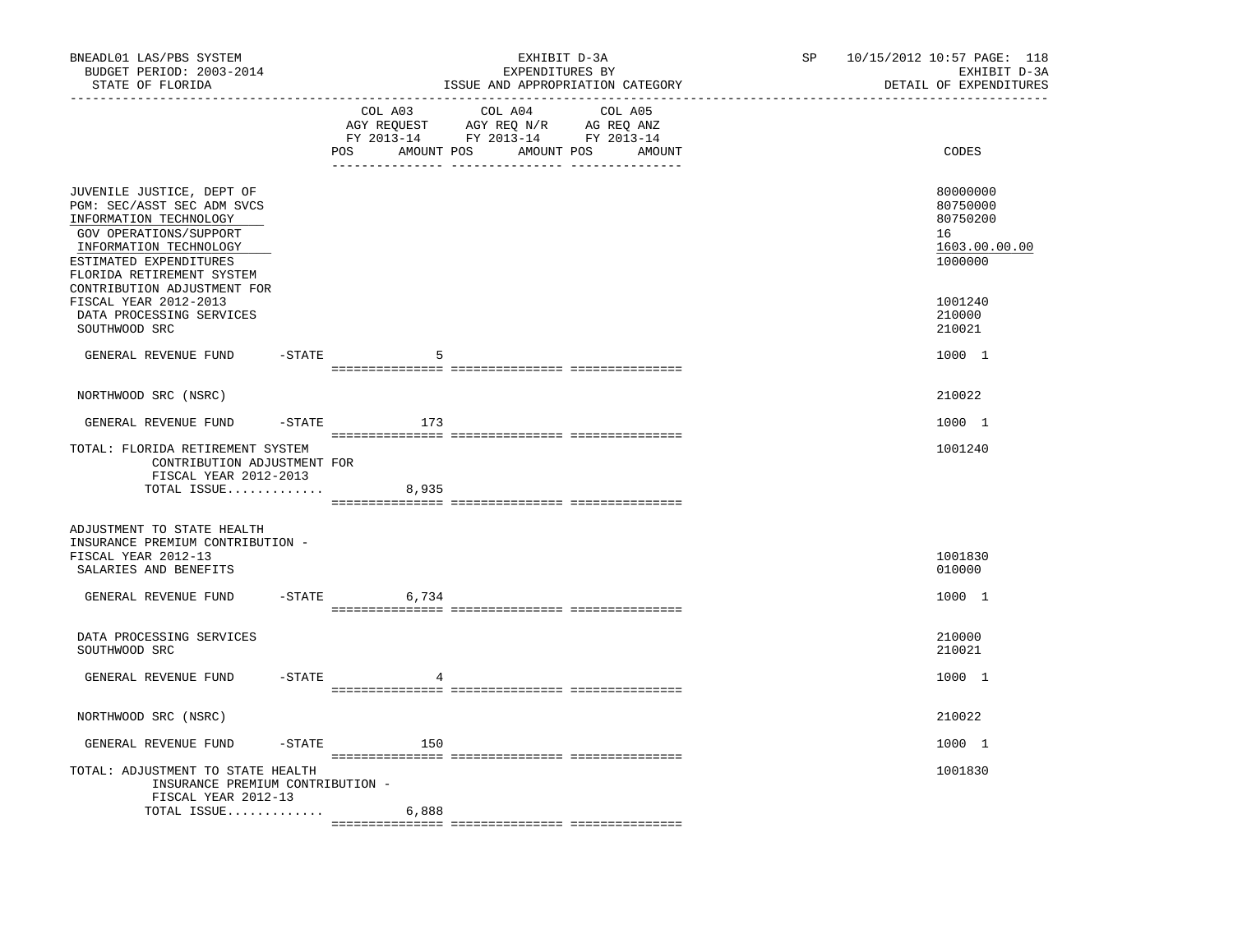| BNEADL01 LAS/PBS SYSTEM<br>BUDGET PERIOD: 2003-2014<br>STATE OF FLORIDA                                                                                                                      |           |                 | EXHIBIT D-3A<br>EXPENDITURES BY<br>ISSUE AND APPROPRIATION CATEGORY                                                                                                                                                                                        | SP | 10/15/2012 10:57 PAGE: 118<br>EXHIBIT D-3A<br>DETAIL OF EXPENDITURES |
|----------------------------------------------------------------------------------------------------------------------------------------------------------------------------------------------|-----------|-----------------|------------------------------------------------------------------------------------------------------------------------------------------------------------------------------------------------------------------------------------------------------------|----|----------------------------------------------------------------------|
| -----------------                                                                                                                                                                            |           | COL A03<br>POS  | COL A04<br>COL A05<br>$\begin{tabular}{lllllllll} \bf AGY & \bf REQUEST & \bf AGY & \bf REQ & \bf N/R & \bf AG & \bf REQ & \bf ANZ \\ \bf FY & \tt 2013-14 & \bf FY & \tt 2013-14 & \bf FY & \tt 2013-14 \\ \end{tabular}$<br>AMOUNT POS AMOUNT POS AMOUNT |    | CODES                                                                |
| JUVENILE JUSTICE, DEPT OF<br>PGM: SEC/ASST SEC ADM SVCS<br>INFORMATION TECHNOLOGY<br>GOV OPERATIONS/SUPPORT<br>INFORMATION TECHNOLOGY<br>ESTIMATED EXPENDITURES<br>FLORIDA RETIREMENT SYSTEM |           |                 |                                                                                                                                                                                                                                                            |    | 80000000<br>80750000<br>80750200<br>16<br>1603.00.00.00<br>1000000   |
| CONTRIBUTION ADJUSTMENT FOR<br>FISCAL YEAR 2012-2013<br>DATA PROCESSING SERVICES<br>SOUTHWOOD SRC                                                                                            |           |                 |                                                                                                                                                                                                                                                            |    | 1001240<br>210000<br>210021                                          |
| GENERAL REVENUE FUND                                                                                                                                                                         | -STATE    | 5               |                                                                                                                                                                                                                                                            |    | 1000 1                                                               |
| NORTHWOOD SRC (NSRC)                                                                                                                                                                         |           |                 |                                                                                                                                                                                                                                                            |    | 210022                                                               |
| GENERAL REVENUE FUND                                                                                                                                                                         |           | $-STATE$<br>173 |                                                                                                                                                                                                                                                            |    | 1000 1                                                               |
| TOTAL: FLORIDA RETIREMENT SYSTEM<br>CONTRIBUTION ADJUSTMENT FOR<br>FISCAL YEAR 2012-2013                                                                                                     |           |                 |                                                                                                                                                                                                                                                            |    | 1001240                                                              |
| TOTAL ISSUE $8,935$                                                                                                                                                                          |           |                 |                                                                                                                                                                                                                                                            |    |                                                                      |
| ADJUSTMENT TO STATE HEALTH<br>INSURANCE PREMIUM CONTRIBUTION -<br>FISCAL YEAR 2012-13<br>SALARIES AND BENEFITS                                                                               |           |                 |                                                                                                                                                                                                                                                            |    | 1001830<br>010000                                                    |
| GENERAL REVENUE FUND                                                                                                                                                                         |           | $-STATE$ 6,734  |                                                                                                                                                                                                                                                            |    | 1000 1                                                               |
| DATA PROCESSING SERVICES<br>SOUTHWOOD SRC                                                                                                                                                    |           |                 |                                                                                                                                                                                                                                                            |    | 210000<br>210021                                                     |
| GENERAL REVENUE FUND                                                                                                                                                                         | $-$ STATE |                 |                                                                                                                                                                                                                                                            |    | 1000 1                                                               |
| NORTHWOOD SRC (NSRC)                                                                                                                                                                         |           |                 |                                                                                                                                                                                                                                                            |    | 210022                                                               |
| GENERAL REVENUE FUND                                                                                                                                                                         |           | $-STATE$ 150    |                                                                                                                                                                                                                                                            |    | 1000 1                                                               |
| TOTAL: ADJUSTMENT TO STATE HEALTH<br>INSURANCE PREMIUM CONTRIBUTION -                                                                                                                        |           |                 |                                                                                                                                                                                                                                                            |    | 1001830                                                              |
| FISCAL YEAR 2012-13<br>TOTAL ISSUE                                                                                                                                                           |           | 6,888           |                                                                                                                                                                                                                                                            |    |                                                                      |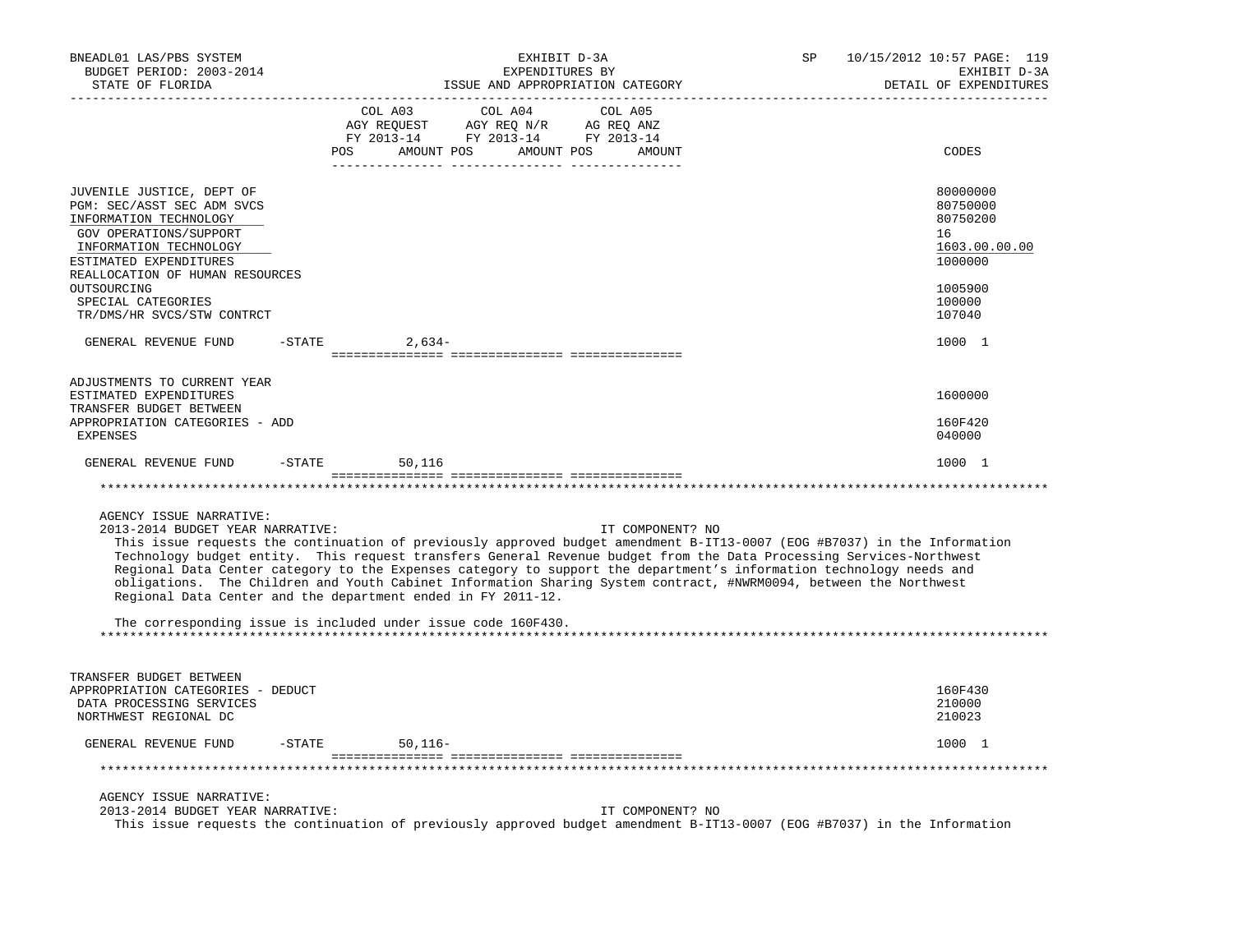| BNEADL01 LAS/PBS SYSTEM<br>BUDGET PERIOD: 2003-2014<br>STATE OF FLORIDA                                                                                                                                                                                               | EXHIBIT D-3A<br>EXPENDITURES BY<br>ISSUE AND APPROPRIATION CATEGORY<br>______________                                                                                                                                                                                                                                                                                                                                                                                                                                                                                                                                                            | SP<br>10/15/2012 10:57 PAGE: 119<br>EXHIBIT D-3A<br>DETAIL OF EXPENDITURES                        |
|-----------------------------------------------------------------------------------------------------------------------------------------------------------------------------------------------------------------------------------------------------------------------|--------------------------------------------------------------------------------------------------------------------------------------------------------------------------------------------------------------------------------------------------------------------------------------------------------------------------------------------------------------------------------------------------------------------------------------------------------------------------------------------------------------------------------------------------------------------------------------------------------------------------------------------------|---------------------------------------------------------------------------------------------------|
|                                                                                                                                                                                                                                                                       | COL A03<br>COL A04<br>COL A05<br>AGY REQUEST AGY REQ N/R AG REQ ANZ<br>FY 2013-14 FY 2013-14 FY 2013-14<br>POS AMOUNT POS AMOUNT POS<br>AMOUNT<br>-------- ---------------                                                                                                                                                                                                                                                                                                                                                                                                                                                                       | CODES                                                                                             |
| JUVENILE JUSTICE, DEPT OF<br>PGM: SEC/ASST SEC ADM SVCS<br>INFORMATION TECHNOLOGY<br>GOV OPERATIONS/SUPPORT<br>INFORMATION TECHNOLOGY<br>ESTIMATED EXPENDITURES<br>REALLOCATION OF HUMAN RESOURCES<br>OUTSOURCING<br>SPECIAL CATEGORIES<br>TR/DMS/HR SVCS/STW CONTRCT |                                                                                                                                                                                                                                                                                                                                                                                                                                                                                                                                                                                                                                                  | 80000000<br>80750000<br>80750200<br>16<br>1603.00.00.00<br>1000000<br>1005900<br>100000<br>107040 |
| GENERAL REVENUE FUND                                                                                                                                                                                                                                                  | $-$ STATE<br>$2,634-$                                                                                                                                                                                                                                                                                                                                                                                                                                                                                                                                                                                                                            | 1000 1                                                                                            |
| ADJUSTMENTS TO CURRENT YEAR<br>ESTIMATED EXPENDITURES<br>TRANSFER BUDGET BETWEEN<br>APPROPRIATION CATEGORIES - ADD<br>EXPENSES                                                                                                                                        |                                                                                                                                                                                                                                                                                                                                                                                                                                                                                                                                                                                                                                                  | 1600000<br>160F420<br>040000                                                                      |
| GENERAL REVENUE FUND                                                                                                                                                                                                                                                  | $-STATE$ 50, 116                                                                                                                                                                                                                                                                                                                                                                                                                                                                                                                                                                                                                                 | 1000 1                                                                                            |
|                                                                                                                                                                                                                                                                       |                                                                                                                                                                                                                                                                                                                                                                                                                                                                                                                                                                                                                                                  |                                                                                                   |
| AGENCY ISSUE NARRATIVE:<br>2013-2014 BUDGET YEAR NARRATIVE:                                                                                                                                                                                                           | IT COMPONENT? NO<br>This issue requests the continuation of previously approved budget amendment B-IT13-0007 (EOG #B7037) in the Information<br>Technology budget entity. This request transfers General Revenue budget from the Data Processing Services-Northwest<br>Regional Data Center category to the Expenses category to support the department's information technology needs and<br>obligations. The Children and Youth Cabinet Information Sharing System contract, #NWRM0094, between the Northwest<br>Regional Data Center and the department ended in FY 2011-12.<br>The corresponding issue is included under issue code 160F430. |                                                                                                   |
| TRANSFER BUDGET BETWEEN<br>APPROPRIATION CATEGORIES - DEDUCT<br>DATA PROCESSING SERVICES<br>NORTHWEST REGIONAL DC                                                                                                                                                     |                                                                                                                                                                                                                                                                                                                                                                                                                                                                                                                                                                                                                                                  | 160F430<br>210000<br>210023                                                                       |
| GENERAL REVENUE FUND                                                                                                                                                                                                                                                  | -STATE<br>$50,116-$                                                                                                                                                                                                                                                                                                                                                                                                                                                                                                                                                                                                                              | 1000 1                                                                                            |
|                                                                                                                                                                                                                                                                       |                                                                                                                                                                                                                                                                                                                                                                                                                                                                                                                                                                                                                                                  |                                                                                                   |
| AGENCY ISSUE NARRATIVE:<br>2013-2014 BUDGET YEAR NARRATIVE:                                                                                                                                                                                                           | IT COMPONENT? NO<br>This issue requests the continuation of previously approved budget amendment B-IT13-0007 (EOG #B7037) in the Information                                                                                                                                                                                                                                                                                                                                                                                                                                                                                                     |                                                                                                   |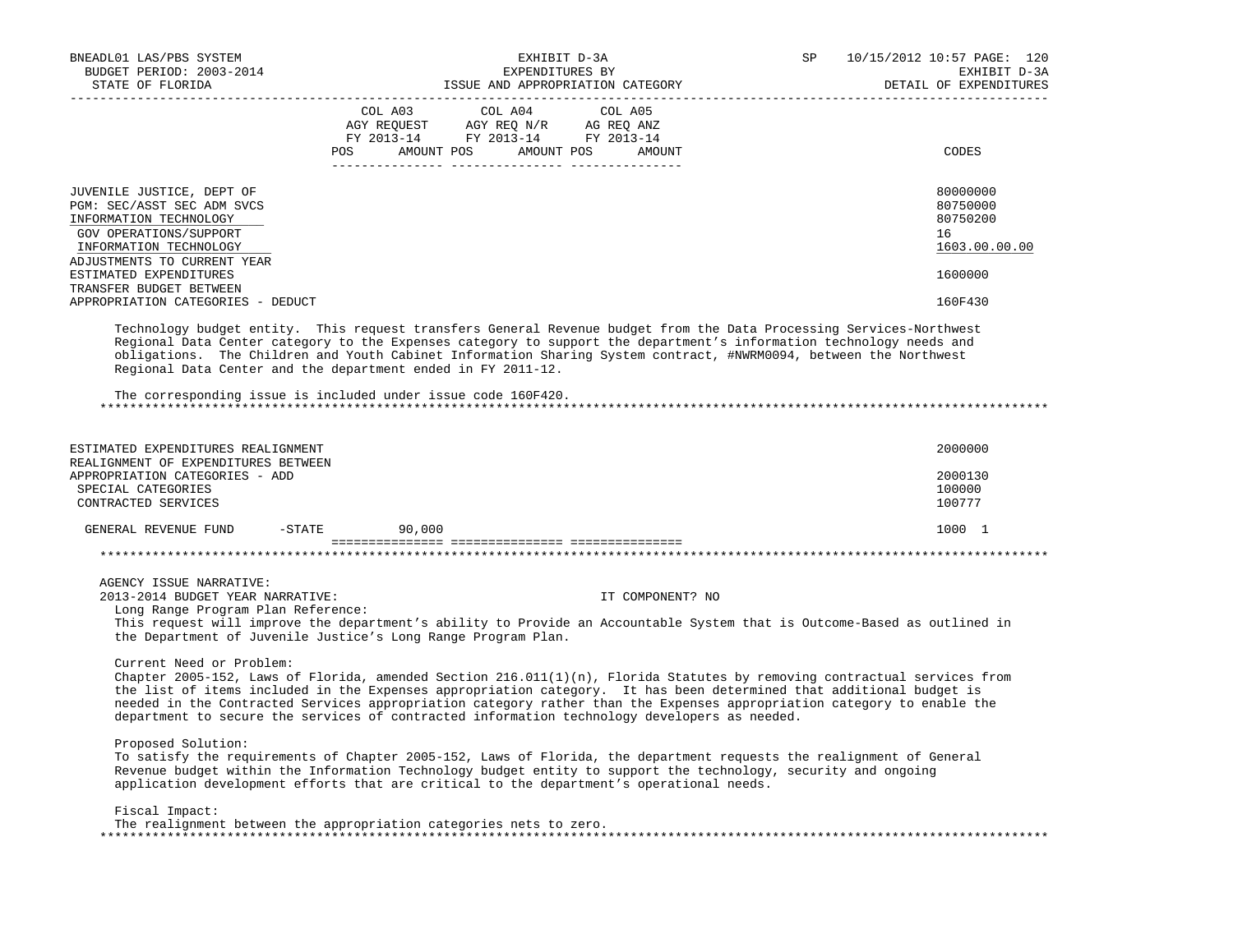| BNEADL01 LAS/PBS SYSTEM                                                                                                                                                                                                                                                                                                                                                                                                                                                                               | EXHIBIT D-3A                                                                                                                                                                                                                                   |                                  | SP | 10/15/2012 10:57 PAGE: 120                                         |
|-------------------------------------------------------------------------------------------------------------------------------------------------------------------------------------------------------------------------------------------------------------------------------------------------------------------------------------------------------------------------------------------------------------------------------------------------------------------------------------------------------|------------------------------------------------------------------------------------------------------------------------------------------------------------------------------------------------------------------------------------------------|----------------------------------|----|--------------------------------------------------------------------|
| BUDGET PERIOD: 2003-2014<br>STATE OF FLORIDA                                                                                                                                                                                                                                                                                                                                                                                                                                                          | EXPENDITURES BY                                                                                                                                                                                                                                |                                  |    | EXHIBIT D-3A<br>DETAIL OF EXPENDITURES                             |
|                                                                                                                                                                                                                                                                                                                                                                                                                                                                                                       | COL A03 COL A04 COL A05<br>$\begin{tabular}{lllllll} \bf AGY \;\; REQUEST \hspace{1cm} AGY \;\; REQ \;\; N/R \hspace{1cm} AG \;\; REQ \;\; ANZ \\ \bf FY \;\; 2013-14 \hspace{1cm} FY \;\; 2013-14 \hspace{1cm} FY \;\; 2013-14 \end{tabular}$ | POS AMOUNT POS AMOUNT POS AMOUNT |    | CODES                                                              |
| JUVENILE JUSTICE, DEPT OF<br>PGM: SEC/ASST SEC ADM SVCS<br>INFORMATION TECHNOLOGY<br>GOV OPERATIONS/SUPPORT<br>INFORMATION TECHNOLOGY<br>ADJUSTMENTS TO CURRENT YEAR<br>ESTIMATED EXPENDITURES                                                                                                                                                                                                                                                                                                        |                                                                                                                                                                                                                                                |                                  |    | 80000000<br>80750000<br>80750200<br>16<br>1603.00.00.00<br>1600000 |
| TRANSFER BUDGET BETWEEN<br>APPROPRIATION CATEGORIES - DEDUCT                                                                                                                                                                                                                                                                                                                                                                                                                                          |                                                                                                                                                                                                                                                |                                  |    | 160F430                                                            |
| Technology budget entity. This request transfers General Revenue budget from the Data Processing Services-Northwest<br>Regional Data Center category to the Expenses category to support the department's information technology needs and<br>obligations. The Children and Youth Cabinet Information Sharing System contract, #NWRM0094, between the Northwest<br>Regional Data Center and the department ended in FY 2011-12.<br>The corresponding issue is included under issue code 160F420.      |                                                                                                                                                                                                                                                |                                  |    |                                                                    |
| ESTIMATED EXPENDITURES REALIGNMENT<br>REALIGNMENT OF EXPENDITURES BETWEEN<br>APPROPRIATION CATEGORIES - ADD<br>SPECIAL CATEGORIES<br>CONTRACTED SERVICES                                                                                                                                                                                                                                                                                                                                              |                                                                                                                                                                                                                                                |                                  |    | 2000000<br>2000130<br>100000<br>100777                             |
| GENERAL REVENUE FUND -STATE 90,000                                                                                                                                                                                                                                                                                                                                                                                                                                                                    |                                                                                                                                                                                                                                                |                                  |    | 1000 1                                                             |
|                                                                                                                                                                                                                                                                                                                                                                                                                                                                                                       |                                                                                                                                                                                                                                                |                                  |    |                                                                    |
| AGENCY ISSUE NARRATIVE:<br>2013-2014 BUDGET YEAR NARRATIVE:<br>Long Range Program Plan Reference:<br>This request will improve the department's ability to Provide an Accountable System that is Outcome-Based as outlined in<br>the Department of Juvenile Justice's Long Range Program Plan.                                                                                                                                                                                                        |                                                                                                                                                                                                                                                | IT COMPONENT? NO                 |    |                                                                    |
| Current Need or Problem:<br>Chapter 2005-152, Laws of Florida, amended Section 216.011(1)(n), Florida Statutes by removing contractual services from<br>the list of items included in the Expenses appropriation category. It has been determined that additional budget is<br>needed in the Contracted Services appropriation category rather than the Expenses appropriation category to enable the<br>department to secure the services of contracted information technology developers as needed. |                                                                                                                                                                                                                                                |                                  |    |                                                                    |
| Proposed Solution:<br>To satisfy the requirements of Chapter 2005-152, Laws of Florida, the department requests the realignment of General<br>Revenue budget within the Information Technology budget entity to support the technology, security and ongoing<br>application development efforts that are critical to the department's operational needs.                                                                                                                                              |                                                                                                                                                                                                                                                |                                  |    |                                                                    |
| Fiscal Impact:<br>The realignment between the appropriation categories nets to zero.                                                                                                                                                                                                                                                                                                                                                                                                                  |                                                                                                                                                                                                                                                |                                  |    |                                                                    |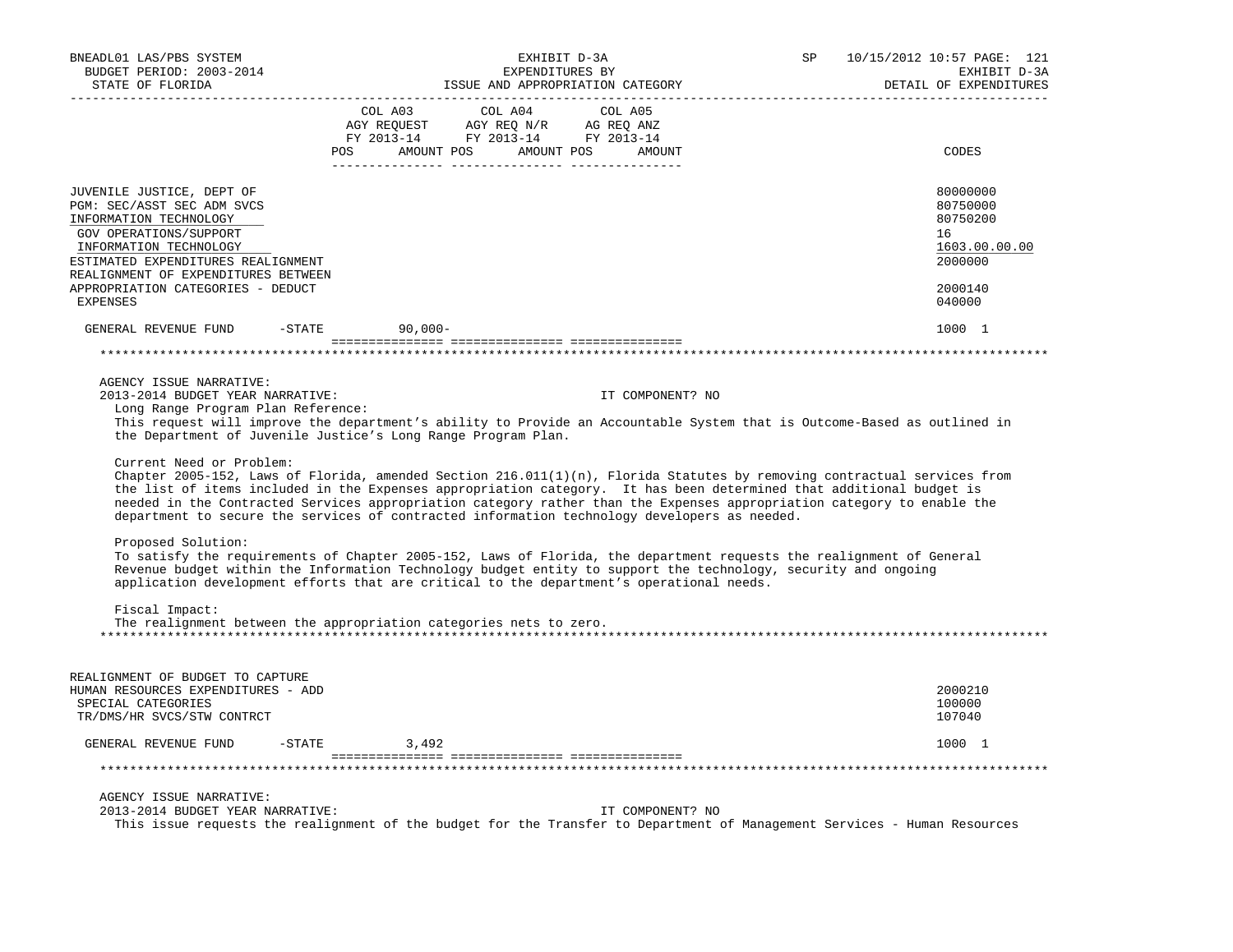| BNEADL01 LAS/PBS SYSTEM                        | EXHIBIT D-3A                                                                                                                                                                                                                                                                                                                                                                                                                                                                                                                                                                                                                                                                                                        | 10/15/2012 10:57 PAGE: 121<br>SP |
|------------------------------------------------|---------------------------------------------------------------------------------------------------------------------------------------------------------------------------------------------------------------------------------------------------------------------------------------------------------------------------------------------------------------------------------------------------------------------------------------------------------------------------------------------------------------------------------------------------------------------------------------------------------------------------------------------------------------------------------------------------------------------|----------------------------------|
| BUDGET PERIOD: 2003-2014                       | EXPENDITURES BY                                                                                                                                                                                                                                                                                                                                                                                                                                                                                                                                                                                                                                                                                                     | EXHIBIT D-3A                     |
| STATE OF FLORIDA                               |                                                                                                                                                                                                                                                                                                                                                                                                                                                                                                                                                                                                                                                                                                                     | DETAIL OF EXPENDITURES           |
|                                                |                                                                                                                                                                                                                                                                                                                                                                                                                                                                                                                                                                                                                                                                                                                     |                                  |
|                                                | COL A03 COL A04<br>COL A05                                                                                                                                                                                                                                                                                                                                                                                                                                                                                                                                                                                                                                                                                          |                                  |
|                                                | $\begin{tabular}{lllllll} \bf AGY \,\, &\bf REGUEST \,\, &\bf AGY \,\, &\bf REQ \,\, &\bf N/R \,\, &\bf AG \,\, &\bf REQ \,\, &\bf ANZ \,\, \\ \bf FY \,\, &\bf 2013-14 \,\, &\bf FY \,\, &\bf 2013-14 \,\, &\bf FY \,\, &\bf 2013-14 \end{tabular}$                                                                                                                                                                                                                                                                                                                                                                                                                                                                |                                  |
|                                                |                                                                                                                                                                                                                                                                                                                                                                                                                                                                                                                                                                                                                                                                                                                     |                                  |
|                                                | POS AMOUNT POS AMOUNT POS AMOUNT                                                                                                                                                                                                                                                                                                                                                                                                                                                                                                                                                                                                                                                                                    | CODES                            |
|                                                |                                                                                                                                                                                                                                                                                                                                                                                                                                                                                                                                                                                                                                                                                                                     |                                  |
|                                                |                                                                                                                                                                                                                                                                                                                                                                                                                                                                                                                                                                                                                                                                                                                     |                                  |
| JUVENILE JUSTICE, DEPT OF                      |                                                                                                                                                                                                                                                                                                                                                                                                                                                                                                                                                                                                                                                                                                                     | 80000000                         |
| PGM: SEC/ASST SEC ADM SVCS                     |                                                                                                                                                                                                                                                                                                                                                                                                                                                                                                                                                                                                                                                                                                                     | 80750000                         |
| INFORMATION TECHNOLOGY                         |                                                                                                                                                                                                                                                                                                                                                                                                                                                                                                                                                                                                                                                                                                                     | 80750200                         |
| GOV OPERATIONS/SUPPORT                         |                                                                                                                                                                                                                                                                                                                                                                                                                                                                                                                                                                                                                                                                                                                     | 16                               |
| INFORMATION TECHNOLOGY                         |                                                                                                                                                                                                                                                                                                                                                                                                                                                                                                                                                                                                                                                                                                                     | 1603.00.00.00                    |
| ESTIMATED EXPENDITURES REALIGNMENT             |                                                                                                                                                                                                                                                                                                                                                                                                                                                                                                                                                                                                                                                                                                                     | 2000000                          |
| REALIGNMENT OF EXPENDITURES BETWEEN            |                                                                                                                                                                                                                                                                                                                                                                                                                                                                                                                                                                                                                                                                                                                     |                                  |
| APPROPRIATION CATEGORIES - DEDUCT              |                                                                                                                                                                                                                                                                                                                                                                                                                                                                                                                                                                                                                                                                                                                     | 2000140                          |
| <b>EXPENSES</b>                                |                                                                                                                                                                                                                                                                                                                                                                                                                                                                                                                                                                                                                                                                                                                     | 040000                           |
|                                                |                                                                                                                                                                                                                                                                                                                                                                                                                                                                                                                                                                                                                                                                                                                     |                                  |
| GENERAL REVENUE FUND -STATE 90,000-            |                                                                                                                                                                                                                                                                                                                                                                                                                                                                                                                                                                                                                                                                                                                     | 1000 1                           |
|                                                |                                                                                                                                                                                                                                                                                                                                                                                                                                                                                                                                                                                                                                                                                                                     |                                  |
|                                                |                                                                                                                                                                                                                                                                                                                                                                                                                                                                                                                                                                                                                                                                                                                     |                                  |
|                                                |                                                                                                                                                                                                                                                                                                                                                                                                                                                                                                                                                                                                                                                                                                                     |                                  |
| AGENCY ISSUE NARRATIVE:                        |                                                                                                                                                                                                                                                                                                                                                                                                                                                                                                                                                                                                                                                                                                                     |                                  |
| 2013-2014 BUDGET YEAR NARRATIVE:               | IT COMPONENT? NO                                                                                                                                                                                                                                                                                                                                                                                                                                                                                                                                                                                                                                                                                                    |                                  |
| Long Range Program Plan Reference:             |                                                                                                                                                                                                                                                                                                                                                                                                                                                                                                                                                                                                                                                                                                                     |                                  |
|                                                |                                                                                                                                                                                                                                                                                                                                                                                                                                                                                                                                                                                                                                                                                                                     |                                  |
|                                                | This request will improve the department's ability to Provide an Accountable System that is Outcome-Based as outlined in                                                                                                                                                                                                                                                                                                                                                                                                                                                                                                                                                                                            |                                  |
|                                                | the Department of Juvenile Justice's Long Range Program Plan.                                                                                                                                                                                                                                                                                                                                                                                                                                                                                                                                                                                                                                                       |                                  |
| Current Need or Problem:<br>Proposed Solution: | Chapter 2005-152, Laws of Florida, amended Section 216.011(1)(n), Florida Statutes by removing contractual services from<br>the list of items included in the Expenses appropriation category. It has been determined that additional budget is<br>needed in the Contracted Services appropriation category rather than the Expenses appropriation category to enable the<br>department to secure the services of contracted information technology developers as needed.<br>To satisfy the requirements of Chapter 2005-152, Laws of Florida, the department requests the realignment of General<br>Revenue budget within the Information Technology budget entity to support the technology, security and ongoing |                                  |
|                                                | application development efforts that are critical to the department's operational needs.                                                                                                                                                                                                                                                                                                                                                                                                                                                                                                                                                                                                                            |                                  |
|                                                |                                                                                                                                                                                                                                                                                                                                                                                                                                                                                                                                                                                                                                                                                                                     |                                  |
| Fiscal Impact:                                 |                                                                                                                                                                                                                                                                                                                                                                                                                                                                                                                                                                                                                                                                                                                     |                                  |
|                                                | The realignment between the appropriation categories nets to zero.                                                                                                                                                                                                                                                                                                                                                                                                                                                                                                                                                                                                                                                  |                                  |
|                                                |                                                                                                                                                                                                                                                                                                                                                                                                                                                                                                                                                                                                                                                                                                                     |                                  |
|                                                |                                                                                                                                                                                                                                                                                                                                                                                                                                                                                                                                                                                                                                                                                                                     |                                  |
|                                                |                                                                                                                                                                                                                                                                                                                                                                                                                                                                                                                                                                                                                                                                                                                     |                                  |
| REALIGNMENT OF BUDGET TO CAPTURE               |                                                                                                                                                                                                                                                                                                                                                                                                                                                                                                                                                                                                                                                                                                                     |                                  |
| HUMAN RESOURCES EXPENDITURES - ADD             |                                                                                                                                                                                                                                                                                                                                                                                                                                                                                                                                                                                                                                                                                                                     | 2000210                          |
|                                                |                                                                                                                                                                                                                                                                                                                                                                                                                                                                                                                                                                                                                                                                                                                     |                                  |
| SPECIAL CATEGORIES                             |                                                                                                                                                                                                                                                                                                                                                                                                                                                                                                                                                                                                                                                                                                                     | 100000                           |
| TR/DMS/HR SVCS/STW CONTRCT                     |                                                                                                                                                                                                                                                                                                                                                                                                                                                                                                                                                                                                                                                                                                                     | 107040                           |
|                                                |                                                                                                                                                                                                                                                                                                                                                                                                                                                                                                                                                                                                                                                                                                                     |                                  |
| GENERAL REVENUE FUND                           | $-STATE$<br>3,492                                                                                                                                                                                                                                                                                                                                                                                                                                                                                                                                                                                                                                                                                                   | 1000 1                           |
|                                                |                                                                                                                                                                                                                                                                                                                                                                                                                                                                                                                                                                                                                                                                                                                     |                                  |
|                                                |                                                                                                                                                                                                                                                                                                                                                                                                                                                                                                                                                                                                                                                                                                                     |                                  |
|                                                |                                                                                                                                                                                                                                                                                                                                                                                                                                                                                                                                                                                                                                                                                                                     |                                  |
| AGENCY ISSUE NARRATIVE:                        |                                                                                                                                                                                                                                                                                                                                                                                                                                                                                                                                                                                                                                                                                                                     |                                  |
| 2013-2014 BUDGET YEAR NARRATIVE:               | IT COMPONENT? NO                                                                                                                                                                                                                                                                                                                                                                                                                                                                                                                                                                                                                                                                                                    |                                  |
|                                                | This issue requests the realignment of the budget for the Transfer to Department of Management Services - Human Resources                                                                                                                                                                                                                                                                                                                                                                                                                                                                                                                                                                                           |                                  |
|                                                |                                                                                                                                                                                                                                                                                                                                                                                                                                                                                                                                                                                                                                                                                                                     |                                  |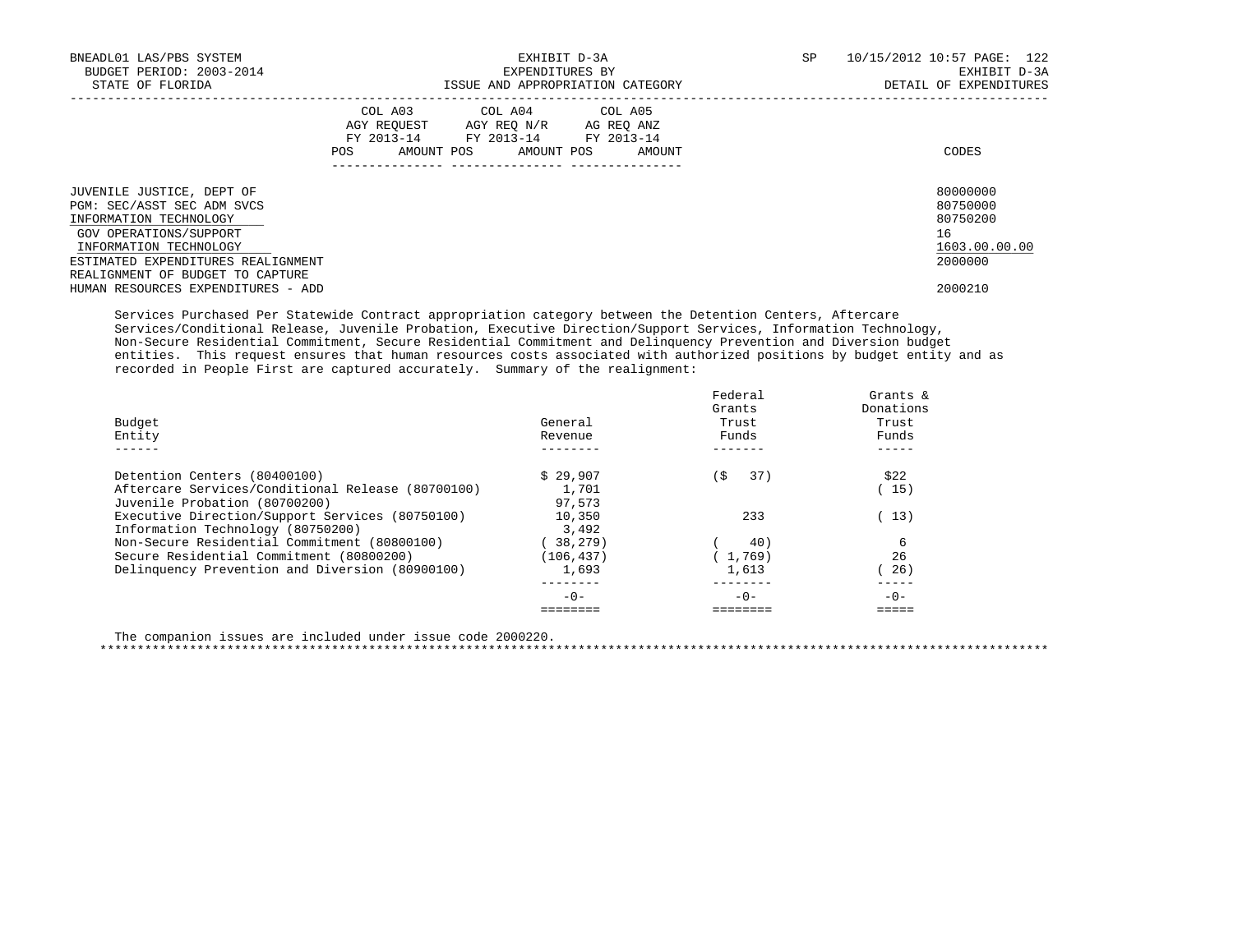| BNEADL01 LAS/PBS SYSTEM<br>BUDGET PERIOD: 2003-2014                                                                                   |         | EXPENDITURES BY                                                                                                            | EXHIBIT D-3A                     | SP | 10/15/2012 10:57 PAGE: 122<br>EXHIBIT D-3A              |
|---------------------------------------------------------------------------------------------------------------------------------------|---------|----------------------------------------------------------------------------------------------------------------------------|----------------------------------|----|---------------------------------------------------------|
| STATE OF FLORIDA                                                                                                                      |         |                                                                                                                            | ISSUE AND APPROPRIATION CATEGORY |    | DETAIL OF EXPENDITURES                                  |
|                                                                                                                                       | POS FOR | COL A03 COL A04 COL A05<br>AGY REOUEST AGY REO N/R AG REO ANZ<br>FY 2013-14 FY 2013-14 FY 2013-14<br>AMOUNT POS AMOUNT POS | AMOUNT                           |    | CODES                                                   |
| JUVENILE JUSTICE, DEPT OF<br>PGM: SEC/ASST SEC ADM SVCS<br>INFORMATION TECHNOLOGY<br>GOV OPERATIONS/SUPPORT<br>INFORMATION TECHNOLOGY |         |                                                                                                                            |                                  |    | 80000000<br>80750000<br>80750200<br>16<br>1603.00.00.00 |
| ESTIMATED EXPENDITURES REALIGNMENT<br>REALIGNMENT OF BUDGET TO CAPTURE                                                                |         |                                                                                                                            |                                  |    | 2000000                                                 |
| HUMAN RESOURCES EXPENDITURES - ADD                                                                                                    |         |                                                                                                                            |                                  |    | 2000210                                                 |

 Services Purchased Per Statewide Contract appropriation category between the Detention Centers, Aftercare Services/Conditional Release, Juvenile Probation, Executive Direction/Support Services, Information Technology, Non-Secure Residential Commitment, Secure Residential Commitment and Delinquency Prevention and Diversion budget entities. This request ensures that human resources costs associated with authorized positions by budget entity and as recorded in People First are captured accurately. Summary of the realignment:

| Budget<br>Entity                                  | General<br>Revenue | Federal<br>Grants<br>Trust<br>Funds | Grants &<br>Donations<br>Trust<br>Funds |
|---------------------------------------------------|--------------------|-------------------------------------|-----------------------------------------|
| Detention Centers (80400100)                      | \$29.907           | 37)<br>(S                           | \$22                                    |
| Aftercare Services/Conditional Release (80700100) | 1,701              |                                     | 15)                                     |
| Juvenile Probation (80700200)                     | 97.573             |                                     |                                         |
| Executive Direction/Support Services (80750100)   | 10,350             | 233                                 | (13)                                    |
| Information Technology (80750200)                 | 3,492              |                                     |                                         |
| Non-Secure Residential Commitment (80800100)      | 38,279)            | 40)                                 | 6                                       |
| Secure Residential Commitment (80800200)          | (106, 437)         | (1, 769)                            | 26                                      |
| Delinquency Prevention and Diversion (80900100)   | 1,693              | 1,613                               | 26)                                     |
|                                                   | $-0-$              | $-0-$                               | $-0-$                                   |
|                                                   |                    |                                     |                                         |

The companion issues are included under issue code 2000220.

\*\*\*\*\*\*\*\*\*\*\*\*\*\*\*\*\*\*\*\*\*\*\*\*\*\*\*\*\*\*\*\*\*\*\*\*\*\*\*\*\*\*\*\*\*\*\*\*\*\*\*\*\*\*\*\*\*\*\*\*\*\*\*\*\*\*\*\*\*\*\*\*\*\*\*\*\*\*\*\*\*\*\*\*\*\*\*\*\*\*\*\*\*\*\*\*\*\*\*\*\*\*\*\*\*\*\*\*\*\*\*\*\*\*\*\*\*\*\*\*\*\*\*\*\*\*\*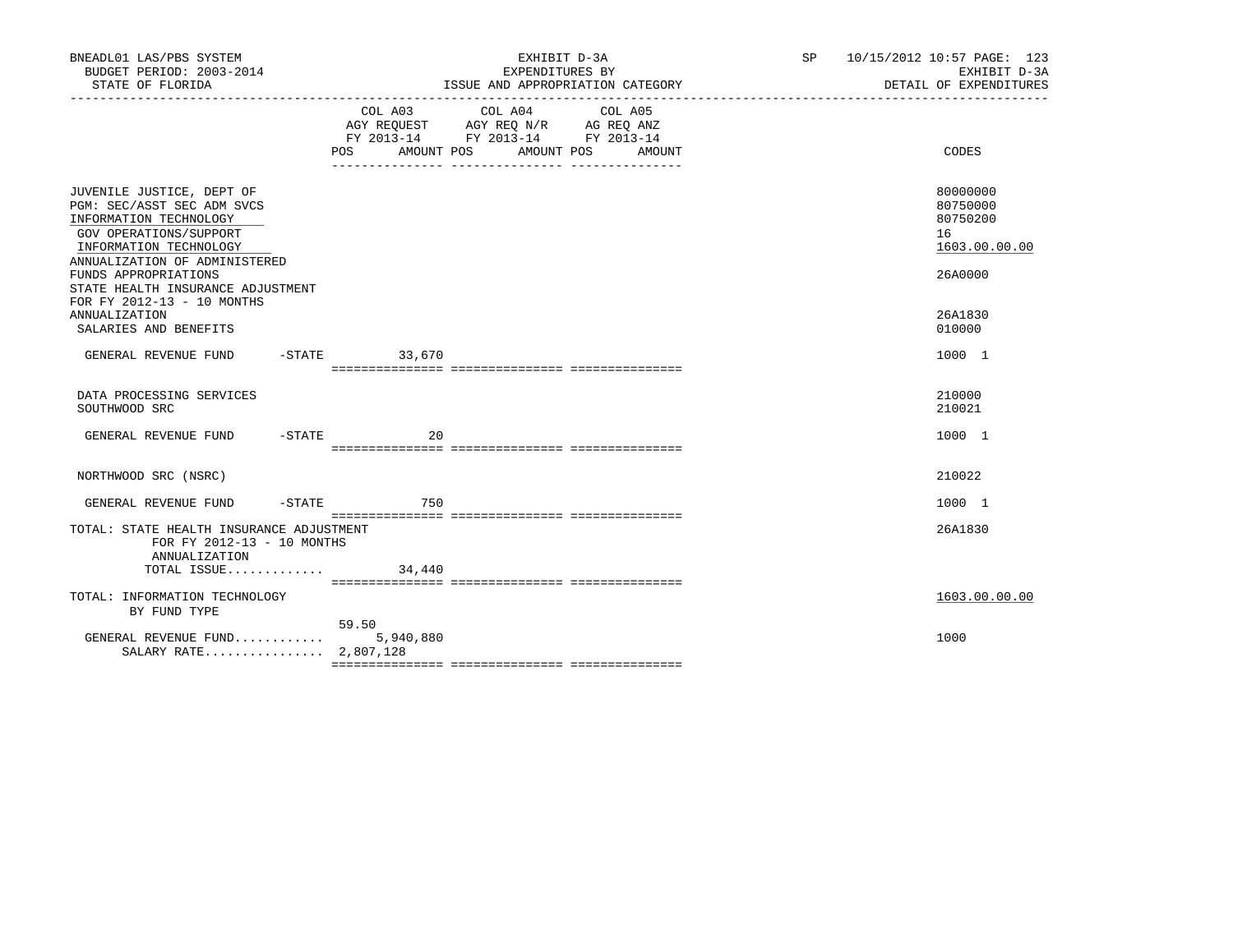| BNEADL01 LAS/PBS SYSTEM<br>BUDGET PERIOD: 2003-2014<br>STATE OF FLORIDA                                                                                                |                    | EXHIBIT D-3A<br>EXPENDITURES BY<br>ISSUE AND APPROPRIATION CATEGORY                                                                  | SP 10/15/2012 10:57 PAGE: 123<br>EXHIBIT D-3A<br>DETAIL OF EXPENDITURES |
|------------------------------------------------------------------------------------------------------------------------------------------------------------------------|--------------------|--------------------------------------------------------------------------------------------------------------------------------------|-------------------------------------------------------------------------|
|                                                                                                                                                                        | POS                | COL A03 COL A04 COL A05<br>AGY REQUEST AGY REQ N/R AG REQ ANZ<br>FY 2013-14 FY 2013-14 FY 2013-14<br>AMOUNT POS AMOUNT POS<br>AMOUNT | CODES                                                                   |
| JUVENILE JUSTICE, DEPT OF<br>PGM: SEC/ASST SEC ADM SVCS<br>INFORMATION TECHNOLOGY<br>GOV OPERATIONS/SUPPORT<br>INFORMATION TECHNOLOGY<br>ANNUALIZATION OF ADMINISTERED |                    |                                                                                                                                      | 80000000<br>80750000<br>80750200<br>16<br>1603.00.00.00                 |
| FUNDS APPROPRIATIONS<br>STATE HEALTH INSURANCE ADJUSTMENT<br>FOR FY 2012-13 - 10 MONTHS<br><b>ANNUALIZATION</b><br>SALARIES AND BENEFITS                               |                    |                                                                                                                                      | 26A0000<br>26A1830<br>010000                                            |
| GENERAL REVENUE FUND -STATE 33,670                                                                                                                                     |                    |                                                                                                                                      | 1000 1                                                                  |
| DATA PROCESSING SERVICES<br>SOUTHWOOD SRC                                                                                                                              |                    |                                                                                                                                      | 210000<br>210021                                                        |
| GENERAL REVENUE FUND -STATE                                                                                                                                            | 20                 |                                                                                                                                      | 1000 1                                                                  |
| NORTHWOOD SRC (NSRC)                                                                                                                                                   |                    |                                                                                                                                      | 210022                                                                  |
| GENERAL REVENUE FUND                                                                                                                                                   | -STATE 750         |                                                                                                                                      | 1000 1                                                                  |
| TOTAL: STATE HEALTH INSURANCE ADJUSTMENT<br>FOR FY 2012-13 - 10 MONTHS<br>ANNUALIZATION                                                                                |                    |                                                                                                                                      | 26A1830                                                                 |
| TOTAL ISSUE                                                                                                                                                            | 34,440             |                                                                                                                                      |                                                                         |
| TOTAL: INFORMATION TECHNOLOGY<br>BY FUND TYPE                                                                                                                          |                    |                                                                                                                                      | 1603.00.00.00                                                           |
| GENERAL REVENUE FUND<br>SALARY RATE 2,807,128                                                                                                                          | 59.50<br>5,940,880 |                                                                                                                                      | 1000                                                                    |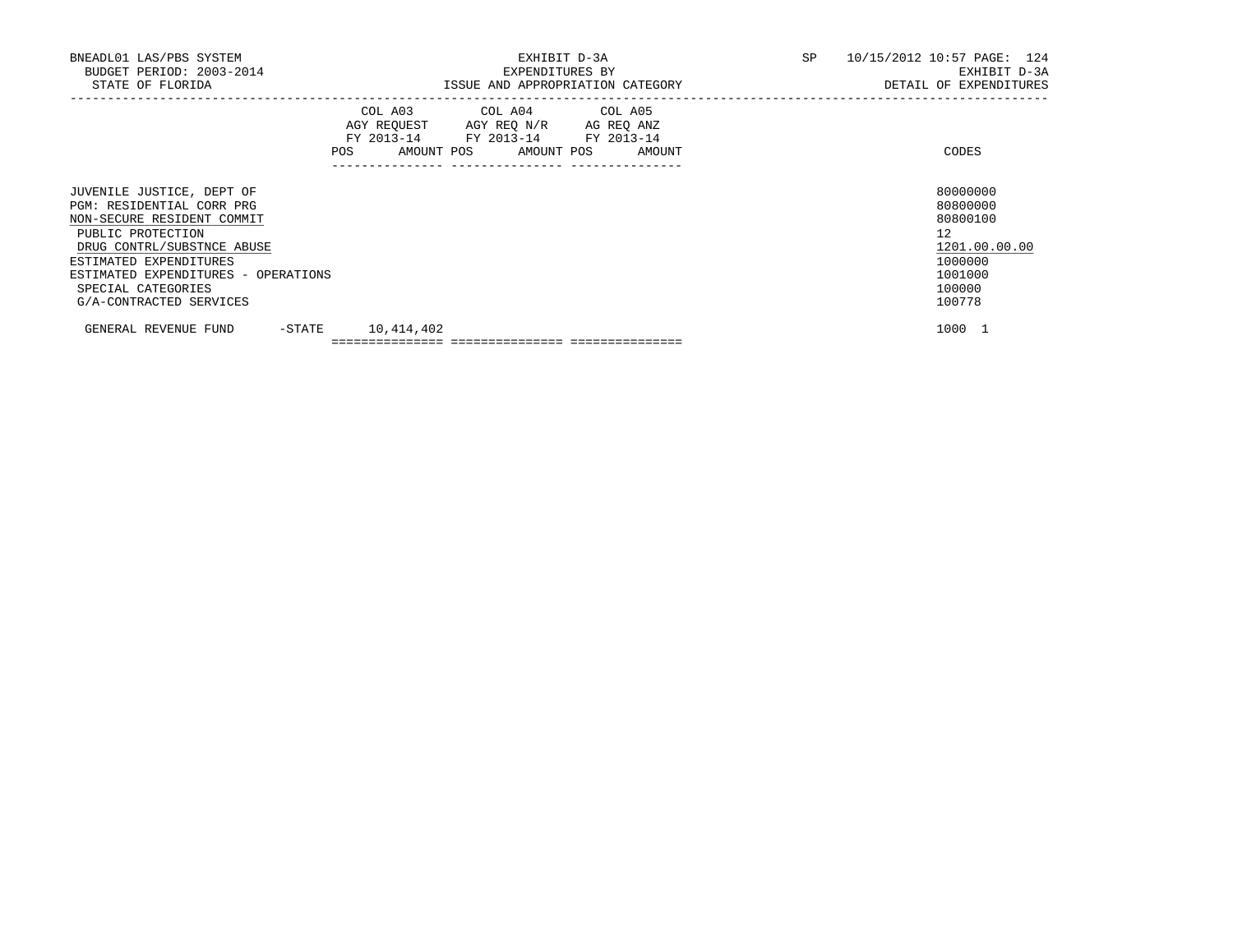| BNEADL01 LAS/PBS SYSTEM<br>BUDGET PERIOD: 2003-2014                                                                                                                                                                                                       |                     | EXHIBIT D-3A                                                                                                                          |                                  | SP 10/15/2012 10:57 PAGE: 124                                                                     |
|-----------------------------------------------------------------------------------------------------------------------------------------------------------------------------------------------------------------------------------------------------------|---------------------|---------------------------------------------------------------------------------------------------------------------------------------|----------------------------------|---------------------------------------------------------------------------------------------------|
| STATE OF FLORIDA                                                                                                                                                                                                                                          |                     | EXPENDITURES BY                                                                                                                       | ISSUE AND APPROPRIATION CATEGORY | EXHIBIT D-3A<br>DETAIL OF EXPENDITURES                                                            |
|                                                                                                                                                                                                                                                           |                     | COL A03 COL A04 COL A05<br>AGY REQUEST AGY REQ N/R AG REQ ANZ<br>FY 2013-14 FY 2013-14 FY 2013-14<br>POS AMOUNT POS AMOUNT POS AMOUNT |                                  | CODES                                                                                             |
| JUVENILE JUSTICE, DEPT OF<br>PGM: RESIDENTIAL CORR PRG<br>NON-SECURE RESIDENT COMMIT<br>PUBLIC PROTECTION<br>DRUG CONTRL/SUBSTNCE ABUSE<br>ESTIMATED EXPENDITURES<br>ESTIMATED EXPENDITURES - OPERATIONS<br>SPECIAL CATEGORIES<br>G/A-CONTRACTED SERVICES |                     |                                                                                                                                       |                                  | 80000000<br>80800000<br>80800100<br>12<br>1201.00.00.00<br>1000000<br>1001000<br>100000<br>100778 |
| GENERAL REVENUE FUND                                                                                                                                                                                                                                      | $-STATE$ 10,414,402 |                                                                                                                                       |                                  | 1000 1                                                                                            |
|                                                                                                                                                                                                                                                           |                     |                                                                                                                                       |                                  |                                                                                                   |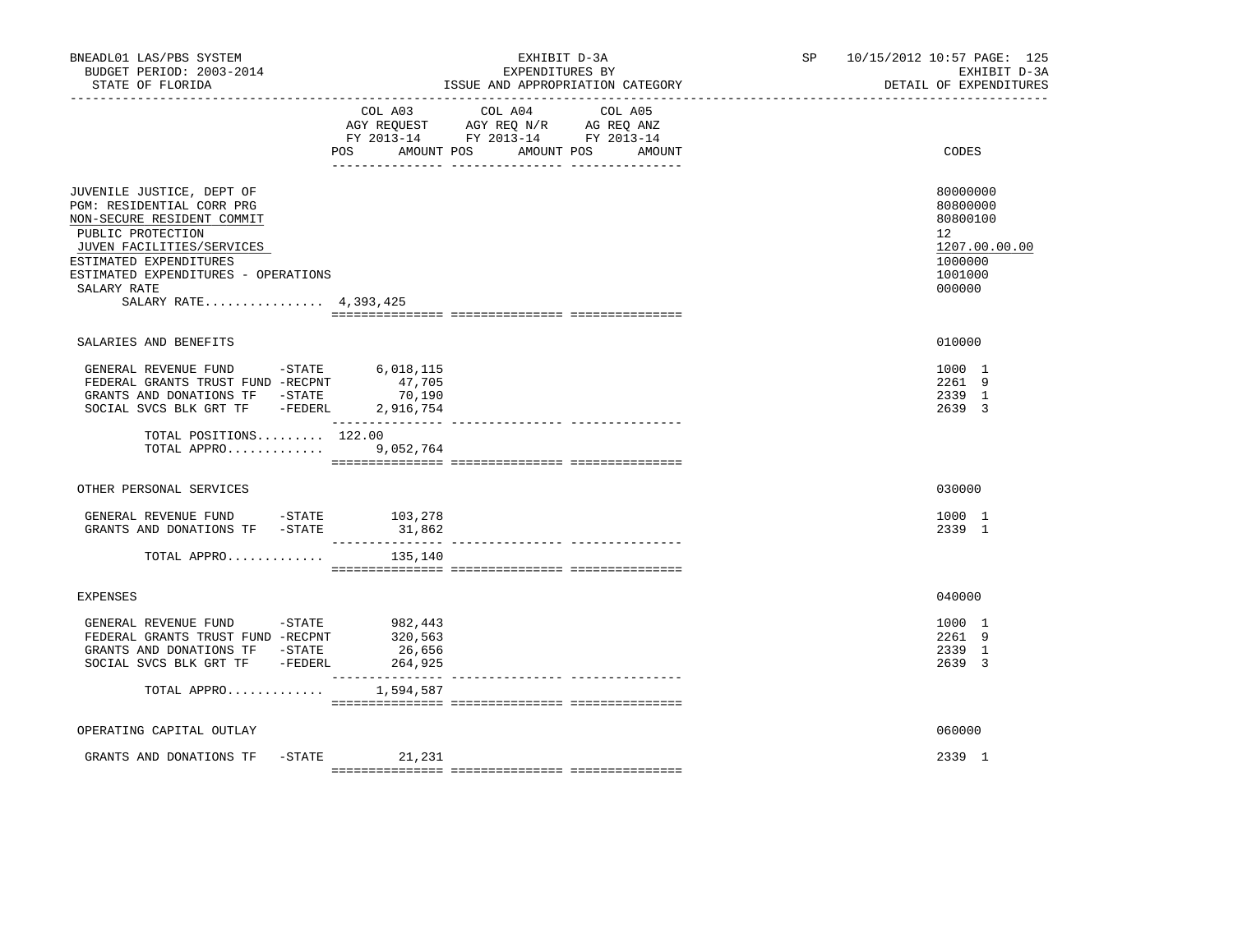| BNEADL01 LAS/PBS SYSTEM<br>BUDGET PERIOD: 2003-2014<br>STATE OF FLORIDA                                                                                                                                                                         |                                         | EXHIBIT D-3A<br>EXPENDITURES BY<br>ISSUE AND APPROPRIATION CATEGORY                                                  | SP <sub>2</sub> | 10/15/2012 10:57 PAGE: 125<br>EXHIBIT D-3A<br>DETAIL OF EXPENDITURES                                 |
|-------------------------------------------------------------------------------------------------------------------------------------------------------------------------------------------------------------------------------------------------|-----------------------------------------|----------------------------------------------------------------------------------------------------------------------|-----------------|------------------------------------------------------------------------------------------------------|
|                                                                                                                                                                                                                                                 | COL A03<br>POS AMOUNT POS               | COL A04<br>COL A05<br>AGY REQUEST AGY REQ N/R AG REQ ANZ<br>FY 2013-14 FY 2013-14 FY 2013-14<br>AMOUNT POS<br>AMOUNT |                 | CODES                                                                                                |
| JUVENILE JUSTICE, DEPT OF<br>PGM: RESIDENTIAL CORR PRG<br>NON-SECURE RESIDENT COMMIT<br>PUBLIC PROTECTION<br>JUVEN FACILITIES/SERVICES<br>ESTIMATED EXPENDITURES<br>ESTIMATED EXPENDITURES - OPERATIONS<br>SALARY RATE<br>SALARY RATE 4,393,425 |                                         |                                                                                                                      |                 | 80000000<br>80800000<br>80800100<br>12 <sup>°</sup><br>1207.00.00.00<br>1000000<br>1001000<br>000000 |
| SALARIES AND BENEFITS                                                                                                                                                                                                                           |                                         |                                                                                                                      |                 | 010000                                                                                               |
| GENERAL REVENUE FUND -STATE<br>FEDERAL GRANTS TRUST FUND -RECPNT<br>GRANTS AND DONATIONS TF -STATE<br>SOCIAL SVCS BLK GRT TF - FEDERL 2,916,754                                                                                                 | 6,018,115<br>47,705<br>70,190           |                                                                                                                      |                 | 1000 1<br>2261 9<br>2339 1<br>2639 3                                                                 |
| TOTAL POSITIONS 122.00<br>TOTAL APPRO                                                                                                                                                                                                           | 9,052,764                               |                                                                                                                      |                 |                                                                                                      |
| OTHER PERSONAL SERVICES                                                                                                                                                                                                                         |                                         |                                                                                                                      |                 | 030000                                                                                               |
| GENERAL REVENUE FUND -STATE 103,278<br>GRANTS AND DONATIONS TF -STATE                                                                                                                                                                           | 31,862                                  |                                                                                                                      |                 | 1000 1<br>2339 1                                                                                     |
| TOTAL APPRO                                                                                                                                                                                                                                     | 135,140                                 |                                                                                                                      |                 |                                                                                                      |
| <b>EXPENSES</b>                                                                                                                                                                                                                                 |                                         |                                                                                                                      |                 | 040000                                                                                               |
| GENERAL REVENUE FUND -STATE<br>FEDERAL GRANTS TRUST FUND -RECPNT<br>GRANTS AND DONATIONS TF -STATE<br>SOCIAL SVCS BLK GRT TF -FEDERL                                                                                                            | 982,443<br>320,563<br>26,656<br>264,925 |                                                                                                                      |                 | 1000 1<br>2261 9<br>2339 1<br>2639 3                                                                 |
| TOTAL APPRO                                                                                                                                                                                                                                     | 1,594,587                               |                                                                                                                      |                 |                                                                                                      |
| OPERATING CAPITAL OUTLAY                                                                                                                                                                                                                        |                                         |                                                                                                                      |                 | 060000                                                                                               |
| GRANTS AND DONATIONS TF                                                                                                                                                                                                                         | $-$ STATE 21, 231                       |                                                                                                                      |                 | 2339 1                                                                                               |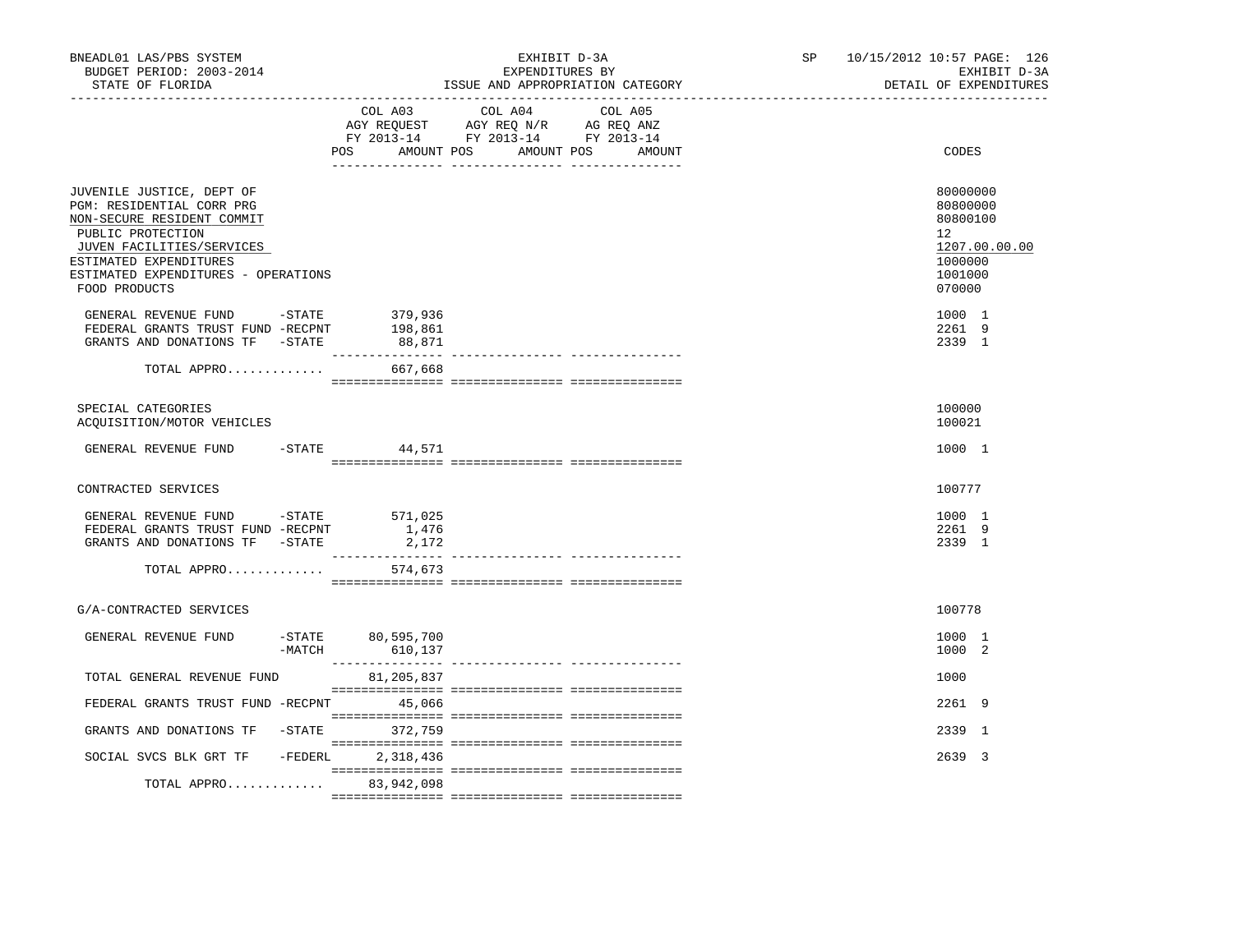| BNEADL01 LAS/PBS SYSTEM<br>BUDGET PERIOD: 2003-2014<br>STATE OF FLORIDA                                                                                                                                                  |          |                                | EXHIBIT D-3A<br>EXPENDITURES BY                                                                                 | ISSUE AND APPROPRIATION CATEGORY | SP | 10/15/2012 10:57 PAGE: 126 | EXHIBIT D-3A<br>DETAIL OF EXPENDITURES                                            |
|--------------------------------------------------------------------------------------------------------------------------------------------------------------------------------------------------------------------------|----------|--------------------------------|-----------------------------------------------------------------------------------------------------------------|----------------------------------|----|----------------------------|-----------------------------------------------------------------------------------|
|                                                                                                                                                                                                                          |          | POS<br>AMOUNT POS              | COL A03 COL A04 COL A05<br>AGY REQUEST AGY REQ N/R AG REQ ANZ<br>FY 2013-14 FY 2013-14 FY 2013-14<br>AMOUNT POS | AMOUNT                           |    |                            | CODES                                                                             |
| JUVENILE JUSTICE, DEPT OF<br>PGM: RESIDENTIAL CORR PRG<br>NON-SECURE RESIDENT COMMIT<br>PUBLIC PROTECTION<br>JUVEN FACILITIES/SERVICES<br>ESTIMATED EXPENDITURES<br>ESTIMATED EXPENDITURES - OPERATIONS<br>FOOD PRODUCTS |          |                                |                                                                                                                 |                                  |    | $12^{\circ}$               | 80000000<br>80800000<br>80800100<br>1207.00.00.00<br>1000000<br>1001000<br>070000 |
| GENERAL REVENUE FUND $-$ STATE 379, 936<br>FEDERAL GRANTS TRUST FUND -RECPNT<br>GRANTS AND DONATIONS TF -STATE                                                                                                           |          | 198,861<br>88,871              |                                                                                                                 |                                  |    |                            | 1000 1<br>2261 9<br>2339 1                                                        |
| TOTAL APPRO                                                                                                                                                                                                              |          | 667,668                        |                                                                                                                 |                                  |    |                            |                                                                                   |
| SPECIAL CATEGORIES<br>ACQUISITION/MOTOR VEHICLES                                                                                                                                                                         |          |                                |                                                                                                                 |                                  |    |                            | 100000<br>100021                                                                  |
| GENERAL REVENUE FUND -STATE 44,571                                                                                                                                                                                       |          |                                |                                                                                                                 |                                  |    |                            | 1000 1                                                                            |
| CONTRACTED SERVICES                                                                                                                                                                                                      |          |                                |                                                                                                                 |                                  |    |                            | 100777                                                                            |
| GENERAL REVENUE FUND -STATE 571,025<br>FEDERAL GRANTS TRUST FUND -RECPNT<br>GRANTS AND DONATIONS TF -STATE                                                                                                               |          | 1,476<br>2,172                 |                                                                                                                 |                                  |    |                            | 1000 1<br>2261 9<br>2339 1                                                        |
| TOTAL APPRO                                                                                                                                                                                                              |          | 574,673                        |                                                                                                                 |                                  |    |                            |                                                                                   |
| G/A-CONTRACTED SERVICES                                                                                                                                                                                                  |          |                                |                                                                                                                 |                                  |    |                            | 100778                                                                            |
| GENERAL REVENUE FUND                                                                                                                                                                                                     | $-MATCH$ | $-STATE$ 80,595,700<br>610,137 |                                                                                                                 |                                  |    |                            | 1000 1<br>1000 2                                                                  |
| TOTAL GENERAL REVENUE FUND                                                                                                                                                                                               |          | 81,205,837                     |                                                                                                                 |                                  |    |                            | 1000                                                                              |
| FEDERAL GRANTS TRUST FUND -RECPNT 45,066                                                                                                                                                                                 |          |                                |                                                                                                                 |                                  |    |                            | 2261 9                                                                            |
| GRANTS AND DONATIONS TF -STATE 372,759                                                                                                                                                                                   |          |                                |                                                                                                                 |                                  |    |                            | 2339 1                                                                            |
| SOCIAL SVCS BLK GRT TF - FEDERL                                                                                                                                                                                          |          | 2,318,436                      |                                                                                                                 |                                  |    |                            | 2639 3                                                                            |
| TOTAL APPRO                                                                                                                                                                                                              |          | 83,942,098                     |                                                                                                                 |                                  |    |                            |                                                                                   |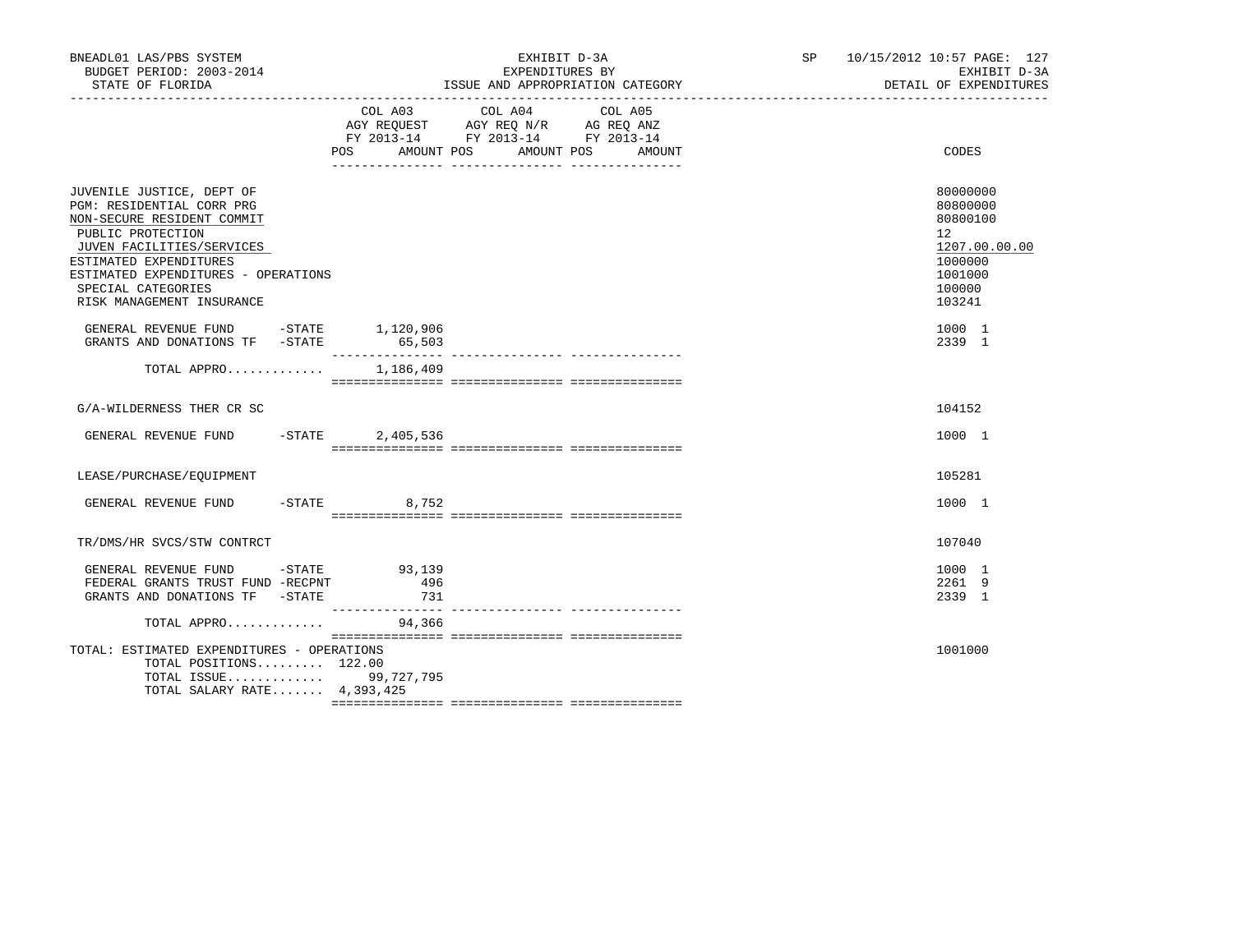| BNEADL01 LAS/PBS SYSTEM<br>BUDGET PERIOD: 2003-2014<br>STATE OF FLORIDA                                                                                                                                                                                    |                 | EXHIBIT D-3A<br>EXPENDITURES BY<br>ISSUE AND APPROPRIATION CATEGORY                                                          | SP 10/15/2012 10:57 PAGE: 127<br>EXHIBIT D-3A<br>DETAIL OF EXPENDITURES                                        |
|------------------------------------------------------------------------------------------------------------------------------------------------------------------------------------------------------------------------------------------------------------|-----------------|------------------------------------------------------------------------------------------------------------------------------|----------------------------------------------------------------------------------------------------------------|
|                                                                                                                                                                                                                                                            | POS AMOUNT POS  | COL A03 COL A04<br>COL A05<br>AGY REQUEST AGY REQ N/R AG REQ ANZ<br>FY 2013-14 FY 2013-14 FY 2013-14<br>AMOUNT POS<br>AMOUNT | <b>CODES</b>                                                                                                   |
| JUVENILE JUSTICE, DEPT OF<br>PGM: RESIDENTIAL CORR PRG<br>NON-SECURE RESIDENT COMMIT<br>PUBLIC PROTECTION<br>JUVEN FACILITIES/SERVICES<br>ESTIMATED EXPENDITURES<br>ESTIMATED EXPENDITURES - OPERATIONS<br>SPECIAL CATEGORIES<br>RISK MANAGEMENT INSURANCE |                 |                                                                                                                              | 80000000<br>80800000<br>80800100<br>12 <sup>°</sup><br>1207.00.00.00<br>1000000<br>1001000<br>100000<br>103241 |
| GENERAL REVENUE FUND -STATE 1,120,906<br>GRANTS AND DONATIONS TF -STATE                                                                                                                                                                                    | 65,503          |                                                                                                                              | 1000 1<br>2339 1                                                                                               |
| TOTAL APPRO                                                                                                                                                                                                                                                | 1,186,409       |                                                                                                                              |                                                                                                                |
| G/A-WILDERNESS THER CR SC                                                                                                                                                                                                                                  |                 |                                                                                                                              | 104152                                                                                                         |
| GENERAL REVENUE FUND -STATE 2,405,536                                                                                                                                                                                                                      |                 |                                                                                                                              | 1000 1                                                                                                         |
| LEASE/PURCHASE/EQUIPMENT                                                                                                                                                                                                                                   |                 |                                                                                                                              | 105281                                                                                                         |
| GENERAL REVENUE FUND                                                                                                                                                                                                                                       | $-$ STATE 8,752 |                                                                                                                              | 1000 1                                                                                                         |
| TR/DMS/HR SVCS/STW CONTRCT                                                                                                                                                                                                                                 |                 |                                                                                                                              | 107040                                                                                                         |
| GENERAL REVENUE FUND -STATE 93,139<br>FEDERAL GRANTS TRUST FUND -RECPNT<br>GRANTS AND DONATIONS TF - STATE                                                                                                                                                 | 496<br>731      |                                                                                                                              | 1000 1<br>2261 9<br>2339 1                                                                                     |
| TOTAL APPRO                                                                                                                                                                                                                                                | 94,366          |                                                                                                                              |                                                                                                                |
| TOTAL: ESTIMATED EXPENDITURES - OPERATIONS<br>TOTAL POSITIONS 122.00<br>TOTAL ISSUE 99,727,795<br>TOTAL SALARY RATE 4,393,425                                                                                                                              |                 |                                                                                                                              | 1001000                                                                                                        |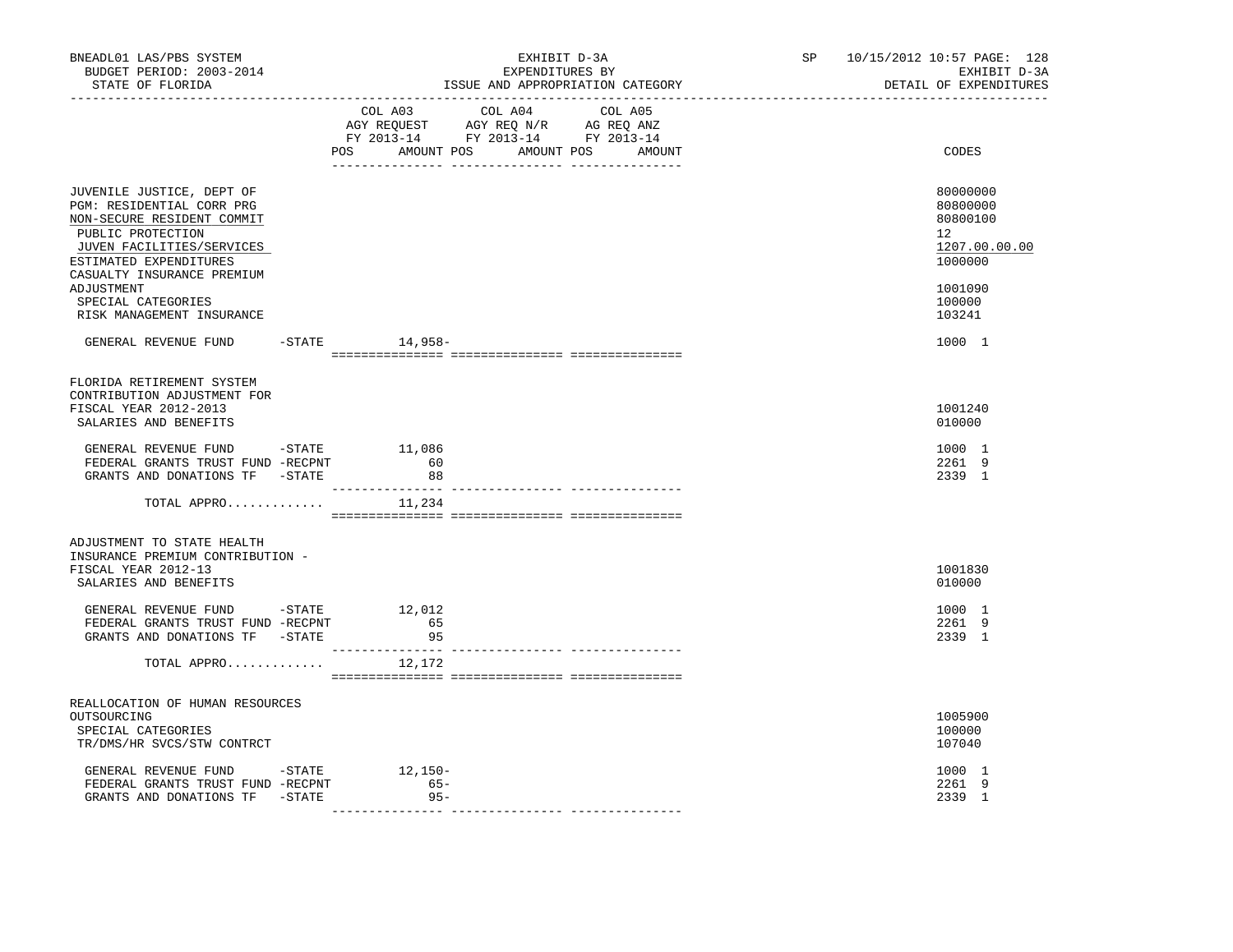| BNEADL01 LAS/PBS SYSTEM<br>BUDGET PERIOD: 2003-2014<br>STATE OF FLORIDA<br>_________________                                                                                                                 | EXHIBIT D-3A<br>EXPENDITURES BY<br>ISSUE AND APPROPRIATION CATEGORY                                                                   | SP 10/15/2012 10:57 PAGE: 128<br>EXHIBIT D-3A<br>DETAIL OF EXPENDITURES       |
|--------------------------------------------------------------------------------------------------------------------------------------------------------------------------------------------------------------|---------------------------------------------------------------------------------------------------------------------------------------|-------------------------------------------------------------------------------|
|                                                                                                                                                                                                              | COL A03 COL A04 COL A05<br>AGY REQUEST AGY REQ N/R AG REQ ANZ<br>FY 2013-14 FY 2013-14 FY 2013-14<br>POS AMOUNT POS AMOUNT POS AMOUNT | CODES                                                                         |
| JUVENILE JUSTICE, DEPT OF<br>PGM: RESIDENTIAL CORR PRG<br>NON-SECURE RESIDENT COMMIT<br>PUBLIC PROTECTION<br>JUVEN FACILITIES/SERVICES<br>ESTIMATED EXPENDITURES<br>CASUALTY INSURANCE PREMIUM<br>ADJUSTMENT |                                                                                                                                       | 80000000<br>80800000<br>80800100<br>12<br>1207.00.00.00<br>1000000<br>1001090 |
| SPECIAL CATEGORIES<br>RISK MANAGEMENT INSURANCE                                                                                                                                                              |                                                                                                                                       | 100000<br>103241                                                              |
| GENERAL REVENUE FUND -STATE 14,958-                                                                                                                                                                          |                                                                                                                                       | 1000 1                                                                        |
| FLORIDA RETIREMENT SYSTEM<br>CONTRIBUTION ADJUSTMENT FOR                                                                                                                                                     |                                                                                                                                       |                                                                               |
| FISCAL YEAR 2012-2013<br>SALARIES AND BENEFITS                                                                                                                                                               |                                                                                                                                       | 1001240<br>010000                                                             |
| GENERAL REVENUE FUND -STATE<br>FEDERAL GRANTS TRUST FUND -RECPNT<br>GRANTS AND DONATIONS TF -STATE                                                                                                           | 11,086<br>60<br>88                                                                                                                    | 1000 1<br>2261 9<br>2339 1                                                    |
| TOTAL APPRO $11,234$                                                                                                                                                                                         |                                                                                                                                       |                                                                               |
| ADJUSTMENT TO STATE HEALTH                                                                                                                                                                                   |                                                                                                                                       |                                                                               |
| INSURANCE PREMIUM CONTRIBUTION -<br>FISCAL YEAR 2012-13<br>SALARIES AND BENEFITS                                                                                                                             |                                                                                                                                       | 1001830<br>010000                                                             |
| GENERAL REVENUE FUND -STATE 12,012<br>FEDERAL GRANTS TRUST FUND -RECPNT<br>GRANTS AND DONATIONS TF -STATE                                                                                                    | 65<br>95                                                                                                                              | 1000 1<br>2261 9<br>2339 1                                                    |
| TOTAL APPRO                                                                                                                                                                                                  | ------------ --------------- -------<br>12,172                                                                                        |                                                                               |
| REALLOCATION OF HUMAN RESOURCES                                                                                                                                                                              |                                                                                                                                       |                                                                               |
| OUTSOURCING<br>SPECIAL CATEGORIES<br>TR/DMS/HR SVCS/STW CONTRCT                                                                                                                                              |                                                                                                                                       | 1005900<br>100000<br>107040                                                   |
| GENERAL REVENUE FUND -STATE 12,150-<br>FEDERAL GRANTS TRUST FUND -RECPNT<br>GRANTS AND DONATIONS TF -STATE                                                                                                   | $65 -$<br>$95 -$                                                                                                                      | 1000 1<br>2261 9<br>2339 1                                                    |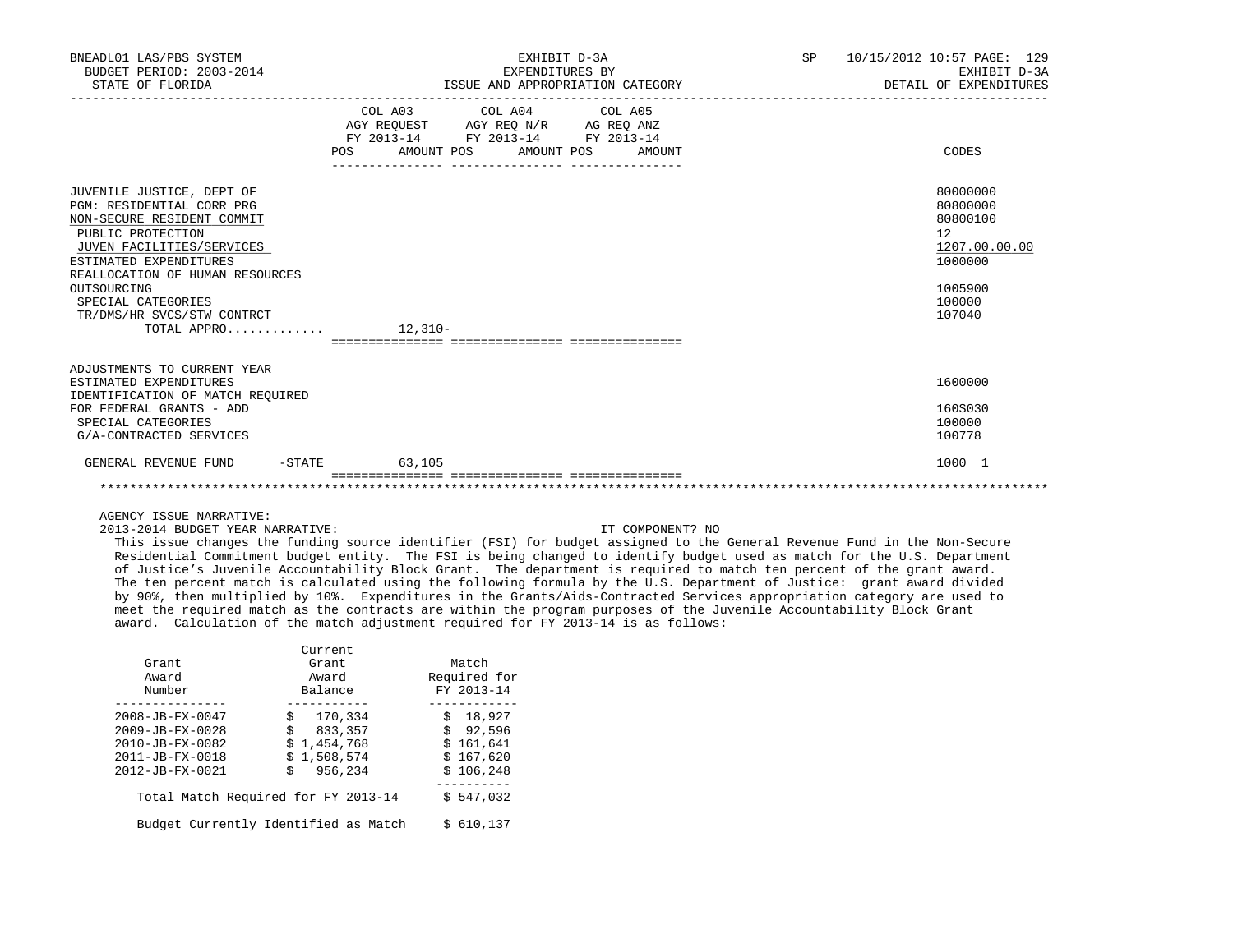| BNEADL01 LAS/PBS SYSTEM<br>BUDGET PERIOD: 2003-2014<br>STATE OF FLORIDA                                                                                                                                                                                                                                      | EXHIBIT D-3A<br>EXPENDITURES BY<br>ISSUE AND APPROPRIATION CATEGORY                                                                   | SP<br>10/15/2012 10:57 PAGE: 129<br>EXHIBIT D-3A<br>DETAIL OF EXPENDITURES                        |
|--------------------------------------------------------------------------------------------------------------------------------------------------------------------------------------------------------------------------------------------------------------------------------------------------------------|---------------------------------------------------------------------------------------------------------------------------------------|---------------------------------------------------------------------------------------------------|
|                                                                                                                                                                                                                                                                                                              | COL A03 COL A04 COL A05<br>AGY REQUEST AGY REQ N/R AG REQ ANZ<br>FY 2013-14 FY 2013-14 FY 2013-14<br>POS AMOUNT POS AMOUNT POS AMOUNT | CODES                                                                                             |
| JUVENILE JUSTICE, DEPT OF<br>PGM: RESIDENTIAL CORR PRG<br>NON-SECURE RESIDENT COMMIT<br>PUBLIC PROTECTION<br>JUVEN FACILITIES/SERVICES<br>ESTIMATED EXPENDITURES<br>REALLOCATION OF HUMAN RESOURCES<br>OUTSOURCING<br>SPECIAL CATEGORIES<br>TR/DMS/HR SVCS/STW CONTRCT<br>TOTAL APPRO $\ldots \ldots \ldots$ |                                                                                                                                       | 80000000<br>80800000<br>80800100<br>12<br>1207.00.00.00<br>1000000<br>1005900<br>100000<br>107040 |
| ADJUSTMENTS TO CURRENT YEAR<br>ESTIMATED EXPENDITURES<br>IDENTIFICATION OF MATCH REQUIRED<br>FOR FEDERAL GRANTS - ADD<br>SPECIAL CATEGORIES<br>G/A-CONTRACTED SERVICES                                                                                                                                       |                                                                                                                                       | 1600000<br>160S030<br>100000<br>100778                                                            |
| $-$ STATE<br>GENERAL REVENUE FUND                                                                                                                                                                                                                                                                            | 63,105                                                                                                                                | 1000 1                                                                                            |

2013-2014 BUDGET YEAR NARRATIVE: IT COMPONENT? NO

 This issue changes the funding source identifier (FSI) for budget assigned to the General Revenue Fund in the Non-Secure Residential Commitment budget entity. The FSI is being changed to identify budget used as match for the U.S. Department of Justice's Juvenile Accountability Block Grant. The department is required to match ten percent of the grant award. The ten percent match is calculated using the following formula by the U.S. Department of Justice: grant award divided by 90%, then multiplied by 10%. Expenditures in the Grants/Aids-Contracted Services appropriation category are used to meet the required match as the contracts are within the program purposes of the Juvenile Accountability Block Grant award. Calculation of the match adjustment required for FY 2013-14 is as follows:

|                                      | Current     |         |              |
|--------------------------------------|-------------|---------|--------------|
| Grant                                | Grant.      |         | Match        |
| Award                                | Award       |         | Required for |
| Number                               | Balance     |         | FY 2013-14   |
|                                      |             |         |              |
| $2008 - JB - FX - 0047$              | \$170,334   |         | \$<br>18,927 |
| $2009 - JB - FX - 0028$              | $\ddot{s}$  | 833,357 | \$92,596     |
| 2010-JB-FX-0082                      | \$1.454.768 |         | \$161,641    |
| $2011 - JB - FX - 0018$              | \$1,508,574 |         | \$167,620    |
| $2012 - JB - FX - 0021$              | Ś           | 956,234 | \$106.248    |
|                                      |             |         |              |
| Total Match Required for FY 2013-14  |             |         | \$547,032    |
| Budget Currently Identified as Match |             |         | \$ 610,137   |
|                                      |             |         |              |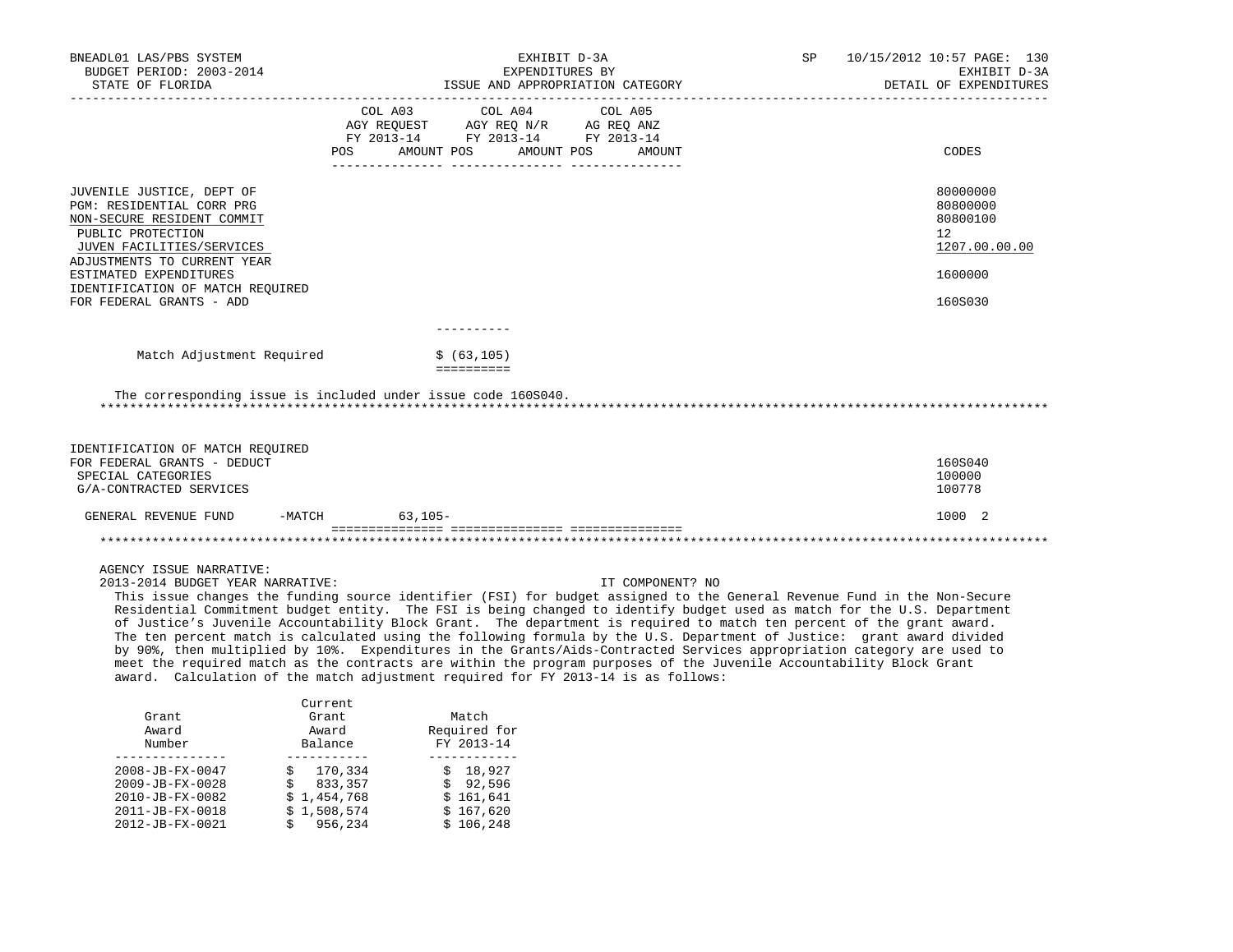| BNEADL01 LAS/PBS SYSTEM<br>BUDGET PERIOD: 2003-2014                                                                                                                                                                                                                                                                                                                                                                                                                                                                                                                                                                                                                                                                                                                                                                                                                                                         |                                      | EXHIBIT D-3A<br>EXPENDITURES BY                                                     | 10/15/2012 10:57 PAGE: 130<br>SP<br>EXHIBIT D-3A |  |                                                         |
|-------------------------------------------------------------------------------------------------------------------------------------------------------------------------------------------------------------------------------------------------------------------------------------------------------------------------------------------------------------------------------------------------------------------------------------------------------------------------------------------------------------------------------------------------------------------------------------------------------------------------------------------------------------------------------------------------------------------------------------------------------------------------------------------------------------------------------------------------------------------------------------------------------------|--------------------------------------|-------------------------------------------------------------------------------------|--------------------------------------------------|--|---------------------------------------------------------|
| STATE OF FLORIDA                                                                                                                                                                                                                                                                                                                                                                                                                                                                                                                                                                                                                                                                                                                                                                                                                                                                                            |                                      |                                                                                     | ISSUE AND APPROPRIATION CATEGORY                 |  | DETAIL OF EXPENDITURES                                  |
|                                                                                                                                                                                                                                                                                                                                                                                                                                                                                                                                                                                                                                                                                                                                                                                                                                                                                                             | COL A03<br>AGY REOUEST<br>POS        | COL A04<br>AGY REQ N/R AG REQ ANZ<br>FY 2013-14 FY 2013-14 FY 2013-14<br>AMOUNT POS | COL A05<br>AMOUNT POS<br>AMOUNT                  |  | CODES                                                   |
| JUVENILE JUSTICE, DEPT OF<br>PGM: RESIDENTIAL CORR PRG<br>NON-SECURE RESIDENT COMMIT<br>PUBLIC PROTECTION<br>JUVEN FACILITIES/SERVICES<br>ADJUSTMENTS TO CURRENT YEAR                                                                                                                                                                                                                                                                                                                                                                                                                                                                                                                                                                                                                                                                                                                                       |                                      |                                                                                     |                                                  |  | 80000000<br>80800000<br>80800100<br>12<br>1207.00.00.00 |
| ESTIMATED EXPENDITURES<br>IDENTIFICATION OF MATCH REQUIRED<br>FOR FEDERAL GRANTS - ADD                                                                                                                                                                                                                                                                                                                                                                                                                                                                                                                                                                                                                                                                                                                                                                                                                      |                                      |                                                                                     |                                                  |  | 1600000<br>160S030                                      |
|                                                                                                                                                                                                                                                                                                                                                                                                                                                                                                                                                                                                                                                                                                                                                                                                                                                                                                             |                                      |                                                                                     |                                                  |  |                                                         |
| Match Adjustment Required                                                                                                                                                                                                                                                                                                                                                                                                                                                                                                                                                                                                                                                                                                                                                                                                                                                                                   |                                      | \$ (63, 105)<br>==========                                                          |                                                  |  |                                                         |
| The corresponding issue is included under issue code 160S040.                                                                                                                                                                                                                                                                                                                                                                                                                                                                                                                                                                                                                                                                                                                                                                                                                                               |                                      |                                                                                     |                                                  |  |                                                         |
| IDENTIFICATION OF MATCH REOUIRED<br>FOR FEDERAL GRANTS - DEDUCT<br>SPECIAL CATEGORIES<br>G/A-CONTRACTED SERVICES                                                                                                                                                                                                                                                                                                                                                                                                                                                                                                                                                                                                                                                                                                                                                                                            |                                      |                                                                                     |                                                  |  | 160S040<br>100000<br>100778                             |
| -MATCH<br>GENERAL REVENUE FUND                                                                                                                                                                                                                                                                                                                                                                                                                                                                                                                                                                                                                                                                                                                                                                                                                                                                              | $63,105-$                            |                                                                                     |                                                  |  | 1000 2                                                  |
|                                                                                                                                                                                                                                                                                                                                                                                                                                                                                                                                                                                                                                                                                                                                                                                                                                                                                                             |                                      |                                                                                     |                                                  |  |                                                         |
| AGENCY ISSUE NARRATIVE:<br>2013-2014 BUDGET YEAR NARRATIVE:<br>This issue changes the funding source identifier (FSI) for budget assigned to the General Revenue Fund in the Non-Secure<br>Residential Commitment budget entity. The FSI is being changed to identify budget used as match for the U.S. Department<br>of Justice's Juvenile Accountability Block Grant. The department is required to match ten percent of the grant award.<br>The ten percent match is calculated using the following formula by the U.S. Department of Justice: grant award divided<br>by 90%, then multiplied by 10%. Expenditures in the Grants/Aids-Contracted Services appropriation category are used to<br>meet the required match as the contracts are within the program purposes of the Juvenile Accountability Block Grant<br>award. Calculation of the match adjustment required for FY 2013-14 is as follows: |                                      |                                                                                     | IT COMPONENT? NO                                 |  |                                                         |
| Grant<br>Award<br>Number                                                                                                                                                                                                                                                                                                                                                                                                                                                                                                                                                                                                                                                                                                                                                                                                                                                                                    | Current<br>Grant<br>Award<br>Balance | Match<br>Required for<br>FY 2013-14                                                 |                                                  |  |                                                         |
| -------------<br>2008-JB-FX-0047<br>2009-JB-FX-0028<br>Ŝ.                                                                                                                                                                                                                                                                                                                                                                                                                                                                                                                                                                                                                                                                                                                                                                                                                                                   | ------------<br>170,334<br>833,357   | ____________<br>\$18,927<br>\$92,596                                                |                                                  |  |                                                         |

2010-JB-FX-0082 <br>
2011-JB-FX-0018 <br>
2011-JB-FX-0018 <br>
2012-JB-FX-0021 <br>
2012-JB-FX-0021 <br>
2012-JB-FX-0021 <br>
2013-31 <br>
2014-JB-FX-0021 <br>
2014-JB-FX-0021 <br>
2015-X-0021 <br>
2016,248 2011-JB-FX-0018 2012-JB-FX-0021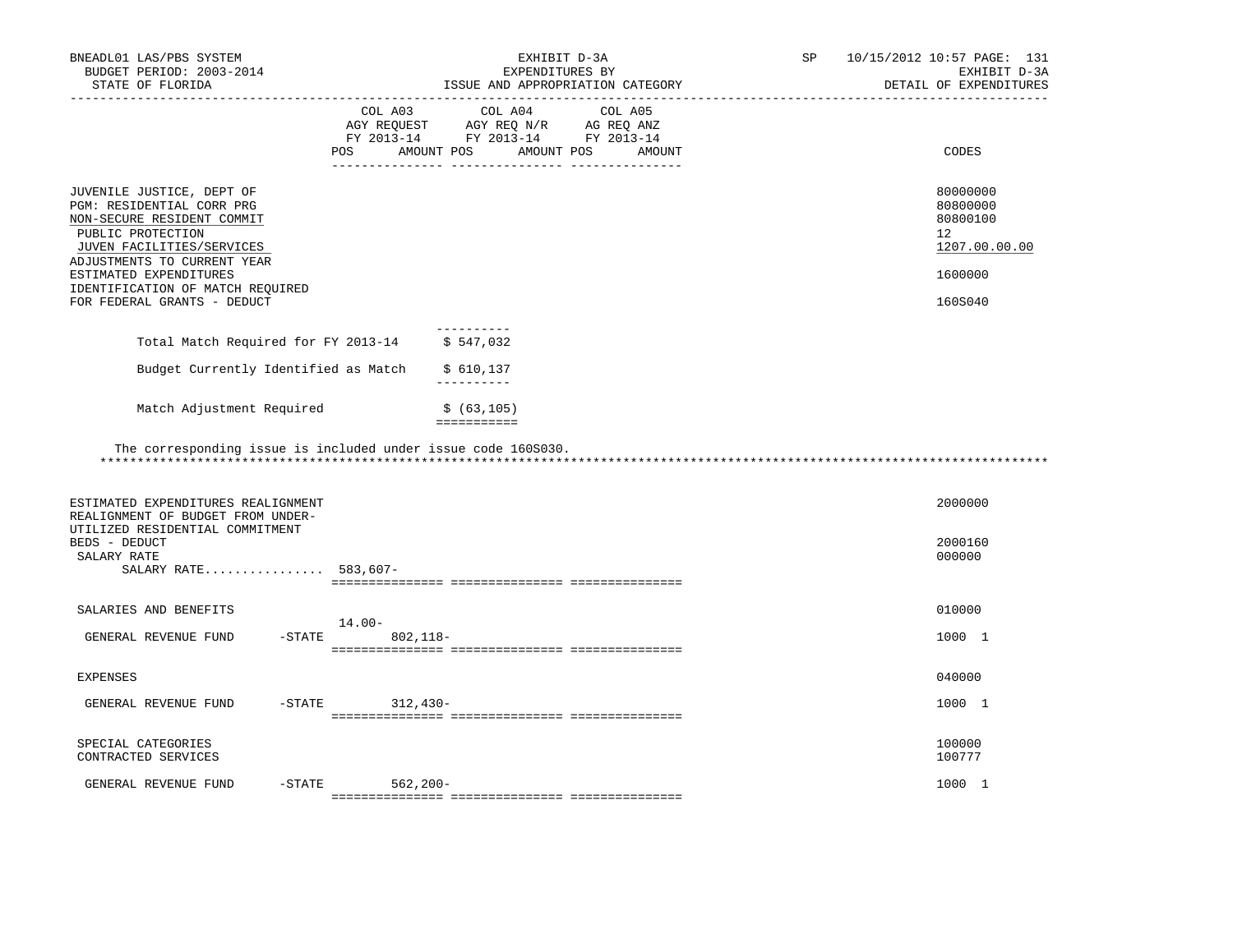| BNEADL01 LAS/PBS SYSTEM<br>BUDGET PERIOD: 2003-2014<br>STATE OF FLORIDA                                                                                                                                                                                            | _______________________________                                                                                                                                                                                              | EXHIBIT D-3A<br>EXPENDITURES BY<br>ISSUE AND APPROPRIATION CATEGORY | SP | 10/15/2012 10:57 PAGE: 131<br>EXHIBIT D-3A<br>DETAIL OF EXPENDITURES          |
|--------------------------------------------------------------------------------------------------------------------------------------------------------------------------------------------------------------------------------------------------------------------|------------------------------------------------------------------------------------------------------------------------------------------------------------------------------------------------------------------------------|---------------------------------------------------------------------|----|-------------------------------------------------------------------------------|
|                                                                                                                                                                                                                                                                    | COL A03<br>$\begin{tabular}{lllllll} \bf AGY \,\, REQUEST \,\, &\bf AGY \,\, REQ \,\, N/R &\bf AG \,\, REQ \,\, ANZ \\ \bf FY \,\, 2013-14 &\bf FY \,\, 2013-14 &\bf FY \,\, 2013-14 \\ \end{tabular}$<br>AMOUNT POS<br>POS. | COL A04<br>COL A05<br>AMOUNT POS<br>AMOUNT                          |    | CODES                                                                         |
| JUVENILE JUSTICE, DEPT OF<br>PGM: RESIDENTIAL CORR PRG<br>NON-SECURE RESIDENT COMMIT<br>PUBLIC PROTECTION<br>JUVEN FACILITIES/SERVICES<br>ADJUSTMENTS TO CURRENT YEAR<br>ESTIMATED EXPENDITURES<br>IDENTIFICATION OF MATCH REQUIRED<br>FOR FEDERAL GRANTS - DEDUCT |                                                                                                                                                                                                                              |                                                                     |    | 80000000<br>80800000<br>80800100<br>12<br>1207.00.00.00<br>1600000<br>160S040 |
| Total Match Required for FY 2013-14                                                                                                                                                                                                                                | \$547,032                                                                                                                                                                                                                    |                                                                     |    |                                                                               |
| Budget Currently Identified as Match                                                                                                                                                                                                                               | \$ 610,137<br>-----------                                                                                                                                                                                                    |                                                                     |    |                                                                               |
| Match Adjustment Required                                                                                                                                                                                                                                          | \$(63, 105)<br>===========                                                                                                                                                                                                   |                                                                     |    |                                                                               |
| The corresponding issue is included under issue code 160S030.                                                                                                                                                                                                      |                                                                                                                                                                                                                              |                                                                     |    |                                                                               |
| ESTIMATED EXPENDITURES REALIGNMENT<br>REALIGNMENT OF BUDGET FROM UNDER-<br>UTILIZED RESIDENTIAL COMMITMENT<br>BEDS - DEDUCT<br>SALARY RATE<br>SALARY RATE 583,607-                                                                                                 |                                                                                                                                                                                                                              |                                                                     |    | 2000000<br>2000160<br>000000                                                  |
| SALARIES AND BENEFITS                                                                                                                                                                                                                                              |                                                                                                                                                                                                                              |                                                                     |    | 010000                                                                        |
| $-$ STATE<br>GENERAL REVENUE FUND                                                                                                                                                                                                                                  | $14.00 -$<br>$802, 118 -$                                                                                                                                                                                                    |                                                                     |    | 1000 1                                                                        |
| EXPENSES                                                                                                                                                                                                                                                           |                                                                                                                                                                                                                              |                                                                     |    | 040000                                                                        |
| GENERAL REVENUE FUND                                                                                                                                                                                                                                               | $-STATE$<br>$312.430 -$                                                                                                                                                                                                      |                                                                     |    | 1000 1                                                                        |
| SPECIAL CATEGORIES<br>CONTRACTED SERVICES                                                                                                                                                                                                                          |                                                                                                                                                                                                                              |                                                                     |    | 100000<br>100777                                                              |
| $-$ STATE<br>GENERAL REVENUE FUND                                                                                                                                                                                                                                  | $562,200-$                                                                                                                                                                                                                   |                                                                     |    | 1000 1                                                                        |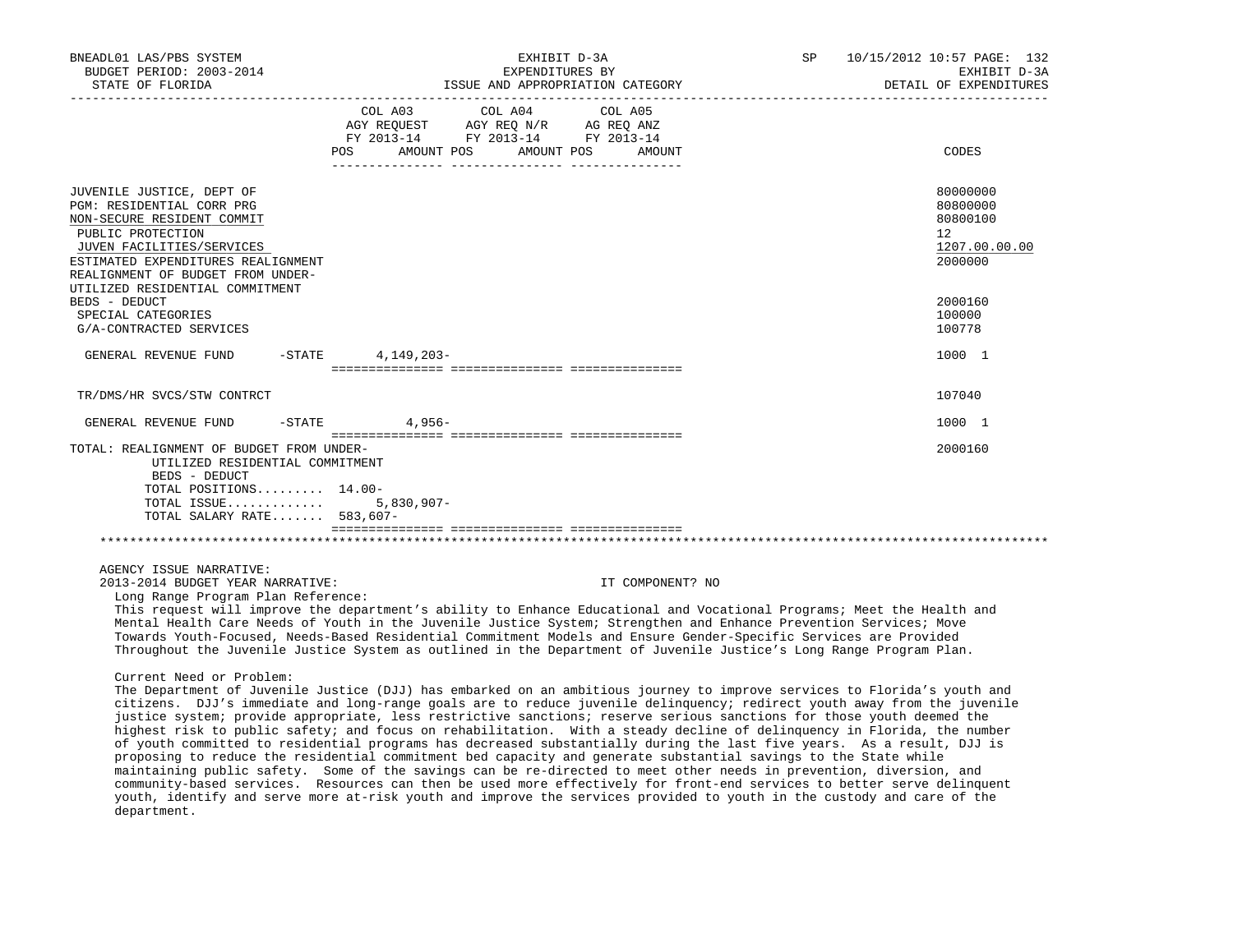| BNEADL01 LAS/PBS SYSTEM<br>BUDGET PERIOD: 2003-2014<br>STATE OF FLORIDA                                                                                                                                                                              | EXHIBIT D-3A<br>SP<br>EXPENDITURES BY<br>ISSUE AND APPROPRIATION CATEGORY                                                                                                                                                                                                                                                                                                                                                                                                                                                                                                                                                                                                                                                                                                                                                                                                                                                                                                                                                                                                                                                         | 10/15/2012 10:57 PAGE: 132<br>EXHIBIT D-3A<br>DETAIL OF EXPENDITURES |
|------------------------------------------------------------------------------------------------------------------------------------------------------------------------------------------------------------------------------------------------------|-----------------------------------------------------------------------------------------------------------------------------------------------------------------------------------------------------------------------------------------------------------------------------------------------------------------------------------------------------------------------------------------------------------------------------------------------------------------------------------------------------------------------------------------------------------------------------------------------------------------------------------------------------------------------------------------------------------------------------------------------------------------------------------------------------------------------------------------------------------------------------------------------------------------------------------------------------------------------------------------------------------------------------------------------------------------------------------------------------------------------------------|----------------------------------------------------------------------|
|                                                                                                                                                                                                                                                      | COL A03<br>COL A04<br>COL A05<br>AGY REQUEST AGY REQ N/R AG REQ ANZ<br>FY 2013-14 FY 2013-14 FY 2013-14<br>AMOUNT POS AMOUNT POS<br><b>POS</b><br>AMOUNT                                                                                                                                                                                                                                                                                                                                                                                                                                                                                                                                                                                                                                                                                                                                                                                                                                                                                                                                                                          | CODES                                                                |
| JUVENILE JUSTICE, DEPT OF<br>PGM: RESIDENTIAL CORR PRG<br>NON-SECURE RESIDENT COMMIT<br>PUBLIC PROTECTION<br>JUVEN FACILITIES/SERVICES<br>ESTIMATED EXPENDITURES REALIGNMENT<br>REALIGNMENT OF BUDGET FROM UNDER-<br>UTILIZED RESIDENTIAL COMMITMENT |                                                                                                                                                                                                                                                                                                                                                                                                                                                                                                                                                                                                                                                                                                                                                                                                                                                                                                                                                                                                                                                                                                                                   | 80000000<br>80800000<br>80800100<br>12<br>1207.00.00.00<br>2000000   |
| BEDS - DEDUCT<br>SPECIAL CATEGORIES<br>G/A-CONTRACTED SERVICES                                                                                                                                                                                       |                                                                                                                                                                                                                                                                                                                                                                                                                                                                                                                                                                                                                                                                                                                                                                                                                                                                                                                                                                                                                                                                                                                                   | 2000160<br>100000<br>100778                                          |
| GENERAL REVENUE FUND                                                                                                                                                                                                                                 | 4,149,203-<br>$-$ STATE                                                                                                                                                                                                                                                                                                                                                                                                                                                                                                                                                                                                                                                                                                                                                                                                                                                                                                                                                                                                                                                                                                           | 1000 1                                                               |
| TR/DMS/HR SVCS/STW CONTRCT                                                                                                                                                                                                                           |                                                                                                                                                                                                                                                                                                                                                                                                                                                                                                                                                                                                                                                                                                                                                                                                                                                                                                                                                                                                                                                                                                                                   | 107040                                                               |
| GENERAL REVENUE FUND<br>$-$ STATE                                                                                                                                                                                                                    | 4,956-                                                                                                                                                                                                                                                                                                                                                                                                                                                                                                                                                                                                                                                                                                                                                                                                                                                                                                                                                                                                                                                                                                                            | 1000 1                                                               |
| TOTAL: REALIGNMENT OF BUDGET FROM UNDER-<br>UTILIZED RESIDENTIAL COMMITMENT<br>BEDS - DEDUCT<br>TOTAL POSITIONS 14.00-<br>TOTAL ISSUE<br>TOTAL SALARY RATE 583,607-                                                                                  | $5,830,907 -$                                                                                                                                                                                                                                                                                                                                                                                                                                                                                                                                                                                                                                                                                                                                                                                                                                                                                                                                                                                                                                                                                                                     | 2000160                                                              |
| AGENCY ISSUE NARRATIVE:<br>2013-2014 BUDGET YEAR NARRATIVE:<br>Long Range Program Plan Reference:                                                                                                                                                    | IT COMPONENT? NO<br>This request will improve the department's ability to Enhance Educational and Vocational Programs; Meet the Health and<br>Mental Health Care Needs of Youth in the Juvenile Justice System; Strengthen and Enhance Prevention Services; Move<br>Towards Youth-Focused, Needs-Based Residential Commitment Models and Ensure Gender-Specific Services are Provided<br>Throughout the Juvenile Justice System as outlined in the Department of Juvenile Justice's Long Range Program Plan.                                                                                                                                                                                                                                                                                                                                                                                                                                                                                                                                                                                                                      |                                                                      |
| Current Need or Problem:                                                                                                                                                                                                                             | The Department of Juvenile Justice (DJJ) has embarked on an ambitious journey to improve services to Florida's youth and<br>citizens. DJJ's immediate and long-range goals are to reduce juvenile delinquency; redirect youth away from the juvenile<br>justice system; provide appropriate, less restrictive sanctions; reserve serious sanctions for those youth deemed the<br>highest risk to public safety; and focus on rehabilitation. With a steady decline of delinquency in Florida, the number<br>of youth committed to residential programs has decreased substantially during the last five years. As a result, DJJ is<br>proposing to reduce the residential commitment bed capacity and generate substantial savings to the State while<br>maintaining public safety. Some of the savings can be re-directed to meet other needs in prevention, diversion, and<br>community-based services. Resources can then be used more effectively for front-end services to better serve delinquent<br>youth, identify and serve more at-risk youth and improve the services provided to youth in the custody and care of the |                                                                      |

department.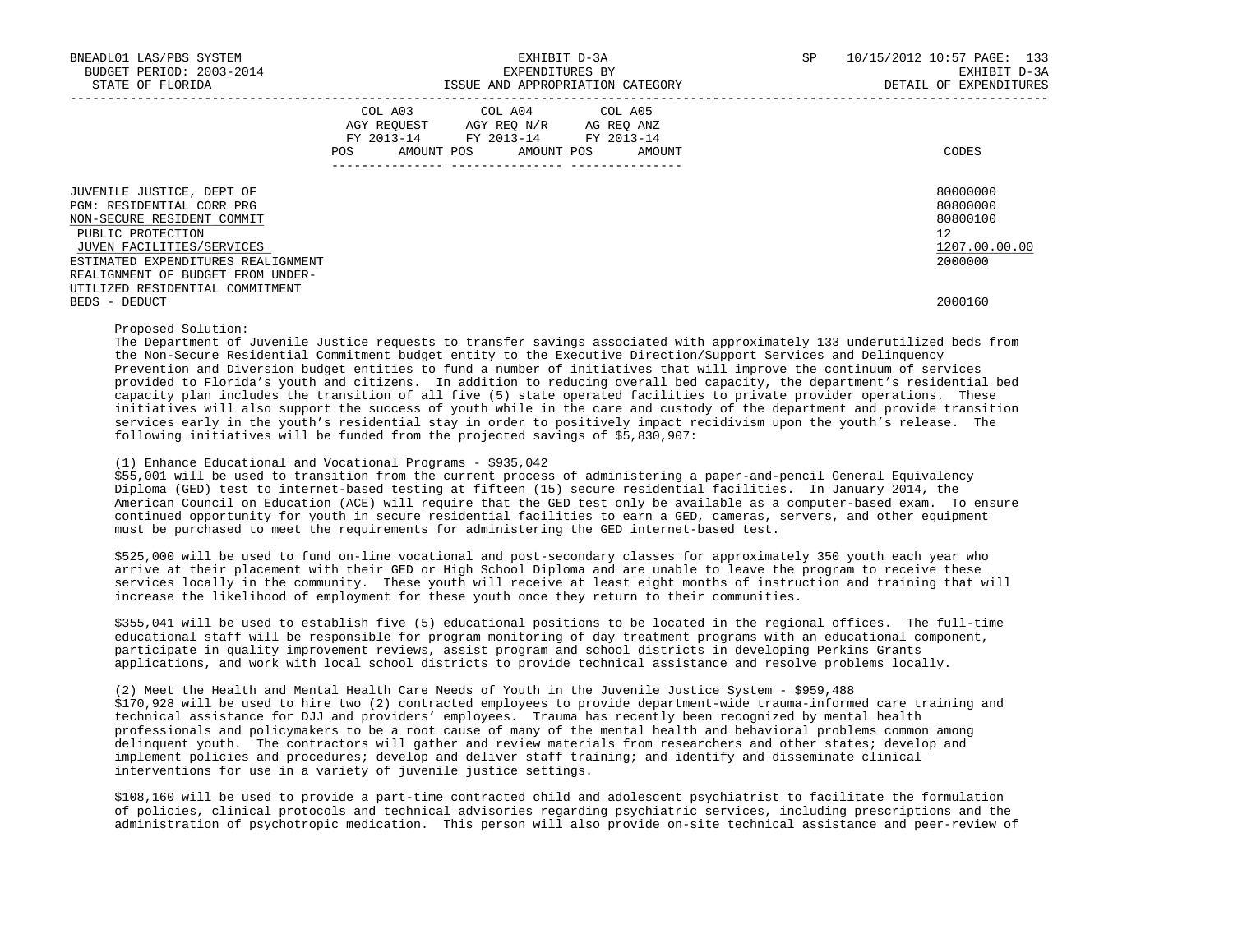| BNEADL01 LAS/PBS SYSTEM<br>BUDGET PERIOD: 2003-2014<br>STATE OF FLORIDA                                                                                                                                           | EXHIBIT D-3A<br>EXPENDITURES BY<br>ISSUE AND APPROPRIATION CATEGORY                                                                             | 10/15/2012 10:57 PAGE: 133<br><b>SP</b><br>EXHIBIT D-3A<br>DETAIL OF EXPENDITURES |
|-------------------------------------------------------------------------------------------------------------------------------------------------------------------------------------------------------------------|-------------------------------------------------------------------------------------------------------------------------------------------------|-----------------------------------------------------------------------------------|
|                                                                                                                                                                                                                   | COL A03 COL A04 COL A05<br>AGY REQUEST AGY REQ N/R AG REQ ANZ<br>FY 2013-14 FY 2013-14 FY 2013-14<br>AMOUNT POS AMOUNT POS<br>POS FOR<br>AMOUNT | CODES                                                                             |
| JUVENILE JUSTICE, DEPT OF<br>PGM: RESIDENTIAL CORR PRG<br>NON-SECURE RESIDENT COMMIT<br>PUBLIC PROTECTION<br>JUVEN FACILITIES/SERVICES<br>ESTIMATED EXPENDITURES REALIGNMENT<br>REALIGNMENT OF BUDGET FROM UNDER- |                                                                                                                                                 | 80000000<br>80800000<br>80800100<br>12 <sup>7</sup><br>1207.00.00.00<br>2000000   |
| UTILIZED RESIDENTIAL COMMITMENT<br>BEDS - DEDUCT                                                                                                                                                                  |                                                                                                                                                 | 2000160                                                                           |

Proposed Solution:

 The Department of Juvenile Justice requests to transfer savings associated with approximately 133 underutilized beds from the Non-Secure Residential Commitment budget entity to the Executive Direction/Support Services and Delinquency Prevention and Diversion budget entities to fund a number of initiatives that will improve the continuum of services provided to Florida's youth and citizens. In addition to reducing overall bed capacity, the department's residential bed capacity plan includes the transition of all five (5) state operated facilities to private provider operations. These initiatives will also support the success of youth while in the care and custody of the department and provide transition services early in the youth's residential stay in order to positively impact recidivism upon the youth's release. The following initiatives will be funded from the projected savings of \$5,830,907:

### (1) Enhance Educational and Vocational Programs - \$935,042

 \$55,001 will be used to transition from the current process of administering a paper-and-pencil General Equivalency Diploma (GED) test to internet-based testing at fifteen (15) secure residential facilities. In January 2014, the American Council on Education (ACE) will require that the GED test only be available as a computer-based exam. To ensure continued opportunity for youth in secure residential facilities to earn a GED, cameras, servers, and other equipment must be purchased to meet the requirements for administering the GED internet-based test.

 \$525,000 will be used to fund on-line vocational and post-secondary classes for approximately 350 youth each year who arrive at their placement with their GED or High School Diploma and are unable to leave the program to receive these services locally in the community. These youth will receive at least eight months of instruction and training that will increase the likelihood of employment for these youth once they return to their communities.

 \$355,041 will be used to establish five (5) educational positions to be located in the regional offices. The full-time educational staff will be responsible for program monitoring of day treatment programs with an educational component, participate in quality improvement reviews, assist program and school districts in developing Perkins Grants applications, and work with local school districts to provide technical assistance and resolve problems locally.

 (2) Meet the Health and Mental Health Care Needs of Youth in the Juvenile Justice System - \$959,488 \$170,928 will be used to hire two (2) contracted employees to provide department-wide trauma-informed care training and technical assistance for DJJ and providers' employees. Trauma has recently been recognized by mental health professionals and policymakers to be a root cause of many of the mental health and behavioral problems common among delinquent youth. The contractors will gather and review materials from researchers and other states; develop and implement policies and procedures; develop and deliver staff training; and identify and disseminate clinical interventions for use in a variety of juvenile justice settings.

 \$108,160 will be used to provide a part-time contracted child and adolescent psychiatrist to facilitate the formulation of policies, clinical protocols and technical advisories regarding psychiatric services, including prescriptions and the administration of psychotropic medication. This person will also provide on-site technical assistance and peer-review of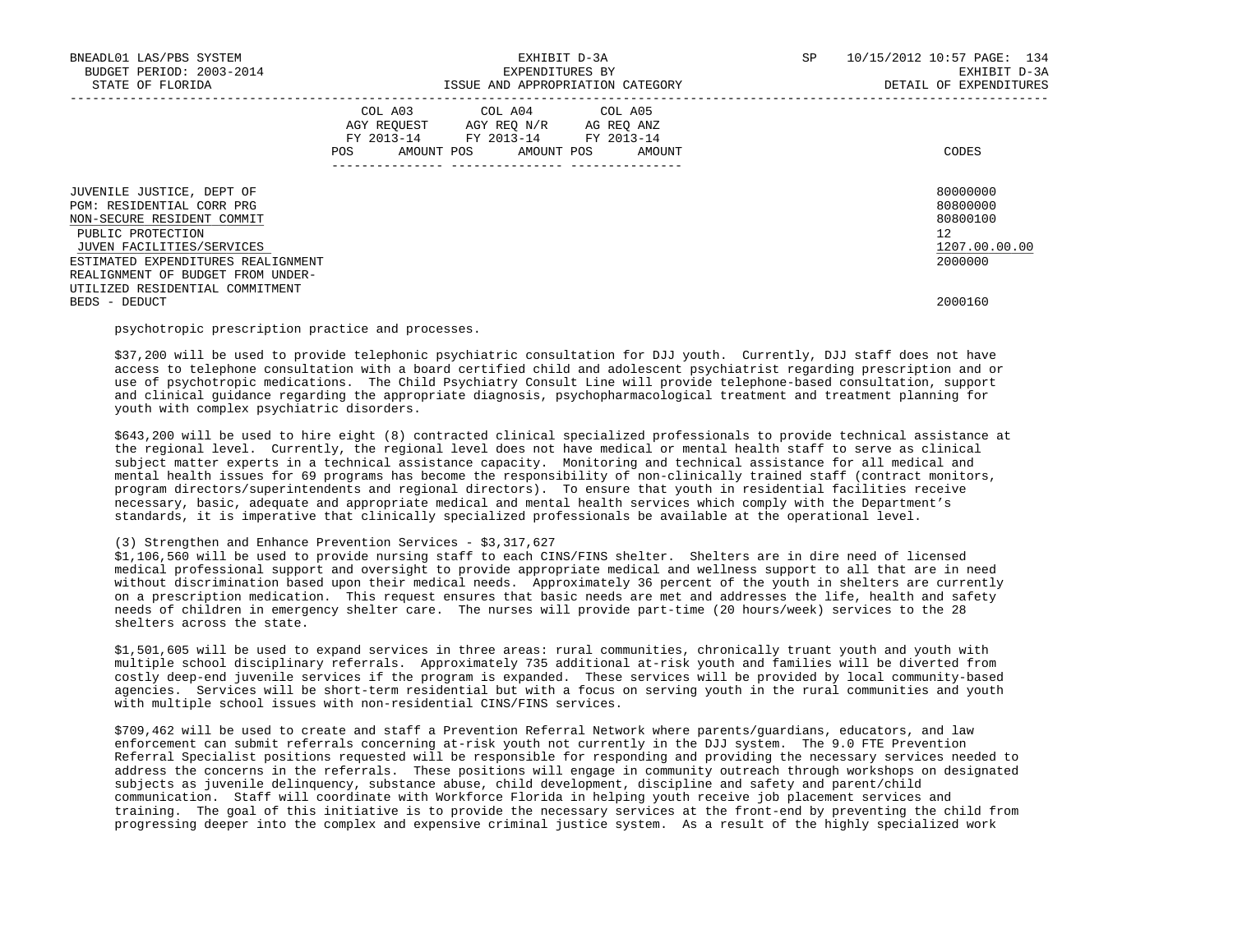| BNEADL01 LAS/PBS SYSTEM<br>BUDGET PERIOD: 2003-2014<br>STATE OF FLORIDA                                                                                                                                           |     | EXHIBIT D-3A<br>EXPENDITURES BY<br>ISSUE AND APPROPRIATION CATEGORY                                                        | SP     | 10/15/2012 10:57 PAGE: 134<br>EXHIBIT D-3A<br>DETAIL OF EXPENDITURES |                                                                                 |
|-------------------------------------------------------------------------------------------------------------------------------------------------------------------------------------------------------------------|-----|----------------------------------------------------------------------------------------------------------------------------|--------|----------------------------------------------------------------------|---------------------------------------------------------------------------------|
|                                                                                                                                                                                                                   | POS | COL A03 COL A04 COL A05<br>AGY REOUEST AGY REO N/R AG REO ANZ<br>FY 2013-14 FY 2013-14 FY 2013-14<br>AMOUNT POS AMOUNT POS | AMOUNT |                                                                      | CODES                                                                           |
| JUVENILE JUSTICE, DEPT OF<br>PGM: RESIDENTIAL CORR PRG<br>NON-SECURE RESIDENT COMMIT<br>PUBLIC PROTECTION<br>JUVEN FACILITIES/SERVICES<br>ESTIMATED EXPENDITURES REALIGNMENT<br>REALIGNMENT OF BUDGET FROM UNDER- |     |                                                                                                                            |        |                                                                      | 80000000<br>80800000<br>80800100<br>12 <sup>°</sup><br>1207.00.00.00<br>2000000 |
| UTILIZED RESIDENTIAL COMMITMENT<br>BEDS - DEDUCT                                                                                                                                                                  |     |                                                                                                                            |        |                                                                      | 2000160                                                                         |

psychotropic prescription practice and processes.

 \$37,200 will be used to provide telephonic psychiatric consultation for DJJ youth. Currently, DJJ staff does not have access to telephone consultation with a board certified child and adolescent psychiatrist regarding prescription and or use of psychotropic medications. The Child Psychiatry Consult Line will provide telephone-based consultation, support and clinical guidance regarding the appropriate diagnosis, psychopharmacological treatment and treatment planning for youth with complex psychiatric disorders.

 \$643,200 will be used to hire eight (8) contracted clinical specialized professionals to provide technical assistance at the regional level. Currently, the regional level does not have medical or mental health staff to serve as clinical subject matter experts in a technical assistance capacity. Monitoring and technical assistance for all medical and mental health issues for 69 programs has become the responsibility of non-clinically trained staff (contract monitors, program directors/superintendents and regional directors). To ensure that youth in residential facilities receive necessary, basic, adequate and appropriate medical and mental health services which comply with the Department's standards, it is imperative that clinically specialized professionals be available at the operational level.

## (3) Strengthen and Enhance Prevention Services - \$3,317,627

 \$1,106,560 will be used to provide nursing staff to each CINS/FINS shelter. Shelters are in dire need of licensed medical professional support and oversight to provide appropriate medical and wellness support to all that are in need without discrimination based upon their medical needs. Approximately 36 percent of the youth in shelters are currently on a prescription medication. This request ensures that basic needs are met and addresses the life, health and safety needs of children in emergency shelter care. The nurses will provide part-time (20 hours/week) services to the 28 shelters across the state.

 \$1,501,605 will be used to expand services in three areas: rural communities, chronically truant youth and youth with multiple school disciplinary referrals. Approximately 735 additional at-risk youth and families will be diverted from costly deep-end juvenile services if the program is expanded. These services will be provided by local community-based agencies. Services will be short-term residential but with a focus on serving youth in the rural communities and youth with multiple school issues with non-residential CINS/FINS services.

 \$709,462 will be used to create and staff a Prevention Referral Network where parents/guardians, educators, and law enforcement can submit referrals concerning at-risk youth not currently in the DJJ system. The 9.0 FTE Prevention Referral Specialist positions requested will be responsible for responding and providing the necessary services needed to address the concerns in the referrals. These positions will engage in community outreach through workshops on designated subjects as juvenile delinquency, substance abuse, child development, discipline and safety and parent/child communication. Staff will coordinate with Workforce Florida in helping youth receive job placement services and training. The goal of this initiative is to provide the necessary services at the front-end by preventing the child from progressing deeper into the complex and expensive criminal justice system. As a result of the highly specialized work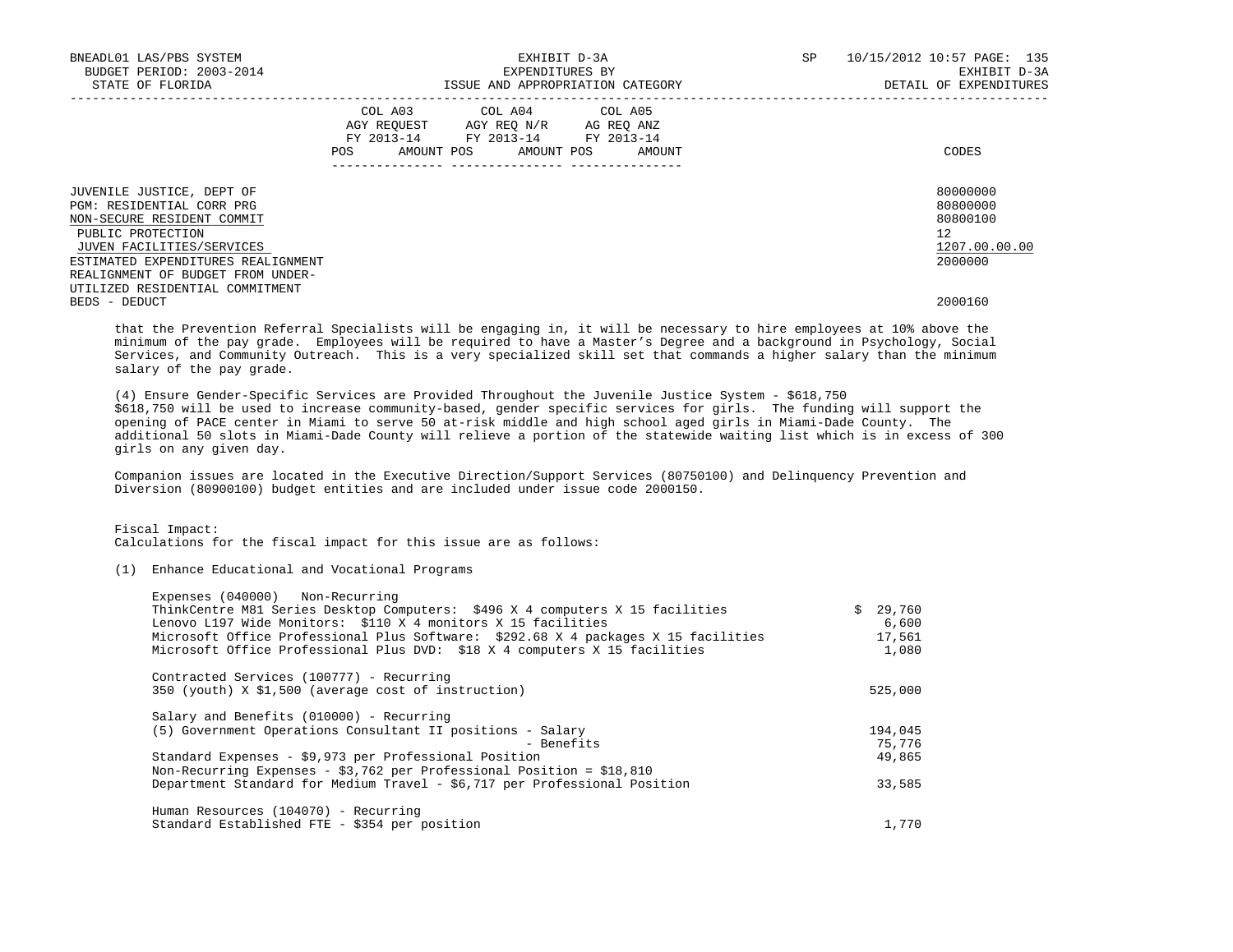| BNEADL01 LAS/PBS SYSTEM<br>BUDGET PERIOD: 2003-2014<br>STATE OF FLORIDA                                                                                                                                           |     | EXHIBIT D-3A<br>EXPENDITURES BY<br>ISSUE AND APPROPRIATION CATEGORY                                                               | SP | 10/15/2012 10:57 PAGE: 135<br>EXHIBIT D-3A<br>DETAIL OF EXPENDITURES |                                                                    |
|-------------------------------------------------------------------------------------------------------------------------------------------------------------------------------------------------------------------|-----|-----------------------------------------------------------------------------------------------------------------------------------|----|----------------------------------------------------------------------|--------------------------------------------------------------------|
|                                                                                                                                                                                                                   | POS | COL A03 COL A04 COL A05<br>AGY REQUEST AGY REQ N/R AG REQ ANZ<br>FY 2013-14 FY 2013-14 FY 2013-14<br>AMOUNT POS AMOUNT POS AMOUNT |    |                                                                      | CODES                                                              |
| JUVENILE JUSTICE, DEPT OF<br>PGM: RESIDENTIAL CORR PRG<br>NON-SECURE RESIDENT COMMIT<br>PUBLIC PROTECTION<br>JUVEN FACILITIES/SERVICES<br>ESTIMATED EXPENDITURES REALIGNMENT<br>REALIGNMENT OF BUDGET FROM UNDER- |     |                                                                                                                                   |    |                                                                      | 80000000<br>80800000<br>80800100<br>12<br>1207.00.00.00<br>2000000 |
| UTILIZED RESIDENTIAL COMMITMENT<br>BEDS - DEDUCT                                                                                                                                                                  |     |                                                                                                                                   |    |                                                                      | 2000160                                                            |

 that the Prevention Referral Specialists will be engaging in, it will be necessary to hire employees at 10% above the minimum of the pay grade. Employees will be required to have a Master's Degree and a background in Psychology, Social Services, and Community Outreach. This is a very specialized skill set that commands a higher salary than the minimum salary of the pay grade.

 (4) Ensure Gender-Specific Services are Provided Throughout the Juvenile Justice System - \$618,750 \$618,750 will be used to increase community-based, gender specific services for girls. The funding will support the opening of PACE center in Miami to serve 50 at-risk middle and high school aged girls in Miami-Dade County. The additional 50 slots in Miami-Dade County will relieve a portion of the statewide waiting list which is in excess of 300 girls on any given day.

 Companion issues are located in the Executive Direction/Support Services (80750100) and Delinquency Prevention and Diversion (80900100) budget entities and are included under issue code 2000150.

Fiscal Impact:

Calculations for the fiscal impact for this issue are as follows:

### (1) Enhance Educational and Vocational Programs

| Expenses (040000) Non-Recurring<br>ThinkCentre M81 Series Desktop Computers: \$496 X 4 computers X 15 facilities | 29,760  |
|------------------------------------------------------------------------------------------------------------------|---------|
| Lenovo L197 Wide Monitors: \$110 X 4 monitors X 15 facilities                                                    | 6.600   |
| Microsoft Office Professional Plus Software: \$292.68 X 4 packages X 15 facilities                               | 17,561  |
| Microsoft Office Professional Plus DVD: \$18 X 4 computers X 15 facilities                                       | 1,080   |
| Contracted Services (100777) - Recurring                                                                         |         |
| 350 (youth) X \$1,500 (average cost of instruction)                                                              | 525,000 |
| Salary and Benefits (010000) - Recurring                                                                         |         |
| (5) Government Operations Consultant II positions - Salary                                                       | 194,045 |
| - Benefits                                                                                                       | 75,776  |
| Standard Expenses - \$9,973 per Professional Position                                                            | 49,865  |
| Non-Recurring Expenses - \$3,762 per Professional Position = $$18,810$                                           |         |
| Department Standard for Medium Travel - \$6,717 per Professional Position                                        | 33,585  |
| Human Resources (104070) - Recurring                                                                             |         |
| Standard Established FTE - \$354 per position                                                                    | 1,770   |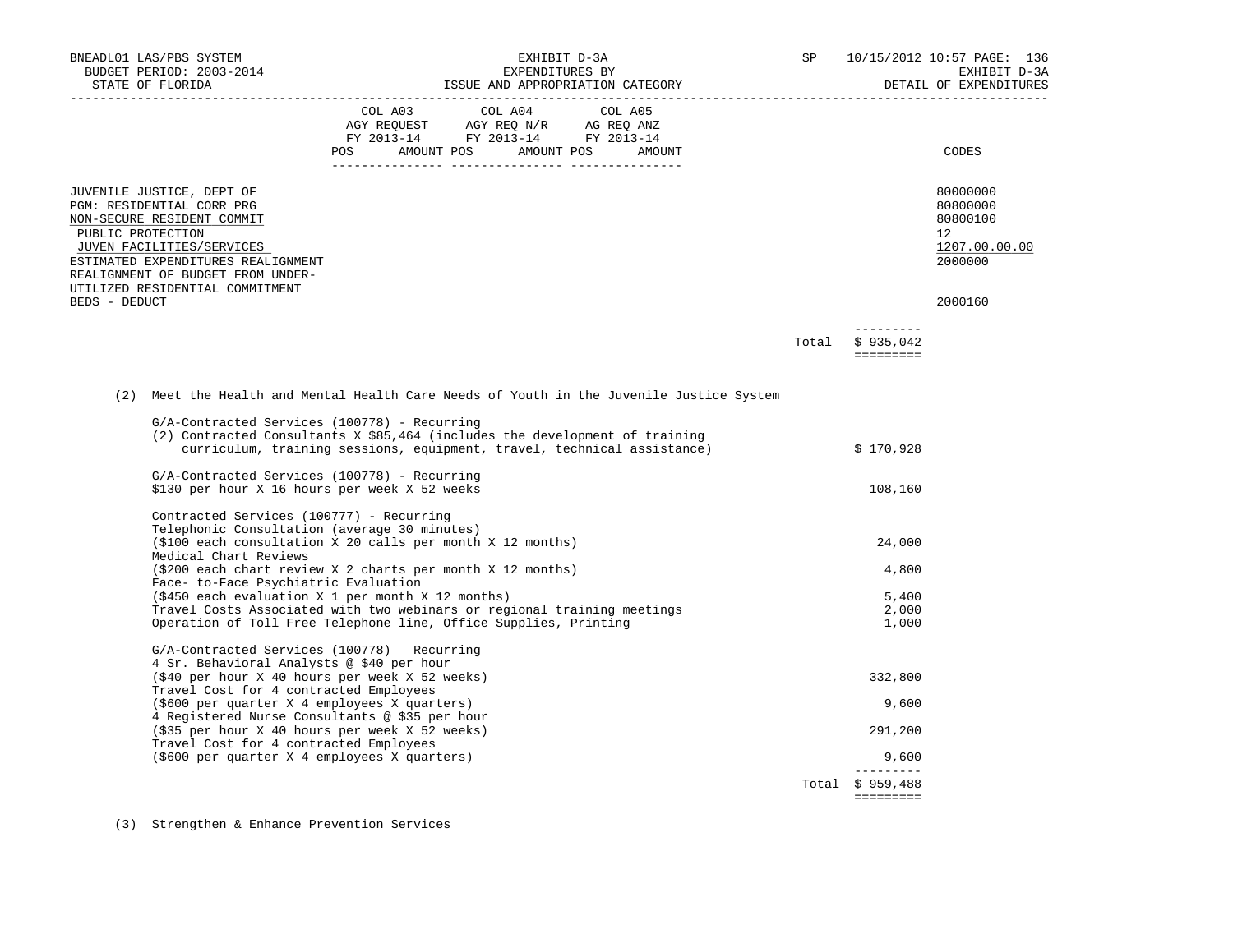| BNEADL01 LAS/PBS SYSTEM<br>BUDGET PERIOD: 2003-2014<br>STATE OF FLORIDA                                                                                                                                                                              | EXHIBIT D-3A<br>EXPENDITURES BY<br>ISSUE AND APPROPRIATION CATEGORY                                                                                                                                                                                                                                              | SP                               | 10/15/2012 10:57 PAGE: 136<br>EXHIBIT D-3A<br>DETAIL OF EXPENDITURES         |  |
|------------------------------------------------------------------------------------------------------------------------------------------------------------------------------------------------------------------------------------------------------|------------------------------------------------------------------------------------------------------------------------------------------------------------------------------------------------------------------------------------------------------------------------------------------------------------------|----------------------------------|------------------------------------------------------------------------------|--|
|                                                                                                                                                                                                                                                      | COL A03<br>COL A04 COL A05<br>$\begin{tabular}{lllllll} \bf AGY \;\; RegUEST \hspace{1cm} \bf AGY \;\; REG \;\; N/R \hspace{1cm} \bf AG \;\; REG \;\; ANZ \\ \hline \bf FY \;\; 2013-14 \hspace{1cm} & \bf FY \;\; 2013-14 \hspace{1cm} & \bf FY \;\; 2013-14 \end{tabular}$<br>POS AMOUNT POS AMOUNT POS AMOUNT |                                  | CODES                                                                        |  |
| JUVENILE JUSTICE, DEPT OF<br>PGM: RESIDENTIAL CORR PRG<br>NON-SECURE RESIDENT COMMIT<br>PUBLIC PROTECTION<br>JUVEN FACILITIES/SERVICES<br>ESTIMATED EXPENDITURES REALIGNMENT<br>REALIGNMENT OF BUDGET FROM UNDER-<br>UTILIZED RESIDENTIAL COMMITMENT | $- - - - - - -$                                                                                                                                                                                                                                                                                                  |                                  | 80000000<br>80800000<br>80800100<br>$12^{\circ}$<br>1207.00.00.00<br>2000000 |  |
| BEDS - DEDUCT                                                                                                                                                                                                                                        |                                                                                                                                                                                                                                                                                                                  | ----------<br>\$935,042<br>Total | 2000160                                                                      |  |
|                                                                                                                                                                                                                                                      |                                                                                                                                                                                                                                                                                                                  |                                  |                                                                              |  |
|                                                                                                                                                                                                                                                      | (2) Meet the Health and Mental Health Care Needs of Youth in the Juvenile Justice System                                                                                                                                                                                                                         |                                  |                                                                              |  |
|                                                                                                                                                                                                                                                      | G/A-Contracted Services (100778) - Recurring<br>(2) Contracted Consultants X \$85,464 (includes the development of training<br>curriculum, training sessions, equipment, travel, technical assistance)                                                                                                           | \$170,928                        |                                                                              |  |
|                                                                                                                                                                                                                                                      | G/A-Contracted Services (100778) - Recurring<br>\$130 per hour X 16 hours per week X 52 weeks                                                                                                                                                                                                                    | 108,160                          |                                                                              |  |
| Contracted Services (100777) - Recurring<br>Telephonic Consultation (average 30 minutes)                                                                                                                                                             | (\$100 each consultation X 20 calls per month X 12 months)                                                                                                                                                                                                                                                       | 24,000                           |                                                                              |  |
| Medical Chart Reviews<br>Face- to-Face Psychiatric Evaluation                                                                                                                                                                                        | (\$200 each chart review X 2 charts per month X 12 months)                                                                                                                                                                                                                                                       | 4,800                            |                                                                              |  |
|                                                                                                                                                                                                                                                      | (\$450 each evaluation X 1 per month X 12 months)<br>Travel Costs Associated with two webinars or regional training meetings<br>Operation of Toll Free Telephone line, Office Supplies, Printing                                                                                                                 | 5,400<br>2,000<br>1,000          |                                                                              |  |
| 4 Sr. Behavioral Analysts @ \$40 per hour                                                                                                                                                                                                            | G/A-Contracted Services (100778) Recurring<br>(\$40 per hour X 40 hours per week X 52 weeks)                                                                                                                                                                                                                     | 332,800                          |                                                                              |  |
| Travel Cost for 4 contracted Employees<br>(\$600 per quarter X 4 employees X quarters)                                                                                                                                                               |                                                                                                                                                                                                                                                                                                                  | 9,600                            |                                                                              |  |
| Travel Cost for 4 contracted Employees                                                                                                                                                                                                               | 4 Registered Nurse Consultants @ \$35 per hour<br>(\$35 per hour X 40 hours per week X 52 weeks)                                                                                                                                                                                                                 | 291,200                          |                                                                              |  |
| (\$600 per quarter X 4 employees X quarters)                                                                                                                                                                                                         |                                                                                                                                                                                                                                                                                                                  | 9,600<br>---------               |                                                                              |  |
|                                                                                                                                                                                                                                                      |                                                                                                                                                                                                                                                                                                                  | Total \$ 959,488                 |                                                                              |  |
|                                                                                                                                                                                                                                                      |                                                                                                                                                                                                                                                                                                                  |                                  |                                                                              |  |

(3) Strengthen & Enhance Prevention Services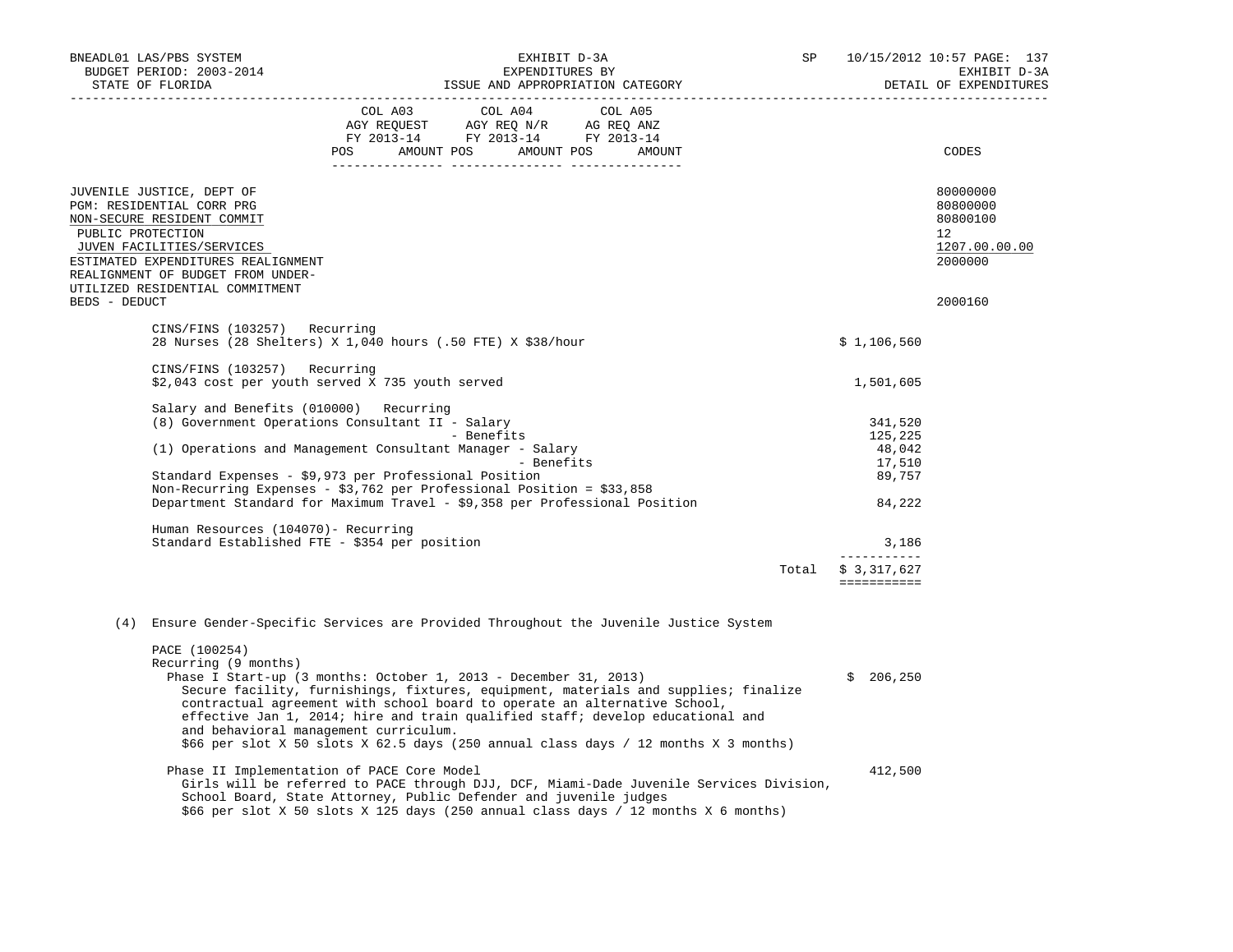| BNEADL01 LAS/PBS SYSTEM<br>BUDGET PERIOD: 2003-2014<br>STATE OF FLORIDA |                                                                                                                                                                                                                                                                                                                                                                                                          | EXHIBIT D-3A<br>EXPENDITURES BY<br>ISSUE AND APPROPRIATION CATEGORY<br>SP                                  |                         |  |  | 10/15/2012 10:57 PAGE: 137<br>EXHIBIT D-3A<br>DETAIL OF EXPENDITURES |                                                                                 |
|-------------------------------------------------------------------------|----------------------------------------------------------------------------------------------------------------------------------------------------------------------------------------------------------------------------------------------------------------------------------------------------------------------------------------------------------------------------------------------------------|------------------------------------------------------------------------------------------------------------|-------------------------|--|--|----------------------------------------------------------------------|---------------------------------------------------------------------------------|
|                                                                         |                                                                                                                                                                                                                                                                                                                                                                                                          | AGY REQUEST AGY REQ N/R AG REQ ANZ<br>FY 2013-14 FY 2013-14 FY 2013-14<br>POS AMOUNT POS AMOUNT POS AMOUNT | COL A03 COL A04 COL A05 |  |  |                                                                      | CODES                                                                           |
| PUBLIC PROTECTION                                                       | JUVENILE JUSTICE, DEPT OF<br>PGM: RESIDENTIAL CORR PRG<br>NON-SECURE RESIDENT COMMIT<br>JUVEN FACILITIES/SERVICES<br>ESTIMATED EXPENDITURES REALIGNMENT<br>REALIGNMENT OF BUDGET FROM UNDER-<br>UTILIZED RESIDENTIAL COMMITMENT                                                                                                                                                                          |                                                                                                            |                         |  |  |                                                                      | 80000000<br>80800000<br>80800100<br>12 <sup>°</sup><br>1207.00.00.00<br>2000000 |
| BEDS - DEDUCT                                                           |                                                                                                                                                                                                                                                                                                                                                                                                          |                                                                                                            |                         |  |  |                                                                      | 2000160                                                                         |
|                                                                         | CINS/FINS (103257) Recurring<br>28 Nurses (28 Shelters) X 1,040 hours (.50 FTE) X \$38/hour                                                                                                                                                                                                                                                                                                              |                                                                                                            |                         |  |  | \$1,106,560                                                          |                                                                                 |
|                                                                         | CINS/FINS (103257) Recurring<br>\$2,043 cost per youth served X 735 youth served                                                                                                                                                                                                                                                                                                                         |                                                                                                            |                         |  |  | 1,501,605                                                            |                                                                                 |
|                                                                         | Salary and Benefits (010000) Recurring<br>(8) Government Operations Consultant II - Salary<br>(1) Operations and Management Consultant Manager - Salary                                                                                                                                                                                                                                                  |                                                                                                            | - Benefits              |  |  | 341,520<br>125,225                                                   |                                                                                 |
|                                                                         |                                                                                                                                                                                                                                                                                                                                                                                                          |                                                                                                            | - Benefits              |  |  | 48,042<br>17,510                                                     |                                                                                 |
|                                                                         | Standard Expenses - \$9,973 per Professional Position<br>Non-Recurring Expenses - \$3,762 per Professional Position = $$33,858$<br>Department Standard for Maximum Travel - \$9,358 per Professional Position                                                                                                                                                                                            |                                                                                                            |                         |  |  | 89,757<br>84,222                                                     |                                                                                 |
|                                                                         | Human Resources (104070)- Recurring<br>Standard Established FTE - \$354 per position                                                                                                                                                                                                                                                                                                                     |                                                                                                            |                         |  |  | 3,186                                                                |                                                                                 |
|                                                                         |                                                                                                                                                                                                                                                                                                                                                                                                          |                                                                                                            |                         |  |  | -----------<br>Total \$ 3,317,627<br>===========                     |                                                                                 |
|                                                                         | (4) Ensure Gender-Specific Services are Provided Throughout the Juvenile Justice System                                                                                                                                                                                                                                                                                                                  |                                                                                                            |                         |  |  |                                                                      |                                                                                 |
|                                                                         | PACE (100254)<br>Recurring (9 months)<br>Phase I Start-up (3 months: October 1, 2013 - December 31, 2013)<br>Secure facility, furnishings, fixtures, equipment, materials and supplies; finalize<br>contractual agreement with school board to operate an alternative School,<br>effective Jan 1, 2014; hire and train qualified staff; develop educational and<br>and behavioral management curriculum. |                                                                                                            |                         |  |  | \$206, 250                                                           |                                                                                 |
|                                                                         | \$66 per slot X 50 slots X 62.5 days (250 annual class days / 12 months X 3 months)<br>Phase II Implementation of PACE Core Model<br>Girls will be referred to PACE through DJJ, DCF, Miami-Dade Juvenile Services Division,<br>School Board, State Attorney, Public Defender and juvenile judges<br>\$66 per slot X 50 slots X 125 days (250 annual class days / 12 months X 6 months)                  |                                                                                                            |                         |  |  | 412,500                                                              |                                                                                 |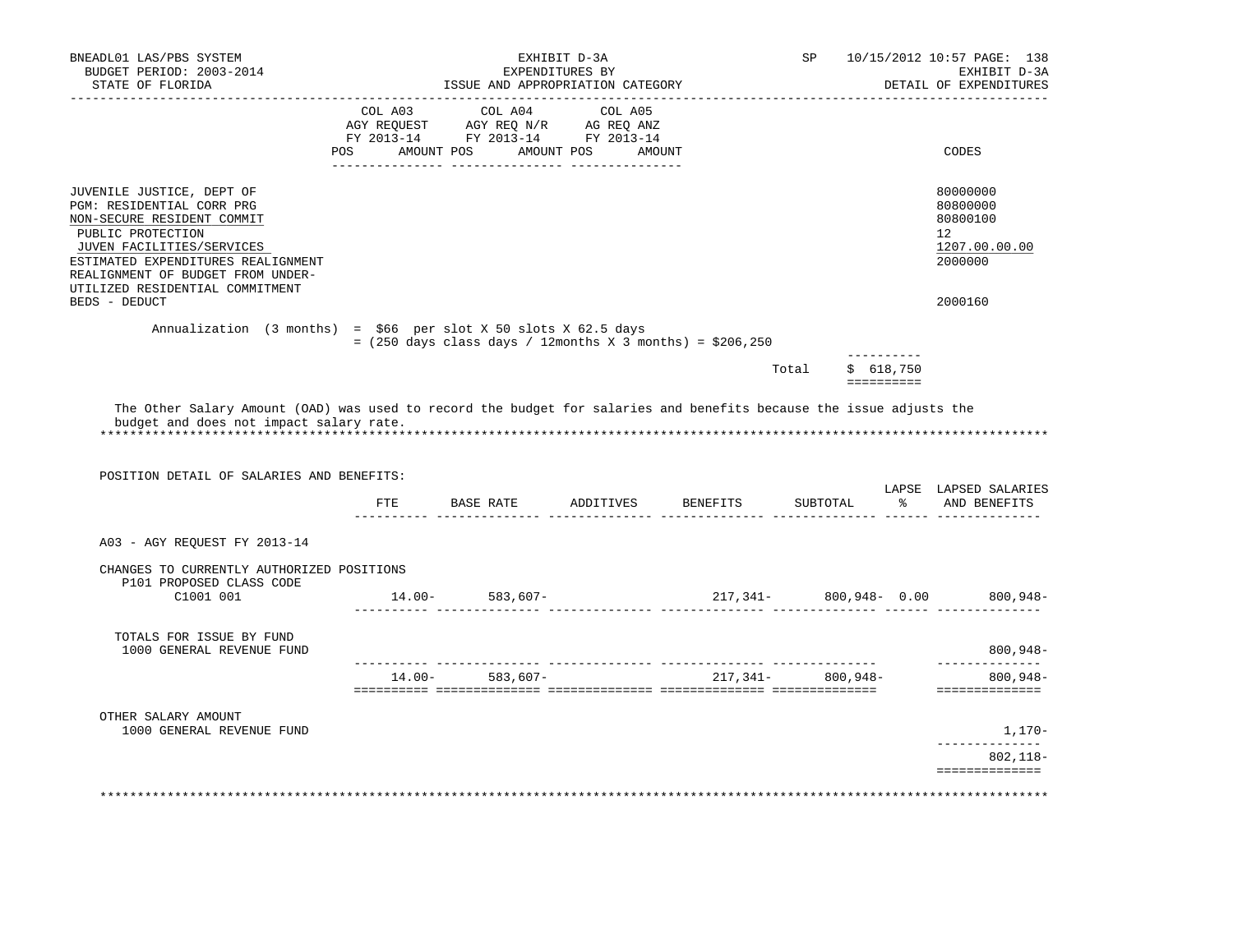| BNEADL01 LAS/PBS SYSTEM<br>BUDGET PERIOD: 2003-2014<br>STATE OF FLORIDA                                                                                                                                                                              |               | ISSUE AND APPROPRIATION CATEGORY                                                                                                                                                               | EXHIBIT D-3A<br>EXPENDITURES BY |                              | SP                    |                  | 10/15/2012 10:57 PAGE: 138<br>EXHIBIT D-3A<br>DETAIL OF EXPENDITURES |
|------------------------------------------------------------------------------------------------------------------------------------------------------------------------------------------------------------------------------------------------------|---------------|------------------------------------------------------------------------------------------------------------------------------------------------------------------------------------------------|---------------------------------|------------------------------|-----------------------|------------------|----------------------------------------------------------------------|
|                                                                                                                                                                                                                                                      |               | $\begin{tabular}{lcccc} COL A03 & COL A04 & COL A05 \\ AGY REQUEST & AGY REQ N/R & AG REQ ANZ \\ FY & 2013-14 & FY & 2013-14 & FY & 2013-14 \end{tabular}$<br>POS AMOUNT POS AMOUNT POS AMOUNT |                                 |                              |                       |                  | CODES                                                                |
|                                                                                                                                                                                                                                                      |               |                                                                                                                                                                                                |                                 |                              |                       |                  |                                                                      |
| JUVENILE JUSTICE, DEPT OF<br>PGM: RESIDENTIAL CORR PRG<br>NON-SECURE RESIDENT COMMIT<br>PUBLIC PROTECTION<br>JUVEN FACILITIES/SERVICES<br>ESTIMATED EXPENDITURES REALIGNMENT<br>REALIGNMENT OF BUDGET FROM UNDER-<br>UTILIZED RESIDENTIAL COMMITMENT |               |                                                                                                                                                                                                |                                 |                              |                       |                  | 80000000<br>80800000<br>80800100<br>12<br>1207.00.00.00<br>2000000   |
| BEDS - DEDUCT                                                                                                                                                                                                                                        |               |                                                                                                                                                                                                |                                 |                              |                       |                  | 2000160                                                              |
| Annualization (3 months) = $$66$ per slot X 50 slots X 62.5 days                                                                                                                                                                                     |               | $=$ (250 days class days / 12months X 3 months) = \$206,250                                                                                                                                    |                                 |                              |                       | -----------      |                                                                      |
|                                                                                                                                                                                                                                                      |               |                                                                                                                                                                                                |                                 |                              | Total                 | \$618,750        |                                                                      |
| The Other Salary Amount (OAD) was used to record the budget for salaries and benefits because the issue adjusts the<br>budget and does not impact salary rate.                                                                                       |               |                                                                                                                                                                                                |                                 |                              |                       |                  |                                                                      |
| POSITION DETAIL OF SALARIES AND BENEFITS:                                                                                                                                                                                                            |               |                                                                                                                                                                                                |                                 |                              |                       |                  |                                                                      |
|                                                                                                                                                                                                                                                      | $F \text{TE}$ |                                                                                                                                                                                                | -------- -----                  | BASE RATE ADDITIVES BENEFITS | SUBTOTAL              | _____ ______ ___ | 8 AND BENEFITS                                                       |
| A03 - AGY REQUEST FY 2013-14                                                                                                                                                                                                                         |               |                                                                                                                                                                                                |                                 |                              |                       |                  |                                                                      |
| CHANGES TO CURRENTLY AUTHORIZED POSITIONS                                                                                                                                                                                                            |               |                                                                                                                                                                                                |                                 |                              |                       |                  |                                                                      |
| P101 PROPOSED CLASS CODE<br>C1001 001                                                                                                                                                                                                                |               | $14.00 - 583,607 -$                                                                                                                                                                            |                                 |                              |                       |                  |                                                                      |
| TOTALS FOR ISSUE BY FUND<br>1000 GENERAL REVENUE FUND                                                                                                                                                                                                |               |                                                                                                                                                                                                |                                 |                              |                       |                  | $800,948-$                                                           |
|                                                                                                                                                                                                                                                      |               | $14.00 - 583,607 -$                                                                                                                                                                            |                                 |                              | $217,341 - 800,948 -$ |                  | 217,341- 800,948- 0.00 800,948-<br>--------------<br>$800,948-$      |
| OTHER SALARY AMOUNT<br>1000 GENERAL REVENUE FUND                                                                                                                                                                                                     |               |                                                                                                                                                                                                |                                 |                              |                       |                  | ==============                                                       |
|                                                                                                                                                                                                                                                      |               |                                                                                                                                                                                                |                                 |                              |                       |                  | LAPSE LAPSED SALARIES<br>1,170-<br>802,118-                          |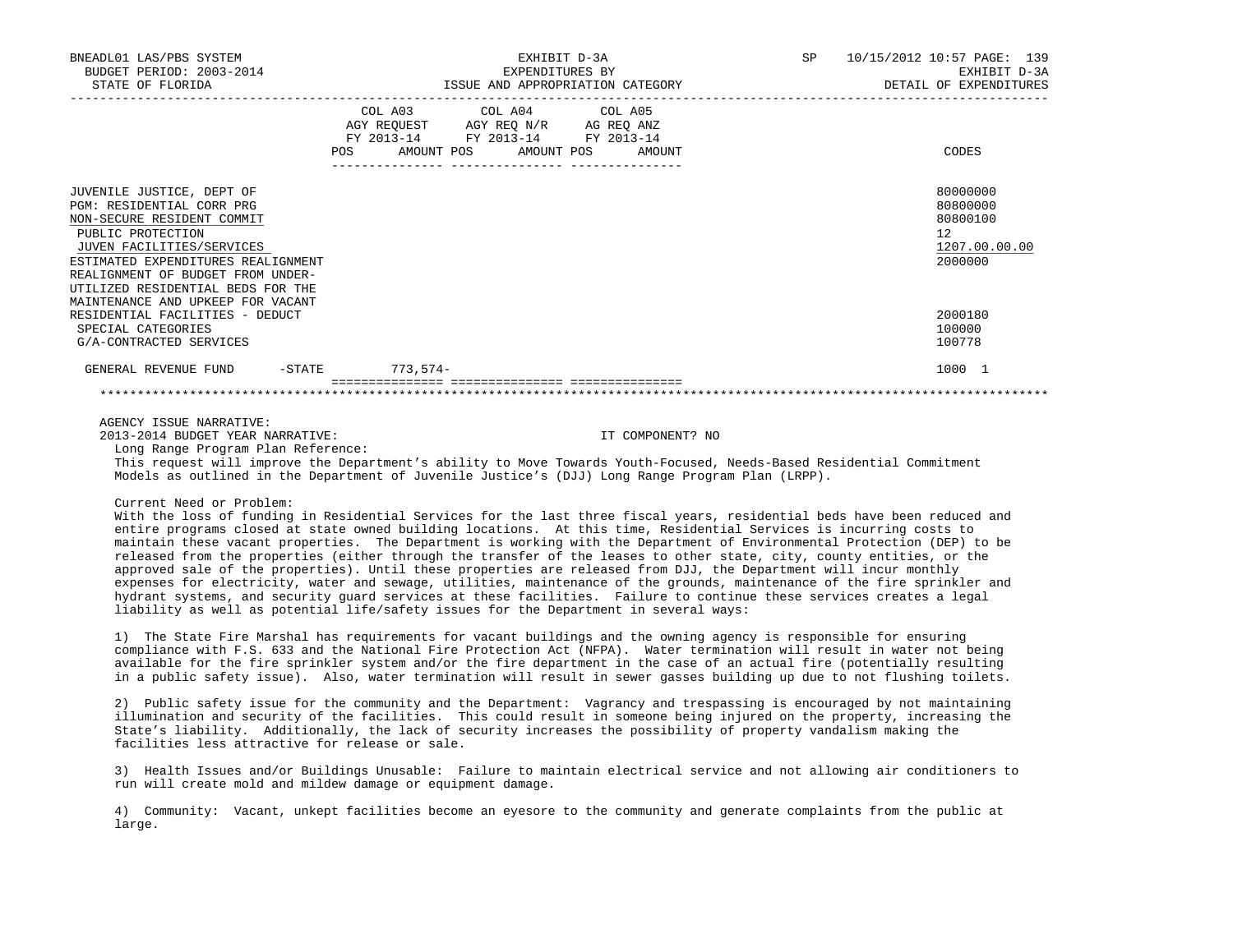|         |                                                                                                                                                      |         | SP                                                                                                                                    |                                                                                                                                                                                                               | 10/15/2012 10:57 PAGE: 139<br>EXHIBIT D-3A<br>DETAIL OF EXPENDITURES                                                                                                                                                                                                                                                                                                                                                                                                                                                                                                                                                                                                                                                                                                                                                                                                                                                                                                                                                                                                                                                                                                                                                                                                                                                                                                          |
|---------|------------------------------------------------------------------------------------------------------------------------------------------------------|---------|---------------------------------------------------------------------------------------------------------------------------------------|---------------------------------------------------------------------------------------------------------------------------------------------------------------------------------------------------------------|-------------------------------------------------------------------------------------------------------------------------------------------------------------------------------------------------------------------------------------------------------------------------------------------------------------------------------------------------------------------------------------------------------------------------------------------------------------------------------------------------------------------------------------------------------------------------------------------------------------------------------------------------------------------------------------------------------------------------------------------------------------------------------------------------------------------------------------------------------------------------------------------------------------------------------------------------------------------------------------------------------------------------------------------------------------------------------------------------------------------------------------------------------------------------------------------------------------------------------------------------------------------------------------------------------------------------------------------------------------------------------|
| COL A03 |                                                                                                                                                      | COL A05 |                                                                                                                                       |                                                                                                                                                                                                               | CODES                                                                                                                                                                                                                                                                                                                                                                                                                                                                                                                                                                                                                                                                                                                                                                                                                                                                                                                                                                                                                                                                                                                                                                                                                                                                                                                                                                         |
|         |                                                                                                                                                      |         |                                                                                                                                       |                                                                                                                                                                                                               | 80000000<br>80800000<br>80800100<br>12<br>1207.00.00.00<br>2000000                                                                                                                                                                                                                                                                                                                                                                                                                                                                                                                                                                                                                                                                                                                                                                                                                                                                                                                                                                                                                                                                                                                                                                                                                                                                                                            |
|         |                                                                                                                                                      |         |                                                                                                                                       |                                                                                                                                                                                                               | 2000180<br>100000<br>100778                                                                                                                                                                                                                                                                                                                                                                                                                                                                                                                                                                                                                                                                                                                                                                                                                                                                                                                                                                                                                                                                                                                                                                                                                                                                                                                                                   |
|         |                                                                                                                                                      |         |                                                                                                                                       |                                                                                                                                                                                                               | 1000 1                                                                                                                                                                                                                                                                                                                                                                                                                                                                                                                                                                                                                                                                                                                                                                                                                                                                                                                                                                                                                                                                                                                                                                                                                                                                                                                                                                        |
|         |                                                                                                                                                      |         |                                                                                                                                       |                                                                                                                                                                                                               |                                                                                                                                                                                                                                                                                                                                                                                                                                                                                                                                                                                                                                                                                                                                                                                                                                                                                                                                                                                                                                                                                                                                                                                                                                                                                                                                                                               |
|         |                                                                                                                                                      |         |                                                                                                                                       |                                                                                                                                                                                                               |                                                                                                                                                                                                                                                                                                                                                                                                                                                                                                                                                                                                                                                                                                                                                                                                                                                                                                                                                                                                                                                                                                                                                                                                                                                                                                                                                                               |
|         |                                                                                                                                                      |         |                                                                                                                                       |                                                                                                                                                                                                               |                                                                                                                                                                                                                                                                                                                                                                                                                                                                                                                                                                                                                                                                                                                                                                                                                                                                                                                                                                                                                                                                                                                                                                                                                                                                                                                                                                               |
|         | ESTIMATED EXPENDITURES REALIGNMENT<br>GENERAL REVENUE FUND -STATE 773,574-<br>2013-2014 BUDGET YEAR NARRATIVE:<br>Long Range Program Plan Reference: |         | EXHIBIT D-3A<br>COL A04<br>AGY REQUEST AGY REQ N/R AG REQ ANZ<br>FY 2013-14 FY 2013-14 FY 2013-14<br>POS AMOUNT POS AMOUNT POS AMOUNT | IT COMPONENT? NO<br>Models as outlined in the Department of Juvenile Justice's (DJJ) Long Range Program Plan (LRPP).<br>liability as well as potential life/safety issues for the Department in several ways: | This request will improve the Department's ability to Move Towards Youth-Focused, Needs-Based Residential Commitment<br>With the loss of funding in Residential Services for the last three fiscal years, residential beds have been reduced and<br>entire programs closed at state owned building locations. At this time, Residential Services is incurring costs to<br>maintain these vacant properties. The Department is working with the Department of Environmental Protection (DEP) to be<br>released from the properties (either through the transfer of the leases to other state, city, county entities, or the<br>approved sale of the properties). Until these properties are released from DJJ, the Department will incur monthly<br>expenses for electricity, water and sewage, utilities, maintenance of the grounds, maintenance of the fire sprinkler and<br>hydrant systems, and security quard services at these facilities. Failure to continue these services creates a legal<br>1) The State Fire Marshal has requirements for vacant buildings and the owning agency is responsible for ensuring<br>compliance with F.S. 633 and the National Fire Protection Act (NFPA). Water termination will result in water not being<br>available for the fire sprinkler system and/or the fire department in the case of an actual fire (potentially resulting |

 2) Public safety issue for the community and the Department: Vagrancy and trespassing is encouraged by not maintaining illumination and security of the facilities. This could result in someone being injured on the property, increasing the State's liability. Additionally, the lack of security increases the possibility of property vandalism making the facilities less attractive for release or sale.

 3) Health Issues and/or Buildings Unusable: Failure to maintain electrical service and not allowing air conditioners to run will create mold and mildew damage or equipment damage.

 4) Community: Vacant, unkept facilities become an eyesore to the community and generate complaints from the public at large.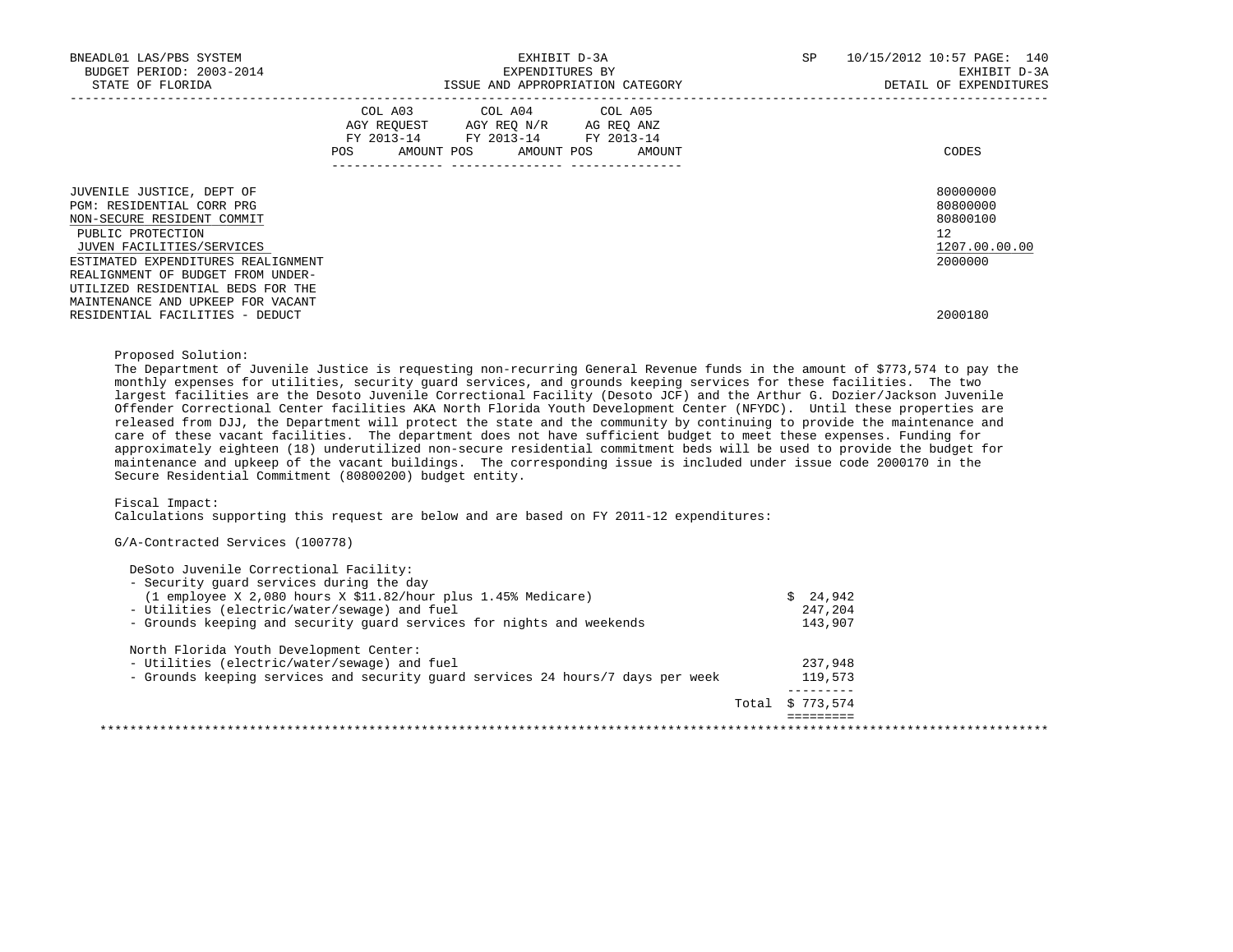| BNEADL01 LAS/PBS SYSTEM<br>BUDGET PERIOD: 2003-2014<br>STATE OF FLORIDA                                                                                                                                           | EXHIBIT D-3A<br>EXPENDITURES BY<br>ISSUE AND APPROPRIATION CATEGORY                                                                                              | SP<br>10/15/2012 10:57 PAGE: 140<br>EXHIBIT D-3A<br>DETAIL OF EXPENDITURES      |
|-------------------------------------------------------------------------------------------------------------------------------------------------------------------------------------------------------------------|------------------------------------------------------------------------------------------------------------------------------------------------------------------|---------------------------------------------------------------------------------|
|                                                                                                                                                                                                                   | COL A03 COL A04 COL A05<br>AGY REQUEST AGY REQ N/R AG REQ ANZ<br>FY 2013-14 FY 2013-14 FY 2013-14<br>AMOUNT POS AMOUNT POS AMOUNT<br>POS FOR<br>---------------- | CODES                                                                           |
| JUVENILE JUSTICE, DEPT OF<br>PGM: RESIDENTIAL CORR PRG<br>NON-SECURE RESIDENT COMMIT<br>PUBLIC PROTECTION<br>JUVEN FACILITIES/SERVICES<br>ESTIMATED EXPENDITURES REALIGNMENT<br>REALIGNMENT OF BUDGET FROM UNDER- |                                                                                                                                                                  | 80000000<br>80800000<br>80800100<br>12 <sup>°</sup><br>1207.00.00.00<br>2000000 |
| UTILIZED RESIDENTIAL BEDS FOR THE<br>MAINTENANCE AND UPKEEP FOR VACANT<br>RESIDENTIAL FACILITIES - DEDUCT                                                                                                         |                                                                                                                                                                  | 2000180                                                                         |

# Proposed Solution:

 The Department of Juvenile Justice is requesting non-recurring General Revenue funds in the amount of \$773,574 to pay the monthly expenses for utilities, security guard services, and grounds keeping services for these facilities. The two largest facilities are the Desoto Juvenile Correctional Facility (Desoto JCF) and the Arthur G. Dozier/Jackson Juvenile Offender Correctional Center facilities AKA North Florida Youth Development Center (NFYDC). Until these properties are released from DJJ, the Department will protect the state and the community by continuing to provide the maintenance and care of these vacant facilities. The department does not have sufficient budget to meet these expenses. Funding for approximately eighteen (18) underutilized non-secure residential commitment beds will be used to provide the budget for maintenance and upkeep of the vacant buildings. The corresponding issue is included under issue code 2000170 in the Secure Residential Commitment (80800200) budget entity.

Fiscal Impact:

Calculations supporting this request are below and are based on FY 2011-12 expenditures:

#### G/A-Contracted Services (100778)

| DeSoto Juvenile Correctional Facility:                                          |                  |  |
|---------------------------------------------------------------------------------|------------------|--|
| - Security quard services during the day                                        |                  |  |
| $(1$ employee X 2,080 hours X \$11.82/hour plus 1.45% Medicare)                 | \$24,942         |  |
| - Utilities (electric/water/sewage) and fuel                                    | 247,204          |  |
| - Grounds keeping and security quard services for nights and weekends           | 143,907          |  |
| North Florida Youth Development Center:                                         |                  |  |
| - Utilities (electric/water/sewage) and fuel                                    | 237,948          |  |
| - Grounds keeping services and security guard services 24 hours/7 days per week | 119,573          |  |
|                                                                                 |                  |  |
|                                                                                 | Total \$ 773,574 |  |
|                                                                                 |                  |  |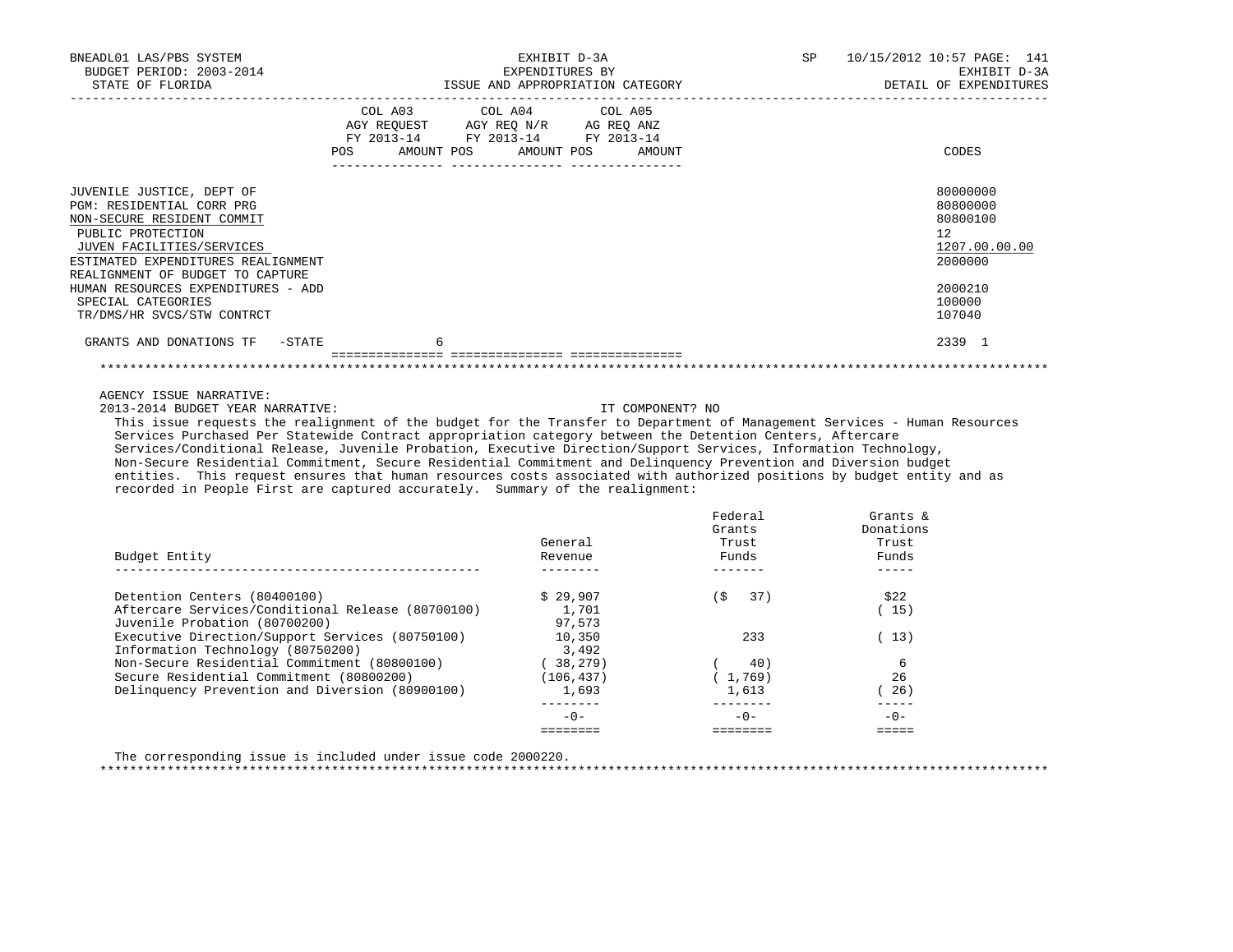| BNEADL01 LAS/PBS SYSTEM<br>BUDGET PERIOD: 2003-2014<br>STATE OF FLORIDA |   | EXHIBIT D-3A<br>EXPENDITURES BY<br>ISSUE AND APPROPRIATION CATEGORY  | SP | 10/15/2012 10:57 PAGE: 141<br>EXHIBIT D-3A<br>DETAIL OF EXPENDITURES |
|-------------------------------------------------------------------------|---|----------------------------------------------------------------------|----|----------------------------------------------------------------------|
|                                                                         |   | COL A03 COL A04 COL A05<br>AGY REQUEST AGY REQ N/R AG REQ ANZ        |    |                                                                      |
|                                                                         |   | FY 2013-14 FY 2013-14 FY 2013-14<br>POS AMOUNT POS AMOUNT POS AMOUNT |    | CODES                                                                |
| JUVENILE JUSTICE, DEPT OF<br>PGM: RESIDENTIAL CORR PRG                  |   |                                                                      |    | 80000000<br>80800000                                                 |
| NON-SECURE RESIDENT COMMIT<br>PUBLIC PROTECTION                         |   |                                                                      |    | 80800100<br>12                                                       |
| JUVEN FACILITIES/SERVICES<br>ESTIMATED EXPENDITURES REALIGNMENT         |   |                                                                      |    | 1207.00.00.00<br>2000000                                             |
| REALIGNMENT OF BUDGET TO CAPTURE                                        |   |                                                                      |    |                                                                      |
| HUMAN RESOURCES EXPENDITURES - ADD<br>SPECIAL CATEGORIES                |   |                                                                      |    | 2000210<br>100000                                                    |
| TR/DMS/HR SVCS/STW CONTRCT                                              |   |                                                                      |    | 107040                                                               |
| GRANTS AND DONATIONS TF -STATE                                          | 6 |                                                                      |    | 2339 1                                                               |
|                                                                         |   |                                                                      |    |                                                                      |

2013-2014 BUDGET YEAR NARRATIVE: IT COMPONENT? NO

 This issue requests the realignment of the budget for the Transfer to Department of Management Services - Human Resources Services Purchased Per Statewide Contract appropriation category between the Detention Centers, Aftercare Services/Conditional Release, Juvenile Probation, Executive Direction/Support Services, Information Technology, Non-Secure Residential Commitment, Secure Residential Commitment and Delinquency Prevention and Diversion budget entities. This request ensures that human resources costs associated with authorized positions by budget entity and as recorded in People First are captured accurately. Summary of the realignment:

| Budget Entity                                     | General<br>Revenue | Federal<br>Grants<br>Trust<br>Funds | Grants &<br>Donations<br>Trust<br>Funds |
|---------------------------------------------------|--------------------|-------------------------------------|-----------------------------------------|
| Detention Centers (80400100)                      | \$29.907           | í S<br>37)                          | \$22                                    |
| Aftercare Services/Conditional Release (80700100) | 1,701              |                                     | - 15 )                                  |
| Juvenile Probation (80700200)                     | 97.573             |                                     |                                         |
| Executive Direction/Support Services (80750100)   | 10,350             | 233                                 | ( 13)                                   |
| Information Technology (80750200)                 | 3,492              |                                     |                                         |
| Non-Secure Residential Commitment (80800100)      | 38,279)            | 40)                                 | 6                                       |
| Secure Residential Commitment (80800200)          | (106, 437)         | (1, 769)                            | 26                                      |
| Delinquency Prevention and Diversion (80900100)   | 1,693              | 1,613                               | 26)                                     |
|                                                   | $-0-$              | $-0-$                               | $-0-$                                   |
|                                                   |                    |                                     |                                         |

 The corresponding issue is included under issue code 2000220. \*\*\*\*\*\*\*\*\*\*\*\*\*\*\*\*\*\*\*\*\*\*\*\*\*\*\*\*\*\*\*\*\*\*\*\*\*\*\*\*\*\*\*\*\*\*\*\*\*\*\*\*\*\*\*\*\*\*\*\*\*\*\*\*\*\*\*\*\*\*\*\*\*\*\*\*\*\*\*\*\*\*\*\*\*\*\*\*\*\*\*\*\*\*\*\*\*\*\*\*\*\*\*\*\*\*\*\*\*\*\*\*\*\*\*\*\*\*\*\*\*\*\*\*\*\*\*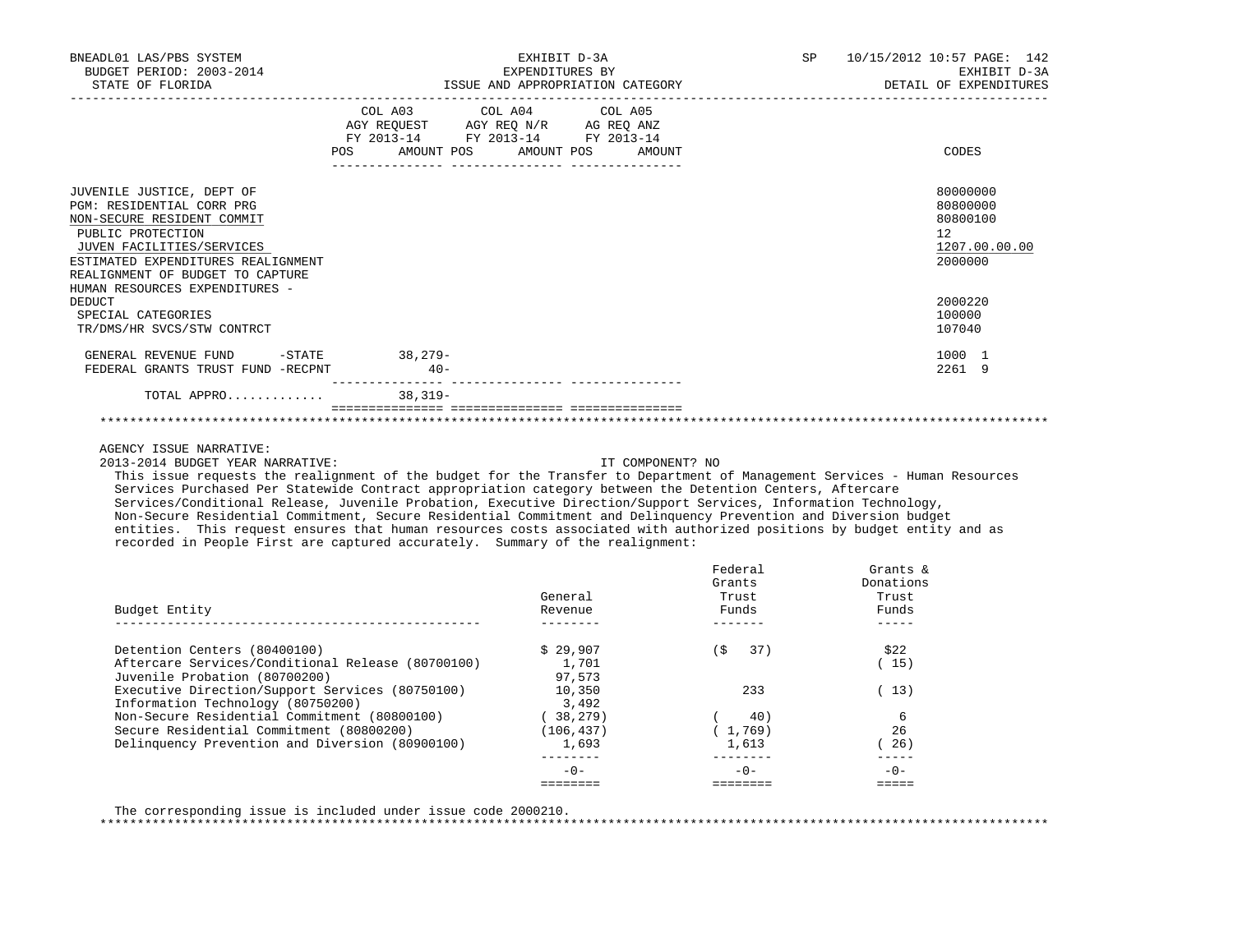| BNEADL01 LAS/PBS SYSTEM<br>BUDGET PERIOD: 2003-2014<br>STATE OF FLORIDA                                                                                                                                                                            | EXHIBIT D-3A<br>EXPENDITURES BY<br>ISSUE AND APPROPRIATION CATEGORY |                                                                                                                                         |  | <b>SP</b> | 10/15/2012 10:57 PAGE: 142<br>EXHIBIT D-3A<br>DETAIL OF EXPENDITURES |  |  |
|----------------------------------------------------------------------------------------------------------------------------------------------------------------------------------------------------------------------------------------------------|---------------------------------------------------------------------|-----------------------------------------------------------------------------------------------------------------------------------------|--|-----------|----------------------------------------------------------------------|--|--|
|                                                                                                                                                                                                                                                    |                                                                     | COL A03 COL A04 COL A05<br>AGY REQUEST AGY REQ $N/R$ AG REQ ANZ<br>FY 2013-14 FY 2013-14 FY 2013-14<br>POS AMOUNT POS AMOUNT POS AMOUNT |  |           | CODES                                                                |  |  |
| JUVENILE JUSTICE, DEPT OF<br>PGM: RESIDENTIAL CORR PRG<br>NON-SECURE RESIDENT COMMIT<br>PUBLIC PROTECTION<br>JUVEN FACILITIES/SERVICES<br>ESTIMATED EXPENDITURES REALIGNMENT<br>REALIGNMENT OF BUDGET TO CAPTURE<br>HUMAN RESOURCES EXPENDITURES - |                                                                     |                                                                                                                                         |  |           | 80000000<br>80800000<br>80800100<br>12<br>1207.00.00.00<br>2000000   |  |  |
| <b>DEDUCT</b><br>SPECIAL CATEGORIES<br>TR/DMS/HR SVCS/STW CONTRCT                                                                                                                                                                                  |                                                                     |                                                                                                                                         |  |           | 2000220<br>100000<br>107040                                          |  |  |
| GENERAL REVENUE FUND<br>FEDERAL GRANTS TRUST FUND -RECPNT                                                                                                                                                                                          | -STATE 38,279-<br>$40 -$                                            |                                                                                                                                         |  |           | 1000 1<br>2261 9                                                     |  |  |
| TOTAL APPRO                                                                                                                                                                                                                                        | $38,319-$                                                           |                                                                                                                                         |  |           |                                                                      |  |  |
|                                                                                                                                                                                                                                                    |                                                                     |                                                                                                                                         |  |           |                                                                      |  |  |

2013-2014 BUDGET YEAR NARRATIVE: IT COMPONENT? NO

 This issue requests the realignment of the budget for the Transfer to Department of Management Services - Human Resources Services Purchased Per Statewide Contract appropriation category between the Detention Centers, Aftercare Services/Conditional Release, Juvenile Probation, Executive Direction/Support Services, Information Technology, Non-Secure Residential Commitment, Secure Residential Commitment and Delinquency Prevention and Diversion budget entities. This request ensures that human resources costs associated with authorized positions by budget entity and as recorded in People First are captured accurately. Summary of the realignment:

| Budget Entity                                     | General<br>Revenue | Federal<br>Grants<br>Trust<br>Funds | Grants $\&$<br>Donations<br>Trust<br>Funds |
|---------------------------------------------------|--------------------|-------------------------------------|--------------------------------------------|
| Detention Centers (80400100)                      | \$29.907           | 37)<br>(\$                          | \$22                                       |
| Aftercare Services/Conditional Release (80700100) | 1,701              |                                     | 15)                                        |
| Juvenile Probation (80700200)                     | 97,573             |                                     |                                            |
| Executive Direction/Support Services (80750100)   | 10,350             | 233                                 | 13)                                        |
| Information Technology (80750200)                 | 3,492              |                                     |                                            |
| Non-Secure Residential Commitment (80800100)      | 38,279)            | 40)                                 | 6                                          |
| Secure Residential Commitment (80800200)          | (106, 437)         | 1,769                               | 26                                         |
| Delinquency Prevention and Diversion (80900100)   | 1,693              | 1,613                               | 26)                                        |
|                                                   |                    |                                     |                                            |
|                                                   | $-0-$              | $-0-$                               | $-0-$                                      |
|                                                   |                    |                                     |                                            |

The corresponding issue is included under issue code 2000210.

\*\*\*\*\*\*\*\*\*\*\*\*\*\*\*\*\*\*\*\*\*\*\*\*\*\*\*\*\*\*\*\*\*\*\*\*\*\*\*\*\*\*\*\*\*\*\*\*\*\*\*\*\*\*\*\*\*\*\*\*\*\*\*\*\*\*\*\*\*\*\*\*\*\*\*\*\*\*\*\*\*\*\*\*\*\*\*\*\*\*\*\*\*\*\*\*\*\*\*\*\*\*\*\*\*\*\*\*\*\*\*\*\*\*\*\*\*\*\*\*\*\*\*\*\*\*\*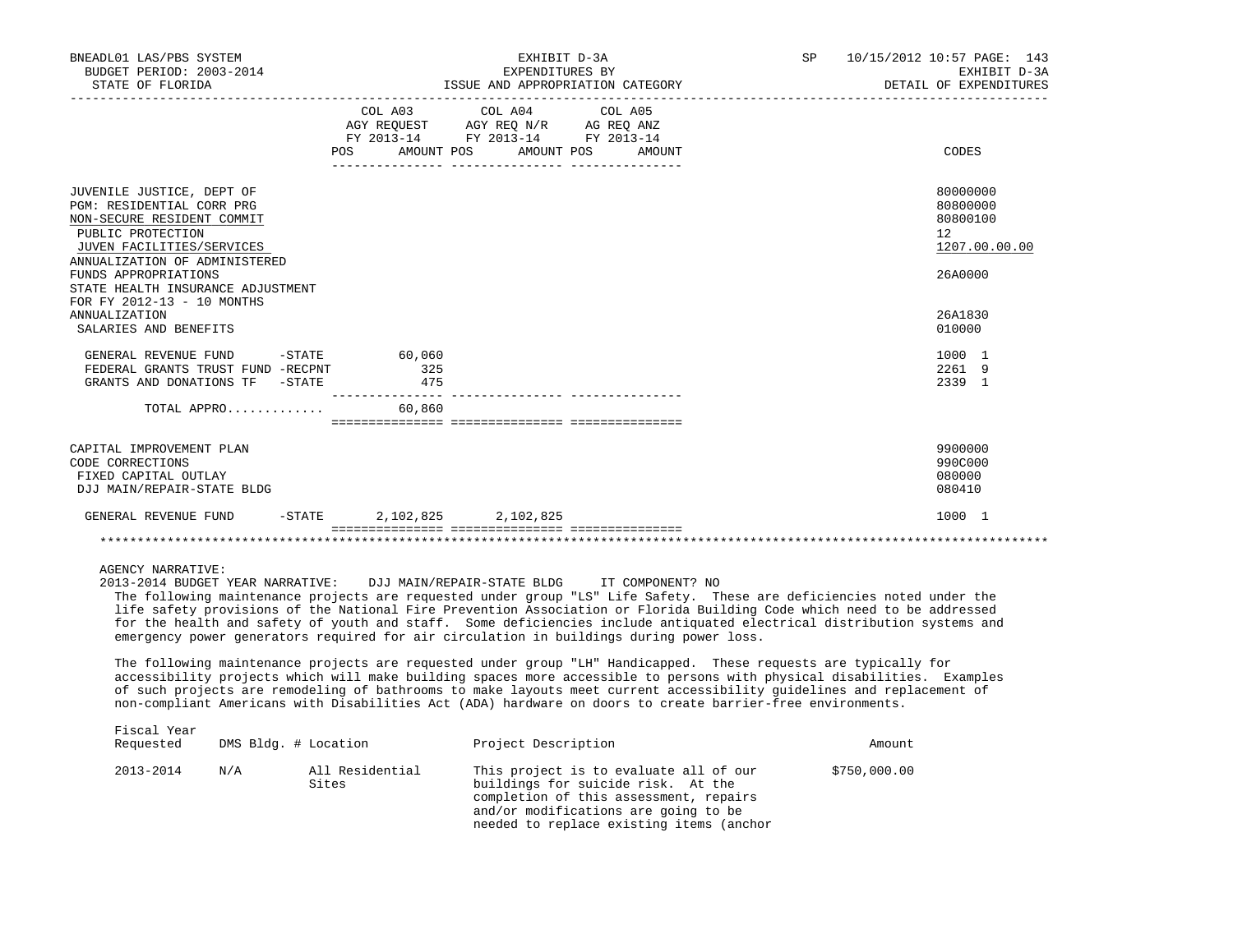| BNEADL01 LAS/PBS SYSTEM<br>BUDGET PERIOD: 2003-2014<br>STATE OF FLORIDA                                                                                            |                                  | EXHIBIT D-3A<br>EXPENDITURES BY<br>ISSUE AND APPROPRIATION CATEGORY                                                                                                                                                                                                                                                                                                                                                                                                                                                                                  | SP           | 10/15/2012 10:57 PAGE: 143<br>EXHIBIT D-3A<br>DETAIL OF EXPENDITURES |
|--------------------------------------------------------------------------------------------------------------------------------------------------------------------|----------------------------------|------------------------------------------------------------------------------------------------------------------------------------------------------------------------------------------------------------------------------------------------------------------------------------------------------------------------------------------------------------------------------------------------------------------------------------------------------------------------------------------------------------------------------------------------------|--------------|----------------------------------------------------------------------|
|                                                                                                                                                                    |                                  | COL A03 COL A04 COL A05<br>AGY REQUEST AGY REQ N/R AG REQ ANZ<br>FY 2013-14 FY 2013-14 FY 2013-14<br>POS AMOUNT POS AMOUNT POS AMOUNT                                                                                                                                                                                                                                                                                                                                                                                                                |              | CODES                                                                |
| JUVENILE JUSTICE, DEPT OF<br>PGM: RESIDENTIAL CORR PRG<br>NON-SECURE RESIDENT COMMIT<br>PUBLIC PROTECTION<br>JUVEN FACILITIES/SERVICES                             |                                  |                                                                                                                                                                                                                                                                                                                                                                                                                                                                                                                                                      |              | 80000000<br>80800000<br>80800100<br>12<br>1207.00.00.00              |
| ANNUALIZATION OF ADMINISTERED<br>FUNDS APPROPRIATIONS<br>STATE HEALTH INSURANCE ADJUSTMENT<br>FOR FY 2012-13 - 10 MONTHS<br>ANNUALIZATION<br>SALARIES AND BENEFITS |                                  |                                                                                                                                                                                                                                                                                                                                                                                                                                                                                                                                                      |              | 26A0000<br>26A1830<br>010000                                         |
| GENERAL REVENUE FUND -STATE<br>FEDERAL GRANTS TRUST FUND -RECPNT<br>GRANTS AND DONATIONS TF -STATE 475                                                             | 60,060<br>325                    |                                                                                                                                                                                                                                                                                                                                                                                                                                                                                                                                                      |              | 1000 1<br>2261 9<br>2339 1                                           |
| TOTAL APPRO $60,860$                                                                                                                                               |                                  |                                                                                                                                                                                                                                                                                                                                                                                                                                                                                                                                                      |              |                                                                      |
| CAPITAL IMPROVEMENT PLAN<br>CODE CORRECTIONS<br>FIXED CAPITAL OUTLAY<br>DJJ MAIN/REPAIR-STATE BLDG                                                                 |                                  |                                                                                                                                                                                                                                                                                                                                                                                                                                                                                                                                                      |              | 9900000<br>990C000<br>080000<br>080410                               |
| GENERAL REVENUE FUND                                                                                                                                               | $-STATE$ 2, 102, 825 2, 102, 825 |                                                                                                                                                                                                                                                                                                                                                                                                                                                                                                                                                      |              | 1000 1                                                               |
|                                                                                                                                                                    |                                  |                                                                                                                                                                                                                                                                                                                                                                                                                                                                                                                                                      |              |                                                                      |
| <b>AGENCY NARRATIVE:</b>                                                                                                                                           |                                  | 2013-2014 BUDGET YEAR NARRATIVE: DJJ MAIN/REPAIR-STATE BLDG IT COMPONENT? NO<br>The following maintenance projects are requested under group "LS" Life Safety. These are deficiencies noted under the<br>life safety provisions of the National Fire Prevention Association or Florida Building Code which need to be addressed<br>for the health and safety of youth and staff. Some deficiencies include antiquated electrical distribution systems and<br>emergency power generators required for air circulation in buildings during power loss. |              |                                                                      |
|                                                                                                                                                                    |                                  | The following maintenance projects are requested under group "LH" Handicapped. These requests are typically for<br>accessibility projects which will make building spaces more accessible to persons with physical disabilities. Examples<br>of such projects are remodeling of bathrooms to make layouts meet current accessibility guidelines and replacement of<br>non-compliant Americans with Disabilities Act (ADA) hardware on doors to create barrier-free environments.                                                                     |              |                                                                      |
| Fiscal Year<br>Requested                                                                                                                                           | DMS Bldg. # Location             | Project Description                                                                                                                                                                                                                                                                                                                                                                                                                                                                                                                                  | Amount       |                                                                      |
| 2013-2014<br>N/A                                                                                                                                                   | All Residential<br>Sites         | This project is to evaluate all of our<br>buildings for suicide risk. At the                                                                                                                                                                                                                                                                                                                                                                                                                                                                         | \$750,000.00 |                                                                      |

 completion of this assessment, repairs and/or modifications are going to be needed to replace existing items (anchor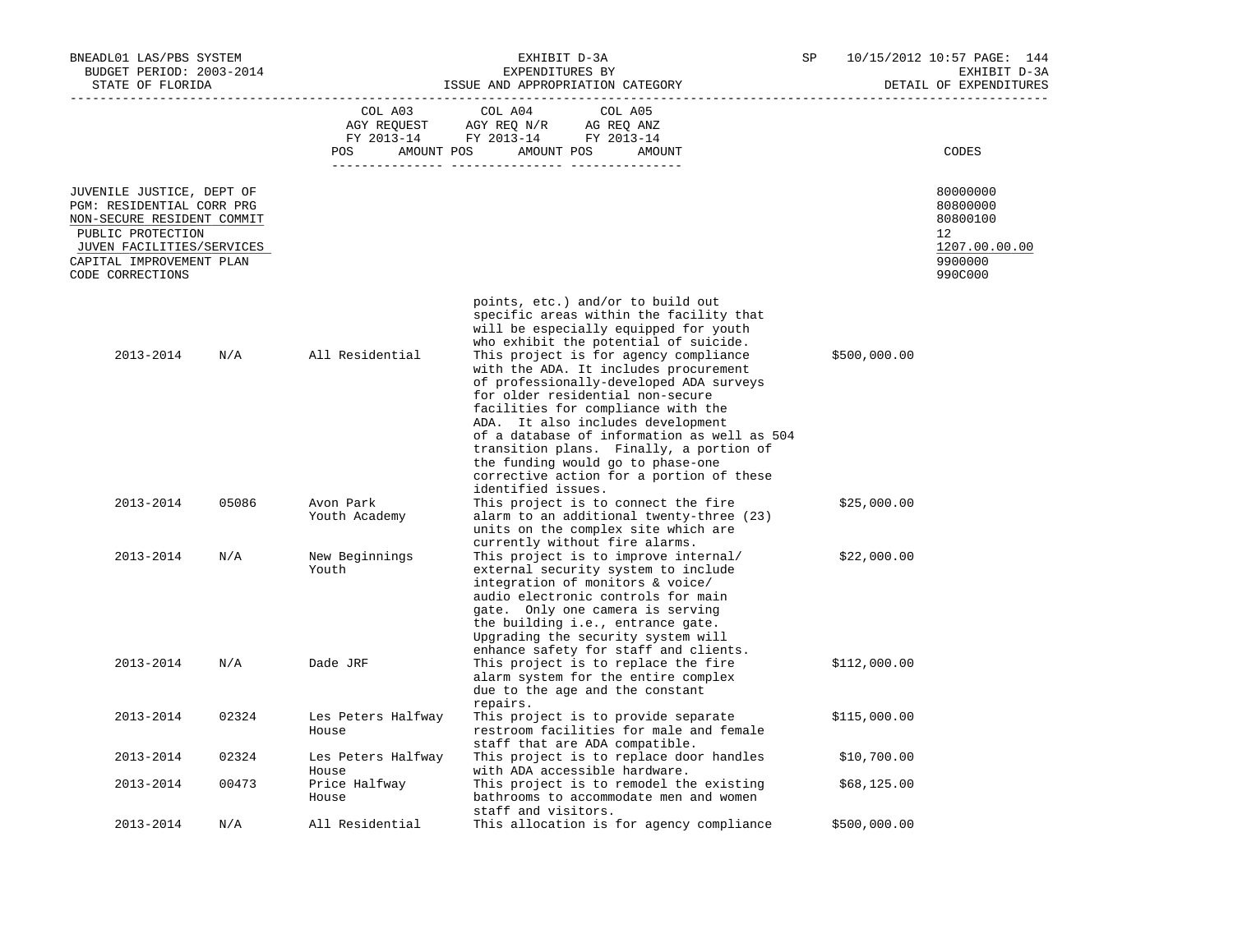| BNEADL01 LAS/PBS SYSTEM<br>BUDGET PERIOD: 2003-2014<br>STATE OF FLORIDA                                                                                                                |                                      | EXHIBIT D-3A<br>EXPENDITURES BY<br>ISSUE AND APPROPRIATION CATEGORY                                                                                                                                                                                                                                                                                                                                                                                                                                                                                                                   |              |                                                                               |
|----------------------------------------------------------------------------------------------------------------------------------------------------------------------------------------|--------------------------------------|---------------------------------------------------------------------------------------------------------------------------------------------------------------------------------------------------------------------------------------------------------------------------------------------------------------------------------------------------------------------------------------------------------------------------------------------------------------------------------------------------------------------------------------------------------------------------------------|--------------|-------------------------------------------------------------------------------|
|                                                                                                                                                                                        | COL A03<br>AGY REQUEST<br><b>POS</b> | COL A04<br>COL A05<br>AGY REQ N/R AG REQ ANZ<br>FY 2013-14 FY 2013-14 FY 2013-14<br>AMOUNT POS<br>AMOUNT POS<br>AMOUNT                                                                                                                                                                                                                                                                                                                                                                                                                                                                |              | CODES                                                                         |
| JUVENILE JUSTICE, DEPT OF<br>PGM: RESIDENTIAL CORR PRG<br>NON-SECURE RESIDENT COMMIT<br>PUBLIC PROTECTION<br>JUVEN FACILITIES/SERVICES<br>CAPITAL IMPROVEMENT PLAN<br>CODE CORRECTIONS |                                      |                                                                                                                                                                                                                                                                                                                                                                                                                                                                                                                                                                                       |              | 80000000<br>80800000<br>80800100<br>12<br>1207.00.00.00<br>9900000<br>990C000 |
| 2013-2014<br>N/A                                                                                                                                                                       | All Residential                      | points, etc.) and/or to build out<br>specific areas within the facility that<br>will be especially equipped for youth<br>who exhibit the potential of suicide.<br>This project is for agency compliance<br>with the ADA. It includes procurement<br>of professionally-developed ADA surveys<br>for older residential non-secure<br>facilities for compliance with the<br>ADA. It also includes development<br>of a database of information as well as 504<br>transition plans. Finally, a portion of<br>the funding would go to phase-one<br>corrective action for a portion of these | \$500,000.00 |                                                                               |
| 2013-2014<br>05086                                                                                                                                                                     | Avon Park<br>Youth Academy           | identified issues.<br>This project is to connect the fire<br>alarm to an additional twenty-three (23)<br>units on the complex site which are<br>currently without fire alarms.                                                                                                                                                                                                                                                                                                                                                                                                        | \$25,000.00  |                                                                               |
| 2013-2014<br>N/A                                                                                                                                                                       | New Beginnings<br>Youth              | This project is to improve internal/<br>external security system to include<br>integration of monitors & voice/<br>audio electronic controls for main<br>gate. Only one camera is serving<br>the building i.e., entrance gate.<br>Upgrading the security system will<br>enhance safety for staff and clients.                                                                                                                                                                                                                                                                         | \$22,000.00  |                                                                               |
| 2013-2014<br>N/A                                                                                                                                                                       | Dade JRF                             | This project is to replace the fire<br>alarm system for the entire complex<br>due to the age and the constant<br>repairs.                                                                                                                                                                                                                                                                                                                                                                                                                                                             | \$112,000.00 |                                                                               |
| 2013-2014<br>02324                                                                                                                                                                     | Les Peters Halfway<br>House          | This project is to provide separate<br>restroom facilities for male and female<br>staff that are ADA compatible.                                                                                                                                                                                                                                                                                                                                                                                                                                                                      | \$115,000.00 |                                                                               |
| 2013-2014<br>02324                                                                                                                                                                     | Les Peters Halfway<br>House          | This project is to replace door handles<br>with ADA accessible hardware.                                                                                                                                                                                                                                                                                                                                                                                                                                                                                                              | \$10,700.00  |                                                                               |
| 2013-2014<br>00473                                                                                                                                                                     | Price Halfway<br>House               | This project is to remodel the existing<br>bathrooms to accommodate men and women<br>staff and visitors.                                                                                                                                                                                                                                                                                                                                                                                                                                                                              | \$68,125.00  |                                                                               |
| 2013-2014<br>N/A                                                                                                                                                                       | All Residential                      | This allocation is for agency compliance                                                                                                                                                                                                                                                                                                                                                                                                                                                                                                                                              | \$500,000.00 |                                                                               |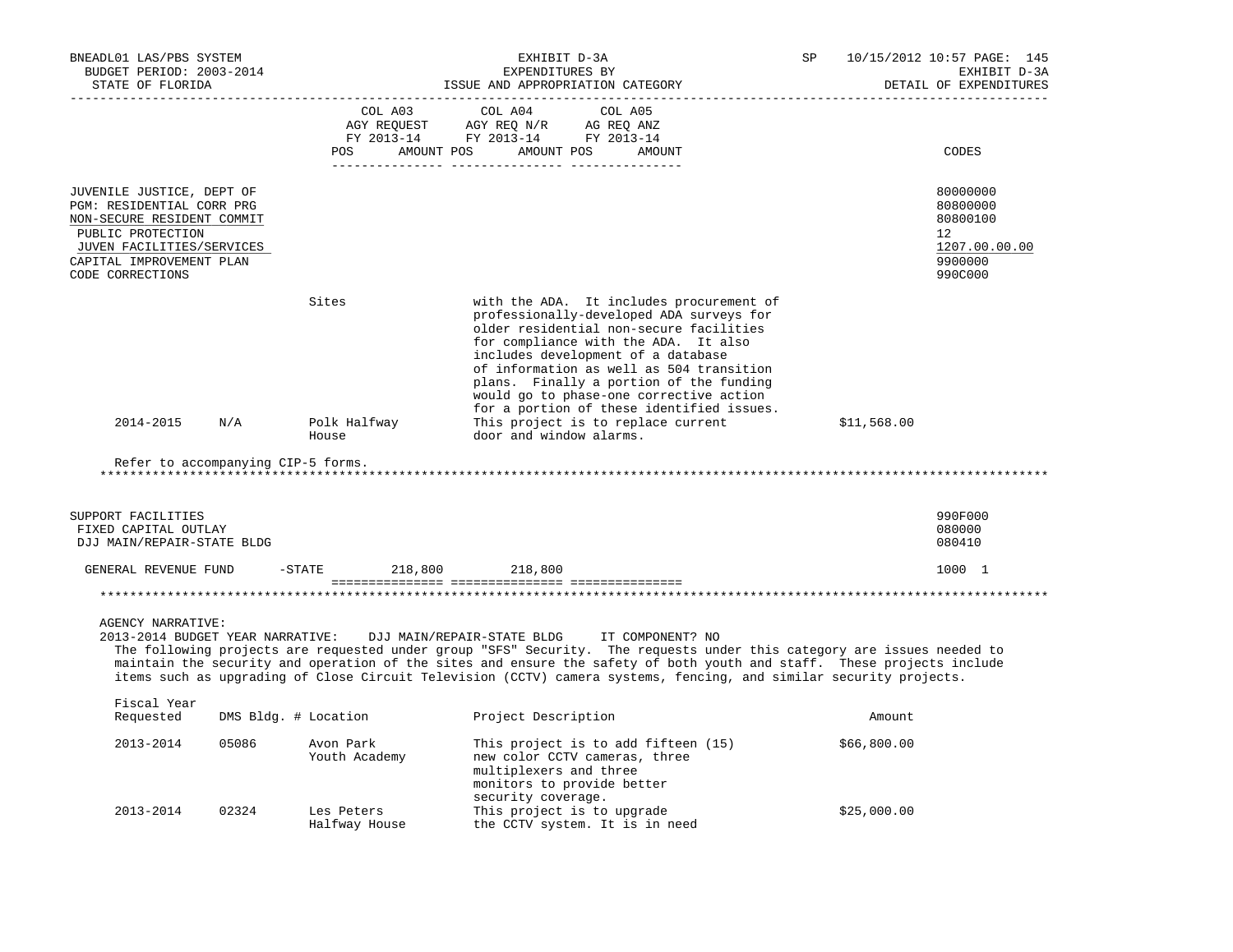| BNEADL01 LAS/PBS SYSTEM<br>BUDGET PERIOD: 2003-2014<br>STATE OF FLORIDA                                                                                                                |                      |                                                                                                                                                                                                                                                                                                                                                                                                      | EXHIBIT D-3A<br>EXPENDITURES BY<br>ISSUE AND APPROPRIATION CATEGORY                   |                                                                                                                                                                                                                                                                                                                                                                                                                                    | SP |             | 10/15/2012 10:57 PAGE: 145<br>EXHIBIT D-3A<br>DETAIL OF EXPENDITURES                       |
|----------------------------------------------------------------------------------------------------------------------------------------------------------------------------------------|----------------------|------------------------------------------------------------------------------------------------------------------------------------------------------------------------------------------------------------------------------------------------------------------------------------------------------------------------------------------------------------------------------------------------------|---------------------------------------------------------------------------------------|------------------------------------------------------------------------------------------------------------------------------------------------------------------------------------------------------------------------------------------------------------------------------------------------------------------------------------------------------------------------------------------------------------------------------------|----|-------------|--------------------------------------------------------------------------------------------|
|                                                                                                                                                                                        |                      | COL A03<br>AGY REQUEST<br>FY 2013-14 FY 2013-14 FY 2013-14<br><b>POS</b><br>AMOUNT POS                                                                                                                                                                                                                                                                                                               | COL A04<br>AGY REQ N/R<br>AMOUNT POS<br>_______ ________________ _____                | COL A05<br>AG REQ ANZ<br>AMOUNT                                                                                                                                                                                                                                                                                                                                                                                                    |    |             | CODES                                                                                      |
| JUVENILE JUSTICE, DEPT OF<br>PGM: RESIDENTIAL CORR PRG<br>NON-SECURE RESIDENT COMMIT<br>PUBLIC PROTECTION<br>JUVEN FACILITIES/SERVICES<br>CAPITAL IMPROVEMENT PLAN<br>CODE CORRECTIONS |                      |                                                                                                                                                                                                                                                                                                                                                                                                      |                                                                                       |                                                                                                                                                                                                                                                                                                                                                                                                                                    |    |             | 80000000<br>80800000<br>80800100<br>12 <sup>°</sup><br>1207.00.00.00<br>9900000<br>990C000 |
| 2014-2015                                                                                                                                                                              | N/A                  | Sites<br>Polk Halfway<br>House                                                                                                                                                                                                                                                                                                                                                                       | door and window alarms.                                                               | with the ADA. It includes procurement of<br>professionally-developed ADA surveys for<br>older residential non-secure facilities<br>for compliance with the ADA. It also<br>includes development of a database<br>of information as well as 504 transition<br>plans. Finally a portion of the funding<br>would go to phase-one corrective action<br>for a portion of these identified issues.<br>This project is to replace current |    | \$11,568.00 |                                                                                            |
| Refer to accompanying CIP-5 forms.                                                                                                                                                     |                      |                                                                                                                                                                                                                                                                                                                                                                                                      |                                                                                       | ***********************************                                                                                                                                                                                                                                                                                                                                                                                                |    |             |                                                                                            |
| SUPPORT FACILITIES<br>FIXED CAPITAL OUTLAY<br>DJJ MAIN/REPAIR-STATE BLDG                                                                                                               |                      |                                                                                                                                                                                                                                                                                                                                                                                                      |                                                                                       |                                                                                                                                                                                                                                                                                                                                                                                                                                    |    |             | 990F000<br>080000<br>080410                                                                |
| GENERAL REVENUE FUND                                                                                                                                                                   | $-$ STATE            | 218,800                                                                                                                                                                                                                                                                                                                                                                                              | 218,800                                                                               |                                                                                                                                                                                                                                                                                                                                                                                                                                    |    |             | 1000 1                                                                                     |
|                                                                                                                                                                                        |                      |                                                                                                                                                                                                                                                                                                                                                                                                      |                                                                                       |                                                                                                                                                                                                                                                                                                                                                                                                                                    |    |             |                                                                                            |
| <b>AGENCY NARRATIVE:</b><br>2013-2014 BUDGET YEAR NARRATIVE:                                                                                                                           |                      | DJJ MAIN/REPAIR-STATE BLDG<br>The following projects are requested under group "SFS" Security. The requests under this category are issues needed to<br>maintain the security and operation of the sites and ensure the safety of both youth and staff. These projects include<br>items such as upgrading of Close Circuit Television (CCTV) camera systems, fencing, and similar security projects. |                                                                                       | IT COMPONENT? NO                                                                                                                                                                                                                                                                                                                                                                                                                   |    |             |                                                                                            |
| Fiscal Year<br>Requested                                                                                                                                                               | DMS Bldg. # Location |                                                                                                                                                                                                                                                                                                                                                                                                      | Project Description                                                                   |                                                                                                                                                                                                                                                                                                                                                                                                                                    |    | Amount      |                                                                                            |
| 2013-2014                                                                                                                                                                              | 05086                | Avon Park<br>Youth Academy                                                                                                                                                                                                                                                                                                                                                                           | new color CCTV cameras, three<br>multiplexers and three<br>monitors to provide better | This project is to add fifteen (15)                                                                                                                                                                                                                                                                                                                                                                                                |    | \$66,800.00 |                                                                                            |
| 2013-2014                                                                                                                                                                              | 02324                | Les Peters<br>Halfway House                                                                                                                                                                                                                                                                                                                                                                          | security coverage.<br>This project is to upgrade                                      | the CCTV system. It is in need                                                                                                                                                                                                                                                                                                                                                                                                     |    | \$25,000.00 |                                                                                            |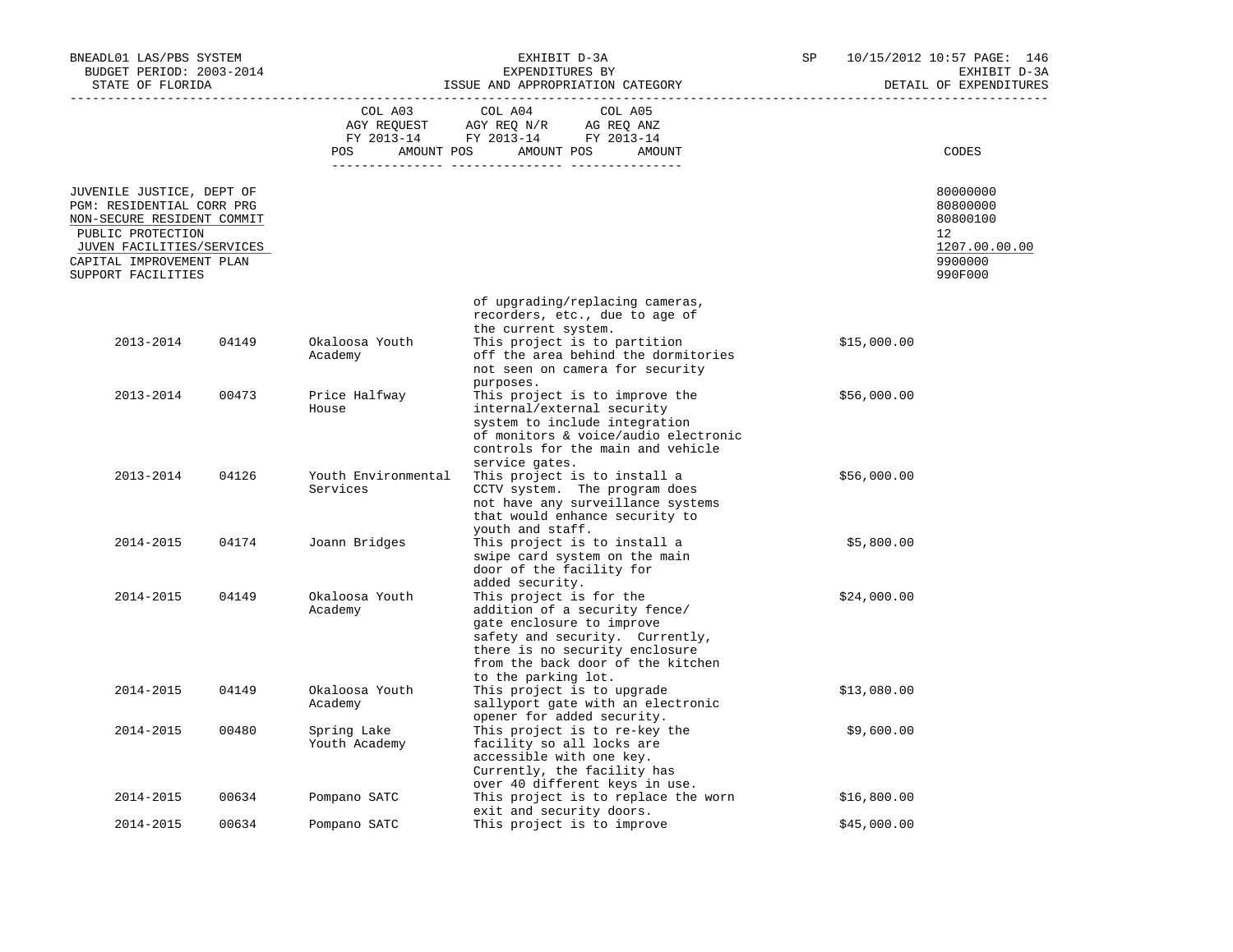| BNEADL01 LAS/PBS SYSTEM<br>BUDGET PERIOD: 2003-2014<br>STATE OF FLORIDA                                                                                                                  |       |                                 | EXHIBIT D-3A<br>EXPENDITURES BY<br>ISSUE AND APPROPRIATION CATEGORY                                                                                                                                                                                                                         | SP |             | 10/15/2012 10:57 PAGE: 146<br>EXHIBIT D-3A<br>DETAIL OF EXPENDITURES          |
|------------------------------------------------------------------------------------------------------------------------------------------------------------------------------------------|-------|---------------------------------|---------------------------------------------------------------------------------------------------------------------------------------------------------------------------------------------------------------------------------------------------------------------------------------------|----|-------------|-------------------------------------------------------------------------------|
|                                                                                                                                                                                          |       | COL A03                         | COL A04<br>COL A05<br>$\begin{tabular}{lllllll} \bf AGY \;\; RegUEST \hspace{1cm} AGY \;\; REG \;\; N/R \hspace{1cm} \bf AG \;\; REG \;\; ANZ \\ \hline \tt FY \;\; 2013-14 \hspace{1cm} FY \;\; 2013-14 \hspace{1cm} FY \;\; 2013-14 \end{tabular}$<br>POS AMOUNT POS AMOUNT POS<br>AMOUNT |    |             | CODES                                                                         |
| JUVENILE JUSTICE, DEPT OF<br>PGM: RESIDENTIAL CORR PRG<br>NON-SECURE RESIDENT COMMIT<br>PUBLIC PROTECTION<br>JUVEN FACILITIES/SERVICES<br>CAPITAL IMPROVEMENT PLAN<br>SUPPORT FACILITIES |       |                                 |                                                                                                                                                                                                                                                                                             |    |             | 80000000<br>80800000<br>80800100<br>12<br>1207.00.00.00<br>9900000<br>990F000 |
| 2013-2014                                                                                                                                                                                | 04149 | Okaloosa Youth<br>Academy       | of upgrading/replacing cameras,<br>recorders, etc., due to age of<br>the current system.<br>This project is to partition<br>off the area behind the dormitories<br>not seen on camera for security                                                                                          |    | \$15,000.00 |                                                                               |
| 2013-2014                                                                                                                                                                                | 00473 | Price Halfway<br>House          | purposes.<br>This project is to improve the<br>internal/external security<br>system to include integration<br>of monitors & voice/audio electronic<br>controls for the main and vehicle                                                                                                     |    | \$56,000.00 |                                                                               |
| 2013-2014                                                                                                                                                                                | 04126 | Youth Environmental<br>Services | service gates.<br>This project is to install a<br>CCTV system. The program does<br>not have any surveillance systems<br>that would enhance security to                                                                                                                                      |    | \$56,000.00 |                                                                               |
| 2014-2015                                                                                                                                                                                | 04174 | Joann Bridges                   | youth and staff.<br>This project is to install a<br>swipe card system on the main<br>door of the facility for                                                                                                                                                                               |    | \$5,800.00  |                                                                               |
| 2014-2015                                                                                                                                                                                | 04149 | Okaloosa Youth<br>Academy       | added security.<br>This project is for the<br>addition of a security fence/<br>gate enclosure to improve<br>safety and security. Currently,<br>there is no security enclosure<br>from the back door of the kitchen<br>to the parking lot.                                                   |    | \$24,000.00 |                                                                               |
| 2014-2015                                                                                                                                                                                | 04149 | Okaloosa Youth<br>Academy       | This project is to upgrade<br>sallyport gate with an electronic                                                                                                                                                                                                                             |    | \$13,080.00 |                                                                               |
| 2014-2015                                                                                                                                                                                | 00480 | Spring Lake<br>Youth Academy    | opener for added security.<br>This project is to re-key the<br>facility so all locks are<br>accessible with one key.<br>Currently, the facility has<br>over 40 different keys in use.                                                                                                       |    | \$9,600.00  |                                                                               |
| 2014-2015                                                                                                                                                                                | 00634 | Pompano SATC                    | This project is to replace the worn<br>exit and security doors.                                                                                                                                                                                                                             |    | \$16,800.00 |                                                                               |
| 2014-2015                                                                                                                                                                                | 00634 | Pompano SATC                    | This project is to improve                                                                                                                                                                                                                                                                  |    | \$45,000.00 |                                                                               |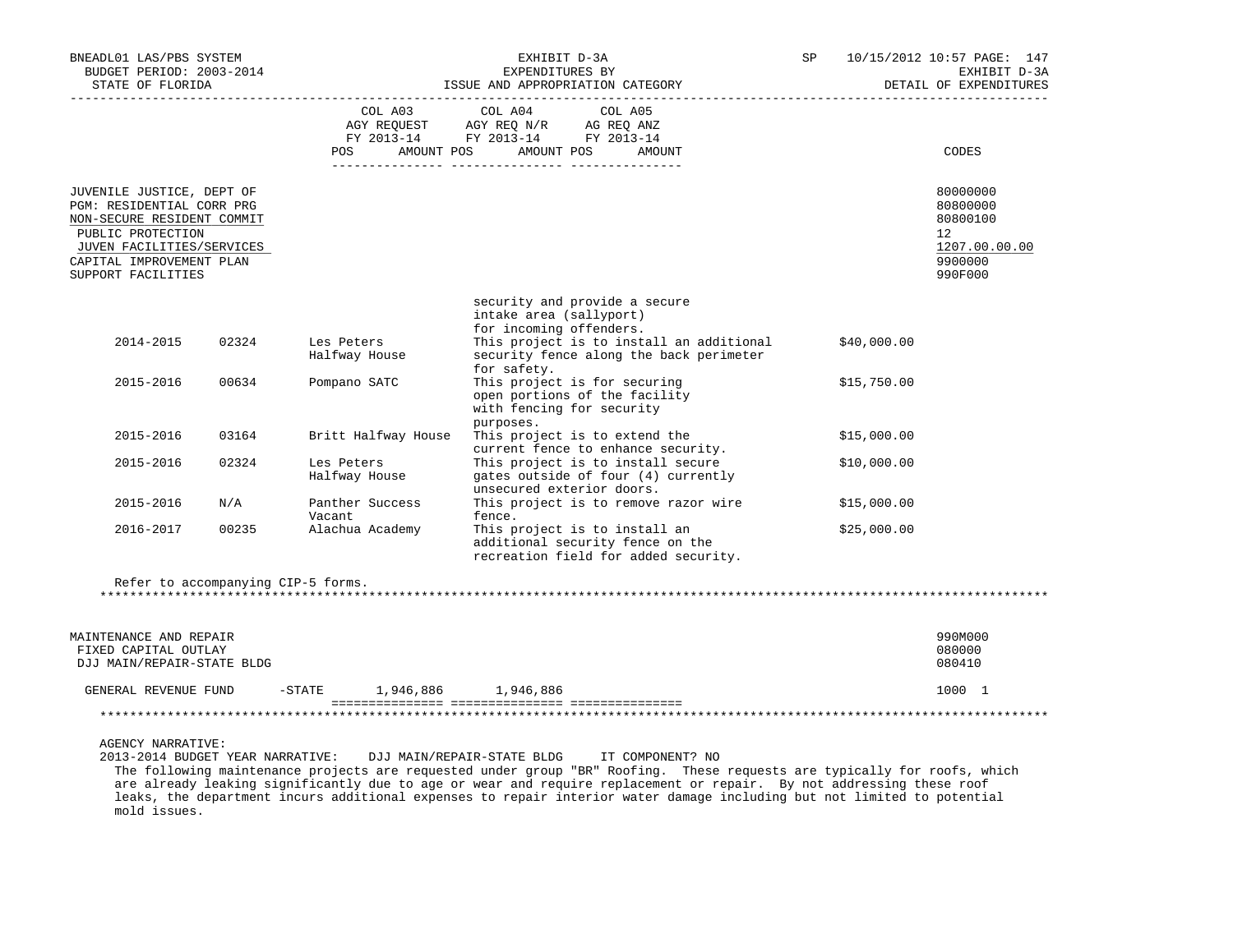| BNEADL01 LAS/PBS SYSTEM<br>BUDGET PERIOD: 2003-2014<br>STATE OF FLORIDA                                                                                                                  |       |                                    | EXHIBIT D-3A<br>EXPENDITURES BY<br>ISSUE AND APPROPRIATION CATEGORY                                                             | SP |             | 10/15/2012 10:57 PAGE: 147<br>EXHIBIT D-3A<br>DETAIL OF EXPENDITURES          |
|------------------------------------------------------------------------------------------------------------------------------------------------------------------------------------------|-------|------------------------------------|---------------------------------------------------------------------------------------------------------------------------------|----|-------------|-------------------------------------------------------------------------------|
|                                                                                                                                                                                          |       | COL A03<br><b>POS</b>              | COL A04<br>COL A05<br>AGY REQUEST AGY REQ N/R AG REQ ANZ<br>FY 2013-14 FY 2013-14 FY 2013-14<br>AMOUNT POS AMOUNT POS<br>AMOUNT |    |             | CODES                                                                         |
| JUVENILE JUSTICE, DEPT OF<br>PGM: RESIDENTIAL CORR PRG<br>NON-SECURE RESIDENT COMMIT<br>PUBLIC PROTECTION<br>JUVEN FACILITIES/SERVICES<br>CAPITAL IMPROVEMENT PLAN<br>SUPPORT FACILITIES |       |                                    |                                                                                                                                 |    |             | 80000000<br>80800000<br>80800100<br>12<br>1207.00.00.00<br>9900000<br>990F000 |
|                                                                                                                                                                                          |       |                                    | security and provide a secure<br>intake area (sallyport)<br>for incoming offenders.                                             |    |             |                                                                               |
| 2014-2015                                                                                                                                                                                | 02324 | Les Peters<br>Halfway House        | This project is to install an additional<br>security fence along the back perimeter<br>for safety.                              |    | \$40,000.00 |                                                                               |
| 2015-2016                                                                                                                                                                                | 00634 | Pompano SATC                       | This project is for securing<br>open portions of the facility<br>with fencing for security<br>purposes.                         |    | \$15,750.00 |                                                                               |
| 2015-2016                                                                                                                                                                                | 03164 | Britt Halfway House                | This project is to extend the<br>current fence to enhance security.                                                             |    | \$15,000.00 |                                                                               |
| 2015-2016                                                                                                                                                                                | 02324 | Les Peters<br>Halfway House        | This project is to install secure<br>gates outside of four (4) currently<br>unsecured exterior doors.                           |    | \$10,000.00 |                                                                               |
| 2015-2016                                                                                                                                                                                | N/A   | Panther Success<br>Vacant          | This project is to remove razor wire<br>fence.                                                                                  |    | \$15,000.00 |                                                                               |
| 2016-2017                                                                                                                                                                                | 00235 | Alachua Academy                    | This project is to install an<br>additional security fence on the<br>recreation field for added security.                       |    | \$25,000.00 |                                                                               |
|                                                                                                                                                                                          |       | Refer to accompanying CIP-5 forms. |                                                                                                                                 |    |             |                                                                               |
| MAINTENANCE AND REPAIR<br>FIXED CAPITAL OUTLAY<br>DJJ MAIN/REPAIR-STATE BLDG                                                                                                             |       |                                    |                                                                                                                                 |    |             | 990M000<br>080000<br>080410                                                   |
| GENERAL REVENUE FUND                                                                                                                                                                     |       | $-$ STATE 1,946,886 1,946,886      |                                                                                                                                 |    |             | 1000 1                                                                        |
|                                                                                                                                                                                          |       |                                    |                                                                                                                                 |    |             |                                                                               |
| AGENCY NARRATIVE:<br>2013-2014 BUDGET YEAR NARRATIVE:                                                                                                                                    |       |                                    | DJJ MAIN/REPAIR-STATE BLDG<br>IT COMPONENT? NO                                                                                  |    |             |                                                                               |

 The following maintenance projects are requested under group "BR" Roofing. These requests are typically for roofs, which are already leaking significantly due to age or wear and require replacement or repair. By not addressing these roof leaks, the department incurs additional expenses to repair interior water damage including but not limited to potential mold issues.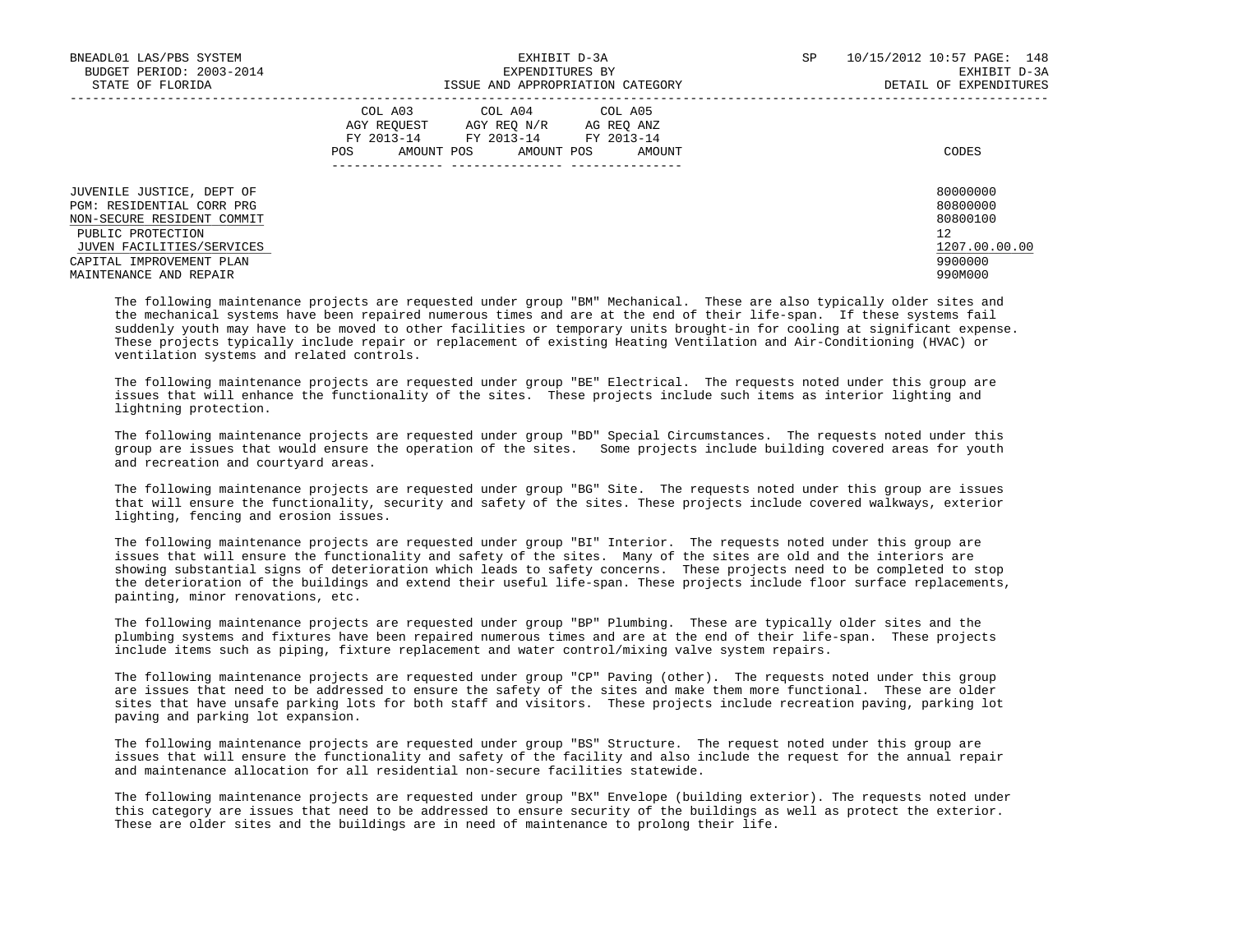| BNEADL01 LAS/PBS SYSTEM<br>BUDGET PERIOD: 2003-2014<br>STATE OF FLORIDA                                                                                                                      | EXHIBIT D-3A<br>EXPENDITURES BY<br>ISSUE AND APPROPRIATION CATEGORY                                                                               | SP<br>10/15/2012 10:57 PAGE: 148<br>EXHIBIT D-3A<br>DETAIL OF EXPENDITURES    |  |  |
|----------------------------------------------------------------------------------------------------------------------------------------------------------------------------------------------|---------------------------------------------------------------------------------------------------------------------------------------------------|-------------------------------------------------------------------------------|--|--|
|                                                                                                                                                                                              | COL A03 COL A04 COL A05<br>AGY REOUEST<br>AGY REO N/R AG REO ANZ<br>FY 2013-14 FY 2013-14 FY 2013-14<br>AMOUNT POS<br>AMOUNT POS<br>POS<br>AMOUNT | CODES                                                                         |  |  |
| JUVENILE JUSTICE, DEPT OF<br>PGM: RESIDENTIAL CORR PRG<br>NON-SECURE RESIDENT COMMIT<br>PUBLIC PROTECTION<br>JUVEN FACILITIES/SERVICES<br>CAPITAL IMPROVEMENT PLAN<br>MAINTENANCE AND REPAIR |                                                                                                                                                   | 80000000<br>80800000<br>80800100<br>12<br>1207.00.00.00<br>9900000<br>990M000 |  |  |

 The following maintenance projects are requested under group "BM" Mechanical. These are also typically older sites and the mechanical systems have been repaired numerous times and are at the end of their life-span. If these systems fail suddenly youth may have to be moved to other facilities or temporary units brought-in for cooling at significant expense. These projects typically include repair or replacement of existing Heating Ventilation and Air-Conditioning (HVAC) or ventilation systems and related controls.

 The following maintenance projects are requested under group "BE" Electrical. The requests noted under this group are issues that will enhance the functionality of the sites. These projects include such items as interior lighting and lightning protection.

 The following maintenance projects are requested under group "BD" Special Circumstances. The requests noted under this group are issues that would ensure the operation of the sites. Some projects include building covered areas for youth and recreation and courtyard areas.

 The following maintenance projects are requested under group "BG" Site. The requests noted under this group are issues that will ensure the functionality, security and safety of the sites. These projects include covered walkways, exterior lighting, fencing and erosion issues.

 The following maintenance projects are requested under group "BI" Interior. The requests noted under this group are issues that will ensure the functionality and safety of the sites. Many of the sites are old and the interiors are showing substantial signs of deterioration which leads to safety concerns. These projects need to be completed to stop the deterioration of the buildings and extend their useful life-span. These projects include floor surface replacements, painting, minor renovations, etc.

 The following maintenance projects are requested under group "BP" Plumbing. These are typically older sites and the plumbing systems and fixtures have been repaired numerous times and are at the end of their life-span. These projects include items such as piping, fixture replacement and water control/mixing valve system repairs.

 The following maintenance projects are requested under group "CP" Paving (other). The requests noted under this group are issues that need to be addressed to ensure the safety of the sites and make them more functional. These are older sites that have unsafe parking lots for both staff and visitors. These projects include recreation paving, parking lot paving and parking lot expansion.

 The following maintenance projects are requested under group "BS" Structure. The request noted under this group are issues that will ensure the functionality and safety of the facility and also include the request for the annual repair and maintenance allocation for all residential non-secure facilities statewide.

 The following maintenance projects are requested under group "BX" Envelope (building exterior). The requests noted under this category are issues that need to be addressed to ensure security of the buildings as well as protect the exterior. These are older sites and the buildings are in need of maintenance to prolong their life.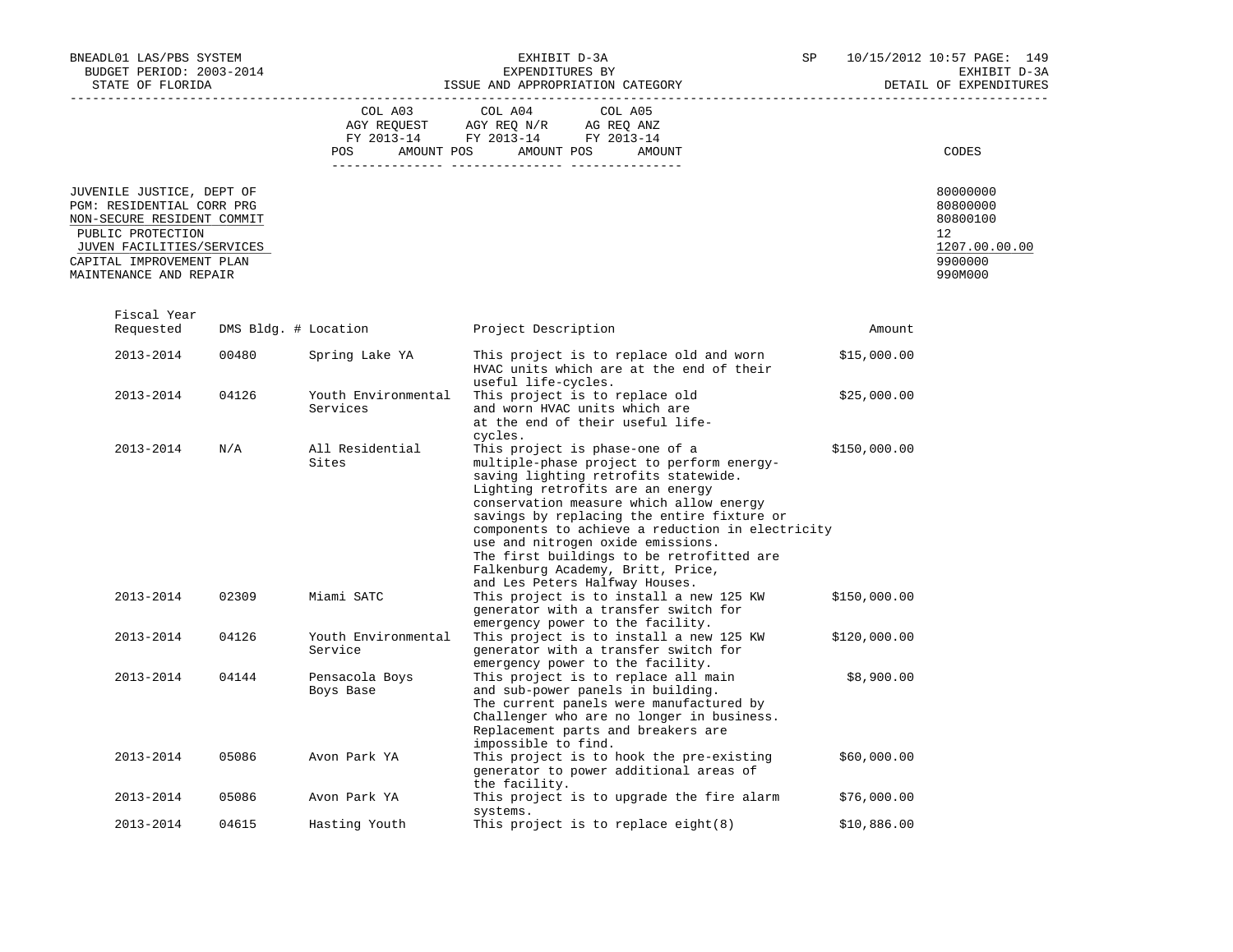| BNEADL01 LAS/PBS SYSTEM<br>BUDGET PERIOD: 2003-2014                                                                                                                                          |       |                                 | EXHIBIT D-3A<br>EXPENDITURES BY                                                                                                                                                                                                                                                                                                                                                                                                                               | SP           | 10/15/2012 10:57 PAGE: 149<br>EXHIBIT D-3A                                    |
|----------------------------------------------------------------------------------------------------------------------------------------------------------------------------------------------|-------|---------------------------------|---------------------------------------------------------------------------------------------------------------------------------------------------------------------------------------------------------------------------------------------------------------------------------------------------------------------------------------------------------------------------------------------------------------------------------------------------------------|--------------|-------------------------------------------------------------------------------|
| STATE OF FLORIDA                                                                                                                                                                             |       |                                 | ISSUE AND APPROPRIATION CATEGORY                                                                                                                                                                                                                                                                                                                                                                                                                              |              | DETAIL OF EXPENDITURES                                                        |
|                                                                                                                                                                                              |       | COL A03<br>POS                  | COL A04<br>COL A05<br>AGY REQUEST AGY REQ N/R AG REQ ANZ<br>FY 2013-14 FY 2013-14 FY 2013-14<br>AMOUNT POS AMOUNT POS<br>AMOUNT                                                                                                                                                                                                                                                                                                                               |              | CODES                                                                         |
| JUVENILE JUSTICE, DEPT OF<br>PGM: RESIDENTIAL CORR PRG<br>NON-SECURE RESIDENT COMMIT<br>PUBLIC PROTECTION<br>JUVEN FACILITIES/SERVICES<br>CAPITAL IMPROVEMENT PLAN<br>MAINTENANCE AND REPAIR |       |                                 |                                                                                                                                                                                                                                                                                                                                                                                                                                                               |              | 80000000<br>80800000<br>80800100<br>12<br>1207.00.00.00<br>9900000<br>990M000 |
| Fiscal Year<br>Requested                                                                                                                                                                     |       | DMS Bldg. # Location            | Project Description                                                                                                                                                                                                                                                                                                                                                                                                                                           |              | Amount                                                                        |
| 2013-2014                                                                                                                                                                                    | 00480 | Spring Lake YA                  | This project is to replace old and worn<br>HVAC units which are at the end of their<br>useful life-cycles.                                                                                                                                                                                                                                                                                                                                                    | \$15,000.00  |                                                                               |
| 2013-2014                                                                                                                                                                                    | 04126 | Youth Environmental<br>Services | This project is to replace old<br>and worn HVAC units which are<br>at the end of their useful life-<br>cycles.                                                                                                                                                                                                                                                                                                                                                | \$25,000.00  |                                                                               |
| 2013-2014                                                                                                                                                                                    | N/A   | All Residential<br>Sites        | This project is phase-one of a<br>multiple-phase project to perform energy-<br>saving lighting retrofits statewide.<br>Lighting retrofits are an energy<br>conservation measure which allow energy<br>savings by replacing the entire fixture or<br>components to achieve a reduction in electricity<br>use and nitrogen oxide emissions.<br>The first buildings to be retrofitted are<br>Falkenburg Academy, Britt, Price,<br>and Les Peters Halfway Houses. | \$150,000.00 |                                                                               |
| 2013-2014                                                                                                                                                                                    | 02309 | Miami SATC                      | This project is to install a new 125 KW<br>generator with a transfer switch for<br>emergency power to the facility.                                                                                                                                                                                                                                                                                                                                           | \$150,000.00 |                                                                               |
| 2013-2014                                                                                                                                                                                    | 04126 | Youth Environmental<br>Service  | This project is to install a new 125 KW<br>generator with a transfer switch for<br>emergency power to the facility.                                                                                                                                                                                                                                                                                                                                           | \$120,000.00 |                                                                               |
| 2013-2014                                                                                                                                                                                    | 04144 | Pensacola Boys<br>Boys Base     | This project is to replace all main<br>and sub-power panels in building.<br>The current panels were manufactured by<br>Challenger who are no longer in business.<br>Replacement parts and breakers are<br>impossible to find.                                                                                                                                                                                                                                 | \$8,900.00   |                                                                               |
| 2013-2014                                                                                                                                                                                    | 05086 | Avon Park YA                    | This project is to hook the pre-existing<br>generator to power additional areas of<br>the facility.                                                                                                                                                                                                                                                                                                                                                           | \$60,000.00  |                                                                               |
| 2013-2014                                                                                                                                                                                    | 05086 | Avon Park YA                    | This project is to upgrade the fire alarm                                                                                                                                                                                                                                                                                                                                                                                                                     | \$76,000.00  |                                                                               |
| 2013-2014                                                                                                                                                                                    | 04615 | Hasting Youth                   | systems.<br>This project is to replace eight (8)                                                                                                                                                                                                                                                                                                                                                                                                              | \$10,886.00  |                                                                               |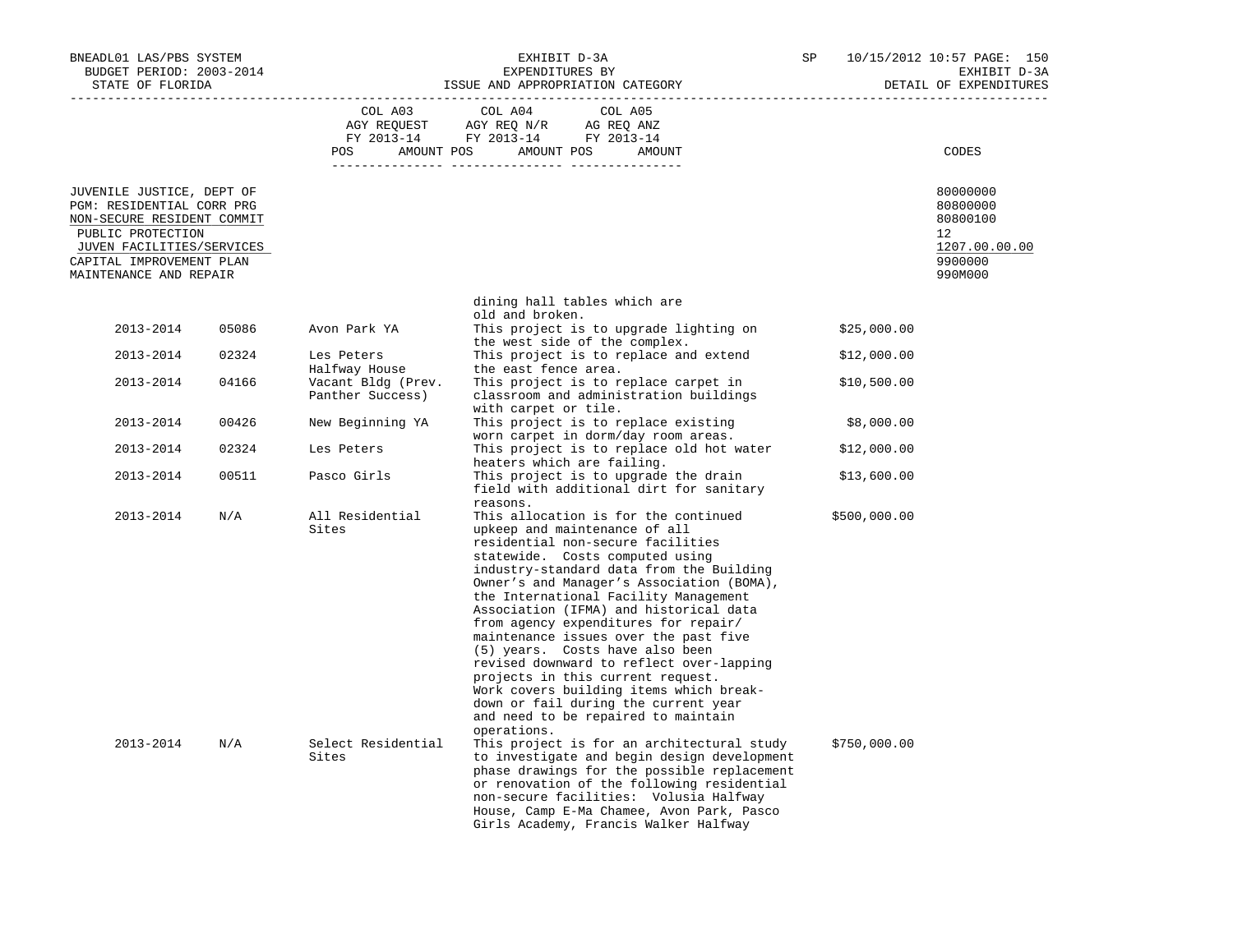| BNEADL01 LAS/PBS SYSTEM<br>BUDGET PERIOD: 2003-2014<br>STATE OF FLORIDA                                                                                                                      |       |                                        | EXHIBIT D-3A<br>EXPENDITURES BY<br>ISSUE AND APPROPRIATION CATEGORY                                                                                                                                                                                                                                                                                                                                                                                                                                                                                                                                                                                      | SP           | 10/15/2012 10:57 PAGE: 150<br>EXHIBIT D-3A<br>DETAIL OF EXPENDITURES          |
|----------------------------------------------------------------------------------------------------------------------------------------------------------------------------------------------|-------|----------------------------------------|----------------------------------------------------------------------------------------------------------------------------------------------------------------------------------------------------------------------------------------------------------------------------------------------------------------------------------------------------------------------------------------------------------------------------------------------------------------------------------------------------------------------------------------------------------------------------------------------------------------------------------------------------------|--------------|-------------------------------------------------------------------------------|
|                                                                                                                                                                                              |       | COL A03<br>POS                         | COL A04<br>COL A05<br>AGY REQUEST AGY REQ N/R AG REQ ANZ<br>FY 2013-14 FY 2013-14 FY 2013-14<br>AMOUNT POS AMOUNT POS<br>AMOUNT                                                                                                                                                                                                                                                                                                                                                                                                                                                                                                                          |              | CODES                                                                         |
| JUVENILE JUSTICE, DEPT OF<br>PGM: RESIDENTIAL CORR PRG<br>NON-SECURE RESIDENT COMMIT<br>PUBLIC PROTECTION<br>JUVEN FACILITIES/SERVICES<br>CAPITAL IMPROVEMENT PLAN<br>MAINTENANCE AND REPAIR |       |                                        |                                                                                                                                                                                                                                                                                                                                                                                                                                                                                                                                                                                                                                                          |              | 80000000<br>80800000<br>80800100<br>12<br>1207.00.00.00<br>9900000<br>990M000 |
|                                                                                                                                                                                              |       |                                        | dining hall tables which are<br>old and broken.                                                                                                                                                                                                                                                                                                                                                                                                                                                                                                                                                                                                          |              |                                                                               |
| 2013-2014                                                                                                                                                                                    | 05086 | Avon Park YA                           | This project is to upgrade lighting on<br>the west side of the complex.                                                                                                                                                                                                                                                                                                                                                                                                                                                                                                                                                                                  | \$25,000.00  |                                                                               |
| 2013-2014                                                                                                                                                                                    | 02324 | Les Peters<br>Halfway House            | This project is to replace and extend<br>the east fence area.                                                                                                                                                                                                                                                                                                                                                                                                                                                                                                                                                                                            | \$12,000.00  |                                                                               |
| 2013-2014                                                                                                                                                                                    | 04166 | Vacant Bldg (Prev.<br>Panther Success) | This project is to replace carpet in<br>classroom and administration buildings<br>with carpet or tile.                                                                                                                                                                                                                                                                                                                                                                                                                                                                                                                                                   | \$10,500.00  |                                                                               |
| 2013-2014                                                                                                                                                                                    | 00426 | New Beginning YA                       | This project is to replace existing                                                                                                                                                                                                                                                                                                                                                                                                                                                                                                                                                                                                                      | \$8,000.00   |                                                                               |
| 2013-2014                                                                                                                                                                                    | 02324 | Les Peters                             | worn carpet in dorm/day room areas.<br>This project is to replace old hot water                                                                                                                                                                                                                                                                                                                                                                                                                                                                                                                                                                          | \$12,000.00  |                                                                               |
| 2013-2014                                                                                                                                                                                    | 00511 | Pasco Girls                            | heaters which are failing.<br>This project is to upgrade the drain<br>field with additional dirt for sanitary<br>reasons.                                                                                                                                                                                                                                                                                                                                                                                                                                                                                                                                | \$13,600.00  |                                                                               |
| 2013-2014                                                                                                                                                                                    | N/A   | All Residential<br>Sites               | This allocation is for the continued<br>upkeep and maintenance of all<br>residential non-secure facilities<br>statewide. Costs computed using<br>industry-standard data from the Building<br>Owner's and Manager's Association (BOMA),<br>the International Facility Management<br>Association (IFMA) and historical data<br>from agency expenditures for repair/<br>maintenance issues over the past five<br>(5) years. Costs have also been<br>revised downward to reflect over-lapping<br>projects in this current request.<br>Work covers building items which break-<br>down or fail during the current year<br>and need to be repaired to maintain | \$500,000.00 |                                                                               |
| 2013-2014                                                                                                                                                                                    | N/A   | Select Residential<br>Sites            | operations.<br>This project is for an architectural study<br>to investigate and begin design development<br>phase drawings for the possible replacement<br>or renovation of the following residential<br>non-secure facilities: Volusia Halfway<br>House, Camp E-Ma Chamee, Avon Park, Pasco<br>Girls Academy, Francis Walker Halfway                                                                                                                                                                                                                                                                                                                    | \$750,000.00 |                                                                               |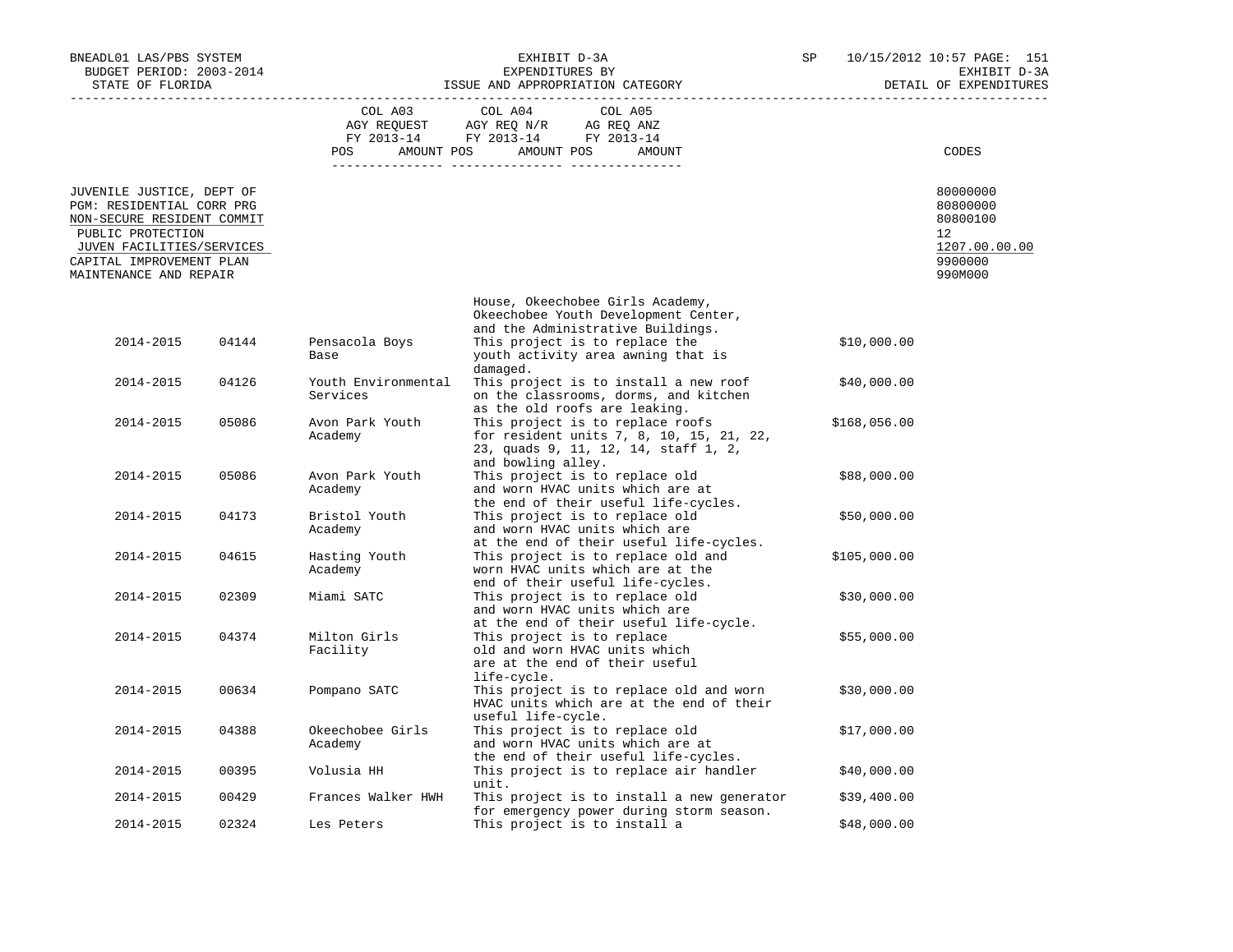| BNEADL01 LAS/PBS SYSTEM<br>BUDGET PERIOD: 2003-2014<br>STATE OF FLORIDA                                                                                                                      |       |                                 | EXHIBIT D-3A<br>EXPENDITURES BY<br>ISSUE AND APPROPRIATION CATEGORY                                                                        | SP           | 10/15/2012 10:57 PAGE: 151<br>EXHIBIT D-3A<br>DETAIL OF EXPENDITURES          |
|----------------------------------------------------------------------------------------------------------------------------------------------------------------------------------------------|-------|---------------------------------|--------------------------------------------------------------------------------------------------------------------------------------------|--------------|-------------------------------------------------------------------------------|
|                                                                                                                                                                                              |       | COL A03                         | COL A04<br>COL A05<br>AGY REQUEST AGY REQ N/R AG REQ ANZ FY 2013-14 FY 2013-14 FY 2013-14                                                  |              |                                                                               |
|                                                                                                                                                                                              |       |                                 | POS AMOUNT POS AMOUNT POS AMOUNT                                                                                                           |              | CODES                                                                         |
| JUVENILE JUSTICE, DEPT OF<br>PGM: RESIDENTIAL CORR PRG<br>NON-SECURE RESIDENT COMMIT<br>PUBLIC PROTECTION<br>JUVEN FACILITIES/SERVICES<br>CAPITAL IMPROVEMENT PLAN<br>MAINTENANCE AND REPAIR |       |                                 |                                                                                                                                            |              | 80000000<br>80800000<br>80800100<br>12<br>1207.00.00.00<br>9900000<br>990M000 |
|                                                                                                                                                                                              |       |                                 | House, Okeechobee Girls Academy,<br>Okeechobee Youth Development Center,                                                                   |              |                                                                               |
| 2014-2015                                                                                                                                                                                    | 04144 | Pensacola Boys<br>Base          | and the Administrative Buildings.<br>This project is to replace the<br>youth activity area awning that is<br>damaged.                      | \$10,000.00  |                                                                               |
| 2014-2015                                                                                                                                                                                    | 04126 | Youth Environmental<br>Services | This project is to install a new roof<br>on the classrooms, dorms, and kitchen<br>as the old roofs are leaking.                            | \$40,000.00  |                                                                               |
| 2014-2015                                                                                                                                                                                    | 05086 | Avon Park Youth<br>Academy      | This project is to replace roofs<br>for resident units 7, 8, 10, 15, 21, 22,<br>23, quads 9, 11, 12, 14, staff 1, 2,<br>and bowling alley. | \$168,056.00 |                                                                               |
| 2014-2015                                                                                                                                                                                    | 05086 | Avon Park Youth<br>Academy      | This project is to replace old<br>and worn HVAC units which are at<br>the end of their useful life-cycles.                                 | \$88,000.00  |                                                                               |
| 2014-2015                                                                                                                                                                                    | 04173 | Bristol Youth<br>Academy        | This project is to replace old<br>and worn HVAC units which are<br>at the end of their useful life-cycles.                                 | \$50,000.00  |                                                                               |
| 2014-2015                                                                                                                                                                                    | 04615 | Hasting Youth<br>Academy        | This project is to replace old and<br>worn HVAC units which are at the<br>end of their useful life-cycles.                                 | \$105,000.00 |                                                                               |
| 2014-2015                                                                                                                                                                                    | 02309 | Miami SATC                      | This project is to replace old<br>and worn HVAC units which are<br>at the end of their useful life-cycle.                                  | \$30,000.00  |                                                                               |
| 2014-2015                                                                                                                                                                                    | 04374 | Milton Girls<br>Facility        | This project is to replace<br>old and worn HVAC units which<br>are at the end of their useful<br>life-cycle.                               | \$55,000.00  |                                                                               |
| 2014-2015                                                                                                                                                                                    | 00634 | Pompano SATC                    | This project is to replace old and worn<br>HVAC units which are at the end of their<br>useful life-cycle.                                  | \$30,000.00  |                                                                               |
| 2014-2015                                                                                                                                                                                    | 04388 | Okeechobee Girls<br>Academy     | This project is to replace old<br>and worn HVAC units which are at<br>the end of their useful life-cycles.                                 | \$17,000.00  |                                                                               |
| 2014-2015                                                                                                                                                                                    | 00395 | Volusia HH                      | This project is to replace air handler<br>unit.                                                                                            | \$40,000.00  |                                                                               |
| 2014-2015                                                                                                                                                                                    | 00429 | Frances Walker HWH              | This project is to install a new generator<br>for emergency power during storm season.                                                     | \$39,400.00  |                                                                               |
| 2014-2015                                                                                                                                                                                    | 02324 | Les Peters                      | This project is to install a                                                                                                               | \$48,000.00  |                                                                               |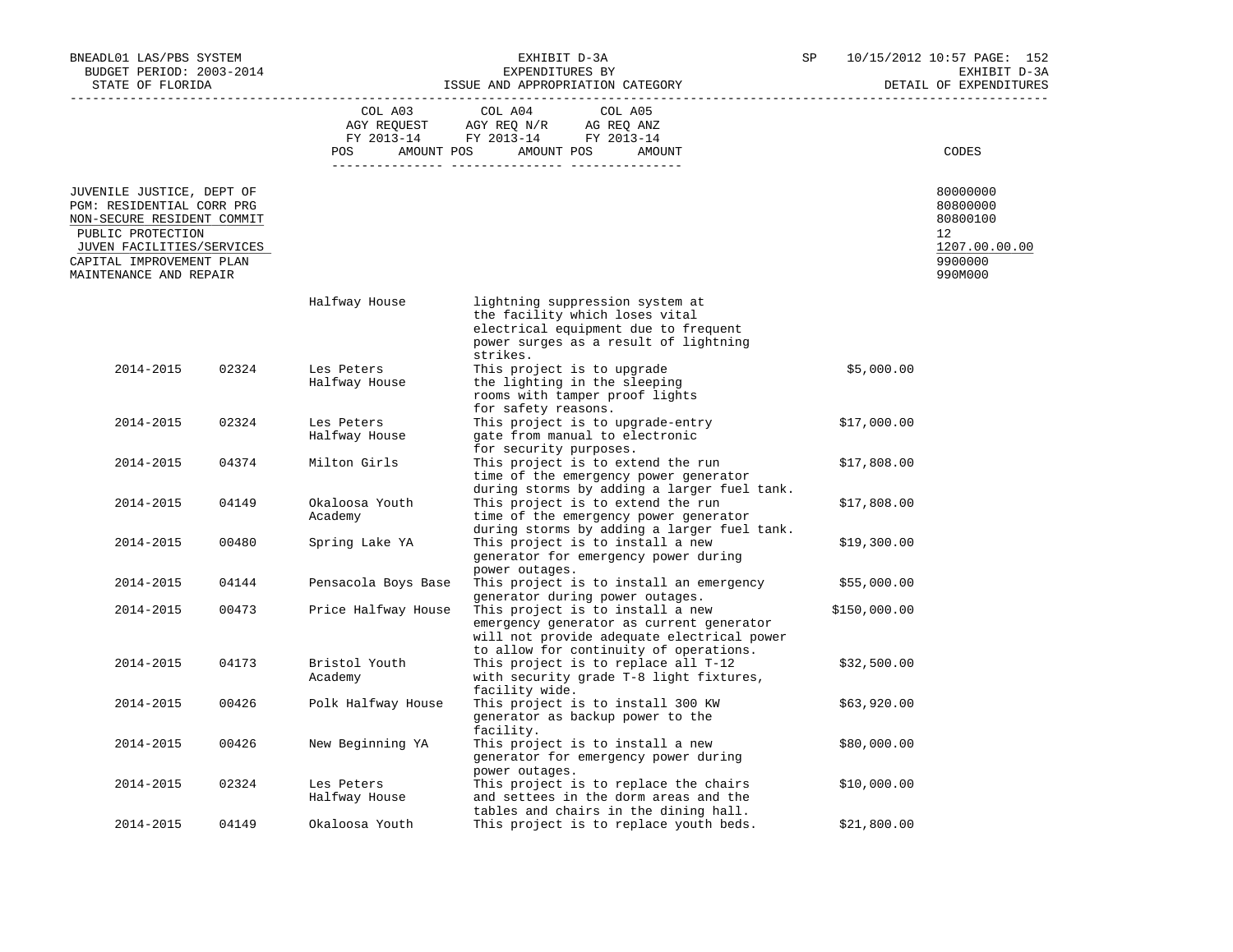| BNEADL01 LAS/PBS SYSTEM<br>BUDGET PERIOD: 2003-2014<br>STATE OF FLORIDA                                                                                                                      |       | EXHIBIT D-3A<br>EXPENDITURES BY<br>ISSUE AND APPROPRIATION CATEGORY |                                                                                                                                                                      | SP           | 10/15/2012 10:57 PAGE: 152<br>EXHIBIT D-3A<br>DETAIL OF EXPENDITURES          |  |
|----------------------------------------------------------------------------------------------------------------------------------------------------------------------------------------------|-------|---------------------------------------------------------------------|----------------------------------------------------------------------------------------------------------------------------------------------------------------------|--------------|-------------------------------------------------------------------------------|--|
|                                                                                                                                                                                              |       | COL A03<br><b>POS</b>                                               | COL A04<br>COL A05<br>AGY REQUEST AGY REQ N/R AG REQ ANZ<br>FY 2013-14 FY 2013-14 FY 2013-14<br>AMOUNT POS AMOUNT POS<br>AMOUNT                                      |              | CODES                                                                         |  |
| JUVENILE JUSTICE, DEPT OF<br>PGM: RESIDENTIAL CORR PRG<br>NON-SECURE RESIDENT COMMIT<br>PUBLIC PROTECTION<br>JUVEN FACILITIES/SERVICES<br>CAPITAL IMPROVEMENT PLAN<br>MAINTENANCE AND REPAIR |       |                                                                     |                                                                                                                                                                      |              | 80000000<br>80800000<br>80800100<br>12<br>1207.00.00.00<br>9900000<br>990M000 |  |
|                                                                                                                                                                                              |       | Halfway House                                                       | lightning suppression system at<br>the facility which loses vital<br>electrical equipment due to frequent<br>power surges as a result of lightning<br>strikes.       |              |                                                                               |  |
| 2014-2015                                                                                                                                                                                    | 02324 | Les Peters<br>Halfway House                                         | This project is to upgrade<br>the lighting in the sleeping<br>rooms with tamper proof lights<br>for safety reasons.                                                  | \$5,000.00   |                                                                               |  |
| 2014-2015                                                                                                                                                                                    | 02324 | Les Peters<br>Halfway House                                         | This project is to upgrade-entry<br>gate from manual to electronic<br>for security purposes.                                                                         | \$17,000.00  |                                                                               |  |
| 2014-2015                                                                                                                                                                                    | 04374 | Milton Girls                                                        | This project is to extend the run<br>time of the emergency power generator<br>during storms by adding a larger fuel tank.                                            | \$17,808.00  |                                                                               |  |
| 2014-2015                                                                                                                                                                                    | 04149 | Okaloosa Youth<br>Academy                                           | This project is to extend the run<br>time of the emergency power generator<br>during storms by adding a larger fuel tank.                                            | \$17,808.00  |                                                                               |  |
| 2014-2015                                                                                                                                                                                    | 00480 | Spring Lake YA                                                      | This project is to install a new<br>generator for emergency power during<br>power outages.                                                                           | \$19,300.00  |                                                                               |  |
| 2014-2015                                                                                                                                                                                    | 04144 | Pensacola Boys Base                                                 | This project is to install an emergency<br>generator during power outages.                                                                                           | \$55,000.00  |                                                                               |  |
| 2014-2015                                                                                                                                                                                    | 00473 | Price Halfway House                                                 | This project is to install a new<br>emergency generator as current generator<br>will not provide adequate electrical power<br>to allow for continuity of operations. | \$150,000.00 |                                                                               |  |
| 2014-2015                                                                                                                                                                                    | 04173 | Bristol Youth<br>Academy                                            | This project is to replace all T-12<br>with security grade T-8 light fixtures,<br>facility wide.                                                                     | \$32,500.00  |                                                                               |  |
| 2014-2015                                                                                                                                                                                    | 00426 | Polk Halfway House                                                  | This project is to install 300 KW<br>generator as backup power to the<br>facility.                                                                                   | \$63,920.00  |                                                                               |  |
| 2014-2015                                                                                                                                                                                    | 00426 | New Beginning YA                                                    | This project is to install a new<br>generator for emergency power during<br>power outages.                                                                           | \$80,000.00  |                                                                               |  |
| 2014-2015                                                                                                                                                                                    | 02324 | Les Peters<br>Halfway House                                         | This project is to replace the chairs<br>and settees in the dorm areas and the<br>tables and chairs in the dining hall.                                              | \$10,000.00  |                                                                               |  |
| 2014-2015                                                                                                                                                                                    | 04149 | Okaloosa Youth                                                      | This project is to replace youth beds.                                                                                                                               | \$21,800.00  |                                                                               |  |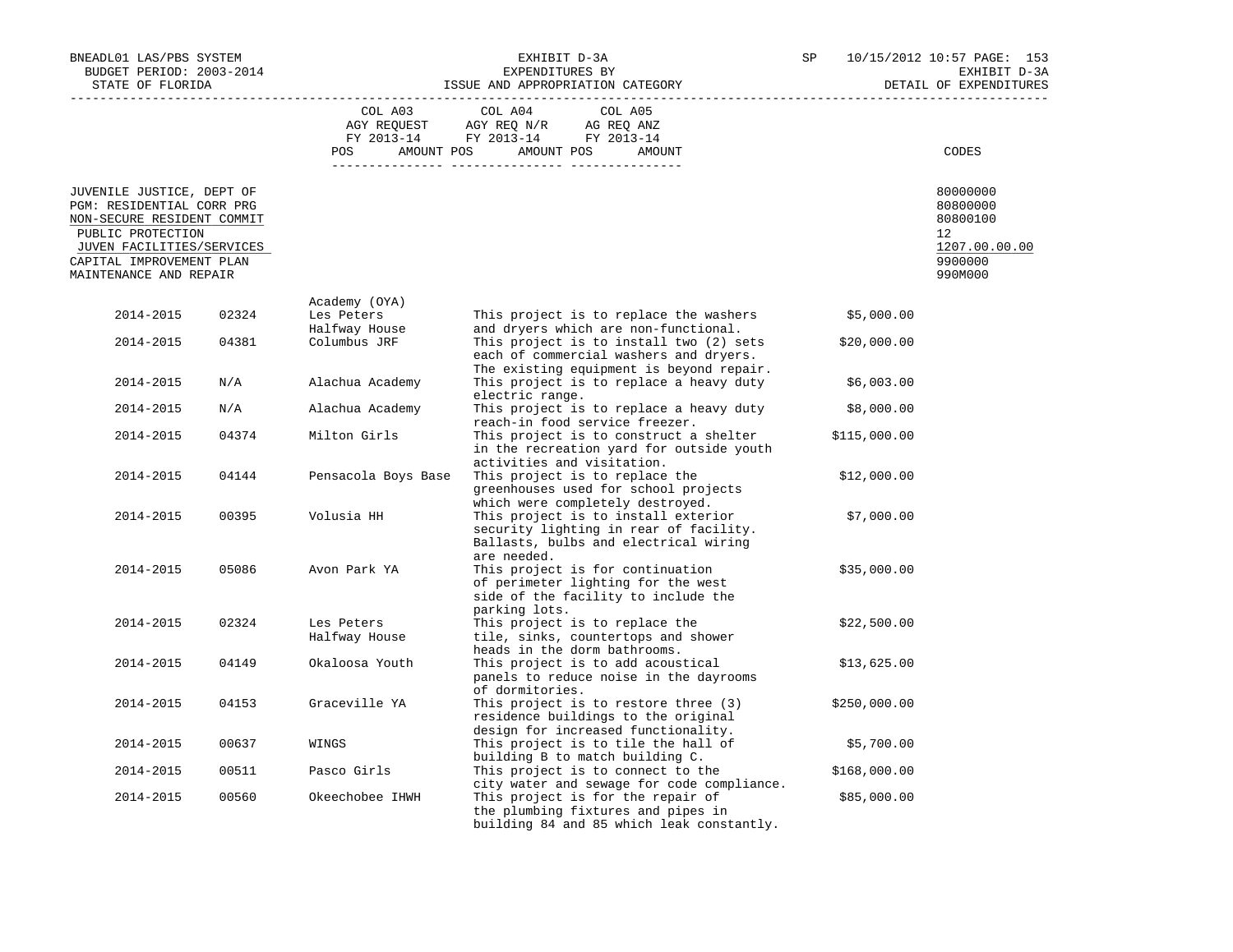| BNEADL01 LAS/PBS SYSTEM<br>BUDGET PERIOD: 2003-2014<br>STATE OF FLORIDA                                                                                                                      |       |                               | EXHIBIT D-3A<br>EXPENDITURES BY<br>ISSUE AND APPROPRIATION CATEGORY                                                                                                | SP | 10/15/2012 10:57 PAGE: 153<br>EXHIBIT D-3A<br>DETAIL OF EXPENDITURES          |
|----------------------------------------------------------------------------------------------------------------------------------------------------------------------------------------------|-------|-------------------------------|--------------------------------------------------------------------------------------------------------------------------------------------------------------------|----|-------------------------------------------------------------------------------|
|                                                                                                                                                                                              |       | COL A03                       | COL A04<br>COL A05<br>AGY REQUEST AGY REQ N/R AG REQ ANZ<br>FY 2013-14 FY 2013-14 FY 2013-14<br>POS AMOUNT POS AMOUNT POS<br>AMOUNT                                |    | CODES                                                                         |
| JUVENILE JUSTICE, DEPT OF<br>PGM: RESIDENTIAL CORR PRG<br>NON-SECURE RESIDENT COMMIT<br>PUBLIC PROTECTION<br>JUVEN FACILITIES/SERVICES<br>CAPITAL IMPROVEMENT PLAN<br>MAINTENANCE AND REPAIR |       |                               |                                                                                                                                                                    |    | 80000000<br>80800000<br>80800100<br>12<br>1207.00.00.00<br>9900000<br>990M000 |
| 2014-2015                                                                                                                                                                                    | 02324 | Academy (OYA)<br>Les Peters   | This project is to replace the washers                                                                                                                             |    | \$5,000.00                                                                    |
| 2014-2015                                                                                                                                                                                    | 04381 | Halfway House<br>Columbus JRF | and dryers which are non-functional.<br>This project is to install two (2) sets<br>each of commercial washers and dryers.                                          |    | \$20,000.00                                                                   |
| 2014-2015                                                                                                                                                                                    | N/A   | Alachua Academy               | The existing equipment is beyond repair.<br>This project is to replace a heavy duty                                                                                |    | \$6,003.00                                                                    |
| 2014-2015                                                                                                                                                                                    | N/A   | Alachua Academy               | electric range.<br>This project is to replace a heavy duty                                                                                                         |    | \$8,000.00                                                                    |
|                                                                                                                                                                                              |       |                               | reach-in food service freezer.                                                                                                                                     |    |                                                                               |
| 2014-2015                                                                                                                                                                                    | 04374 | Milton Girls                  | This project is to construct a shelter<br>in the recreation yard for outside youth<br>activities and visitation.                                                   |    | \$115,000.00                                                                  |
| 2014-2015                                                                                                                                                                                    | 04144 | Pensacola Boys Base           | This project is to replace the<br>greenhouses used for school projects<br>which were completely destroyed.                                                         |    | \$12,000.00                                                                   |
| 2014-2015                                                                                                                                                                                    | 00395 | Volusia HH                    | This project is to install exterior<br>security lighting in rear of facility.<br>Ballasts, bulbs and electrical wiring<br>are needed.                              |    | \$7,000.00                                                                    |
| 2014-2015                                                                                                                                                                                    | 05086 | Avon Park YA                  | This project is for continuation<br>of perimeter lighting for the west<br>side of the facility to include the                                                      |    | \$35,000.00                                                                   |
| 2014-2015                                                                                                                                                                                    | 02324 | Les Peters<br>Halfway House   | parking lots.<br>This project is to replace the<br>tile, sinks, countertops and shower<br>heads in the dorm bathrooms.                                             |    | \$22,500.00                                                                   |
| 2014-2015                                                                                                                                                                                    | 04149 | Okaloosa Youth                | This project is to add acoustical<br>panels to reduce noise in the dayrooms                                                                                        |    | \$13,625.00                                                                   |
| 2014-2015                                                                                                                                                                                    | 04153 | Graceville YA                 | of dormitories.<br>This project is to restore three (3)<br>residence buildings to the original                                                                     |    | \$250,000.00                                                                  |
| 2014-2015                                                                                                                                                                                    | 00637 | WINGS                         | design for increased functionality.<br>This project is to tile the hall of<br>building B to match building C.                                                      |    | \$5,700.00                                                                    |
| 2014-2015                                                                                                                                                                                    | 00511 | Pasco Girls                   | This project is to connect to the                                                                                                                                  |    | \$168,000.00                                                                  |
| 2014-2015                                                                                                                                                                                    | 00560 | Okeechobee IHWH               | city water and sewage for code compliance.<br>This project is for the repair of<br>the plumbing fixtures and pipes in<br>building 84 and 85 which leak constantly. |    | \$85,000.00                                                                   |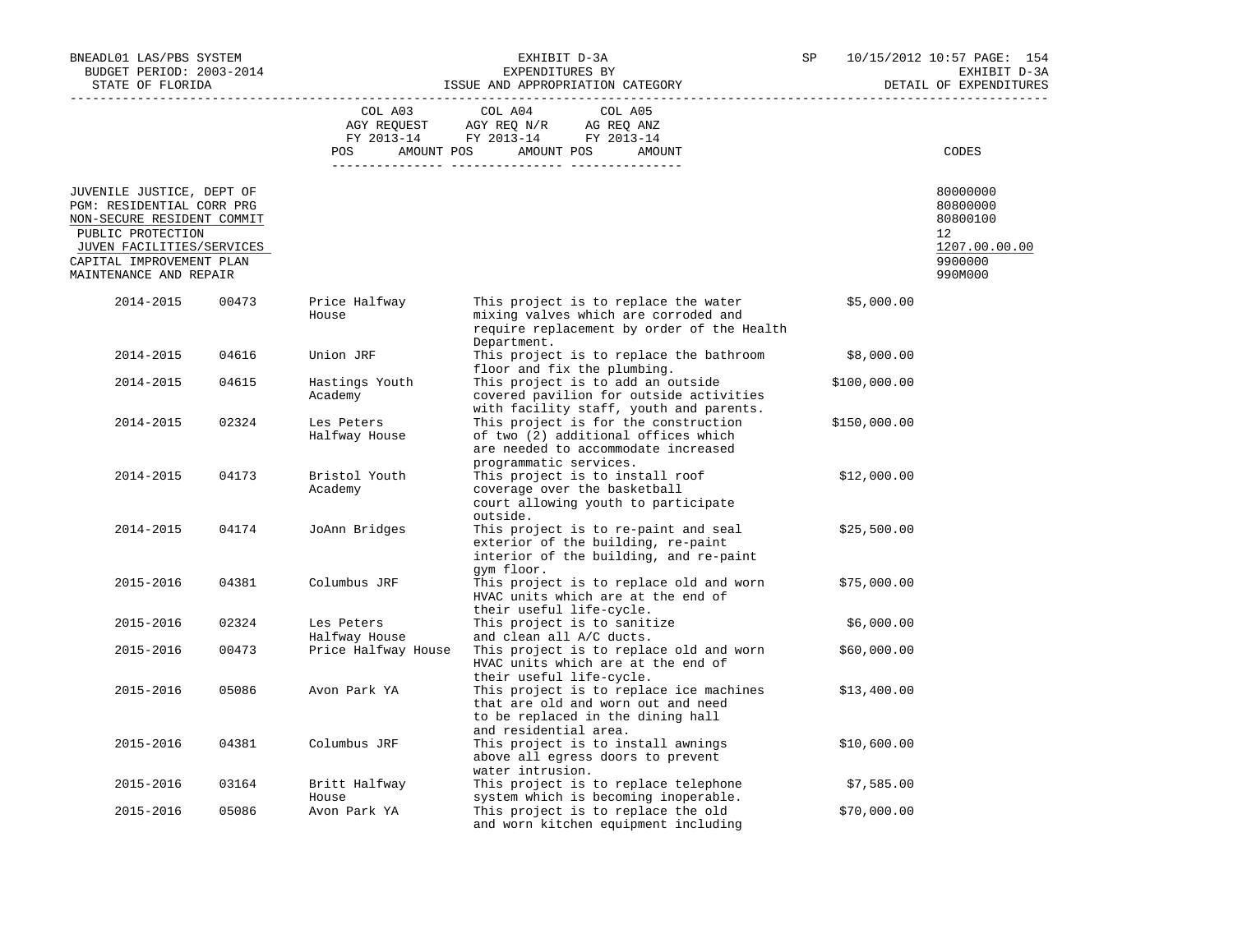| BNEADL01 LAS/PBS SYSTEM<br>BUDGET PERIOD: 2003-2014<br>STATE OF FLORIDA                                                                                                                      |       |                             | EXHIBIT D-3A<br>EXPENDITURES BY<br>ISSUE AND APPROPRIATION CATEGORY                                                                          | SP |              | 10/15/2012 10:57 PAGE: 154<br>EXHIBIT D-3A<br>DETAIL OF EXPENDITURES          |
|----------------------------------------------------------------------------------------------------------------------------------------------------------------------------------------------|-------|-----------------------------|----------------------------------------------------------------------------------------------------------------------------------------------|----|--------------|-------------------------------------------------------------------------------|
|                                                                                                                                                                                              |       | COL A03                     | COL A04<br>COL A05<br>AGY REQUEST AGY REQ N/R AG REQ ANZ<br>FY 2013-14 FY 2013-14 FY 2013-14<br>POS AMOUNT POS AMOUNT POS<br>AMOUNT          |    |              | CODES                                                                         |
| JUVENILE JUSTICE, DEPT OF<br>PGM: RESIDENTIAL CORR PRG<br>NON-SECURE RESIDENT COMMIT<br>PUBLIC PROTECTION<br>JUVEN FACILITIES/SERVICES<br>CAPITAL IMPROVEMENT PLAN<br>MAINTENANCE AND REPAIR |       |                             |                                                                                                                                              |    |              | 80000000<br>80800000<br>80800100<br>12<br>1207.00.00.00<br>9900000<br>990M000 |
| 2014-2015                                                                                                                                                                                    | 00473 | Price Halfway<br>House      | This project is to replace the water<br>mixing valves which are corroded and<br>require replacement by order of the Health<br>Department.    |    | \$5,000.00   |                                                                               |
| 2014-2015                                                                                                                                                                                    | 04616 | Union JRF                   | This project is to replace the bathroom<br>floor and fix the plumbing.                                                                       |    | \$8,000.00   |                                                                               |
| 2014-2015                                                                                                                                                                                    | 04615 | Hastings Youth<br>Academy   | This project is to add an outside<br>covered pavilion for outside activities<br>with facility staff, youth and parents.                      |    | \$100,000.00 |                                                                               |
| 2014-2015                                                                                                                                                                                    | 02324 | Les Peters<br>Halfway House | This project is for the construction<br>of two (2) additional offices which<br>are needed to accommodate increased<br>programmatic services. |    | \$150,000.00 |                                                                               |
| 2014-2015                                                                                                                                                                                    | 04173 | Bristol Youth<br>Academy    | This project is to install roof<br>coverage over the basketball<br>court allowing youth to participate<br>outside.                           |    | \$12,000.00  |                                                                               |
| 2014-2015                                                                                                                                                                                    | 04174 | JoAnn Bridges               | This project is to re-paint and seal<br>exterior of the building, re-paint<br>interior of the building, and re-paint<br>gym floor.           |    | \$25,500.00  |                                                                               |
| 2015-2016                                                                                                                                                                                    | 04381 | Columbus JRF                | This project is to replace old and worn<br>HVAC units which are at the end of<br>their useful life-cycle.                                    |    | \$75,000.00  |                                                                               |
| 2015-2016                                                                                                                                                                                    | 02324 | Les Peters<br>Halfway House | This project is to sanitize<br>and clean all A/C ducts.                                                                                      |    | \$6,000.00   |                                                                               |
| 2015-2016                                                                                                                                                                                    | 00473 | Price Halfway House         | This project is to replace old and worn<br>HVAC units which are at the end of<br>their useful life-cycle.                                    |    | \$60,000.00  |                                                                               |
| 2015-2016                                                                                                                                                                                    | 05086 | Avon Park YA                | This project is to replace ice machines<br>that are old and worn out and need<br>to be replaced in the dining hall<br>and residential area.  |    | \$13,400.00  |                                                                               |
| 2015-2016                                                                                                                                                                                    | 04381 | Columbus JRF                | This project is to install awnings<br>above all egress doors to prevent<br>water intrusion.                                                  |    | \$10,600.00  |                                                                               |
| 2015-2016                                                                                                                                                                                    | 03164 | Britt Halfway<br>House      | This project is to replace telephone<br>system which is becoming inoperable.                                                                 |    | \$7,585.00   |                                                                               |
| 2015-2016                                                                                                                                                                                    | 05086 | Avon Park YA                | This project is to replace the old<br>and worn kitchen equipment including                                                                   |    | \$70,000.00  |                                                                               |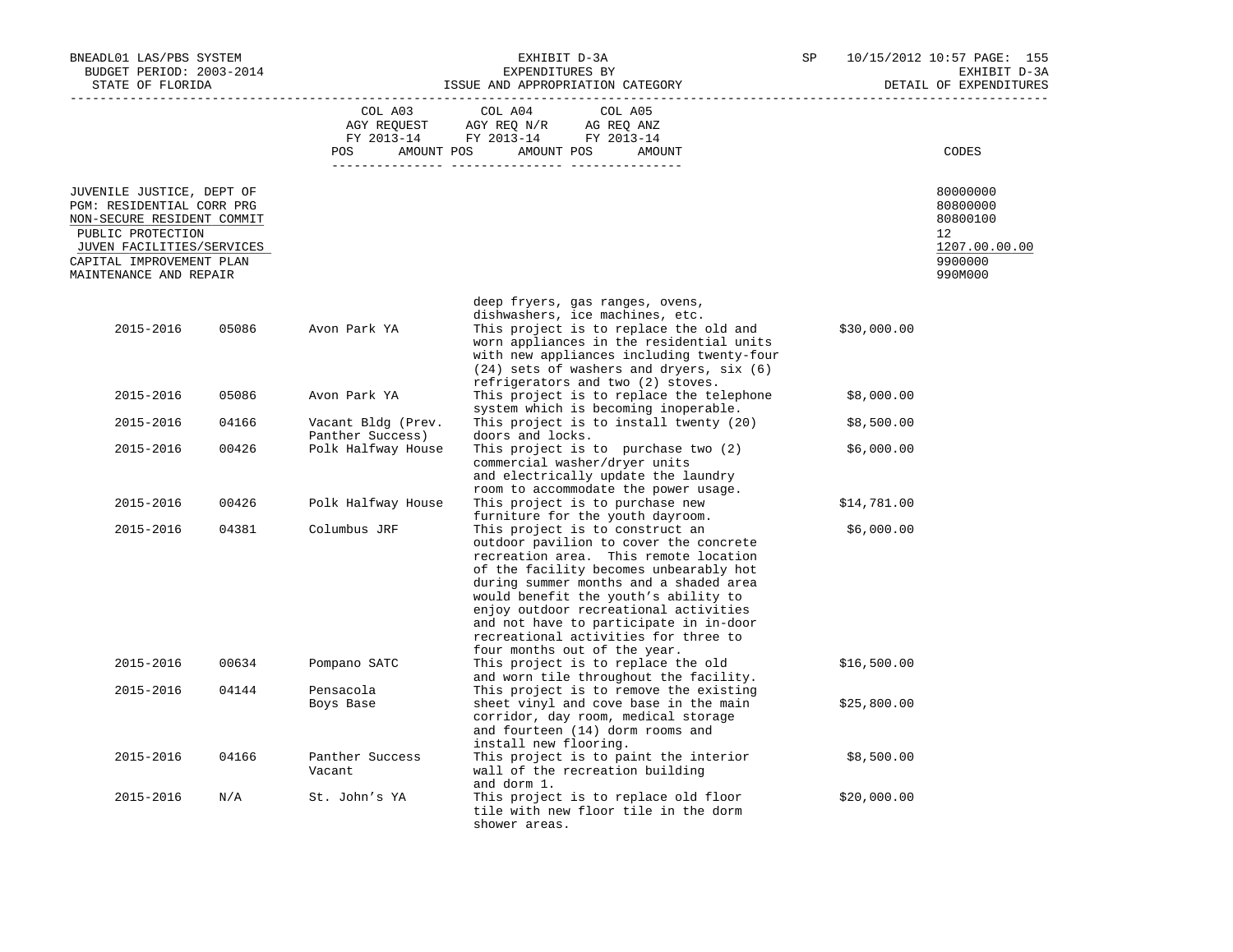| BNEADL01 LAS/PBS SYSTEM<br>BUDGET PERIOD: 2003-2014<br>STATE OF FLORIDA                                                                                                                      |       |                                        | EXHIBIT D-3A<br>EXPENDITURES BY<br>ISSUE AND APPROPRIATION CATEGORY                                                                                                                                                                                                                                                                                                                                       | SP |             | 10/15/2012 10:57 PAGE: 155<br>EXHIBIT D-3A<br>DETAIL OF EXPENDITURES          |  |
|----------------------------------------------------------------------------------------------------------------------------------------------------------------------------------------------|-------|----------------------------------------|-----------------------------------------------------------------------------------------------------------------------------------------------------------------------------------------------------------------------------------------------------------------------------------------------------------------------------------------------------------------------------------------------------------|----|-------------|-------------------------------------------------------------------------------|--|
|                                                                                                                                                                                              |       | COL A03<br><b>POS</b>                  | COL A04<br>COL A05<br>AGY REQUEST AGY REQ N/R AG REQ ANZ<br>FY 2013-14 FY 2013-14 FY 2013-14<br>AMOUNT POS AMOUNT POS<br>AMOUNT                                                                                                                                                                                                                                                                           |    |             | CODES                                                                         |  |
| JUVENILE JUSTICE, DEPT OF<br>PGM: RESIDENTIAL CORR PRG<br>NON-SECURE RESIDENT COMMIT<br>PUBLIC PROTECTION<br>JUVEN FACILITIES/SERVICES<br>CAPITAL IMPROVEMENT PLAN<br>MAINTENANCE AND REPAIR |       |                                        |                                                                                                                                                                                                                                                                                                                                                                                                           |    |             | 80000000<br>80800000<br>80800100<br>12<br>1207.00.00.00<br>9900000<br>990M000 |  |
| 2015-2016                                                                                                                                                                                    | 05086 | Avon Park YA                           | deep fryers, gas ranges, ovens,<br>dishwashers, ice machines, etc.<br>This project is to replace the old and<br>worn appliances in the residential units<br>with new appliances including twenty-four<br>(24) sets of washers and dryers, six (6)                                                                                                                                                         |    | \$30,000.00 |                                                                               |  |
| 2015-2016                                                                                                                                                                                    | 05086 | Avon Park YA                           | refrigerators and two (2) stoves.<br>This project is to replace the telephone                                                                                                                                                                                                                                                                                                                             |    | \$8,000.00  |                                                                               |  |
| 2015-2016                                                                                                                                                                                    | 04166 | Vacant Bldg (Prev.<br>Panther Success) | system which is becoming inoperable.<br>This project is to install twenty (20)<br>doors and locks.                                                                                                                                                                                                                                                                                                        |    | \$8,500.00  |                                                                               |  |
| 2015-2016                                                                                                                                                                                    | 00426 | Polk Halfway House                     | This project is to purchase two (2)<br>commercial washer/dryer units<br>and electrically update the laundry<br>room to accommodate the power usage.                                                                                                                                                                                                                                                       |    | \$6,000.00  |                                                                               |  |
| 2015-2016                                                                                                                                                                                    | 00426 | Polk Halfway House                     | This project is to purchase new<br>furniture for the youth dayroom.                                                                                                                                                                                                                                                                                                                                       |    | \$14,781.00 |                                                                               |  |
| 2015-2016                                                                                                                                                                                    | 04381 | Columbus JRF                           | This project is to construct an<br>outdoor pavilion to cover the concrete<br>recreation area. This remote location<br>of the facility becomes unbearably hot<br>during summer months and a shaded area<br>would benefit the youth's ability to<br>enjoy outdoor recreational activities<br>and not have to participate in in-door<br>recreational activities for three to<br>four months out of the year. |    | \$6,000.00  |                                                                               |  |
| 2015-2016                                                                                                                                                                                    | 00634 | Pompano SATC                           | This project is to replace the old<br>and worn tile throughout the facility.                                                                                                                                                                                                                                                                                                                              |    | \$16,500.00 |                                                                               |  |
| 2015-2016                                                                                                                                                                                    | 04144 | Pensacola<br>Boys Base                 | This project is to remove the existing<br>sheet vinyl and cove base in the main<br>corridor, day room, medical storage<br>and fourteen (14) dorm rooms and<br>install new flooring.                                                                                                                                                                                                                       |    | \$25,800.00 |                                                                               |  |
| 2015-2016                                                                                                                                                                                    | 04166 | Panther Success<br>Vacant              | This project is to paint the interior<br>wall of the recreation building<br>and dorm 1.                                                                                                                                                                                                                                                                                                                   |    | \$8,500.00  |                                                                               |  |
| 2015-2016                                                                                                                                                                                    | N/A   | St. John's YA                          | This project is to replace old floor<br>tile with new floor tile in the dorm<br>shower areas.                                                                                                                                                                                                                                                                                                             |    | \$20,000.00 |                                                                               |  |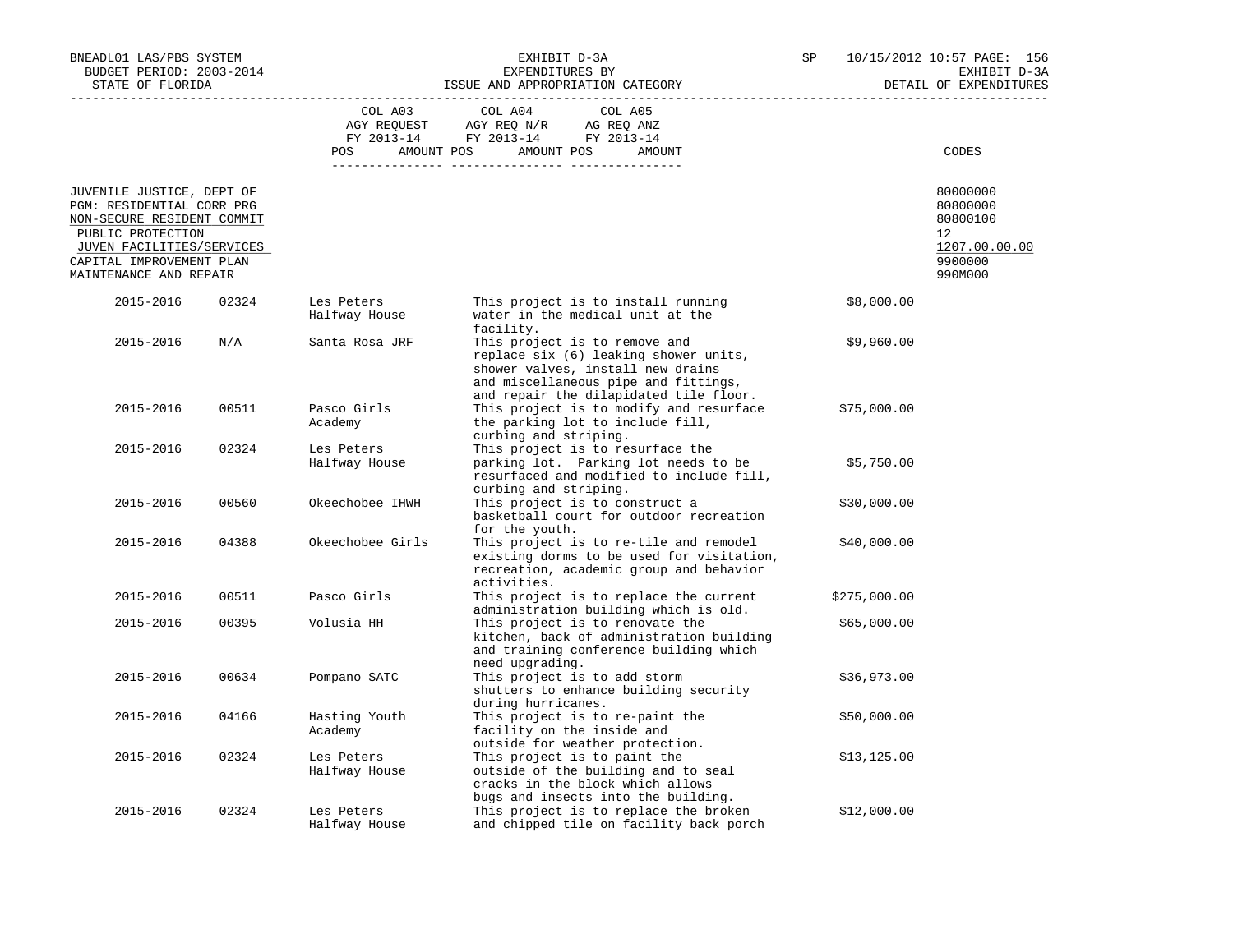| BNEADL01 LAS/PBS SYSTEM<br>BUDGET PERIOD: 2003-2014<br>STATE OF FLORIDA                                                                                                                      |       | EXHIBIT D-3A<br>EXPENDITURES BY<br>ISSUE AND APPROPRIATION CATEGORY |                                                                                                                                                                  | SP |              | 10/15/2012 10:57 PAGE: 156<br>EXHIBIT D-3A<br>DETAIL OF EXPENDITURES          |  |
|----------------------------------------------------------------------------------------------------------------------------------------------------------------------------------------------|-------|---------------------------------------------------------------------|------------------------------------------------------------------------------------------------------------------------------------------------------------------|----|--------------|-------------------------------------------------------------------------------|--|
|                                                                                                                                                                                              |       |                                                                     | COL A03 COL A04<br>COL A05<br>AGY REQUEST AGY REQ N/R AG REQ ANZ<br>FY 2013-14 FY 2013-14 FY 2013-14<br>POS AMOUNT POS AMOUNT POS<br>AMOUNT                      |    |              | CODES                                                                         |  |
| JUVENILE JUSTICE, DEPT OF<br>PGM: RESIDENTIAL CORR PRG<br>NON-SECURE RESIDENT COMMIT<br>PUBLIC PROTECTION<br>JUVEN FACILITIES/SERVICES<br>CAPITAL IMPROVEMENT PLAN<br>MAINTENANCE AND REPAIR |       |                                                                     |                                                                                                                                                                  |    |              | 80000000<br>80800000<br>80800100<br>12<br>1207.00.00.00<br>9900000<br>990M000 |  |
| 2015-2016                                                                                                                                                                                    | 02324 | Les Peters<br>Halfway House                                         | This project is to install running<br>water in the medical unit at the                                                                                           |    | \$8,000.00   |                                                                               |  |
| 2015-2016                                                                                                                                                                                    | N/A   | Santa Rosa JRF                                                      | facility.<br>This project is to remove and<br>replace six (6) leaking shower units,<br>shower valves, install new drains<br>and miscellaneous pipe and fittings, |    | \$9,960.00   |                                                                               |  |
| 2015-2016                                                                                                                                                                                    | 00511 | Pasco Girls<br>Academy                                              | and repair the dilapidated tile floor.<br>This project is to modify and resurface \$75,000.00<br>the parking lot to include fill,<br>curbing and striping.       |    |              |                                                                               |  |
| 2015-2016                                                                                                                                                                                    | 02324 | Les Peters<br>Halfway House                                         | This project is to resurface the<br>parking lot. Parking lot needs to be<br>resurfaced and modified to include fill,<br>curbing and striping.                    |    | \$5,750.00   |                                                                               |  |
| 2015-2016                                                                                                                                                                                    | 00560 | Okeechobee IHWH                                                     | This project is to construct a<br>basketball court for outdoor recreation<br>for the youth.                                                                      |    | \$30,000.00  |                                                                               |  |
| 2015-2016                                                                                                                                                                                    | 04388 | Okeechobee Girls                                                    | This project is to re-tile and remodel<br>existing dorms to be used for visitation,<br>recreation, academic group and behavior<br>activities.                    |    | \$40,000.00  |                                                                               |  |
| 2015-2016                                                                                                                                                                                    | 00511 | Pasco Girls                                                         | This project is to replace the current<br>administration building which is old.                                                                                  |    | \$275,000.00 |                                                                               |  |
| 2015-2016                                                                                                                                                                                    | 00395 | Volusia HH                                                          | This project is to renovate the<br>kitchen, back of administration building<br>and training conference building which<br>need upgrading.                         |    | \$65,000.00  |                                                                               |  |
| 2015-2016                                                                                                                                                                                    | 00634 | Pompano SATC                                                        | This project is to add storm<br>shutters to enhance building security<br>during hurricanes.                                                                      |    | \$36,973.00  |                                                                               |  |
| 2015-2016                                                                                                                                                                                    | 04166 | Hasting Youth<br>Academy                                            | This project is to re-paint the<br>facility on the inside and<br>outside for weather protection.                                                                 |    | \$50,000.00  |                                                                               |  |
| 2015-2016                                                                                                                                                                                    | 02324 | Les Peters<br>Halfway House                                         | This project is to paint the<br>outside of the building and to seal<br>cracks in the block which allows<br>bugs and insects into the building.                   |    | \$13, 125.00 |                                                                               |  |
| 2015-2016                                                                                                                                                                                    | 02324 | Les Peters<br>Halfway House                                         | This project is to replace the broken<br>and chipped tile on facility back porch                                                                                 |    | \$12,000.00  |                                                                               |  |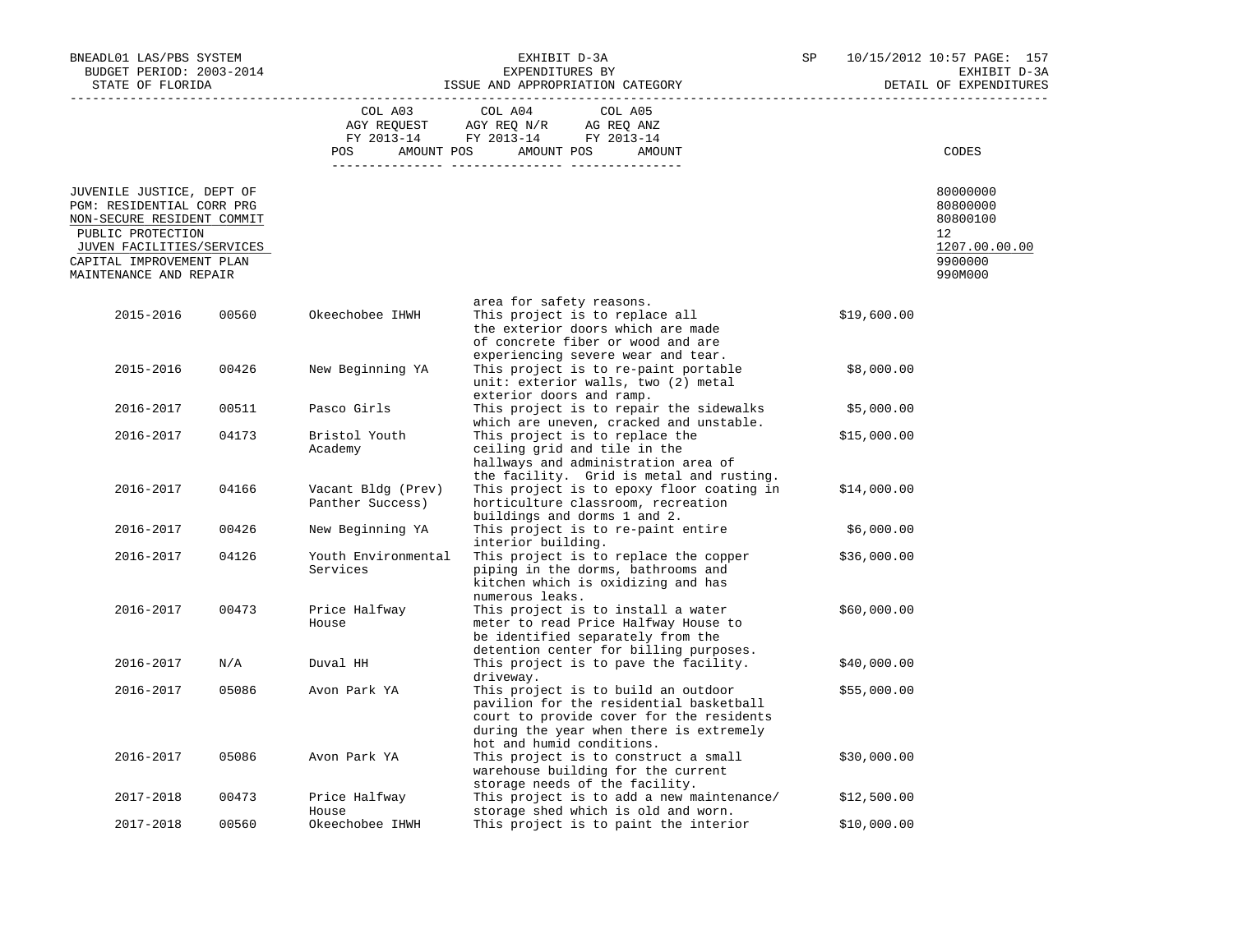| BNEADL01 LAS/PBS SYSTEM<br>BUDGET PERIOD: 2003-2014<br>STATE OF FLORIDA                                                                                                                      |       | ISSUE AND APPROPRIATION CATEGORY       | SP                                                                                                                                                                                                                                                                                                      |  | 10/15/2012 10:57 PAGE: 157<br>EXHIBIT D-3A<br>DETAIL OF EXPENDITURES |                                                                               |
|----------------------------------------------------------------------------------------------------------------------------------------------------------------------------------------------|-------|----------------------------------------|---------------------------------------------------------------------------------------------------------------------------------------------------------------------------------------------------------------------------------------------------------------------------------------------------------|--|----------------------------------------------------------------------|-------------------------------------------------------------------------------|
|                                                                                                                                                                                              |       | COL A03<br>POS                         | COL A04<br>COL A05<br>$\begin{tabular}{lllllll} \bf AGY \;\; RegUEST \hspace{1cm} \bf AGY \;\; REG \;\; N/R \hspace{1cm} \bf AG \;\; REG \;\; ANZ \\ \hline \tt FY \;\; 2013-14 \hspace{1cm} & \tt FY \;\; 2013-14 \hspace{1cm} & \tt FY \;\; 2013-14 \end{tabular}$<br>AMOUNT POS AMOUNT POS<br>AMOUNT |  |                                                                      | CODES                                                                         |
| JUVENILE JUSTICE, DEPT OF<br>PGM: RESIDENTIAL CORR PRG<br>NON-SECURE RESIDENT COMMIT<br>PUBLIC PROTECTION<br>JUVEN FACILITIES/SERVICES<br>CAPITAL IMPROVEMENT PLAN<br>MAINTENANCE AND REPAIR |       |                                        |                                                                                                                                                                                                                                                                                                         |  |                                                                      | 80000000<br>80800000<br>80800100<br>12<br>1207.00.00.00<br>9900000<br>990M000 |
| 2015-2016                                                                                                                                                                                    | 00560 | Okeechobee IHWH                        | area for safety reasons.<br>This project is to replace all<br>the exterior doors which are made<br>of concrete fiber or wood and are<br>experiencing severe wear and tear.                                                                                                                              |  | \$19,600.00                                                          |                                                                               |
| 2015-2016                                                                                                                                                                                    | 00426 | New Beginning YA                       | This project is to re-paint portable<br>unit: exterior walls, two (2) metal<br>exterior doors and ramp.                                                                                                                                                                                                 |  | \$8,000.00                                                           |                                                                               |
| 2016-2017                                                                                                                                                                                    | 00511 | Pasco Girls                            | This project is to repair the sidewalks<br>which are uneven, cracked and unstable.                                                                                                                                                                                                                      |  | \$5,000.00                                                           |                                                                               |
| 2016-2017                                                                                                                                                                                    | 04173 | Bristol Youth<br>Academy               | This project is to replace the<br>ceiling grid and tile in the<br>hallways and administration area of<br>the facility. Grid is metal and rusting.                                                                                                                                                       |  | \$15,000.00                                                          |                                                                               |
| 2016-2017                                                                                                                                                                                    | 04166 | Vacant Bldg (Prev)<br>Panther Success) | This project is to epoxy floor coating in<br>horticulture classroom, recreation<br>buildings and dorms 1 and 2.                                                                                                                                                                                         |  | \$14,000.00                                                          |                                                                               |
| 2016-2017                                                                                                                                                                                    | 00426 | New Beginning YA                       | This project is to re-paint entire<br>interior building.                                                                                                                                                                                                                                                |  | \$6,000.00                                                           |                                                                               |
| 2016-2017                                                                                                                                                                                    | 04126 | Youth Environmental<br>Services        | This project is to replace the copper<br>piping in the dorms, bathrooms and<br>kitchen which is oxidizing and has<br>numerous leaks.                                                                                                                                                                    |  | \$36,000.00                                                          |                                                                               |
| 2016-2017                                                                                                                                                                                    | 00473 | Price Halfway<br>House                 | This project is to install a water<br>meter to read Price Halfway House to<br>be identified separately from the<br>detention center for billing purposes.                                                                                                                                               |  | \$60,000.00                                                          |                                                                               |
| 2016-2017                                                                                                                                                                                    | N/A   | Duval HH                               | This project is to pave the facility.<br>driveway.                                                                                                                                                                                                                                                      |  | \$40,000.00                                                          |                                                                               |
| 2016-2017                                                                                                                                                                                    | 05086 | Avon Park YA                           | This project is to build an outdoor<br>pavilion for the residential basketball<br>court to provide cover for the residents<br>during the year when there is extremely<br>hot and humid conditions.                                                                                                      |  | \$55,000.00                                                          |                                                                               |
| 2016-2017                                                                                                                                                                                    | 05086 | Avon Park YA                           | This project is to construct a small<br>warehouse building for the current<br>storage needs of the facility.                                                                                                                                                                                            |  | \$30,000.00                                                          |                                                                               |
| 2017-2018                                                                                                                                                                                    | 00473 | Price Halfway<br>House                 | This project is to add a new maintenance/<br>storage shed which is old and worn.                                                                                                                                                                                                                        |  | \$12,500.00                                                          |                                                                               |
| 2017-2018                                                                                                                                                                                    | 00560 | Okeechobee IHWH                        | This project is to paint the interior                                                                                                                                                                                                                                                                   |  | \$10,000.00                                                          |                                                                               |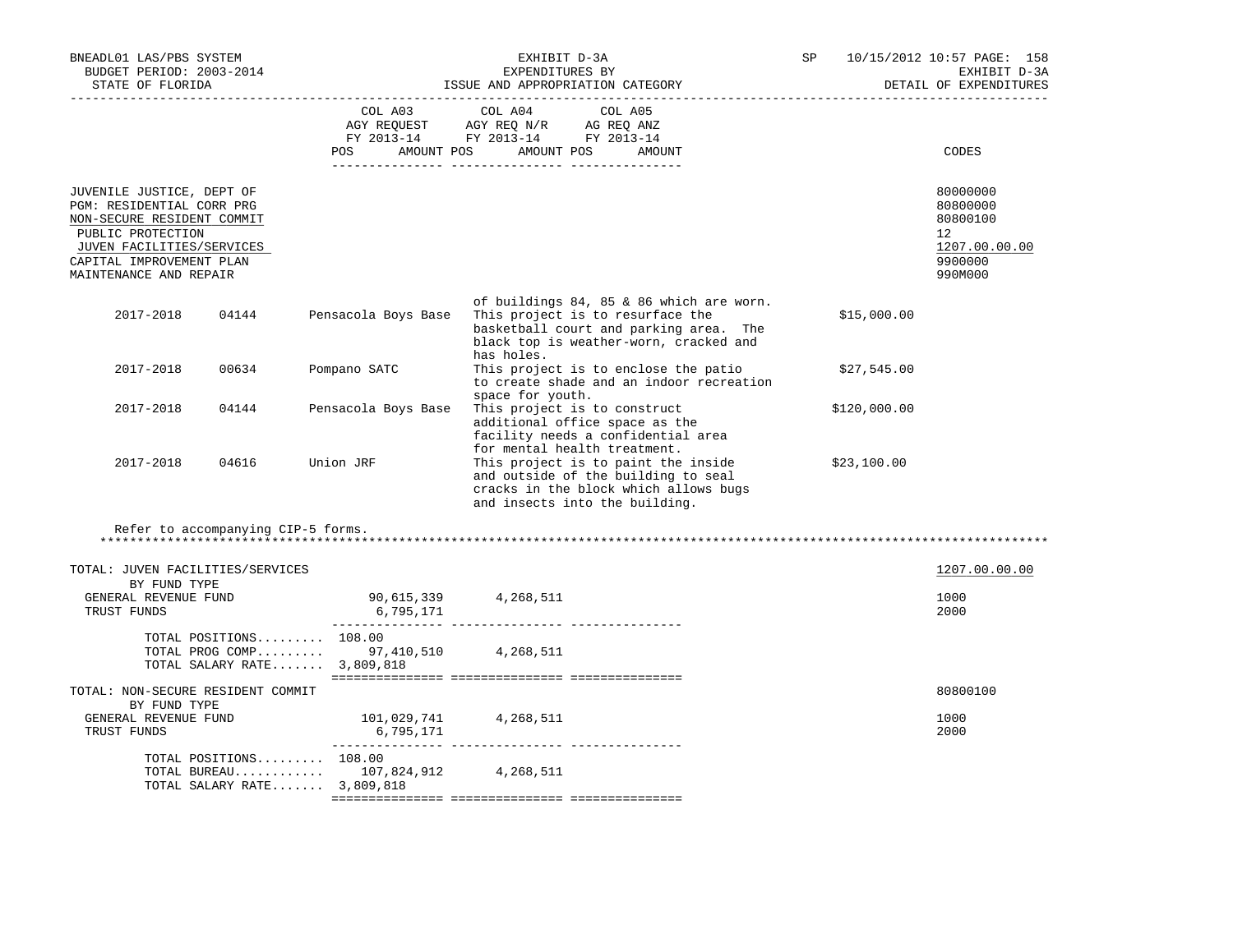| BNEADL01 LAS/PBS SYSTEM<br>BUDGET PERIOD: 2003-2014<br>STATE OF FLORIDA<br>----------------------                                                                                            | EXHIBIT D-3A<br>EXPENDITURES BY<br>ISSUE AND APPROPRIATION CATEGORY |                                                                                                                                                                                       |  | --------------------------- | 10/15/2012 10:57 PAGE: 158<br>EXHIBIT D-3A<br>DETAIL OF EXPENDITURES          |
|----------------------------------------------------------------------------------------------------------------------------------------------------------------------------------------------|---------------------------------------------------------------------|---------------------------------------------------------------------------------------------------------------------------------------------------------------------------------------|--|-----------------------------|-------------------------------------------------------------------------------|
|                                                                                                                                                                                              |                                                                     | COL A03 COL A04 COL A05<br>AGY REQUEST AGY REQ N/R AG REQ ANZ<br>FY 2013-14 FY 2013-14 FY 2013-14<br>POS AMOUNT POS AMOUNT POS<br>AMOUNT                                              |  |                             | CODES                                                                         |
| JUVENILE JUSTICE, DEPT OF<br>PGM: RESIDENTIAL CORR PRG<br>NON-SECURE RESIDENT COMMIT<br>PUBLIC PROTECTION<br>JUVEN FACILITIES/SERVICES<br>CAPITAL IMPROVEMENT PLAN<br>MAINTENANCE AND REPAIR |                                                                     |                                                                                                                                                                                       |  |                             | 80000000<br>80800000<br>80800100<br>12<br>1207.00.00.00<br>9900000<br>990M000 |
| 2017-2018<br>04144                                                                                                                                                                           | Pensacola Boys Base                                                 | of buildings 84, 85 & 86 which are worn.<br>This project is to resurface the<br>basketball court and parking area. The<br>black top is weather-worn, cracked and<br>has holes.        |  | \$15,000.00                 |                                                                               |
| 2017-2018<br>00634                                                                                                                                                                           | Pompano SATC                                                        | This project is to enclose the patio<br>to create shade and an indoor recreation                                                                                                      |  | \$27,545.00                 |                                                                               |
| 2017-2018<br>04144                                                                                                                                                                           | Pensacola Boys Base                                                 | space for youth.<br>This project is to construct<br>additional office space as the<br>facility needs a confidential area                                                              |  | \$120,000.00                |                                                                               |
| 2017-2018<br>04616                                                                                                                                                                           | Union JRF                                                           | for mental health treatment.<br>This project is to paint the inside<br>and outside of the building to seal<br>cracks in the block which allows bugs<br>and insects into the building. |  | \$23,100.00                 |                                                                               |
| Refer to accompanying CIP-5 forms.                                                                                                                                                           |                                                                     |                                                                                                                                                                                       |  |                             |                                                                               |
| TOTAL: JUVEN FACILITIES/SERVICES<br>BY FUND TYPE                                                                                                                                             |                                                                     |                                                                                                                                                                                       |  |                             | 1207.00.00.00                                                                 |
| GENERAL REVENUE FUND<br>TRUST FUNDS                                                                                                                                                          | 90,615,339 4,268,511<br>6,795,171                                   |                                                                                                                                                                                       |  |                             | 1000<br>2000                                                                  |
| TOTAL POSITIONS 108.00<br>TOTAL PROG COMP 97,410,510 4,268,511<br>TOTAL SALARY RATE $3,809,818$                                                                                              |                                                                     |                                                                                                                                                                                       |  |                             |                                                                               |
| TOTAL: NON-SECURE RESIDENT COMMIT                                                                                                                                                            |                                                                     |                                                                                                                                                                                       |  |                             | 80800100                                                                      |
| BY FUND TYPE<br>GENERAL REVENUE FUND<br>TRUST FUNDS                                                                                                                                          | 101,029,741 4,268,511<br>6,795,171                                  |                                                                                                                                                                                       |  |                             | 1000<br>2000                                                                  |
| TOTAL POSITIONS 108.00<br>TOTAL BUREAU 107,824,912 4,268,511<br>TOTAL SALARY RATE 3,809,818                                                                                                  |                                                                     |                                                                                                                                                                                       |  |                             |                                                                               |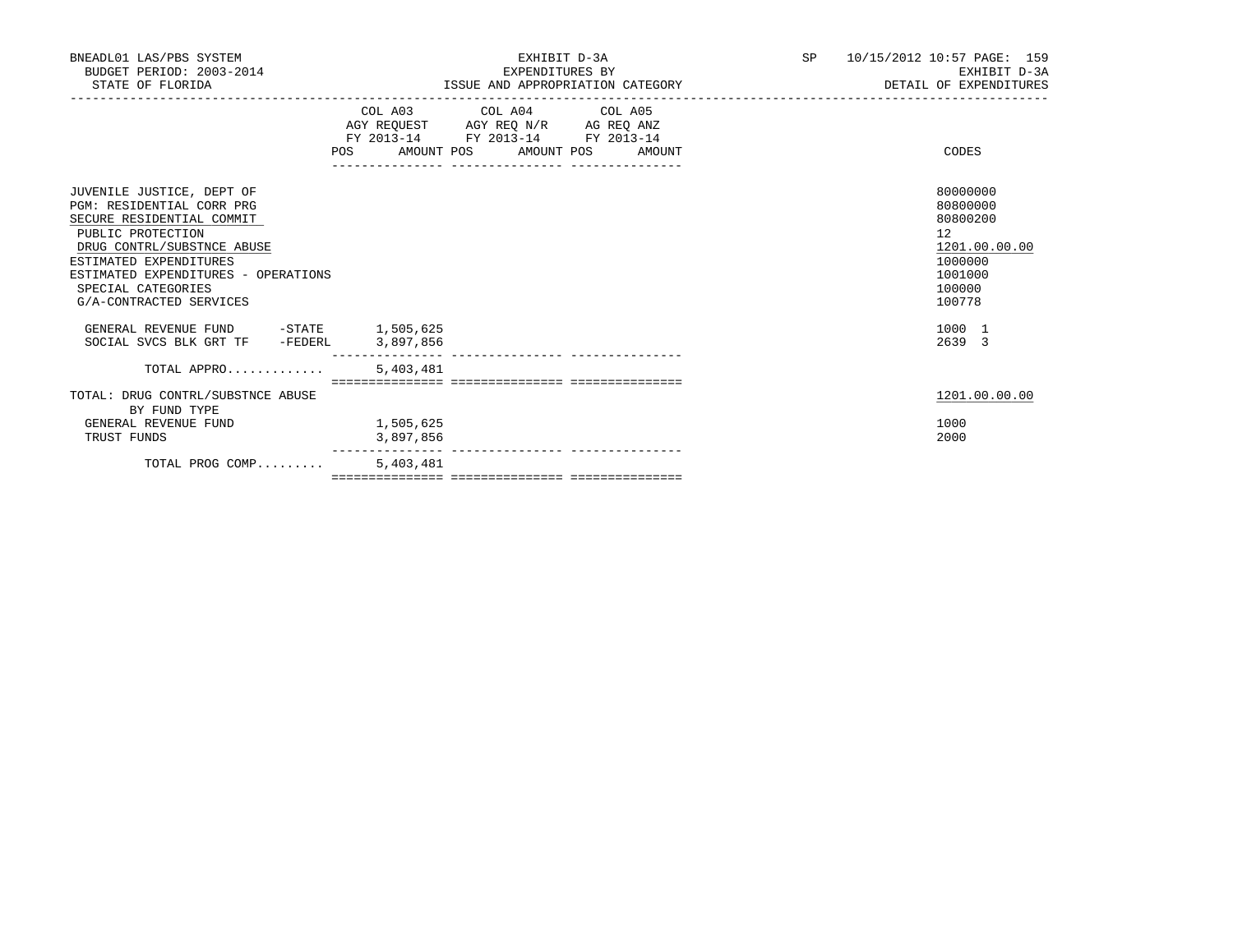| BNEADL01 LAS/PBS SYSTEM<br>BUDGET PERIOD: 2003-2014<br>STATE OF FLORIDA                                                                                                                                                                                  | EXHIBIT D-3A<br>EXPENDITURES BY<br>ISSUE AND APPROPRIATION CATEGORY                                                                                                                                                                                         | SP <sub>2</sub><br>10/15/2012 10:57 PAGE: 159<br>EXHIBIT D-3A<br>DETAIL OF EXPENDITURES           |
|----------------------------------------------------------------------------------------------------------------------------------------------------------------------------------------------------------------------------------------------------------|-------------------------------------------------------------------------------------------------------------------------------------------------------------------------------------------------------------------------------------------------------------|---------------------------------------------------------------------------------------------------|
|                                                                                                                                                                                                                                                          | COL A03 COL A04 COL A05<br>$\begin{tabular}{lllllll} AGY & \texttt{REQUEST} & \texttt{AGY} & \texttt{REG} & \texttt{N/R} & \texttt{AG} & \texttt{REG} & \texttt{ANZ} \end{tabular}$<br>FY 2013-14 FY 2013-14 FY 2013-14<br>POS AMOUNT POS AMOUNT POS AMOUNT | CODES                                                                                             |
| JUVENILE JUSTICE, DEPT OF<br>PGM: RESIDENTIAL CORR PRG<br>SECURE RESIDENTIAL COMMIT<br>PUBLIC PROTECTION<br>DRUG CONTRL/SUBSTNCE ABUSE<br>ESTIMATED EXPENDITURES<br>ESTIMATED EXPENDITURES - OPERATIONS<br>SPECIAL CATEGORIES<br>G/A-CONTRACTED SERVICES |                                                                                                                                                                                                                                                             | 80000000<br>80800000<br>80800200<br>12<br>1201.00.00.00<br>1000000<br>1001000<br>100000<br>100778 |
| GENERAL REVENUE FUND -STATE 1,505,625<br>SOCIAL SVCS BLK GRT TF -FEDERL 3,897,856                                                                                                                                                                        |                                                                                                                                                                                                                                                             | 1000 1<br>2639 3                                                                                  |
| TOTAL APPRO                                                                                                                                                                                                                                              | 5,403,481                                                                                                                                                                                                                                                   |                                                                                                   |
| TOTAL: DRUG CONTRL/SUBSTNCE ABUSE<br>BY FUND TYPE<br>GENERAL REVENUE FUND                                                                                                                                                                                | 1,505,625                                                                                                                                                                                                                                                   | 1201.00.00.00<br>1000                                                                             |
| TRUST FUNDS                                                                                                                                                                                                                                              | 3,897,856                                                                                                                                                                                                                                                   | 2000                                                                                              |
| TOTAL PROG COMP                                                                                                                                                                                                                                          | 5,403,481                                                                                                                                                                                                                                                   |                                                                                                   |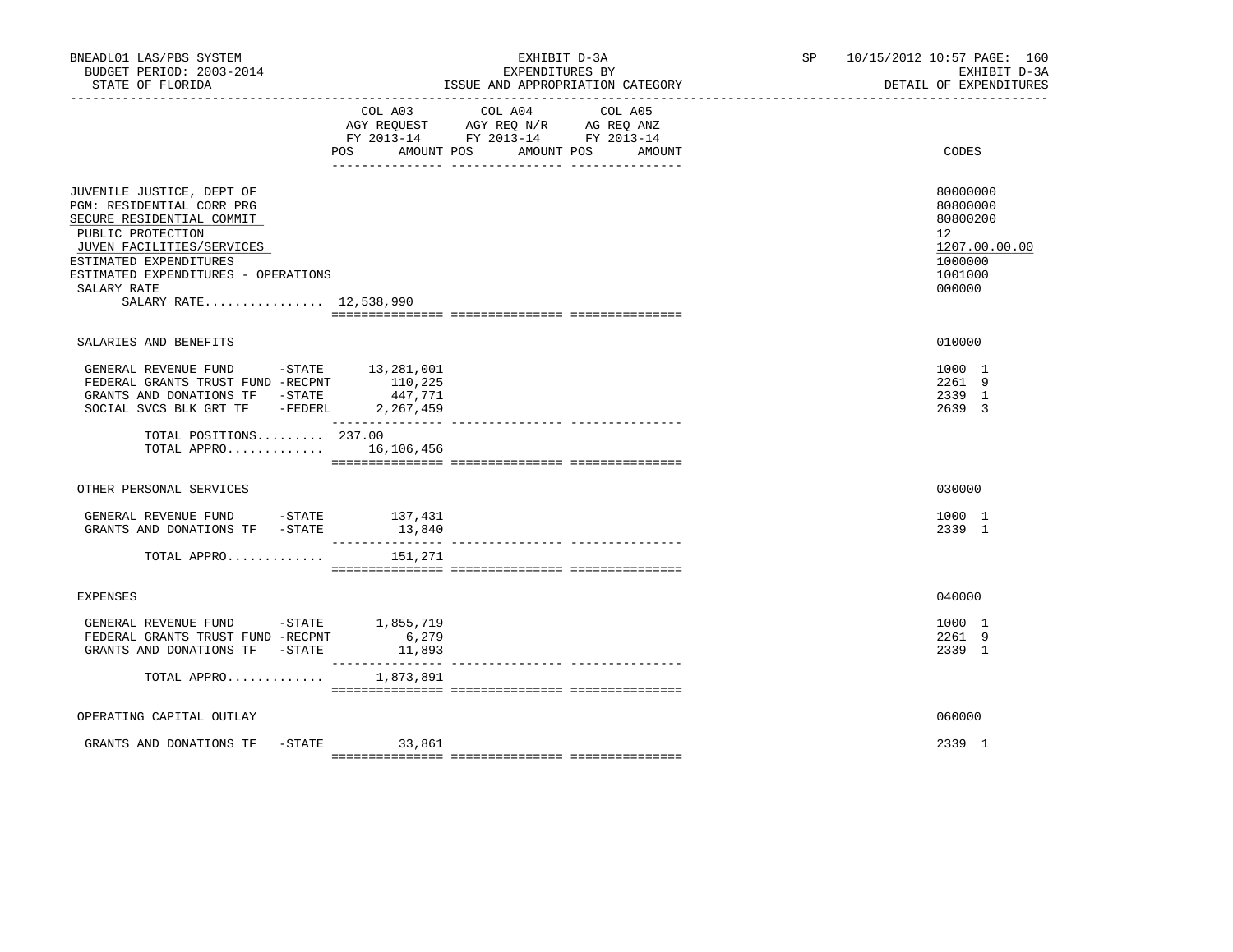| BNEADL01 LAS/PBS SYSTEM<br>BUDGET PERIOD: 2003-2014<br>STATE OF FLORIDA                                                                                                                                                                         |                              | EXHIBIT D-3A<br>EXPENDITURES BY<br>ISSUE AND APPROPRIATION CATEGORY                                                          | SP and the set of the set of the set of the set of the set of the set of the set of the set of the set of the set of the set of the set of the set of the set of the set of the set of the set of the set of the set of the se | 10/15/2012 10:57 PAGE: 160<br>EXHIBIT D-3A<br>DETAIL OF EXPENDITURES                    |
|-------------------------------------------------------------------------------------------------------------------------------------------------------------------------------------------------------------------------------------------------|------------------------------|------------------------------------------------------------------------------------------------------------------------------|--------------------------------------------------------------------------------------------------------------------------------------------------------------------------------------------------------------------------------|-----------------------------------------------------------------------------------------|
|                                                                                                                                                                                                                                                 | POS AMOUNT POS               | COL A03 COL A04<br>COL A05<br>AGY REQUEST AGY REQ N/R AG REQ ANZ<br>FY 2013-14 FY 2013-14 FY 2013-14<br>AMOUNT POS<br>AMOUNT |                                                                                                                                                                                                                                | CODES                                                                                   |
| JUVENILE JUSTICE, DEPT OF<br>PGM: RESIDENTIAL CORR PRG<br>SECURE RESIDENTIAL COMMIT<br>PUBLIC PROTECTION<br>JUVEN FACILITIES/SERVICES<br>ESTIMATED EXPENDITURES<br>ESTIMATED EXPENDITURES - OPERATIONS<br>SALARY RATE<br>SALARY RATE 12,538,990 |                              |                                                                                                                              |                                                                                                                                                                                                                                | 80000000<br>80800000<br>80800200<br>12<br>1207.00.00.00<br>1000000<br>1001000<br>000000 |
| SALARIES AND BENEFITS                                                                                                                                                                                                                           |                              |                                                                                                                              |                                                                                                                                                                                                                                | 010000                                                                                  |
| GENERAL REVENUE FUND -STATE 13,281,001<br>FEDERAL GRANTS TRUST FUND -RECPNT<br>GRANTS AND DONATIONS TF -STATE<br>SOCIAL SVCS BLK GRT TF -FEDERL 2,267,459                                                                                       | 110,225<br>447,771           |                                                                                                                              |                                                                                                                                                                                                                                | 1000 1<br>2261 9<br>2339 1<br>2639 3                                                    |
| TOTAL POSITIONS 237.00<br>TOTAL APPRO 16,106,456                                                                                                                                                                                                |                              |                                                                                                                              |                                                                                                                                                                                                                                |                                                                                         |
| OTHER PERSONAL SERVICES                                                                                                                                                                                                                         |                              |                                                                                                                              |                                                                                                                                                                                                                                | 030000                                                                                  |
| GENERAL REVENUE FUND<br>GRANTS AND DONATIONS TF -STATE                                                                                                                                                                                          | $-$ STATE 137, 431<br>13,840 |                                                                                                                              |                                                                                                                                                                                                                                | 1000 1<br>2339 1                                                                        |
| TOTAL APPRO                                                                                                                                                                                                                                     | 151,271                      |                                                                                                                              |                                                                                                                                                                                                                                |                                                                                         |
| <b>EXPENSES</b>                                                                                                                                                                                                                                 |                              |                                                                                                                              |                                                                                                                                                                                                                                | 040000                                                                                  |
| GENERAL REVENUE FUND -STATE 1,855,719<br>FEDERAL GRANTS TRUST FUND -RECPNT<br>GRANTS AND DONATIONS TF -STATE                                                                                                                                    | 6, 279<br>11,893             |                                                                                                                              |                                                                                                                                                                                                                                | 1000 1<br>2261 9<br>2339 1                                                              |
| TOTAL APPRO                                                                                                                                                                                                                                     | 1,873,891                    |                                                                                                                              |                                                                                                                                                                                                                                |                                                                                         |
| OPERATING CAPITAL OUTLAY                                                                                                                                                                                                                        |                              |                                                                                                                              |                                                                                                                                                                                                                                | 060000                                                                                  |
| GRANTS AND DONATIONS TF                                                                                                                                                                                                                         | $-STATE$ 33,861              |                                                                                                                              |                                                                                                                                                                                                                                | 2339 1                                                                                  |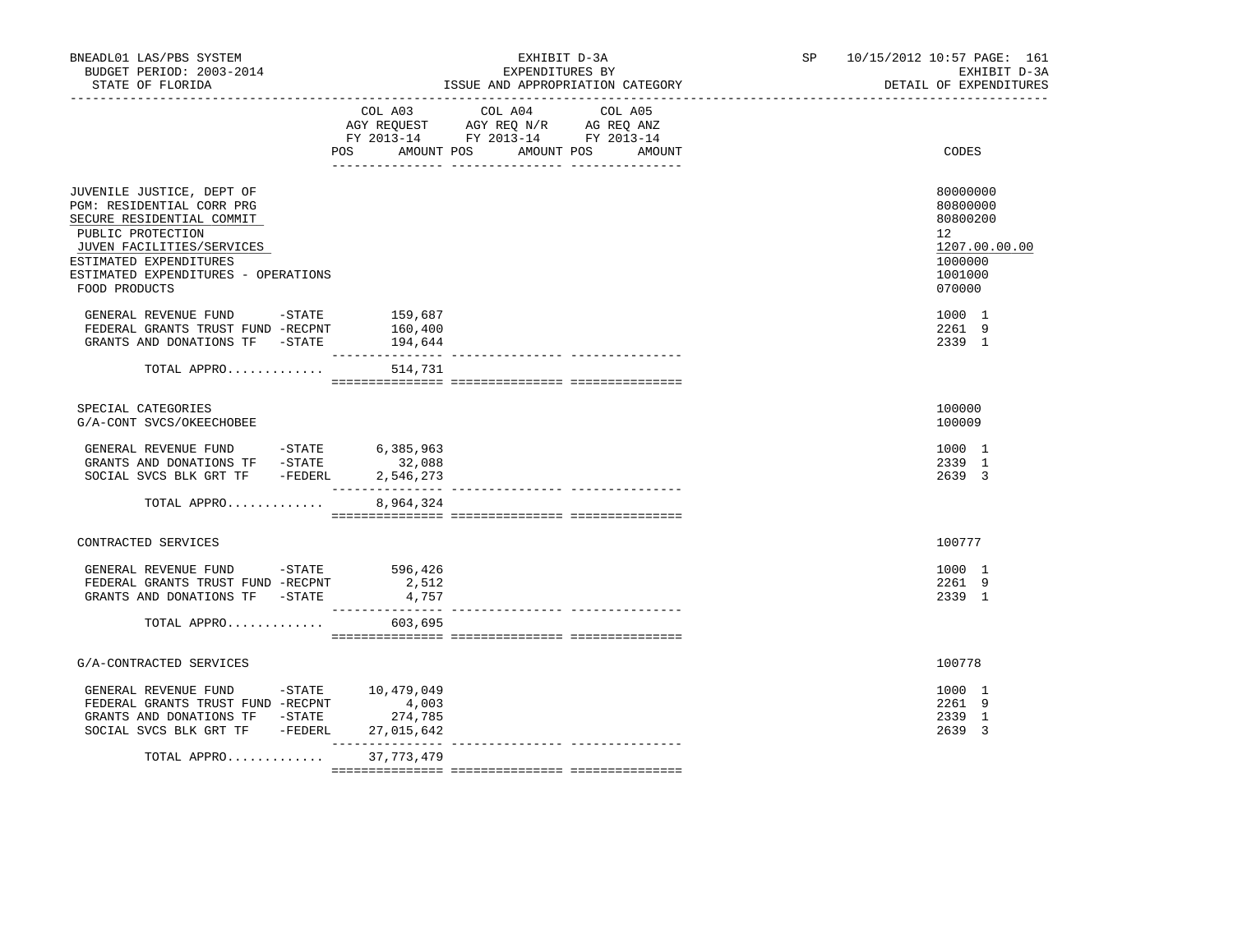| BNEADL01 LAS/PBS SYSTEM<br>BUDGET PERIOD: 2003-2014<br>STATE OF FLORIDA<br>_____________________________________                                                                                                        | EXHIBIT D-3A<br>EXPENDITURES BY<br>ISSUE AND APPROPRIATION CATEGORY                                                                      | SP 10/15/2012 10:57 PAGE: 161<br>EXHIBIT D-3A<br>DETAIL OF EXPENDITURES                 |
|-------------------------------------------------------------------------------------------------------------------------------------------------------------------------------------------------------------------------|------------------------------------------------------------------------------------------------------------------------------------------|-----------------------------------------------------------------------------------------|
|                                                                                                                                                                                                                         | COL A03 COL A04 COL A05<br>AGY REQUEST AGY REQ N/R AG REQ ANZ<br>FY 2013-14 FY 2013-14 FY 2013-14<br>POS AMOUNT POS AMOUNT POS<br>AMOUNT | CODES                                                                                   |
| JUVENILE JUSTICE, DEPT OF<br>PGM: RESIDENTIAL CORR PRG<br>SECURE RESIDENTIAL COMMIT<br>PUBLIC PROTECTION<br>JUVEN FACILITIES/SERVICES<br>ESTIMATED EXPENDITURES<br>ESTIMATED EXPENDITURES - OPERATIONS<br>FOOD PRODUCTS |                                                                                                                                          | 80000000<br>80800000<br>80800200<br>12<br>1207.00.00.00<br>1000000<br>1001000<br>070000 |
| GENERAL REVENUE FUND -STATE<br>FEDERAL GRANTS TRUST FUND -RECPNT<br>GRANTS AND DONATIONS TF - STATE 194,644                                                                                                             | 159,687<br>160,400                                                                                                                       | 1000 1<br>2261 9<br>2339 1                                                              |
| TOTAL APPRO                                                                                                                                                                                                             | 514,731                                                                                                                                  |                                                                                         |
| SPECIAL CATEGORIES<br>G/A-CONT SVCS/OKEECHOBEE                                                                                                                                                                          |                                                                                                                                          | 100000<br>100009                                                                        |
| GENERAL REVENUE FUND -STATE<br>GRANTS AND DONATIONS TF -STATE<br>SOCIAL SVCS BLK GRT TF - FEDERL                                                                                                                        | 6,385,963<br>32,088<br>2,546,273<br>________________                                                                                     | 1000 1<br>2339 1<br>2639 3                                                              |
| TOTAL APPRO                                                                                                                                                                                                             | 8,964,324                                                                                                                                |                                                                                         |
| CONTRACTED SERVICES                                                                                                                                                                                                     |                                                                                                                                          | 100777                                                                                  |
| GENERAL REVENUE FUND -STATE 596,426<br>FEDERAL GRANTS TRUST FUND -RECPNT<br>GRANTS AND DONATIONS TF - STATE                                                                                                             | 2,512<br>4,757                                                                                                                           | 1000 1<br>2261 9<br>2339 1                                                              |
| TOTAL APPRO                                                                                                                                                                                                             | 603,695                                                                                                                                  |                                                                                         |
| G/A-CONTRACTED SERVICES                                                                                                                                                                                                 |                                                                                                                                          | 100778                                                                                  |
| GENERAL REVENUE FUND -STATE 10,479,049<br>FEDERAL GRANTS TRUST FUND -RECPNT<br>GRANTS AND DONATIONS TF -STATE<br>SOCIAL SVCS BLK GRT TF -FEDERL                                                                         | 4,003<br>274,785<br>27,015,642                                                                                                           | 1000 1<br>2261 9<br>2339 1<br>2639 3                                                    |
| TOTAL APPRO                                                                                                                                                                                                             | 37,773,479                                                                                                                               |                                                                                         |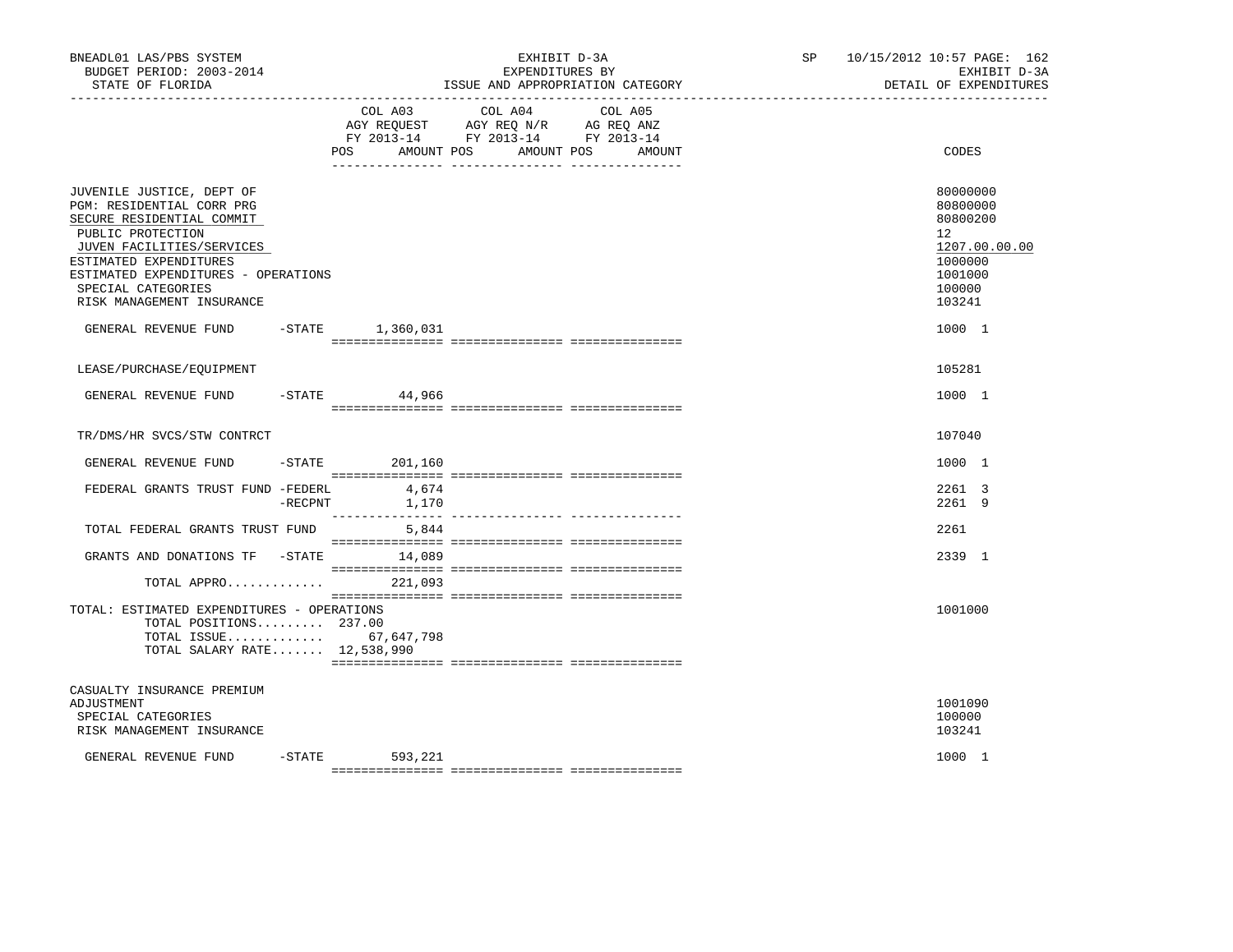| BNEADL01 LAS/PBS SYSTEM<br>BUDGET PERIOD: 2003-2014<br>STATE OF FLORIDA                                                                                                                                                                                   |  | EXHIBIT D-3A<br>EXPENDITURES BY<br>ISSUE AND APPROPRIATION CATEGORY |                                                                                                                 |        | SP and the set of the set of the set of the set of the set of the set of the set of the set of the set of the set of the set of the set of the set of the set of the set of the set of the set of the set of the set of the se | 10/15/2012 10:57 PAGE: 162<br>EXHIBIT D-3A<br>DETAIL OF EXPENDITURES                                        |  |
|-----------------------------------------------------------------------------------------------------------------------------------------------------------------------------------------------------------------------------------------------------------|--|---------------------------------------------------------------------|-----------------------------------------------------------------------------------------------------------------|--------|--------------------------------------------------------------------------------------------------------------------------------------------------------------------------------------------------------------------------------|-------------------------------------------------------------------------------------------------------------|--|
|                                                                                                                                                                                                                                                           |  | POS<br>AMOUNT POS                                                   | COL A03 COL A04 COL A05<br>AGY REQUEST AGY REQ N/R AG REQ ANZ<br>FY 2013-14 FY 2013-14 FY 2013-14<br>AMOUNT POS | AMOUNT |                                                                                                                                                                                                                                | CODES                                                                                                       |  |
| JUVENILE JUSTICE, DEPT OF<br>PGM: RESIDENTIAL CORR PRG<br>SECURE RESIDENTIAL COMMIT<br>PUBLIC PROTECTION<br>JUVEN FACILITIES/SERVICES<br>ESTIMATED EXPENDITURES<br>ESTIMATED EXPENDITURES - OPERATIONS<br>SPECIAL CATEGORIES<br>RISK MANAGEMENT INSURANCE |  |                                                                     |                                                                                                                 |        |                                                                                                                                                                                                                                | 80000000<br>80800000<br>80800200<br>$12^{\circ}$<br>1207.00.00.00<br>1000000<br>1001000<br>100000<br>103241 |  |
| GENERAL REVENUE FUND -STATE 1,360,031                                                                                                                                                                                                                     |  |                                                                     |                                                                                                                 |        |                                                                                                                                                                                                                                | 1000 1                                                                                                      |  |
| LEASE/PURCHASE/EQUIPMENT                                                                                                                                                                                                                                  |  |                                                                     |                                                                                                                 |        |                                                                                                                                                                                                                                | 105281                                                                                                      |  |
| GENERAL REVENUE FUND                                                                                                                                                                                                                                      |  | $-$ STATE 44,966                                                    |                                                                                                                 |        |                                                                                                                                                                                                                                | 1000 1                                                                                                      |  |
| TR/DMS/HR SVCS/STW CONTRCT                                                                                                                                                                                                                                |  |                                                                     |                                                                                                                 |        |                                                                                                                                                                                                                                | 107040                                                                                                      |  |
| GENERAL REVENUE FUND                                                                                                                                                                                                                                      |  | $-$ STATE 201, 160                                                  |                                                                                                                 |        |                                                                                                                                                                                                                                | 1000 1                                                                                                      |  |
| FEDERAL GRANTS TRUST FUND -FEDERL                                                                                                                                                                                                                         |  | 4,674<br>$-RECPNT$ 1,170                                            |                                                                                                                 |        |                                                                                                                                                                                                                                | 2261 3<br>2261 9                                                                                            |  |
| TOTAL FEDERAL GRANTS TRUST FUND                                                                                                                                                                                                                           |  | 5,844                                                               |                                                                                                                 |        |                                                                                                                                                                                                                                | 2261                                                                                                        |  |
| GRANTS AND DONATIONS TF -STATE 14,089<br>TOTAL APPRO 221,093                                                                                                                                                                                              |  |                                                                     |                                                                                                                 |        |                                                                                                                                                                                                                                | 2339 1                                                                                                      |  |
| TOTAL: ESTIMATED EXPENDITURES - OPERATIONS<br>TOTAL POSITIONS 237.00<br>TOTAL ISSUE 67,647,798<br>TOTAL SALARY RATE 12,538,990                                                                                                                            |  |                                                                     |                                                                                                                 |        |                                                                                                                                                                                                                                | 1001000                                                                                                     |  |
| CASUALTY INSURANCE PREMIUM<br>ADJUSTMENT<br>SPECIAL CATEGORIES<br>RISK MANAGEMENT INSURANCE                                                                                                                                                               |  |                                                                     |                                                                                                                 |        |                                                                                                                                                                                                                                | 1001090<br>100000<br>103241                                                                                 |  |
| GENERAL REVENUE FUND                                                                                                                                                                                                                                      |  | -STATE 593,221                                                      |                                                                                                                 |        |                                                                                                                                                                                                                                | 1000 1                                                                                                      |  |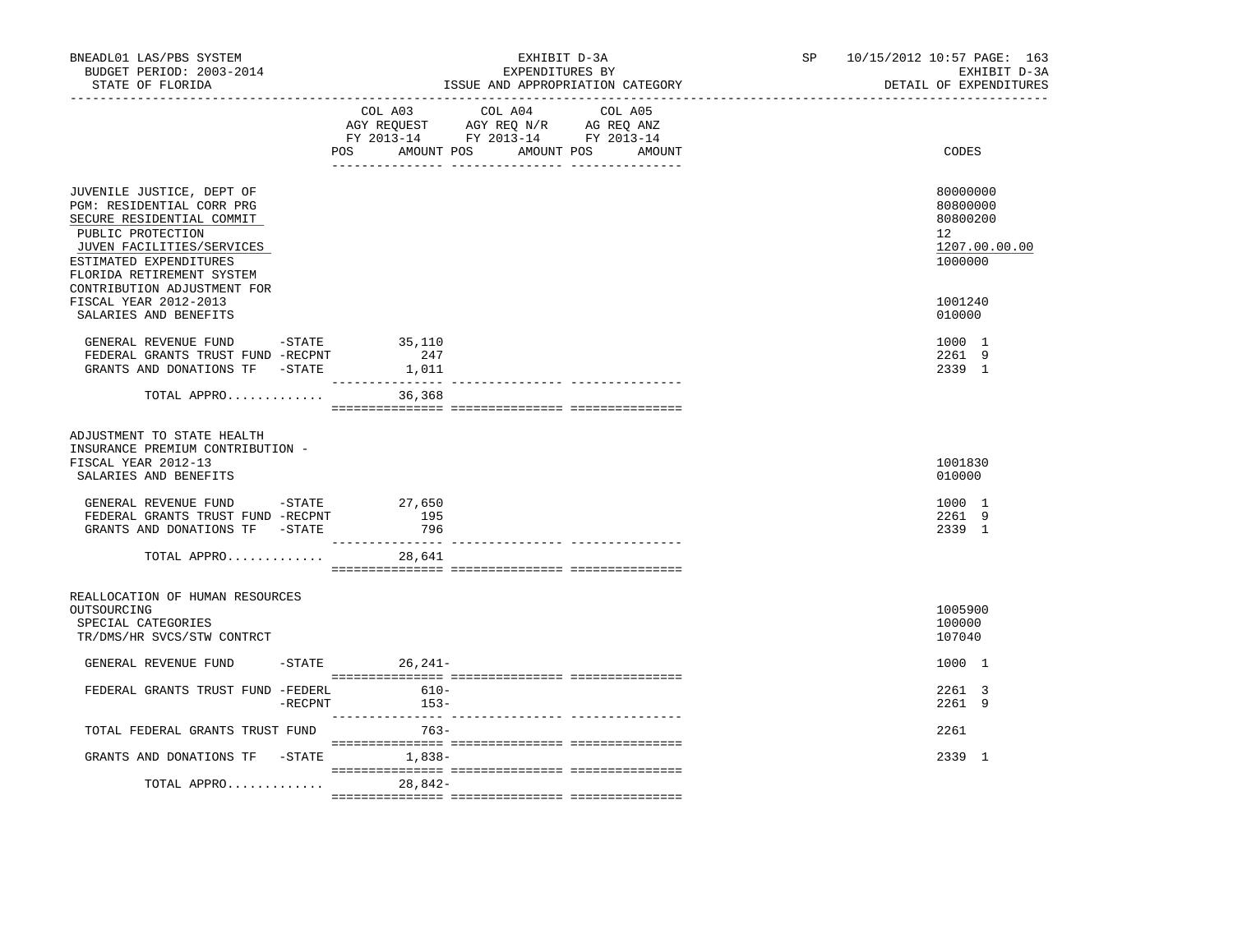| BNEADL01 LAS/PBS SYSTEM<br>BUDGET PERIOD: 2003-2014<br>STATE OF FLORIDA                                                                                                                      |           | EXHIBIT D-3A<br>EXPENDITURES BY<br>ISSUE AND APPROPRIATION CATEGORY |                                                                                                                                   |  | SP | 10/15/2012 10:57 PAGE: 163<br>EXHIBIT D-3A<br>DETAIL OF EXPENDITURES |                                                                    |
|----------------------------------------------------------------------------------------------------------------------------------------------------------------------------------------------|-----------|---------------------------------------------------------------------|-----------------------------------------------------------------------------------------------------------------------------------|--|----|----------------------------------------------------------------------|--------------------------------------------------------------------|
|                                                                                                                                                                                              |           | POS                                                                 | COL A03 COL A04 COL A05<br>AGY REQUEST AGY REQ N/R AG REQ ANZ<br>FY 2013-14 FY 2013-14 FY 2013-14<br>AMOUNT POS AMOUNT POS AMOUNT |  |    |                                                                      | CODES                                                              |
| JUVENILE JUSTICE, DEPT OF<br>PGM: RESIDENTIAL CORR PRG<br>SECURE RESIDENTIAL COMMIT<br>PUBLIC PROTECTION<br>JUVEN FACILITIES/SERVICES<br>ESTIMATED EXPENDITURES<br>FLORIDA RETIREMENT SYSTEM |           |                                                                     |                                                                                                                                   |  |    |                                                                      | 80000000<br>80800000<br>80800200<br>12<br>1207.00.00.00<br>1000000 |
| CONTRIBUTION ADJUSTMENT FOR<br>FISCAL YEAR 2012-2013<br>SALARIES AND BENEFITS                                                                                                                |           |                                                                     |                                                                                                                                   |  |    |                                                                      | 1001240<br>010000                                                  |
| GENERAL REVENUE FUND -STATE 35,110<br>FEDERAL GRANTS TRUST FUND -RECPNT<br>GRANTS AND DONATIONS TF -STATE                                                                                    |           | 247<br>1,011                                                        |                                                                                                                                   |  |    |                                                                      | 1000 1<br>2261 9<br>2339 1                                         |
| TOTAL APPRO                                                                                                                                                                                  |           | 36,368                                                              |                                                                                                                                   |  |    |                                                                      |                                                                    |
| ADJUSTMENT TO STATE HEALTH<br>INSURANCE PREMIUM CONTRIBUTION -<br>FISCAL YEAR 2012-13<br>SALARIES AND BENEFITS                                                                               |           |                                                                     |                                                                                                                                   |  |    |                                                                      | 1001830<br>010000                                                  |
| GENERAL REVENUE FUND $-$ STATE 27,650<br>FEDERAL GRANTS TRUST FUND -RECPNT<br>GRANTS AND DONATIONS TF -STATE                                                                                 |           | 195<br>796                                                          |                                                                                                                                   |  |    |                                                                      | 1000 1<br>2261 9<br>2339 1                                         |
| TOTAL APPRO                                                                                                                                                                                  |           | 28,641                                                              |                                                                                                                                   |  |    |                                                                      |                                                                    |
| REALLOCATION OF HUMAN RESOURCES<br>OUTSOURCING<br>SPECIAL CATEGORIES<br>TR/DMS/HR SVCS/STW CONTRCT                                                                                           |           |                                                                     |                                                                                                                                   |  |    |                                                                      | 1005900<br>100000<br>107040                                        |
| GENERAL REVENUE FUND                                                                                                                                                                         |           | $-STATE$ 26, 241-                                                   |                                                                                                                                   |  |    |                                                                      | 1000 1                                                             |
| FEDERAL GRANTS TRUST FUND -FEDERL                                                                                                                                                            | $-RECPNT$ | $610-$<br>$153-$                                                    |                                                                                                                                   |  |    |                                                                      | 2261 3<br>2261 9                                                   |
| TOTAL FEDERAL GRANTS TRUST FUND                                                                                                                                                              |           | 763-                                                                |                                                                                                                                   |  |    |                                                                      | 2261                                                               |
| GRANTS AND DONATIONS TF -STATE 1,838-                                                                                                                                                        |           |                                                                     |                                                                                                                                   |  |    |                                                                      | 2339 1                                                             |
| TOTAL APPRO                                                                                                                                                                                  |           | 28,842-                                                             |                                                                                                                                   |  |    |                                                                      |                                                                    |
|                                                                                                                                                                                              |           |                                                                     |                                                                                                                                   |  |    |                                                                      |                                                                    |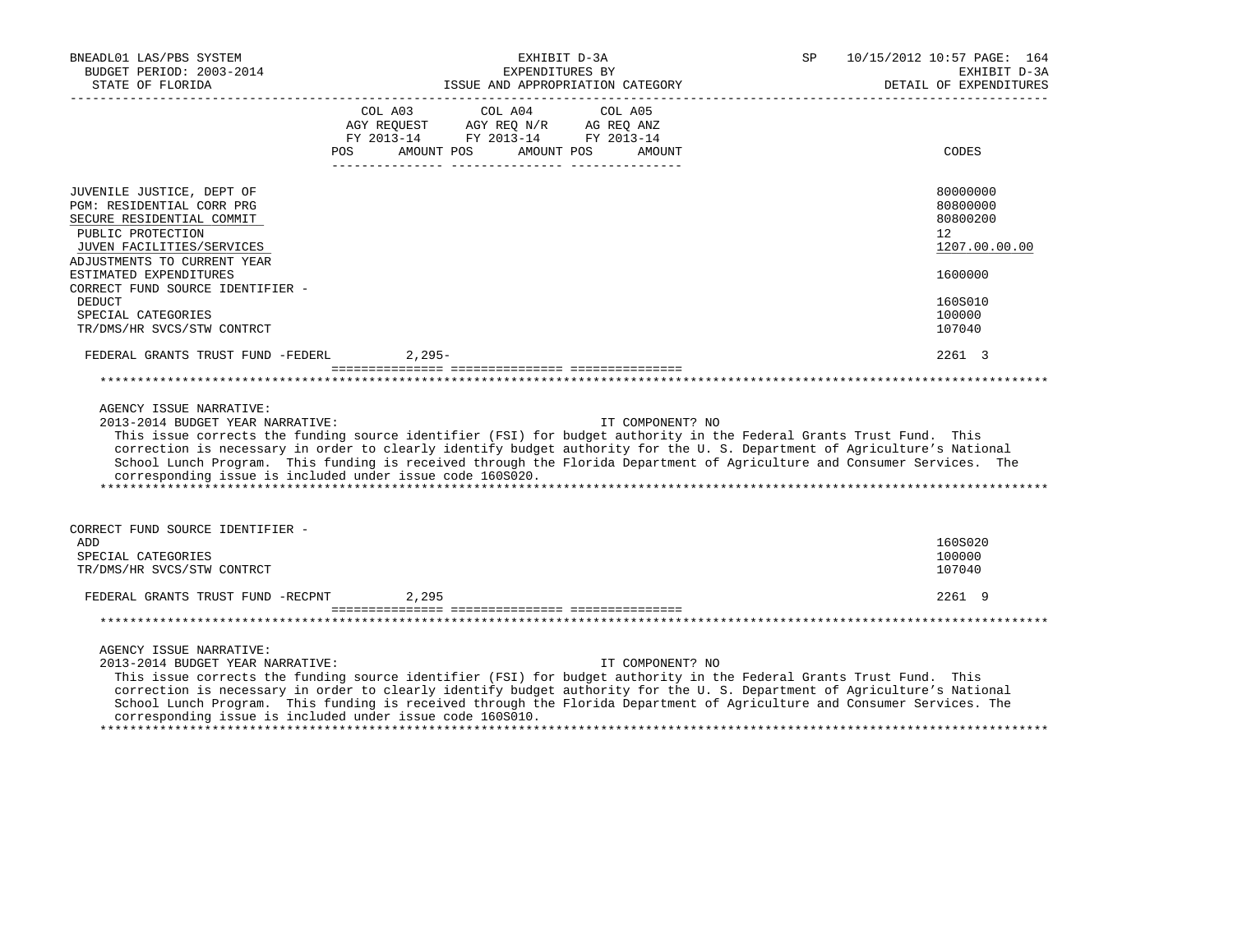| BNEADL01 LAS/PBS SYSTEM<br>BUDGET PERIOD: 2003-2014<br>STATE OF FLORIDA                                                                                                                                                                                                   | EXHIBIT D-3A<br>EXPENDITURES BY<br>ISSUE AND APPROPRIATION CATEGORY                                                                                                                                                                                                                                                                                                                                                                                        | 10/15/2012 10:57 PAGE: 164<br>SP<br>EXHIBIT D-3A<br>DETAIL OF EXPENDITURES              |
|---------------------------------------------------------------------------------------------------------------------------------------------------------------------------------------------------------------------------------------------------------------------------|------------------------------------------------------------------------------------------------------------------------------------------------------------------------------------------------------------------------------------------------------------------------------------------------------------------------------------------------------------------------------------------------------------------------------------------------------------|-----------------------------------------------------------------------------------------|
|                                                                                                                                                                                                                                                                           | COL A03<br>COL A04<br>COL A05<br>AGY REQUEST<br>AGY REQ N/R<br>AG REQ ANZ<br>FY 2013-14<br>FY 2013-14 FY 2013-14<br><b>POS</b><br>AMOUNT POS<br>AMOUNT POS<br>AMOUNT                                                                                                                                                                                                                                                                                       | CODES                                                                                   |
| JUVENILE JUSTICE, DEPT OF<br>PGM: RESIDENTIAL CORR PRG<br>SECURE RESIDENTIAL COMMIT<br>PUBLIC PROTECTION<br>JUVEN FACILITIES/SERVICES<br>ADJUSTMENTS TO CURRENT YEAR<br>ESTIMATED EXPENDITURES<br>CORRECT FUND SOURCE IDENTIFIER -<br><b>DEDUCT</b><br>SPECIAL CATEGORIES |                                                                                                                                                                                                                                                                                                                                                                                                                                                            | 80000000<br>80800000<br>80800200<br>12<br>1207.00.00.00<br>1600000<br>160S010<br>100000 |
| TR/DMS/HR SVCS/STW CONTRCT<br>FEDERAL GRANTS TRUST FUND -FEDERL                                                                                                                                                                                                           | $2,295-$                                                                                                                                                                                                                                                                                                                                                                                                                                                   | 107040<br>2261 3                                                                        |
|                                                                                                                                                                                                                                                                           |                                                                                                                                                                                                                                                                                                                                                                                                                                                            |                                                                                         |
| AGENCY ISSUE NARRATIVE:<br>2013-2014 BUDGET YEAR NARRATIVE:                                                                                                                                                                                                               | IT COMPONENT? NO<br>This issue corrects the funding source identifier (FSI) for budget authority in the Federal Grants Trust Fund. This<br>correction is necessary in order to clearly identify budget authority for the U.S. Department of Agriculture's National<br>School Lunch Program. This funding is received through the Florida Department of Agriculture and Consumer Services. The<br>corresponding issue is included under issue code 160S020. |                                                                                         |
| CORRECT FUND SOURCE IDENTIFIER -<br>ADD<br>SPECIAL CATEGORIES<br>TR/DMS/HR SVCS/STW CONTRCT                                                                                                                                                                               |                                                                                                                                                                                                                                                                                                                                                                                                                                                            | 160S020<br>100000<br>107040                                                             |
| FEDERAL GRANTS TRUST FUND -RECPNT                                                                                                                                                                                                                                         | 2,295                                                                                                                                                                                                                                                                                                                                                                                                                                                      | 2261 9                                                                                  |
|                                                                                                                                                                                                                                                                           |                                                                                                                                                                                                                                                                                                                                                                                                                                                            |                                                                                         |
| AGENCY ISSUE NARRATIVE:<br>2013-2014 BUDGET YEAR NARRATIVE:                                                                                                                                                                                                               | IT COMPONENT? NO<br>This issue corrects the funding source identifier (FSI) for budget authority in the Federal Grants Trust Fund. This<br>correction is necessary in order to clearly identify budget authority for the U.S. Department of Agriculture's National<br>School Lunch Program. This funding is received through the Florida Department of Agriculture and Consumer Services. The<br>corresponding issue is included under issue code 160S010. |                                                                                         |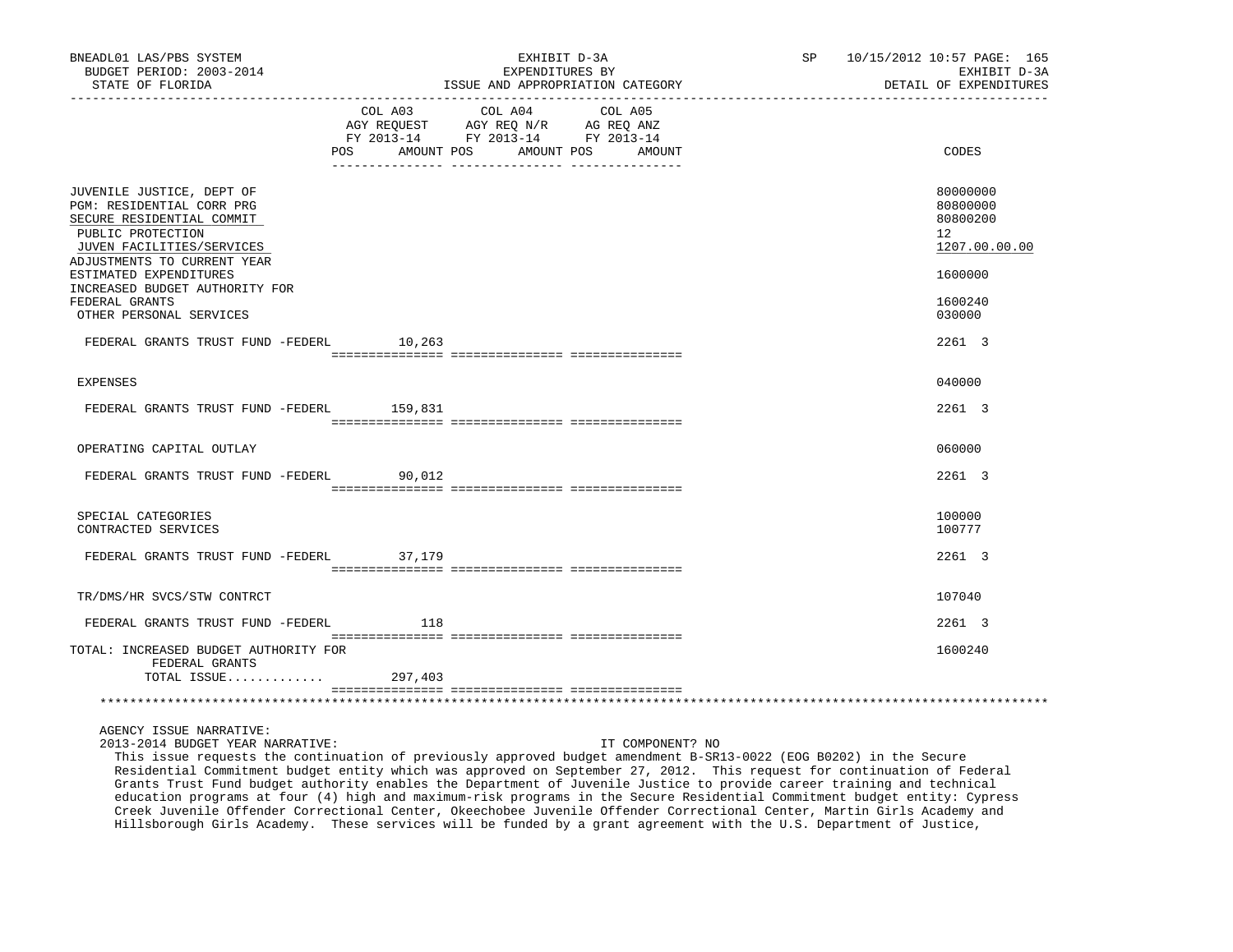| BNEADL01 LAS/PBS SYSTEM<br>BUDGET PERIOD: 2003-2014<br>STATE OF FLORIDA                                                                                              | EXHIBIT D-3A<br>EXPENDITURES BY<br>ISSUE AND APPROPRIATION CATEGORY<br>------------- |                                                                                   |                              | SP 10/15/2012 10:57 PAGE: 165<br>EXHIBIT D-3A<br>DETAIL OF EXPENDITURES |
|----------------------------------------------------------------------------------------------------------------------------------------------------------------------|--------------------------------------------------------------------------------------|-----------------------------------------------------------------------------------|------------------------------|-------------------------------------------------------------------------|
|                                                                                                                                                                      | COL A03<br>AMOUNT POS<br>POS                                                         | COL A04<br>AGY REQUEST AGY REQ N/R AG REQ ANZ<br>FY 2013-14 FY 2013-14 FY 2013-14 | COL A05<br>AMOUNT POS AMOUNT | CODES                                                                   |
| JUVENILE JUSTICE, DEPT OF<br>PGM: RESIDENTIAL CORR PRG<br>SECURE RESIDENTIAL COMMIT<br>PUBLIC PROTECTION<br>JUVEN FACILITIES/SERVICES<br>ADJUSTMENTS TO CURRENT YEAR |                                                                                      |                                                                                   |                              | 80000000<br>80800000<br>80800200<br>12 <sup>°</sup><br>1207.00.00.00    |
| ESTIMATED EXPENDITURES<br>INCREASED BUDGET AUTHORITY FOR<br>FEDERAL GRANTS<br>OTHER PERSONAL SERVICES                                                                |                                                                                      |                                                                                   |                              | 1600000<br>1600240<br>030000                                            |
| FEDERAL GRANTS TRUST FUND -FEDERL 10,263                                                                                                                             |                                                                                      |                                                                                   |                              | 2261 3                                                                  |
| <b>EXPENSES</b>                                                                                                                                                      |                                                                                      |                                                                                   |                              | 040000                                                                  |
| FEDERAL GRANTS TRUST FUND -FEDERL 159,831                                                                                                                            |                                                                                      |                                                                                   |                              | 2261 3                                                                  |
| OPERATING CAPITAL OUTLAY                                                                                                                                             |                                                                                      |                                                                                   |                              | 060000                                                                  |
| FEDERAL GRANTS TRUST FUND -FEDERL                                                                                                                                    | 90,012                                                                               |                                                                                   |                              | 2261 3                                                                  |
| SPECIAL CATEGORIES<br>CONTRACTED SERVICES                                                                                                                            |                                                                                      |                                                                                   |                              | 100000<br>100777                                                        |
| FEDERAL GRANTS TRUST FUND -FEDERL 37,179                                                                                                                             |                                                                                      |                                                                                   |                              | 2261 3                                                                  |
| TR/DMS/HR SVCS/STW CONTRCT                                                                                                                                           |                                                                                      |                                                                                   |                              | 107040                                                                  |
| FEDERAL GRANTS TRUST FUND -FEDERL                                                                                                                                    | 118                                                                                  |                                                                                   |                              | 2261 3                                                                  |
| TOTAL: INCREASED BUDGET AUTHORITY FOR<br>FEDERAL GRANTS<br>TOTAL ISSUE                                                                                               | 297,403                                                                              |                                                                                   |                              | 1600240                                                                 |
|                                                                                                                                                                      |                                                                                      |                                                                                   |                              |                                                                         |

AGENCY ISSUE NARRATIVE:

2013-2014 BUDGET YEAR NARRATIVE: IT COMPONENT? NO

 This issue requests the continuation of previously approved budget amendment B-SR13-0022 (EOG B0202) in the Secure Residential Commitment budget entity which was approved on September 27, 2012. This request for continuation of Federal Grants Trust Fund budget authority enables the Department of Juvenile Justice to provide career training and technical education programs at four (4) high and maximum-risk programs in the Secure Residential Commitment budget entity: Cypress Creek Juvenile Offender Correctional Center, Okeechobee Juvenile Offender Correctional Center, Martin Girls Academy and Hillsborough Girls Academy. These services will be funded by a grant agreement with the U.S. Department of Justice,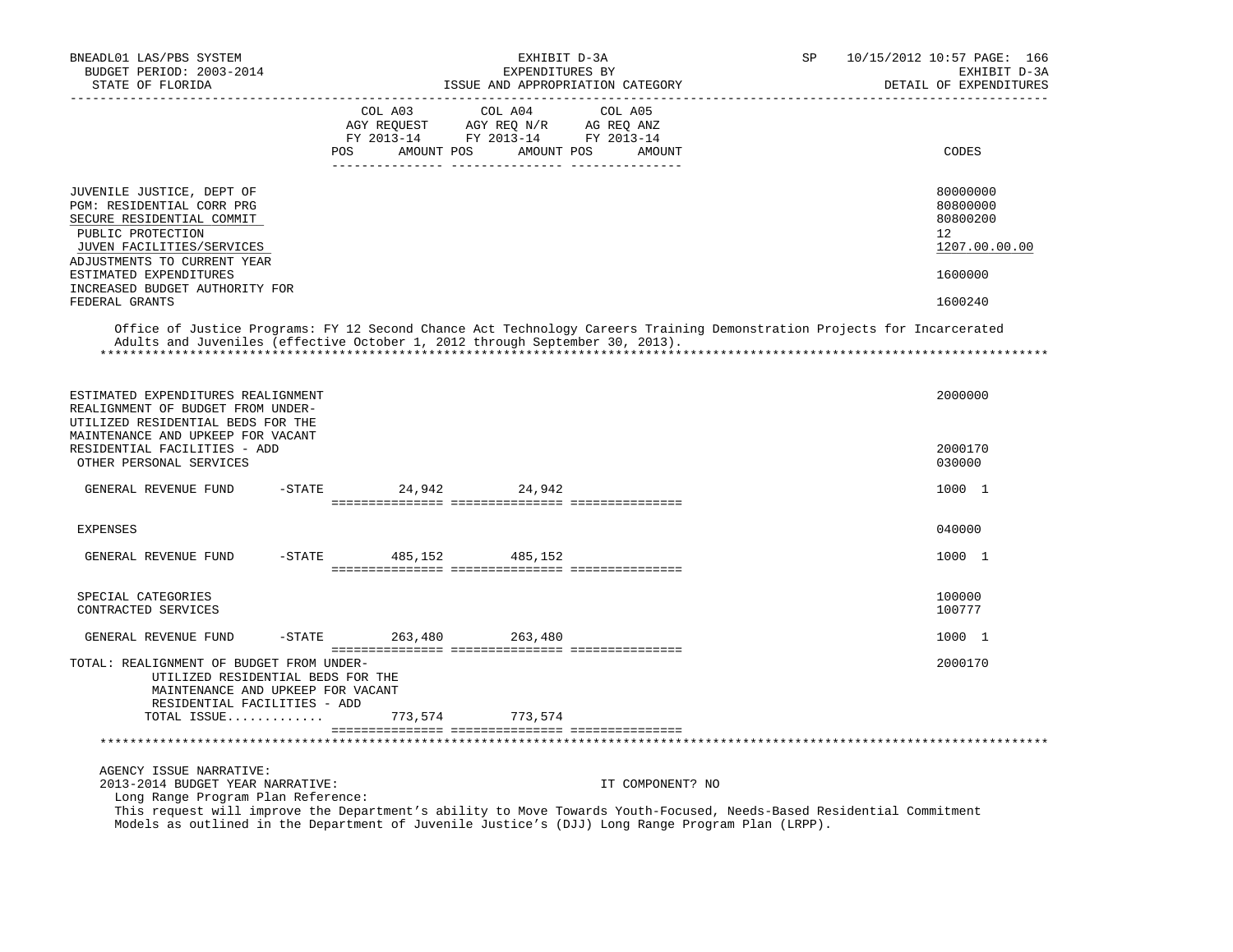| BNEADL01 LAS/PBS SYSTEM<br>BUDGET PERIOD: 2003-2014<br>STATE OF FLORIDA                                                                                                                                                                                        |                       |            | EXHIBIT D-3A<br>EXPENDITURES BY                                                                 | ISSUE AND APPROPRIATION CATEGORY | SP | 10/15/2012 10:57 PAGE: 166<br>EXHIBIT D-3A<br>DETAIL OF EXPENDITURES |
|----------------------------------------------------------------------------------------------------------------------------------------------------------------------------------------------------------------------------------------------------------------|-----------------------|------------|-------------------------------------------------------------------------------------------------|----------------------------------|----|----------------------------------------------------------------------|
|                                                                                                                                                                                                                                                                | COL A03<br><b>POS</b> | AMOUNT POS | COL A04<br>AGY REQUEST AGY REQ N/R AG REQ ANZ<br>FY 2013-14 FY 2013-14 FY 2013-14<br>AMOUNT POS | COL A05<br>AMOUNT                |    | CODES                                                                |
| JUVENILE JUSTICE, DEPT OF<br>PGM: RESIDENTIAL CORR PRG<br>SECURE RESIDENTIAL COMMIT<br>PUBLIC PROTECTION<br>JUVEN FACILITIES/SERVICES<br>ADJUSTMENTS TO CURRENT YEAR<br>ESTIMATED EXPENDITURES                                                                 |                       |            |                                                                                                 |                                  |    | 80000000<br>80800000<br>80800200<br>12<br>1207.00.00.00<br>1600000   |
| INCREASED BUDGET AUTHORITY FOR<br>FEDERAL GRANTS                                                                                                                                                                                                               |                       |            |                                                                                                 |                                  |    | 1600240                                                              |
| Office of Justice Programs: FY 12 Second Chance Act Technology Careers Training Demonstration Projects for Incarcerated<br>Adults and Juveniles (effective October 1, 2012 through September 30, 2013).                                                        |                       |            |                                                                                                 |                                  |    |                                                                      |
| ESTIMATED EXPENDITURES REALIGNMENT<br>REALIGNMENT OF BUDGET FROM UNDER-<br>UTILIZED RESIDENTIAL BEDS FOR THE<br>MAINTENANCE AND UPKEEP FOR VACANT<br>RESIDENTIAL FACILITIES - ADD<br>OTHER PERSONAL SERVICES                                                   |                       |            |                                                                                                 |                                  |    | 2000000<br>2000170<br>030000                                         |
|                                                                                                                                                                                                                                                                |                       |            |                                                                                                 |                                  |    |                                                                      |
| $-$ STATE<br>GENERAL REVENUE FUND                                                                                                                                                                                                                              |                       |            | 24,942 24,942                                                                                   |                                  |    | 1000 1                                                               |
| <b>EXPENSES</b>                                                                                                                                                                                                                                                |                       |            |                                                                                                 |                                  |    | 040000                                                               |
| $-STATE$<br>GENERAL REVENUE FUND                                                                                                                                                                                                                               |                       | 485,152    | 485,152                                                                                         |                                  |    | 1000 1                                                               |
| SPECIAL CATEGORIES<br>CONTRACTED SERVICES                                                                                                                                                                                                                      |                       |            |                                                                                                 |                                  |    | 100000<br>100777                                                     |
| GENERAL REVENUE FUND<br>$-STATE$                                                                                                                                                                                                                               |                       | 263,480    | 263,480                                                                                         |                                  |    | 1000 1                                                               |
| TOTAL: REALIGNMENT OF BUDGET FROM UNDER-<br>UTILIZED RESIDENTIAL BEDS FOR THE<br>MAINTENANCE AND UPKEEP FOR VACANT<br>RESIDENTIAL FACILITIES - ADD                                                                                                             |                       |            |                                                                                                 |                                  |    | 2000170                                                              |
| TOTAL ISSUE                                                                                                                                                                                                                                                    |                       | 773,574    | 773,574                                                                                         |                                  |    |                                                                      |
|                                                                                                                                                                                                                                                                |                       |            |                                                                                                 |                                  |    |                                                                      |
| AGENCY ISSUE NARRATIVE:<br>2013-2014 BUDGET YEAR NARRATIVE:                                                                                                                                                                                                    |                       |            |                                                                                                 | IT COMPONENT? NO                 |    |                                                                      |
| Long Range Program Plan Reference:<br>This request will improve the Department's ability to Move Towards Youth-Focused, Needs-Based Residential Commitment<br>Models as outlined in the Department of Juvenile Justice's (DJJ) Long Range Program Plan (LRPP). |                       |            |                                                                                                 |                                  |    |                                                                      |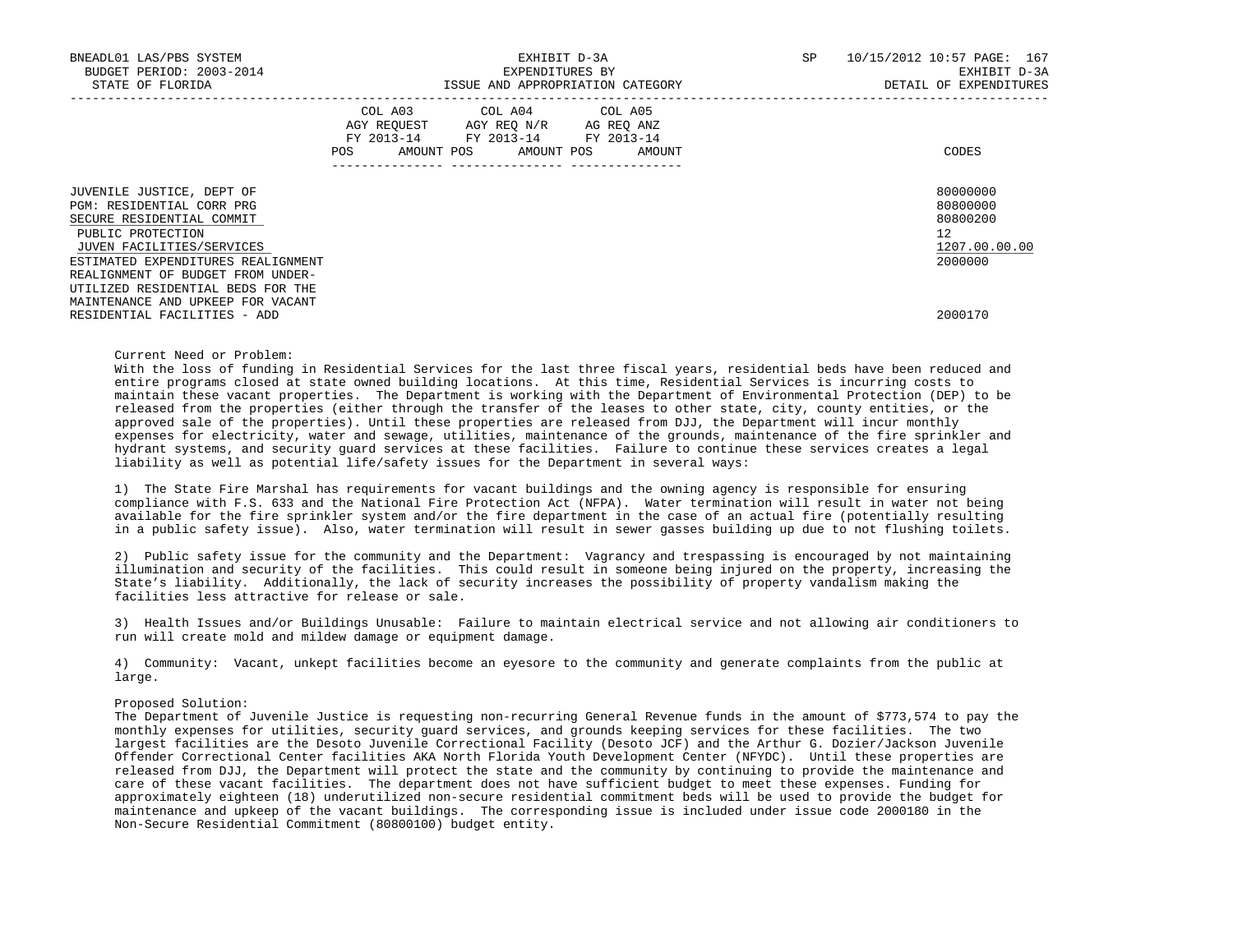| BNEADL01 LAS/PBS SYSTEM<br>BUDGET PERIOD: 2003-2014<br>STATE OF FLORIDA                                                                                                     | EXHIBIT D-3A<br>EXPENDITURES BY<br>ISSUE AND APPROPRIATION CATEGORY                                                               | SP     | 10/15/2012 10:57 PAGE: 167<br>EXHIBIT D-3A<br>DETAIL OF EXPENDITURES |
|-----------------------------------------------------------------------------------------------------------------------------------------------------------------------------|-----------------------------------------------------------------------------------------------------------------------------------|--------|----------------------------------------------------------------------|
|                                                                                                                                                                             | COL A03 COL A04 COL A05<br>AGY REQUEST AGY REQ N/R AG REQ ANZ<br>FY 2013-14 FY 2013-14 FY 2013-14<br>POS<br>AMOUNT POS AMOUNT POS | AMOUNT | CODES                                                                |
| JUVENILE JUSTICE, DEPT OF<br>PGM: RESIDENTIAL CORR PRG<br>SECURE RESIDENTIAL COMMIT<br>PUBLIC PROTECTION<br>JUVEN FACILITIES/SERVICES<br>ESTIMATED EXPENDITURES REALIGNMENT |                                                                                                                                   |        | 80000000<br>80800000<br>80800200<br>12<br>1207.00.00.00<br>2000000   |
| REALIGNMENT OF BUDGET FROM UNDER-<br>UTILIZED RESIDENTIAL BEDS FOR THE<br>MAINTENANCE AND UPKEEP FOR VACANT<br>RESIDENTIAL FACILITIES - ADD                                 |                                                                                                                                   |        | 2000170                                                              |

# Current Need or Problem:

 With the loss of funding in Residential Services for the last three fiscal years, residential beds have been reduced and entire programs closed at state owned building locations. At this time, Residential Services is incurring costs to maintain these vacant properties. The Department is working with the Department of Environmental Protection (DEP) to be released from the properties (either through the transfer of the leases to other state, city, county entities, or the approved sale of the properties). Until these properties are released from DJJ, the Department will incur monthly expenses for electricity, water and sewage, utilities, maintenance of the grounds, maintenance of the fire sprinkler and hydrant systems, and security guard services at these facilities. Failure to continue these services creates a legal liability as well as potential life/safety issues for the Department in several ways:

 1) The State Fire Marshal has requirements for vacant buildings and the owning agency is responsible for ensuring compliance with F.S. 633 and the National Fire Protection Act (NFPA). Water termination will result in water not being available for the fire sprinkler system and/or the fire department in the case of an actual fire (potentially resulting in a public safety issue). Also, water termination will result in sewer gasses building up due to not flushing toilets.

 2) Public safety issue for the community and the Department: Vagrancy and trespassing is encouraged by not maintaining illumination and security of the facilities. This could result in someone being injured on the property, increasing the State's liability. Additionally, the lack of security increases the possibility of property vandalism making the facilities less attractive for release or sale.

 3) Health Issues and/or Buildings Unusable: Failure to maintain electrical service and not allowing air conditioners to run will create mold and mildew damage or equipment damage.

 4) Community: Vacant, unkept facilities become an eyesore to the community and generate complaints from the public at large.

### Proposed Solution:

 The Department of Juvenile Justice is requesting non-recurring General Revenue funds in the amount of \$773,574 to pay the monthly expenses for utilities, security guard services, and grounds keeping services for these facilities. The two largest facilities are the Desoto Juvenile Correctional Facility (Desoto JCF) and the Arthur G. Dozier/Jackson Juvenile Offender Correctional Center facilities AKA North Florida Youth Development Center (NFYDC). Until these properties are released from DJJ, the Department will protect the state and the community by continuing to provide the maintenance and care of these vacant facilities. The department does not have sufficient budget to meet these expenses. Funding for approximately eighteen (18) underutilized non-secure residential commitment beds will be used to provide the budget for maintenance and upkeep of the vacant buildings. The corresponding issue is included under issue code 2000180 in the Non-Secure Residential Commitment (80800100) budget entity.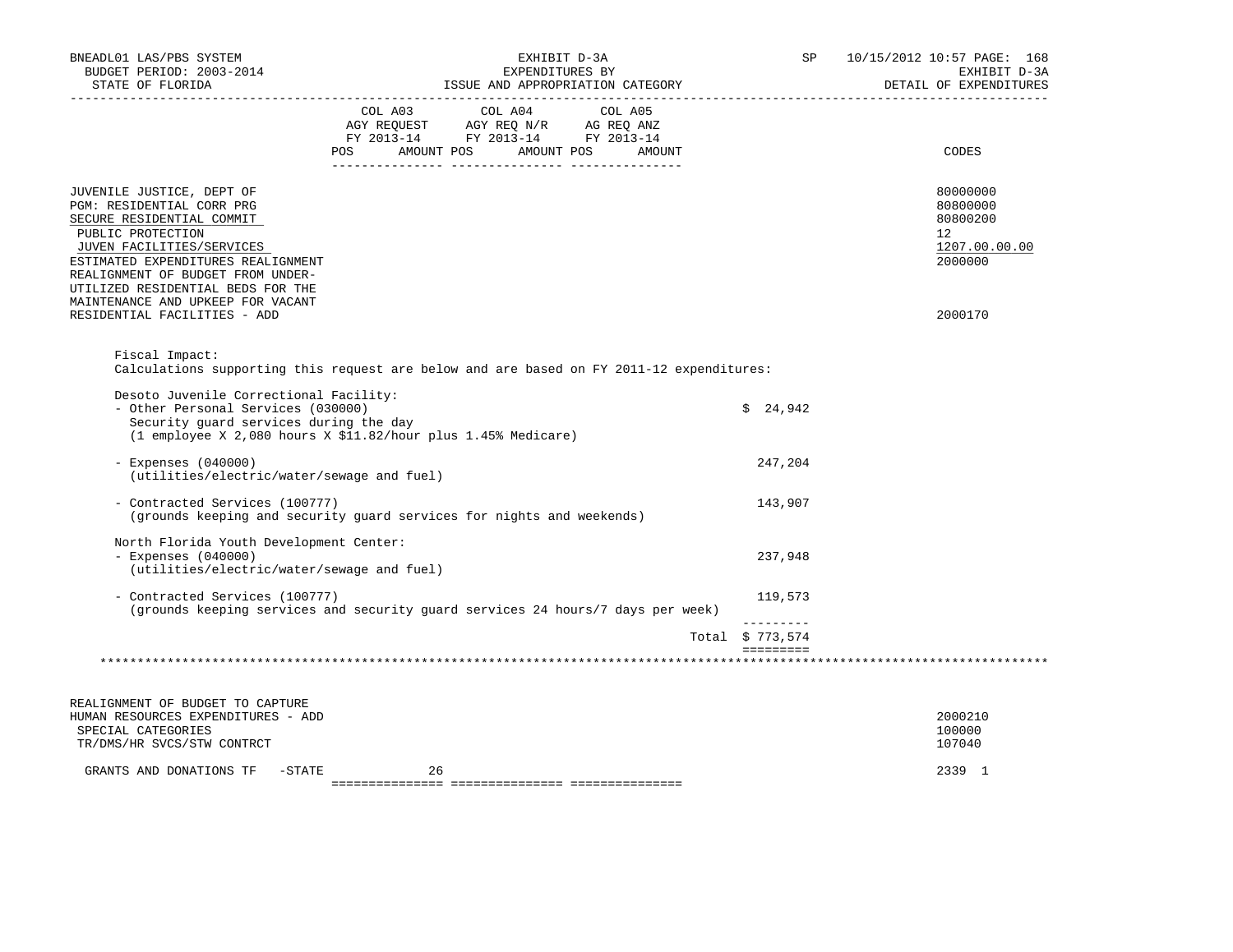| BNEADL01 LAS/PBS SYSTEM<br>BUDGET PERIOD: 2003-2014<br>STATE OF FLORIDA                                                                                                                                                                                                                                                    | EXHIBIT D-3A<br>EXPENDITURES BY<br>ISSUE AND APPROPRIATION CATEGORY                      |                      | SP                             | 10/15/2012 10:57 PAGE: 168<br>EXHIBIT D-3A<br>DETAIL OF EXPENDITURES          |
|----------------------------------------------------------------------------------------------------------------------------------------------------------------------------------------------------------------------------------------------------------------------------------------------------------------------------|------------------------------------------------------------------------------------------|----------------------|--------------------------------|-------------------------------------------------------------------------------|
|                                                                                                                                                                                                                                                                                                                            | COL A03 COL A04 COL A05<br>FY 2013-14 FY 2013-14 FY 2013-14<br>POS<br>AMOUNT POS         | AMOUNT POS<br>AMOUNT |                                | CODES                                                                         |
| JUVENILE JUSTICE, DEPT OF<br>PGM: RESIDENTIAL CORR PRG<br>SECURE RESIDENTIAL COMMIT<br>PUBLIC PROTECTION<br>JUVEN FACILITIES/SERVICES<br>ESTIMATED EXPENDITURES REALIGNMENT<br>REALIGNMENT OF BUDGET FROM UNDER-<br>UTILIZED RESIDENTIAL BEDS FOR THE<br>MAINTENANCE AND UPKEEP FOR VACANT<br>RESIDENTIAL FACILITIES - ADD |                                                                                          |                      |                                | 80000000<br>80800000<br>80800200<br>12<br>1207.00.00.00<br>2000000<br>2000170 |
| Fiscal Impact:                                                                                                                                                                                                                                                                                                             |                                                                                          |                      |                                |                                                                               |
|                                                                                                                                                                                                                                                                                                                            | Calculations supporting this request are below and are based on FY 2011-12 expenditures: |                      |                                |                                                                               |
| Desoto Juvenile Correctional Facility:<br>- Other Personal Services (030000)<br>Security guard services during the day                                                                                                                                                                                                     | (1 employee X 2,080 hours X \$11.82/hour plus 1.45% Medicare)                            |                      | \$24,942                       |                                                                               |
| $-$ Expenses (040000)<br>(utilities/electric/water/sewage and fuel)                                                                                                                                                                                                                                                        |                                                                                          |                      | 247,204                        |                                                                               |
| - Contracted Services (100777)                                                                                                                                                                                                                                                                                             | (grounds keeping and security guard services for nights and weekends)                    |                      | 143,907                        |                                                                               |
| North Florida Youth Development Center:<br>$-$ Expenses (040000)<br>(utilities/electric/water/sewage and fuel)                                                                                                                                                                                                             |                                                                                          |                      | 237,948                        |                                                                               |
| - Contracted Services (100777)                                                                                                                                                                                                                                                                                             | (grounds keeping services and security quard services 24 hours/7 days per week)          |                      | 119,573                        |                                                                               |
|                                                                                                                                                                                                                                                                                                                            |                                                                                          |                      | ----------<br>Total $$773,574$ |                                                                               |
|                                                                                                                                                                                                                                                                                                                            |                                                                                          |                      | $=$ = = = = = = = =            |                                                                               |
| REALIGNMENT OF BUDGET TO CAPTURE                                                                                                                                                                                                                                                                                           |                                                                                          |                      |                                |                                                                               |
| HUMAN RESOURCES EXPENDITURES - ADD<br>SPECIAL CATEGORIES<br>TR/DMS/HR SVCS/STW CONTRCT                                                                                                                                                                                                                                     |                                                                                          |                      |                                | 2000210<br>100000<br>107040                                                   |
| GRANTS AND DONATIONS TF<br>$-STATE$                                                                                                                                                                                                                                                                                        | 26                                                                                       |                      |                                | 2339 1                                                                        |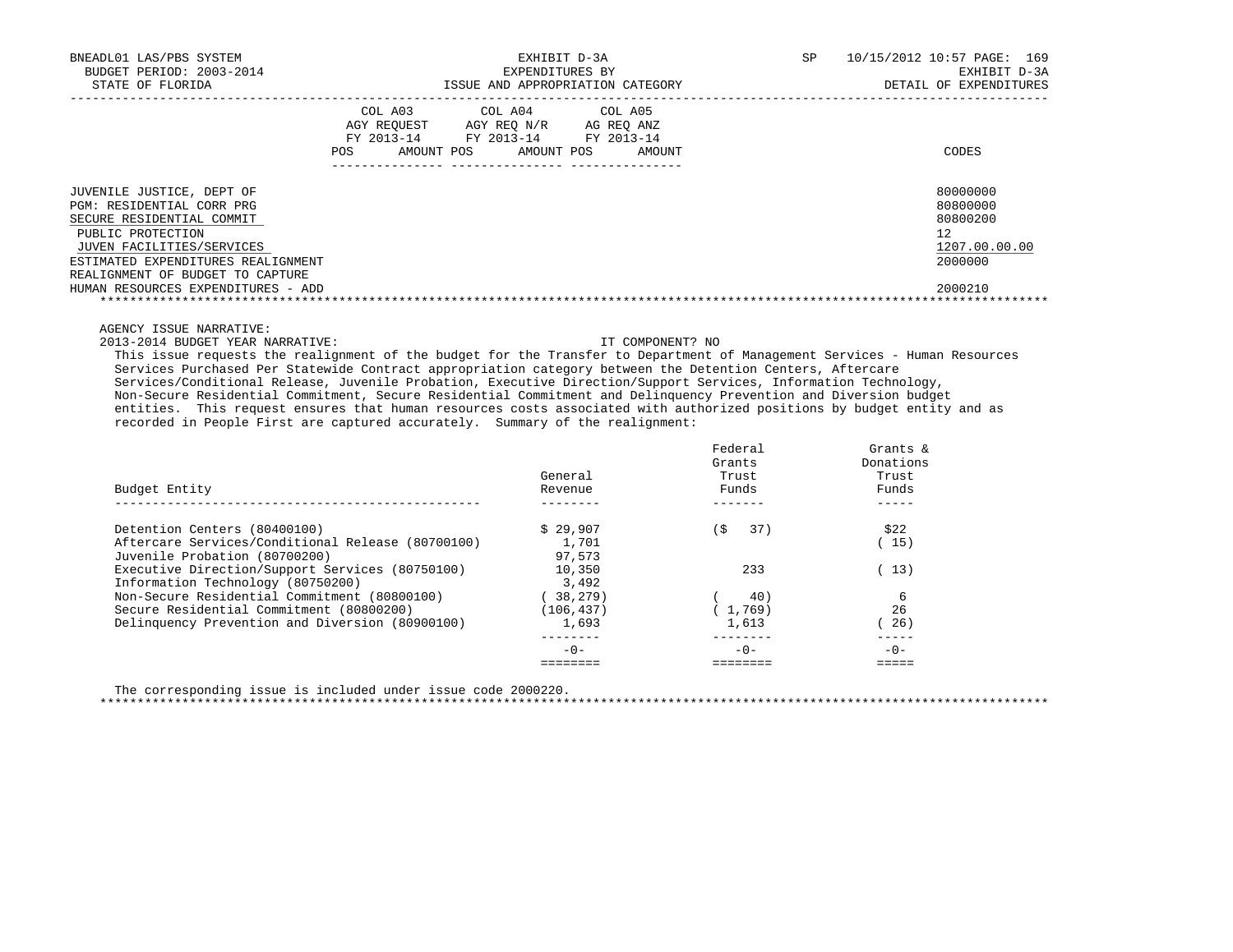| BNEADL01 LAS/PBS SYSTEM            | EXHIBIT D-3A |                                                                                                                                                |        | SP | 10/15/2012 10:57 PAGE: 169 |
|------------------------------------|--------------|------------------------------------------------------------------------------------------------------------------------------------------------|--------|----|----------------------------|
| BUDGET PERIOD: 2003-2014           |              | EXPENDITURES BY                                                                                                                                |        |    | EXHIBIT D-3A               |
| STATE OF FLORIDA                   |              | ISSUE AND APPROPRIATION CATEGORY                                                                                                               |        |    | DETAIL OF EXPENDITURES     |
|                                    | POS          | COL A03 COL A04 COL A05<br>AGY REQUEST AGY REO N/R AG REO ANZ<br>FY 2013-14 FY 2013-14 FY 2013-14<br>AMOUNT POS AMOUNT POS<br>________________ | AMOUNT |    | CODES                      |
| JUVENILE JUSTICE, DEPT OF          |              |                                                                                                                                                |        |    | 80000000                   |
| PGM: RESIDENTIAL CORR PRG          |              |                                                                                                                                                |        |    | 80800000                   |
| SECURE RESIDENTIAL COMMIT          |              |                                                                                                                                                |        |    | 80800200                   |
| PUBLIC PROTECTION                  |              |                                                                                                                                                |        |    | 12.                        |
| JUVEN FACILITIES/SERVICES          |              |                                                                                                                                                |        |    | 1207.00.00.00              |
| ESTIMATED EXPENDITURES REALIGNMENT |              |                                                                                                                                                |        |    | 2000000                    |
| REALIGNMENT OF BUDGET TO CAPTURE   |              |                                                                                                                                                |        |    |                            |
| HUMAN RESOURCES EXPENDITURES - ADD |              |                                                                                                                                                |        |    | 2000210                    |

AGENCY ISSUE NARRATIVE:

2013-2014 BUDGET YEAR NARRATIVE: IT COMPONENT? NO

 This issue requests the realignment of the budget for the Transfer to Department of Management Services - Human Resources Services Purchased Per Statewide Contract appropriation category between the Detention Centers, Aftercare Services/Conditional Release, Juvenile Probation, Executive Direction/Support Services, Information Technology, Non-Secure Residential Commitment, Secure Residential Commitment and Delinquency Prevention and Diversion budget entities. This request ensures that human resources costs associated with authorized positions by budget entity and as recorded in People First are captured accurately. Summary of the realignment:

| Budget Entity                                     | General<br>Revenue | Federal<br>Grants<br>Trust<br>Funds | Grants &<br>Donations<br>Trust<br>Funds |
|---------------------------------------------------|--------------------|-------------------------------------|-----------------------------------------|
| Detention Centers (80400100)                      | \$29.907           | 37)<br>(S                           | \$22                                    |
| Aftercare Services/Conditional Release (80700100) | 1,701              |                                     | - 15 )                                  |
| Juvenile Probation (80700200)                     | 97.573             |                                     |                                         |
| Executive Direction/Support Services (80750100)   | 10,350             | 233                                 | (13)                                    |
| Information Technology (80750200)                 | 3,492              |                                     |                                         |
| Non-Secure Residential Commitment (80800100)      | 38,279)            | 40)                                 | 6                                       |
| Secure Residential Commitment (80800200)          | (106, 437)         | (1, 769)                            | 26                                      |
| Delinquency Prevention and Diversion (80900100)   | 1,693              | 1,613                               | 26)                                     |
|                                                   | $-0-$              | $-0-$                               | $-0-$                                   |
|                                                   |                    |                                     |                                         |

 The corresponding issue is included under issue code 2000220. \*\*\*\*\*\*\*\*\*\*\*\*\*\*\*\*\*\*\*\*\*\*\*\*\*\*\*\*\*\*\*\*\*\*\*\*\*\*\*\*\*\*\*\*\*\*\*\*\*\*\*\*\*\*\*\*\*\*\*\*\*\*\*\*\*\*\*\*\*\*\*\*\*\*\*\*\*\*\*\*\*\*\*\*\*\*\*\*\*\*\*\*\*\*\*\*\*\*\*\*\*\*\*\*\*\*\*\*\*\*\*\*\*\*\*\*\*\*\*\*\*\*\*\*\*\*\*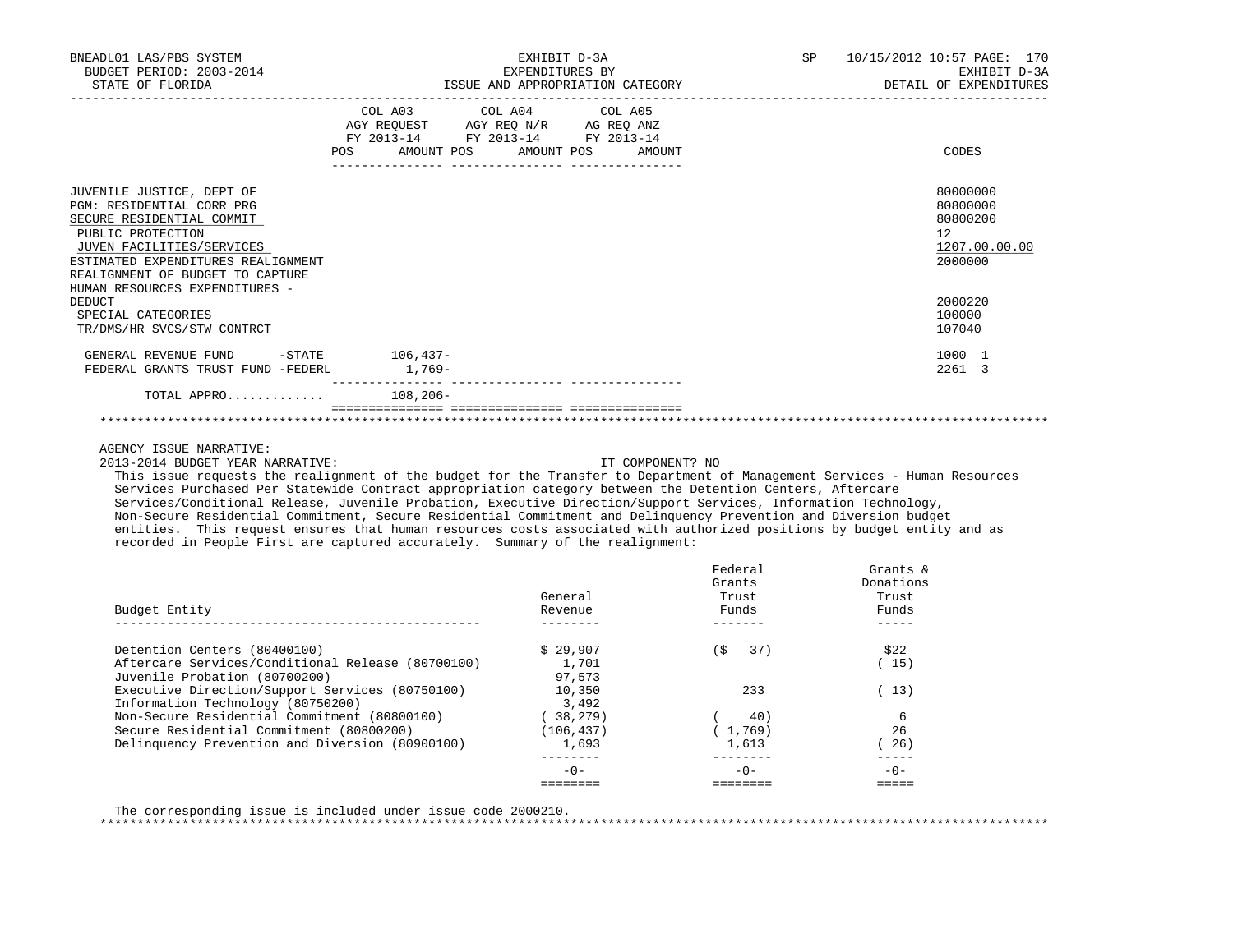| BNEADL01 LAS/PBS SYSTEM<br>BUDGET PERIOD: 2003-2014<br>STATE OF FLORIDA                                                                                                                                                                           | EXHIBIT D-3A<br>EXPENDITURES BY<br>ISSUE AND APPROPRIATION CATEGORY<br>-------------- |                                                                                                                                       | 10/15/2012 10:57 PAGE: 170<br>SP<br>EXHIBIT D-3A<br>DETAIL OF EXPENDITURES |                                                                    |
|---------------------------------------------------------------------------------------------------------------------------------------------------------------------------------------------------------------------------------------------------|---------------------------------------------------------------------------------------|---------------------------------------------------------------------------------------------------------------------------------------|----------------------------------------------------------------------------|--------------------------------------------------------------------|
|                                                                                                                                                                                                                                                   |                                                                                       | COL A03 COL A04 COL A05<br>AGY REQUEST AGY REQ N/R AG REQ ANZ<br>FY 2013-14 FY 2013-14 FY 2013-14<br>POS AMOUNT POS AMOUNT POS AMOUNT |                                                                            | CODES                                                              |
| JUVENILE JUSTICE, DEPT OF<br>PGM: RESIDENTIAL CORR PRG<br>SECURE RESIDENTIAL COMMIT<br>PUBLIC PROTECTION<br>JUVEN FACILITIES/SERVICES<br>ESTIMATED EXPENDITURES REALIGNMENT<br>REALIGNMENT OF BUDGET TO CAPTURE<br>HUMAN RESOURCES EXPENDITURES - |                                                                                       |                                                                                                                                       |                                                                            | 80000000<br>80800000<br>80800200<br>12<br>1207.00.00.00<br>2000000 |
| DEDUCT<br>SPECIAL CATEGORIES<br>TR/DMS/HR SVCS/STW CONTRCT                                                                                                                                                                                        |                                                                                       |                                                                                                                                       |                                                                            | 2000220<br>100000<br>107040                                        |
| GENERAL REVENUE FUND -STATE 106,437-<br>FEDERAL GRANTS TRUST FUND -FEDERL                                                                                                                                                                         | $1,769-$                                                                              |                                                                                                                                       |                                                                            | 1000 1<br>2261 3                                                   |
| TOTAL APPRO 108,206-                                                                                                                                                                                                                              |                                                                                       |                                                                                                                                       |                                                                            |                                                                    |
|                                                                                                                                                                                                                                                   |                                                                                       |                                                                                                                                       |                                                                            |                                                                    |

AGENCY ISSUE NARRATIVE:

2013-2014 BUDGET YEAR NARRATIVE: IT COMPONENT? NO

 This issue requests the realignment of the budget for the Transfer to Department of Management Services - Human Resources Services Purchased Per Statewide Contract appropriation category between the Detention Centers, Aftercare Services/Conditional Release, Juvenile Probation, Executive Direction/Support Services, Information Technology, Non-Secure Residential Commitment, Secure Residential Commitment and Delinquency Prevention and Diversion budget entities. This request ensures that human resources costs associated with authorized positions by budget entity and as recorded in People First are captured accurately. Summary of the realignment:

| Budget Entity                                     | General<br>Revenue | Federal<br>Grants<br>Trust<br>Funds | Grants $\&$<br>Donations<br>Trust.<br>Funds |
|---------------------------------------------------|--------------------|-------------------------------------|---------------------------------------------|
|                                                   |                    |                                     |                                             |
| Detention Centers (80400100)                      | \$29.907           | 37)<br>(\$                          | \$22                                        |
| Aftercare Services/Conditional Release (80700100) | 1,701              |                                     | 15)                                         |
| Juvenile Probation (80700200)                     | 97,573             |                                     |                                             |
| Executive Direction/Support Services (80750100)   | 10,350             | 233                                 | 13)                                         |
| Information Technology (80750200)                 | 3,492              |                                     |                                             |
| Non-Secure Residential Commitment (80800100)      | 38,279)            | 40)                                 | 6                                           |
| Secure Residential Commitment (80800200)          | (106, 437)         | (1.769)                             | 26                                          |
| Delinquency Prevention and Diversion (80900100)   | 1,693              | 1,613                               | 26)                                         |
|                                                   |                    |                                     |                                             |
|                                                   | $-0-$              | $-0-$                               | $-0-$                                       |
|                                                   |                    |                                     |                                             |

The corresponding issue is included under issue code 2000210.

\*\*\*\*\*\*\*\*\*\*\*\*\*\*\*\*\*\*\*\*\*\*\*\*\*\*\*\*\*\*\*\*\*\*\*\*\*\*\*\*\*\*\*\*\*\*\*\*\*\*\*\*\*\*\*\*\*\*\*\*\*\*\*\*\*\*\*\*\*\*\*\*\*\*\*\*\*\*\*\*\*\*\*\*\*\*\*\*\*\*\*\*\*\*\*\*\*\*\*\*\*\*\*\*\*\*\*\*\*\*\*\*\*\*\*\*\*\*\*\*\*\*\*\*\*\*\*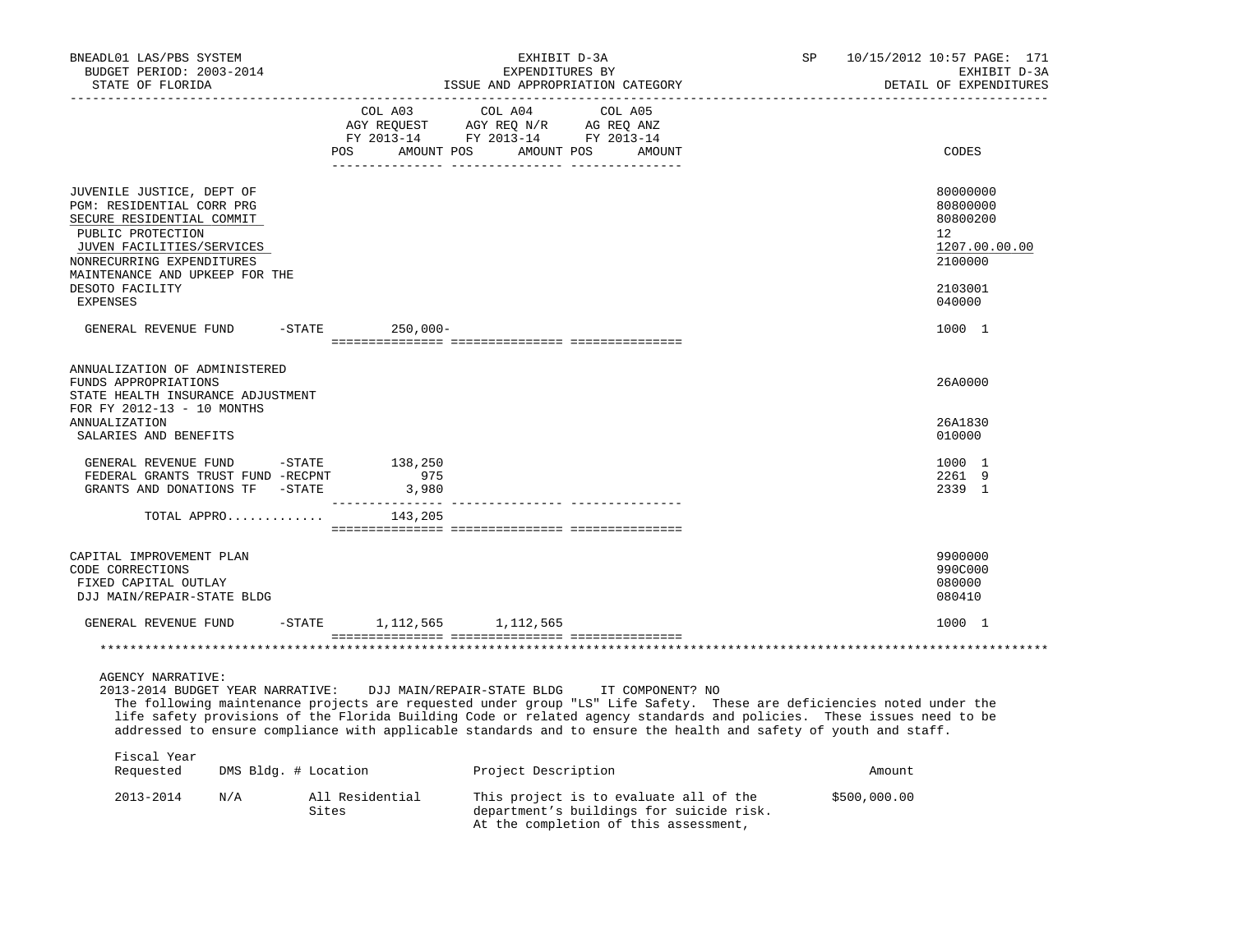| BNEADL01 LAS/PBS SYSTEM<br>BUDGET PERIOD: 2003-2014<br>STATE OF FLORIDA                                                                                                                                                                                                                                                                                                                                                            |                      |                                                                                                                                                                                                                                                                   | EXHIBIT D-3A<br>EXPENDITURES BY<br>ISSUE AND APPROPRIATION CATEGORY |         |                                                                                                                             | SP |              | 10/15/2012 10:57 PAGE: 171<br>EXHIBIT D-3A<br>DETAIL OF EXPENDITURES |
|------------------------------------------------------------------------------------------------------------------------------------------------------------------------------------------------------------------------------------------------------------------------------------------------------------------------------------------------------------------------------------------------------------------------------------|----------------------|-------------------------------------------------------------------------------------------------------------------------------------------------------------------------------------------------------------------------------------------------------------------|---------------------------------------------------------------------|---------|-----------------------------------------------------------------------------------------------------------------------------|----|--------------|----------------------------------------------------------------------|
|                                                                                                                                                                                                                                                                                                                                                                                                                                    |                      | COL A03<br>$\begin{tabular}{lllllllll} \bf{AGY} & \bf{REQUEST} & \bf{AGY} & \bf{REQ} & \bf{N/R} & \bf{AG} & \bf{REQ} & \bf{ANZ} \\ \bf{FY} & \bf{2013-14} & \bf{FY} & \bf{2013-14} & \bf{FY} & \bf{2013-14} \\ \end{tabular}$<br>POS AMOUNT POS AMOUNT POS AMOUNT | COL A04                                                             | COL A05 |                                                                                                                             |    |              | CODES                                                                |
| JUVENILE JUSTICE, DEPT OF<br>PGM: RESIDENTIAL CORR PRG<br>SECURE RESIDENTIAL COMMIT<br>PUBLIC PROTECTION<br>JUVEN FACILITIES/SERVICES<br>NONRECURRING EXPENDITURES<br>MAINTENANCE AND UPKEEP FOR THE                                                                                                                                                                                                                               |                      |                                                                                                                                                                                                                                                                   |                                                                     |         |                                                                                                                             |    |              | 80000000<br>80800000<br>80800200<br>12<br>1207.00.00.00<br>2100000   |
| DESOTO FACILITY<br><b>EXPENSES</b>                                                                                                                                                                                                                                                                                                                                                                                                 |                      |                                                                                                                                                                                                                                                                   |                                                                     |         |                                                                                                                             |    |              | 2103001<br>040000                                                    |
| GENERAL REVENUE FUND -STATE 250,000-                                                                                                                                                                                                                                                                                                                                                                                               |                      |                                                                                                                                                                                                                                                                   |                                                                     |         |                                                                                                                             |    |              | 1000 1                                                               |
| ANNUALIZATION OF ADMINISTERED<br>FUNDS APPROPRIATIONS<br>STATE HEALTH INSURANCE ADJUSTMENT<br>FOR FY 2012-13 - 10 MONTHS                                                                                                                                                                                                                                                                                                           |                      |                                                                                                                                                                                                                                                                   |                                                                     |         |                                                                                                                             |    |              | 26A0000                                                              |
| <b>ANNUALIZATION</b><br>SALARIES AND BENEFITS                                                                                                                                                                                                                                                                                                                                                                                      |                      |                                                                                                                                                                                                                                                                   |                                                                     |         |                                                                                                                             |    |              | 26A1830<br>010000                                                    |
| GENERAL REVENUE FUND -STATE 138,250<br>FEDERAL GRANTS TRUST FUND -RECPNT<br>GRANTS AND DONATIONS TF -STATE                                                                                                                                                                                                                                                                                                                         |                      | 975<br>3,980                                                                                                                                                                                                                                                      | .____________ _______________                                       |         |                                                                                                                             |    |              | 1000 1<br>2261 9<br>2339 1                                           |
| TOTAL APPRO                                                                                                                                                                                                                                                                                                                                                                                                                        |                      | 143,205                                                                                                                                                                                                                                                           |                                                                     |         |                                                                                                                             |    |              |                                                                      |
| CAPITAL IMPROVEMENT PLAN<br>CODE CORRECTIONS<br>FIXED CAPITAL OUTLAY<br>DJJ MAIN/REPAIR-STATE BLDG                                                                                                                                                                                                                                                                                                                                 |                      |                                                                                                                                                                                                                                                                   |                                                                     |         |                                                                                                                             |    |              | 9900000<br>990C000<br>080000<br>080410                               |
| GENERAL REVENUE FUND                                                                                                                                                                                                                                                                                                                                                                                                               |                      | $-$ STATE 1, 112, 565 1, 112, 565                                                                                                                                                                                                                                 |                                                                     |         |                                                                                                                             |    |              | 1000 1                                                               |
|                                                                                                                                                                                                                                                                                                                                                                                                                                    |                      |                                                                                                                                                                                                                                                                   |                                                                     |         |                                                                                                                             |    |              |                                                                      |
| <b>AGENCY NARRATIVE:</b><br>2013-2014 BUDGET YEAR NARRATIVE:<br>The following maintenance projects are requested under group "LS" Life Safety. These are deficiencies noted under the<br>life safety provisions of the Florida Building Code or related agency standards and policies. These issues need to be<br>addressed to ensure compliance with applicable standards and to ensure the health and safety of youth and staff. |                      | DJJ MAIN/REPAIR-STATE BLDG                                                                                                                                                                                                                                        |                                                                     |         | IT COMPONENT? NO                                                                                                            |    |              |                                                                      |
| Fiscal Year<br>Requested                                                                                                                                                                                                                                                                                                                                                                                                           | DMS Bldg. # Location |                                                                                                                                                                                                                                                                   | Project Description                                                 |         |                                                                                                                             |    | Amount       |                                                                      |
| 2013-2014<br>N/A                                                                                                                                                                                                                                                                                                                                                                                                                   | Sites                | All Residential                                                                                                                                                                                                                                                   |                                                                     |         | This project is to evaluate all of the<br>department's buildings for suicide risk.<br>At the completion of this assessment, |    | \$500,000.00 |                                                                      |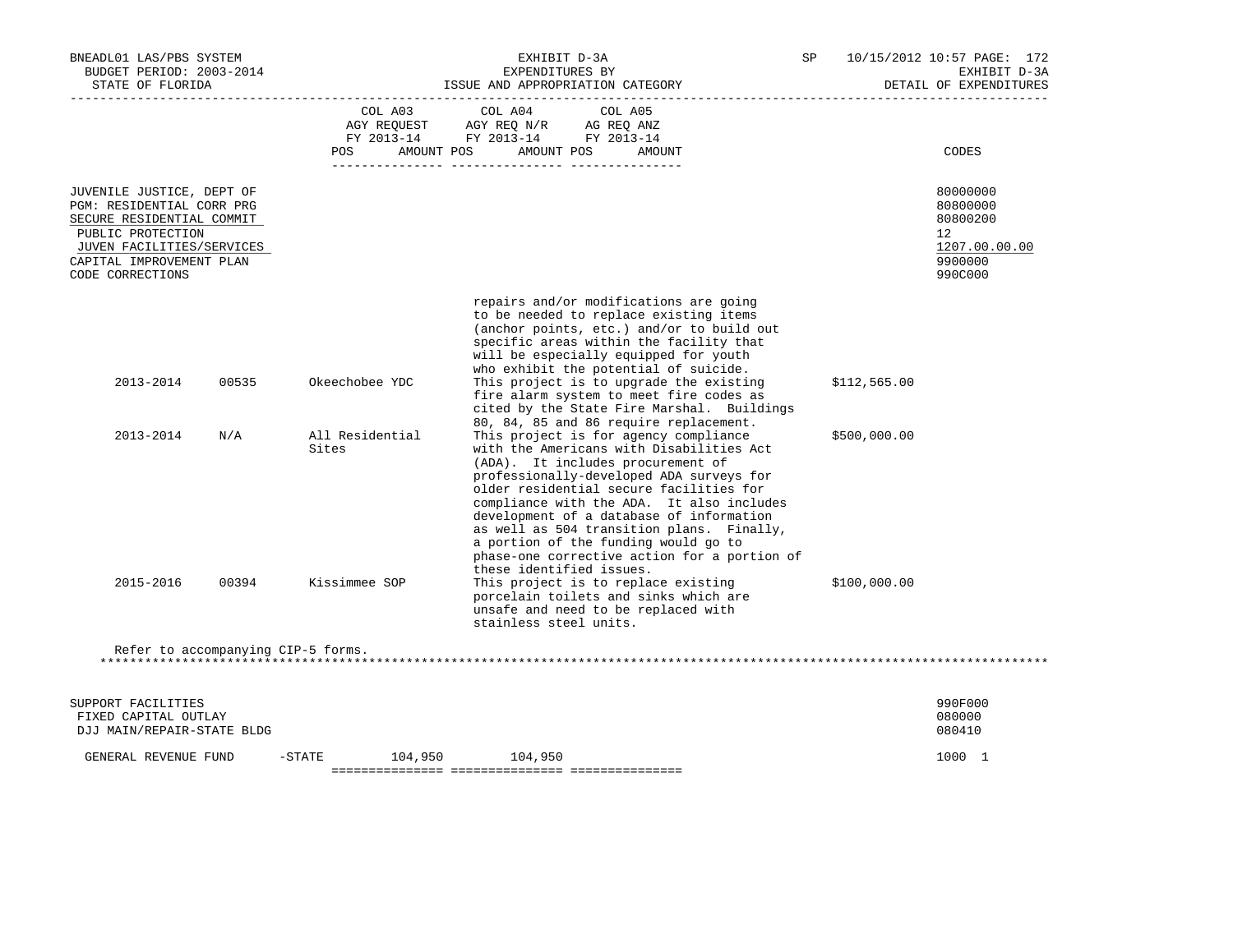| BNEADL01 LAS/PBS SYSTEM<br>BUDGET PERIOD: 2003-2014<br>STATE OF FLORIDA                                                                                                               |                          | EXHIBIT D-3A<br>EXPENDITURES BY<br>ISSUE AND APPROPRIATION CATEGORY                                                                                                                                                                                                                                                                                                                                                                                                                   | SP           | 10/15/2012 10:57 PAGE: 172<br>EXHIBIT D-3A<br>DETAIL OF EXPENDITURES          |
|---------------------------------------------------------------------------------------------------------------------------------------------------------------------------------------|--------------------------|---------------------------------------------------------------------------------------------------------------------------------------------------------------------------------------------------------------------------------------------------------------------------------------------------------------------------------------------------------------------------------------------------------------------------------------------------------------------------------------|--------------|-------------------------------------------------------------------------------|
|                                                                                                                                                                                       | POS<br>AMOUNT POS        | COL A03 COL A04 COL A05<br>AGY REQUEST AGY REQ N/R AG REQ ANZ<br>FY 2013-14 FY 2013-14 FY 2013-14<br>AMOUNT POS<br>AMOUNT                                                                                                                                                                                                                                                                                                                                                             |              | CODES                                                                         |
| JUVENILE JUSTICE, DEPT OF<br>PGM: RESIDENTIAL CORR PRG<br>SECURE RESIDENTIAL COMMIT<br>PUBLIC PROTECTION<br>JUVEN FACILITIES/SERVICES<br>CAPITAL IMPROVEMENT PLAN<br>CODE CORRECTIONS |                          |                                                                                                                                                                                                                                                                                                                                                                                                                                                                                       |              | 80000000<br>80800000<br>80800200<br>12<br>1207.00.00.00<br>9900000<br>990C000 |
| 2013-2014<br>00535                                                                                                                                                                    | Okeechobee YDC           | repairs and/or modifications are going<br>to be needed to replace existing items<br>(anchor points, etc.) and/or to build out<br>specific areas within the facility that<br>will be especially equipped for youth<br>who exhibit the potential of suicide.<br>This project is to upgrade the existing<br>fire alarm system to meet fire codes as<br>cited by the State Fire Marshal. Buildings                                                                                        | \$112,565.00 |                                                                               |
| 2013-2014<br>N/A                                                                                                                                                                      | All Residential<br>Sites | 80, 84, 85 and 86 require replacement.<br>This project is for agency compliance<br>with the Americans with Disabilities Act<br>(ADA). It includes procurement of<br>professionally-developed ADA surveys for<br>older residential secure facilities for<br>compliance with the ADA. It also includes<br>development of a database of information<br>as well as 504 transition plans. Finally,<br>a portion of the funding would go to<br>phase-one corrective action for a portion of | \$500,000.00 |                                                                               |
| 2015-2016<br>00394                                                                                                                                                                    | Kissimmee SOP            | these identified issues.<br>This project is to replace existing<br>porcelain toilets and sinks which are<br>unsafe and need to be replaced with<br>stainless steel units.                                                                                                                                                                                                                                                                                                             | \$100,000.00 |                                                                               |
| Refer to accompanying CIP-5 forms.                                                                                                                                                    |                          |                                                                                                                                                                                                                                                                                                                                                                                                                                                                                       |              |                                                                               |
| SUPPORT FACILITIES<br>FIXED CAPITAL OUTLAY<br>DJJ MAIN/REPAIR-STATE BLDG                                                                                                              |                          |                                                                                                                                                                                                                                                                                                                                                                                                                                                                                       |              | 990F000<br>080000<br>080410                                                   |
| GENERAL REVENUE FUND                                                                                                                                                                  | $-$ STATE                | 104,950 104,950                                                                                                                                                                                                                                                                                                                                                                                                                                                                       |              | 1000 1                                                                        |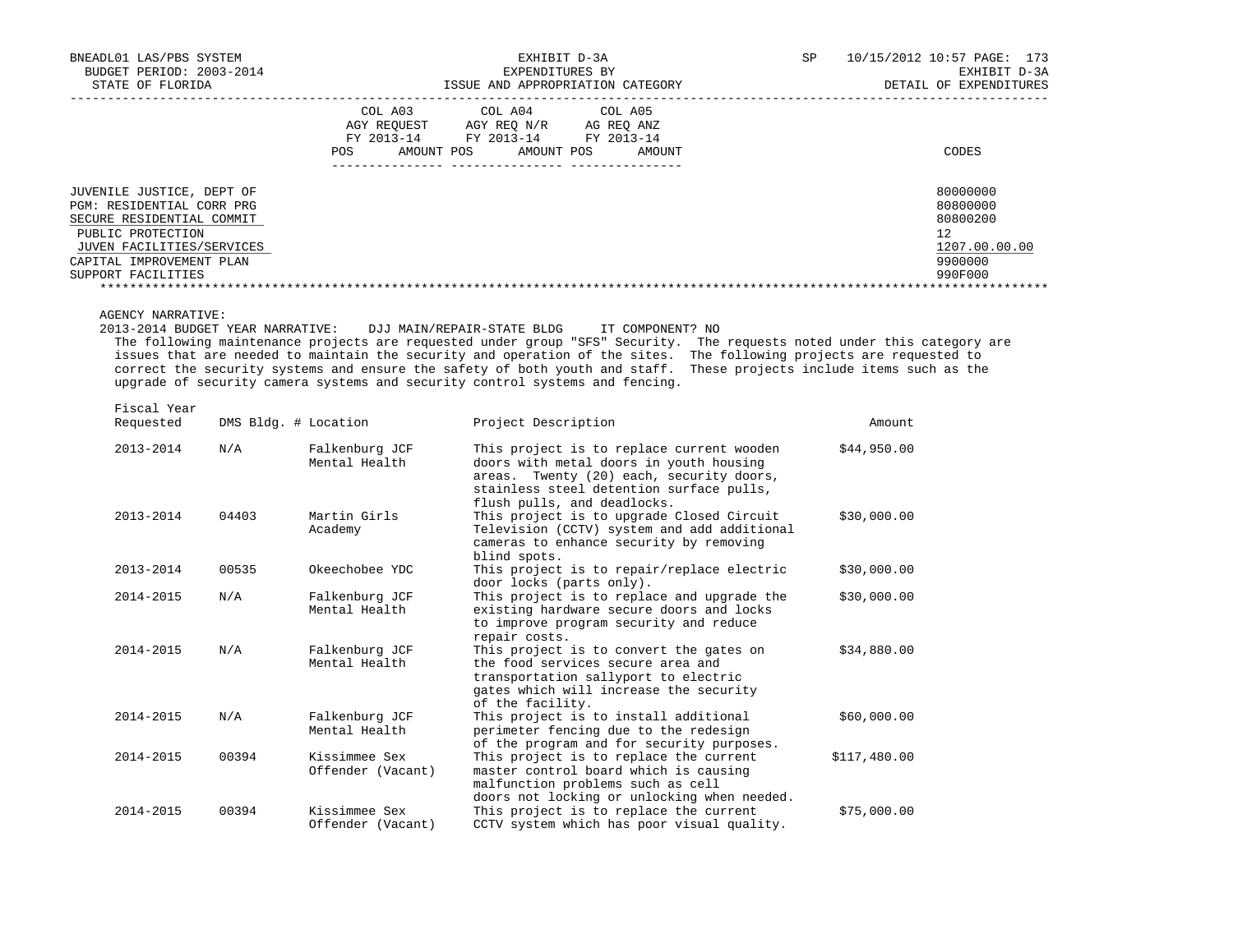| BNEADL01 LAS/PBS SYSTEM<br>BUDGET PERIOD: 2003-2014                                                                                                                                     | EXHIBIT D-3A<br>EXPENDITURES BY                                                                                                                                         | 10/15/2012 10:57 PAGE: 173<br>SP<br>EXHIBIT D-3A                              |
|-----------------------------------------------------------------------------------------------------------------------------------------------------------------------------------------|-------------------------------------------------------------------------------------------------------------------------------------------------------------------------|-------------------------------------------------------------------------------|
| STATE OF FLORIDA                                                                                                                                                                        | ISSUE AND APPROPRIATION CATEGORY                                                                                                                                        | DETAIL OF EXPENDITURES                                                        |
|                                                                                                                                                                                         | COL A03<br>COL A04<br>COL A05<br>AGY REOUEST<br>AGY REO N/R<br>AG REO ANZ<br>FY 2013-14<br>FY 2013-14<br>FY 2013-14<br>AMOUNT POS<br><b>POS</b><br>AMOUNT POS<br>AMOUNT | CODES                                                                         |
| JUVENILE JUSTICE, DEPT OF<br>PGM: RESIDENTIAL CORR PRG<br>SECURE RESIDENTIAL COMMIT<br>PUBLIC PROTECTION<br>JUVEN FACILITIES/SERVICES<br>CAPITAL IMPROVEMENT PLAN<br>SUPPORT FACILITIES |                                                                                                                                                                         | 80000000<br>80800000<br>80800200<br>12<br>1207.00.00.00<br>9900000<br>990F000 |
|                                                                                                                                                                                         |                                                                                                                                                                         |                                                                               |

AGENCY NARRATIVE:

2013-2014 BUDGET YEAR NARRATIVE: DJJ MAIN/REPAIR-STATE BLDG IT COMPONENT? NO

 The following maintenance projects are requested under group "SFS" Security. The requests noted under this category are issues that are needed to maintain the security and operation of the sites. The following projects are requested to correct the security systems and ensure the safety of both youth and staff. These projects include items such as the upgrade of security camera systems and security control systems and fencing.

Fiscal Year

| Requested     | DMS Bldg. # Location |                                    | Project Description                                                                                                                                                                                         | Amount       |
|---------------|----------------------|------------------------------------|-------------------------------------------------------------------------------------------------------------------------------------------------------------------------------------------------------------|--------------|
| 2013-2014     | N/A                  | Falkenburg JCF<br>Mental Health    | This project is to replace current wooden<br>doors with metal doors in youth housing<br>areas. Twenty (20) each, security doors,<br>stainless steel detention surface pulls,<br>flush pulls, and deadlocks. | \$44,950.00  |
| $2013 - 2014$ | 04403                | Martin Girls<br>Academy            | This project is to upgrade Closed Circuit<br>Television (CCTV) system and add additional<br>cameras to enhance security by removing<br>blind spots.                                                         | \$30,000.00  |
| 2013-2014     | 00535                | Okeechobee YDC                     | This project is to repair/replace electric<br>door locks (parts only).                                                                                                                                      | \$30,000.00  |
| 2014-2015     | N/A                  | Falkenburg JCF<br>Mental Health    | This project is to replace and upgrade the<br>existing hardware secure doors and locks<br>to improve program security and reduce<br>repair costs.                                                           | \$30,000.00  |
| $2014 - 2015$ | N/A                  | Falkenburg JCF<br>Mental Health    | This project is to convert the gates on<br>the food services secure area and<br>transportation sallyport to electric<br>gates which will increase the security<br>of the facility.                          | \$34,880.00  |
| 2014-2015     | N/A                  | Falkenburg JCF<br>Mental Health    | This project is to install additional<br>perimeter fencing due to the redesign<br>of the program and for security purposes.                                                                                 | \$60,000.00  |
| 2014-2015     | 00394                | Kissimmee Sex<br>Offender (Vacant) | This project is to replace the current<br>master control board which is causing<br>malfunction problems such as cell<br>doors not locking or unlocking when needed.                                         | \$117,480.00 |
| $2014 - 2015$ | 00394                | Kissimmee Sex<br>Offender (Vacant) | This project is to replace the current<br>CCTV system which has poor visual quality.                                                                                                                        | \$75,000.00  |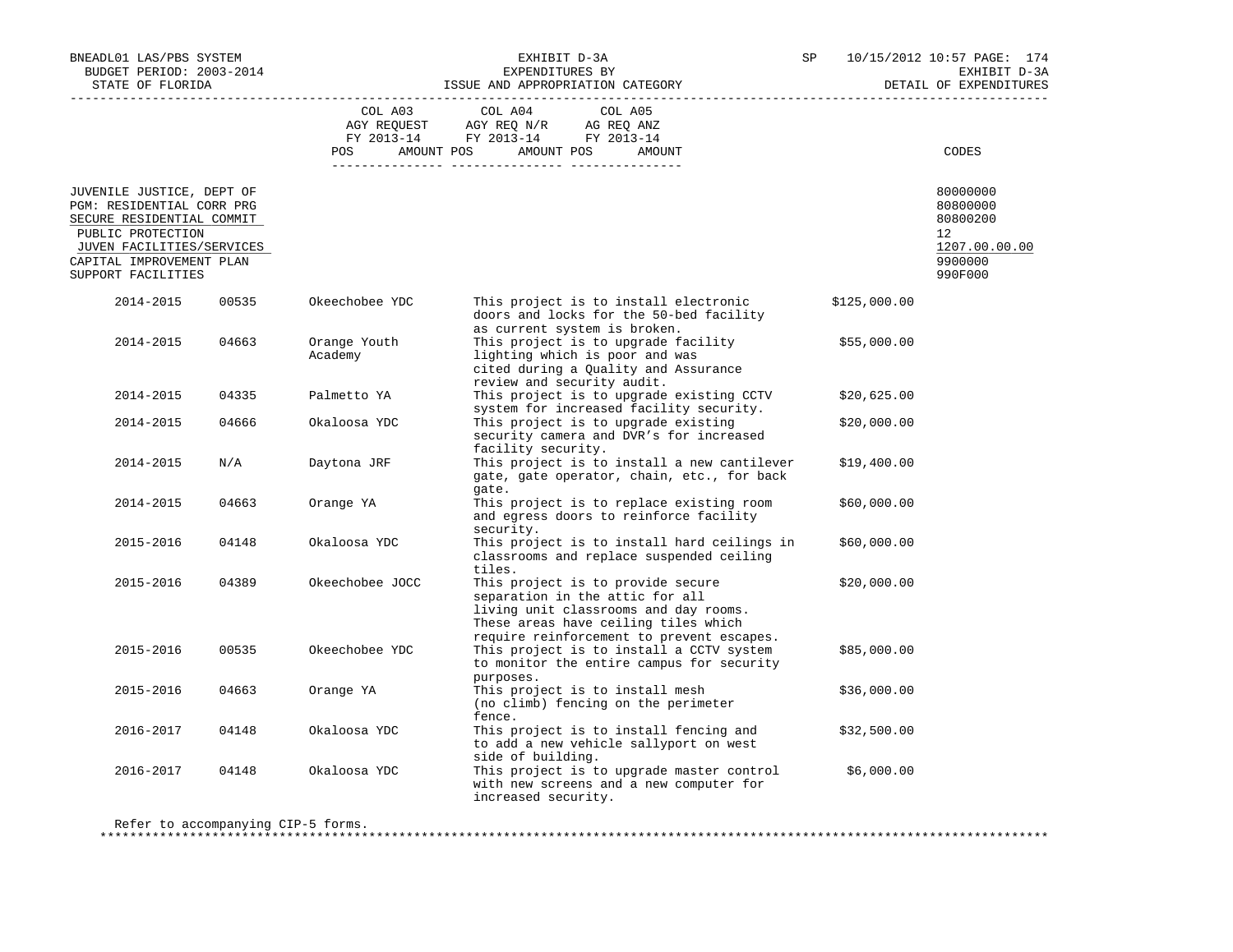| BNEADL01 LAS/PBS SYSTEM                                                                                                                                                                 |       |                                  | EXHIBIT D-3A<br>EXPENDITURES BY                                                                                                                                                                                                                                                                                      | SP                     | 10/15/2012 10:57 PAGE: 174<br>EXHIBIT D-3A                                    |
|-----------------------------------------------------------------------------------------------------------------------------------------------------------------------------------------|-------|----------------------------------|----------------------------------------------------------------------------------------------------------------------------------------------------------------------------------------------------------------------------------------------------------------------------------------------------------------------|------------------------|-------------------------------------------------------------------------------|
| BUDGET PERIOD: 2003-2014<br>STATE OF FLORIDA                                                                                                                                            |       | ISSUE AND APPROPRIATION CATEGORY |                                                                                                                                                                                                                                                                                                                      | DETAIL OF EXPENDITURES |                                                                               |
|                                                                                                                                                                                         |       |                                  | COL A03 COL A04<br>COL A05<br>$\begin{tabular}{lllllllll} \bf AGY \;\; RegUEST\hspace{1cm} \bf AGY \;\; REG\;\; N/R\hspace{1cm} \bf AG \;\; REG \;\; \bf ANZ \\ \hline \bf FY \;\; 2013-14\hspace{1cm} & \tt FY \;\; 2013-14\hspace{1cm} & \tt FY \;\; 2013-14 \end{tabular}$<br>POS AMOUNT POS AMOUNT POS<br>AMOUNT |                        | CODES                                                                         |
|                                                                                                                                                                                         |       |                                  |                                                                                                                                                                                                                                                                                                                      |                        |                                                                               |
| JUVENILE JUSTICE, DEPT OF<br>PGM: RESIDENTIAL CORR PRG<br>SECURE RESIDENTIAL COMMIT<br>PUBLIC PROTECTION<br>JUVEN FACILITIES/SERVICES<br>CAPITAL IMPROVEMENT PLAN<br>SUPPORT FACILITIES |       |                                  |                                                                                                                                                                                                                                                                                                                      |                        | 80000000<br>80800000<br>80800200<br>12<br>1207.00.00.00<br>9900000<br>990F000 |
| 2014-2015                                                                                                                                                                               | 00535 | Okeechobee YDC                   | This project is to install electronic<br>doors and locks for the 50-bed facility                                                                                                                                                                                                                                     | \$125,000.00           |                                                                               |
| 2014-2015                                                                                                                                                                               | 04663 | Orange Youth<br>Academy          | as current system is broken.<br>This project is to upgrade facility<br>lighting which is poor and was<br>cited during a Quality and Assurance<br>review and security audit.                                                                                                                                          | \$55,000.00            |                                                                               |
| 2014-2015                                                                                                                                                                               | 04335 | Palmetto YA                      | This project is to upgrade existing CCTV<br>system for increased facility security.                                                                                                                                                                                                                                  | \$20,625.00            |                                                                               |
| 2014-2015                                                                                                                                                                               | 04666 | Okaloosa YDC                     | This project is to upgrade existing<br>security camera and DVR's for increased<br>facility security.                                                                                                                                                                                                                 | \$20,000.00            |                                                                               |
| 2014-2015                                                                                                                                                                               | N/A   | Daytona JRF                      | This project is to install a new cantilever<br>gate, gate operator, chain, etc., for back<br>gate.                                                                                                                                                                                                                   | \$19,400.00            |                                                                               |
| 2014-2015                                                                                                                                                                               | 04663 | Orange YA                        | This project is to replace existing room<br>and egress doors to reinforce facility<br>security.                                                                                                                                                                                                                      | \$60,000.00            |                                                                               |
| 2015-2016                                                                                                                                                                               | 04148 | Okaloosa YDC                     | This project is to install hard ceilings in<br>classrooms and replace suspended ceiling<br>tiles.                                                                                                                                                                                                                    | \$60,000.00            |                                                                               |
| 2015-2016                                                                                                                                                                               | 04389 | Okeechobee JOCC                  | This project is to provide secure<br>separation in the attic for all<br>living unit classrooms and day rooms.<br>These areas have ceiling tiles which<br>require reinforcement to prevent escapes.                                                                                                                   | \$20,000.00            |                                                                               |
| 2015-2016                                                                                                                                                                               | 00535 | Okeechobee YDC                   | This project is to install a CCTV system<br>to monitor the entire campus for security<br>purposes.                                                                                                                                                                                                                   | \$85,000.00            |                                                                               |
| 2015-2016                                                                                                                                                                               | 04663 | Orange YA                        | This project is to install mesh<br>(no climb) fencing on the perimeter<br>fence.                                                                                                                                                                                                                                     | \$36,000.00            |                                                                               |
| 2016-2017                                                                                                                                                                               | 04148 | Okaloosa YDC                     | This project is to install fencing and<br>to add a new vehicle sallyport on west<br>side of building.                                                                                                                                                                                                                | \$32,500.00            |                                                                               |
| 2016-2017                                                                                                                                                                               | 04148 | Okaloosa YDC                     | This project is to upgrade master control<br>with new screens and a new computer for<br>increased security.                                                                                                                                                                                                          | \$6,000.00             |                                                                               |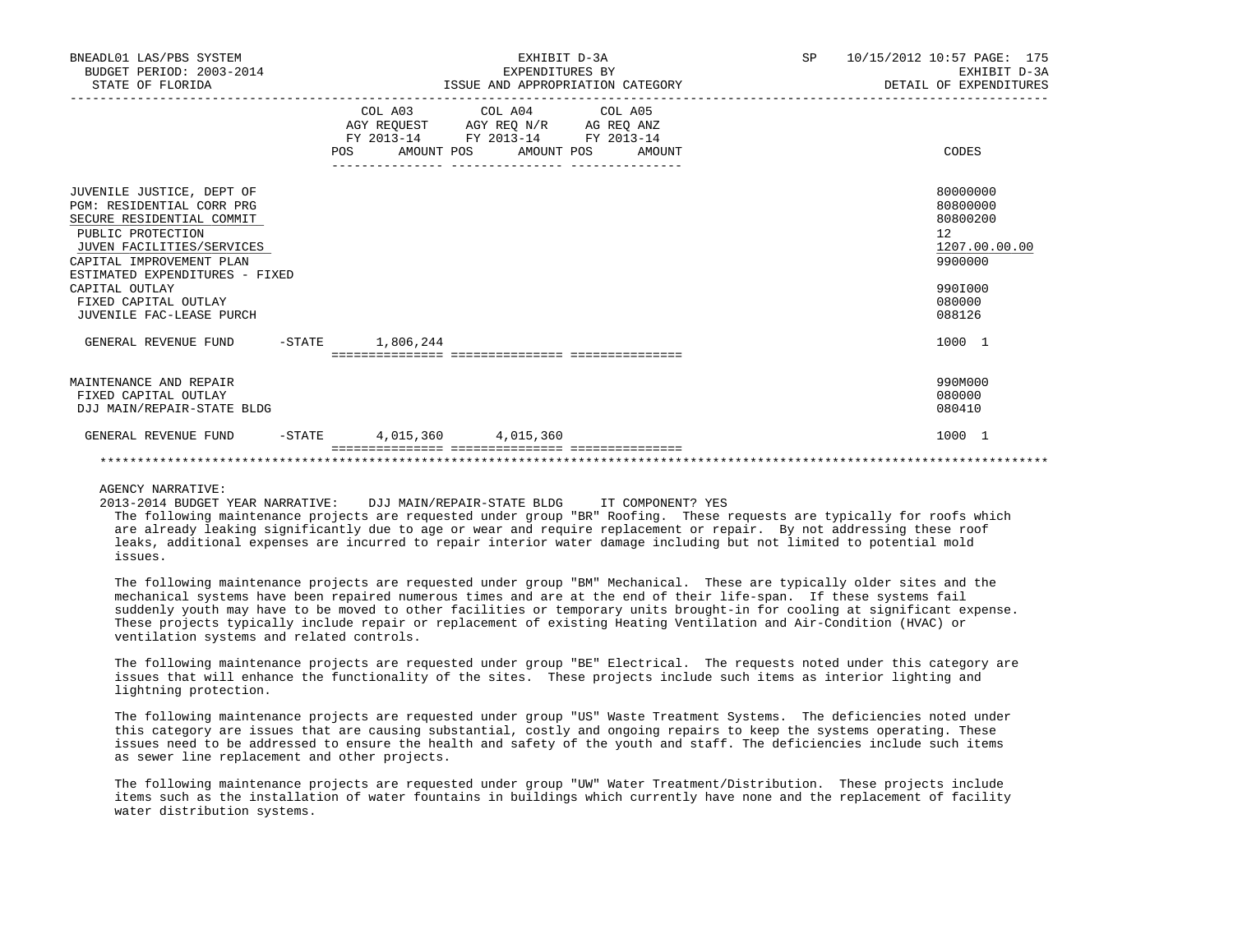| BNEADL01 LAS/PBS SYSTEM<br>BUDGET PERIOD: 2003-2014<br>STATE OF FLORIDA                                                                                                                                                                                                   | EXHIBIT D-3A<br>EXPENDITURES BY<br>ISSUE AND APPROPRIATION CATEGORY                                                                   | SP | 10/15/2012 10:57 PAGE: 175<br>EXHIBIT D-3A<br>DETAIL OF EXPENDITURES                              |
|---------------------------------------------------------------------------------------------------------------------------------------------------------------------------------------------------------------------------------------------------------------------------|---------------------------------------------------------------------------------------------------------------------------------------|----|---------------------------------------------------------------------------------------------------|
|                                                                                                                                                                                                                                                                           | COL A03 COL A04 COL A05<br>AGY REQUEST AGY REQ N/R AG REQ ANZ<br>FY 2013-14 FY 2013-14 FY 2013-14<br>POS AMOUNT POS AMOUNT POS AMOUNT |    | CODES                                                                                             |
| JUVENILE JUSTICE, DEPT OF<br>PGM: RESIDENTIAL CORR PRG<br>SECURE RESIDENTIAL COMMIT<br>PUBLIC PROTECTION<br>JUVEN FACILITIES/SERVICES<br>CAPITAL IMPROVEMENT PLAN<br>ESTIMATED EXPENDITURES - FIXED<br>CAPITAL OUTLAY<br>FIXED CAPITAL OUTLAY<br>JUVENILE FAC-LEASE PURCH |                                                                                                                                       |    | 80000000<br>80800000<br>80800200<br>12<br>1207.00.00.00<br>9900000<br>990I000<br>080000<br>088126 |
| GENERAL REVENUE FUND -STATE 1,806,244                                                                                                                                                                                                                                     |                                                                                                                                       |    | 1000 1                                                                                            |
| MAINTENANCE AND REPAIR<br>FIXED CAPITAL OUTLAY<br>DJJ MAIN/REPAIR-STATE BLDG                                                                                                                                                                                              |                                                                                                                                       |    | 990M000<br>080000<br>080410                                                                       |
| GENERAL REVENUE FUND                                                                                                                                                                                                                                                      | $-$ STATE 4,015,360 4,015,360                                                                                                         |    | 1000 1                                                                                            |

## \*\*\*\*\*\*\*\*\*\*\*\*\*\*\*\*\*\*\*\*\*\*\*\*\*\*\*\*\*\*\*\*\*\*\*\*\*\*\*\*\*\*\*\*\*\*\*\*\*\*\*\*\*\*\*\*\*\*\*\*\*\*\*\*\*\*\*\*\*\*\*\*\*\*\*\*\*\*\*\*\*\*\*\*\*\*\*\*\*\*\*\*\*\*\*\*\*\*\*\*\*\*\*\*\*\*\*\*\*\*\*\*\*\*\*\*\*\*\*\*\*\*\*\*\*\*\*

AGENCY NARRATIVE:

2013-2014 BUDGET YEAR NARRATIVE: DJJ MAIN/REPAIR-STATE BLDG IT COMPONENT? YES

 The following maintenance projects are requested under group "BR" Roofing. These requests are typically for roofs which are already leaking significantly due to age or wear and require replacement or repair. By not addressing these roof leaks, additional expenses are incurred to repair interior water damage including but not limited to potential mold issues.

 The following maintenance projects are requested under group "BM" Mechanical. These are typically older sites and the mechanical systems have been repaired numerous times and are at the end of their life-span. If these systems fail suddenly youth may have to be moved to other facilities or temporary units brought-in for cooling at significant expense. These projects typically include repair or replacement of existing Heating Ventilation and Air-Condition (HVAC) or ventilation systems and related controls.

 The following maintenance projects are requested under group "BE" Electrical. The requests noted under this category are issues that will enhance the functionality of the sites. These projects include such items as interior lighting and lightning protection.

 The following maintenance projects are requested under group "US" Waste Treatment Systems. The deficiencies noted under this category are issues that are causing substantial, costly and ongoing repairs to keep the systems operating. These issues need to be addressed to ensure the health and safety of the youth and staff. The deficiencies include such items as sewer line replacement and other projects.

 The following maintenance projects are requested under group "UW" Water Treatment/Distribution. These projects include items such as the installation of water fountains in buildings which currently have none and the replacement of facility water distribution systems.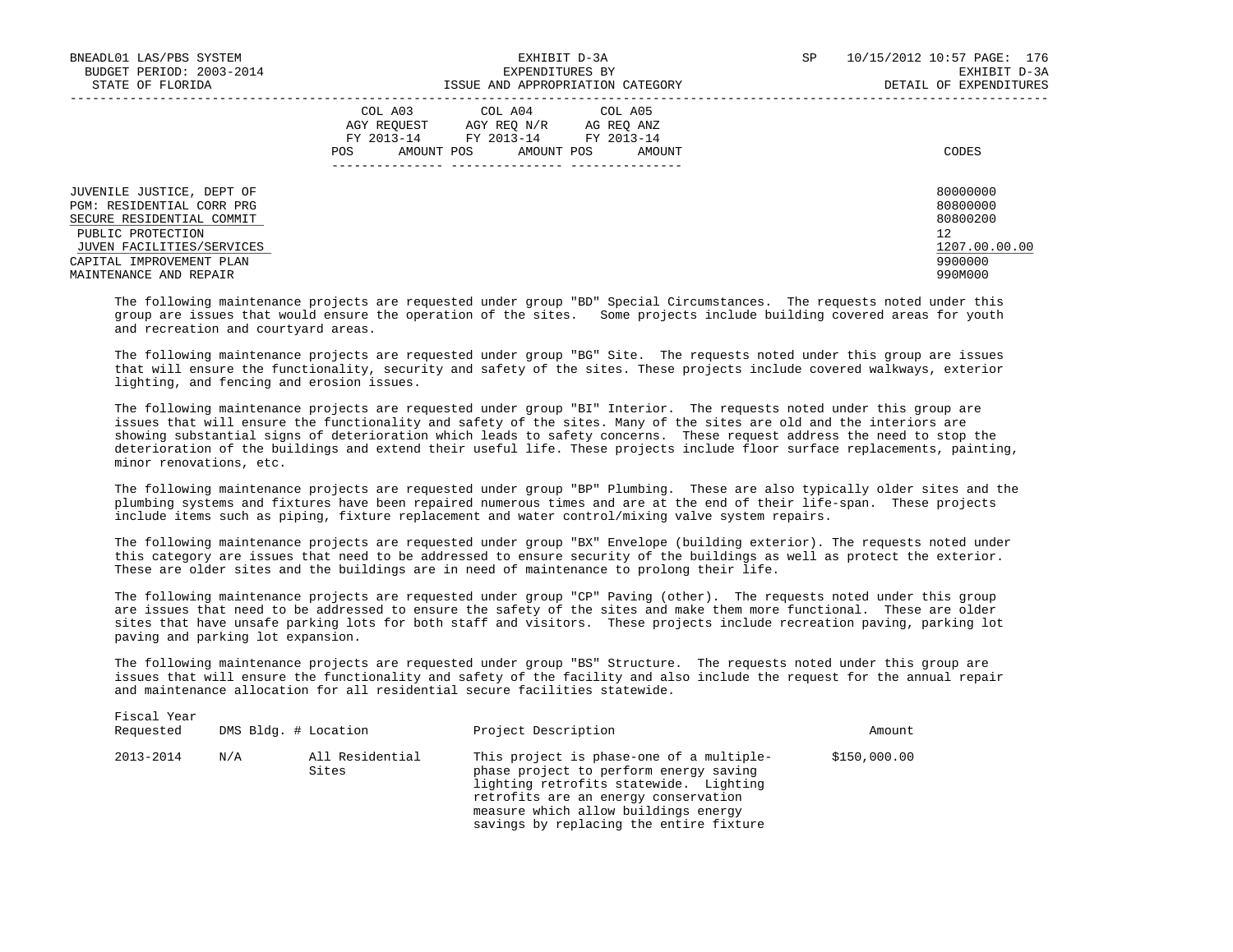| BNEADL01 LAS/PBS SYSTEM<br>BUDGET PERIOD: 2003-2014                                                                                   | EXHIBIT D-3A<br>EXPENDITURES BY                                                                                                                | SP | 10/15/2012 10:57 PAGE: 176<br>EXHIBIT D-3A              |
|---------------------------------------------------------------------------------------------------------------------------------------|------------------------------------------------------------------------------------------------------------------------------------------------|----|---------------------------------------------------------|
| STATE OF FLORIDA                                                                                                                      | ISSUE AND APPROPRIATION CATEGORY                                                                                                               |    | DETAIL OF EXPENDITURES                                  |
|                                                                                                                                       | COL A03 COL A04 COL A05<br>AGY REOUEST AGY REO N/R<br>AG REO ANZ<br>FY 2013-14 FY 2013-14 FY 2013-14<br>AMOUNT POS AMOUNT POS<br>POS<br>AMOUNT |    | CODES                                                   |
| JUVENILE JUSTICE, DEPT OF<br>PGM: RESIDENTIAL CORR PRG<br>SECURE RESIDENTIAL COMMIT<br>PUBLIC PROTECTION<br>JUVEN FACILITIES/SERVICES |                                                                                                                                                |    | 80000000<br>80800000<br>80800200<br>12<br>1207.00.00.00 |
| CAPITAL IMPROVEMENT PLAN<br>MAINTENANCE AND REPAIR                                                                                    |                                                                                                                                                |    | 9900000<br>990M000                                      |

 The following maintenance projects are requested under group "BD" Special Circumstances. The requests noted under this group are issues that would ensure the operation of the sites. Some projects include building covered areas for youth and recreation and courtyard areas.

 The following maintenance projects are requested under group "BG" Site. The requests noted under this group are issues that will ensure the functionality, security and safety of the sites. These projects include covered walkways, exterior lighting, and fencing and erosion issues.

 The following maintenance projects are requested under group "BI" Interior. The requests noted under this group are issues that will ensure the functionality and safety of the sites. Many of the sites are old and the interiors are showing substantial signs of deterioration which leads to safety concerns. These request address the need to stop the deterioration of the buildings and extend their useful life. These projects include floor surface replacements, painting, minor renovations, etc.

 The following maintenance projects are requested under group "BP" Plumbing. These are also typically older sites and the plumbing systems and fixtures have been repaired numerous times and are at the end of their life-span. These projects include items such as piping, fixture replacement and water control/mixing valve system repairs.

 The following maintenance projects are requested under group "BX" Envelope (building exterior). The requests noted under this category are issues that need to be addressed to ensure security of the buildings as well as protect the exterior. These are older sites and the buildings are in need of maintenance to prolong their life.

 The following maintenance projects are requested under group "CP" Paving (other). The requests noted under this group are issues that need to be addressed to ensure the safety of the sites and make them more functional. These are older sites that have unsafe parking lots for both staff and visitors. These projects include recreation paving, parking lot paving and parking lot expansion.

 The following maintenance projects are requested under group "BS" Structure. The requests noted under this group are issues that will ensure the functionality and safety of the facility and also include the request for the annual repair and maintenance allocation for all residential secure facilities statewide.

| Requested |     | DMS Bldg. # Location     | Project Description                                                                                                                                                                                                                                     | Amount       |
|-----------|-----|--------------------------|---------------------------------------------------------------------------------------------------------------------------------------------------------------------------------------------------------------------------------------------------------|--------------|
| 2013-2014 | N/A | All Residential<br>Sites | This project is phase-one of a multiple-<br>phase project to perform energy saving<br>lighting retrofits statewide. Lighting<br>retrofits are an energy conservation<br>measure which allow buildings energy<br>savings by replacing the entire fixture | \$150,000.00 |

Fiscal Year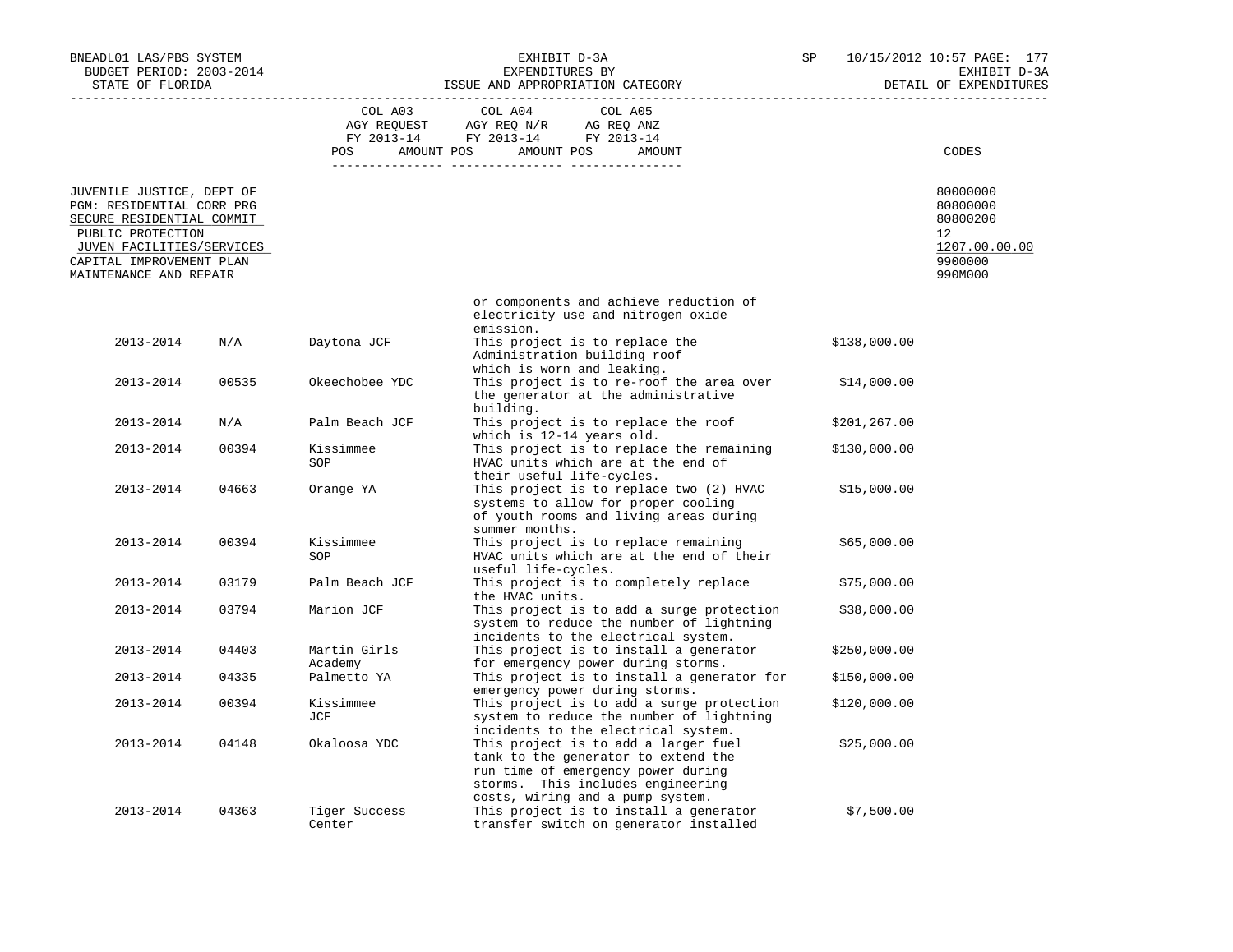| BNEADL01 LAS/PBS SYSTEM<br>BUDGET PERIOD: 2003-2014<br>STATE OF FLORIDA                                                                                                                     |       | EXHIBIT D-3A<br>EXPENDITURES BY<br>ISSUE AND APPROPRIATION CATEGORY |                                                                                   | SP                                                                                                                                                                                         | 10/15/2012 10:57 PAGE: 177<br>EXHIBIT D-3A<br>DETAIL OF EXPENDITURES |               |                                                                               |
|---------------------------------------------------------------------------------------------------------------------------------------------------------------------------------------------|-------|---------------------------------------------------------------------|-----------------------------------------------------------------------------------|--------------------------------------------------------------------------------------------------------------------------------------------------------------------------------------------|----------------------------------------------------------------------|---------------|-------------------------------------------------------------------------------|
|                                                                                                                                                                                             |       |                                                                     |                                                                                   |                                                                                                                                                                                            |                                                                      |               |                                                                               |
|                                                                                                                                                                                             |       | COL A03<br>POS AMOUNT POS AMOUNT POS                                | COL A04<br>AGY REQUEST AGY REQ N/R AG REQ ANZ<br>FY 2013-14 FY 2013-14 FY 2013-14 | COL A05<br>AMOUNT                                                                                                                                                                          |                                                                      |               | CODES                                                                         |
|                                                                                                                                                                                             |       |                                                                     |                                                                                   |                                                                                                                                                                                            |                                                                      |               |                                                                               |
| JUVENILE JUSTICE, DEPT OF<br>PGM: RESIDENTIAL CORR PRG<br>SECURE RESIDENTIAL COMMIT<br>PUBLIC PROTECTION<br>JUVEN FACILITIES/SERVICES<br>CAPITAL IMPROVEMENT PLAN<br>MAINTENANCE AND REPAIR |       |                                                                     |                                                                                   |                                                                                                                                                                                            |                                                                      |               | 80000000<br>80800000<br>80800200<br>12<br>1207.00.00.00<br>9900000<br>990M000 |
|                                                                                                                                                                                             |       |                                                                     | emission.                                                                         | or components and achieve reduction of<br>electricity use and nitrogen oxide                                                                                                               |                                                                      |               |                                                                               |
| 2013-2014                                                                                                                                                                                   | N/A   | Daytona JCF                                                         |                                                                                   | This project is to replace the<br>Administration building roof<br>which is worn and leaking.                                                                                               |                                                                      | \$138,000.00  |                                                                               |
| 2013-2014                                                                                                                                                                                   | 00535 | Okeechobee YDC                                                      | building.                                                                         | This project is to re-roof the area over<br>the generator at the administrative                                                                                                            |                                                                      | \$14,000.00   |                                                                               |
| 2013-2014                                                                                                                                                                                   | N/A   | Palm Beach JCF                                                      |                                                                                   | This project is to replace the roof<br>which is 12-14 years old.                                                                                                                           |                                                                      | \$201, 267.00 |                                                                               |
| 2013-2014                                                                                                                                                                                   | 00394 | Kissimmee<br>SOP                                                    |                                                                                   | This project is to replace the remaining<br>HVAC units which are at the end of<br>their useful life-cycles.                                                                                |                                                                      | \$130,000.00  |                                                                               |
| 2013-2014                                                                                                                                                                                   | 04663 | Orange YA                                                           | summer months.                                                                    | This project is to replace two (2) HVAC<br>systems to allow for proper cooling<br>of youth rooms and living areas during                                                                   |                                                                      | \$15,000.00   |                                                                               |
| 2013-2014                                                                                                                                                                                   | 00394 | Kissimmee<br>SOP                                                    | useful life-cycles.                                                               | This project is to replace remaining<br>HVAC units which are at the end of their                                                                                                           |                                                                      | \$65,000.00   |                                                                               |
| 2013-2014                                                                                                                                                                                   | 03179 | Palm Beach JCF                                                      | the HVAC units.                                                                   | This project is to completely replace                                                                                                                                                      |                                                                      | \$75,000.00   |                                                                               |
| 2013-2014                                                                                                                                                                                   | 03794 | Marion JCF                                                          |                                                                                   | This project is to add a surge protection<br>system to reduce the number of lightning<br>incidents to the electrical system.                                                               |                                                                      | \$38,000.00   |                                                                               |
| 2013-2014                                                                                                                                                                                   | 04403 | Martin Girls<br>Academy                                             |                                                                                   | This project is to install a generator<br>for emergency power during storms.                                                                                                               |                                                                      | \$250,000.00  |                                                                               |
| 2013-2014                                                                                                                                                                                   | 04335 | Palmetto YA                                                         |                                                                                   | This project is to install a generator for<br>emergency power during storms.                                                                                                               |                                                                      | \$150,000.00  |                                                                               |
| 2013-2014                                                                                                                                                                                   | 00394 | Kissimmee<br>JCF                                                    |                                                                                   | This project is to add a surge protection<br>system to reduce the number of lightning<br>incidents to the electrical system.                                                               |                                                                      | \$120,000.00  |                                                                               |
| 2013-2014                                                                                                                                                                                   | 04148 | Okaloosa YDC                                                        |                                                                                   | This project is to add a larger fuel<br>tank to the generator to extend the<br>run time of emergency power during<br>storms. This includes engineering<br>costs, wiring and a pump system. |                                                                      | \$25,000.00   |                                                                               |
| 2013-2014                                                                                                                                                                                   | 04363 | Tiger Success<br>Center                                             |                                                                                   | This project is to install a generator<br>transfer switch on generator installed                                                                                                           |                                                                      | \$7,500.00    |                                                                               |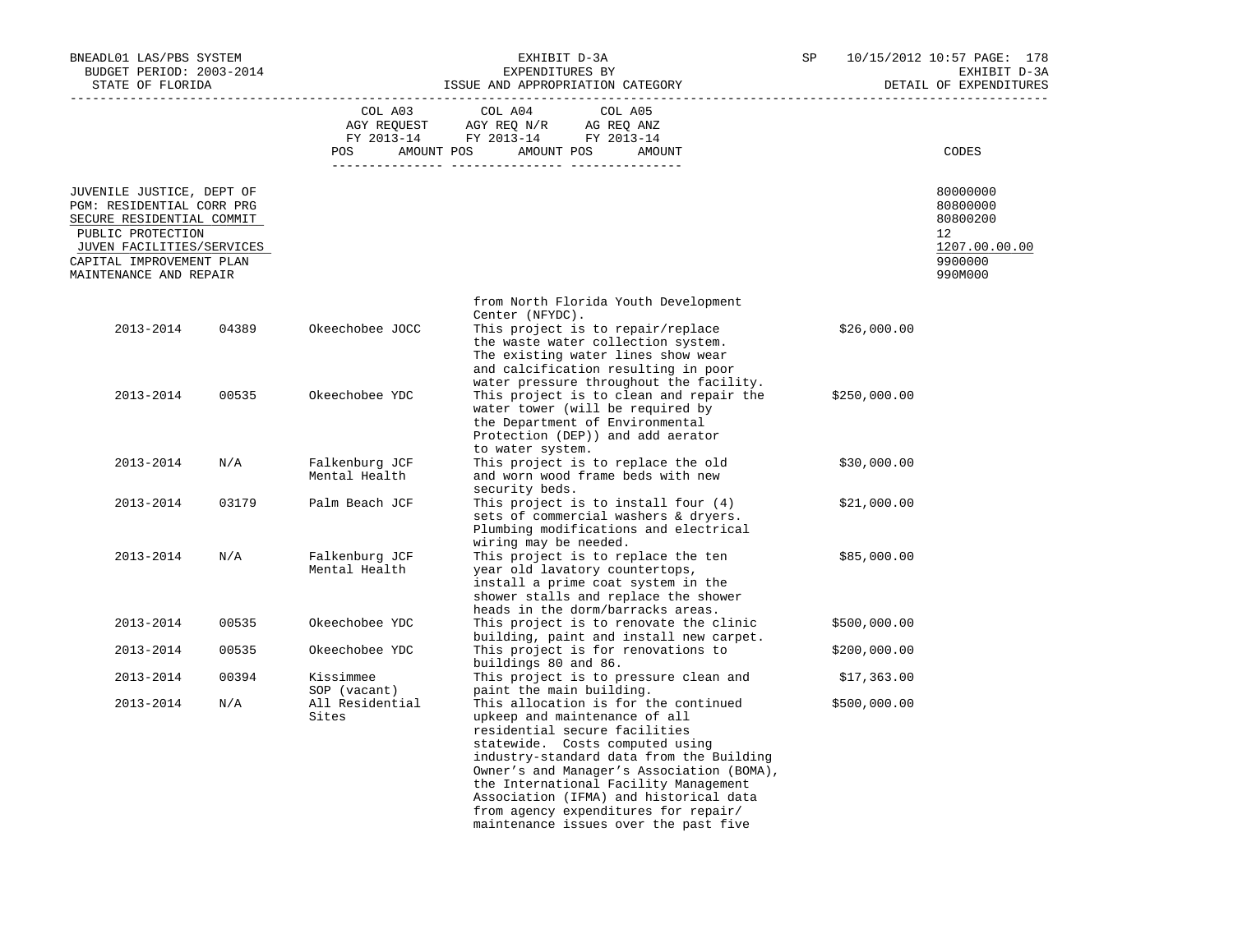| BNEADL01 LAS/PBS SYSTEM<br>BUDGET PERIOD: 2003-2014<br>STATE OF FLORIDA                                                                                                                     |       | EXHIBIT D-3A<br>EXPENDITURES BY<br>ISSUE AND APPROPRIATION CATEGORY |                                                                                                                                                                                                                                                                                                                                                                                                                                    |  | 10/15/2012 10:57 PAGE: 178<br>EXHIBIT D-3A<br>DETAIL OF EXPENDITURES |                                                                                         |
|---------------------------------------------------------------------------------------------------------------------------------------------------------------------------------------------|-------|---------------------------------------------------------------------|------------------------------------------------------------------------------------------------------------------------------------------------------------------------------------------------------------------------------------------------------------------------------------------------------------------------------------------------------------------------------------------------------------------------------------|--|----------------------------------------------------------------------|-----------------------------------------------------------------------------------------|
|                                                                                                                                                                                             |       | COL A03<br><b>POS</b>                                               | COL A04<br>COL A05<br>AGY REQUEST AGY REQ N/R<br>AG REQ ANZ<br>FY 2013-14 FY 2013-14 FY 2013-14<br>AMOUNT POS AMOUNT POS<br>AMOUNT                                                                                                                                                                                                                                                                                                 |  |                                                                      | CODES                                                                                   |
| JUVENILE JUSTICE, DEPT OF<br>PGM: RESIDENTIAL CORR PRG<br>SECURE RESIDENTIAL COMMIT<br>PUBLIC PROTECTION<br>JUVEN FACILITIES/SERVICES<br>CAPITAL IMPROVEMENT PLAN<br>MAINTENANCE AND REPAIR |       |                                                                     |                                                                                                                                                                                                                                                                                                                                                                                                                                    |  |                                                                      | 80000000<br>80800000<br>80800200<br>$12^{\circ}$<br>1207.00.00.00<br>9900000<br>990M000 |
| 2013-2014                                                                                                                                                                                   | 04389 | Okeechobee JOCC                                                     | from North Florida Youth Development<br>Center (NFYDC).<br>This project is to repair/replace<br>the waste water collection system.                                                                                                                                                                                                                                                                                                 |  | \$26,000.00                                                          |                                                                                         |
| 2013-2014                                                                                                                                                                                   | 00535 | Okeechobee YDC                                                      | The existing water lines show wear<br>and calcification resulting in poor<br>water pressure throughout the facility.<br>This project is to clean and repair the<br>water tower (will be required by<br>the Department of Environmental                                                                                                                                                                                             |  | \$250,000.00                                                         |                                                                                         |
| 2013-2014                                                                                                                                                                                   | N/A   | Falkenburg JCF<br>Mental Health                                     | Protection (DEP)) and add aerator<br>to water system.<br>This project is to replace the old<br>and worn wood frame beds with new                                                                                                                                                                                                                                                                                                   |  | \$30,000.00                                                          |                                                                                         |
| 2013-2014                                                                                                                                                                                   | 03179 | Palm Beach JCF                                                      | security beds.<br>This project is to install four $(4)$<br>sets of commercial washers & dryers.<br>Plumbing modifications and electrical                                                                                                                                                                                                                                                                                           |  | \$21,000.00                                                          |                                                                                         |
| 2013-2014                                                                                                                                                                                   | N/A   | Falkenburg JCF<br>Mental Health                                     | wiring may be needed.<br>This project is to replace the ten<br>year old lavatory countertops,<br>install a prime coat system in the<br>shower stalls and replace the shower                                                                                                                                                                                                                                                        |  | \$85,000.00                                                          |                                                                                         |
| 2013-2014                                                                                                                                                                                   | 00535 | Okeechobee YDC                                                      | heads in the dorm/barracks areas.<br>This project is to renovate the clinic                                                                                                                                                                                                                                                                                                                                                        |  | \$500,000.00                                                         |                                                                                         |
| 2013-2014                                                                                                                                                                                   | 00535 | Okeechobee YDC                                                      | building, paint and install new carpet.<br>This project is for renovations to                                                                                                                                                                                                                                                                                                                                                      |  | \$200,000.00                                                         |                                                                                         |
| 2013-2014                                                                                                                                                                                   | 00394 | Kissimmee                                                           | buildings 80 and 86.<br>This project is to pressure clean and                                                                                                                                                                                                                                                                                                                                                                      |  | \$17,363.00                                                          |                                                                                         |
| 2013-2014                                                                                                                                                                                   | N/A   | SOP (vacant)<br>All Residential<br>Sites                            | paint the main building.<br>This allocation is for the continued<br>upkeep and maintenance of all<br>residential secure facilities<br>statewide. Costs computed using<br>industry-standard data from the Building<br>Owner's and Manager's Association (BOMA),<br>the International Facility Management<br>Association (IFMA) and historical data<br>from agency expenditures for repair/<br>maintenance issues over the past five |  | \$500,000.00                                                         |                                                                                         |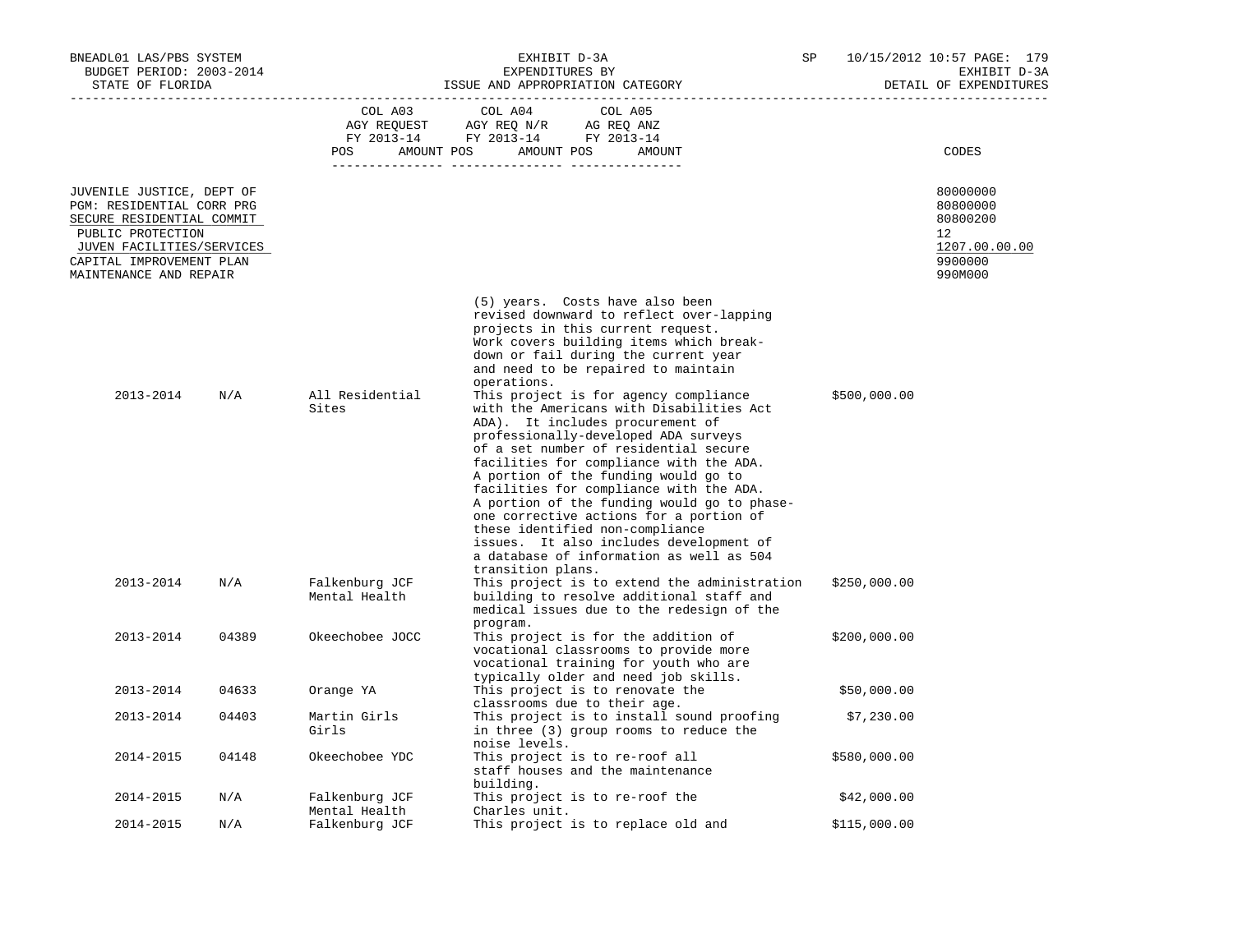| BNEADL01 LAS/PBS SYSTEM<br>BUDGET PERIOD: 2003-2014<br>STATE OF FLORIDA                                                                                                                     |       | EXHIBIT D-3A<br>EXPENDITURES BY<br>ISSUE AND APPROPRIATION CATEGORY |                                                                                                                                                                                                                                                                                                                                                                                                                                                                                                                                                                                                                                                                                                                                                                                                                                            |  | 10/15/2012 10:57 PAGE: 179<br>EXHIBIT D-3A<br>DETAIL OF EXPENDITURES |                                                                               |
|---------------------------------------------------------------------------------------------------------------------------------------------------------------------------------------------|-------|---------------------------------------------------------------------|--------------------------------------------------------------------------------------------------------------------------------------------------------------------------------------------------------------------------------------------------------------------------------------------------------------------------------------------------------------------------------------------------------------------------------------------------------------------------------------------------------------------------------------------------------------------------------------------------------------------------------------------------------------------------------------------------------------------------------------------------------------------------------------------------------------------------------------------|--|----------------------------------------------------------------------|-------------------------------------------------------------------------------|
|                                                                                                                                                                                             |       | COL A03<br>POS                                                      | COL A04<br>COL A05<br>$\begin{tabular}{lllllll} \bf AGY \;\; REQUEST \hspace{1cm} AGY \;\; REQ \;\; N/R \hspace{1cm} AG \;\; REQ \;\; ANZ \\ \hline \texttt{FY} \;\; 2013\text{--}14 \hspace{1cm} & \texttt{FY} \;\; 2013\text{--}14 \hspace{1cm} & \texttt{FY} \;\; 2013\text{--}14 \end{tabular}$<br>AMOUNT POS AMOUNT POS<br>AMOUNT                                                                                                                                                                                                                                                                                                                                                                                                                                                                                                     |  |                                                                      | CODES                                                                         |
| JUVENILE JUSTICE, DEPT OF<br>PGM: RESIDENTIAL CORR PRG<br>SECURE RESIDENTIAL COMMIT<br>PUBLIC PROTECTION<br>JUVEN FACILITIES/SERVICES<br>CAPITAL IMPROVEMENT PLAN<br>MAINTENANCE AND REPAIR |       |                                                                     |                                                                                                                                                                                                                                                                                                                                                                                                                                                                                                                                                                                                                                                                                                                                                                                                                                            |  |                                                                      | 80000000<br>80800000<br>80800200<br>12<br>1207.00.00.00<br>9900000<br>990M000 |
| 2013-2014                                                                                                                                                                                   | N/A   | All Residential<br>Sites                                            | (5) years. Costs have also been<br>revised downward to reflect over-lapping<br>projects in this current request.<br>Work covers building items which break-<br>down or fail during the current year<br>and need to be repaired to maintain<br>operations.<br>This project is for agency compliance<br>with the Americans with Disabilities Act<br>ADA). It includes procurement of<br>professionally-developed ADA surveys<br>of a set number of residential secure<br>facilities for compliance with the ADA.<br>A portion of the funding would go to<br>facilities for compliance with the ADA.<br>A portion of the funding would go to phase-<br>one corrective actions for a portion of<br>these identified non-compliance<br>issues. It also includes development of<br>a database of information as well as 504<br>transition plans. |  | \$500,000.00                                                         |                                                                               |
| 2013-2014                                                                                                                                                                                   | N/A   | Falkenburg JCF<br>Mental Health                                     | This project is to extend the administration<br>building to resolve additional staff and<br>medical issues due to the redesign of the                                                                                                                                                                                                                                                                                                                                                                                                                                                                                                                                                                                                                                                                                                      |  | \$250,000.00                                                         |                                                                               |
| 2013-2014                                                                                                                                                                                   | 04389 | Okeechobee JOCC                                                     | program.<br>This project is for the addition of<br>vocational classrooms to provide more<br>vocational training for youth who are                                                                                                                                                                                                                                                                                                                                                                                                                                                                                                                                                                                                                                                                                                          |  | \$200,000.00                                                         |                                                                               |
| 2013-2014                                                                                                                                                                                   | 04633 | Orange YA                                                           | typically older and need job skills.<br>This project is to renovate the                                                                                                                                                                                                                                                                                                                                                                                                                                                                                                                                                                                                                                                                                                                                                                    |  | \$50,000.00                                                          |                                                                               |
| 2013-2014                                                                                                                                                                                   | 04403 | Martin Girls<br>Girls                                               | classrooms due to their age.<br>This project is to install sound proofing<br>in three (3) group rooms to reduce the<br>noise levels.                                                                                                                                                                                                                                                                                                                                                                                                                                                                                                                                                                                                                                                                                                       |  | \$7,230.00                                                           |                                                                               |
| 2014-2015                                                                                                                                                                                   | 04148 | Okeechobee YDC                                                      | This project is to re-roof all<br>staff houses and the maintenance<br>building.                                                                                                                                                                                                                                                                                                                                                                                                                                                                                                                                                                                                                                                                                                                                                            |  | \$580,000.00                                                         |                                                                               |
| 2014-2015                                                                                                                                                                                   | N/A   | Falkenburg JCF                                                      | This project is to re-roof the                                                                                                                                                                                                                                                                                                                                                                                                                                                                                                                                                                                                                                                                                                                                                                                                             |  | \$42,000.00                                                          |                                                                               |
| 2014-2015                                                                                                                                                                                   | N/A   | Mental Health<br>Falkenburg JCF                                     | Charles unit.<br>This project is to replace old and                                                                                                                                                                                                                                                                                                                                                                                                                                                                                                                                                                                                                                                                                                                                                                                        |  | \$115,000.00                                                         |                                                                               |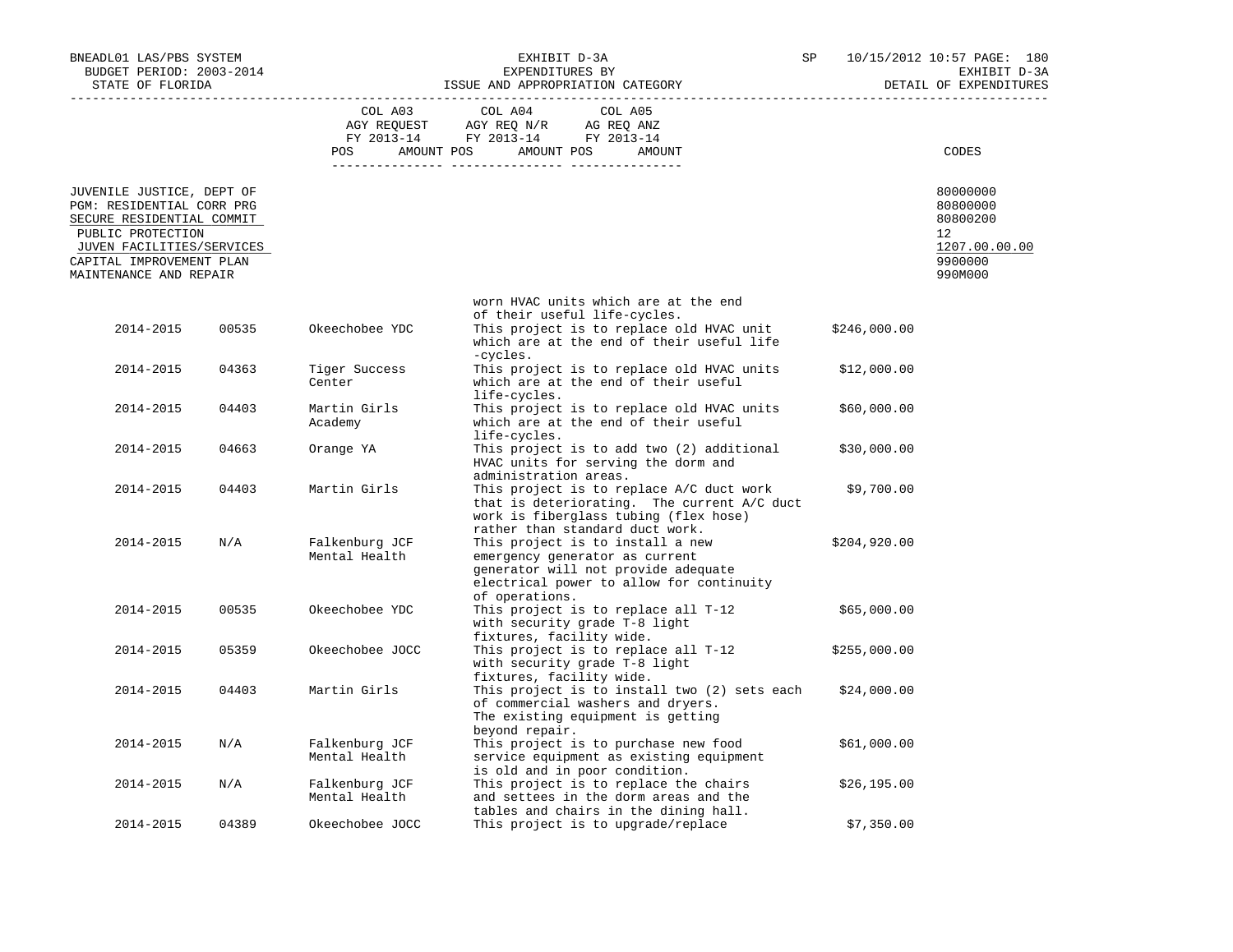| BNEADL01 LAS/PBS SYSTEM<br>BUDGET PERIOD: 2003-2014<br>STATE OF FLORIDA                                                                                                                     |       | EXHIBIT D-3A<br>EXPENDITURES BY |                                                                                                                                                                                          | SP           | 10/15/2012 10:57 PAGE: 180<br>EXHIBIT D-3A<br>DETAIL OF EXPENDITURES          |
|---------------------------------------------------------------------------------------------------------------------------------------------------------------------------------------------|-------|---------------------------------|------------------------------------------------------------------------------------------------------------------------------------------------------------------------------------------|--------------|-------------------------------------------------------------------------------|
|                                                                                                                                                                                             |       | COL A03                         | COL A05<br>COL A04<br>AGY REQUEST AGY REQ N/R AG REQ ANZ<br>FY 2013-14 FY 2013-14 FY 2013-14<br>POS AMOUNT POS AMOUNT POS<br>AMOUNT                                                      |              | CODES                                                                         |
| JUVENILE JUSTICE, DEPT OF<br>PGM: RESIDENTIAL CORR PRG<br>SECURE RESIDENTIAL COMMIT<br>PUBLIC PROTECTION<br>JUVEN FACILITIES/SERVICES<br>CAPITAL IMPROVEMENT PLAN<br>MAINTENANCE AND REPAIR |       |                                 |                                                                                                                                                                                          |              | 80000000<br>80800000<br>80800200<br>12<br>1207.00.00.00<br>9900000<br>990M000 |
| 2014-2015                                                                                                                                                                                   | 00535 | Okeechobee YDC                  | worn HVAC units which are at the end<br>of their useful life-cycles.<br>This project is to replace old HVAC unit<br>which are at the end of their useful life                            | \$246,000.00 |                                                                               |
| 2014-2015                                                                                                                                                                                   | 04363 | Tiger Success<br>Center         | -cycles.<br>This project is to replace old HVAC units<br>which are at the end of their useful                                                                                            | \$12,000.00  |                                                                               |
| 2014-2015                                                                                                                                                                                   | 04403 | Martin Girls<br>Academy         | life-cycles.<br>This project is to replace old HVAC units<br>which are at the end of their useful                                                                                        | \$60,000.00  |                                                                               |
| 2014-2015                                                                                                                                                                                   | 04663 | Orange YA                       | life-cycles.<br>This project is to add two (2) additional<br>HVAC units for serving the dorm and                                                                                         | \$30,000.00  |                                                                               |
| 2014-2015                                                                                                                                                                                   | 04403 | Martin Girls                    | administration areas.<br>This project is to replace A/C duct work<br>that is deteriorating. The current A/C duct<br>work is fiberglass tubing (flex hose)                                | \$9,700.00   |                                                                               |
| 2014-2015                                                                                                                                                                                   | N/A   | Falkenburg JCF<br>Mental Health | rather than standard duct work.<br>This project is to install a new<br>emergency generator as current<br>generator will not provide adequate<br>electrical power to allow for continuity | \$204,920.00 |                                                                               |
| 2014-2015                                                                                                                                                                                   | 00535 | Okeechobee YDC                  | of operations.<br>This project is to replace all T-12<br>with security grade T-8 light<br>fixtures, facility wide.                                                                       | \$65,000.00  |                                                                               |
| 2014-2015                                                                                                                                                                                   | 05359 | Okeechobee JOCC                 | This project is to replace all T-12<br>with security grade T-8 light<br>fixtures, facility wide.                                                                                         | \$255,000.00 |                                                                               |
| 2014-2015                                                                                                                                                                                   | 04403 | Martin Girls                    | This project is to install two (2) sets each<br>of commercial washers and dryers.<br>The existing equipment is getting<br>beyond repair.                                                 | \$24,000.00  |                                                                               |
| 2014-2015                                                                                                                                                                                   | N/A   | Falkenburg JCF<br>Mental Health | This project is to purchase new food<br>service equipment as existing equipment<br>is old and in poor condition.                                                                         | \$61,000.00  |                                                                               |
| 2014-2015                                                                                                                                                                                   | N/A   | Falkenburg JCF<br>Mental Health | This project is to replace the chairs<br>and settees in the dorm areas and the<br>tables and chairs in the dining hall.                                                                  | \$26, 195.00 |                                                                               |
| 2014-2015                                                                                                                                                                                   | 04389 | Okeechobee JOCC                 | This project is to upgrade/replace                                                                                                                                                       | \$7,350.00   |                                                                               |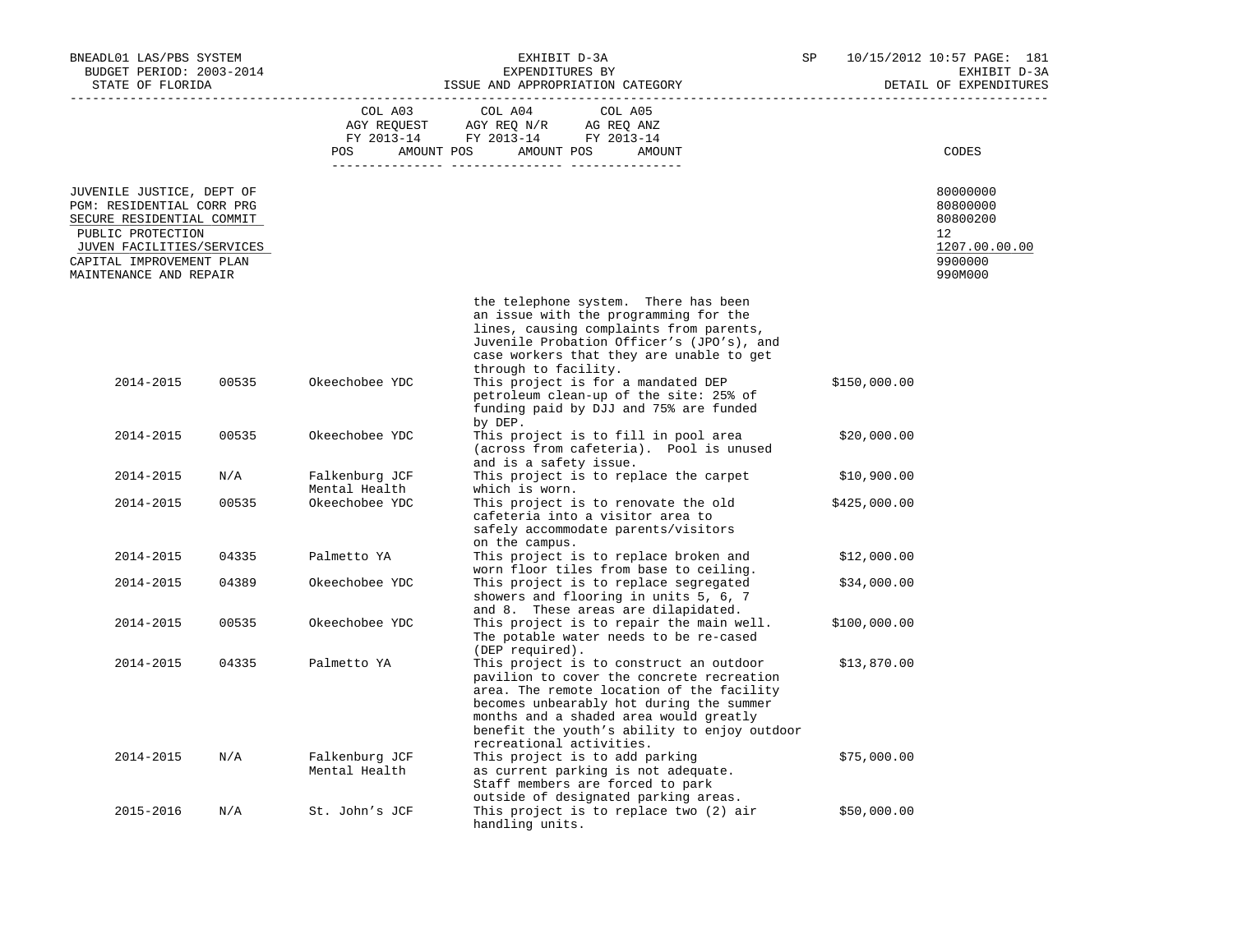| BNEADL01 LAS/PBS SYSTEM<br>BUDGET PERIOD: 2003-2014<br>STATE OF FLORIDA                                                                                                                     |       | ISSUE AND APPROPRIATION CATEGORY | SP                                                                                                                                                                                                                                                                                                  | 10/15/2012 10:57 PAGE: 181<br>EXHIBIT D-3A<br>DETAIL OF EXPENDITURES |                                                                               |
|---------------------------------------------------------------------------------------------------------------------------------------------------------------------------------------------|-------|----------------------------------|-----------------------------------------------------------------------------------------------------------------------------------------------------------------------------------------------------------------------------------------------------------------------------------------------------|----------------------------------------------------------------------|-------------------------------------------------------------------------------|
|                                                                                                                                                                                             |       | COL A03<br>AGY REQUEST<br>POS    | COL A04<br>COL A05<br>AGY REQ N/R<br>AG REQ ANZ<br>FY 2013-14 FY 2013-14 FY 2013-14<br>AMOUNT POS AMOUNT POS<br>AMOUNT                                                                                                                                                                              |                                                                      | CODES                                                                         |
| JUVENILE JUSTICE, DEPT OF<br>PGM: RESIDENTIAL CORR PRG<br>SECURE RESIDENTIAL COMMIT<br>PUBLIC PROTECTION<br>JUVEN FACILITIES/SERVICES<br>CAPITAL IMPROVEMENT PLAN<br>MAINTENANCE AND REPAIR |       |                                  |                                                                                                                                                                                                                                                                                                     |                                                                      | 80000000<br>80800000<br>80800200<br>12<br>1207.00.00.00<br>9900000<br>990M000 |
|                                                                                                                                                                                             |       |                                  | the telephone system. There has been<br>an issue with the programming for the<br>lines, causing complaints from parents,<br>Juvenile Probation Officer's (JPO's), and<br>case workers that they are unable to get<br>through to facility.                                                           |                                                                      |                                                                               |
| 2014-2015                                                                                                                                                                                   | 00535 | Okeechobee YDC                   | This project is for a mandated DEP<br>petroleum clean-up of the site: 25% of<br>funding paid by DJJ and 75% are funded<br>by DEP.                                                                                                                                                                   |                                                                      | \$150,000.00                                                                  |
| 2014-2015                                                                                                                                                                                   | 00535 | Okeechobee YDC                   | This project is to fill in pool area<br>(across from cafeteria). Pool is unused<br>and is a safety issue.                                                                                                                                                                                           |                                                                      | \$20,000.00                                                                   |
| 2014-2015                                                                                                                                                                                   | N/A   | Falkenburg JCF<br>Mental Health  | This project is to replace the carpet<br>which is worn.                                                                                                                                                                                                                                             |                                                                      | \$10,900.00                                                                   |
| 2014-2015                                                                                                                                                                                   | 00535 | Okeechobee YDC                   | This project is to renovate the old<br>cafeteria into a visitor area to<br>safely accommodate parents/visitors<br>on the campus.                                                                                                                                                                    |                                                                      | \$425,000.00                                                                  |
| 2014-2015                                                                                                                                                                                   | 04335 | Palmetto YA                      | This project is to replace broken and<br>worn floor tiles from base to ceiling.                                                                                                                                                                                                                     |                                                                      | \$12,000.00                                                                   |
| 2014-2015                                                                                                                                                                                   | 04389 | Okeechobee YDC                   | This project is to replace segregated<br>showers and flooring in units 5, 6, 7<br>and 8. These areas are dilapidated.                                                                                                                                                                               |                                                                      | \$34,000.00                                                                   |
| 2014-2015                                                                                                                                                                                   | 00535 | Okeechobee YDC                   | This project is to repair the main well.<br>The potable water needs to be re-cased<br>(DEP required).                                                                                                                                                                                               |                                                                      | \$100,000.00                                                                  |
| 2014-2015                                                                                                                                                                                   | 04335 | Palmetto YA                      | This project is to construct an outdoor<br>pavilion to cover the concrete recreation<br>area. The remote location of the facility<br>becomes unbearably hot during the summer<br>months and a shaded area would greatly<br>benefit the youth's ability to enjoy outdoor<br>recreational activities. |                                                                      | \$13,870.00                                                                   |
| 2014-2015                                                                                                                                                                                   | N/A   | Falkenburg JCF<br>Mental Health  | This project is to add parking<br>as current parking is not adequate.<br>Staff members are forced to park<br>outside of designated parking areas.                                                                                                                                                   |                                                                      | \$75,000.00                                                                   |
| 2015-2016                                                                                                                                                                                   | N/A   | St. John's JCF                   | This project is to replace two (2) air<br>handling units.                                                                                                                                                                                                                                           |                                                                      | \$50,000.00                                                                   |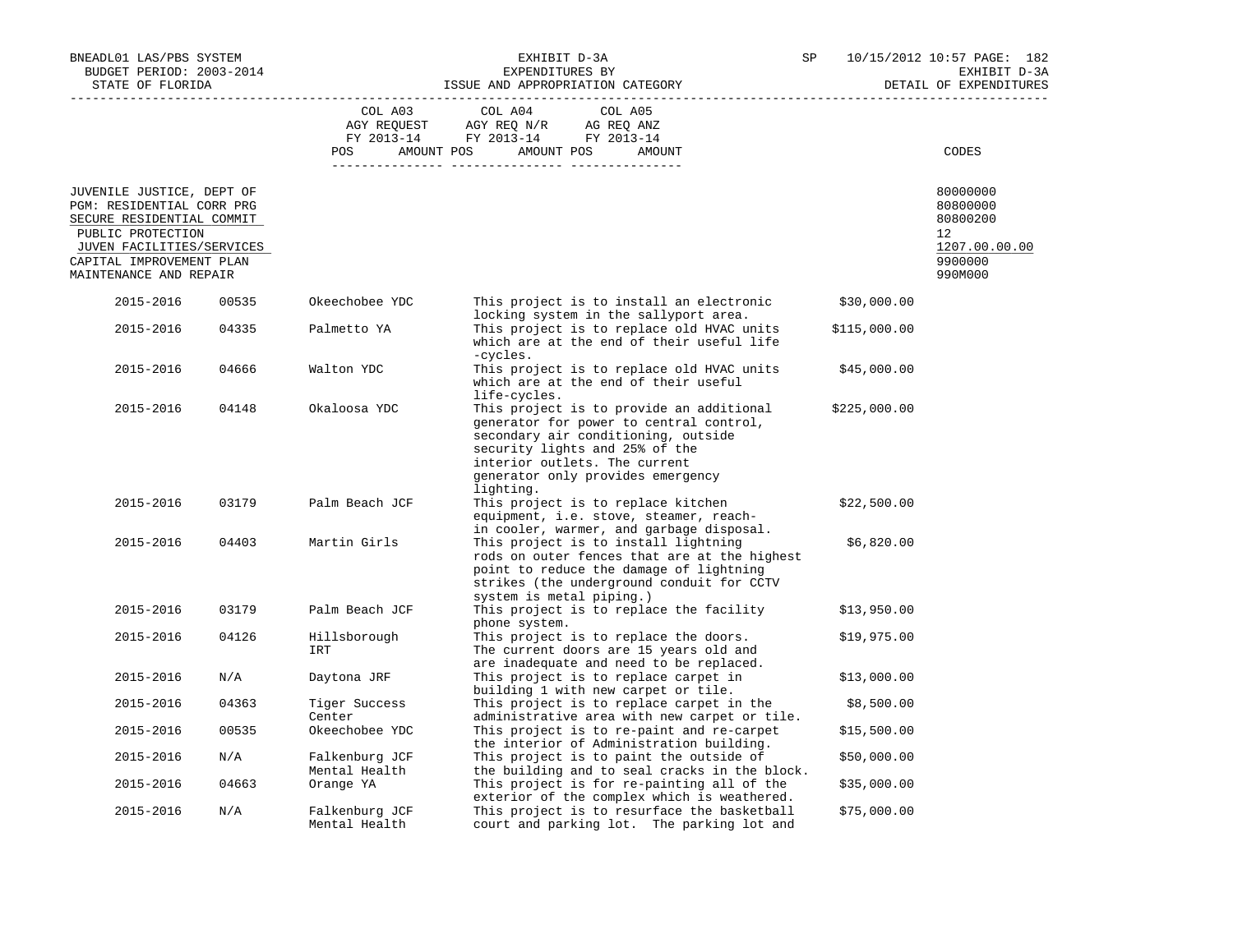| BNEADL01 LAS/PBS SYSTEM<br>BUDGET PERIOD: 2003-2014<br>STATE OF FLORIDA                                                                                                                     |       |                                 | EXHIBIT D-3A<br>EXPENDITURES BY<br>ISSUE AND APPROPRIATION CATEGORY                                                                                                                                                                             | SP           | 10/15/2012 10:57 PAGE: 182<br>EXHIBIT D-3A<br>DETAIL OF EXPENDITURES          |  |
|---------------------------------------------------------------------------------------------------------------------------------------------------------------------------------------------|-------|---------------------------------|-------------------------------------------------------------------------------------------------------------------------------------------------------------------------------------------------------------------------------------------------|--------------|-------------------------------------------------------------------------------|--|
|                                                                                                                                                                                             |       | COL A03<br><b>POS</b>           | COL A04<br>COL A05<br>AGY REQUEST AGY REQ N/R AG REQ ANZ<br>FY 2013-14 FY 2013-14 FY 2013-14<br>AMOUNT POS AMOUNT POS<br>AMOUNT                                                                                                                 |              | CODES                                                                         |  |
| JUVENILE JUSTICE, DEPT OF<br>PGM: RESIDENTIAL CORR PRG<br>SECURE RESIDENTIAL COMMIT<br>PUBLIC PROTECTION<br>JUVEN FACILITIES/SERVICES<br>CAPITAL IMPROVEMENT PLAN<br>MAINTENANCE AND REPAIR |       |                                 |                                                                                                                                                                                                                                                 |              | 80000000<br>80800000<br>80800200<br>12<br>1207.00.00.00<br>9900000<br>990M000 |  |
| 2015-2016                                                                                                                                                                                   | 00535 | Okeechobee YDC                  | This project is to install an electronic<br>locking system in the sallyport area.                                                                                                                                                               | \$30,000.00  |                                                                               |  |
| 2015-2016                                                                                                                                                                                   | 04335 | Palmetto YA                     | This project is to replace old HVAC units<br>which are at the end of their useful life<br>-cycles.                                                                                                                                              | \$115,000.00 |                                                                               |  |
| 2015-2016                                                                                                                                                                                   | 04666 | Walton YDC                      | This project is to replace old HVAC units<br>which are at the end of their useful<br>life-cycles.                                                                                                                                               | \$45,000.00  |                                                                               |  |
| 2015-2016                                                                                                                                                                                   | 04148 | Okaloosa YDC                    | This project is to provide an additional<br>generator for power to central control,<br>secondary air conditioning, outside<br>security lights and 25% of the<br>interior outlets. The current<br>generator only provides emergency<br>lighting. | \$225,000.00 |                                                                               |  |
| 2015-2016                                                                                                                                                                                   | 03179 | Palm Beach JCF                  | This project is to replace kitchen<br>equipment, i.e. stove, steamer, reach-<br>in cooler, warmer, and garbage disposal.                                                                                                                        | \$22,500.00  |                                                                               |  |
| 2015-2016                                                                                                                                                                                   | 04403 | Martin Girls                    | This project is to install lightning<br>rods on outer fences that are at the highest<br>point to reduce the damage of lightning<br>strikes (the underground conduit for CCTV<br>system is metal piping.)                                        | \$6,820.00   |                                                                               |  |
| 2015-2016                                                                                                                                                                                   | 03179 | Palm Beach JCF                  | This project is to replace the facility<br>phone system.                                                                                                                                                                                        | \$13,950.00  |                                                                               |  |
| 2015-2016                                                                                                                                                                                   | 04126 | Hillsborough<br>IRT             | This project is to replace the doors.<br>The current doors are 15 years old and<br>are inadequate and need to be replaced.                                                                                                                      | \$19,975.00  |                                                                               |  |
| 2015-2016                                                                                                                                                                                   | N/A   | Daytona JRF                     | This project is to replace carpet in<br>building 1 with new carpet or tile.                                                                                                                                                                     | \$13,000.00  |                                                                               |  |
| 2015-2016                                                                                                                                                                                   | 04363 | Tiger Success<br>Center         | This project is to replace carpet in the<br>administrative area with new carpet or tile.                                                                                                                                                        | \$8,500.00   |                                                                               |  |
| 2015-2016                                                                                                                                                                                   | 00535 | Okeechobee YDC                  | This project is to re-paint and re-carpet<br>the interior of Administration building.                                                                                                                                                           | \$15,500.00  |                                                                               |  |
| 2015-2016                                                                                                                                                                                   | N/A   | Falkenburg JCF<br>Mental Health | This project is to paint the outside of<br>the building and to seal cracks in the block.                                                                                                                                                        | \$50,000.00  |                                                                               |  |
| 2015-2016                                                                                                                                                                                   | 04663 | Orange YA                       | This project is for re-painting all of the<br>exterior of the complex which is weathered.                                                                                                                                                       | \$35,000.00  |                                                                               |  |
| 2015-2016                                                                                                                                                                                   | N/A   | Falkenburg JCF<br>Mental Health | This project is to resurface the basketball<br>court and parking lot. The parking lot and                                                                                                                                                       | \$75,000.00  |                                                                               |  |
|                                                                                                                                                                                             |       |                                 |                                                                                                                                                                                                                                                 |              |                                                                               |  |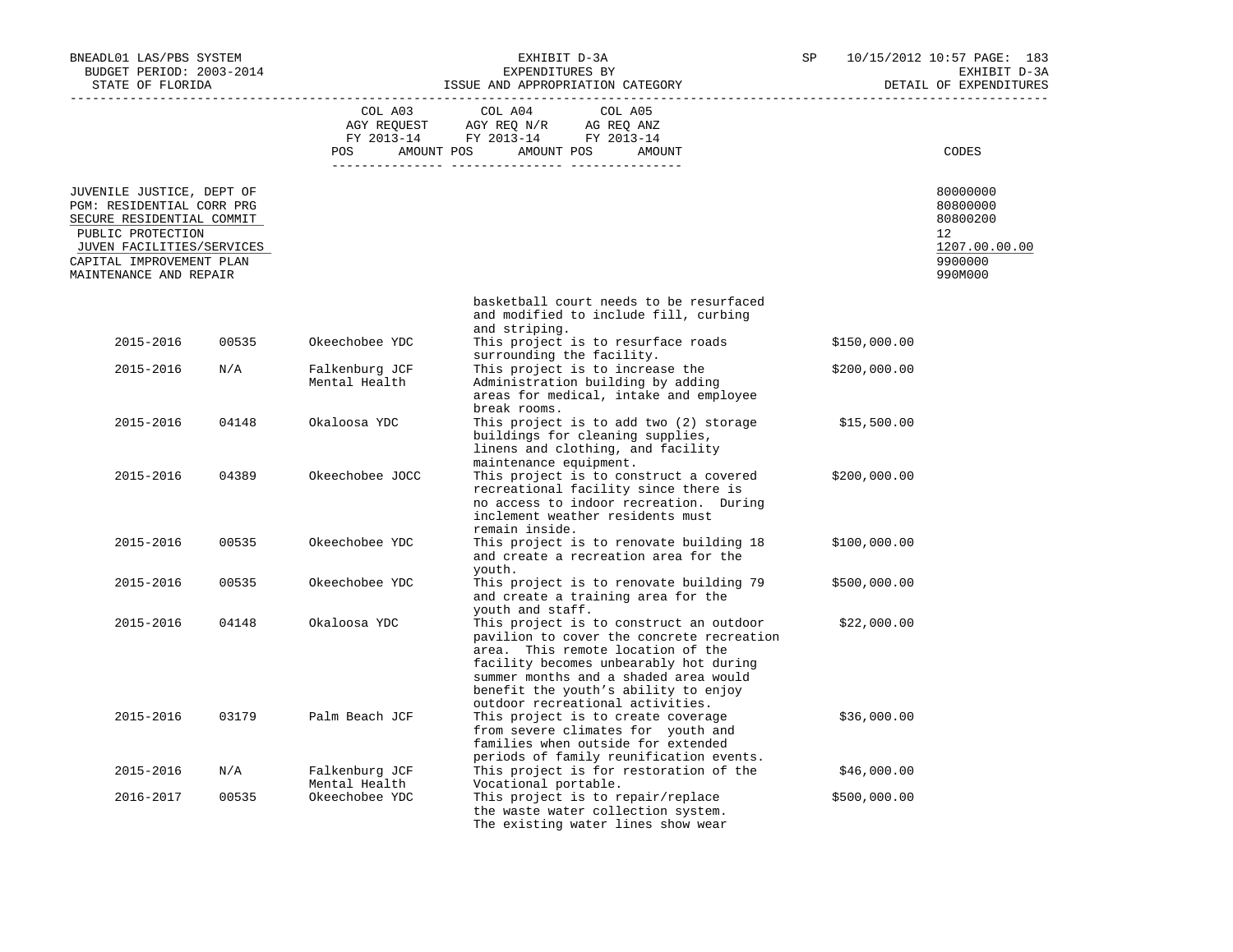| BNEADL01 LAS/PBS SYSTEM<br>BUDGET PERIOD: 2003-2014                                                                                                                                         |       |                                 | EXHIBIT D-3A<br>EXPENDITURES BY                                                                                                                                                                                                                                                                              | SP           | 10/15/2012 10:57 PAGE: 183<br>EXHIBIT D-3A                                    |
|---------------------------------------------------------------------------------------------------------------------------------------------------------------------------------------------|-------|---------------------------------|--------------------------------------------------------------------------------------------------------------------------------------------------------------------------------------------------------------------------------------------------------------------------------------------------------------|--------------|-------------------------------------------------------------------------------|
| STATE OF FLORIDA                                                                                                                                                                            |       |                                 | ISSUE AND APPROPRIATION CATEGORY                                                                                                                                                                                                                                                                             |              | DETAIL OF EXPENDITURES                                                        |
|                                                                                                                                                                                             |       |                                 | COL A03 COL A04<br>COL A05<br>AGY REQUEST AGY REQ N/R AG REQ ANZ<br>FY 2013-14 FY 2013-14 FY 2013-14<br>POS AMOUNT POS AMOUNT POS AMOUNT                                                                                                                                                                     |              | CODES                                                                         |
| JUVENILE JUSTICE, DEPT OF<br>PGM: RESIDENTIAL CORR PRG<br>SECURE RESIDENTIAL COMMIT<br>PUBLIC PROTECTION<br>JUVEN FACILITIES/SERVICES<br>CAPITAL IMPROVEMENT PLAN<br>MAINTENANCE AND REPAIR |       |                                 |                                                                                                                                                                                                                                                                                                              |              | 80000000<br>80800000<br>80800200<br>12<br>1207.00.00.00<br>9900000<br>990M000 |
|                                                                                                                                                                                             |       |                                 | basketball court needs to be resurfaced<br>and modified to include fill, curbing                                                                                                                                                                                                                             |              |                                                                               |
| 2015-2016                                                                                                                                                                                   | 00535 | Okeechobee YDC                  | and striping.<br>This project is to resurface roads<br>surrounding the facility.                                                                                                                                                                                                                             | \$150,000.00 |                                                                               |
| 2015-2016                                                                                                                                                                                   | N/A   | Falkenburg JCF<br>Mental Health | This project is to increase the<br>Administration building by adding<br>areas for medical, intake and employee                                                                                                                                                                                               | \$200,000.00 |                                                                               |
| 2015-2016                                                                                                                                                                                   | 04148 | Okaloosa YDC                    | break rooms.<br>This project is to add two (2) storage<br>buildings for cleaning supplies,<br>linens and clothing, and facility<br>maintenance equipment.                                                                                                                                                    | \$15,500.00  |                                                                               |
| 2015-2016                                                                                                                                                                                   | 04389 | Okeechobee JOCC                 | This project is to construct a covered<br>recreational facility since there is<br>no access to indoor recreation. During<br>inclement weather residents must<br>remain inside.                                                                                                                               | \$200,000.00 |                                                                               |
| 2015-2016                                                                                                                                                                                   | 00535 | Okeechobee YDC                  | This project is to renovate building 18<br>and create a recreation area for the                                                                                                                                                                                                                              | \$100,000.00 |                                                                               |
| 2015-2016                                                                                                                                                                                   | 00535 | Okeechobee YDC                  | youth.<br>This project is to renovate building 79<br>and create a training area for the                                                                                                                                                                                                                      | \$500,000.00 |                                                                               |
| 2015-2016                                                                                                                                                                                   | 04148 | Okaloosa YDC                    | youth and staff.<br>This project is to construct an outdoor<br>pavilion to cover the concrete recreation<br>area. This remote location of the<br>facility becomes unbearably hot during<br>summer months and a shaded area would<br>benefit the youth's ability to enjoy<br>outdoor recreational activities. | \$22,000.00  |                                                                               |
| 2015-2016                                                                                                                                                                                   | 03179 | Palm Beach JCF                  | This project is to create coverage<br>from severe climates for youth and<br>families when outside for extended<br>periods of family reunification events.                                                                                                                                                    | \$36,000.00  |                                                                               |
| 2015-2016                                                                                                                                                                                   | N/A   | Falkenburg JCF<br>Mental Health | This project is for restoration of the<br>Vocational portable.                                                                                                                                                                                                                                               | \$46,000.00  |                                                                               |
| 2016-2017                                                                                                                                                                                   | 00535 | Okeechobee YDC                  | This project is to repair/replace<br>the waste water collection system.<br>The existing water lines show wear                                                                                                                                                                                                | \$500,000.00 |                                                                               |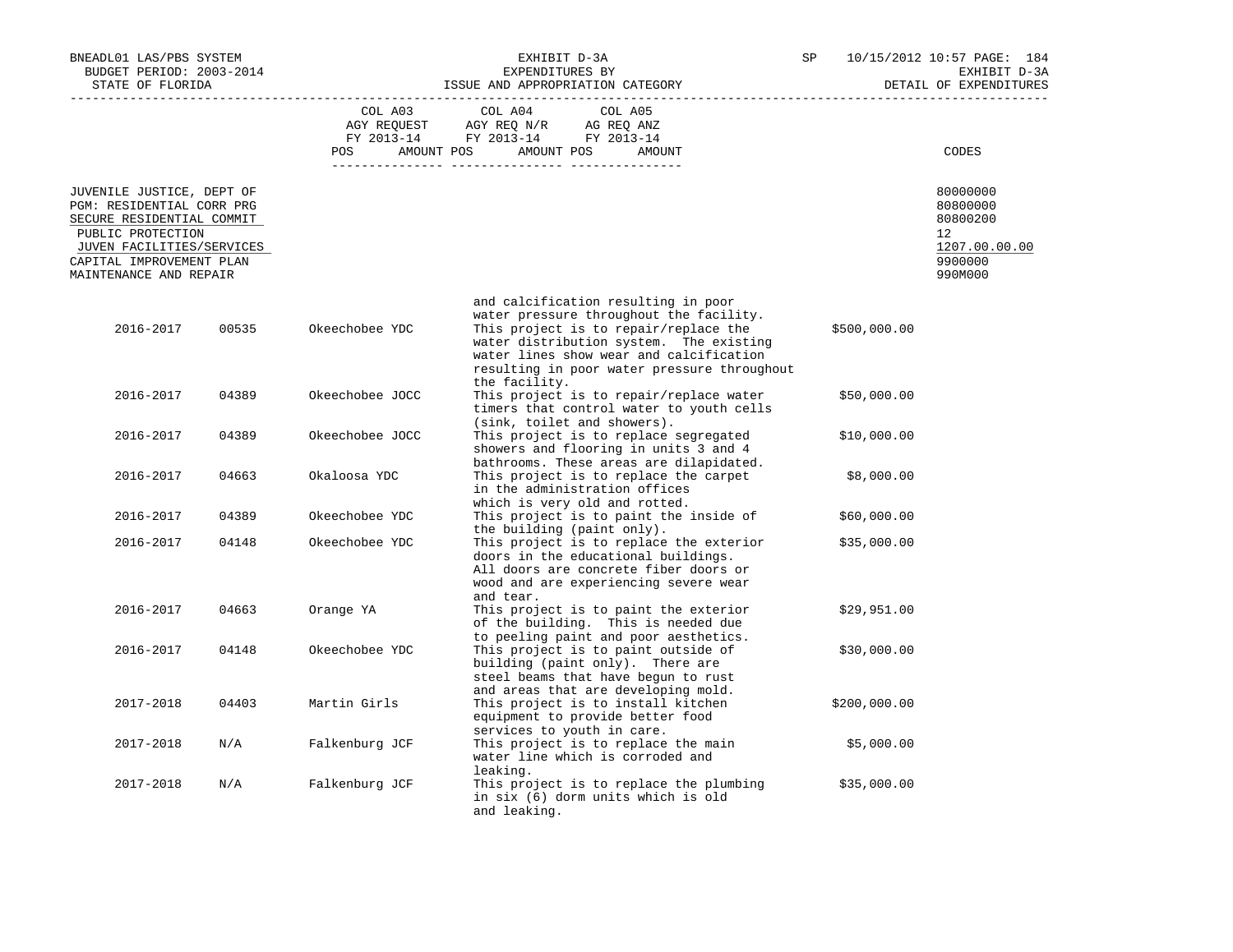| BNEADL01 LAS/PBS SYSTEM<br>BUDGET PERIOD: 2003-2014<br>STATE OF FLORIDA                                                                                                                     |       |                 | EXHIBIT D-3A<br>EXPENDITURES BY<br>ISSUE AND APPROPRIATION CATEGORY                                                                                                                                                                                                | SP                                                                                                                                                                                                                                                           |  | 10/15/2012 10:57 PAGE: 184<br>EXHIBIT D-3A<br>DETAIL OF EXPENDITURES |                                                                               |
|---------------------------------------------------------------------------------------------------------------------------------------------------------------------------------------------|-------|-----------------|--------------------------------------------------------------------------------------------------------------------------------------------------------------------------------------------------------------------------------------------------------------------|--------------------------------------------------------------------------------------------------------------------------------------------------------------------------------------------------------------------------------------------------------------|--|----------------------------------------------------------------------|-------------------------------------------------------------------------------|
|                                                                                                                                                                                             |       | COL A03<br>POS  | COL A04<br>$\begin{tabular}{lllllll} \bf AGY \;\; REQUEST \hspace{1cm} AGY \;\; REQ \;\; N/R \hspace{1cm} \bf AG \;\; REQ \;\; ANZ \\ \hline \tt FY \;\; 2013-14 \hspace{1cm} FY \;\; 2013-14 \hspace{1cm} FY \;\; 2013-14 \end{tabular}$<br>AMOUNT POS AMOUNT POS | COL A05<br>AMOUNT                                                                                                                                                                                                                                            |  |                                                                      | CODES                                                                         |
| JUVENILE JUSTICE, DEPT OF<br>PGM: RESIDENTIAL CORR PRG<br>SECURE RESIDENTIAL COMMIT<br>PUBLIC PROTECTION<br>JUVEN FACILITIES/SERVICES<br>CAPITAL IMPROVEMENT PLAN<br>MAINTENANCE AND REPAIR |       |                 |                                                                                                                                                                                                                                                                    |                                                                                                                                                                                                                                                              |  |                                                                      | 80000000<br>80800000<br>80800200<br>12<br>1207.00.00.00<br>9900000<br>990M000 |
| 2016-2017                                                                                                                                                                                   | 00535 | Okeechobee YDC  | the facility.                                                                                                                                                                                                                                                      | and calcification resulting in poor<br>water pressure throughout the facility.<br>This project is to repair/replace the<br>water distribution system. The existing<br>water lines show wear and calcification<br>resulting in poor water pressure throughout |  | \$500,000.00                                                         |                                                                               |
| 2016-2017                                                                                                                                                                                   | 04389 | Okeechobee JOCC |                                                                                                                                                                                                                                                                    | This project is to repair/replace water<br>timers that control water to youth cells                                                                                                                                                                          |  | \$50,000.00                                                          |                                                                               |
| 2016-2017                                                                                                                                                                                   | 04389 | Okeechobee JOCC |                                                                                                                                                                                                                                                                    | (sink, toilet and showers).<br>This project is to replace segregated<br>showers and flooring in units 3 and 4                                                                                                                                                |  | \$10,000.00                                                          |                                                                               |
| 2016-2017                                                                                                                                                                                   | 04663 | Okaloosa YDC    |                                                                                                                                                                                                                                                                    | bathrooms. These areas are dilapidated.<br>This project is to replace the carpet<br>in the administration offices                                                                                                                                            |  | \$8,000.00                                                           |                                                                               |
| 2016-2017                                                                                                                                                                                   | 04389 | Okeechobee YDC  |                                                                                                                                                                                                                                                                    | which is very old and rotted.<br>This project is to paint the inside of                                                                                                                                                                                      |  | \$60,000.00                                                          |                                                                               |
| 2016-2017                                                                                                                                                                                   | 04148 | Okeechobee YDC  | and tear.                                                                                                                                                                                                                                                          | the building (paint only).<br>This project is to replace the exterior<br>doors in the educational buildings.<br>All doors are concrete fiber doors or<br>wood and are experiencing severe wear                                                               |  | \$35,000.00                                                          |                                                                               |
| 2016-2017                                                                                                                                                                                   | 04663 | Orange YA       |                                                                                                                                                                                                                                                                    | This project is to paint the exterior<br>of the building. This is needed due<br>to peeling paint and poor aesthetics.                                                                                                                                        |  | \$29,951.00                                                          |                                                                               |
| 2016-2017                                                                                                                                                                                   | 04148 | Okeechobee YDC  |                                                                                                                                                                                                                                                                    | This project is to paint outside of<br>building (paint only). There are<br>steel beams that have begun to rust<br>and areas that are developing mold.                                                                                                        |  | \$30,000.00                                                          |                                                                               |
| 2017-2018                                                                                                                                                                                   | 04403 | Martin Girls    |                                                                                                                                                                                                                                                                    | This project is to install kitchen<br>equipment to provide better food<br>services to youth in care.                                                                                                                                                         |  | \$200,000.00                                                         |                                                                               |
| 2017-2018                                                                                                                                                                                   | N/A   | Falkenburg JCF  | leaking.                                                                                                                                                                                                                                                           | This project is to replace the main<br>water line which is corroded and                                                                                                                                                                                      |  | \$5,000.00                                                           |                                                                               |
| 2017-2018                                                                                                                                                                                   | N/A   | Falkenburg JCF  | and leaking.                                                                                                                                                                                                                                                       | This project is to replace the plumbing<br>in six (6) dorm units which is old                                                                                                                                                                                |  | \$35,000.00                                                          |                                                                               |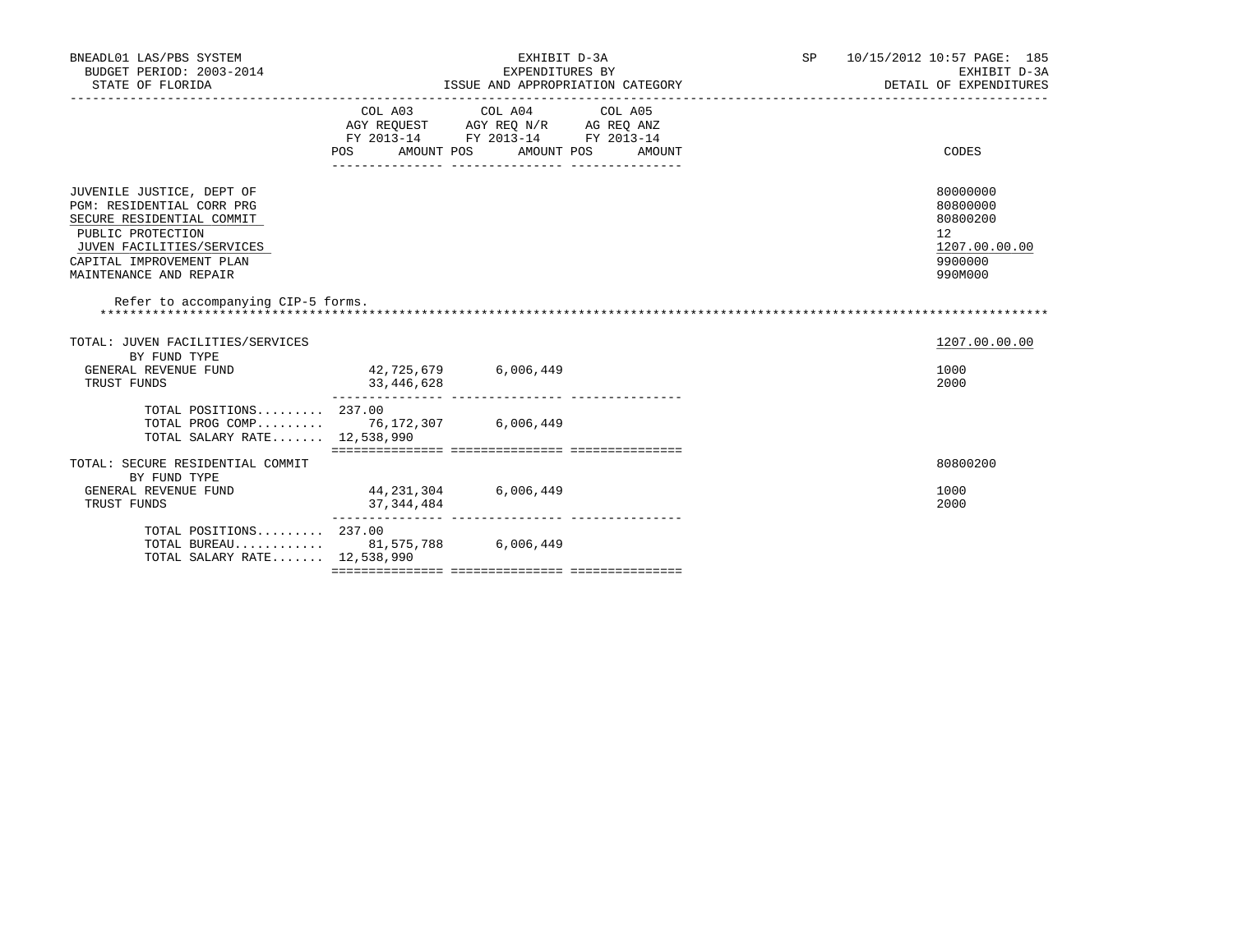| BNEADL01 LAS/PBS SYSTEM<br>BUDGET PERIOD: 2003-2014<br>STATE OF FLORIDA                                                                                                                     |                                                                                   | EXHIBIT D-3A<br>EXPENDITURES BY                  | ISSUE AND APPROPRIATION CATEGORY | SP 10/15/2012 10:57 PAGE: 185<br>EXHIBIT D-3A<br>DETAIL OF EXPENDITURES       |  |
|---------------------------------------------------------------------------------------------------------------------------------------------------------------------------------------------|-----------------------------------------------------------------------------------|--------------------------------------------------|----------------------------------|-------------------------------------------------------------------------------|--|
|                                                                                                                                                                                             | AGY REQUEST AGY REQ N/R AG REQ ANZ<br>FY 2013-14 FY 2013-14 FY 2013-14<br>POS FOR | COL A03 COL A04 COL A05<br>AMOUNT POS AMOUNT POS | AMOUNT                           | CODES                                                                         |  |
| JUVENILE JUSTICE, DEPT OF<br>PGM: RESIDENTIAL CORR PRG<br>SECURE RESIDENTIAL COMMIT<br>PUBLIC PROTECTION<br>JUVEN FACILITIES/SERVICES<br>CAPITAL IMPROVEMENT PLAN<br>MAINTENANCE AND REPAIR |                                                                                   |                                                  |                                  | 80000000<br>80800000<br>80800200<br>12<br>1207.00.00.00<br>9900000<br>990M000 |  |
| Refer to accompanying CIP-5 forms.                                                                                                                                                          |                                                                                   |                                                  |                                  |                                                                               |  |
| TOTAL: JUVEN FACILITIES/SERVICES                                                                                                                                                            |                                                                                   |                                                  |                                  | 1207.00.00.00                                                                 |  |
| BY FUND TYPE<br>GENERAL REVENUE FUND<br>TRUST FUNDS                                                                                                                                         | 42,725,679 6,006,449<br>33,446,628                                                |                                                  |                                  | 1000<br>2000                                                                  |  |
| TOTAL POSITIONS $237.00$<br>TOTAL PROG COMP 76,172,307 6,006,449<br>TOTAL SALARY RATE 12,538,990                                                                                            |                                                                                   |                                                  |                                  |                                                                               |  |
| TOTAL: SECURE RESIDENTIAL COMMIT                                                                                                                                                            |                                                                                   |                                                  |                                  | 80800200                                                                      |  |
| BY FUND TYPE<br>GENERAL REVENUE FUND<br>TRUST FUNDS                                                                                                                                         | 44, 231, 304 6, 006, 449<br>37, 344, 484                                          |                                                  |                                  | 1000<br>2000                                                                  |  |
| TOTAL POSITIONS 237.00<br>TOTAL BUREAU 81,575,788 6,006,449<br>TOTAL SALARY RATE 12,538,990                                                                                                 |                                                                                   |                                                  |                                  |                                                                               |  |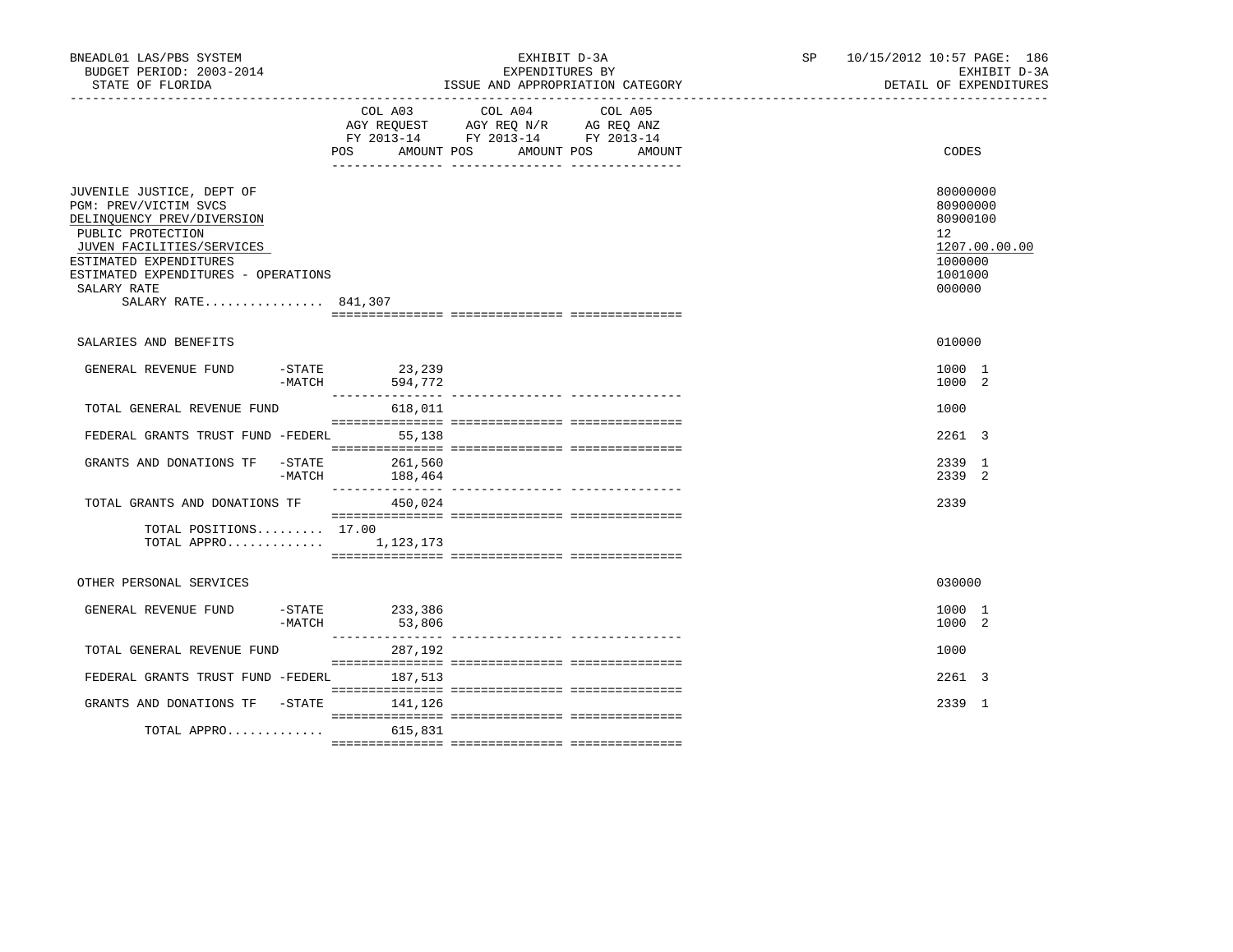| BNEADL01 LAS/PBS SYSTEM<br>BUDGET PERIOD: 2003-2014<br>STATE OF FLORIDA<br>-------------------------------------                                                                                                                          |                       |                               | EXHIBIT D-3A<br>EXPENDITURES BY<br>ISSUE AND APPROPRIATION CATEGORY<br>--------------------------------              | SP and the set of the set of the set of the set of the set of the set of the set of the set of the set of the set of the set of the set of the set of the set of the set of the set of the set of the set of the set of the se | 10/15/2012 10:57 PAGE: 186 |                                                                        | EXHIBIT D-3A<br>DETAIL OF EXPENDITURES |
|-------------------------------------------------------------------------------------------------------------------------------------------------------------------------------------------------------------------------------------------|-----------------------|-------------------------------|----------------------------------------------------------------------------------------------------------------------|--------------------------------------------------------------------------------------------------------------------------------------------------------------------------------------------------------------------------------|----------------------------|------------------------------------------------------------------------|----------------------------------------|
|                                                                                                                                                                                                                                           |                       | COL A03<br>POS.<br>AMOUNT POS | COL A04<br>COL A05<br>AGY REQUEST AGY REQ N/R AG REQ ANZ<br>FY 2013-14 FY 2013-14 FY 2013-14<br>AMOUNT POS<br>AMOUNT |                                                                                                                                                                                                                                |                            | CODES                                                                  |                                        |
| JUVENILE JUSTICE, DEPT OF<br>PGM: PREV/VICTIM SVCS<br>DELINQUENCY PREV/DIVERSION<br>PUBLIC PROTECTION<br>JUVEN FACILITIES/SERVICES<br>ESTIMATED EXPENDITURES<br>ESTIMATED EXPENDITURES - OPERATIONS<br>SALARY RATE<br>SALARY RATE 841,307 |                       |                               |                                                                                                                      |                                                                                                                                                                                                                                |                            | 80000000<br>80900000<br>80900100<br>12<br>1000000<br>1001000<br>000000 | 1207.00.00.00                          |
| SALARIES AND BENEFITS                                                                                                                                                                                                                     |                       |                               |                                                                                                                      |                                                                                                                                                                                                                                |                            | 010000                                                                 |                                        |
| GENERAL REVENUE FUND                                                                                                                                                                                                                      | $-$ STATE<br>$-MATCH$ | 23,239<br>594,772             |                                                                                                                      |                                                                                                                                                                                                                                |                            | 1000 1<br>1000 2                                                       |                                        |
| TOTAL GENERAL REVENUE FUND                                                                                                                                                                                                                |                       | 618,011                       |                                                                                                                      |                                                                                                                                                                                                                                |                            | 1000                                                                   |                                        |
| FEDERAL GRANTS TRUST FUND -FEDERL                                                                                                                                                                                                         |                       | 55,138                        |                                                                                                                      |                                                                                                                                                                                                                                |                            | 2261 3                                                                 |                                        |
| GRANTS AND DONATIONS TF                                                                                                                                                                                                                   | -STATE<br>-MATCH      | 261,560<br>188,464            |                                                                                                                      |                                                                                                                                                                                                                                |                            | 2339 1<br>2339 2                                                       |                                        |
| TOTAL GRANTS AND DONATIONS TF                                                                                                                                                                                                             |                       | 450,024                       |                                                                                                                      |                                                                                                                                                                                                                                |                            | 2339                                                                   |                                        |
| TOTAL POSITIONS 17.00<br>TOTAL APPRO $1,123,173$                                                                                                                                                                                          |                       |                               |                                                                                                                      |                                                                                                                                                                                                                                |                            |                                                                        |                                        |
| OTHER PERSONAL SERVICES                                                                                                                                                                                                                   |                       |                               |                                                                                                                      |                                                                                                                                                                                                                                |                            | 030000                                                                 |                                        |
| GENERAL REVENUE FUND                                                                                                                                                                                                                      | $-$ STATE<br>$-MATCH$ | 233,386<br>53,806             |                                                                                                                      |                                                                                                                                                                                                                                |                            | 1000 1<br>1000 2                                                       |                                        |
| TOTAL GENERAL REVENUE FUND                                                                                                                                                                                                                |                       | 287,192                       |                                                                                                                      |                                                                                                                                                                                                                                |                            | 1000                                                                   |                                        |
| FEDERAL GRANTS TRUST FUND -FEDERL                                                                                                                                                                                                         |                       | 187,513                       |                                                                                                                      |                                                                                                                                                                                                                                |                            | 2261 3                                                                 |                                        |
| GRANTS AND DONATIONS TF -STATE                                                                                                                                                                                                            |                       | 141,126                       |                                                                                                                      |                                                                                                                                                                                                                                |                            | 2339 1                                                                 |                                        |
| TOTAL APPRO $615,831$                                                                                                                                                                                                                     |                       |                               |                                                                                                                      |                                                                                                                                                                                                                                |                            |                                                                        |                                        |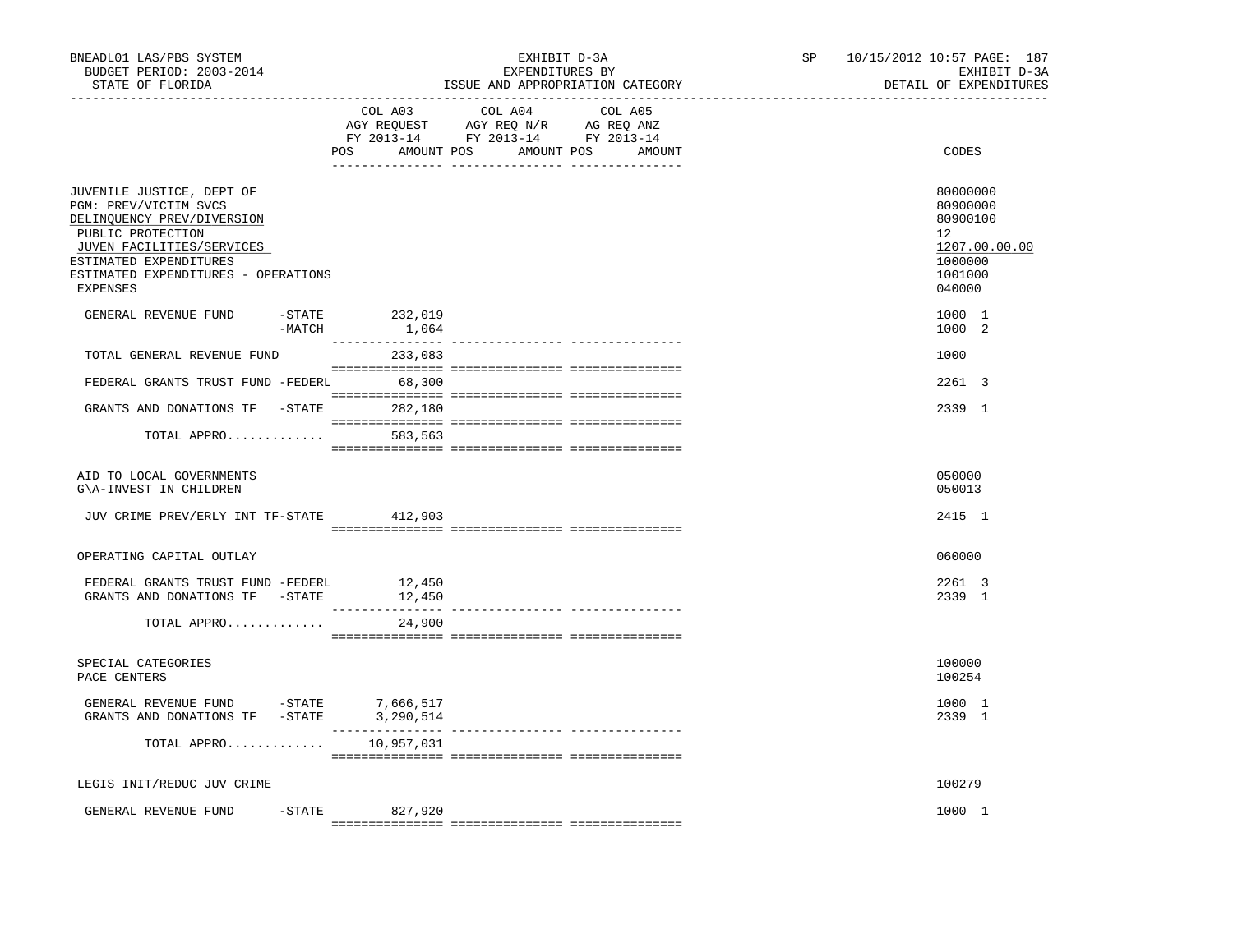| BNEADL01 LAS/PBS SYSTEM<br>BUDGET PERIOD: 2003-2014<br>STATE OF FLORIDA                                                                                                                                                |                                        | EXHIBIT D-3A<br>EXPENDITURES BY                                                                                       | ISSUE AND APPROPRIATION CATEGORY | SP | 10/15/2012 10:57 PAGE: 187<br>EXHIBIT D-3A<br>DETAIL OF EXPENDITURES                    |
|------------------------------------------------------------------------------------------------------------------------------------------------------------------------------------------------------------------------|----------------------------------------|-----------------------------------------------------------------------------------------------------------------------|----------------------------------|----|-----------------------------------------------------------------------------------------|
|                                                                                                                                                                                                                        | COL A03                                | COL A04<br>AGY REQUEST AGY REQ N/R AG REQ ANZ<br>FY 2013-14 FY 2013-14 FY 2013-14<br>POS AMOUNT POS AMOUNT POS AMOUNT | COL A05                          |    | CODES                                                                                   |
| JUVENILE JUSTICE, DEPT OF<br>PGM: PREV/VICTIM SVCS<br>DELINQUENCY PREV/DIVERSION<br>PUBLIC PROTECTION<br>JUVEN FACILITIES/SERVICES<br>ESTIMATED EXPENDITURES<br>ESTIMATED EXPENDITURES - OPERATIONS<br><b>EXPENSES</b> |                                        |                                                                                                                       |                                  |    | 80000000<br>80900000<br>80900100<br>12<br>1207.00.00.00<br>1000000<br>1001000<br>040000 |
| GENERAL REVENUE FUND<br>$-$ STATE<br>-MATCH                                                                                                                                                                            | 232,019<br>1,064                       |                                                                                                                       |                                  |    | 1000 1<br>1000 2                                                                        |
| TOTAL GENERAL REVENUE FUND                                                                                                                                                                                             | 233,083                                |                                                                                                                       |                                  |    | 1000                                                                                    |
| FEDERAL GRANTS TRUST FUND -FEDERL 68,300                                                                                                                                                                               |                                        |                                                                                                                       |                                  |    | 2261 3                                                                                  |
| GRANTS AND DONATIONS TF -STATE 282,180                                                                                                                                                                                 |                                        |                                                                                                                       |                                  |    | 2339 1                                                                                  |
| TOTAL APPRO 583,563                                                                                                                                                                                                    |                                        |                                                                                                                       |                                  |    |                                                                                         |
| AID TO LOCAL GOVERNMENTS<br>G\A-INVEST IN CHILDREN                                                                                                                                                                     |                                        |                                                                                                                       |                                  |    | 050000<br>050013                                                                        |
| JUV CRIME PREV/ERLY INT TF-STATE 412,903                                                                                                                                                                               |                                        |                                                                                                                       |                                  |    | 2415 1                                                                                  |
| OPERATING CAPITAL OUTLAY                                                                                                                                                                                               |                                        |                                                                                                                       |                                  |    | 060000                                                                                  |
| FEDERAL GRANTS TRUST FUND -FEDERL<br>GRANTS AND DONATIONS TF -STATE                                                                                                                                                    | 12,450<br>12,450<br><u> 1111111111</u> |                                                                                                                       |                                  |    | 2261 3<br>2339 1                                                                        |
| TOTAL APPRO                                                                                                                                                                                                            | 24,900                                 |                                                                                                                       |                                  |    |                                                                                         |
| SPECIAL CATEGORIES<br>PACE CENTERS                                                                                                                                                                                     |                                        |                                                                                                                       |                                  |    | 100000<br>100254                                                                        |
| GENERAL REVENUE FUND -STATE $7,666,517$<br>GRANTS AND DONATIONS TF -STATE 3,290,514                                                                                                                                    |                                        |                                                                                                                       |                                  |    | 1000 1<br>2339 1                                                                        |
| TOTAL APPRO                                                                                                                                                                                                            | 10,957,031                             |                                                                                                                       |                                  |    |                                                                                         |
| LEGIS INIT/REDUC JUV CRIME                                                                                                                                                                                             |                                        |                                                                                                                       |                                  |    | 100279                                                                                  |
| GENERAL REVENUE FUND                                                                                                                                                                                                   | -STATE 827,920                         |                                                                                                                       |                                  |    | 1000 1                                                                                  |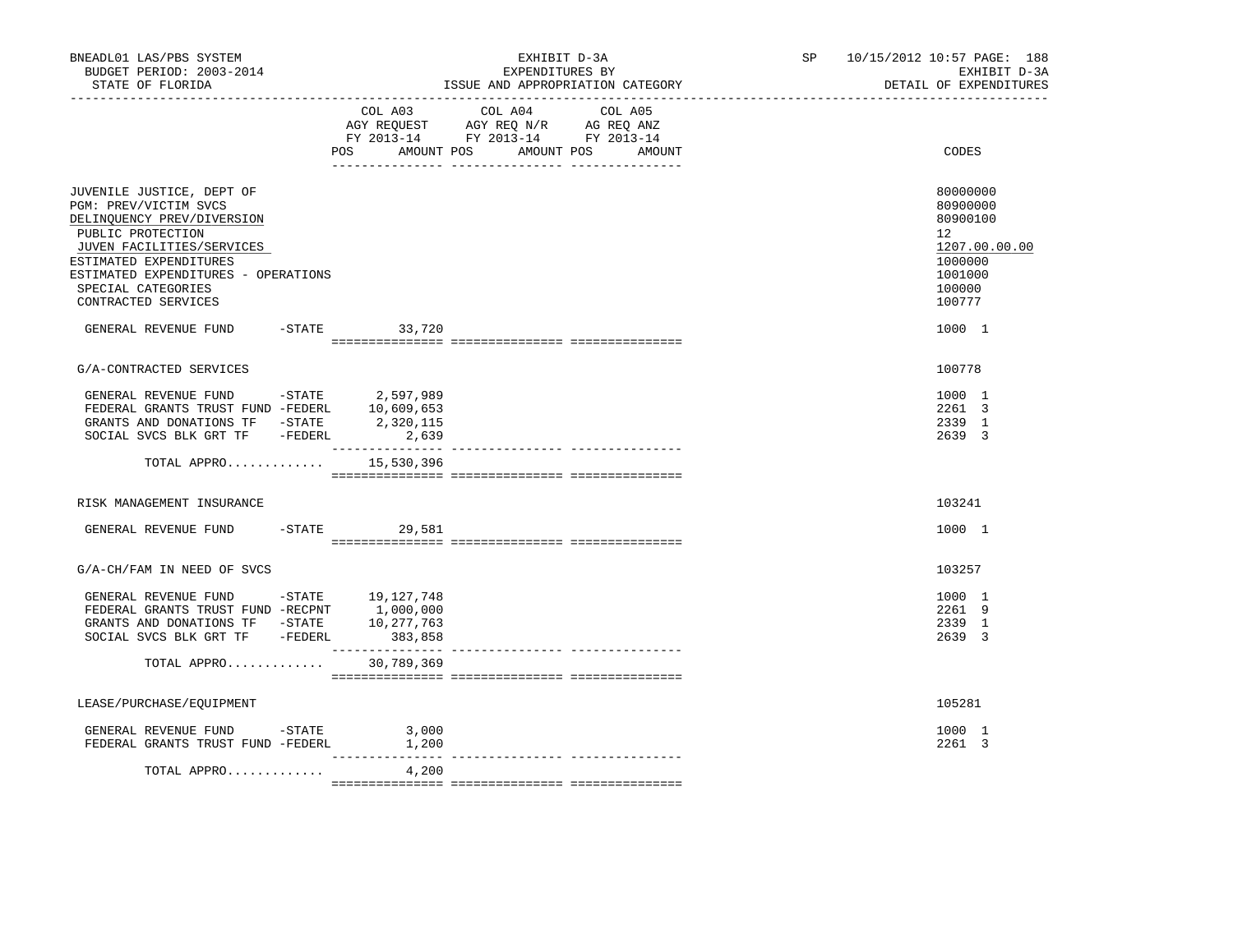| BNEADL01 LAS/PBS SYSTEM<br>BUDGET PERIOD: 2003-2014<br>STATE OF FLORIDA                                                                                                |                          | EXHIBIT D-3A<br>EXPENDITURES BY<br>ISSUE AND APPROPRIATION CATEGORY                                                                   | SP <sub>2</sub> | 10/15/2012 10:57 PAGE: 188<br>EXHIBIT D-3A<br>DETAIL OF EXPENDITURES |
|------------------------------------------------------------------------------------------------------------------------------------------------------------------------|--------------------------|---------------------------------------------------------------------------------------------------------------------------------------|-----------------|----------------------------------------------------------------------|
|                                                                                                                                                                        |                          | COL A03 COL A04 COL A05<br>AGY REQUEST AGY REQ N/R AG REQ ANZ<br>FY 2013-14 FY 2013-14 FY 2013-14<br>POS AMOUNT POS AMOUNT POS AMOUNT |                 | CODES                                                                |
|                                                                                                                                                                        |                          |                                                                                                                                       |                 |                                                                      |
| JUVENILE JUSTICE, DEPT OF<br>PGM: PREV/VICTIM SVCS<br>DELINQUENCY PREV/DIVERSION<br>PUBLIC PROTECTION<br>JUVEN FACILITIES/SERVICES                                     |                          |                                                                                                                                       |                 | 80000000<br>80900000<br>80900100<br>12 <sup>°</sup><br>1207.00.00.00 |
| ESTIMATED EXPENDITURES<br>ESTIMATED EXPENDITURES - OPERATIONS<br>SPECIAL CATEGORIES<br>CONTRACTED SERVICES                                                             |                          |                                                                                                                                       |                 | 1000000<br>1001000<br>100000<br>100777                               |
| GENERAL REVENUE FUND                                                                                                                                                   | $-STATE$ 33,720          |                                                                                                                                       |                 | 1000 1                                                               |
| G/A-CONTRACTED SERVICES                                                                                                                                                |                          |                                                                                                                                       |                 | 100778                                                               |
| GENERAL REVENUE FUND -STATE 2,597,989<br>FEDERAL GRANTS TRUST FUND -FEDERL 10,609,653<br>GRANTS AND DONATIONS TF $-$ STATE 2,320,115<br>SOCIAL SVCS BLK GRT TF -FEDERL | 2,639                    |                                                                                                                                       |                 | 1000 1<br>2261 3<br>2339 1<br>2639 3                                 |
|                                                                                                                                                                        | TOTAL APPRO $15,530,396$ |                                                                                                                                       |                 |                                                                      |
| RISK MANAGEMENT INSURANCE                                                                                                                                              |                          |                                                                                                                                       |                 | 103241                                                               |
| GENERAL REVENUE FUND                                                                                                                                                   | $-STATE$ 29,581          |                                                                                                                                       |                 | 1000 1                                                               |
| G/A-CH/FAM IN NEED OF SVCS                                                                                                                                             |                          |                                                                                                                                       |                 | 103257                                                               |
| GENERAL REVENUE FUND -STATE 19,127,748<br>SOCIAL SVCS BLK GRT TF -FEDERL                                                                                               | 383,858                  |                                                                                                                                       |                 | 1000 1<br>2261 9<br>2339 1<br>2639 3                                 |
| TOTAL APPRO                                                                                                                                                            | 30,789,369               |                                                                                                                                       |                 |                                                                      |
| LEASE/PURCHASE/EQUIPMENT                                                                                                                                               |                          |                                                                                                                                       |                 | 105281                                                               |
| GENERAL REVENUE FUND -STATE $3,000$<br>- $\frac{3,000}{1,200}$                                                                                                         |                          |                                                                                                                                       |                 | 1000 1<br>2261 3                                                     |
| TOTAL APPRO                                                                                                                                                            | ---------------<br>4,200 |                                                                                                                                       |                 |                                                                      |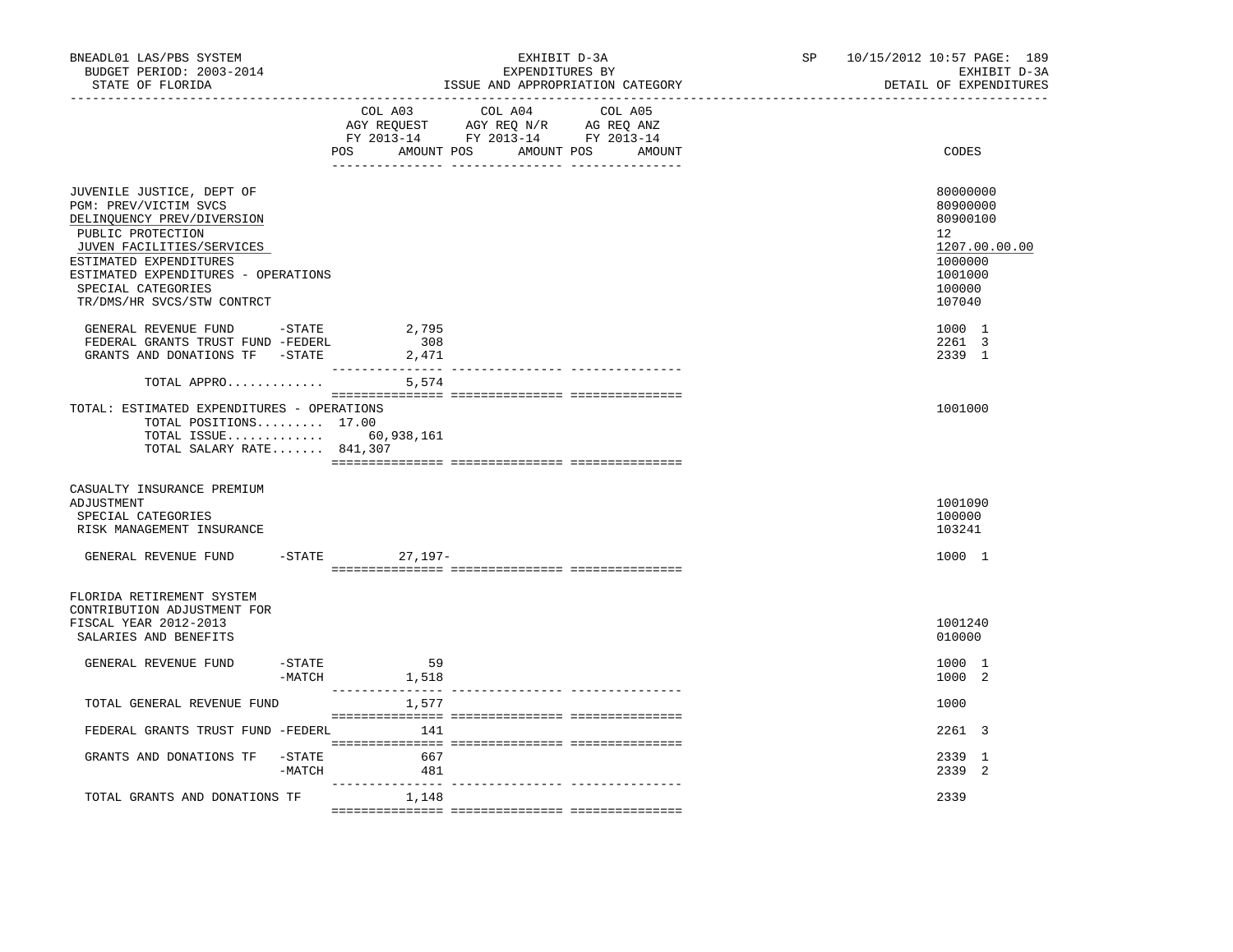| BNEADL01 LAS/PBS SYSTEM<br>BUDGET PERIOD: 2003-2014<br>STATE OF FLORIDA                                                                                                                                                                                 |                  |                                  | EXHIBIT D-3A<br>EXPENDITURES BY                                                                   | ISSUE AND APPROPRIATION CATEGORY | SP and the set of the set of the set of the set of the set of the set of the set of the set of the set of the set of the set of the set of the set of the set of the set of the set of the set of the set of the set of the se | 10/15/2012 10:57 PAGE: 189<br>EXHIBIT D-3A<br>DETAIL OF EXPENDITURES                              |
|---------------------------------------------------------------------------------------------------------------------------------------------------------------------------------------------------------------------------------------------------------|------------------|----------------------------------|---------------------------------------------------------------------------------------------------|----------------------------------|--------------------------------------------------------------------------------------------------------------------------------------------------------------------------------------------------------------------------------|---------------------------------------------------------------------------------------------------|
|                                                                                                                                                                                                                                                         |                  | POS AMOUNT POS AMOUNT POS AMOUNT | COL A03 COL A04 COL A05<br>AGY REQUEST AGY REQ N/R AG REQ ANZ<br>FY 2013-14 FY 2013-14 FY 2013-14 |                                  |                                                                                                                                                                                                                                | CODES                                                                                             |
| JUVENILE JUSTICE, DEPT OF<br>PGM: PREV/VICTIM SVCS<br>DELINQUENCY PREV/DIVERSION<br>PUBLIC PROTECTION<br>JUVEN FACILITIES/SERVICES<br>ESTIMATED EXPENDITURES<br>ESTIMATED EXPENDITURES - OPERATIONS<br>SPECIAL CATEGORIES<br>TR/DMS/HR SVCS/STW CONTRCT |                  |                                  |                                                                                                   |                                  |                                                                                                                                                                                                                                | 80000000<br>80900000<br>80900100<br>12<br>1207.00.00.00<br>1000000<br>1001000<br>100000<br>107040 |
| GENERAL REVENUE FUND -STATE<br>FEDERAL GRANTS TRUST FUND -FEDERL<br>GRANTS AND DONATIONS TF -STATE                                                                                                                                                      |                  | 2,795<br>308<br>2,471            |                                                                                                   |                                  |                                                                                                                                                                                                                                | 1000 1<br>2261 3<br>2339 1                                                                        |
| TOTAL APPRO                                                                                                                                                                                                                                             |                  | 5,574                            |                                                                                                   |                                  |                                                                                                                                                                                                                                |                                                                                                   |
| TOTAL: ESTIMATED EXPENDITURES - OPERATIONS<br>TOTAL POSITIONS 17.00<br>TOTAL ISSUE 60,938,161<br>TOTAL SALARY RATE 841,307                                                                                                                              |                  |                                  |                                                                                                   |                                  |                                                                                                                                                                                                                                | 1001000                                                                                           |
| CASUALTY INSURANCE PREMIUM<br>ADJUSTMENT<br>SPECIAL CATEGORIES<br>RISK MANAGEMENT INSURANCE                                                                                                                                                             |                  |                                  |                                                                                                   |                                  |                                                                                                                                                                                                                                | 1001090<br>100000<br>103241                                                                       |
| GENERAL REVENUE FUND                                                                                                                                                                                                                                    |                  | -STATE 27,197-                   |                                                                                                   |                                  |                                                                                                                                                                                                                                | 1000 1                                                                                            |
| FLORIDA RETIREMENT SYSTEM<br>CONTRIBUTION ADJUSTMENT FOR<br>FISCAL YEAR 2012-2013<br>SALARIES AND BENEFITS                                                                                                                                              |                  |                                  |                                                                                                   |                                  |                                                                                                                                                                                                                                | 1001240<br>010000                                                                                 |
| GENERAL REVENUE FUND                                                                                                                                                                                                                                    | -STATE<br>-MATCH | 59<br>1,518                      |                                                                                                   |                                  |                                                                                                                                                                                                                                | 1000 1<br>1000 2                                                                                  |
| TOTAL GENERAL REVENUE FUND                                                                                                                                                                                                                              |                  | 1,577                            |                                                                                                   |                                  |                                                                                                                                                                                                                                | 1000                                                                                              |
| FEDERAL GRANTS TRUST FUND -FEDERL                                                                                                                                                                                                                       |                  | 141                              |                                                                                                   |                                  |                                                                                                                                                                                                                                | 2261 3                                                                                            |
| GRANTS AND DONATIONS TF                                                                                                                                                                                                                                 | -STATE<br>-MATCH | 667<br>481                       |                                                                                                   |                                  |                                                                                                                                                                                                                                | 2339 1<br>2339 2                                                                                  |
| TOTAL GRANTS AND DONATIONS TF                                                                                                                                                                                                                           |                  | 1,148                            |                                                                                                   |                                  |                                                                                                                                                                                                                                | 2339                                                                                              |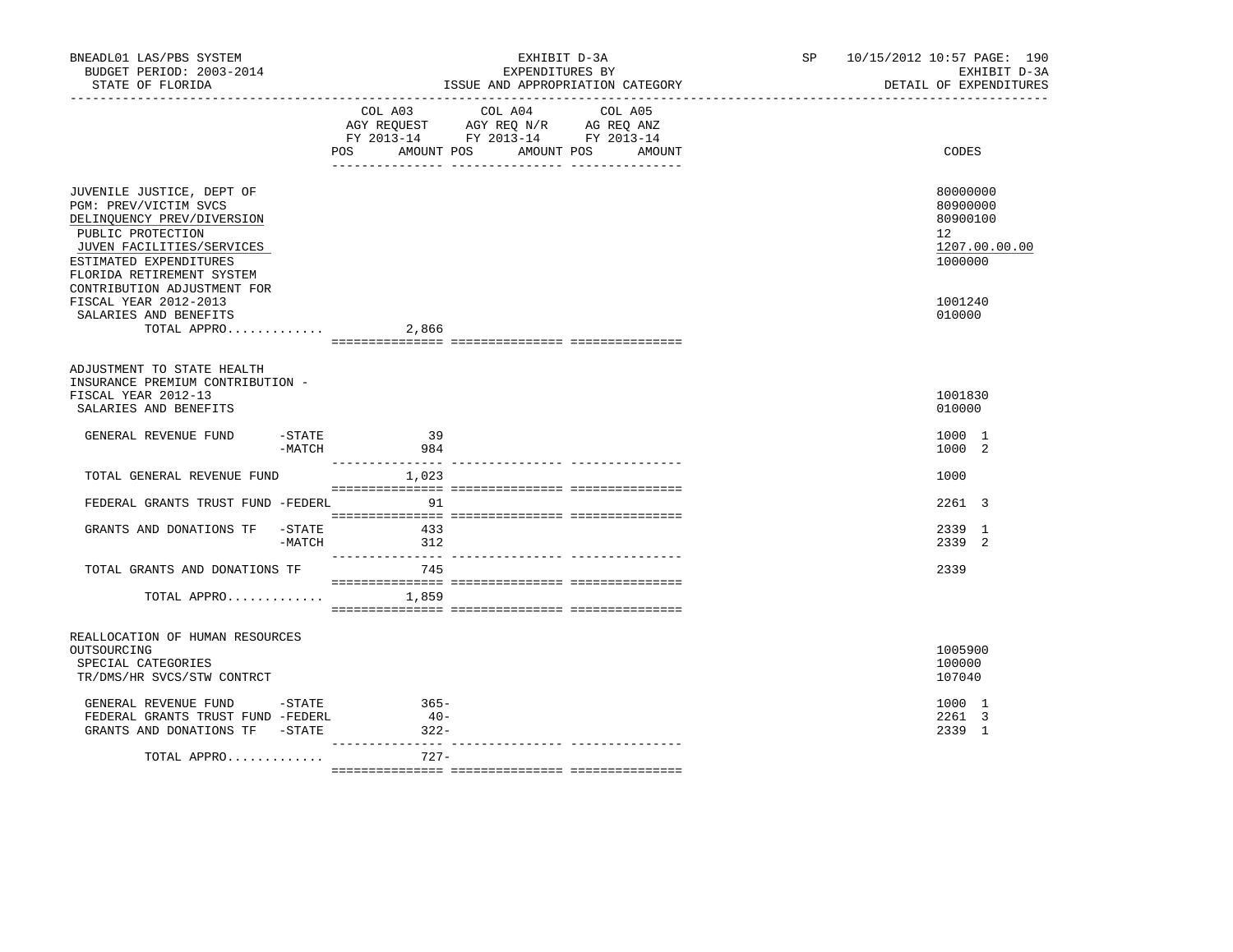| BNEADL01 LAS/PBS SYSTEM<br>BUDGET PERIOD: 2003-2014<br>STATE OF FLORIDA                                                                                                                   | EXHIBIT D-3A<br>EXPENDITURES BY<br>ISSUE AND APPROPRIATION CATEGORY<br>_________________________________                                                 | 10/15/2012 10:57 PAGE: 190<br>SP<br>EXHIBIT D-3A<br>DETAIL OF EXPENDITURES |
|-------------------------------------------------------------------------------------------------------------------------------------------------------------------------------------------|----------------------------------------------------------------------------------------------------------------------------------------------------------|----------------------------------------------------------------------------|
|                                                                                                                                                                                           | COL A04<br>COL A03<br>COL A05<br>AGY REQUEST AGY REQ N/R AG REQ ANZ<br>FY 2013-14 FY 2013-14 FY 2013-14<br>POS FOR<br>AMOUNT POS<br>AMOUNT POS<br>AMOUNT | CODES                                                                      |
| JUVENILE JUSTICE, DEPT OF<br>PGM: PREV/VICTIM SVCS<br>DELINQUENCY PREV/DIVERSION<br>PUBLIC PROTECTION<br>JUVEN FACILITIES/SERVICES<br>ESTIMATED EXPENDITURES<br>FLORIDA RETIREMENT SYSTEM |                                                                                                                                                          | 80000000<br>80900000<br>80900100<br>12<br>1207.00.00.00<br>1000000         |
| CONTRIBUTION ADJUSTMENT FOR<br>FISCAL YEAR 2012-2013<br>SALARIES AND BENEFITS<br>TOTAL APPRO                                                                                              | 2,866                                                                                                                                                    | 1001240<br>010000                                                          |
| ADJUSTMENT TO STATE HEALTH<br>INSURANCE PREMIUM CONTRIBUTION -<br>FISCAL YEAR 2012-13<br>SALARIES AND BENEFITS                                                                            |                                                                                                                                                          | 1001830<br>010000                                                          |
| -STATE<br>GENERAL REVENUE FUND<br>-MATCH                                                                                                                                                  | 39<br>984                                                                                                                                                | 1000 1<br>1000 2                                                           |
| TOTAL GENERAL REVENUE FUND                                                                                                                                                                | 1,023                                                                                                                                                    | 1000                                                                       |
| FEDERAL GRANTS TRUST FUND -FEDERL                                                                                                                                                         | 91                                                                                                                                                       | 2261 3                                                                     |
| GRANTS AND DONATIONS TF<br>-STATE<br>-MATCH                                                                                                                                               | 433<br>312                                                                                                                                               | 2339 1<br>2339 2                                                           |
| TOTAL GRANTS AND DONATIONS TF<br>TOTAL APPRO                                                                                                                                              | 745<br>1,859                                                                                                                                             | 2339                                                                       |
| REALLOCATION OF HUMAN RESOURCES<br>OUTSOURCING<br>SPECIAL CATEGORIES<br>TR/DMS/HR SVCS/STW CONTRCT                                                                                        |                                                                                                                                                          | 1005900<br>100000<br>107040                                                |
| GENERAL REVENUE FUND -STATE<br>FEDERAL GRANTS TRUST FUND -FEDERL<br>GRANTS AND DONATIONS TF -STATE                                                                                        | $365-$<br>$40-$<br>$322 -$                                                                                                                               | 1000 1<br>2261 3<br>2339 1                                                 |
| TOTAL APPRO                                                                                                                                                                               | $727 -$                                                                                                                                                  |                                                                            |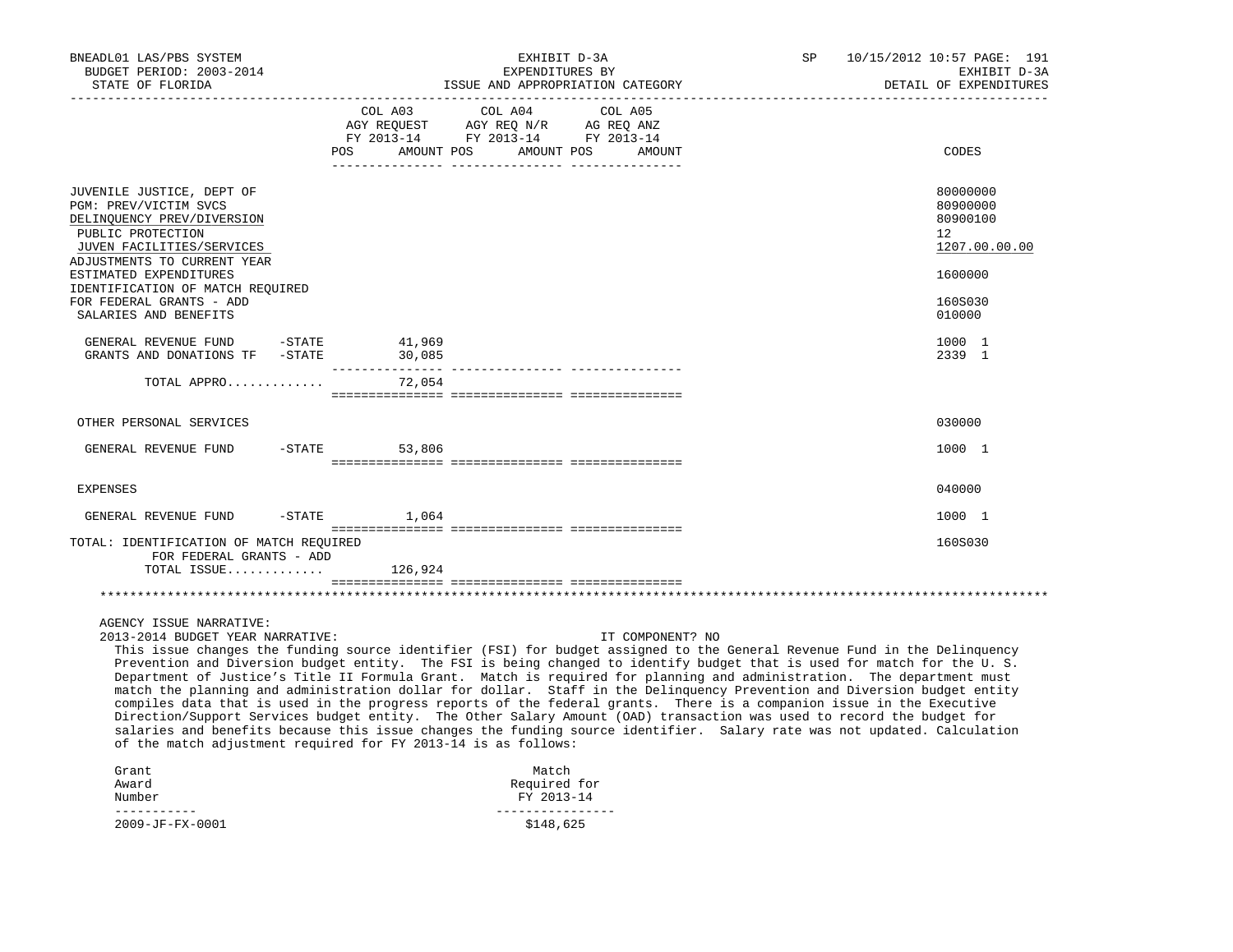| BNEADL01 LAS/PBS SYSTEM<br>BUDGET PERIOD: 2003-2014<br>STATE OF FLORIDA                                                                                                                                                                                                                                                                                                                                                                                                                                                                                                                                                                                                                                                                                                                                                                                                                                                                                                                                                   |                                             | EXHIBIT D-3A<br>EXPENDITURES BY                                                                                                                                                                              | ISSUE AND APPROPRIATION CATEGORY | <b>SP</b> | 10/15/2012 10:57 PAGE: 191<br>EXHIBIT D-3A<br>DETAIL OF EXPENDITURES |
|---------------------------------------------------------------------------------------------------------------------------------------------------------------------------------------------------------------------------------------------------------------------------------------------------------------------------------------------------------------------------------------------------------------------------------------------------------------------------------------------------------------------------------------------------------------------------------------------------------------------------------------------------------------------------------------------------------------------------------------------------------------------------------------------------------------------------------------------------------------------------------------------------------------------------------------------------------------------------------------------------------------------------|---------------------------------------------|--------------------------------------------------------------------------------------------------------------------------------------------------------------------------------------------------------------|----------------------------------|-----------|----------------------------------------------------------------------|
|                                                                                                                                                                                                                                                                                                                                                                                                                                                                                                                                                                                                                                                                                                                                                                                                                                                                                                                                                                                                                           | COL A03<br>POS AMOUNT POS AMOUNT POS AMOUNT | COL A04<br>$\begin{tabular}{lllllll} \bf AGY \;\; RegUEST & \tt AGY \;\; REG \;\; N/R & \tt AG \;\; REG \;\; ANZ \\ \hline \tt FY \;\; 2013-14 & \tt FY \;\; 2013-14 & \tt FY \;\; 2013-14 \\ \end{tabular}$ | COL A05                          |           | CODES                                                                |
| JUVENILE JUSTICE, DEPT OF<br>PGM: PREV/VICTIM SVCS<br>DELINQUENCY PREV/DIVERSION<br>PUBLIC PROTECTION<br>JUVEN FACILITIES/SERVICES<br>ADJUSTMENTS TO CURRENT YEAR                                                                                                                                                                                                                                                                                                                                                                                                                                                                                                                                                                                                                                                                                                                                                                                                                                                         |                                             |                                                                                                                                                                                                              |                                  |           | 80000000<br>80900000<br>80900100<br>12<br>1207.00.00.00              |
| ESTIMATED EXPENDITURES<br>IDENTIFICATION OF MATCH REQUIRED<br>FOR FEDERAL GRANTS - ADD<br>SALARIES AND BENEFITS                                                                                                                                                                                                                                                                                                                                                                                                                                                                                                                                                                                                                                                                                                                                                                                                                                                                                                           |                                             |                                                                                                                                                                                                              |                                  |           | 1600000<br>160S030<br>010000                                         |
| GENERAL REVENUE FUND -STATE<br>GRANTS AND DONATIONS TF -STATE                                                                                                                                                                                                                                                                                                                                                                                                                                                                                                                                                                                                                                                                                                                                                                                                                                                                                                                                                             | 41,969<br>30,085                            |                                                                                                                                                                                                              |                                  |           | 1000 1<br>2339 1                                                     |
| TOTAL APPRO                                                                                                                                                                                                                                                                                                                                                                                                                                                                                                                                                                                                                                                                                                                                                                                                                                                                                                                                                                                                               | 72,054                                      |                                                                                                                                                                                                              |                                  |           |                                                                      |
| OTHER PERSONAL SERVICES                                                                                                                                                                                                                                                                                                                                                                                                                                                                                                                                                                                                                                                                                                                                                                                                                                                                                                                                                                                                   |                                             |                                                                                                                                                                                                              |                                  |           | 030000                                                               |
| GENERAL REVENUE FUND                                                                                                                                                                                                                                                                                                                                                                                                                                                                                                                                                                                                                                                                                                                                                                                                                                                                                                                                                                                                      | $-STATE$<br>53,806                          |                                                                                                                                                                                                              |                                  |           | 1000 1                                                               |
| <b>EXPENSES</b>                                                                                                                                                                                                                                                                                                                                                                                                                                                                                                                                                                                                                                                                                                                                                                                                                                                                                                                                                                                                           |                                             |                                                                                                                                                                                                              |                                  |           | 040000                                                               |
| GENERAL REVENUE FUND                                                                                                                                                                                                                                                                                                                                                                                                                                                                                                                                                                                                                                                                                                                                                                                                                                                                                                                                                                                                      | $-$ STATE $1,064$                           |                                                                                                                                                                                                              |                                  |           | 1000 1                                                               |
| TOTAL: IDENTIFICATION OF MATCH REQUIRED<br>FOR FEDERAL GRANTS - ADD<br>TOTAL ISSUE $126,924$                                                                                                                                                                                                                                                                                                                                                                                                                                                                                                                                                                                                                                                                                                                                                                                                                                                                                                                              |                                             |                                                                                                                                                                                                              |                                  |           | 160S030                                                              |
|                                                                                                                                                                                                                                                                                                                                                                                                                                                                                                                                                                                                                                                                                                                                                                                                                                                                                                                                                                                                                           |                                             |                                                                                                                                                                                                              |                                  |           |                                                                      |
| AGENCY ISSUE NARRATIVE:<br>2013-2014 BUDGET YEAR NARRATIVE:<br>This issue changes the funding source identifier (FSI) for budget assigned to the General Revenue Fund in the Delinquency<br>Prevention and Diversion budget entity. The FSI is being changed to identify budget that is used for match for the U.S.<br>Department of Justice's Title II Formula Grant. Match is required for planning and administration. The department must<br>match the planning and administration dollar for dollar. Staff in the Delinquency Prevention and Diversion budget entity<br>compiles data that is used in the progress reports of the federal grants. There is a companion issue in the Executive<br>Direction/Support Services budget entity. The Other Salary Amount (OAD) transaction was used to record the budget for<br>salaries and benefits because this issue changes the funding source identifier. Salary rate was not updated. Calculation<br>of the match adjustment required for FY 2013-14 is as follows: |                                             |                                                                                                                                                                                                              | IT COMPONENT? NO                 |           |                                                                      |
| Grant<br>Award<br>Number                                                                                                                                                                                                                                                                                                                                                                                                                                                                                                                                                                                                                                                                                                                                                                                                                                                                                                                                                                                                  |                                             | Match<br>Required for<br>FY 2013-14                                                                                                                                                                          |                                  |           |                                                                      |
| -----------<br>2009-JF-FX-0001                                                                                                                                                                                                                                                                                                                                                                                                                                                                                                                                                                                                                                                                                                                                                                                                                                                                                                                                                                                            |                                             | <u>________________</u><br>\$148,625                                                                                                                                                                         |                                  |           |                                                                      |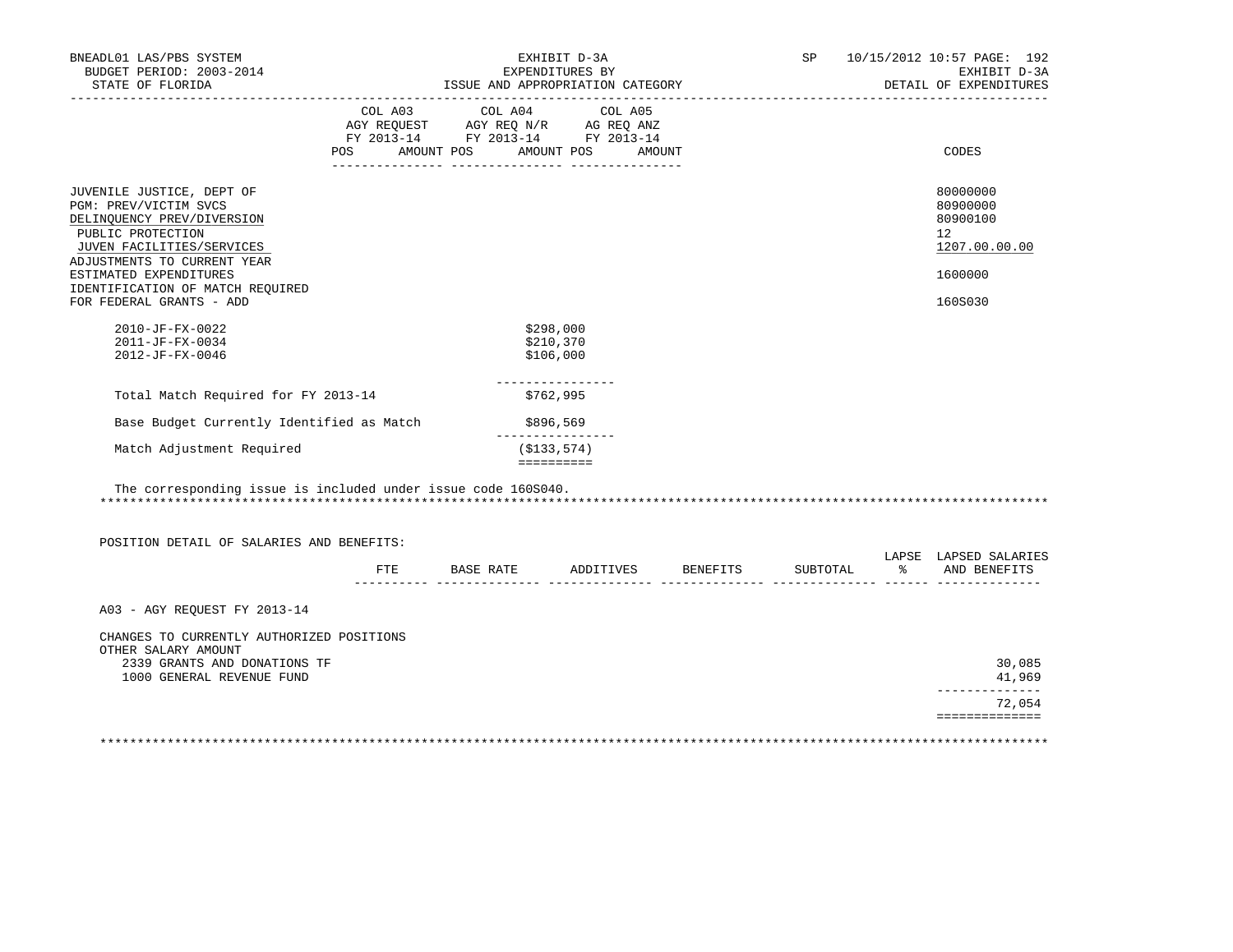| EXHIBIT D-3A<br>EXPENDITURES BY<br>ISSUE AND APPROPRIATION CATEGORY |                                                                                                                                                                            |  |                                                                                                                                                                                                                                |                                                                                                            |                              | SP 10/15/2012 10:57 PAGE: 192<br>EXHIBIT D-3A<br>DETAIL OF EXPENDITURES       |
|---------------------------------------------------------------------|----------------------------------------------------------------------------------------------------------------------------------------------------------------------------|--|--------------------------------------------------------------------------------------------------------------------------------------------------------------------------------------------------------------------------------|------------------------------------------------------------------------------------------------------------|------------------------------|-------------------------------------------------------------------------------|
|                                                                     |                                                                                                                                                                            |  |                                                                                                                                                                                                                                |                                                                                                            |                              | CODES                                                                         |
|                                                                     |                                                                                                                                                                            |  |                                                                                                                                                                                                                                |                                                                                                            |                              | 80000000<br>80900000<br>80900100<br>12<br>1207.00.00.00<br>1600000<br>160S030 |
|                                                                     |                                                                                                                                                                            |  |                                                                                                                                                                                                                                |                                                                                                            |                              |                                                                               |
|                                                                     |                                                                                                                                                                            |  |                                                                                                                                                                                                                                |                                                                                                            |                              |                                                                               |
|                                                                     |                                                                                                                                                                            |  |                                                                                                                                                                                                                                |                                                                                                            |                              |                                                                               |
|                                                                     |                                                                                                                                                                            |  |                                                                                                                                                                                                                                |                                                                                                            |                              |                                                                               |
|                                                                     |                                                                                                                                                                            |  |                                                                                                                                                                                                                                |                                                                                                            |                              |                                                                               |
| FTE                                                                 |                                                                                                                                                                            |  |                                                                                                                                                                                                                                |                                                                                                            |                              | LAPSE LAPSED SALARIES<br>% AND BENEFITS                                       |
|                                                                     |                                                                                                                                                                            |  |                                                                                                                                                                                                                                |                                                                                                            |                              |                                                                               |
|                                                                     |                                                                                                                                                                            |  |                                                                                                                                                                                                                                |                                                                                                            |                              | 30,085<br>41,969<br>_____________                                             |
|                                                                     |                                                                                                                                                                            |  |                                                                                                                                                                                                                                |                                                                                                            |                              | 72,054<br>==============                                                      |
|                                                                     | Total Match Required for FY 2013-14<br>Base Budget Currently Identified as Match<br>POSITION DETAIL OF SALARIES AND BENEFITS:<br>CHANGES TO CURRENTLY AUTHORIZED POSITIONS |  | COL A03 COL A04 COL A05<br>\$298,000<br>\$210,370<br>\$106,000<br>----------------<br>\$762,995<br>\$896,569<br>________________<br>(S133, 574)<br>==========<br>The corresponding issue is included under issue code 160S040. | AGY REQUEST AGY REQ N/R AG REQ ANZ<br>FY 2013-14 FY 2013-14 FY 2013-14<br>POS AMOUNT POS AMOUNT POS AMOUNT | BASE RATE ADDITIVES BENEFITS | SUBTOTAL                                                                      |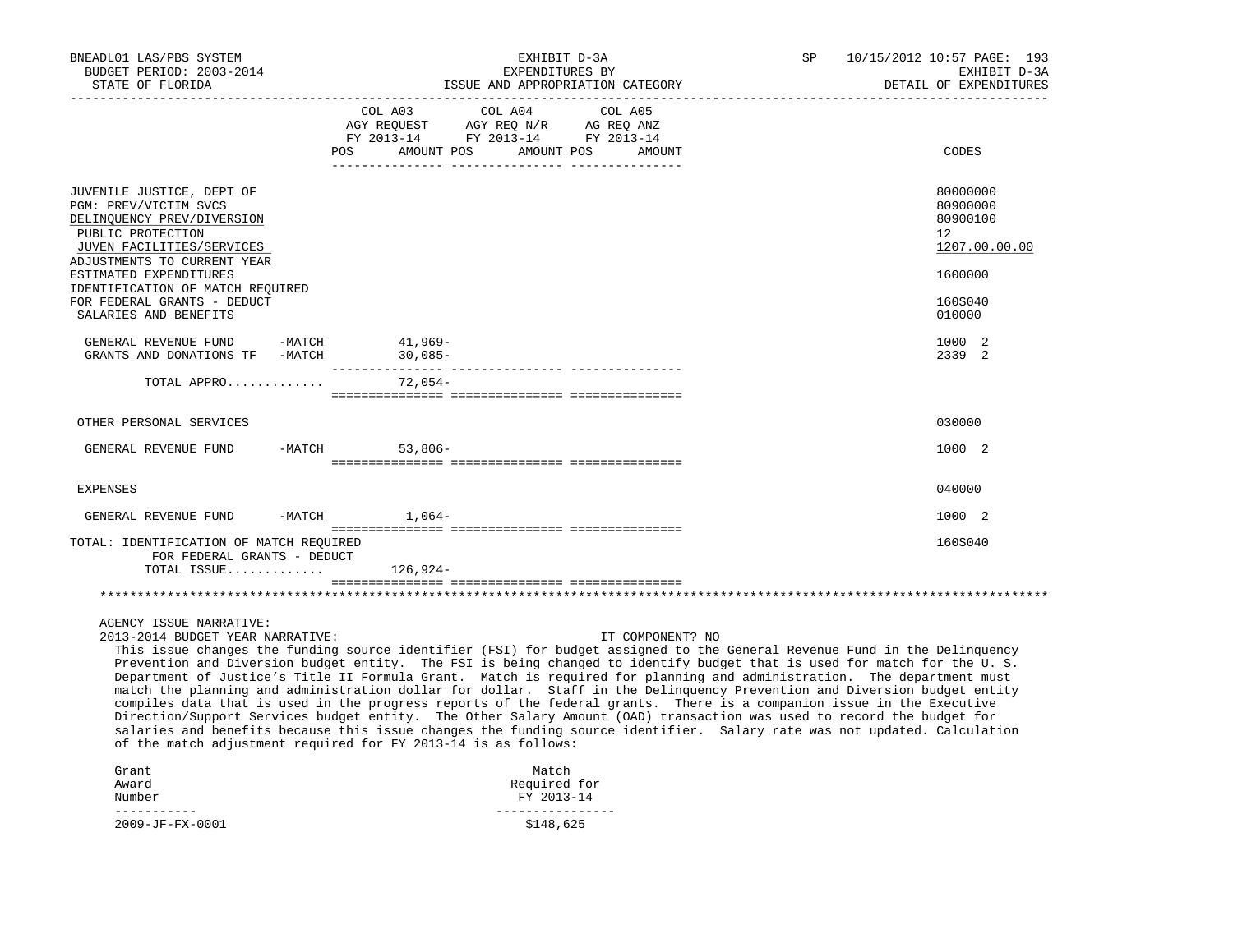| BNEADL01 LAS/PBS SYSTEM<br>BUDGET PERIOD: 2003-2014<br>STATE OF FLORIDA                                                                                           | EXHIBIT D-3A<br>EXPENDITURES BY<br>ISSUE AND APPROPRIATION CATEGORY                                                                                                                                                                                                                                                                                                                                                                                                                                                                                                                                                                                                                                                                                                                                                                                                                                                                                                            | SP | 10/15/2012 10:57 PAGE: 193<br>EXHIBIT D-3A<br>DETAIL OF EXPENDITURES |
|-------------------------------------------------------------------------------------------------------------------------------------------------------------------|--------------------------------------------------------------------------------------------------------------------------------------------------------------------------------------------------------------------------------------------------------------------------------------------------------------------------------------------------------------------------------------------------------------------------------------------------------------------------------------------------------------------------------------------------------------------------------------------------------------------------------------------------------------------------------------------------------------------------------------------------------------------------------------------------------------------------------------------------------------------------------------------------------------------------------------------------------------------------------|----|----------------------------------------------------------------------|
|                                                                                                                                                                   | COL A03<br>COL A04<br>COL A05<br>AGY REQUEST AGY REQ N/R AG REQ ANZ<br>FY 2013-14 FY 2013-14 FY 2013-14<br>POS AMOUNT POS AMOUNT POS AMOUNT                                                                                                                                                                                                                                                                                                                                                                                                                                                                                                                                                                                                                                                                                                                                                                                                                                    |    | CODES                                                                |
| JUVENILE JUSTICE, DEPT OF<br>PGM: PREV/VICTIM SVCS<br>DELINQUENCY PREV/DIVERSION<br>PUBLIC PROTECTION<br>JUVEN FACILITIES/SERVICES<br>ADJUSTMENTS TO CURRENT YEAR |                                                                                                                                                                                                                                                                                                                                                                                                                                                                                                                                                                                                                                                                                                                                                                                                                                                                                                                                                                                |    | 80000000<br>80900000<br>80900100<br>12<br>1207.00.00.00              |
| ESTIMATED EXPENDITURES<br>IDENTIFICATION OF MATCH REQUIRED<br>FOR FEDERAL GRANTS - DEDUCT<br>SALARIES AND BENEFITS                                                |                                                                                                                                                                                                                                                                                                                                                                                                                                                                                                                                                                                                                                                                                                                                                                                                                                                                                                                                                                                |    | 1600000<br>160S040<br>010000                                         |
| GENERAL REVENUE FUND -MATCH<br>GRANTS AND DONATIONS TF -MATCH                                                                                                     | 41,969–<br>$30,085-$                                                                                                                                                                                                                                                                                                                                                                                                                                                                                                                                                                                                                                                                                                                                                                                                                                                                                                                                                           |    | 1000 2<br>2339 2                                                     |
| TOTAL APPRO                                                                                                                                                       | 72,054-                                                                                                                                                                                                                                                                                                                                                                                                                                                                                                                                                                                                                                                                                                                                                                                                                                                                                                                                                                        |    |                                                                      |
| OTHER PERSONAL SERVICES                                                                                                                                           |                                                                                                                                                                                                                                                                                                                                                                                                                                                                                                                                                                                                                                                                                                                                                                                                                                                                                                                                                                                |    | 030000                                                               |
| GENERAL REVENUE FUND                                                                                                                                              | $-MATCH$<br>$53,806-$                                                                                                                                                                                                                                                                                                                                                                                                                                                                                                                                                                                                                                                                                                                                                                                                                                                                                                                                                          |    | 1000 2                                                               |
|                                                                                                                                                                   |                                                                                                                                                                                                                                                                                                                                                                                                                                                                                                                                                                                                                                                                                                                                                                                                                                                                                                                                                                                |    |                                                                      |
| <b>EXPENSES</b>                                                                                                                                                   |                                                                                                                                                                                                                                                                                                                                                                                                                                                                                                                                                                                                                                                                                                                                                                                                                                                                                                                                                                                |    | 040000                                                               |
| -MATCH<br>GENERAL REVENUE FUND                                                                                                                                    | $1,064-$                                                                                                                                                                                                                                                                                                                                                                                                                                                                                                                                                                                                                                                                                                                                                                                                                                                                                                                                                                       |    | 1000 2                                                               |
| TOTAL: IDENTIFICATION OF MATCH REQUIRED<br>FOR FEDERAL GRANTS - DEDUCT                                                                                            |                                                                                                                                                                                                                                                                                                                                                                                                                                                                                                                                                                                                                                                                                                                                                                                                                                                                                                                                                                                |    | 160S040                                                              |
| TOTAL ISSUE                                                                                                                                                       | $126,924-$                                                                                                                                                                                                                                                                                                                                                                                                                                                                                                                                                                                                                                                                                                                                                                                                                                                                                                                                                                     |    |                                                                      |
|                                                                                                                                                                   |                                                                                                                                                                                                                                                                                                                                                                                                                                                                                                                                                                                                                                                                                                                                                                                                                                                                                                                                                                                |    |                                                                      |
| AGENCY ISSUE NARRATIVE:<br>2013-2014 BUDGET YEAR NARRATIVE:                                                                                                       | IT COMPONENT? NO<br>This issue changes the funding source identifier (FSI) for budget assigned to the General Revenue Fund in the Delinquency<br>Prevention and Diversion budget entity. The FSI is being changed to identify budget that is used for match for the U.S.<br>Department of Justice's Title II Formula Grant. Match is required for planning and administration. The department must<br>match the planning and administration dollar for dollar. Staff in the Delinquency Prevention and Diversion budget entity<br>compiles data that is used in the progress reports of the federal grants. There is a companion issue in the Executive<br>Direction/Support Services budget entity. The Other Salary Amount (OAD) transaction was used to record the budget for<br>salaries and benefits because this issue changes the funding source identifier. Salary rate was not updated. Calculation<br>of the match adjustment required for FY 2013-14 is as follows: |    |                                                                      |
| Grant<br>Award<br>Number                                                                                                                                          | Match<br>Required for<br>FY 2013-14                                                                                                                                                                                                                                                                                                                                                                                                                                                                                                                                                                                                                                                                                                                                                                                                                                                                                                                                            |    |                                                                      |
| -----------<br>2009-JF-FX-0001                                                                                                                                    | ----------------<br>\$148,625                                                                                                                                                                                                                                                                                                                                                                                                                                                                                                                                                                                                                                                                                                                                                                                                                                                                                                                                                  |    |                                                                      |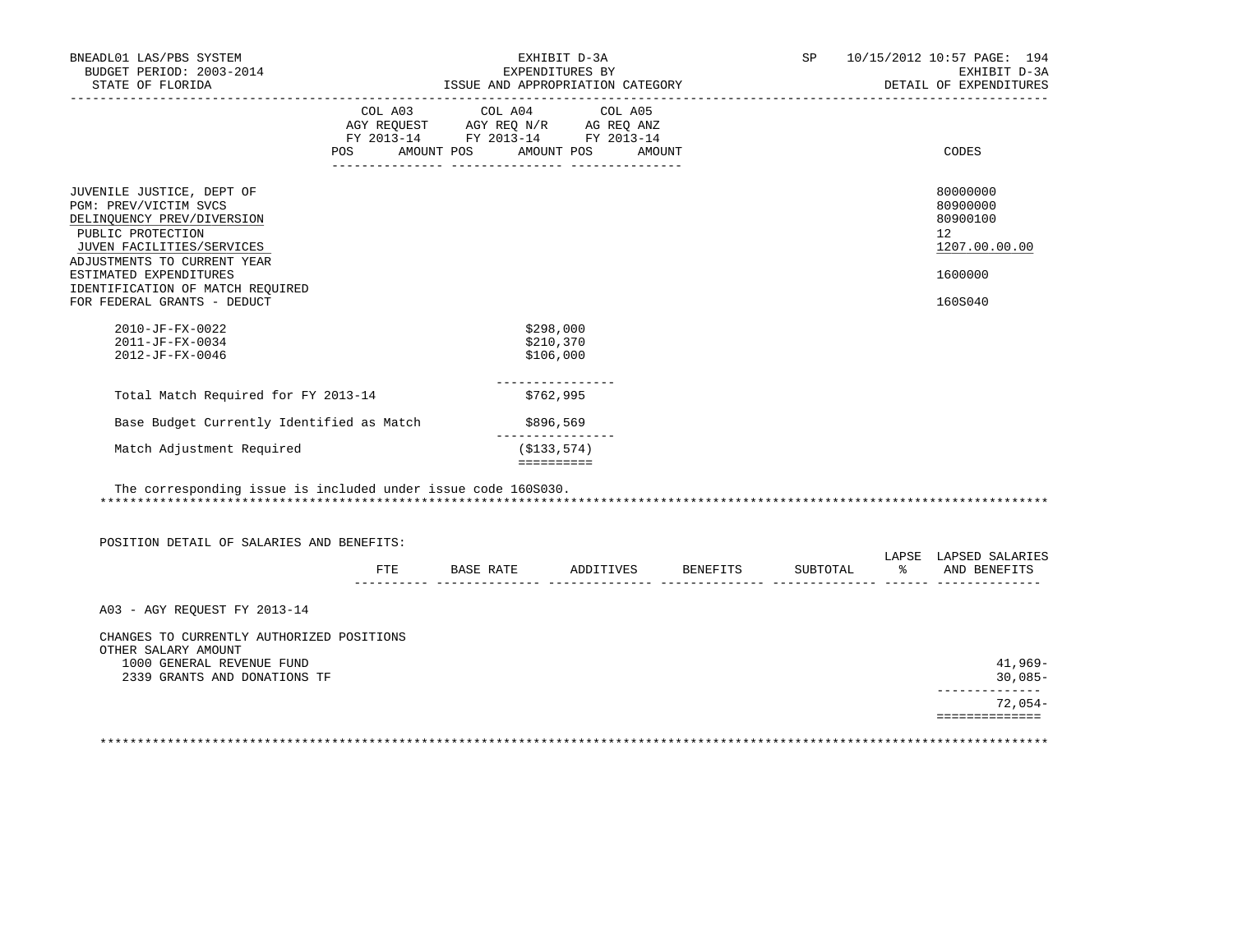| BNEADL01 LAS/PBS SYSTEM<br>BUDGET PERIOD: 2003-2014<br>STATE OF FLORIDA                                                                                                                                                                                        | EXHIBIT D-3A<br>EXPENDITURES BY<br>ISSUE AND APPROPRIATION CATEGORY |                                               |                                                                                                                                       |                              |          | SP 10/15/2012 10:57 PAGE: 194<br>EXHIBIT D-3A<br>DETAIL OF EXPENDITURES       |
|----------------------------------------------------------------------------------------------------------------------------------------------------------------------------------------------------------------------------------------------------------------|---------------------------------------------------------------------|-----------------------------------------------|---------------------------------------------------------------------------------------------------------------------------------------|------------------------------|----------|-------------------------------------------------------------------------------|
|                                                                                                                                                                                                                                                                |                                                                     |                                               | COL A03 COL A04 COL A05<br>AGY REQUEST AGY REQ N/R AG REQ ANZ<br>FY 2013-14 FY 2013-14 FY 2013-14<br>POS AMOUNT POS AMOUNT POS AMOUNT |                              |          | CODES                                                                         |
| JUVENILE JUSTICE, DEPT OF<br>PGM: PREV/VICTIM SVCS<br>DELINQUENCY PREV/DIVERSION<br>PUBLIC PROTECTION<br>JUVEN FACILITIES/SERVICES<br>ADJUSTMENTS TO CURRENT YEAR<br>ESTIMATED EXPENDITURES<br>IDENTIFICATION OF MATCH REQUIRED<br>FOR FEDERAL GRANTS - DEDUCT |                                                                     |                                               |                                                                                                                                       |                              |          | 80000000<br>80900000<br>80900100<br>12<br>1207.00.00.00<br>1600000<br>160S040 |
| 2010-JF-FX-0022<br>2011-JF-FX-0034<br>2012-JF-FX-0046                                                                                                                                                                                                          |                                                                     | \$298,000<br>\$210,370<br>\$106,000           |                                                                                                                                       |                              |          |                                                                               |
| Total Match Required for FY 2013-14                                                                                                                                                                                                                            |                                                                     | ----------------<br>\$762,995                 |                                                                                                                                       |                              |          |                                                                               |
| Base Budget Currently Identified as Match                                                                                                                                                                                                                      |                                                                     | \$896,569                                     |                                                                                                                                       |                              |          |                                                                               |
| Match Adjustment Required                                                                                                                                                                                                                                      |                                                                     | ________________<br>(S133, 574)<br>========== |                                                                                                                                       |                              |          |                                                                               |
| The corresponding issue is included under issue code 160S030.<br>POSITION DETAIL OF SALARIES AND BENEFITS:                                                                                                                                                     |                                                                     |                                               |                                                                                                                                       |                              |          |                                                                               |
|                                                                                                                                                                                                                                                                | FTE                                                                 |                                               |                                                                                                                                       | BASE RATE ADDITIVES BENEFITS | SUBTOTAL | LAPSE LAPSED SALARIES<br>% AND BENEFITS                                       |
| A03 - AGY REOUEST FY 2013-14                                                                                                                                                                                                                                   |                                                                     |                                               |                                                                                                                                       |                              |          |                                                                               |
| CHANGES TO CURRENTLY AUTHORIZED POSITIONS<br>OTHER SALARY AMOUNT<br>1000 GENERAL REVENUE FUND<br>2339 GRANTS AND DONATIONS TF                                                                                                                                  |                                                                     |                                               |                                                                                                                                       |                              |          | $41,969-$<br>$30,085-$                                                        |
|                                                                                                                                                                                                                                                                |                                                                     |                                               |                                                                                                                                       |                              |          | _____________<br>$72,054-$                                                    |
|                                                                                                                                                                                                                                                                |                                                                     |                                               |                                                                                                                                       |                              |          | ==============                                                                |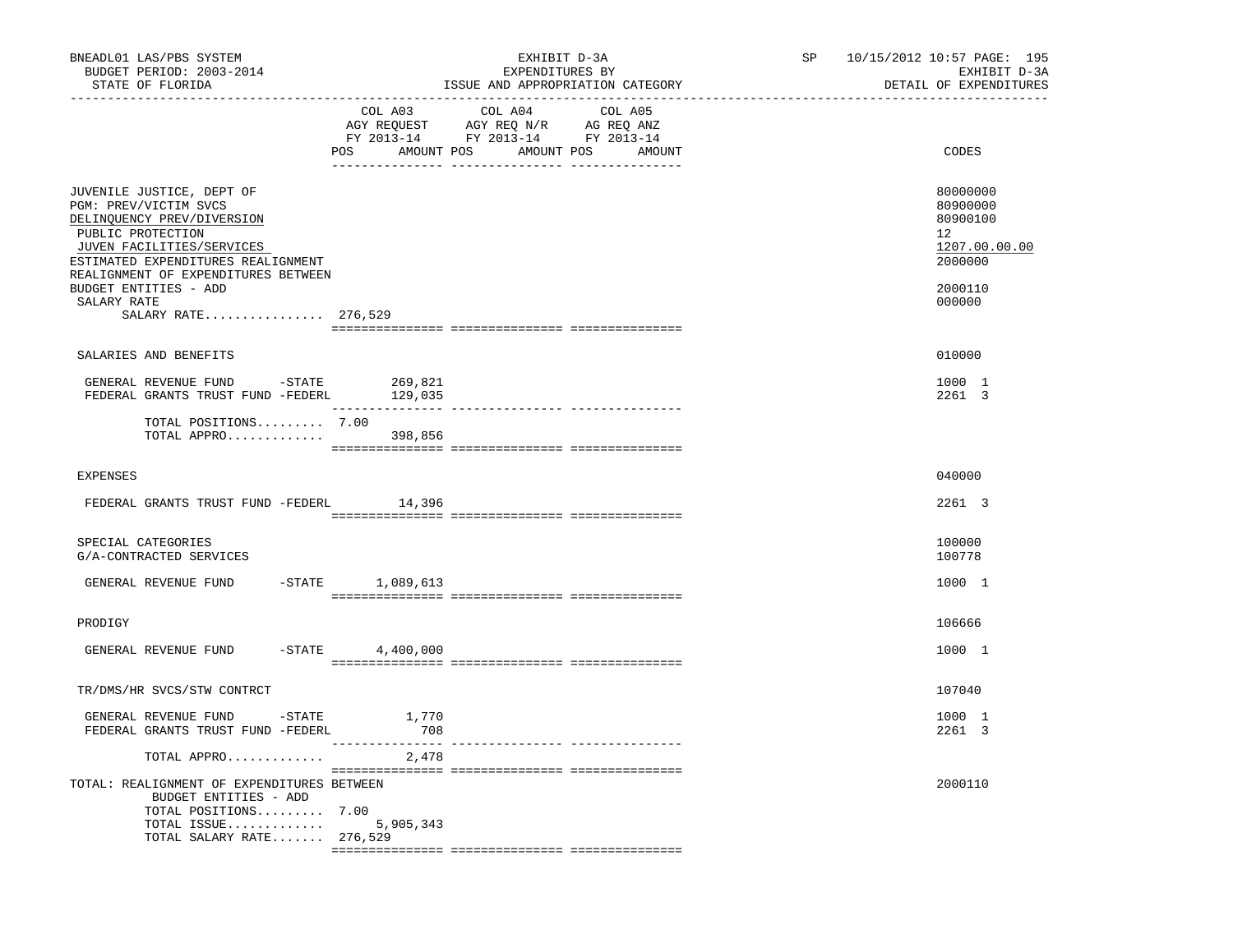| BNEADL01 LAS/PBS SYSTEM<br>BUDGET PERIOD: 2003-2014<br>STATE OF FLORIDA                                                                                                                                                                                                        | EXHIBIT D-3A<br>EXPENDITURES BY<br>ISSUE AND APPROPRIATION CATEGORY<br>---------------------------<br>____________________________                                                                                                                                                                                                                                                                                                                                                                                    | 10/15/2012 10:57 PAGE: 195<br>SP<br>EXHIBIT D-3A<br>DETAIL OF EXPENDITURES<br>-------------------- |
|--------------------------------------------------------------------------------------------------------------------------------------------------------------------------------------------------------------------------------------------------------------------------------|-----------------------------------------------------------------------------------------------------------------------------------------------------------------------------------------------------------------------------------------------------------------------------------------------------------------------------------------------------------------------------------------------------------------------------------------------------------------------------------------------------------------------|----------------------------------------------------------------------------------------------------|
|                                                                                                                                                                                                                                                                                | COL A03<br>COL A04<br>COL A05<br>$\begin{array}{ccccccccc}\n\text{AGY REQUEST} & & & \text{GY RE} & & \text{NGY RE} & & \text{NGZ ALY} & & \text{NGZ ALY} & & \text{NGZ ALY} & & \text{NGZ ALY} & & \text{NGZ ALY} & & \text{NGZ ALY} & & \text{NGZ ALY} & & \text{NGZ ALY} & & \text{NGZ ALY} & & \text{NGZ ALY} & & \text{NGZ ALY} & & \text{NGZ ALY} & & \text{NGZ ALY} & & \text{NGZ ALY} & & \text{NGZ ALY} & & \text{NGZ ALY} & & \text{NGZ ALY} & & \text{NGZ ALY} & &$<br>POS AMOUNT POS AMOUNT POS<br>AMOUNT | CODES                                                                                              |
| JUVENILE JUSTICE, DEPT OF<br>PGM: PREV/VICTIM SVCS<br>DELINQUENCY PREV/DIVERSION<br>PUBLIC PROTECTION<br>JUVEN FACILITIES/SERVICES<br>ESTIMATED EXPENDITURES REALIGNMENT<br>REALIGNMENT OF EXPENDITURES BETWEEN<br>BUDGET ENTITIES - ADD<br>SALARY RATE<br>SALARY RATE 276,529 |                                                                                                                                                                                                                                                                                                                                                                                                                                                                                                                       | 80000000<br>80900000<br>80900100<br>12<br>1207.00.00.00<br>2000000<br>2000110<br>000000            |
| SALARIES AND BENEFITS                                                                                                                                                                                                                                                          |                                                                                                                                                                                                                                                                                                                                                                                                                                                                                                                       | 010000                                                                                             |
| GENERAL REVENUE FUND - STATE<br>FEDERAL GRANTS TRUST FUND -FEDERL 129,035                                                                                                                                                                                                      | 269,821                                                                                                                                                                                                                                                                                                                                                                                                                                                                                                               | 1000 1<br>2261 3                                                                                   |
| TOTAL POSITIONS 7.00<br>TOTAL APPRO 398,856                                                                                                                                                                                                                                    | $\begin{minipage}{0.03\textwidth} \begin{tabular}{l} \textbf{1} & \textbf{2} & \textbf{3} & \textbf{5} & \textbf{5} & \textbf{6} & \textbf{6} & \textbf{7} & \textbf{8} & \textbf{8} & \textbf{9} & \textbf{9} & \textbf{9} & \textbf{9} & \textbf{9} & \textbf{9} & \textbf{9} & \textbf{9} & \textbf{9} & \textbf{9} & \textbf{9} & \textbf{9} & \textbf{9} & \textbf{9} & \textbf{9} & \textbf{9} & \textbf{9} & \textbf{9} & \$                                                                                   |                                                                                                    |
| <b>EXPENSES</b>                                                                                                                                                                                                                                                                |                                                                                                                                                                                                                                                                                                                                                                                                                                                                                                                       | 040000                                                                                             |
| FEDERAL GRANTS TRUST FUND -FEDERL 14,396                                                                                                                                                                                                                                       |                                                                                                                                                                                                                                                                                                                                                                                                                                                                                                                       | 2261 3                                                                                             |
| SPECIAL CATEGORIES<br>G/A-CONTRACTED SERVICES                                                                                                                                                                                                                                  |                                                                                                                                                                                                                                                                                                                                                                                                                                                                                                                       | 100000<br>100778                                                                                   |
| GENERAL REVENUE FUND                                                                                                                                                                                                                                                           | $-$ STATE $1,089,613$                                                                                                                                                                                                                                                                                                                                                                                                                                                                                                 | 1000 1                                                                                             |
| PRODIGY                                                                                                                                                                                                                                                                        |                                                                                                                                                                                                                                                                                                                                                                                                                                                                                                                       | 106666                                                                                             |
| GENERAL REVENUE FUND -STATE 4,400,000                                                                                                                                                                                                                                          |                                                                                                                                                                                                                                                                                                                                                                                                                                                                                                                       | 1000 1                                                                                             |
| TR/DMS/HR SVCS/STW CONTRCT                                                                                                                                                                                                                                                     |                                                                                                                                                                                                                                                                                                                                                                                                                                                                                                                       | 107040                                                                                             |
| GENERAL REVENUE FUND -STATE<br>FEDERAL GRANTS TRUST FUND -FEDERL                                                                                                                                                                                                               | 1,770<br>708                                                                                                                                                                                                                                                                                                                                                                                                                                                                                                          | 1000 1<br>2261 3                                                                                   |
| TOTAL APPRO                                                                                                                                                                                                                                                                    | 2,478                                                                                                                                                                                                                                                                                                                                                                                                                                                                                                                 |                                                                                                    |
| TOTAL: REALIGNMENT OF EXPENDITURES BETWEEN<br>BUDGET ENTITIES - ADD<br>TOTAL POSITIONS 7.00<br>TOTAL ISSUE<br>TOTAL SALARY RATE 276,529                                                                                                                                        | 5,905,343                                                                                                                                                                                                                                                                                                                                                                                                                                                                                                             | 2000110                                                                                            |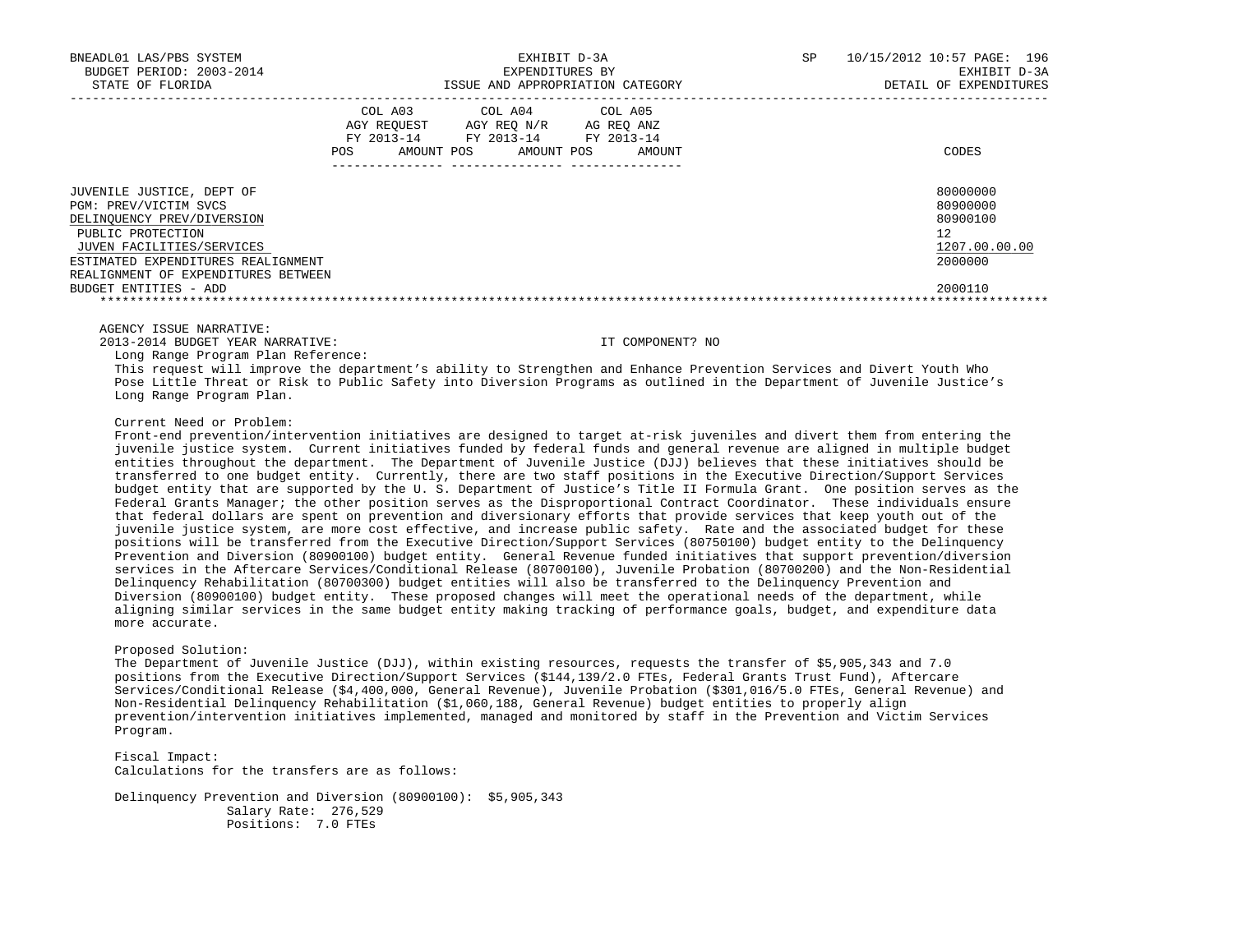| BNEADL01 LAS/PBS SYSTEM<br>BUDGET PERIOD: 2003-2014 |                   | EXHIBIT D-3A<br>EXPENDITURES BY                                                                                 |                                  | SP | 10/15/2012 10:57 PAGE: 196<br>EXHIBIT D-3A |
|-----------------------------------------------------|-------------------|-----------------------------------------------------------------------------------------------------------------|----------------------------------|----|--------------------------------------------|
| STATE OF FLORIDA                                    |                   |                                                                                                                 | ISSUE AND APPROPRIATION CATEGORY |    | DETAIL OF EXPENDITURES                     |
|                                                     | AMOUNT POS<br>POS | COL A03 COL A04 COL A05<br>AGY REOUEST AGY REO N/R AG REO ANZ<br>FY 2013-14 FY 2013-14 FY 2013-14<br>AMOUNT POS | AMOUNT                           |    | CODES                                      |
| JUVENILE JUSTICE, DEPT OF                           |                   |                                                                                                                 |                                  |    | 80000000                                   |
| PGM: PREV/VICTIM SVCS                               |                   |                                                                                                                 |                                  |    | 80900000                                   |
| DELINQUENCY PREV/DIVERSION                          |                   |                                                                                                                 |                                  |    | 80900100                                   |
| PUBLIC PROTECTION                                   |                   |                                                                                                                 |                                  |    | 12                                         |
| JUVEN FACILITIES/SERVICES                           |                   |                                                                                                                 |                                  |    | 1207.00.00.00                              |
| ESTIMATED EXPENDITURES REALIGNMENT                  |                   |                                                                                                                 |                                  |    | 2000000                                    |
| REALIGNMENT OF EXPENDITURES BETWEEN                 |                   |                                                                                                                 |                                  |    |                                            |
| BUDGET ENTITIES - ADD                               |                   |                                                                                                                 |                                  |    | 2000110                                    |
|                                                     |                   |                                                                                                                 |                                  |    |                                            |

AGENCY ISSUE NARRATIVE:

2013-2014 BUDGET YEAR NARRATIVE: IT COMPONENT? NO

Long Range Program Plan Reference:

 This request will improve the department's ability to Strengthen and Enhance Prevention Services and Divert Youth Who Pose Little Threat or Risk to Public Safety into Diversion Programs as outlined in the Department of Juvenile Justice's Long Range Program Plan.

Current Need or Problem:

 Front-end prevention/intervention initiatives are designed to target at-risk juveniles and divert them from entering the juvenile justice system. Current initiatives funded by federal funds and general revenue are aligned in multiple budget entities throughout the department. The Department of Juvenile Justice (DJJ) believes that these initiatives should be transferred to one budget entity. Currently, there are two staff positions in the Executive Direction/Support Services budget entity that are supported by the U. S. Department of Justice's Title II Formula Grant. One position serves as the Federal Grants Manager; the other position serves as the Disproportional Contract Coordinator. These individuals ensure that federal dollars are spent on prevention and diversionary efforts that provide services that keep youth out of the juvenile justice system, are more cost effective, and increase public safety. Rate and the associated budget for these positions will be transferred from the Executive Direction/Support Services (80750100) budget entity to the Delinquency Prevention and Diversion (80900100) budget entity. General Revenue funded initiatives that support prevention/diversion services in the Aftercare Services/Conditional Release (80700100), Juvenile Probation (80700200) and the Non-Residential Delinquency Rehabilitation (80700300) budget entities will also be transferred to the Delinquency Prevention and Diversion (80900100) budget entity. These proposed changes will meet the operational needs of the department, while aligning similar services in the same budget entity making tracking of performance goals, budget, and expenditure data more accurate.

Proposed Solution:

 The Department of Juvenile Justice (DJJ), within existing resources, requests the transfer of \$5,905,343 and 7.0 positions from the Executive Direction/Support Services (\$144,139/2.0 FTEs, Federal Grants Trust Fund), Aftercare Services/Conditional Release (\$4,400,000, General Revenue), Juvenile Probation (\$301,016/5.0 FTEs, General Revenue) and Non-Residential Delinquency Rehabilitation (\$1,060,188, General Revenue) budget entities to properly align prevention/intervention initiatives implemented, managed and monitored by staff in the Prevention and Victim Services Program.

 Fiscal Impact: Calculations for the transfers are as follows:

 Delinquency Prevention and Diversion (80900100): \$5,905,343 Salary Rate: 276,529 Positions: 7.0 FTEs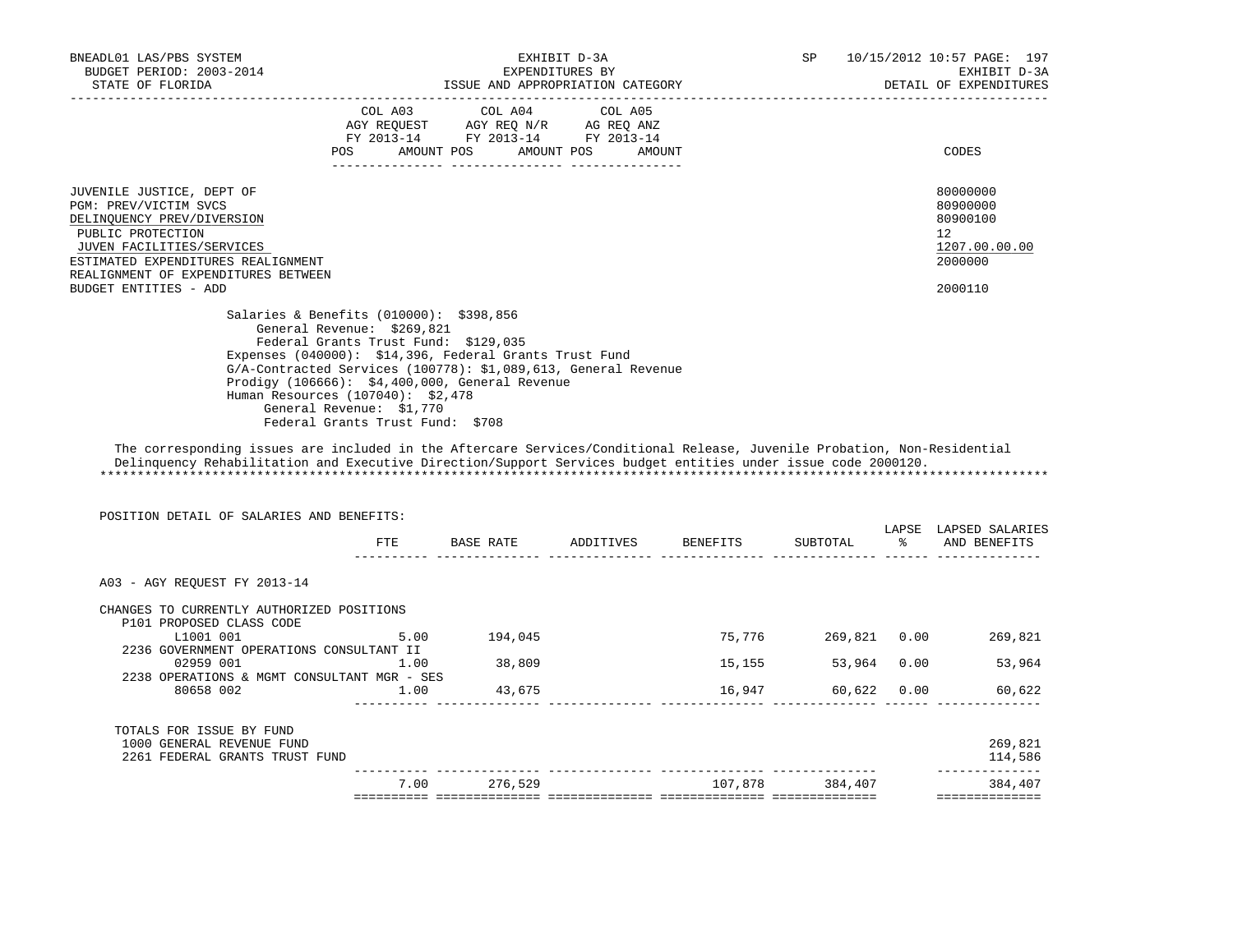| BNEADL01 LAS/PBS SYSTEM<br>BUDGET PERIOD: 2003-2014<br>STATE OF FLORIDA DETAIL OF EXPENDITURE ISSUE AND APPROPRIATION CATEGORY THE CONFIDENTION OF EXPENDITURE ISSUE AND APPROPRIATION CATEGORY                                           |                                                                                                                                                                                                                    |                                                                                                                                                                            | EXHIBIT D-3A<br>EXPENDITURES BY |  | SP 10/15/2012 10:57 PAGE: 197<br>DETAIL OF EXPENDITURES                                    | EXHIBIT D-3A |
|-------------------------------------------------------------------------------------------------------------------------------------------------------------------------------------------------------------------------------------------|--------------------------------------------------------------------------------------------------------------------------------------------------------------------------------------------------------------------|----------------------------------------------------------------------------------------------------------------------------------------------------------------------------|---------------------------------|--|--------------------------------------------------------------------------------------------|--------------|
|                                                                                                                                                                                                                                           | POS FOR                                                                                                                                                                                                            | COL A03 COL A04 COL A05<br>AGY REQUEST AGY REQ N/R AG REQ ANZ<br>FY 2013-14 FY 2013-14 FY 2013-14<br>AMOUNT POS AMOUNT POS AMOUNT                                          |                                 |  | CODES                                                                                      |              |
| JUVENILE JUSTICE, DEPT OF<br>PGM: PREV/VICTIM SVCS<br>DELINQUENCY PREV/DIVERSION<br>PUBLIC PROTECTION<br>JUVEN FACILITIES/SERVICES<br>ESTIMATED EXPENDITURES REALIGNMENT<br>REALIGNMENT OF EXPENDITURES BETWEEN<br>BUDGET ENTITIES - ADD  |                                                                                                                                                                                                                    |                                                                                                                                                                            |                                 |  | 80000000<br>80900000<br>80900100<br>12 <sup>°</sup><br>1207.00.00.00<br>2000000<br>2000110 |              |
|                                                                                                                                                                                                                                           | Salaries & Benefits (010000): \$398,856<br>General Revenue: \$269,821<br>Federal Grants Trust Fund: \$129,035<br>Human Resources (107040): \$2,478<br>General Revenue: \$1,770<br>Federal Grants Trust Fund: \$708 | Expenses (040000): \$14,396, Federal Grants Trust Fund<br>G/A-Contracted Services (100778): \$1,089,613, General Revenue<br>Prodigy (106666): \$4,400,000, General Revenue |                                 |  |                                                                                            |              |
| The corresponding issues are included in the Aftercare Services/Conditional Release, Juvenile Probation, Non-Residential<br>Delinguency Rehabilitation and Executive Direction/Support Services budget entities under issue code 2000120. |                                                                                                                                                                                                                    |                                                                                                                                                                            |                                 |  |                                                                                            |              |
| POSITION DETAIL OF SALARIES AND BENEFITS:                                                                                                                                                                                                 | ETE                                                                                                                                                                                                                |                                                                                                                                                                            |                                 |  | LAPSE LAPSED SALARIES                                                                      |              |
| A03 - AGY REOUEST FY 2013-14<br>CHANGES TO CURRENTLY AUTHORIZED POSITIONS<br>P101 PROPOSED CLASS CODE                                                                                                                                     |                                                                                                                                                                                                                    |                                                                                                                                                                            |                                 |  |                                                                                            |              |

|                                                                                         | 7.00 | 276,529 | 107,878 | 384,407 | 384,407            |
|-----------------------------------------------------------------------------------------|------|---------|---------|---------|--------------------|
| TOTALS FOR ISSUE BY FUND<br>1000 GENERAL REVENUE FUND<br>2261 FEDERAL GRANTS TRUST FUND |      |         |         |         | 269,821<br>114,586 |
| 80658 002                                                                               | 1.00 | 43,675  | 16,947  | 60,622  | 60,622<br>0.00     |
| 2238 OPERATIONS & MGMT CONSULTANT MGR - SES                                             |      |         |         |         |                    |
| 2236 GOVERNMENT OPERATIONS CONSULTANT II<br>02959 001                                   | 1.00 | 38,809  | 15,155  | 53,964  | 53,964<br>0.00     |
| L1001 001                                                                               | 5.00 | 194,045 | 75,776  | 269,821 | 269,821<br>0.00    |
| P101 PROPOSED CLASS CODE                                                                |      |         |         |         |                    |
| CHANGES TO CURRENTLY AUTHORIZED POSITIONS                                               |      |         |         |         |                    |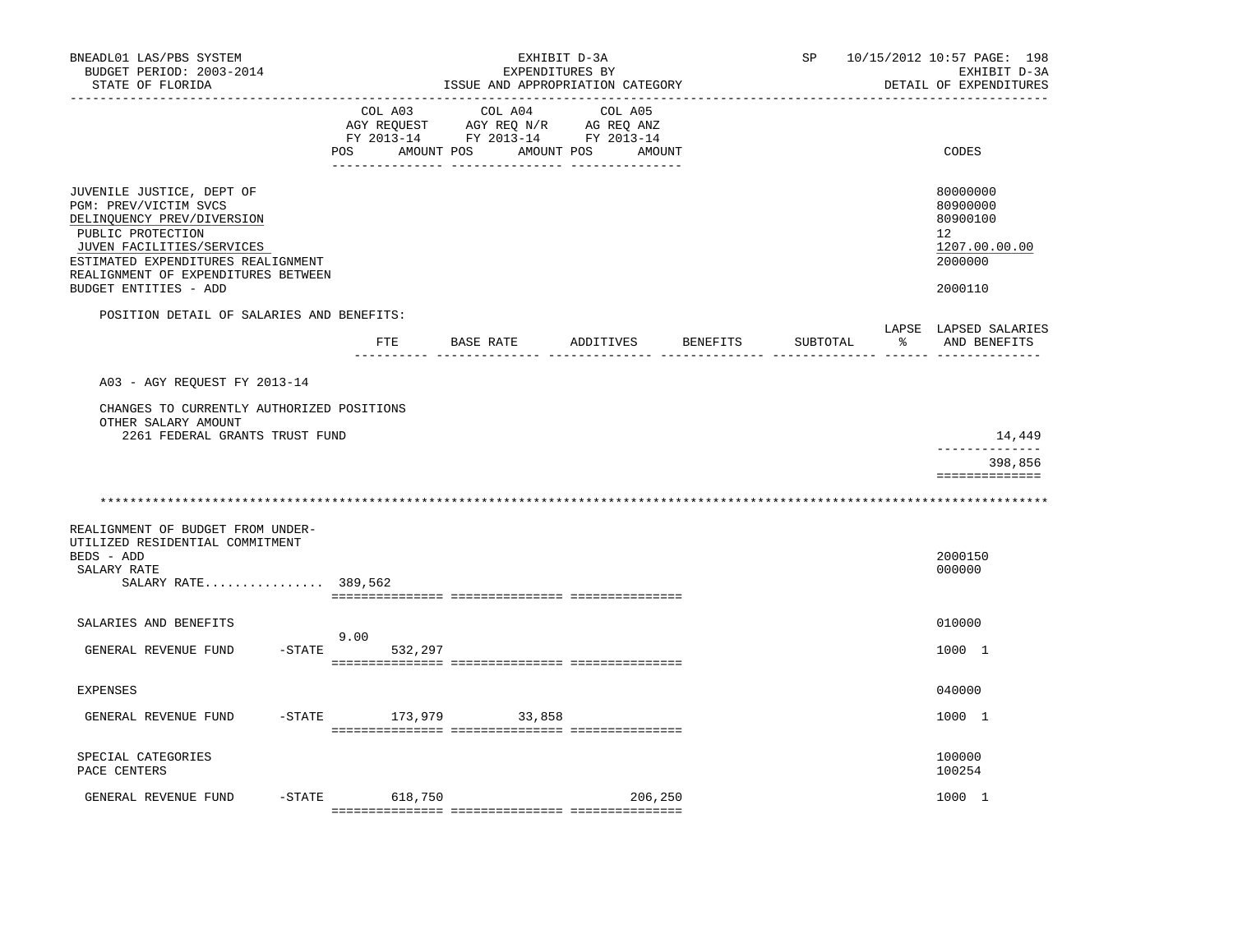| BNEADL01 LAS/PBS SYSTEM<br>BUDGET PERIOD: 2003-2014<br>STATE OF FLORIDA<br>-----------------                                                                                                                                             |                              | EXPENDITURES BY<br>ISSUE AND APPROPRIATION CATEGORY                                             | EXHIBIT D-3A      |          | SP       |   | 10/15/2012 10:57 PAGE: 198<br>EXHIBIT D-3A<br>DETAIL OF EXPENDITURES          |
|------------------------------------------------------------------------------------------------------------------------------------------------------------------------------------------------------------------------------------------|------------------------------|-------------------------------------------------------------------------------------------------|-------------------|----------|----------|---|-------------------------------------------------------------------------------|
|                                                                                                                                                                                                                                          | COL A03<br>POS<br>AMOUNT POS | COL A04<br>NOT REQUEST AGY REQ N/R AG REQ ANZ<br>FY 2013-14 FY 2013-14 FY 2013-14<br>AMOUNT POS | COL A05<br>AMOUNT |          |          |   | CODES                                                                         |
| JUVENILE JUSTICE, DEPT OF<br>PGM: PREV/VICTIM SVCS<br>DELINQUENCY PREV/DIVERSION<br>PUBLIC PROTECTION<br>JUVEN FACILITIES/SERVICES<br>ESTIMATED EXPENDITURES REALIGNMENT<br>REALIGNMENT OF EXPENDITURES BETWEEN<br>BUDGET ENTITIES - ADD |                              |                                                                                                 |                   |          |          |   | 80000000<br>80900000<br>80900100<br>12<br>1207.00.00.00<br>2000000<br>2000110 |
| POSITION DETAIL OF SALARIES AND BENEFITS:                                                                                                                                                                                                |                              |                                                                                                 |                   |          |          |   | LAPSE LAPSED SALARIES                                                         |
|                                                                                                                                                                                                                                          |                              | FTE BASE RATE ADDITIVES                                                                         |                   | BENEFITS | SUBTOTAL | ៖ | AND BENEFITS                                                                  |
| A03 - AGY REQUEST FY 2013-14                                                                                                                                                                                                             |                              |                                                                                                 |                   |          |          |   |                                                                               |
| CHANGES TO CURRENTLY AUTHORIZED POSITIONS<br>OTHER SALARY AMOUNT<br>2261 FEDERAL GRANTS TRUST FUND                                                                                                                                       |                              |                                                                                                 |                   |          |          |   | 14,449                                                                        |
|                                                                                                                                                                                                                                          |                              |                                                                                                 |                   |          |          |   | --------------<br>398,856                                                     |
|                                                                                                                                                                                                                                          |                              |                                                                                                 |                   |          |          |   | ==============                                                                |
|                                                                                                                                                                                                                                          |                              |                                                                                                 |                   |          |          |   |                                                                               |
| REALIGNMENT OF BUDGET FROM UNDER-<br>UTILIZED RESIDENTIAL COMMITMENT<br>BEDS - ADD<br>SALARY RATE<br>SALARY RATE 389,562                                                                                                                 |                              |                                                                                                 |                   |          |          |   | 2000150<br>000000                                                             |
| SALARIES AND BENEFITS                                                                                                                                                                                                                    |                              |                                                                                                 |                   |          |          |   | 010000                                                                        |
| $-$ STATE<br>GENERAL REVENUE FUND                                                                                                                                                                                                        | 9.00<br>532,297              |                                                                                                 |                   |          |          |   | 1000 1                                                                        |
| <b>EXPENSES</b>                                                                                                                                                                                                                          |                              |                                                                                                 |                   |          |          |   | 040000                                                                        |
| GENERAL REVENUE FUND                                                                                                                                                                                                                     |                              | -STATE 173,979 33,858                                                                           |                   |          |          |   | 1000 1                                                                        |
| SPECIAL CATEGORIES<br>PACE CENTERS                                                                                                                                                                                                       |                              |                                                                                                 |                   |          |          |   | 100000<br>100254                                                              |
| GENERAL REVENUE FUND<br>$-$ STATE                                                                                                                                                                                                        | 618,750                      |                                                                                                 | 206,250           |          |          |   | 1000 1                                                                        |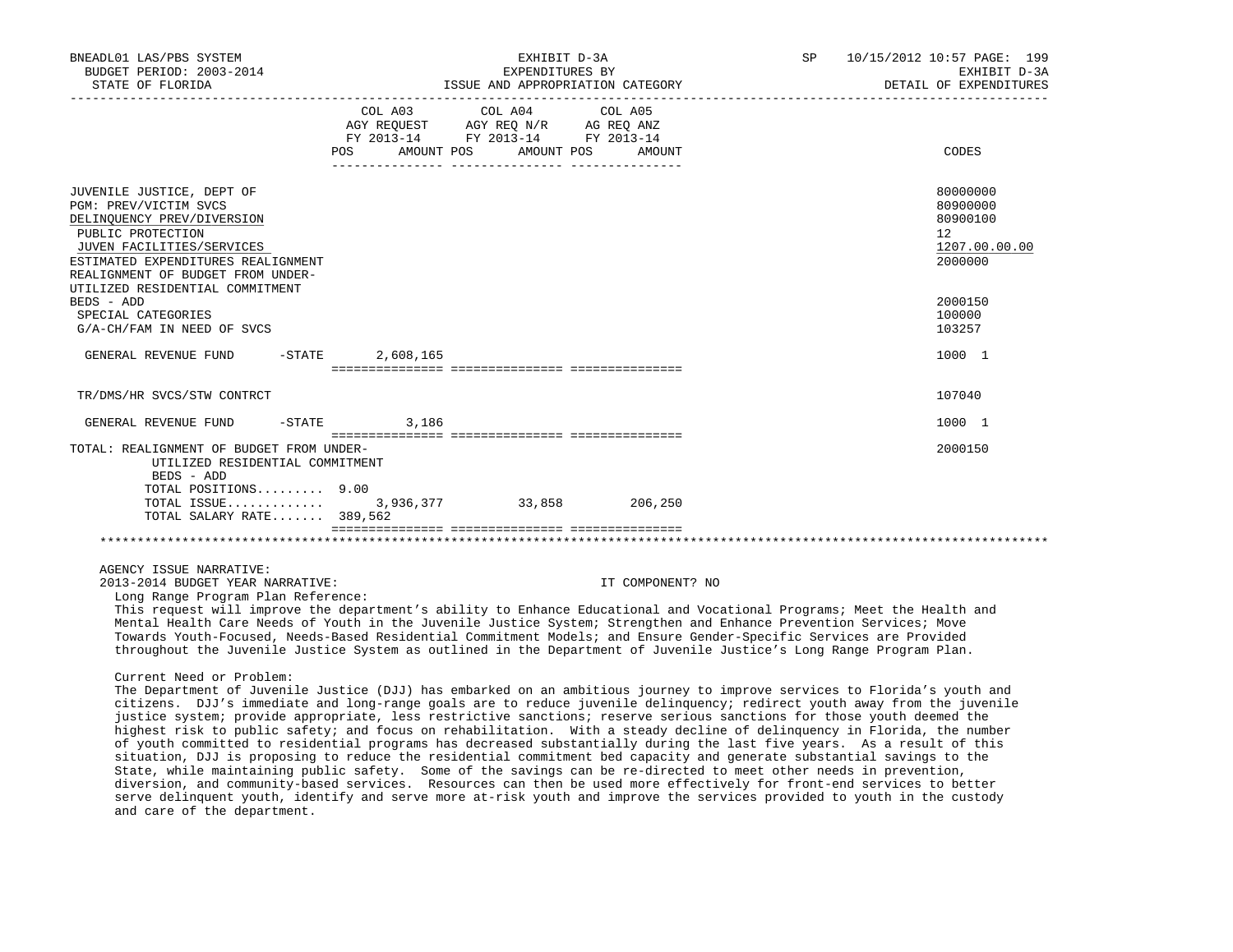| BNEADL01 LAS/PBS SYSTEM<br>BUDGET PERIOD: 2003-2014<br>STATE OF FLORIDA                                                                                                                                                                                                                                                                                                                                                                                                                                                                                                                                                                                                                                                                                                                                                                                                                                      | EXHIBIT D-3A<br>EXPENDITURES BY<br>ISSUE AND APPROPRIATION CATEGORY |                                                                                                 |                   | SP | 10/15/2012 10:57 PAGE: 199<br>EXHIBIT D-3A<br>DETAIL OF EXPENDITURES |
|--------------------------------------------------------------------------------------------------------------------------------------------------------------------------------------------------------------------------------------------------------------------------------------------------------------------------------------------------------------------------------------------------------------------------------------------------------------------------------------------------------------------------------------------------------------------------------------------------------------------------------------------------------------------------------------------------------------------------------------------------------------------------------------------------------------------------------------------------------------------------------------------------------------|---------------------------------------------------------------------|-------------------------------------------------------------------------------------------------|-------------------|----|----------------------------------------------------------------------|
|                                                                                                                                                                                                                                                                                                                                                                                                                                                                                                                                                                                                                                                                                                                                                                                                                                                                                                              | COL A03<br>AMOUNT POS<br>POS                                        | COL A04<br>AGY REQUEST AGY REQ N/R AG REQ ANZ<br>FY 2013-14 FY 2013-14 FY 2013-14<br>AMOUNT POS | COL A05<br>AMOUNT |    | CODES                                                                |
| JUVENILE JUSTICE, DEPT OF<br>PGM: PREV/VICTIM SVCS<br>DELINQUENCY PREV/DIVERSION<br>PUBLIC PROTECTION<br>JUVEN FACILITIES/SERVICES<br>ESTIMATED EXPENDITURES REALIGNMENT<br>REALIGNMENT OF BUDGET FROM UNDER-                                                                                                                                                                                                                                                                                                                                                                                                                                                                                                                                                                                                                                                                                                |                                                                     |                                                                                                 |                   |    | 80000000<br>80900000<br>80900100<br>12<br>1207.00.00.00<br>2000000   |
| UTILIZED RESIDENTIAL COMMITMENT<br>BEDS - ADD<br>SPECIAL CATEGORIES<br>G/A-CH/FAM IN NEED OF SVCS                                                                                                                                                                                                                                                                                                                                                                                                                                                                                                                                                                                                                                                                                                                                                                                                            |                                                                     |                                                                                                 |                   |    | 2000150<br>100000<br>103257                                          |
| $-$ STATE<br>GENERAL REVENUE FUND                                                                                                                                                                                                                                                                                                                                                                                                                                                                                                                                                                                                                                                                                                                                                                                                                                                                            | 2,608,165                                                           |                                                                                                 |                   |    | 1000 1                                                               |
| TR/DMS/HR SVCS/STW CONTRCT                                                                                                                                                                                                                                                                                                                                                                                                                                                                                                                                                                                                                                                                                                                                                                                                                                                                                   |                                                                     |                                                                                                 |                   |    | 107040                                                               |
| GENERAL REVENUE FUND<br>$-$ STATE                                                                                                                                                                                                                                                                                                                                                                                                                                                                                                                                                                                                                                                                                                                                                                                                                                                                            | 3,186                                                               |                                                                                                 |                   |    | 1000 1                                                               |
| TOTAL: REALIGNMENT OF BUDGET FROM UNDER-<br>UTILIZED RESIDENTIAL COMMITMENT<br>BEDS - ADD<br>TOTAL POSITIONS 9.00                                                                                                                                                                                                                                                                                                                                                                                                                                                                                                                                                                                                                                                                                                                                                                                            |                                                                     |                                                                                                 |                   |    | 2000150                                                              |
| TOTAL ISSUE<br>TOTAL SALARY RATE 389,562                                                                                                                                                                                                                                                                                                                                                                                                                                                                                                                                                                                                                                                                                                                                                                                                                                                                     |                                                                     | 3,936,377 33,858 206,250                                                                        |                   |    |                                                                      |
|                                                                                                                                                                                                                                                                                                                                                                                                                                                                                                                                                                                                                                                                                                                                                                                                                                                                                                              |                                                                     |                                                                                                 |                   |    |                                                                      |
| AGENCY ISSUE NARRATIVE:<br>2013-2014 BUDGET YEAR NARRATIVE:<br>Long Range Program Plan Reference:<br>This request will improve the department's ability to Enhance Educational and Vocational Programs; Meet the Health and                                                                                                                                                                                                                                                                                                                                                                                                                                                                                                                                                                                                                                                                                  |                                                                     |                                                                                                 | IT COMPONENT? NO  |    |                                                                      |
| Mental Health Care Needs of Youth in the Juvenile Justice System; Strengthen and Enhance Prevention Services; Move<br>Towards Youth-Focused, Needs-Based Residential Commitment Models; and Ensure Gender-Specific Services are Provided<br>throughout the Juvenile Justice System as outlined in the Department of Juvenile Justice's Long Range Program Plan.                                                                                                                                                                                                                                                                                                                                                                                                                                                                                                                                              |                                                                     |                                                                                                 |                   |    |                                                                      |
| Current Need or Problem:<br>The Department of Juvenile Justice (DJJ) has embarked on an ambitious journey to improve services to Florida's youth and<br>citizens. DJJ's immediate and long-range goals are to reduce juvenile delinquency; redirect youth away from the juvenile<br>justice system; provide appropriate, less restrictive sanctions; reserve serious sanctions for those youth deemed the<br>highest risk to public safety; and focus on rehabilitation. With a steady decline of delinguency in Florida, the number<br>of youth committed to residential programs has decreased substantially during the last five years. As a result of this<br>situation, DJJ is proposing to reduce the residential commitment bed capacity and generate substantial savings to the<br>State, while maintaining public safety. Some of the savings can be re-directed to meet other needs in prevention, |                                                                     |                                                                                                 |                   |    |                                                                      |

 diversion, and community-based services. Resources can then be used more effectively for front-end services to better serve delinquent youth, identify and serve more at-risk youth and improve the services provided to youth in the custody and care of the department.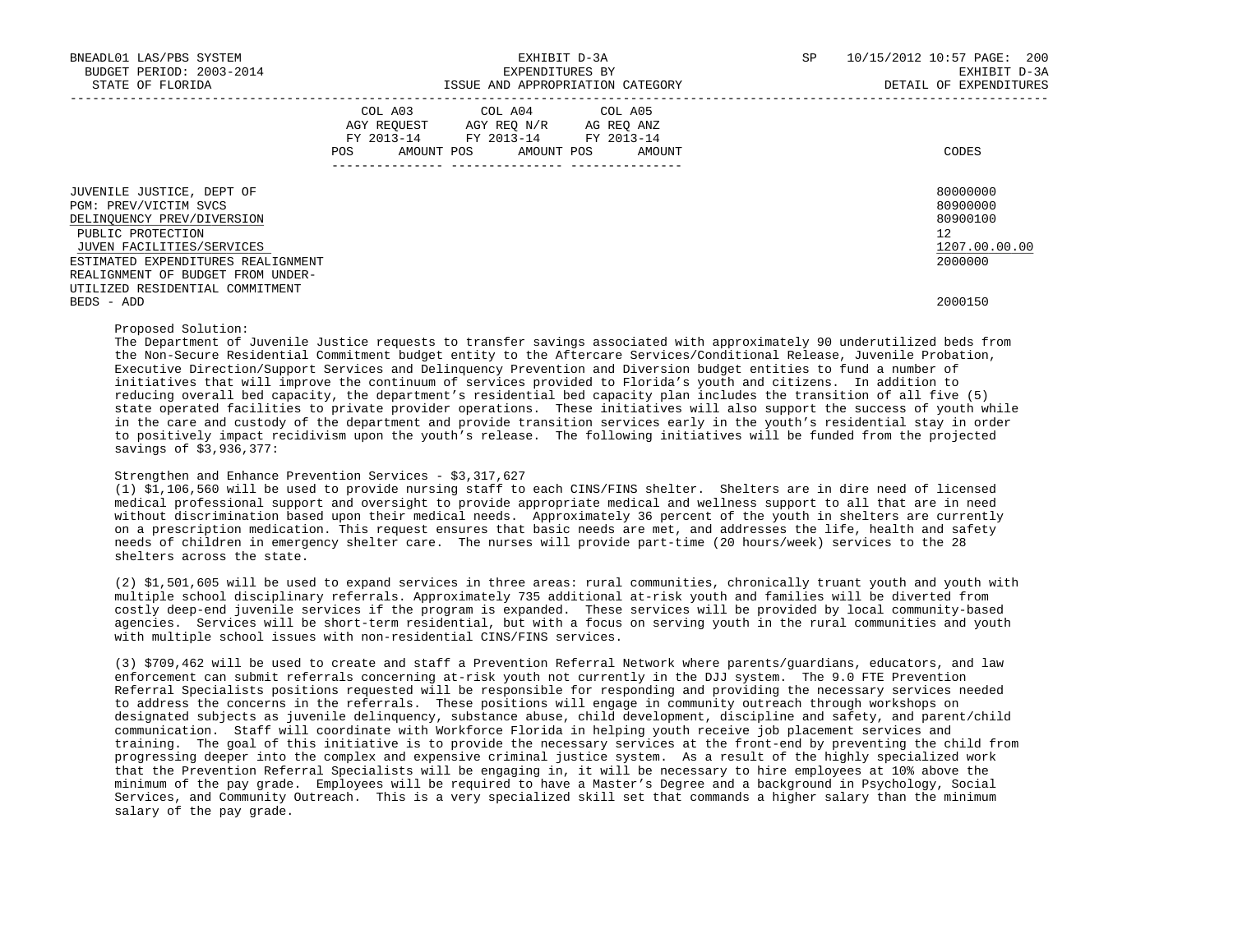| BNEADL01 LAS/PBS SYSTEM<br>BUDGET PERIOD: 2003-2014<br>STATE OF FLORIDA                                                                                                                                       | EXHIBIT D-3A<br>EXPENDITURES BY<br>ISSUE AND APPROPRIATION CATEGORY                                                                         | 10/15/2012 10:57 PAGE: 200<br><b>SP</b><br>EXHIBIT D-3A<br>DETAIL OF EXPENDITURES |
|---------------------------------------------------------------------------------------------------------------------------------------------------------------------------------------------------------------|---------------------------------------------------------------------------------------------------------------------------------------------|-----------------------------------------------------------------------------------|
|                                                                                                                                                                                                               | COL A03 COL A04 COL A05<br>AGY REQUEST AGY REQ N/R AG REQ ANZ<br>FY 2013-14 FY 2013-14 FY 2013-14<br>POS<br>AMOUNT POS AMOUNT POS<br>AMOUNT | CODES                                                                             |
| JUVENILE JUSTICE, DEPT OF<br>PGM: PREV/VICTIM SVCS<br>DELINQUENCY PREV/DIVERSION<br>PUBLIC PROTECTION<br>JUVEN FACILITIES/SERVICES<br>ESTIMATED EXPENDITURES REALIGNMENT<br>REALIGNMENT OF BUDGET FROM UNDER- |                                                                                                                                             | 80000000<br>80900000<br>80900100<br>12 <sup>7</sup><br>1207.00.00.00<br>2000000   |
| UTILIZED RESIDENTIAL COMMITMENT<br>BEDS - ADD                                                                                                                                                                 |                                                                                                                                             | 2000150                                                                           |

Proposed Solution:

 The Department of Juvenile Justice requests to transfer savings associated with approximately 90 underutilized beds from the Non-Secure Residential Commitment budget entity to the Aftercare Services/Conditional Release, Juvenile Probation, Executive Direction/Support Services and Delinquency Prevention and Diversion budget entities to fund a number of initiatives that will improve the continuum of services provided to Florida's youth and citizens. In addition to reducing overall bed capacity, the department's residential bed capacity plan includes the transition of all five (5) state operated facilities to private provider operations. These initiatives will also support the success of youth while in the care and custody of the department and provide transition services early in the youth's residential stay in order to positively impact recidivism upon the youth's release. The following initiatives will be funded from the projected savings of \$3,936,377:

### Strengthen and Enhance Prevention Services - \$3,317,627

 (1) \$1,106,560 will be used to provide nursing staff to each CINS/FINS shelter. Shelters are in dire need of licensed medical professional support and oversight to provide appropriate medical and wellness support to all that are in need without discrimination based upon their medical needs. Approximately 36 percent of the youth in shelters are currently on a prescription medication. This request ensures that basic needs are met, and addresses the life, health and safety needs of children in emergency shelter care. The nurses will provide part-time (20 hours/week) services to the 28 shelters across the state.

 (2) \$1,501,605 will be used to expand services in three areas: rural communities, chronically truant youth and youth with multiple school disciplinary referrals. Approximately 735 additional at-risk youth and families will be diverted from costly deep-end juvenile services if the program is expanded. These services will be provided by local community-based agencies. Services will be short-term residential, but with a focus on serving youth in the rural communities and youth with multiple school issues with non-residential CINS/FINS services.

 (3) \$709,462 will be used to create and staff a Prevention Referral Network where parents/guardians, educators, and law enforcement can submit referrals concerning at-risk youth not currently in the DJJ system. The 9.0 FTE Prevention Referral Specialists positions requested will be responsible for responding and providing the necessary services needed to address the concerns in the referrals. These positions will engage in community outreach through workshops on designated subjects as juvenile delinquency, substance abuse, child development, discipline and safety, and parent/child communication. Staff will coordinate with Workforce Florida in helping youth receive job placement services and training. The goal of this initiative is to provide the necessary services at the front-end by preventing the child from progressing deeper into the complex and expensive criminal justice system. As a result of the highly specialized work that the Prevention Referral Specialists will be engaging in, it will be necessary to hire employees at 10% above the minimum of the pay grade. Employees will be required to have a Master's Degree and a background in Psychology, Social Services, and Community Outreach. This is a very specialized skill set that commands a higher salary than the minimum salary of the pay grade.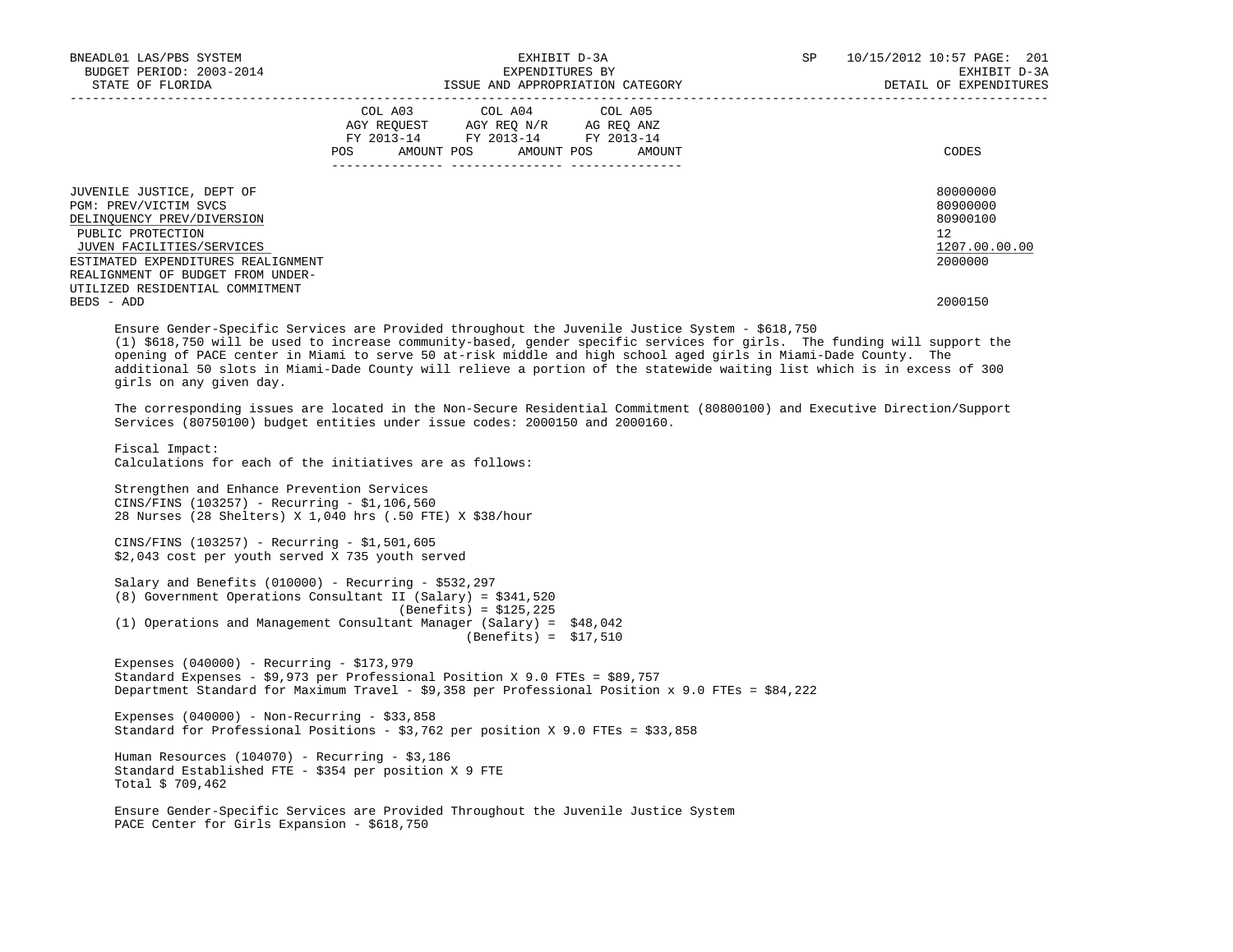| BNEADL01 LAS/PBS SYSTEM                                                                                                            | EXHIBIT D-3A             |                                                                        | SP 10/15/2012 10:57 PAGE: 201    |                        |
|------------------------------------------------------------------------------------------------------------------------------------|--------------------------|------------------------------------------------------------------------|----------------------------------|------------------------|
| BUDGET PERIOD: 2003-2014                                                                                                           |                          | EXPENDITURES BY                                                        |                                  | EXHIBIT D-3A           |
|                                                                                                                                    |                          |                                                                        |                                  | DETAIL OF EXPENDITURES |
|                                                                                                                                    |                          | COL A03 COL A04 COL A05                                                |                                  |                        |
|                                                                                                                                    |                          | AGY REQUEST AGY REQ N/R AG REQ ANZ<br>FY 2013-14 FY 2013-14 FY 2013-14 |                                  |                        |
|                                                                                                                                    |                          |                                                                        |                                  |                        |
|                                                                                                                                    |                          |                                                                        | POS AMOUNT POS AMOUNT POS AMOUNT | CODES                  |
|                                                                                                                                    |                          |                                                                        |                                  |                        |
| JUVENILE JUSTICE, DEPT OF                                                                                                          |                          |                                                                        |                                  | 80000000               |
| PGM: PREV/VICTIM SVCS                                                                                                              |                          |                                                                        |                                  | 80900000               |
| DELINQUENCY PREV/DIVERSION<br>PUBLIC PROTECTION                                                                                    |                          |                                                                        |                                  | 80900100<br>12         |
| JUVEN FACILITIES/SERVICES                                                                                                          |                          |                                                                        |                                  | 1207.00.00.00          |
| ESTIMATED EXPENDITURES REALIGNMENT                                                                                                 |                          |                                                                        |                                  | 2000000                |
| REALIGNMENT OF BUDGET FROM UNDER-                                                                                                  |                          |                                                                        |                                  |                        |
| UTILIZED RESIDENTIAL COMMITMENT                                                                                                    |                          |                                                                        |                                  |                        |
| BEDS - ADD                                                                                                                         |                          |                                                                        |                                  | 2000150                |
| Ensure Gender-Specific Services are Provided throughout the Juvenile Justice System - \$618,750                                    |                          |                                                                        |                                  |                        |
| (1) \$618,750 will be used to increase community-based, gender specific services for girls. The funding will support the           |                          |                                                                        |                                  |                        |
| opening of PACE center in Miami to serve 50 at-risk middle and high school aged girls in Miami-Dade County. The                    |                          |                                                                        |                                  |                        |
| additional 50 slots in Miami-Dade County will relieve a portion of the statewide waiting list which is in excess of 300            |                          |                                                                        |                                  |                        |
| girls on any given day.                                                                                                            |                          |                                                                        |                                  |                        |
| The corresponding issues are located in the Non-Secure Residential Commitment (80800100) and Executive Direction/Support           |                          |                                                                        |                                  |                        |
| Services (80750100) budget entities under issue codes: 2000150 and 2000160.                                                        |                          |                                                                        |                                  |                        |
|                                                                                                                                    |                          |                                                                        |                                  |                        |
| Fiscal Impact:                                                                                                                     |                          |                                                                        |                                  |                        |
| Calculations for each of the initiatives are as follows:                                                                           |                          |                                                                        |                                  |                        |
| Strengthen and Enhance Prevention Services                                                                                         |                          |                                                                        |                                  |                        |
| CINS/FINS (103257) - Recurring - \$1,106,560                                                                                       |                          |                                                                        |                                  |                        |
| 28 Nurses (28 Shelters) X 1,040 hrs (.50 FTE) X \$38/hour                                                                          |                          |                                                                        |                                  |                        |
|                                                                                                                                    |                          |                                                                        |                                  |                        |
| CINS/FINS (103257) - Recurring - \$1,501,605                                                                                       |                          |                                                                        |                                  |                        |
| \$2,043 cost per youth served X 735 youth served                                                                                   |                          |                                                                        |                                  |                        |
| Salary and Benefits (010000) - Recurring - \$532,297                                                                               |                          |                                                                        |                                  |                        |
| (8) Government Operations Consultant II (Salary) = \$341,520                                                                       |                          |                                                                        |                                  |                        |
|                                                                                                                                    | $(Benefits) = $125, 225$ |                                                                        |                                  |                        |
| (1) Operations and Management Consultant Manager (Salary) = \$48,042                                                               |                          |                                                                        |                                  |                        |
|                                                                                                                                    |                          | $(Benefits) = $17,510$                                                 |                                  |                        |
| Expenses $(040000)$ - Recurring - \$173,979                                                                                        |                          |                                                                        |                                  |                        |
| Standard Expenses - \$9,973 per Professional Position X 9.0 FTEs = \$89,757                                                        |                          |                                                                        |                                  |                        |
| Department Standard for Maximum Travel - \$9,358 per Professional Position x 9.0 FTEs = \$84,222                                   |                          |                                                                        |                                  |                        |
|                                                                                                                                    |                          |                                                                        |                                  |                        |
| Expenses $(040000)$ - Non-Recurring - \$33,858<br>Standard for Professional Positions - \$3,762 per position X 9.0 FTEs = \$33,858 |                          |                                                                        |                                  |                        |
|                                                                                                                                    |                          |                                                                        |                                  |                        |
| Human Resources (104070) - Recurring - $$3,186$                                                                                    |                          |                                                                        |                                  |                        |
| Standard Established FTE - \$354 per position X 9 FTE                                                                              |                          |                                                                        |                                  |                        |
| Total \$ 709,462                                                                                                                   |                          |                                                                        |                                  |                        |
| Ensure Gender-Specific Services are Provided Throughout the Juvenile Justice System                                                |                          |                                                                        |                                  |                        |
| PACE Center for Girls Expansion - \$618,750                                                                                        |                          |                                                                        |                                  |                        |
|                                                                                                                                    |                          |                                                                        |                                  |                        |
|                                                                                                                                    |                          |                                                                        |                                  |                        |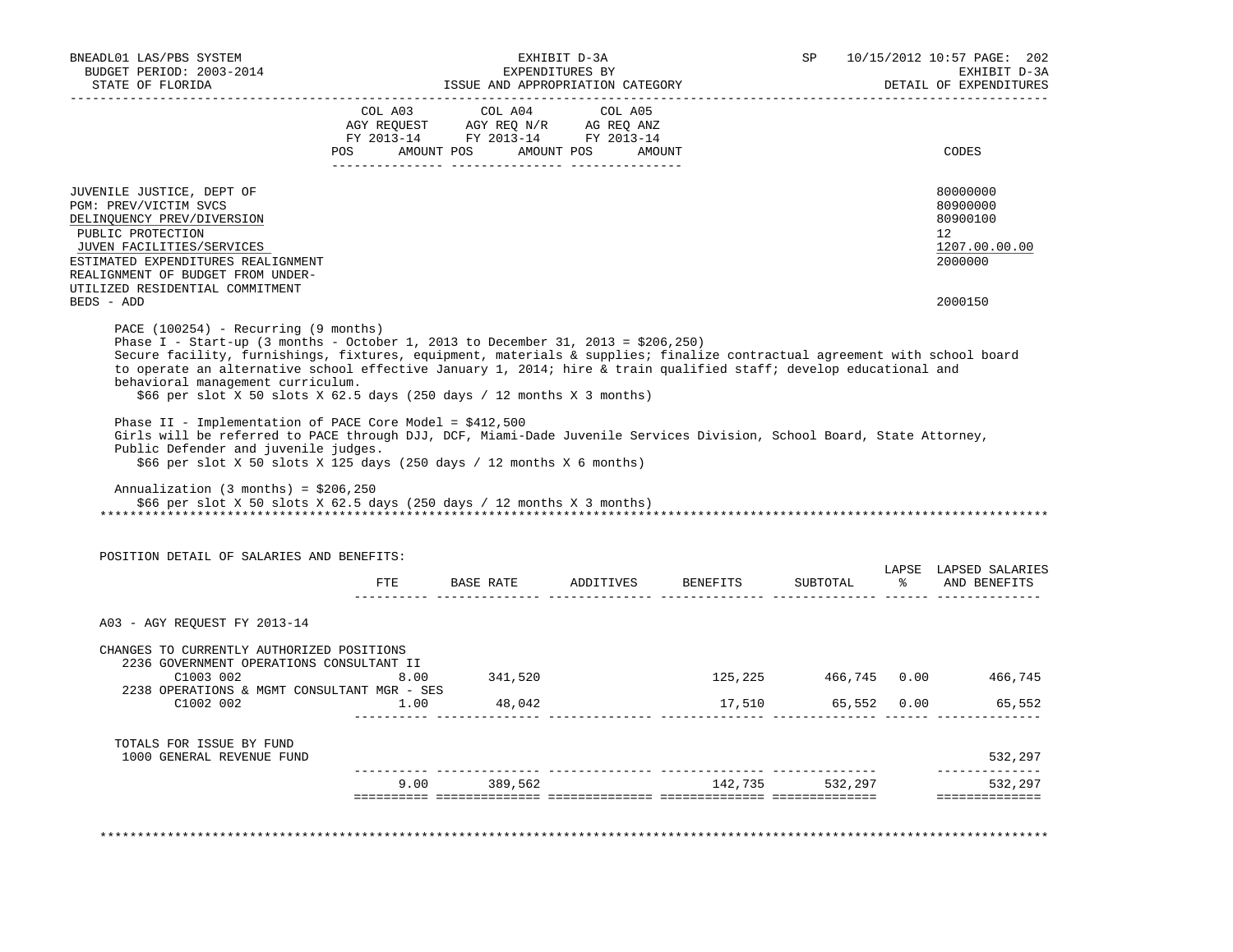| BUDGET PERIOD: 2003-2014<br>STATE OF FLORIDA                                                                                                                                                                                                                                                                                                                                                                                                                                               |         | ISSUE AND APPROPRIATION CATEGORY                                                                                      | EXHIBIT D-3A<br>EXPENDITURES BY |          | SP                 |      | 10/15/2012 10:57 PAGE: 202<br>EXHIBIT D-3A<br>DETAIL OF EXPENDITURES          |
|--------------------------------------------------------------------------------------------------------------------------------------------------------------------------------------------------------------------------------------------------------------------------------------------------------------------------------------------------------------------------------------------------------------------------------------------------------------------------------------------|---------|-----------------------------------------------------------------------------------------------------------------------|---------------------------------|----------|--------------------|------|-------------------------------------------------------------------------------|
|                                                                                                                                                                                                                                                                                                                                                                                                                                                                                            | COL A03 | COL A04<br>AGY REQUEST AGY REQ N/R AG REQ ANZ<br>FY 2013-14 FY 2013-14 FY 2013-14<br>POS AMOUNT POS AMOUNT POS AMOUNT | COL A05                         |          |                    |      | CODES                                                                         |
| JUVENILE JUSTICE, DEPT OF<br>PGM: PREV/VICTIM SVCS<br>DELINQUENCY PREV/DIVERSION<br>PUBLIC PROTECTION<br>JUVEN FACILITIES/SERVICES<br>ESTIMATED EXPENDITURES REALIGNMENT<br>REALIGNMENT OF BUDGET FROM UNDER-<br>UTILIZED RESIDENTIAL COMMITMENT<br>BEDS - ADD                                                                                                                                                                                                                             |         |                                                                                                                       |                                 |          |                    |      | 80000000<br>80900000<br>80900100<br>12<br>1207.00.00.00<br>2000000<br>2000150 |
| PACE (100254) - Recurring (9 months)<br>Phase I - Start-up (3 months - October 1, 2013 to December 31, 2013 = $$206,250)$<br>Secure facility, furnishings, fixtures, equipment, materials & supplies; finalize contractual agreement with school board<br>to operate an alternative school effective January 1, 2014; hire & train qualified staff; develop educational and<br>behavioral management curriculum.<br>\$66 per slot X 50 slots X 62.5 days (250 days / 12 months X 3 months) |         |                                                                                                                       |                                 |          |                    |      |                                                                               |
| Phase II - Implementation of PACE Core Model = $$412,500$<br>Girls will be referred to PACE through DJJ, DCF, Miami-Dade Juvenile Services Division, School Board, State Attorney,                                                                                                                                                                                                                                                                                                         |         |                                                                                                                       |                                 |          |                    |      |                                                                               |
| Public Defender and juvenile judges.<br>\$66 per slot X 50 slots X 125 days (250 days / 12 months X 6 months)<br>Annualization $(3 \text{ months}) = $206,250$<br>\$66 per slot X 50 slots X 62.5 days (250 days / 12 months X 3 months)                                                                                                                                                                                                                                                   |         |                                                                                                                       |                                 |          |                    |      |                                                                               |
| POSITION DETAIL OF SALARIES AND BENEFITS:                                                                                                                                                                                                                                                                                                                                                                                                                                                  |         | FTE BASE RATE ADDITIVES                                                                                               |                                 | BENEFITS | SUBTOTAL           | ော ေ | AND BENEFITS                                                                  |
| A03 - AGY REQUEST FY 2013-14                                                                                                                                                                                                                                                                                                                                                                                                                                                               |         |                                                                                                                       |                                 |          |                    |      | LAPSE LAPSED SALARIES                                                         |
| CHANGES TO CURRENTLY AUTHORIZED POSITIONS<br>2236 GOVERNMENT OPERATIONS CONSULTANT II<br>C1003 002                                                                                                                                                                                                                                                                                                                                                                                         | 8.00    | 341,520                                                                                                               |                                 |          |                    |      | 125,225 466,745 0.00 466,745                                                  |
| 2238 OPERATIONS & MGMT CONSULTANT MGR - SES<br>$C1002$ 002 1.00 48,042                                                                                                                                                                                                                                                                                                                                                                                                                     |         |                                                                                                                       |                                 |          | 17,510 65,552 0.00 |      | 65,552                                                                        |
| TOTALS FOR ISSUE BY FUND<br>1000 GENERAL REVENUE FUND                                                                                                                                                                                                                                                                                                                                                                                                                                      |         |                                                                                                                       |                                 |          |                    |      | 532,297                                                                       |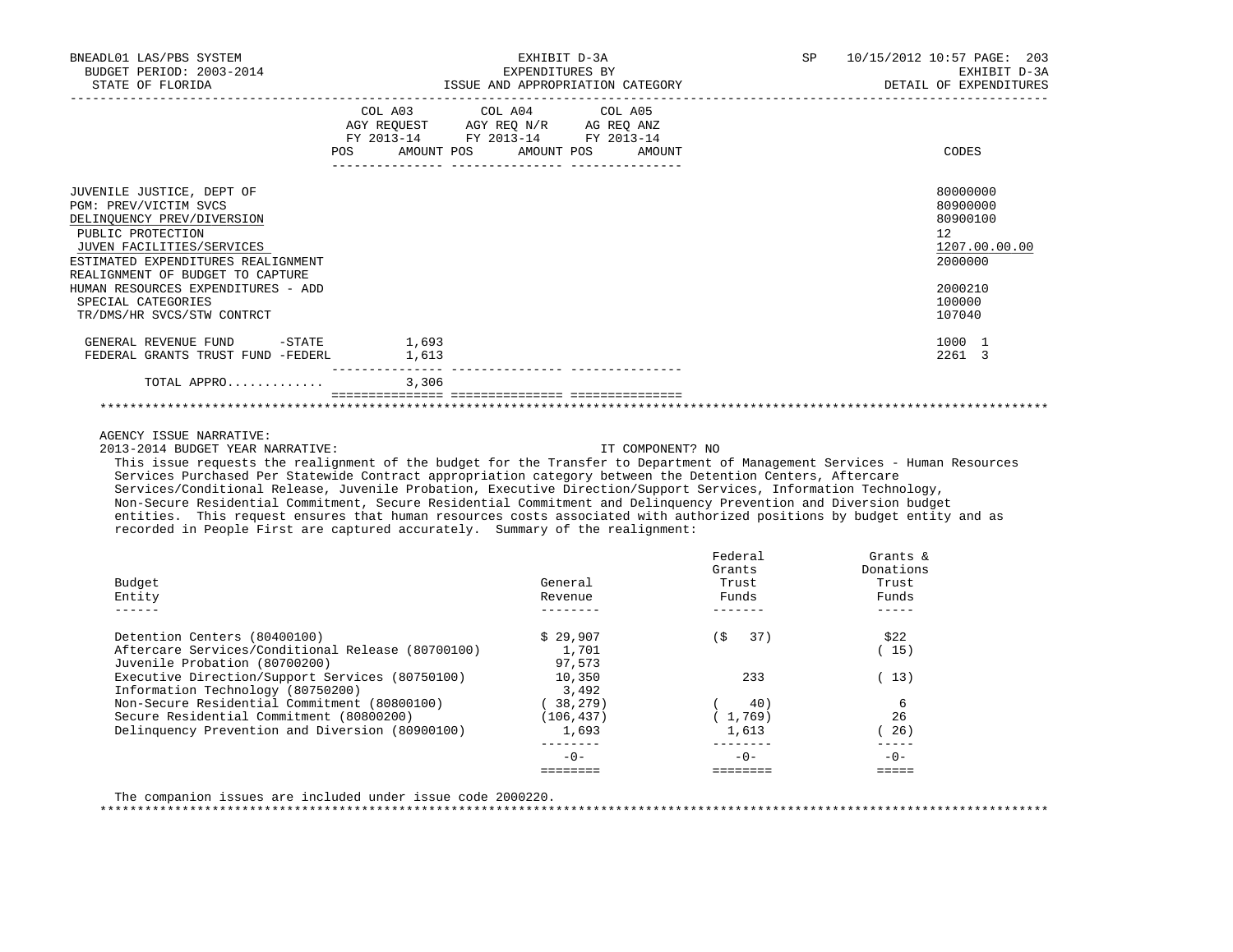| BNEADL01 LAS/PBS SYSTEM<br>BUDGET PERIOD: 2003-2014<br>STATE OF FLORIDA                                                                                                                                      | EXHIBIT D-3A<br>EXPENDITURES BY                                                                                                       | SP 10/15/2012 10:57 PAGE: 203<br>EXHIBIT D-3A<br>DETAIL OF EXPENDITURES |
|--------------------------------------------------------------------------------------------------------------------------------------------------------------------------------------------------------------|---------------------------------------------------------------------------------------------------------------------------------------|-------------------------------------------------------------------------|
|                                                                                                                                                                                                              | COL A03 COL A04 COL A05<br>AGY REQUEST AGY REQ N/R AG REQ ANZ<br>FY 2013-14 FY 2013-14 FY 2013-14<br>POS AMOUNT POS AMOUNT POS AMOUNT | CODES                                                                   |
| JUVENILE JUSTICE, DEPT OF<br>PGM: PREV/VICTIM SVCS<br>DELINOUENCY PREV/DIVERSION<br>PUBLIC PROTECTION<br>JUVEN FACILITIES/SERVICES<br>ESTIMATED EXPENDITURES REALIGNMENT<br>REALIGNMENT OF BUDGET TO CAPTURE |                                                                                                                                       | 80000000<br>80900000<br>80900100<br>12<br>1207.00.00.00<br>2000000      |
| HUMAN RESOURCES EXPENDITURES - ADD<br>SPECIAL CATEGORIES<br>TR/DMS/HR SVCS/STW CONTRCT                                                                                                                       |                                                                                                                                       | 2000210<br>100000<br>107040                                             |
| GENERAL REVENUE FUND -STATE 1,693<br>FEDERAL GRANTS TRUST FUND -FEDERL 1,613                                                                                                                                 |                                                                                                                                       | 1000 1<br>2261 3                                                        |
| TOTAL APPRO                                                                                                                                                                                                  | 3,306                                                                                                                                 |                                                                         |
|                                                                                                                                                                                                              |                                                                                                                                       |                                                                         |

AGENCY ISSUE NARRATIVE:

2013-2014 BUDGET YEAR NARRATIVE: IT COMPONENT? NO

 This issue requests the realignment of the budget for the Transfer to Department of Management Services - Human Resources Services Purchased Per Statewide Contract appropriation category between the Detention Centers, Aftercare Services/Conditional Release, Juvenile Probation, Executive Direction/Support Services, Information Technology, Non-Secure Residential Commitment, Secure Residential Commitment and Delinquency Prevention and Diversion budget entities. This request ensures that human resources costs associated with authorized positions by budget entity and as recorded in People First are captured accurately. Summary of the realignment:

|                                                   |            | Federal<br>Grants | Grants $\&$<br>Donations |
|---------------------------------------------------|------------|-------------------|--------------------------|
| Budget                                            | General    | Trust             | Trust                    |
| Entity                                            | Revenue    | Funds             | Funds                    |
|                                                   |            |                   |                          |
| Detention Centers (80400100)                      | \$29.907   | 'S<br>37)         | \$22                     |
| Aftercare Services/Conditional Release (80700100) | 1,701      |                   | 15)                      |
| Juvenile Probation (80700200)                     | 97,573     |                   |                          |
| Executive Direction/Support Services (80750100)   | 10,350     | 233               | (13)                     |
| Information Technology (80750200)                 | 3,492      |                   |                          |
| Non-Secure Residential Commitment (80800100)      | 38,279)    | 40)               | 6                        |
| Secure Residential Commitment (80800200)          | (106, 437) | 1,769)            | 26                       |
| Delinquency Prevention and Diversion (80900100)   | 1,693      | 1,613             | 26)                      |
|                                                   |            |                   |                          |
|                                                   | $-0-$      | $-0-$             | $-0-$                    |
|                                                   |            |                   |                          |

The companion issues are included under issue code 2000220.

\*\*\*\*\*\*\*\*\*\*\*\*\*\*\*\*\*\*\*\*\*\*\*\*\*\*\*\*\*\*\*\*\*\*\*\*\*\*\*\*\*\*\*\*\*\*\*\*\*\*\*\*\*\*\*\*\*\*\*\*\*\*\*\*\*\*\*\*\*\*\*\*\*\*\*\*\*\*\*\*\*\*\*\*\*\*\*\*\*\*\*\*\*\*\*\*\*\*\*\*\*\*\*\*\*\*\*\*\*\*\*\*\*\*\*\*\*\*\*\*\*\*\*\*\*\*\*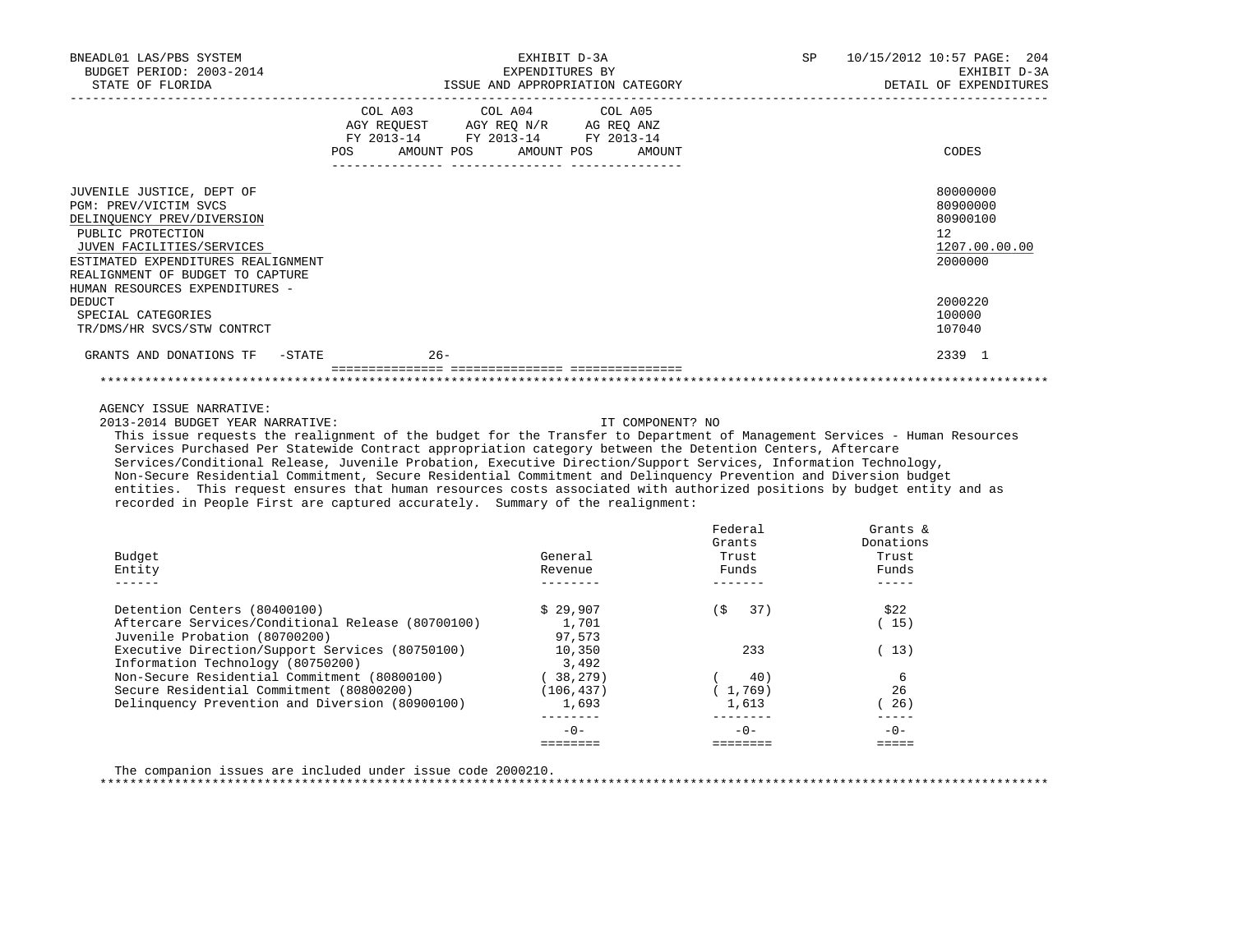| BNEADL01 LAS/PBS SYSTEM<br>BUDGET PERIOD: 2003-2014<br>STATE OF FLORIDA                                                                                                                                                                                                                                                                                                                                                                                                                                                                                                                                                                                                                                                      | EXHIBIT D-3A<br>EXPENDITURES BY<br>ISSUE AND APPROPRIATION CATEGORY                                                  | SP                | 10/15/2012 10:57 PAGE: 204<br>EXHIBIT D-3A<br>DETAIL OF EXPENDITURES |
|------------------------------------------------------------------------------------------------------------------------------------------------------------------------------------------------------------------------------------------------------------------------------------------------------------------------------------------------------------------------------------------------------------------------------------------------------------------------------------------------------------------------------------------------------------------------------------------------------------------------------------------------------------------------------------------------------------------------------|----------------------------------------------------------------------------------------------------------------------|-------------------|----------------------------------------------------------------------|
| COL A03<br>AMOUNT POS<br>POS                                                                                                                                                                                                                                                                                                                                                                                                                                                                                                                                                                                                                                                                                                 | COL A04<br>COL A05<br>AGY REQUEST AGY REQ N/R AG REQ ANZ<br>FY 2013-14 FY 2013-14 FY 2013-14<br>AMOUNT POS<br>AMOUNT |                   | CODES                                                                |
|                                                                                                                                                                                                                                                                                                                                                                                                                                                                                                                                                                                                                                                                                                                              |                                                                                                                      |                   |                                                                      |
| JUVENILE JUSTICE, DEPT OF                                                                                                                                                                                                                                                                                                                                                                                                                                                                                                                                                                                                                                                                                                    |                                                                                                                      |                   | 80000000                                                             |
| PGM: PREV/VICTIM SVCS                                                                                                                                                                                                                                                                                                                                                                                                                                                                                                                                                                                                                                                                                                        |                                                                                                                      |                   | 80900000                                                             |
| DELINQUENCY PREV/DIVERSION                                                                                                                                                                                                                                                                                                                                                                                                                                                                                                                                                                                                                                                                                                   |                                                                                                                      |                   | 80900100                                                             |
| PUBLIC PROTECTION<br>JUVEN FACILITIES/SERVICES                                                                                                                                                                                                                                                                                                                                                                                                                                                                                                                                                                                                                                                                               |                                                                                                                      |                   | 12<br>1207.00.00.00                                                  |
| ESTIMATED EXPENDITURES REALIGNMENT                                                                                                                                                                                                                                                                                                                                                                                                                                                                                                                                                                                                                                                                                           |                                                                                                                      |                   | 2000000                                                              |
| REALIGNMENT OF BUDGET TO CAPTURE                                                                                                                                                                                                                                                                                                                                                                                                                                                                                                                                                                                                                                                                                             |                                                                                                                      |                   |                                                                      |
| HUMAN RESOURCES EXPENDITURES -                                                                                                                                                                                                                                                                                                                                                                                                                                                                                                                                                                                                                                                                                               |                                                                                                                      |                   |                                                                      |
| DEDUCT                                                                                                                                                                                                                                                                                                                                                                                                                                                                                                                                                                                                                                                                                                                       |                                                                                                                      |                   | 2000220                                                              |
| SPECIAL CATEGORIES                                                                                                                                                                                                                                                                                                                                                                                                                                                                                                                                                                                                                                                                                                           |                                                                                                                      |                   | 100000                                                               |
| TR/DMS/HR SVCS/STW CONTRCT                                                                                                                                                                                                                                                                                                                                                                                                                                                                                                                                                                                                                                                                                                   |                                                                                                                      |                   | 107040                                                               |
| GRANTS AND DONATIONS TF -STATE<br>$26 -$                                                                                                                                                                                                                                                                                                                                                                                                                                                                                                                                                                                                                                                                                     |                                                                                                                      |                   | 2339 1                                                               |
|                                                                                                                                                                                                                                                                                                                                                                                                                                                                                                                                                                                                                                                                                                                              |                                                                                                                      |                   |                                                                      |
| 2013-2014 BUDGET YEAR NARRATIVE:<br>This issue requests the realignment of the budget for the Transfer to Department of Management Services - Human Resources<br>Services Purchased Per Statewide Contract appropriation category between the Detention Centers, Aftercare<br>Services/Conditional Release, Juvenile Probation, Executive Direction/Support Services, Information Technology,<br>Non-Secure Residential Commitment, Secure Residential Commitment and Delinquency Prevention and Diversion budget<br>entities. This request ensures that human resources costs associated with authorized positions by budget entity and as<br>recorded in People First are captured accurately. Summary of the realignment: | IT COMPONENT? NO                                                                                                     |                   |                                                                      |
|                                                                                                                                                                                                                                                                                                                                                                                                                                                                                                                                                                                                                                                                                                                              |                                                                                                                      |                   |                                                                      |
|                                                                                                                                                                                                                                                                                                                                                                                                                                                                                                                                                                                                                                                                                                                              |                                                                                                                      |                   |                                                                      |
|                                                                                                                                                                                                                                                                                                                                                                                                                                                                                                                                                                                                                                                                                                                              |                                                                                                                      | Federal<br>Grants | Grants &<br>Donations                                                |
| Budget                                                                                                                                                                                                                                                                                                                                                                                                                                                                                                                                                                                                                                                                                                                       | General                                                                                                              | Trust             | Trust                                                                |
| Entity                                                                                                                                                                                                                                                                                                                                                                                                                                                                                                                                                                                                                                                                                                                       | Revenue                                                                                                              | Funds             | Funds                                                                |
| $\frac{1}{2}$                                                                                                                                                                                                                                                                                                                                                                                                                                                                                                                                                                                                                                                                                                                | $- - - - - - - -$                                                                                                    |                   | $\frac{1}{2}$                                                        |
| Detention Centers (80400100)                                                                                                                                                                                                                                                                                                                                                                                                                                                                                                                                                                                                                                                                                                 |                                                                                                                      | (\$<br>37)        | \$22                                                                 |
| Aftercare Services/Conditional Release (80700100)                                                                                                                                                                                                                                                                                                                                                                                                                                                                                                                                                                                                                                                                            | \$29,907<br>1,701                                                                                                    |                   | (15)                                                                 |
| Juvenile Probation (80700200)                                                                                                                                                                                                                                                                                                                                                                                                                                                                                                                                                                                                                                                                                                | 97,573                                                                                                               |                   |                                                                      |
| Executive Direction/Support Services (80750100)                                                                                                                                                                                                                                                                                                                                                                                                                                                                                                                                                                                                                                                                              | 10,350                                                                                                               | 233               | (13)                                                                 |
| Information Technology (80750200)                                                                                                                                                                                                                                                                                                                                                                                                                                                                                                                                                                                                                                                                                            | 3,492                                                                                                                |                   |                                                                      |
| Non-Secure Residential Commitment (80800100)<br>Secure Residential Commitment (80800200)                                                                                                                                                                                                                                                                                                                                                                                                                                                                                                                                                                                                                                     | (38, 279)                                                                                                            | 40)<br>(1, 769)   | 6<br>26                                                              |
| Delinquency Prevention and Diversion (80900100)                                                                                                                                                                                                                                                                                                                                                                                                                                                                                                                                                                                                                                                                              | (106, 437)<br>1,693                                                                                                  | 1,613             | (26)                                                                 |
|                                                                                                                                                                                                                                                                                                                                                                                                                                                                                                                                                                                                                                                                                                                              | ________                                                                                                             | $- - - - - - - -$ | $- - - - - -$                                                        |
|                                                                                                                                                                                                                                                                                                                                                                                                                                                                                                                                                                                                                                                                                                                              | $-0-$<br>========                                                                                                    | $-0-$<br>======== | $-0-$<br>$=$                                                         |

The companion issues are included under issue code 2000210.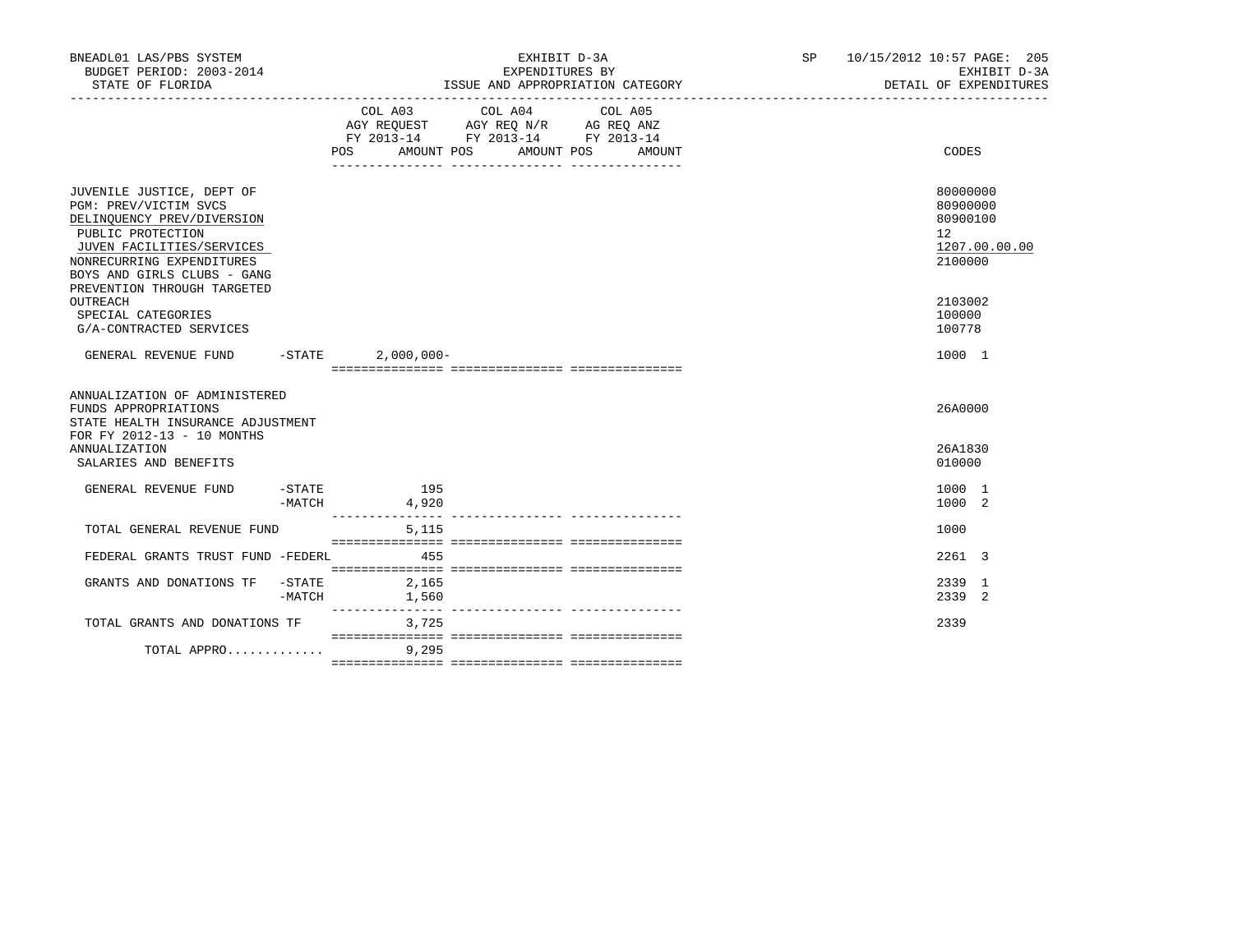| BNEADL01 LAS/PBS SYSTEM<br>BUDGET PERIOD: 2003-2014<br>STATE OF FLORIDA                                                                                                                                                       |                  | EXHIBIT D-3A<br>EXPENDITURES BY<br>ISSUE AND APPROPRIATION CATEGORY |                                                                                                         |                   | SP 10/15/2012 10:57 PAGE: 205<br>EXHIBIT D-3A<br>DETAIL OF EXPENDITURES |                                                                                 |
|-------------------------------------------------------------------------------------------------------------------------------------------------------------------------------------------------------------------------------|------------------|---------------------------------------------------------------------|---------------------------------------------------------------------------------------------------------|-------------------|-------------------------------------------------------------------------|---------------------------------------------------------------------------------|
|                                                                                                                                                                                                                               |                  | AMOUNT POS<br>POS                                                   | COL A03 COL A04<br>AGY REQUEST AGY REQ N/R AG REQ ANZ<br>FY 2013-14 FY 2013-14 FY 2013-14<br>AMOUNT POS | COL A05<br>AMOUNT |                                                                         | CODES                                                                           |
| JUVENILE JUSTICE, DEPT OF<br>PGM: PREV/VICTIM SVCS<br>DELINOUENCY PREV/DIVERSION<br>PUBLIC PROTECTION<br>JUVEN FACILITIES/SERVICES<br>NONRECURRING EXPENDITURES<br>BOYS AND GIRLS CLUBS - GANG<br>PREVENTION THROUGH TARGETED |                  |                                                                     |                                                                                                         |                   |                                                                         | 80000000<br>80900000<br>80900100<br>12 <sup>2</sup><br>1207.00.00.00<br>2100000 |
| OUTREACH<br>SPECIAL CATEGORIES<br>G/A-CONTRACTED SERVICES                                                                                                                                                                     |                  |                                                                     |                                                                                                         |                   |                                                                         | 2103002<br>100000<br>100778                                                     |
| GENERAL REVENUE FUND -STATE                                                                                                                                                                                                   |                  | $2,000,000 -$                                                       |                                                                                                         |                   |                                                                         | 1000 1                                                                          |
| ANNUALIZATION OF ADMINISTERED<br>FUNDS APPROPRIATIONS<br>STATE HEALTH INSURANCE ADJUSTMENT<br>FOR FY 2012-13 - 10 MONTHS                                                                                                      |                  |                                                                     |                                                                                                         |                   |                                                                         | 26A0000                                                                         |
| ANNUALIZATION<br>SALARIES AND BENEFITS                                                                                                                                                                                        |                  |                                                                     |                                                                                                         |                   |                                                                         | 26A1830<br>010000                                                               |
| GENERAL REVENUE FUND                                                                                                                                                                                                          | -STATE<br>-MATCH | 195<br>4,920                                                        |                                                                                                         |                   |                                                                         | 1000 1<br>1000 2                                                                |
| TOTAL GENERAL REVENUE FUND                                                                                                                                                                                                    |                  | 5,115                                                               |                                                                                                         |                   |                                                                         | 1000                                                                            |
| FEDERAL GRANTS TRUST FUND -FEDERL                                                                                                                                                                                             |                  | 455                                                                 |                                                                                                         |                   |                                                                         | 2261 3                                                                          |
| GRANTS AND DONATIONS TF                                                                                                                                                                                                       | -STATE<br>-MATCH | 2,165<br>1,560                                                      |                                                                                                         |                   |                                                                         | 2339 1<br>2339 2                                                                |
| TOTAL GRANTS AND DONATIONS TF                                                                                                                                                                                                 |                  | 3,725                                                               |                                                                                                         |                   |                                                                         | 2339                                                                            |
| TOTAL APPRO                                                                                                                                                                                                                   |                  | 9,295                                                               |                                                                                                         |                   |                                                                         |                                                                                 |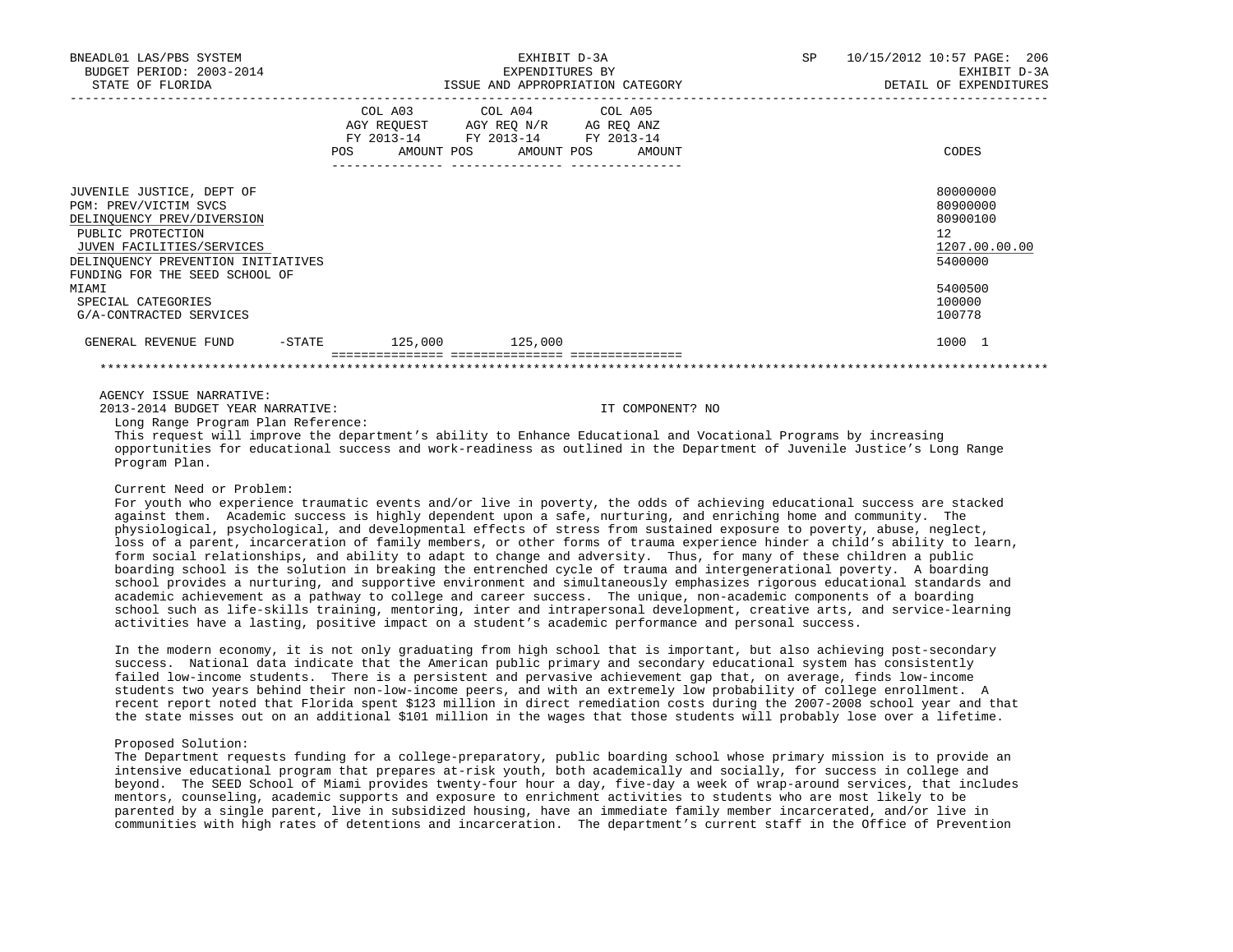| BNEADL01 LAS/PBS SYSTEM<br>BUDGET PERIOD: 2003-2014                                                                                                                                                                 |                                                                                                                | EXHIBIT D-3A<br>EXPENDITURES BY                                                                                                   | SP<br>10/15/2012 10:57 PAGE: 206<br>EXHIBIT D-3A                              |  |
|---------------------------------------------------------------------------------------------------------------------------------------------------------------------------------------------------------------------|----------------------------------------------------------------------------------------------------------------|-----------------------------------------------------------------------------------------------------------------------------------|-------------------------------------------------------------------------------|--|
| STATE OF FLORIDA                                                                                                                                                                                                    |                                                                                                                | ISSUE AND APPROPRIATION CATEGORY                                                                                                  | DETAIL OF EXPENDITURES                                                        |  |
|                                                                                                                                                                                                                     | POS FOR THE POST OF THE STATE STATE STATE STATE STATE STATE STATE STATE STATE STATE STATE STATE STATE STATE ST | COL A03 COL A04 COL A05<br>AGY REQUEST AGY REQ N/R AG REQ ANZ<br>FY 2013-14 FY 2013-14 FY 2013-14<br>AMOUNT POS AMOUNT POS AMOUNT | CODES                                                                         |  |
| JUVENILE JUSTICE, DEPT OF<br>PGM: PREV/VICTIM SVCS<br>DELINQUENCY PREV/DIVERSION<br>PUBLIC PROTECTION<br>JUVEN FACILITIES/SERVICES<br>DELINQUENCY PREVENTION INITIATIVES<br>FUNDING FOR THE SEED SCHOOL OF<br>MIAMI |                                                                                                                |                                                                                                                                   | 80000000<br>80900000<br>80900100<br>12<br>1207.00.00.00<br>5400000<br>5400500 |  |
| SPECIAL CATEGORIES<br>G/A-CONTRACTED SERVICES                                                                                                                                                                       |                                                                                                                |                                                                                                                                   | 100000<br>100778                                                              |  |
| GENERAL REVENUE FUND                                                                                                                                                                                                | $-STATE$ 125,000 125,000                                                                                       |                                                                                                                                   | 1000 1                                                                        |  |
|                                                                                                                                                                                                                     |                                                                                                                |                                                                                                                                   |                                                                               |  |

#### AGENCY ISSUE NARRATIVE:

2013-2014 BUDGET YEAR NARRATIVE: IT COMPONENT? NO

Long Range Program Plan Reference:

 This request will improve the department's ability to Enhance Educational and Vocational Programs by increasing opportunities for educational success and work-readiness as outlined in the Department of Juvenile Justice's Long Range Program Plan.

## Current Need or Problem:

 For youth who experience traumatic events and/or live in poverty, the odds of achieving educational success are stacked against them. Academic success is highly dependent upon a safe, nurturing, and enriching home and community. The physiological, psychological, and developmental effects of stress from sustained exposure to poverty, abuse, neglect, loss of a parent, incarceration of family members, or other forms of trauma experience hinder a child's ability to learn, form social relationships, and ability to adapt to change and adversity. Thus, for many of these children a public boarding school is the solution in breaking the entrenched cycle of trauma and intergenerational poverty. A boarding school provides a nurturing, and supportive environment and simultaneously emphasizes rigorous educational standards and academic achievement as a pathway to college and career success. The unique, non-academic components of a boarding school such as life-skills training, mentoring, inter and intrapersonal development, creative arts, and service-learning activities have a lasting, positive impact on a student's academic performance and personal success.

 In the modern economy, it is not only graduating from high school that is important, but also achieving post-secondary success. National data indicate that the American public primary and secondary educational system has consistently failed low-income students. There is a persistent and pervasive achievement gap that, on average, finds low-income students two years behind their non-low-income peers, and with an extremely low probability of college enrollment. A recent report noted that Florida spent \$123 million in direct remediation costs during the 2007-2008 school year and that the state misses out on an additional \$101 million in the wages that those students will probably lose over a lifetime.

### Proposed Solution:

 The Department requests funding for a college-preparatory, public boarding school whose primary mission is to provide an intensive educational program that prepares at-risk youth, both academically and socially, for success in college and beyond. The SEED School of Miami provides twenty-four hour a day, five-day a week of wrap-around services, that includes mentors, counseling, academic supports and exposure to enrichment activities to students who are most likely to be parented by a single parent, live in subsidized housing, have an immediate family member incarcerated, and/or live in communities with high rates of detentions and incarceration. The department's current staff in the Office of Prevention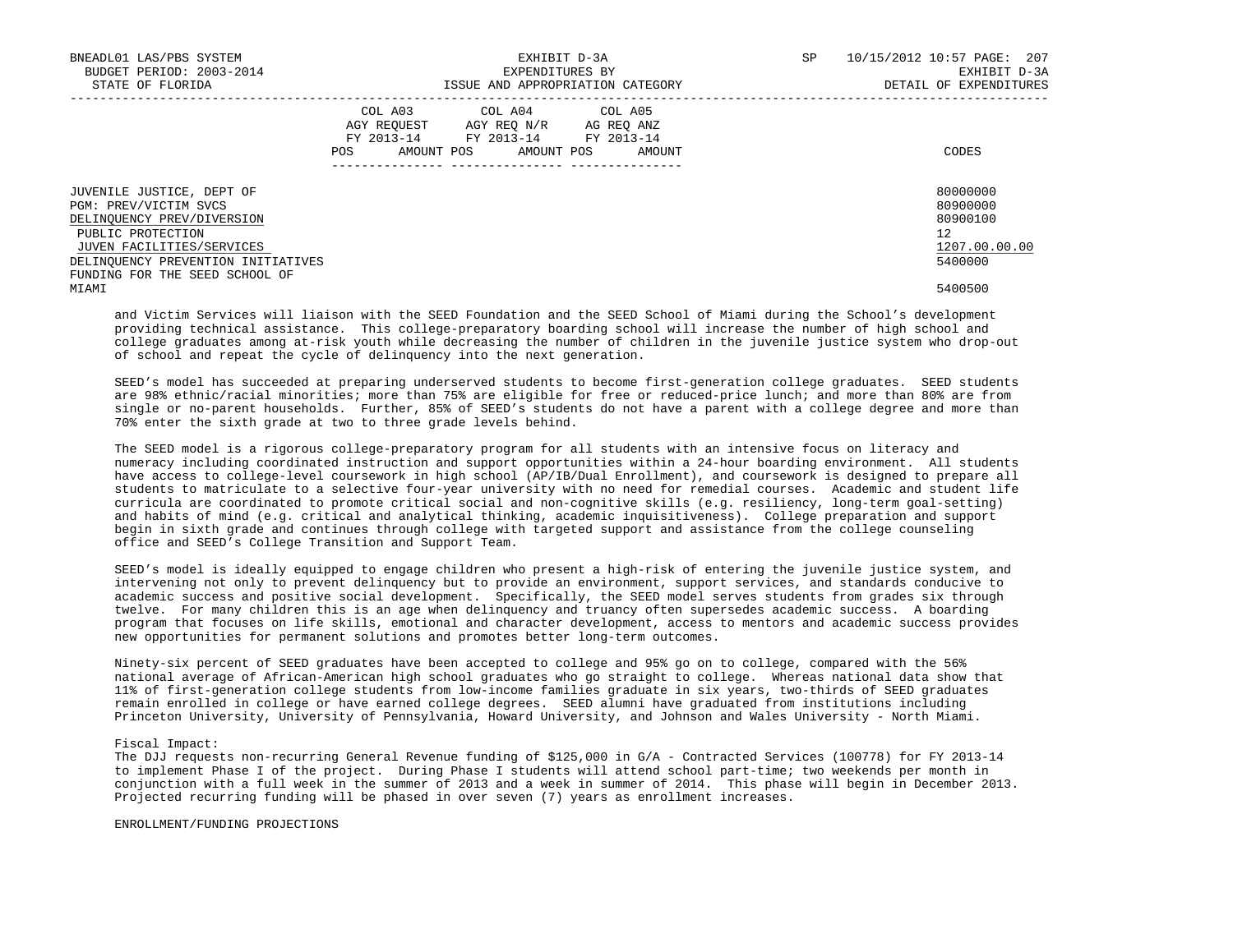| BNEADL01 LAS/PBS SYSTEM<br>BUDGET PERIOD: 2003-2014<br>STATE OF FLORIDA                                                                                                                                    | EXHIBIT D-3A<br>EXPENDITURES BY<br>ISSUE AND APPROPRIATION CATEGORY                                                                     | SP     | 10/15/2012 10:57 PAGE: 207<br>EXHIBIT D-3A<br>DETAIL OF EXPENDITURES |  |
|------------------------------------------------------------------------------------------------------------------------------------------------------------------------------------------------------------|-----------------------------------------------------------------------------------------------------------------------------------------|--------|----------------------------------------------------------------------|--|
|                                                                                                                                                                                                            | COL A03 COL A04 COL A05<br>AGY REOUEST<br>AGY REO N/R AG REO ANZ<br>FY 2013-14 FY 2013-14 FY 2013-14<br>AMOUNT POS<br>AMOUNT POS<br>POS | AMOUNT | CODES                                                                |  |
| JUVENILE JUSTICE, DEPT OF<br>PGM: PREV/VICTIM SVCS<br>DELINQUENCY PREV/DIVERSION<br>PUBLIC PROTECTION<br>JUVEN FACILITIES/SERVICES<br>DELINQUENCY PREVENTION INITIATIVES<br>FUNDING FOR THE SEED SCHOOL OF |                                                                                                                                         |        | 80000000<br>80900000<br>80900100<br>12<br>1207.00.00.00<br>5400000   |  |
| MIAMI                                                                                                                                                                                                      |                                                                                                                                         |        | 5400500                                                              |  |

 and Victim Services will liaison with the SEED Foundation and the SEED School of Miami during the School's development providing technical assistance. This college-preparatory boarding school will increase the number of high school and college graduates among at-risk youth while decreasing the number of children in the juvenile justice system who drop-out of school and repeat the cycle of delinquency into the next generation.

 SEED's model has succeeded at preparing underserved students to become first-generation college graduates. SEED students are 98% ethnic/racial minorities; more than 75% are eligible for free or reduced-price lunch; and more than 80% are from single or no-parent households. Further, 85% of SEED's students do not have a parent with a college degree and more than 70% enter the sixth grade at two to three grade levels behind.

 The SEED model is a rigorous college-preparatory program for all students with an intensive focus on literacy and numeracy including coordinated instruction and support opportunities within a 24-hour boarding environment. All students have access to college-level coursework in high school (AP/IB/Dual Enrollment), and coursework is designed to prepare all students to matriculate to a selective four-year university with no need for remedial courses. Academic and student life curricula are coordinated to promote critical social and non-cognitive skills (e.g. resiliency, long-term goal-setting) and habits of mind (e.g. critical and analytical thinking, academic inquisitiveness). College preparation and support begin in sixth grade and continues through college with targeted support and assistance from the college counseling office and SEED's College Transition and Support Team.

 SEED's model is ideally equipped to engage children who present a high-risk of entering the juvenile justice system, and intervening not only to prevent delinquency but to provide an environment, support services, and standards conducive to academic success and positive social development. Specifically, the SEED model serves students from grades six through twelve. For many children this is an age when delinquency and truancy often supersedes academic success. A boarding program that focuses on life skills, emotional and character development, access to mentors and academic success provides new opportunities for permanent solutions and promotes better long-term outcomes.

 Ninety-six percent of SEED graduates have been accepted to college and 95% go on to college, compared with the 56% national average of African-American high school graduates who go straight to college. Whereas national data show that 11% of first-generation college students from low-income families graduate in six years, two-thirds of SEED graduates remain enrolled in college or have earned college degrees. SEED alumni have graduated from institutions including Princeton University, University of Pennsylvania, Howard University, and Johnson and Wales University - North Miami.

# Fiscal Impact:

 The DJJ requests non-recurring General Revenue funding of \$125,000 in G/A - Contracted Services (100778) for FY 2013-14 to implement Phase I of the project. During Phase I students will attend school part-time; two weekends per month in conjunction with a full week in the summer of 2013 and a week in summer of 2014. This phase will begin in December 2013. Projected recurring funding will be phased in over seven (7) years as enrollment increases.

#### ENROLLMENT/FUNDING PROJECTIONS